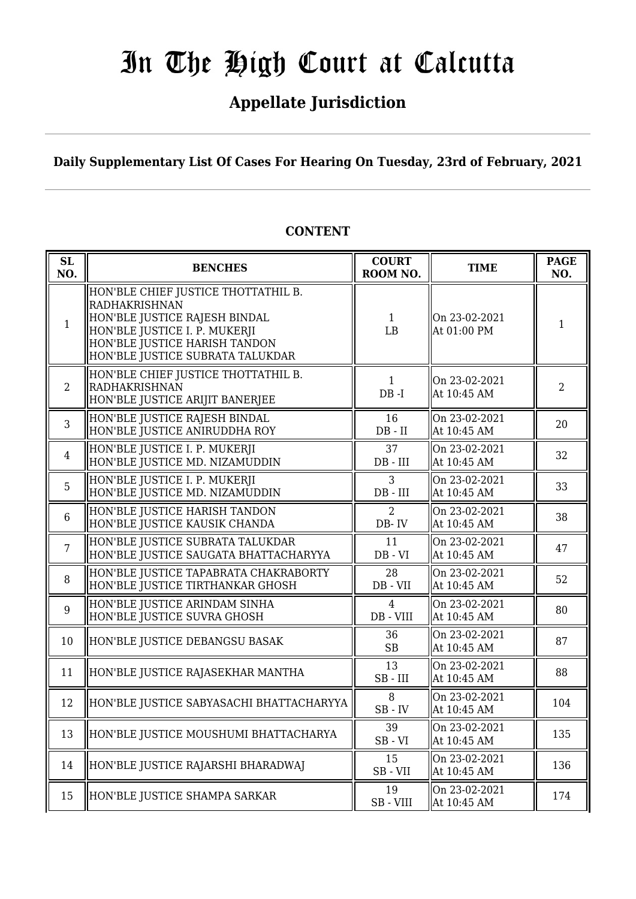## **Appellate Jurisdiction**

**Daily Supplementary List Of Cases For Hearing On Tuesday, 23rd of February, 2021**

| <b>SL</b><br>NO. | <b>BENCHES</b>                                                                                                                                                                              | <b>COURT</b><br>ROOM NO. | <b>TIME</b>                  | <b>PAGE</b><br>NO. |
|------------------|---------------------------------------------------------------------------------------------------------------------------------------------------------------------------------------------|--------------------------|------------------------------|--------------------|
| $\mathbf{1}$     | HON'BLE CHIEF JUSTICE THOTTATHIL B.<br>RADHAKRISHNAN<br>HON'BLE JUSTICE RAJESH BINDAL<br>HON'BLE JUSTICE I. P. MUKERJI<br>HON'BLE JUSTICE HARISH TANDON<br>HON'BLE JUSTICE SUBRATA TALUKDAR | $\mathbf{1}$<br>I.B      | On 23-02-2021<br>At 01:00 PM | $\mathbf{1}$       |
| 2                | HON'BLE CHIEF JUSTICE THOTTATHIL B.<br><b>RADHAKRISHNAN</b><br>HON'BLE JUSTICE ARIJIT BANERJEE                                                                                              | $\mathbf{1}$<br>$DB - I$ | On 23-02-2021<br>At 10:45 AM | $\overline{2}$     |
| $\overline{3}$   | HON'BLE JUSTICE RAJESH BINDAL<br>HON'BLE JUSTICE ANIRUDDHA ROY                                                                                                                              | 16<br>$DB - II$          | On 23-02-2021<br>At 10:45 AM | 20                 |
| $\overline{4}$   | HON'BLE JUSTICE I. P. MUKERJI<br>HON'BLE JUSTICE MD. NIZAMUDDIN                                                                                                                             | 37<br>$DB$ - $III$       | On 23-02-2021<br>At 10:45 AM | 32                 |
| 5                | HON'BLE JUSTICE I. P. MUKERJI<br>HON'BLE JUSTICE MD. NIZAMUDDIN                                                                                                                             | 3<br>$DB$ - $III$        | On 23-02-2021<br>At 10:45 AM | 33                 |
| $6\phantom{1}$   | HON'BLE JUSTICE HARISH TANDON<br>HON'BLE JUSTICE KAUSIK CHANDA                                                                                                                              | $\overline{2}$<br>DB-IV  | On 23-02-2021<br>At 10:45 AM | 38                 |
| $\overline{7}$   | HON'BLE JUSTICE SUBRATA TALUKDAR<br>HON'BLE JUSTICE SAUGATA BHATTACHARYYA                                                                                                                   | 11<br>$DB - VI$          | On 23-02-2021<br>At 10:45 AM | 47                 |
| 8                | HON'BLE JUSTICE TAPABRATA CHAKRABORTY<br>HON'BLE JUSTICE TIRTHANKAR GHOSH                                                                                                                   | 28<br>DB - VII           | On 23-02-2021<br>At 10:45 AM | 52                 |
| 9                | HON'BLE JUSTICE ARINDAM SINHA<br>HON'BLE JUSTICE SUVRA GHOSH                                                                                                                                | 4<br>DB - VIII           | On 23-02-2021<br>At 10:45 AM | 80                 |
| 10               | HON'BLE JUSTICE DEBANGSU BASAK                                                                                                                                                              | 36<br><b>SB</b>          | On 23-02-2021<br>At 10:45 AM | 87                 |
| 11               | HON'BLE JUSTICE RAJASEKHAR MANTHA                                                                                                                                                           | 13<br>$SB$ - $III$       | On 23-02-2021<br>At 10:45 AM | 88                 |
| 12               | HON'BLE JUSTICE SABYASACHI BHATTACHARYYA                                                                                                                                                    | 8<br>$SB$ - $IV$         | On 23-02-2021<br>At 10:45 AM | 104                |
| 13               | HON'BLE JUSTICE MOUSHUMI BHATTACHARYA                                                                                                                                                       | 39<br>$SB - VI$          | On 23-02-2021<br>At 10:45 AM | 135                |
| 14               | HON'BLE JUSTICE RAJARSHI BHARADWAJ                                                                                                                                                          | 15<br>SB-VII             | On 23-02-2021<br>At 10:45 AM | 136                |
| 15               | HON'BLE JUSTICE SHAMPA SARKAR                                                                                                                                                               | 19<br>SB - VIII          | On 23-02-2021<br>At 10:45 AM | 174                |

### **CONTENT**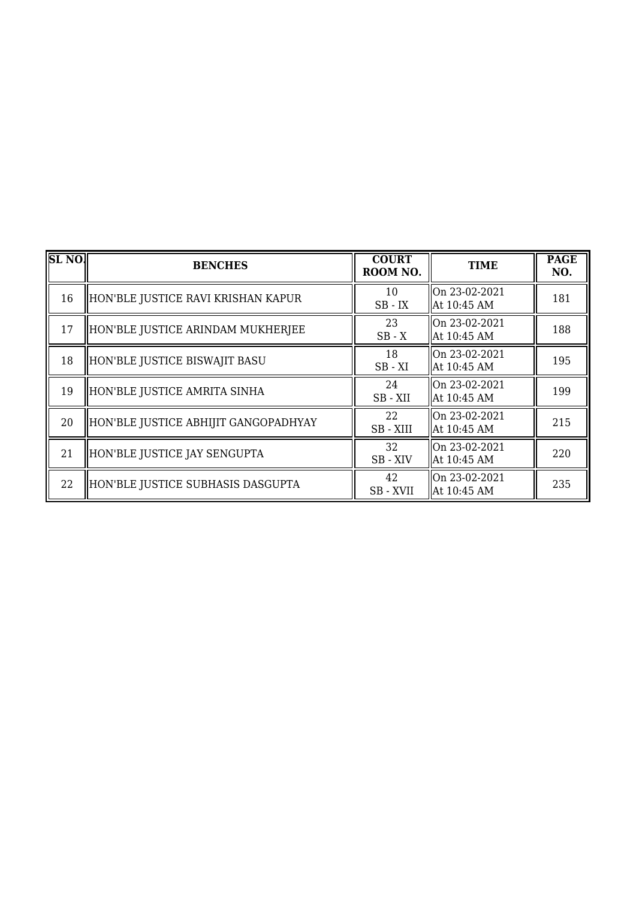| <b>SL NO.</b> | <b>BENCHES</b>                       | <b>COURT</b><br>ROOM NO. | <b>TIME</b>                    | <b>PAGE</b><br>NO. |
|---------------|--------------------------------------|--------------------------|--------------------------------|--------------------|
| 16            | HON'BLE JUSTICE RAVI KRISHAN KAPUR   | 10<br>$SB$ - $IX$        | On 23-02-2021<br>At 10:45 AM   | 181                |
| 17            | HON'BLE JUSTICE ARINDAM MUKHERJEE    | 23<br>$SB - X$           | On 23-02-2021<br>  At 10:45 AM | 188                |
| 18            | HON'BLE JUSTICE BISWAJIT BASU        | 18<br>$SB - XI$          | On 23-02-2021<br>At 10:45 AM   | 195                |
| 19            | HON'BLE JUSTICE AMRITA SINHA         | 24<br>SB-XII             | On 23-02-2021<br>At 10:45 AM   | 199                |
| 20            | HON'BLE JUSTICE ABHIJIT GANGOPADHYAY | 22<br>SB - XIII          | On 23-02-2021<br>  At 10:45 AM | 215                |
| 21            | HON'BLE JUSTICE JAY SENGUPTA         | 32<br>SB-XIV             | On 23-02-2021<br>At 10:45 AM   | 220                |
| 22            | HON'BLE JUSTICE SUBHASIS DASGUPTA    | 42<br>SB - XVII          | On 23-02-2021<br>At 10:45 AM   | 235                |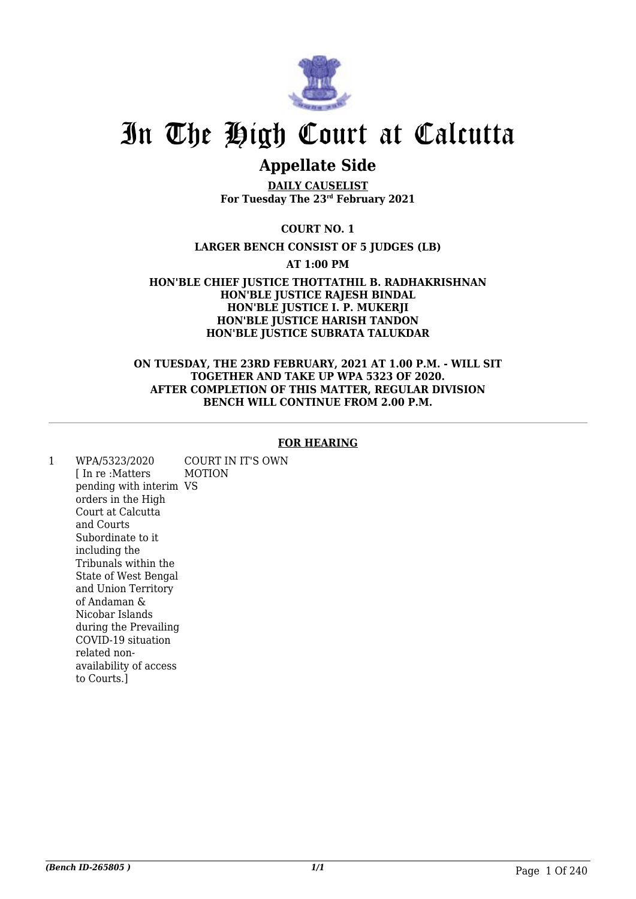

### **Appellate Side**

**DAILY CAUSELIST For Tuesday The 23rd February 2021**

### **COURT NO. 1**

### **LARGER BENCH CONSIST OF 5 JUDGES (LB)**

**AT 1:00 PM**

**HON'BLE CHIEF JUSTICE THOTTATHIL B. RADHAKRISHNAN HON'BLE JUSTICE RAJESH BINDAL HON'BLE JUSTICE I. P. MUKERJI HON'BLE JUSTICE HARISH TANDON HON'BLE JUSTICE SUBRATA TALUKDAR**

### **ON TUESDAY, THE 23RD FEBRUARY, 2021 AT 1.00 P.M. - WILL SIT TOGETHER AND TAKE UP WPA 5323 OF 2020. AFTER COMPLETION OF THIS MATTER, REGULAR DIVISION BENCH WILL CONTINUE FROM 2.00 P.M.**

### **FOR HEARING**

1 WPA/5323/2020 [ In re :Matters pending with interim VS orders in the High Court at Calcutta and Courts Subordinate to it including the Tribunals within the State of West Bengal and Union Territory of Andaman & Nicobar Islands during the Prevailing COVID-19 situation related nonavailability of access to Courts.] COURT IN IT'S OWN MOTION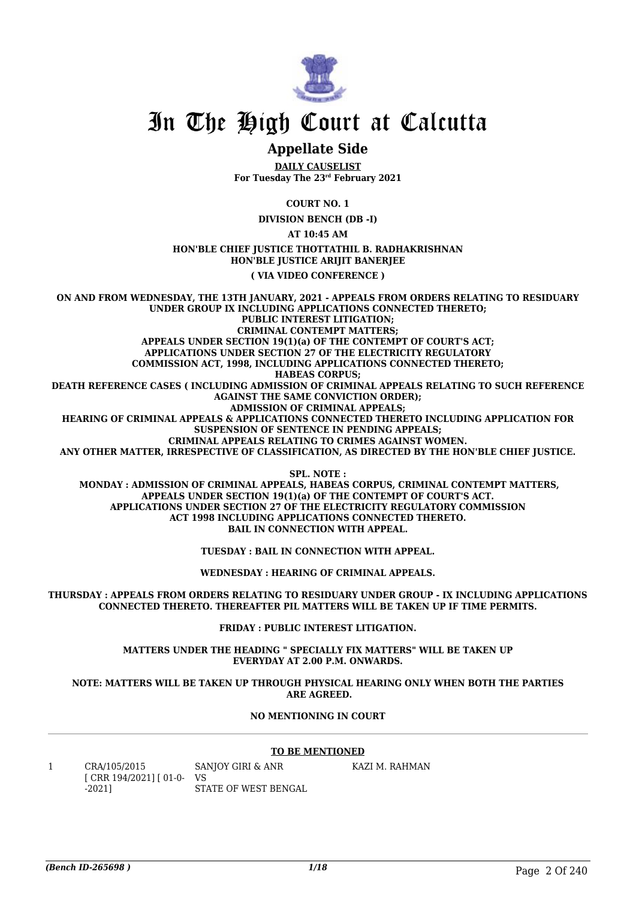

### **Appellate Side**

**DAILY CAUSELIST For Tuesday The 23rd February 2021**

**COURT NO. 1**

**DIVISION BENCH (DB -I)**

**AT 10:45 AM**

**HON'BLE CHIEF JUSTICE THOTTATHIL B. RADHAKRISHNAN HON'BLE JUSTICE ARIJIT BANERJEE**

**( VIA VIDEO CONFERENCE )**

**ON AND FROM WEDNESDAY, THE 13TH JANUARY, 2021 - APPEALS FROM ORDERS RELATING TO RESIDUARY UNDER GROUP IX INCLUDING APPLICATIONS CONNECTED THERETO; PUBLIC INTEREST LITIGATION; CRIMINAL CONTEMPT MATTERS; APPEALS UNDER SECTION 19(1)(a) OF THE CONTEMPT OF COURT'S ACT; APPLICATIONS UNDER SECTION 27 OF THE ELECTRICITY REGULATORY COMMISSION ACT, 1998, INCLUDING APPLICATIONS CONNECTED THERETO; HABEAS CORPUS; DEATH REFERENCE CASES ( INCLUDING ADMISSION OF CRIMINAL APPEALS RELATING TO SUCH REFERENCE AGAINST THE SAME CONVICTION ORDER); ADMISSION OF CRIMINAL APPEALS; HEARING OF CRIMINAL APPEALS & APPLICATIONS CONNECTED THERETO INCLUDING APPLICATION FOR SUSPENSION OF SENTENCE IN PENDING APPEALS; CRIMINAL APPEALS RELATING TO CRIMES AGAINST WOMEN. ANY OTHER MATTER, IRRESPECTIVE OF CLASSIFICATION, AS DIRECTED BY THE HON'BLE CHIEF JUSTICE. SPL. NOTE :**

 **MONDAY : ADMISSION OF CRIMINAL APPEALS, HABEAS CORPUS, CRIMINAL CONTEMPT MATTERS, APPEALS UNDER SECTION 19(1)(a) OF THE CONTEMPT OF COURT'S ACT. APPLICATIONS UNDER SECTION 27 OF THE ELECTRICITY REGULATORY COMMISSION ACT 1998 INCLUDING APPLICATIONS CONNECTED THERETO. BAIL IN CONNECTION WITH APPEAL.**

**TUESDAY : BAIL IN CONNECTION WITH APPEAL.**

**WEDNESDAY : HEARING OF CRIMINAL APPEALS.**

**THURSDAY : APPEALS FROM ORDERS RELATING TO RESIDUARY UNDER GROUP - IX INCLUDING APPLICATIONS CONNECTED THERETO. THEREAFTER PIL MATTERS WILL BE TAKEN UP IF TIME PERMITS.**

**FRIDAY : PUBLIC INTEREST LITIGATION.**

**MATTERS UNDER THE HEADING " SPECIALLY FIX MATTERS" WILL BE TAKEN UP EVERYDAY AT 2.00 P.M. ONWARDS.**

**NOTE: MATTERS WILL BE TAKEN UP THROUGH PHYSICAL HEARING ONLY WHEN BOTH THE PARTIES ARE AGREED.**

#### **NO MENTIONING IN COURT**

#### **TO BE MENTIONED**

KAZI M. RAHMAN

| CRA/105/2015                 | SANJOY GIRI & ANR    |
|------------------------------|----------------------|
| $[CRR 194/2021]$ $[01-0-VS]$ |                      |
| $-20211$                     | STATE OF WEST BENGAL |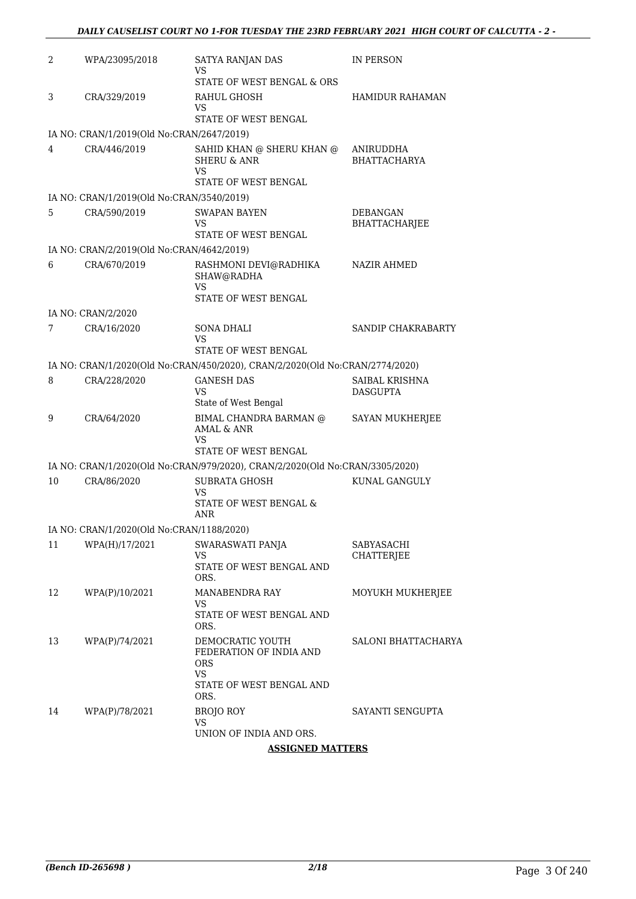| 2  | WPA/23095/2018                            | SATYA RANJAN DAS<br>VS                                                                   | <b>IN PERSON</b>                  |
|----|-------------------------------------------|------------------------------------------------------------------------------------------|-----------------------------------|
|    |                                           | STATE OF WEST BENGAL & ORS                                                               |                                   |
| 3  | CRA/329/2019                              | RAHUL GHOSH<br>VS                                                                        | <b>HAMIDUR RAHAMAN</b>            |
|    |                                           | STATE OF WEST BENGAL                                                                     |                                   |
|    | IA NO: CRAN/1/2019(Old No:CRAN/2647/2019) |                                                                                          |                                   |
| 4  | CRA/446/2019                              | SAHID KHAN @ SHERU KHAN @<br><b>SHERU &amp; ANR</b><br><b>VS</b><br>STATE OF WEST BENGAL | ANIRUDDHA<br><b>BHATTACHARYA</b>  |
|    | IA NO: CRAN/1/2019(Old No:CRAN/3540/2019) |                                                                                          |                                   |
| 5  | CRA/590/2019                              | SWAPAN BAYEN<br>VS                                                                       | DEBANGAN<br><b>BHATTACHARJEE</b>  |
|    |                                           | STATE OF WEST BENGAL                                                                     |                                   |
|    | IA NO: CRAN/2/2019(Old No:CRAN/4642/2019) |                                                                                          |                                   |
| 6  | CRA/670/2019                              | RASHMONI DEVI@RADHIKA<br>SHAW@RADHA<br>VS<br>STATE OF WEST BENGAL                        | <b>NAZIR AHMED</b>                |
|    | IA NO: CRAN/2/2020                        |                                                                                          |                                   |
| 7  | CRA/16/2020                               | <b>SONA DHALI</b><br>VS                                                                  | SANDIP CHAKRABARTY                |
|    |                                           | STATE OF WEST BENGAL                                                                     |                                   |
|    |                                           | IA NO: CRAN/1/2020(Old No:CRAN/450/2020), CRAN/2/2020(Old No:CRAN/2774/2020)             |                                   |
| 8  | CRA/228/2020                              | <b>GANESH DAS</b><br>VS<br>State of West Bengal                                          | SAIBAL KRISHNA<br><b>DASGUPTA</b> |
| 9  | CRA/64/2020                               | BIMAL CHANDRA BARMAN @<br>AMAL & ANR<br>VS                                               | SAYAN MUKHERJEE                   |
|    |                                           | STATE OF WEST BENGAL                                                                     |                                   |
|    |                                           | IA NO: CRAN/1/2020(Old No:CRAN/979/2020), CRAN/2/2020(Old No:CRAN/3305/2020)             |                                   |
| 10 | CRA/86/2020                               | <b>SUBRATA GHOSH</b><br>VS<br>STATE OF WEST BENGAL &                                     | KUNAL GANGULY                     |
|    |                                           | <b>ANR</b>                                                                               |                                   |
|    | IA NO: CRAN/1/2020(Old No:CRAN/1188/2020) |                                                                                          |                                   |
| 11 | WPA(H)/17/2021                            | SWARASWATI PANJA<br>VS                                                                   | SABYASACHI<br>CHATTERJEE          |
|    |                                           | STATE OF WEST BENGAL AND<br>ORS.                                                         |                                   |
| 12 | WPA(P)/10/2021                            | <b>MANABENDRA RAY</b><br>VS                                                              | MOYUKH MUKHERJEE                  |
|    |                                           | STATE OF WEST BENGAL AND<br>ORS.                                                         |                                   |
| 13 | WPA(P)/74/2021                            | DEMOCRATIC YOUTH<br>FEDERATION OF INDIA AND<br><b>ORS</b><br><b>VS</b>                   | SALONI BHATTACHARYA               |
|    |                                           | STATE OF WEST BENGAL AND<br>ORS.                                                         |                                   |
| 14 | WPA(P)/78/2021                            | <b>BROJO ROY</b><br>VS<br>UNION OF INDIA AND ORS.                                        | SAYANTI SENGUPTA                  |
|    |                                           |                                                                                          |                                   |

**ASSIGNED MATTERS**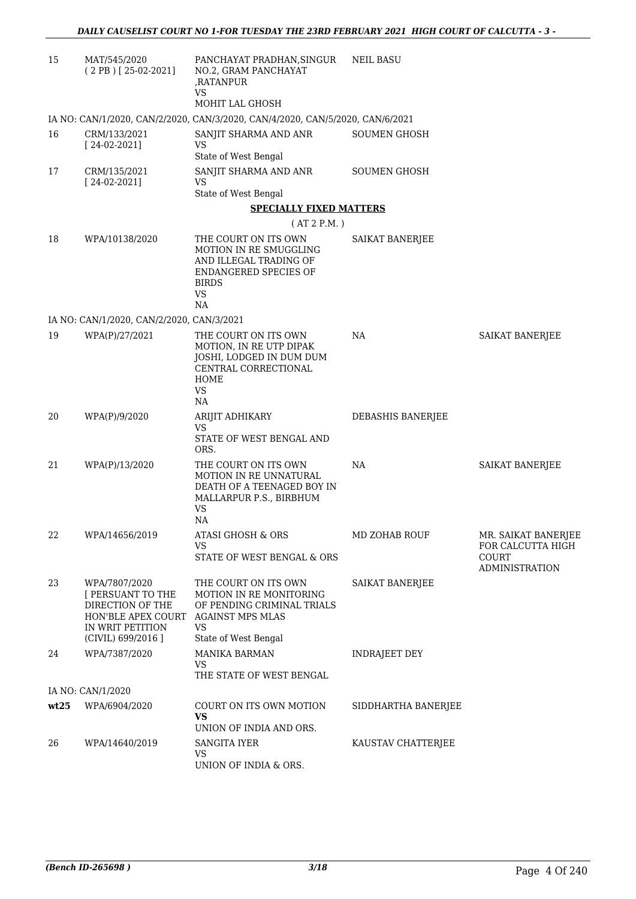| 15   | MAT/545/2020<br>$(2 PB)$ [25-02-2021]                                                                                  | PANCHAYAT PRADHAN, SINGUR<br>NO.2, GRAM PANCHAYAT<br>,RATANPUR<br>VS                                                                          | <b>NEIL BASU</b>       |                                                     |
|------|------------------------------------------------------------------------------------------------------------------------|-----------------------------------------------------------------------------------------------------------------------------------------------|------------------------|-----------------------------------------------------|
|      |                                                                                                                        | MOHIT LAL GHOSH                                                                                                                               |                        |                                                     |
|      |                                                                                                                        | IA NO: CAN/1/2020, CAN/2/2020, CAN/3/2020, CAN/4/2020, CAN/5/2020, CAN/6/2021                                                                 |                        |                                                     |
| 16   | CRM/133/2021<br>$[24-02-2021]$                                                                                         | SANJIT SHARMA AND ANR<br><b>VS</b>                                                                                                            | <b>SOUMEN GHOSH</b>    |                                                     |
|      |                                                                                                                        | State of West Bengal                                                                                                                          |                        |                                                     |
| 17   | CRM/135/2021<br>$[24-02-2021]$                                                                                         | SANJIT SHARMA AND ANR<br>VS<br>State of West Bengal                                                                                           | <b>SOUMEN GHOSH</b>    |                                                     |
|      |                                                                                                                        | <b>SPECIALLY FIXED MATTERS</b>                                                                                                                |                        |                                                     |
|      |                                                                                                                        | (AT 2 P.M.)                                                                                                                                   |                        |                                                     |
| 18   | WPA/10138/2020                                                                                                         | THE COURT ON ITS OWN<br>MOTION IN RE SMUGGLING<br>AND ILLEGAL TRADING OF<br><b>ENDANGERED SPECIES OF</b><br><b>BIRDS</b><br><b>VS</b><br>NA   | SAIKAT BANERJEE        |                                                     |
|      | IA NO: CAN/1/2020, CAN/2/2020, CAN/3/2021                                                                              |                                                                                                                                               |                        |                                                     |
| 19   | WPA(P)/27/2021                                                                                                         | THE COURT ON ITS OWN<br>MOTION, IN RE UTP DIPAK<br>JOSHI, LODGED IN DUM DUM<br>CENTRAL CORRECTIONAL<br>HOME<br><b>VS</b><br>NA                | NA                     | SAIKAT BANERJEE                                     |
| 20   | WPA(P)/9/2020                                                                                                          | ARIJIT ADHIKARY                                                                                                                               | DEBASHIS BANERJEE      |                                                     |
|      |                                                                                                                        | VS<br>STATE OF WEST BENGAL AND<br>ORS.                                                                                                        |                        |                                                     |
| 21   | WPA(P)/13/2020                                                                                                         | THE COURT ON ITS OWN<br><b>MOTION IN RE UNNATURAL</b><br>DEATH OF A TEENAGED BOY IN<br>MALLARPUR P.S., BIRBHUM<br><b>VS</b><br>NA.            | NA                     | <b>SAIKAT BANERJEE</b>                              |
| 22   | WPA/14656/2019                                                                                                         | <b>ATASI GHOSH &amp; ORS</b>                                                                                                                  | MD ZOHAB ROUF          | MR. SAIKAT BANERJEE                                 |
|      |                                                                                                                        | VS<br>STATE OF WEST BENGAL & ORS                                                                                                              |                        | FOR CALCUTTA HIGH<br>COURT<br><b>ADMINISTRATION</b> |
| 23   | WPA/7807/2020<br>[ PERSUANT TO THE<br>DIRECTION OF THE<br>HON'BLE APEX COURT<br>IN WRIT PETITION<br>(CIVIL) 699/2016 ] | THE COURT ON ITS OWN<br>MOTION IN RE MONITORING<br>OF PENDING CRIMINAL TRIALS<br><b>AGAINST MPS MLAS</b><br><b>VS</b><br>State of West Bengal | <b>SAIKAT BANERJEE</b> |                                                     |
| 24   | WPA/7387/2020                                                                                                          | <b>MANIKA BARMAN</b>                                                                                                                          | <b>INDRAJEET DEY</b>   |                                                     |
|      |                                                                                                                        | <b>VS</b><br>THE STATE OF WEST BENGAL                                                                                                         |                        |                                                     |
|      | IA NO: CAN/1/2020                                                                                                      |                                                                                                                                               |                        |                                                     |
| wt25 | WPA/6904/2020                                                                                                          | COURT ON ITS OWN MOTION<br>VS.<br>UNION OF INDIA AND ORS.                                                                                     | SIDDHARTHA BANERJEE    |                                                     |
| 26   | WPA/14640/2019                                                                                                         | SANGITA IYER<br>VS<br>UNION OF INDIA & ORS.                                                                                                   | KAUSTAV CHATTERJEE     |                                                     |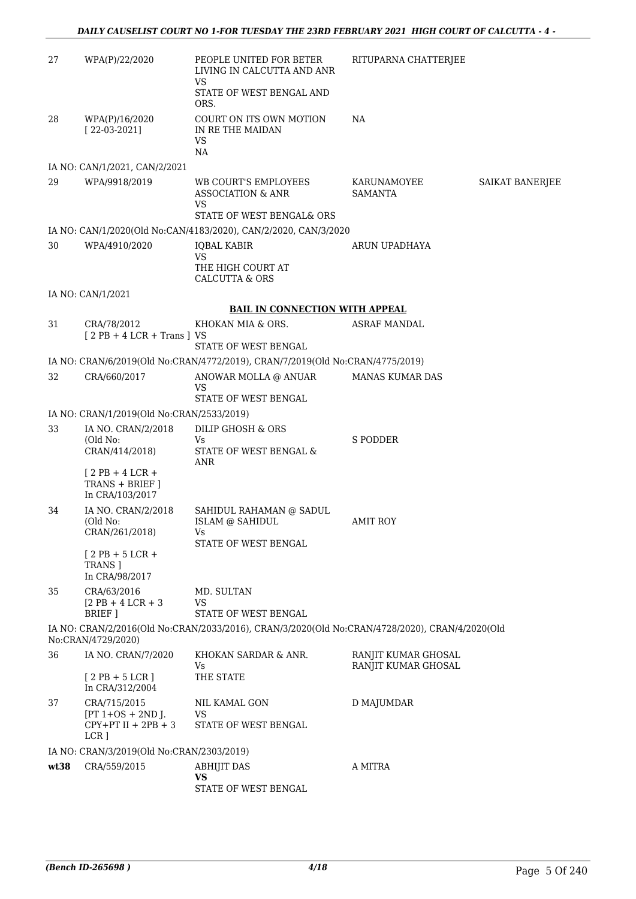| 27   | WPA(P)/22/2020                                               | PEOPLE UNITED FOR BETER<br>LIVING IN CALCUTTA AND ANR<br><b>VS</b>                             | RITUPARNA CHATTERJEE                       |                 |
|------|--------------------------------------------------------------|------------------------------------------------------------------------------------------------|--------------------------------------------|-----------------|
|      |                                                              | STATE OF WEST BENGAL AND<br>ORS.                                                               |                                            |                 |
| 28   | WPA(P)/16/2020<br>$[22-03-2021]$                             | COURT ON ITS OWN MOTION<br>IN RE THE MAIDAN<br>VS<br>NA                                        | NA                                         |                 |
|      | IA NO: CAN/1/2021, CAN/2/2021                                |                                                                                                |                                            |                 |
| 29   | WPA/9918/2019                                                | <b>WB COURT'S EMPLOYEES</b><br><b>ASSOCIATION &amp; ANR</b><br>VS                              | KARUNAMOYEE<br><b>SAMANTA</b>              | SAIKAT BANERJEE |
|      |                                                              | STATE OF WEST BENGAL& ORS                                                                      |                                            |                 |
|      |                                                              | IA NO: CAN/1/2020(Old No:CAN/4183/2020), CAN/2/2020, CAN/3/2020                                |                                            |                 |
| 30   | WPA/4910/2020                                                | <b>IQBAL KABIR</b><br>VS<br>THE HIGH COURT AT                                                  | ARUN UPADHAYA                              |                 |
|      |                                                              | <b>CALCUTTA &amp; ORS</b>                                                                      |                                            |                 |
|      | IA NO: CAN/1/2021                                            |                                                                                                |                                            |                 |
|      |                                                              | <b>BAIL IN CONNECTION WITH APPEAL</b>                                                          |                                            |                 |
| 31   | CRA/78/2012<br>$[2PB + 4LCR + Trans]VS$                      | KHOKAN MIA & ORS.<br>STATE OF WEST BENGAL                                                      | <b>ASRAF MANDAL</b>                        |                 |
|      |                                                              | IA NO: CRAN/6/2019(Old No:CRAN/4772/2019), CRAN/7/2019(Old No:CRAN/4775/2019)                  |                                            |                 |
| 32   | CRA/660/2017                                                 | ANOWAR MOLLA @ ANUAR                                                                           | <b>MANAS KUMAR DAS</b>                     |                 |
|      |                                                              | VS                                                                                             |                                            |                 |
|      |                                                              | STATE OF WEST BENGAL                                                                           |                                            |                 |
|      | IA NO: CRAN/1/2019(Old No:CRAN/2533/2019)                    |                                                                                                |                                            |                 |
| 33   | IA NO. CRAN/2/2018<br>(Old No:<br>CRAN/414/2018)             | DILIP GHOSH & ORS<br>Vs<br>STATE OF WEST BENGAL &                                              | <b>S PODDER</b>                            |                 |
|      | $[2PB+4LCR+$<br>TRANS + BRIEF ]<br>In CRA/103/2017           | <b>ANR</b>                                                                                     |                                            |                 |
| 34   | IA NO. CRAN/2/2018<br>(Old No:<br>CRAN/261/2018)             | SAHIDUL RAHAMAN @ SADUL<br><b>ISLAM @ SAHIDUL</b>                                              | <b>AMIT ROY</b>                            |                 |
|      | $[2$ PB + 5 LCR +<br>TRANS ]                                 | STATE OF WEST BENGAL                                                                           |                                            |                 |
| 35   | In CRA/98/2017<br>CRA/63/2016                                |                                                                                                |                                            |                 |
|      | $[2$ PB + 4 LCR + 3<br>BRIEF 1                               | MD. SULTAN<br>VS<br>STATE OF WEST BENGAL                                                       |                                            |                 |
|      | No:CRAN/4729/2020)                                           | IA NO: CRAN/2/2016(Old No:CRAN/2033/2016), CRAN/3/2020(Old No:CRAN/4728/2020), CRAN/4/2020(Old |                                            |                 |
| 36   | IA NO. CRAN/7/2020                                           | KHOKAN SARDAR & ANR.<br>Vs                                                                     | RANJIT KUMAR GHOSAL<br>RANJIT KUMAR GHOSAL |                 |
|      | $[2PB+5LCR]$<br>In CRA/312/2004                              | THE STATE                                                                                      |                                            |                 |
| 37   | CRA/715/2015<br>$[PT 1+OS + 2ND$ J.<br>$CPY+PT II + 2PB + 3$ | NIL KAMAL GON<br><b>VS</b><br>STATE OF WEST BENGAL                                             | D MAJUMDAR                                 |                 |
|      | LCR ]                                                        |                                                                                                |                                            |                 |
|      | IA NO: CRAN/3/2019(Old No:CRAN/2303/2019)                    |                                                                                                |                                            |                 |
| wt38 | CRA/559/2015                                                 | <b>ABHIJIT DAS</b><br><b>VS</b>                                                                | A MITRA                                    |                 |
|      |                                                              | STATE OF WEST BENGAL                                                                           |                                            |                 |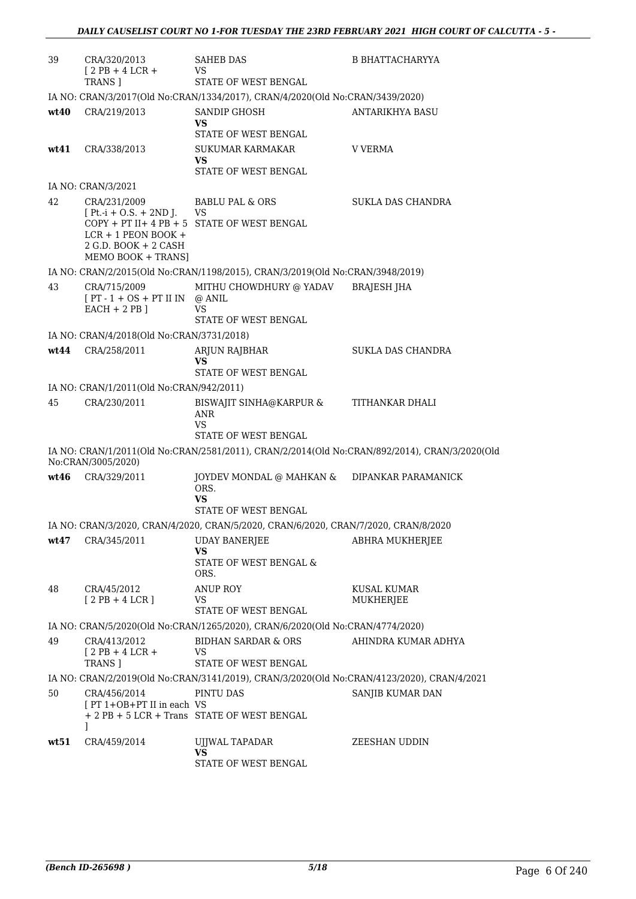| 39   | CRA/320/2013<br>$[2PB+4LCR+$                                                                                           | <b>SAHEB DAS</b><br>VS                                                                        | <b>B BHATTACHARYYA</b>   |
|------|------------------------------------------------------------------------------------------------------------------------|-----------------------------------------------------------------------------------------------|--------------------------|
|      | TRANS ]                                                                                                                | STATE OF WEST BENGAL                                                                          |                          |
| wt40 | CRA/219/2013                                                                                                           | IA NO: CRAN/3/2017(Old No:CRAN/1334/2017), CRAN/4/2020(Old No:CRAN/3439/2020)<br>SANDIP GHOSH | ANTARIKHYA BASU          |
|      |                                                                                                                        | VS                                                                                            |                          |
|      |                                                                                                                        | STATE OF WEST BENGAL                                                                          |                          |
| wt41 | CRA/338/2013                                                                                                           | <b>SUKUMAR KARMAKAR</b><br>VS<br>STATE OF WEST BENGAL                                         | V VERMA                  |
|      | IA NO: CRAN/3/2021                                                                                                     |                                                                                               |                          |
| 42   | CRA/231/2009<br>$[Pt.-i + O.S. + 2ND J.$ VS<br>$LCR + 1$ PEON BOOK +<br>$2$ G.D. BOOK + $2$ CASH<br>MEMO BOOK + TRANS] | BABLU PAL & ORS<br>$COPY + PT II + 4 PB + 5$ STATE OF WEST BENGAL                             | <b>SUKLA DAS CHANDRA</b> |
|      |                                                                                                                        | IA NO: CRAN/2/2015(Old No:CRAN/1198/2015), CRAN/3/2019(Old No:CRAN/3948/2019)                 |                          |
| 43   | CRA/715/2009<br>$[PT - 1 + OS + PT II IN \t@ANIL]$<br>$EACH + 2 PB$ ]                                                  | MITHU CHOWDHURY @ YADAV BRAJESH JHA<br>VS<br><b>STATE OF WEST BENGAL</b>                      |                          |
|      | IA NO: CRAN/4/2018(Old No:CRAN/3731/2018)                                                                              |                                                                                               |                          |
| wt44 | CRA/258/2011                                                                                                           | ARJUN RAJBHAR<br>VS<br>STATE OF WEST BENGAL                                                   | SUKLA DAS CHANDRA        |
|      | IA NO: CRAN/1/2011(Old No:CRAN/942/2011)                                                                               |                                                                                               |                          |
| 45   | CRA/230/2011                                                                                                           | BISWAJIT SINHA@KARPUR &                                                                       | TITHANKAR DHALI          |
|      |                                                                                                                        | ANR<br>VS<br>STATE OF WEST BENGAL                                                             |                          |
|      |                                                                                                                        | IA NO: CRAN/1/2011(Old No:CRAN/2581/2011), CRAN/2/2014(Old No:CRAN/892/2014), CRAN/3/2020(Old |                          |
|      | No:CRAN/3005/2020)                                                                                                     |                                                                                               |                          |
| wt46 | CRA/329/2011                                                                                                           | JOYDEV MONDAL @ MAHKAN &<br>ORS.<br>VS                                                        | DIPANKAR PARAMANICK      |
|      |                                                                                                                        | STATE OF WEST BENGAL                                                                          |                          |
|      |                                                                                                                        | IA NO: CRAN/3/2020, CRAN/4/2020, CRAN/5/2020, CRAN/6/2020, CRAN/7/2020, CRAN/8/2020           |                          |
| wt47 | CRA/345/2011                                                                                                           | <b>UDAY BANERJEE</b><br>VS<br>STATE OF WEST BENGAL &<br>ORS.                                  | ABHRA MUKHERJEE          |
| 48   | CRA/45/2012<br>$[2PB+4LCR]$                                                                                            | <b>ANUP ROY</b><br>VS<br>STATE OF WEST BENGAL                                                 | KUSAL KUMAR<br>MUKHERJEE |
|      |                                                                                                                        | IA NO: CRAN/5/2020(Old No:CRAN/1265/2020), CRAN/6/2020(Old No:CRAN/4774/2020)                 |                          |
| 49   | CRA/413/2012<br>$[2PB+4LCR+$<br>TRANS 1                                                                                | BIDHAN SARDAR & ORS<br><b>VS</b><br>STATE OF WEST BENGAL                                      | AHINDRA KUMAR ADHYA      |
|      |                                                                                                                        | IA NO: CRAN/2/2019(Old No:CRAN/3141/2019), CRAN/3/2020(Old No:CRAN/4123/2020), CRAN/4/2021    |                          |
| 50   | CRA/456/2014                                                                                                           | PINTU DAS                                                                                     | SANJIB KUMAR DAN         |
|      | [PT 1+OB+PT II in each VS<br>1                                                                                         | + 2 PB + 5 LCR + Trans STATE OF WEST BENGAL                                                   |                          |
| wt51 | CRA/459/2014                                                                                                           | UJJWAL TAPADAR<br>VS.<br>STATE OF WEST BENGAL                                                 | ZEESHAN UDDIN            |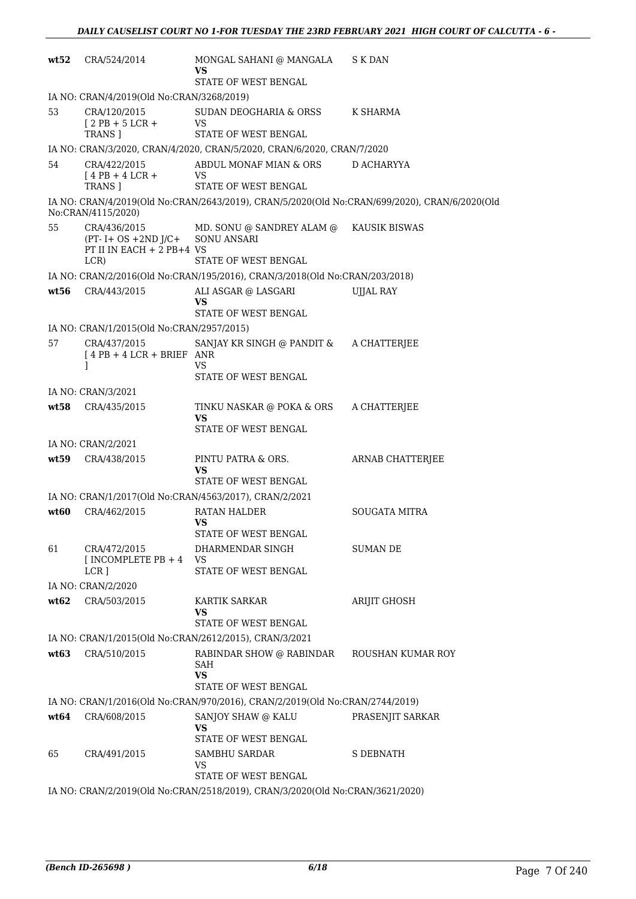| wt52 | CRA/524/2014                                                                                 | MONGAL SAHANI @ MANGALA<br>VS                                                                         | S K DAN              |
|------|----------------------------------------------------------------------------------------------|-------------------------------------------------------------------------------------------------------|----------------------|
|      |                                                                                              | <b>STATE OF WEST BENGAL</b>                                                                           |                      |
|      | IA NO: CRAN/4/2019(Old No:CRAN/3268/2019)                                                    |                                                                                                       |                      |
| 53   | CRA/120/2015<br>$12$ PB + 5 LCR +<br><b>TRANS 1</b>                                          | SUDAN DEOGHARIA & ORSS K SHARMA<br><b>VS</b><br><b>STATE OF WEST BENGAL</b>                           |                      |
|      |                                                                                              | IA NO: CRAN/3/2020, CRAN/4/2020, CRAN/5/2020, CRAN/6/2020, CRAN/7/2020                                |                      |
| 54   | CRA/422/2015<br>$[4$ PB + 4 LCR +<br>TRANS 1                                                 | ABDUL MONAF MIAN & ORS D ACHARYYA<br>VS.<br>STATE OF WEST BENGAL                                      |                      |
|      | No:CRAN/4115/2020)                                                                           | IA NO: CRAN/4/2019(Old No:CRAN/2643/2019), CRAN/5/2020(Old No:CRAN/699/2020), CRAN/6/2020(Old         |                      |
| 55   | CRA/436/2015<br>(PT- I+ OS +2ND J/C+ SONU ANSARI<br>PT II IN EACH + 2 PB+4 VS<br>LCR)        | MD. SONU @ SANDREY ALAM @ KAUSIK BISWAS<br>STATE OF WEST BENGAL                                       |                      |
|      |                                                                                              | IA NO: CRAN/2/2016(Old No:CRAN/195/2016), CRAN/3/2018(Old No:CRAN/203/2018)                           |                      |
| wt56 | CRA/443/2015                                                                                 | ALI ASGAR @ LASGARI<br>VS                                                                             | UJJAL RAY            |
|      |                                                                                              | STATE OF WEST BENGAL                                                                                  |                      |
| 57   | IA NO: CRAN/1/2015(Old No:CRAN/2957/2015)<br>CRA/437/2015<br>$[4PB + 4LCR + BRIEF ANR]$<br>1 | SANJAY KR SINGH @ PANDIT & A CHATTERJEE<br>VS                                                         |                      |
|      |                                                                                              | STATE OF WEST BENGAL                                                                                  |                      |
|      | IA NO: CRAN/3/2021                                                                           |                                                                                                       |                      |
| wt58 | CRA/435/2015                                                                                 | TINKU NASKAR @ POKA & ORS<br><b>VS</b><br>STATE OF WEST BENGAL                                        | A CHATTERJEE         |
|      | IA NO: CRAN/2/2021                                                                           |                                                                                                       |                      |
| wt59 | CRA/438/2015                                                                                 | PINTU PATRA & ORS.<br>VS                                                                              | ARNAB CHATTERJEE     |
|      |                                                                                              | STATE OF WEST BENGAL                                                                                  |                      |
|      |                                                                                              | IA NO: CRAN/1/2017(Old No:CRAN/4563/2017), CRAN/2/2021                                                |                      |
| wt60 | CRA/462/2015                                                                                 | RATAN HALDER<br>VS<br>STATE OF WEST BENGAL                                                            | <b>SOUGATA MITRA</b> |
| 61   | CRA/472/2015<br>[INCOMPLETE PB $+4$<br>LCR ]                                                 | DHARMENDAR SINGH<br>VS<br>STATE OF WEST BENGAL                                                        | SUMAN DE             |
|      | IA NO: CRAN/2/2020                                                                           |                                                                                                       |                      |
| wt62 | CRA/503/2015                                                                                 | KARTIK SARKAR<br>VS<br>STATE OF WEST BENGAL                                                           | ARIJIT GHOSH         |
|      |                                                                                              | IA NO: CRAN/1/2015(Old No:CRAN/2612/2015), CRAN/3/2021                                                |                      |
| wt63 | CRA/510/2015                                                                                 | RABINDAR SHOW @ RABINDAR<br>SAH                                                                       | ROUSHAN KUMAR ROY    |
|      |                                                                                              | <b>VS</b><br>STATE OF WEST BENGAL                                                                     |                      |
|      |                                                                                              | IA NO: CRAN/1/2016(Old No:CRAN/970/2016), CRAN/2/2019(Old No:CRAN/2744/2019)                          |                      |
| wt64 | CRA/608/2015                                                                                 | SANJOY SHAW @ KALU<br>VS<br>STATE OF WEST BENGAL                                                      | PRASENJIT SARKAR     |
| 65   | CRA/491/2015                                                                                 | <b>SAMBHU SARDAR</b><br>VS                                                                            | <b>S DEBNATH</b>     |
|      |                                                                                              | STATE OF WEST BENGAL<br>IA NO: CRAN/2/2019(Old No:CRAN/2518/2019), CRAN/3/2020(Old No:CRAN/3621/2020) |                      |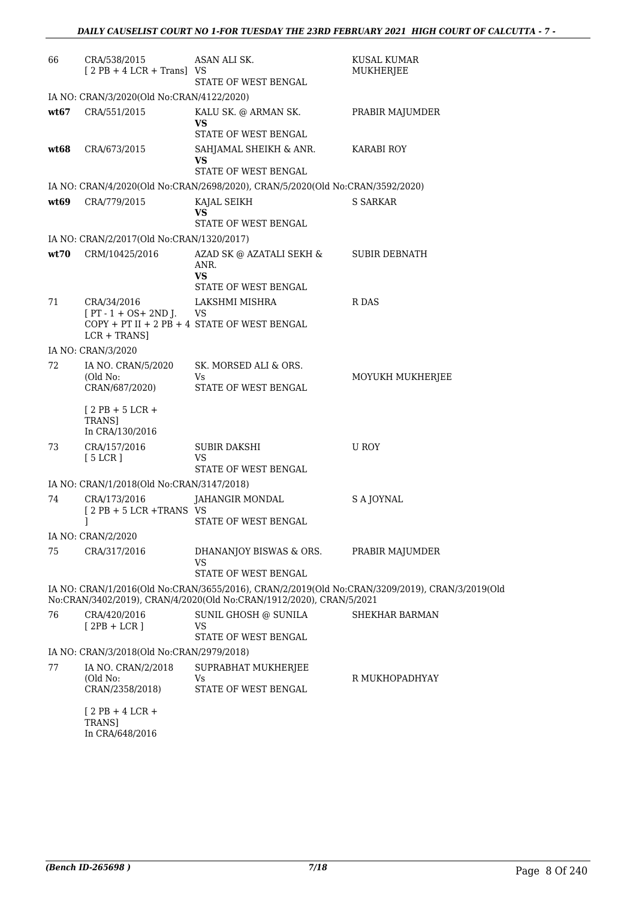| 66   | CRA/538/2015<br>$[2PB + 4LCR + Trans]$ VS               | ASAN ALI SK.<br>STATE OF WEST BENGAL                                                                                                                                  | KUSAL KUMAR<br>MUKHERJEE |
|------|---------------------------------------------------------|-----------------------------------------------------------------------------------------------------------------------------------------------------------------------|--------------------------|
|      | IA NO: CRAN/3/2020(Old No:CRAN/4122/2020)               |                                                                                                                                                                       |                          |
| wt67 | CRA/551/2015                                            | KALU SK. @ ARMAN SK.<br>VS<br>STATE OF WEST BENGAL                                                                                                                    | PRABIR MAJUMDER          |
| wt68 | CRA/673/2015                                            | SAHJAMAL SHEIKH & ANR.<br>VS<br>STATE OF WEST BENGAL                                                                                                                  | KARABI ROY               |
|      |                                                         | IA NO: CRAN/4/2020(Old No:CRAN/2698/2020), CRAN/5/2020(Old No:CRAN/3592/2020)                                                                                         |                          |
| wt69 | CRA/779/2015                                            | KAJAL SEIKH<br>VS<br>STATE OF WEST BENGAL                                                                                                                             | S SARKAR                 |
|      | IA NO: CRAN/2/2017(Old No:CRAN/1320/2017)               |                                                                                                                                                                       |                          |
| wt70 | CRM/10425/2016                                          | AZAD SK @ AZATALI SEKH &<br>ANR.<br><b>VS</b><br>STATE OF WEST BENGAL                                                                                                 | <b>SUBIR DEBNATH</b>     |
| 71   | CRA/34/2016<br>$[PT - 1 + OS + 2ND$ J.<br>$LCR + TRANS$ | LAKSHMI MISHRA<br>VS<br>$COPY + PT II + 2 PB + 4$ STATE OF WEST BENGAL                                                                                                | R DAS                    |
|      | IA NO: CRAN/3/2020                                      |                                                                                                                                                                       |                          |
| 72   | IA NO. CRAN/5/2020<br>(Old No:<br>CRAN/687/2020)        | SK. MORSED ALI & ORS.<br>Vs<br>STATE OF WEST BENGAL                                                                                                                   | MOYUKH MUKHERJEE         |
|      | $[2$ PB + 5 LCR +<br>TRANS]<br>In CRA/130/2016          |                                                                                                                                                                       |                          |
| 73   | CRA/157/2016<br>[5 LCR]                                 | SUBIR DAKSHI<br>VS<br>STATE OF WEST BENGAL                                                                                                                            | U ROY                    |
|      | IA NO: CRAN/1/2018(Old No:CRAN/3147/2018)               |                                                                                                                                                                       |                          |
| 74   | CRA/173/2016<br>$12$ PB + 5 LCR +TRANS VS<br>1          | JAHANGIR MONDAL<br>STATE OF WEST BENGAL                                                                                                                               | S A JOYNAL               |
|      | IA NO: CRAN/2/2020                                      |                                                                                                                                                                       |                          |
| 75   | CRA/317/2016                                            | DHANANJOY BISWAS & ORS.<br><b>VS</b><br>STATE OF WEST BENGAL                                                                                                          | PRABIR MAJUMDER          |
|      |                                                         | IA NO: CRAN/1/2016(Old No:CRAN/3655/2016), CRAN/2/2019(Old No:CRAN/3209/2019), CRAN/3/2019(Old<br>No:CRAN/3402/2019), CRAN/4/2020(Old No:CRAN/1912/2020), CRAN/5/2021 |                          |
| 76   | CRA/420/2016<br>$[2PB + LCR]$                           | SUNIL GHOSH @ SUNILA<br>VS<br>STATE OF WEST BENGAL                                                                                                                    | <b>SHEKHAR BARMAN</b>    |
|      | IA NO: CRAN/3/2018(Old No:CRAN/2979/2018)               |                                                                                                                                                                       |                          |
| 77   | IA NO. CRAN/2/2018<br>(Old No:<br>CRAN/2358/2018)       | SUPRABHAT MUKHERJEE<br>Vs.<br>STATE OF WEST BENGAL                                                                                                                    | R MUKHOPADHYAY           |
|      | $[2PB+4LCR+$                                            |                                                                                                                                                                       |                          |

TRANS] In CRA/648/2016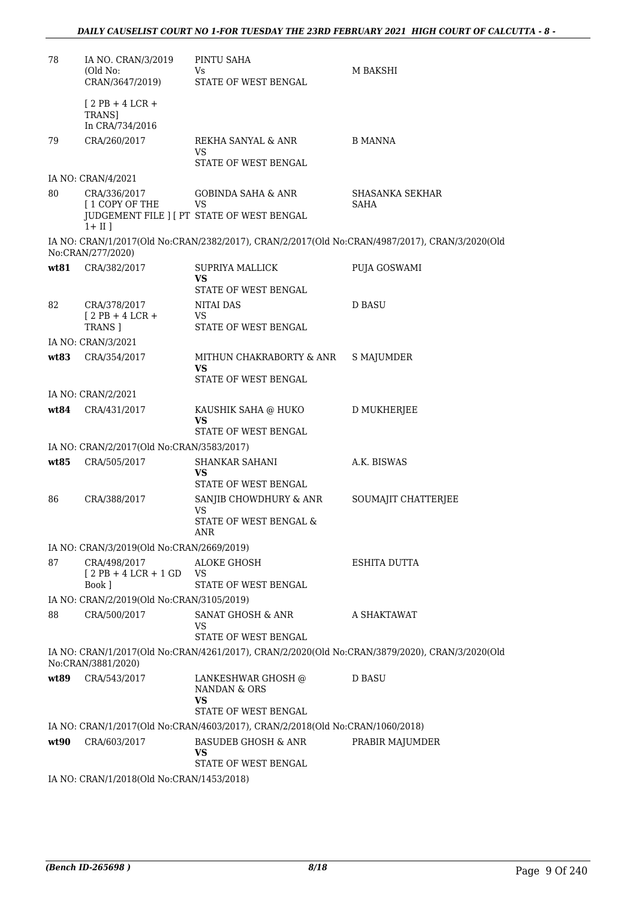| 78   | IA NO. CRAN/3/2019<br>(Old No:<br>CRAN/3647/2019) | PINTU SAHA<br>Vs.<br>STATE OF WEST BENGAL                                     | M BAKSHI                                                                                       |
|------|---------------------------------------------------|-------------------------------------------------------------------------------|------------------------------------------------------------------------------------------------|
|      | $[2PB+4LCR+$<br>TRANS]<br>In CRA/734/2016         |                                                                               |                                                                                                |
| 79   | CRA/260/2017                                      | REKHA SANYAL & ANR<br>VS<br>STATE OF WEST BENGAL                              | <b>B MANNA</b>                                                                                 |
|      | IA NO: CRAN/4/2021                                |                                                                               |                                                                                                |
| 80   | CRA/336/2017<br>[ 1 COPY OF THE                   | <b>GOBINDA SAHA &amp; ANR</b><br>VS                                           | SHASANKA SEKHAR<br>SAHA                                                                        |
|      | $1 + II$ ]                                        | JUDGEMENT FILE ] [ PT STATE OF WEST BENGAL                                    |                                                                                                |
|      | No:CRAN/277/2020)                                 |                                                                               | IA NO: CRAN/1/2017(Old No:CRAN/2382/2017), CRAN/2/2017(Old No:CRAN/4987/2017), CRAN/3/2020(Old |
| wt81 | CRA/382/2017                                      | <b>SUPRIYA MALLICK</b><br>VS                                                  | PUJA GOSWAMI                                                                                   |
| 82   | CRA/378/2017                                      | STATE OF WEST BENGAL<br><b>NITAI DAS</b>                                      | <b>D BASU</b>                                                                                  |
|      | $[2PB+4LCR+$<br>TRANS ]                           | VS<br>STATE OF WEST BENGAL                                                    |                                                                                                |
|      | IA NO: CRAN/3/2021                                |                                                                               |                                                                                                |
| wt83 | CRA/354/2017                                      | MITHUN CHAKRABORTY & ANR<br>VS<br>STATE OF WEST BENGAL                        | S MAJUMDER                                                                                     |
|      | IA NO: CRAN/2/2021                                |                                                                               |                                                                                                |
| wt84 | CRA/431/2017                                      | KAUSHIK SAHA @ HUKO<br>VS<br>STATE OF WEST BENGAL                             | D MUKHERJEE                                                                                    |
|      | IA NO: CRAN/2/2017(Old No:CRAN/3583/2017)         |                                                                               |                                                                                                |
| wt85 | CRA/505/2017                                      | SHANKAR SAHANI                                                                | A.K. BISWAS                                                                                    |
|      |                                                   | VS<br>STATE OF WEST BENGAL                                                    |                                                                                                |
| 86   | CRA/388/2017                                      | SANJIB CHOWDHURY & ANR<br>VS                                                  | SOUMAJIT CHATTERJEE                                                                            |
|      |                                                   | STATE OF WEST BENGAL &<br>ANR                                                 |                                                                                                |
|      | IA NO: CRAN/3/2019(Old No:CRAN/2669/2019)         |                                                                               |                                                                                                |
| 87   | CRA/498/2017<br>$[2PB+4LCR+1GD]$<br>Book ]        | ALOKE GHOSH<br>VS<br>STATE OF WEST BENGAL                                     | ESHITA DUTTA                                                                                   |
|      | IA NO: CRAN/2/2019(Old No:CRAN/3105/2019)         |                                                                               |                                                                                                |
| 88   | CRA/500/2017                                      | SANAT GHOSH & ANR<br>VS<br>STATE OF WEST BENGAL                               | A SHAKTAWAT                                                                                    |
|      | No:CRAN/3881/2020)                                |                                                                               | IA NO: CRAN/1/2017(Old No:CRAN/4261/2017), CRAN/2/2020(Old No:CRAN/3879/2020), CRAN/3/2020(Old |
| wt89 | CRA/543/2017                                      | LANKESHWAR GHOSH @<br>NANDAN & ORS<br>VS<br>STATE OF WEST BENGAL              | <b>D BASU</b>                                                                                  |
|      |                                                   | IA NO: CRAN/1/2017(Old No:CRAN/4603/2017), CRAN/2/2018(Old No:CRAN/1060/2018) |                                                                                                |
| wt90 | CRA/603/2017                                      | <b>BASUDEB GHOSH &amp; ANR</b><br>VS<br>STATE OF WEST BENGAL                  | PRABIR MAJUMDER                                                                                |
|      | IA NO: CRAN/1/2018(Old No:CRAN/1453/2018)         |                                                                               |                                                                                                |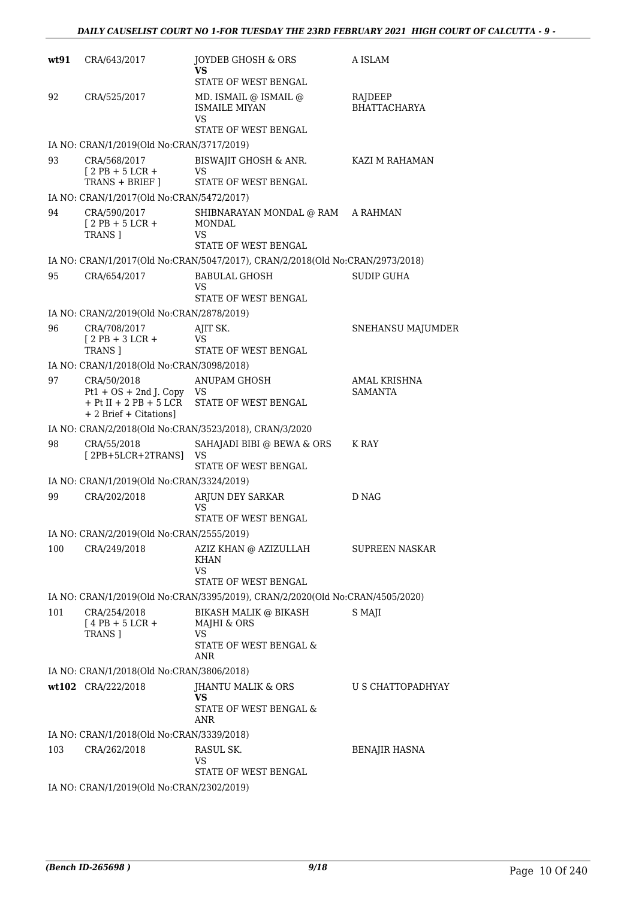| wt91 | CRA/643/2017                                                                | JOYDEB GHOSH & ORS<br>VS<br>STATE OF WEST BENGAL                                                      | A ISLAM                        |
|------|-----------------------------------------------------------------------------|-------------------------------------------------------------------------------------------------------|--------------------------------|
| 92   | CRA/525/2017                                                                | MD. ISMAIL @ ISMAIL @<br><b>ISMAILE MIYAN</b><br>VS<br>STATE OF WEST BENGAL                           | RAJDEEP<br><b>BHATTACHARYA</b> |
|      | IA NO: CRAN/1/2019(Old No:CRAN/3717/2019)                                   |                                                                                                       |                                |
| 93   | CRA/568/2017<br>$12$ PB + 5 LCR +<br>TRANS + BRIEF ]                        | BISWAJIT GHOSH & ANR.<br>VS<br>STATE OF WEST BENGAL                                                   | KAZI M RAHAMAN                 |
|      | IA NO: CRAN/1/2017(Old No:CRAN/5472/2017)                                   |                                                                                                       |                                |
| 94   | CRA/590/2017<br>$[2PB + 5LCR +$<br>TRANS ]                                  | SHIBNARAYAN MONDAL @ RAM A RAHMAN<br><b>MONDAL</b><br>VS                                              |                                |
|      |                                                                             | STATE OF WEST BENGAL<br>IA NO: CRAN/1/2017(Old No:CRAN/5047/2017), CRAN/2/2018(Old No:CRAN/2973/2018) |                                |
| 95   | CRA/654/2017                                                                | BABULAL GHOSH                                                                                         | <b>SUDIP GUHA</b>              |
|      |                                                                             | VS<br>STATE OF WEST BENGAL                                                                            |                                |
|      | IA NO: CRAN/2/2019(Old No:CRAN/2878/2019)                                   |                                                                                                       |                                |
| 96   | CRA/708/2017<br>$[2PB + 3LCR +$<br><b>TRANS 1</b>                           | AJIT SK.<br>VS.<br>STATE OF WEST BENGAL                                                               | SNEHANSU MAJUMDER              |
|      | IA NO: CRAN/1/2018(Old No:CRAN/3098/2018)                                   |                                                                                                       |                                |
| 97   | CRA/50/2018<br>$Pt1 + OS + 2nd J$ . Copy VS<br>$+$ Pt II $+$ 2 PB $+$ 5 LCR | <b>ANUPAM GHOSH</b><br>STATE OF WEST BENGAL                                                           | AMAL KRISHNA<br><b>SAMANTA</b> |
|      | + 2 Brief + Citations]                                                      | IA NO: CRAN/2/2018(Old No:CRAN/3523/2018), CRAN/3/2020                                                |                                |
| 98   | CRA/55/2018                                                                 | SAHAJADI BIBI @ BEWA & ORS                                                                            | K RAY                          |
|      | [2PB+5LCR+2TRANS]                                                           | VS<br>STATE OF WEST BENGAL                                                                            |                                |
|      | IA NO: CRAN/1/2019(Old No:CRAN/3324/2019)                                   |                                                                                                       |                                |
| 99   | CRA/202/2018                                                                | ARJUN DEY SARKAR<br>VS<br>STATE OF WEST BENGAL                                                        | D NAG                          |
|      | IA NO: CRAN/2/2019(Old No:CRAN/2555/2019)                                   |                                                                                                       |                                |
| 100  | CRA/249/2018                                                                | AZIZ KHAN @ AZIZULLAH<br><b>KHAN</b><br>VS<br>STATE OF WEST BENGAL                                    | SUPREEN NASKAR                 |
|      |                                                                             | IA NO: CRAN/1/2019(Old No:CRAN/3395/2019), CRAN/2/2020(Old No:CRAN/4505/2020)                         |                                |
| 101  | CRA/254/2018<br>$[4$ PB + 5 LCR +<br>TRANS ]                                | BIKASH MALIK @ BIKASH<br>MAJHI & ORS<br><b>VS</b><br>STATE OF WEST BENGAL &<br>ANR                    | S MAJI                         |
|      | IA NO: CRAN/1/2018(Old No:CRAN/3806/2018)                                   |                                                                                                       |                                |
|      | wt102 CRA/222/2018                                                          | JHANTU MALIK & ORS<br>VS<br>STATE OF WEST BENGAL &<br>ANR                                             | U S CHATTOPADHYAY              |
|      | IA NO: CRAN/1/2018(Old No:CRAN/3339/2018)                                   |                                                                                                       |                                |
| 103  | CRA/262/2018                                                                | RASUL SK.<br>VS                                                                                       | <b>BENAJIR HASNA</b>           |
|      | IA NO: CRAN/1/2019(Old No:CRAN/2302/2019)                                   | STATE OF WEST BENGAL                                                                                  |                                |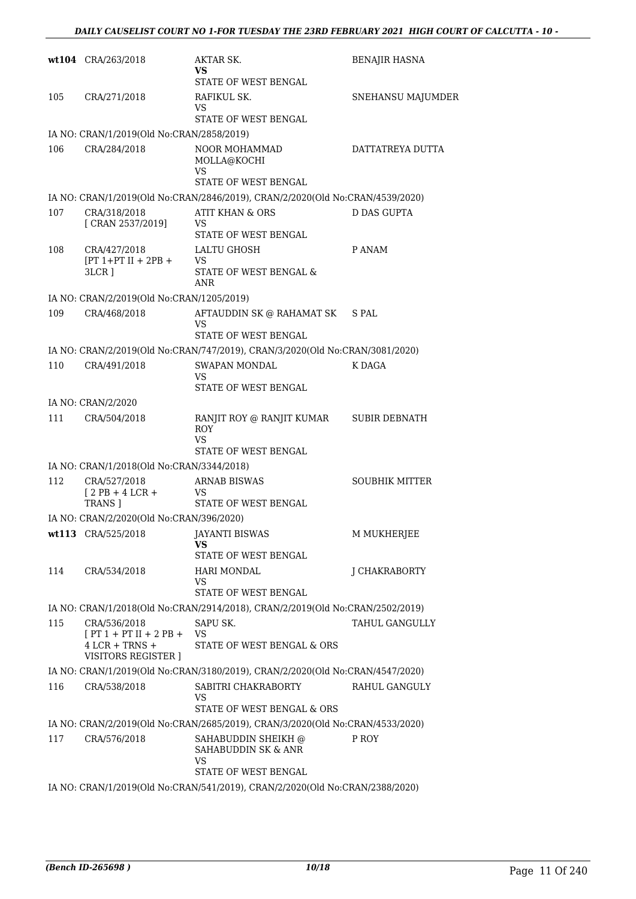|     | wt104 CRA/263/2018                                                                  | AKTAR SK.<br>VS<br>STATE OF WEST BENGAL                                                              | <b>BENAJIR HASNA</b>  |
|-----|-------------------------------------------------------------------------------------|------------------------------------------------------------------------------------------------------|-----------------------|
| 105 | CRA/271/2018                                                                        | RAFIKUL SK.<br>VS<br>STATE OF WEST BENGAL                                                            | SNEHANSU MAJUMDER     |
|     | IA NO: CRAN/1/2019(Old No:CRAN/2858/2019)                                           |                                                                                                      |                       |
| 106 | CRA/284/2018                                                                        | <b>NOOR MOHAMMAD</b><br>MOLLA@KOCHI<br>VS                                                            | DATTATREYA DUTTA      |
|     |                                                                                     | STATE OF WEST BENGAL                                                                                 |                       |
|     |                                                                                     | IA NO: CRAN/1/2019(Old No:CRAN/2846/2019), CRAN/2/2020(Old No:CRAN/4539/2020)                        |                       |
| 107 | CRA/318/2018<br>[ CRAN 2537/2019]                                                   | <b>ATIT KHAN &amp; ORS</b><br>VS<br>STATE OF WEST BENGAL                                             | D DAS GUPTA           |
| 108 | CRA/427/2018<br>$[PT 1+PT II + 2PB +$<br>$3LCR$ ]                                   | LALTU GHOSH<br><b>VS</b><br>STATE OF WEST BENGAL &<br><b>ANR</b>                                     | P ANAM                |
|     | IA NO: CRAN/2/2019(Old No:CRAN/1205/2019)                                           |                                                                                                      |                       |
| 109 | CRA/468/2018                                                                        | AFTAUDDIN SK @ RAHAMAT SK<br>VS<br>STATE OF WEST BENGAL                                              | S PAL                 |
|     |                                                                                     | IA NO: CRAN/2/2019(Old No:CRAN/747/2019), CRAN/3/2020(Old No:CRAN/3081/2020)                         |                       |
| 110 | CRA/491/2018                                                                        | SWAPAN MONDAL<br>VS<br>STATE OF WEST BENGAL                                                          | K DAGA                |
|     | IA NO: CRAN/2/2020                                                                  |                                                                                                      |                       |
| 111 | CRA/504/2018                                                                        | RANJIT ROY @ RANJIT KUMAR<br>ROY<br><b>VS</b><br>STATE OF WEST BENGAL                                | <b>SUBIR DEBNATH</b>  |
|     | IA NO: CRAN/1/2018(Old No:CRAN/3344/2018)                                           |                                                                                                      |                       |
| 112 | CRA/527/2018<br>$[2PB+4LCR+$<br><b>TRANS</b> ]                                      | <b>ARNAB BISWAS</b><br>VS<br>STATE OF WEST BENGAL                                                    | <b>SOUBHIK MITTER</b> |
|     | IA NO: CRAN/2/2020(Old No:CRAN/396/2020)                                            |                                                                                                      |                       |
|     | wt113 CRA/525/2018                                                                  | JAYANTI BISWAS<br>VS<br>STATE OF WEST BENGAL                                                         | M MUKHERJEE           |
| 114 | CRA/534/2018                                                                        | <b>HARI MONDAL</b><br>VS<br>STATE OF WEST BENGAL                                                     | J CHAKRABORTY         |
|     |                                                                                     | IA NO: CRAN/1/2018(Old No:CRAN/2914/2018), CRAN/2/2019(Old No:CRAN/2502/2019)                        |                       |
| 115 | CRA/536/2018<br>$[PT 1 + PT II + 2 PB +$<br>$4$ LCR + TRNS +<br>VISITORS REGISTER ] | SAPU SK.<br>VS<br>STATE OF WEST BENGAL & ORS                                                         | TAHUL GANGULLY        |
|     |                                                                                     | IA NO: CRAN/1/2019(Old No:CRAN/3180/2019), CRAN/2/2020(Old No:CRAN/4547/2020)                        |                       |
| 116 | CRA/538/2018                                                                        | SABITRI CHAKRABORTY<br>VS<br>STATE OF WEST BENGAL & ORS                                              | RAHUL GANGULY         |
|     |                                                                                     | IA NO: CRAN/2/2019(Old No:CRAN/2685/2019), CRAN/3/2020(Old No:CRAN/4533/2020)                        |                       |
| 117 | CRA/576/2018                                                                        | SAHABUDDIN SHEIKH @<br>SAHABUDDIN SK & ANR<br>VS                                                     | P ROY                 |
|     |                                                                                     | STATE OF WEST BENGAL<br>IA NO: CRAN/1/2019(Old No:CRAN/541/2019), CRAN/2/2020(Old No:CRAN/2388/2020) |                       |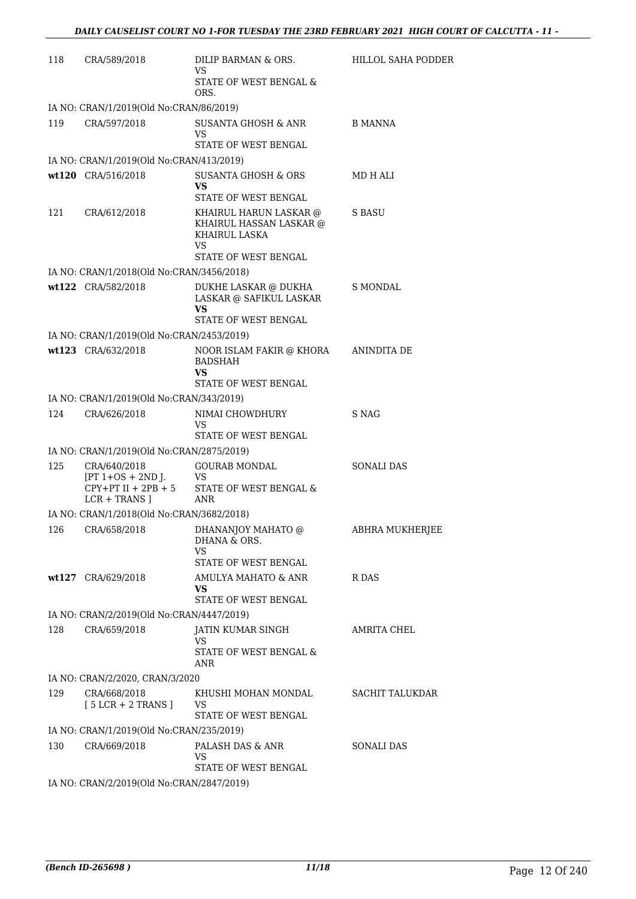| 118 | CRA/589/2018                                              | DILIP BARMAN & ORS.<br><b>VS</b><br>STATE OF WEST BENGAL &<br>ORS.                               | HILLOL SAHA PODDER     |
|-----|-----------------------------------------------------------|--------------------------------------------------------------------------------------------------|------------------------|
|     | IA NO: CRAN/1/2019(Old No:CRAN/86/2019)                   |                                                                                                  |                        |
| 119 | CRA/597/2018                                              | SUSANTA GHOSH & ANR<br>VS<br>STATE OF WEST BENGAL                                                | B MANNA                |
|     | IA NO: CRAN/1/2019(Old No:CRAN/413/2019)                  |                                                                                                  |                        |
|     | wt120 CRA/516/2018                                        | <b>SUSANTA GHOSH &amp; ORS</b><br>VS.<br>STATE OF WEST BENGAL                                    | MD H ALI               |
| 121 | CRA/612/2018                                              | KHAIRUL HARUN LASKAR @<br>KHAIRUL HASSAN LASKAR @<br>KHAIRUL LASKA<br>VS<br>STATE OF WEST BENGAL | S BASU                 |
|     | IA NO: CRAN/1/2018(Old No:CRAN/3456/2018)                 |                                                                                                  |                        |
|     | wt122 CRA/582/2018                                        | DUKHE LASKAR @ DUKHA<br>LASKAR @ SAFIKUL LASKAR<br>VS.<br>STATE OF WEST BENGAL                   | S MONDAL               |
|     | IA NO: CRAN/1/2019(Old No:CRAN/2453/2019)                 |                                                                                                  |                        |
|     | wt123 CRA/632/2018                                        | NOOR ISLAM FAKIR @ KHORA<br><b>BADSHAH</b><br>VS.                                                | ANINDITA DE            |
|     |                                                           | STATE OF WEST BENGAL                                                                             |                        |
|     | IA NO: CRAN/1/2019(Old No:CRAN/343/2019)                  |                                                                                                  |                        |
| 124 | CRA/626/2018                                              | NIMAI CHOWDHURY<br>VS<br>STATE OF WEST BENGAL                                                    | S NAG                  |
|     | IA NO: CRAN/1/2019(Old No:CRAN/2875/2019)                 |                                                                                                  |                        |
| 125 | CRA/640/2018<br>$[PT 1+OS + 2ND J.$ VS<br>$LCR + TRANS$ ] | <b>GOURAB MONDAL</b><br>$CPY+PT II + 2PB + 5$ STATE OF WEST BENGAL &<br>ANR                      | <b>SONALI DAS</b>      |
|     | IA NO: CRAN/1/2018(Old No:CRAN/3682/2018)                 |                                                                                                  |                        |
|     |                                                           | 126 CRA/658/2018 DHANANJOY MAHATO @<br>DHANA & ORS.<br>VS<br>STATE OF WEST BENGAL                | <b>ABHRA MUKHERJEE</b> |
|     | wt127 CRA/629/2018                                        | AMULYA MAHATO & ANR                                                                              | R DAS                  |
|     |                                                           | <b>VS</b><br>STATE OF WEST BENGAL                                                                |                        |
|     | IA NO: CRAN/2/2019(Old No:CRAN/4447/2019)                 |                                                                                                  |                        |
| 128 | CRA/659/2018                                              | JATIN KUMAR SINGH<br>VS<br>STATE OF WEST BENGAL &                                                | AMRITA CHEL            |
|     |                                                           | ANR                                                                                              |                        |
| 129 | IA NO: CRAN/2/2020, CRAN/3/2020<br>CRA/668/2018           |                                                                                                  |                        |
|     | $[5 LCR + 2 TRANS]$                                       | KHUSHI MOHAN MONDAL<br>VS<br>STATE OF WEST BENGAL                                                | SACHIT TALUKDAR        |
|     | IA NO: CRAN/1/2019(Old No:CRAN/235/2019)                  |                                                                                                  |                        |
| 130 | CRA/669/2018                                              | PALASH DAS & ANR<br>VS<br>STATE OF WEST BENGAL                                                   | <b>SONALI DAS</b>      |
|     | IA NO: CRAN/2/2019(Old No:CRAN/2847/2019)                 |                                                                                                  |                        |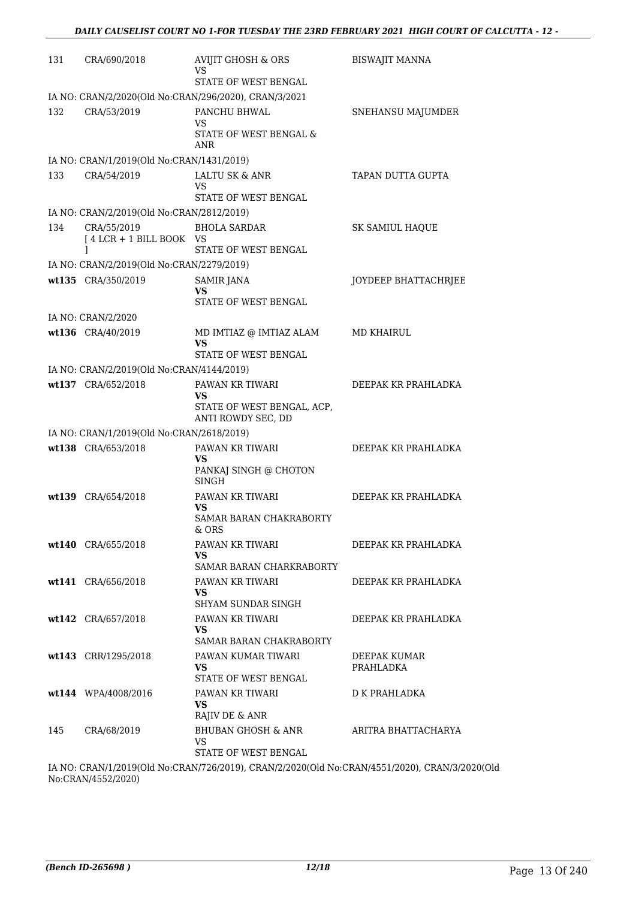| 131 | CRA/690/2018                              | <b>AVIJIT GHOSH &amp; ORS</b><br>VS<br>STATE OF WEST BENGAL | <b>BISWAJIT MANNA</b> |
|-----|-------------------------------------------|-------------------------------------------------------------|-----------------------|
|     |                                           |                                                             |                       |
|     |                                           | IA NO: CRAN/2/2020(Old No:CRAN/296/2020), CRAN/3/2021       |                       |
| 132 | CRA/53/2019                               | PANCHU BHWAL<br>VS.                                         | SNEHANSU MAJUMDER     |
|     |                                           | STATE OF WEST BENGAL &<br>ANR                               |                       |
|     | IA NO: CRAN/1/2019(Old No:CRAN/1431/2019) |                                                             |                       |
| 133 | CRA/54/2019                               | LALTU SK & ANR<br>VS.<br>STATE OF WEST BENGAL               | TAPAN DUTTA GUPTA     |
|     | IA NO: CRAN/2/2019(Old No:CRAN/2812/2019) |                                                             |                       |
| 134 | CRA/55/2019                               | <b>BHOLA SARDAR</b>                                         | SK SAMIUL HAQUE       |
|     | [4 LCR + 1 BILL BOOK VS                   |                                                             |                       |
|     | 1                                         | STATE OF WEST BENGAL                                        |                       |
|     | IA NO: CRAN/2/2019(Old No:CRAN/2279/2019) |                                                             |                       |
|     | wt135 CRA/350/2019                        | <b>SAMIR JANA</b><br>VS.                                    | JOYDEEP BHATTACHRJEE  |
|     |                                           | STATE OF WEST BENGAL                                        |                       |
|     | IA NO: CRAN/2/2020                        |                                                             |                       |
|     | wt136 CRA/40/2019                         | MD IMTIAZ @ IMTIAZ ALAM                                     | <b>MD KHAIRUL</b>     |
|     |                                           | <b>VS</b>                                                   |                       |
|     |                                           | STATE OF WEST BENGAL                                        |                       |
|     | IA NO: CRAN/2/2019(Old No:CRAN/4144/2019) |                                                             |                       |
|     | wt137 CRA/652/2018                        | PAWAN KR TIWARI<br>VS                                       | DEEPAK KR PRAHLADKA   |
|     |                                           | STATE OF WEST BENGAL, ACP,                                  |                       |
|     |                                           | ANTI ROWDY SEC, DD                                          |                       |
|     | IA NO: CRAN/1/2019(Old No:CRAN/2618/2019) |                                                             |                       |
|     | wt138 CRA/653/2018                        | PAWAN KR TIWARI<br>VS                                       | DEEPAK KR PRAHLADKA   |
|     |                                           | PANKAJ SINGH @ CHOTON                                       |                       |
|     |                                           | <b>SINGH</b>                                                |                       |
|     | wt139 CRA/654/2018                        | PAWAN KR TIWARI<br>VS                                       | DEEPAK KR PRAHLADKA   |
|     |                                           | SAMAR BARAN CHAKRABORTY                                     |                       |
|     |                                           | & ORS                                                       |                       |
|     | wt140 CRA/655/2018                        | PAWAN KR TIWARI                                             | DEEPAK KR PRAHLADKA   |
|     |                                           | VS.<br>SAMAR BARAN CHARKRABORTY                             |                       |
|     | wt141 CRA/656/2018                        | PAWAN KR TIWARI                                             | DEEPAK KR PRAHLADKA   |
|     |                                           | VS.                                                         |                       |
|     |                                           | SHYAM SUNDAR SINGH                                          |                       |
|     | wt142 CRA/657/2018                        | PAWAN KR TIWARI<br>VS.                                      | DEEPAK KR PRAHLADKA   |
|     |                                           | SAMAR BARAN CHAKRABORTY                                     |                       |
|     | wt143 CRR/1295/2018                       | PAWAN KUMAR TIWARI                                          | DEEPAK KUMAR          |
|     |                                           | VS.                                                         | PRAHLADKA             |
|     |                                           | STATE OF WEST BENGAL                                        |                       |
|     | wt144 WPA/4008/2016                       | PAWAN KR TIWARI<br>VS.                                      | D K PRAHLADKA         |
|     |                                           | RAJIV DE & ANR                                              |                       |
| 145 | CRA/68/2019                               | BHUBAN GHOSH & ANR                                          | ARITRA BHATTACHARYA   |
|     |                                           | VS<br>STATE OF WEST BENGAL                                  |                       |
|     |                                           |                                                             |                       |

IA NO: CRAN/1/2019(Old No:CRAN/726/2019), CRAN/2/2020(Old No:CRAN/4551/2020), CRAN/3/2020(Old No:CRAN/4552/2020)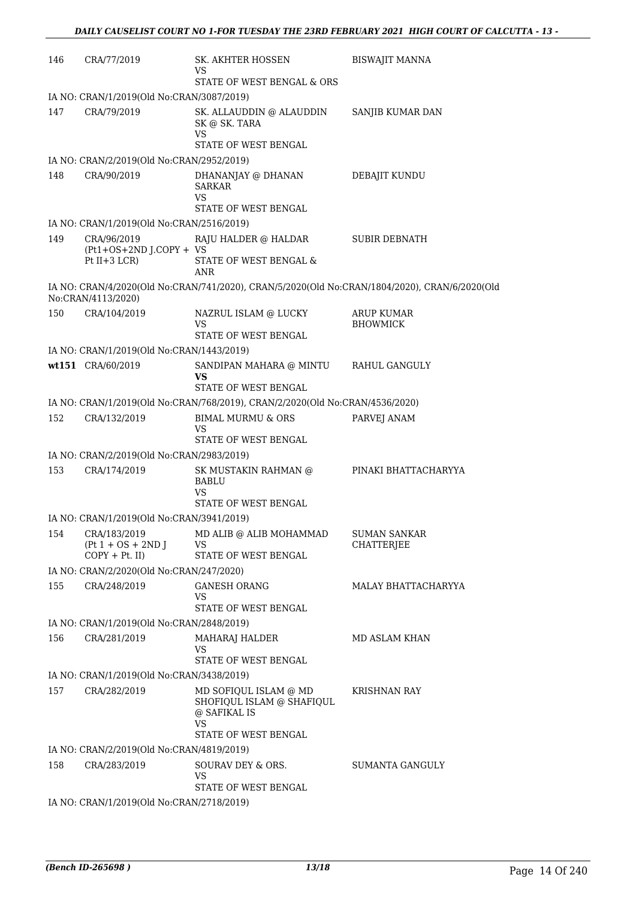| 146 | CRA/77/2019                                              | SK. AKHTER HOSSEN<br>VS<br>STATE OF WEST BENGAL & ORS                                            | <b>BISWAJIT MANNA</b>                    |
|-----|----------------------------------------------------------|--------------------------------------------------------------------------------------------------|------------------------------------------|
|     | IA NO: CRAN/1/2019(Old No:CRAN/3087/2019)                |                                                                                                  |                                          |
| 147 | CRA/79/2019                                              | SK. ALLAUDDIN @ ALAUDDIN<br>SK @ SK. TARA<br>VS<br>STATE OF WEST BENGAL                          | SANJIB KUMAR DAN                         |
|     | IA NO: CRAN/2/2019(Old No:CRAN/2952/2019)                |                                                                                                  |                                          |
| 148 | CRA/90/2019                                              | DHANANJAY @ DHANAN<br><b>SARKAR</b><br>VS<br>STATE OF WEST BENGAL                                | DEBAJIT KUNDU                            |
|     | IA NO: CRAN/1/2019(Old No:CRAN/2516/2019)                |                                                                                                  |                                          |
| 149 | CRA/96/2019<br>(Pt1+OS+2ND J.COPY + VS<br>Pt $II+3$ LCR) | RAJU HALDER @ HALDAR<br>STATE OF WEST BENGAL &<br><b>ANR</b>                                     | <b>SUBIR DEBNATH</b>                     |
|     | No:CRAN/4113/2020)                                       | IA NO: CRAN/4/2020(Old No:CRAN/741/2020), CRAN/5/2020(Old No:CRAN/1804/2020), CRAN/6/2020(Old    |                                          |
| 150 | CRA/104/2019                                             | NAZRUL ISLAM @ LUCKY<br>VS<br>STATE OF WEST BENGAL                                               | <b>ARUP KUMAR</b><br><b>BHOWMICK</b>     |
|     | IA NO: CRAN/1/2019(Old No:CRAN/1443/2019)                |                                                                                                  |                                          |
|     | wt151 CRA/60/2019                                        | SANDIPAN MAHARA @ MINTU<br>VS<br>STATE OF WEST BENGAL                                            | RAHUL GANGULY                            |
|     |                                                          | IA NO: CRAN/1/2019(Old No:CRAN/768/2019), CRAN/2/2020(Old No:CRAN/4536/2020)                     |                                          |
| 152 | CRA/132/2019                                             | <b>BIMAL MURMU &amp; ORS</b><br>VS                                                               | PARVEJ ANAM                              |
|     |                                                          | STATE OF WEST BENGAL                                                                             |                                          |
|     | IA NO: CRAN/2/2019(Old No:CRAN/2983/2019)                |                                                                                                  |                                          |
| 153 | CRA/174/2019                                             | SK MUSTAKIN RAHMAN @<br><b>BABLU</b><br>VS<br><b>STATE OF WEST BENGAL</b>                        | PINAKI BHATTACHARYYA                     |
|     | IA NO: CRAN/1/2019(Old No:CRAN/3941/2019)                |                                                                                                  |                                          |
| 154 | CRA/183/2019<br>$(Pt 1 + OS + 2ND J)$<br>$COPY + Pt. II$ | MD ALIB @ ALIB MOHAMMAD<br>VS<br>STATE OF WEST BENGAL                                            | <b>SUMAN SANKAR</b><br><b>CHATTERJEE</b> |
|     | IA NO: CRAN/2/2020(Old No:CRAN/247/2020)                 |                                                                                                  |                                          |
| 155 | CRA/248/2019                                             | <b>GANESH ORANG</b><br>VS<br>STATE OF WEST BENGAL                                                | MALAY BHATTACHARYYA                      |
|     | IA NO: CRAN/1/2019(Old No:CRAN/2848/2019)                |                                                                                                  |                                          |
| 156 | CRA/281/2019                                             | MAHARAJ HALDER<br>VS                                                                             | MD ASLAM KHAN                            |
|     | IA NO: CRAN/1/2019(Old No:CRAN/3438/2019)                | STATE OF WEST BENGAL                                                                             |                                          |
| 157 | CRA/282/2019                                             | MD SOFIQUL ISLAM @ MD<br>SHOFIQUL ISLAM @ SHAFIQUL<br>@ SAFIKAL IS<br>VS<br>STATE OF WEST BENGAL | KRISHNAN RAY                             |
|     | IA NO: CRAN/2/2019(Old No:CRAN/4819/2019)                |                                                                                                  |                                          |
| 158 | CRA/283/2019                                             | SOURAV DEY & ORS.<br>VS                                                                          | SUMANTA GANGULY                          |
|     | IA NO: CRAN/1/2019(Old No:CRAN/2718/2019)                | STATE OF WEST BENGAL                                                                             |                                          |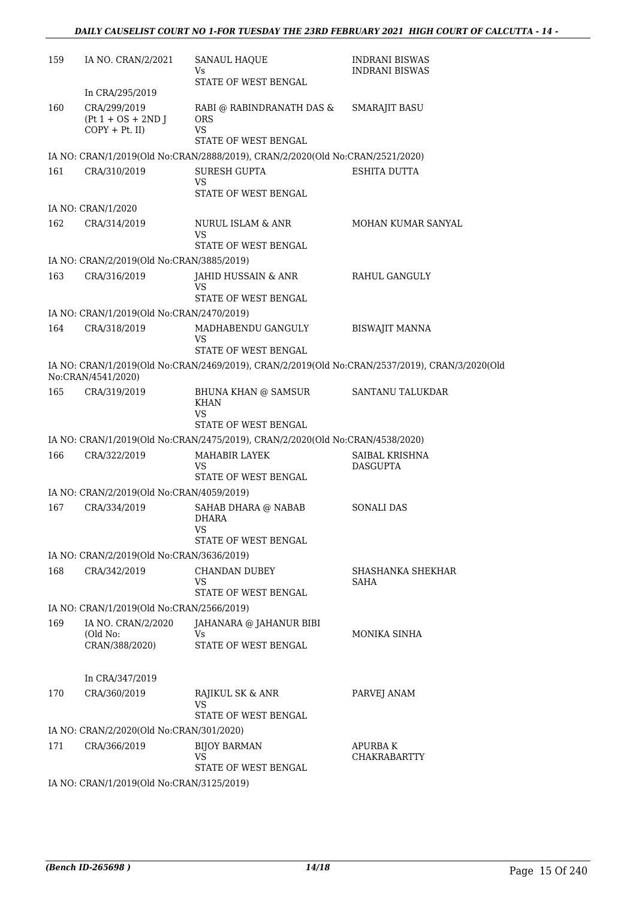| 159 | IA NO. CRAN/2/2021                                        | <b>SANAUL HAQUE</b><br>Vs.                                                    | <b>INDRANI BISWAS</b><br><b>INDRANI BISWAS</b>                                                 |
|-----|-----------------------------------------------------------|-------------------------------------------------------------------------------|------------------------------------------------------------------------------------------------|
|     |                                                           | STATE OF WEST BENGAL                                                          |                                                                                                |
|     | In CRA/295/2019                                           |                                                                               |                                                                                                |
| 160 | CRA/299/2019<br>$(Pt 1 + OS + 2ND J)$<br>$COPY + Pt.$ II) | RABI @ RABINDRANATH DAS &<br><b>ORS</b><br><b>VS</b>                          | SMARAJIT BASU                                                                                  |
|     |                                                           | STATE OF WEST BENGAL                                                          |                                                                                                |
|     |                                                           | IA NO: CRAN/1/2019(Old No:CRAN/2888/2019), CRAN/2/2020(Old No:CRAN/2521/2020) |                                                                                                |
| 161 | CRA/310/2019                                              | <b>SURESH GUPTA</b><br>VS<br>STATE OF WEST BENGAL                             | ESHITA DUTTA                                                                                   |
|     | IA NO: CRAN/1/2020                                        |                                                                               |                                                                                                |
| 162 | CRA/314/2019                                              | NURUL ISLAM & ANR                                                             | MOHAN KUMAR SANYAL                                                                             |
|     |                                                           | VS<br>STATE OF WEST BENGAL                                                    |                                                                                                |
|     | IA NO: CRAN/2/2019(Old No:CRAN/3885/2019)                 |                                                                               |                                                                                                |
| 163 | CRA/316/2019                                              | JAHID HUSSAIN & ANR<br>VS                                                     | RAHUL GANGULY                                                                                  |
|     |                                                           | STATE OF WEST BENGAL                                                          |                                                                                                |
|     | IA NO: CRAN/1/2019(Old No:CRAN/2470/2019)                 |                                                                               |                                                                                                |
| 164 | CRA/318/2019                                              | MADHABENDU GANGULY<br>VS                                                      | <b>BISWAJIT MANNA</b>                                                                          |
|     |                                                           | <b>STATE OF WEST BENGAL</b>                                                   |                                                                                                |
|     | No:CRAN/4541/2020)                                        |                                                                               | IA NO: CRAN/1/2019(Old No:CRAN/2469/2019), CRAN/2/2019(Old No:CRAN/2537/2019), CRAN/3/2020(Old |
| 165 | CRA/319/2019                                              | BHUNA KHAN @ SAMSUR<br><b>KHAN</b><br>VS                                      | SANTANU TALUKDAR                                                                               |
|     |                                                           | STATE OF WEST BENGAL                                                          |                                                                                                |
|     |                                                           | IA NO: CRAN/1/2019(Old No:CRAN/2475/2019), CRAN/2/2020(Old No:CRAN/4538/2020) |                                                                                                |
| 166 | CRA/322/2019                                              | MAHABIR LAYEK<br>VS<br>STATE OF WEST BENGAL                                   | SAIBAL KRISHNA<br><b>DASGUPTA</b>                                                              |
|     | IA NO: CRAN/2/2019(Old No:CRAN/4059/2019)                 |                                                                               |                                                                                                |
| 167 | CRA/334/2019                                              | SAHAB DHARA @ NABAB                                                           | <b>SONALI DAS</b>                                                                              |
|     |                                                           | <b>DHARA</b><br><b>VS</b>                                                     |                                                                                                |
|     |                                                           | STATE OF WEST BENGAL                                                          |                                                                                                |
|     | IA NO: CRAN/2/2019(Old No:CRAN/3636/2019)                 |                                                                               |                                                                                                |
| 168 | CRA/342/2019                                              | <b>CHANDAN DUBEY</b><br>VS                                                    | SHASHANKA SHEKHAR<br>SAHA                                                                      |
|     |                                                           | STATE OF WEST BENGAL                                                          |                                                                                                |
|     | IA NO: CRAN/1/2019(Old No:CRAN/2566/2019)                 |                                                                               |                                                                                                |
| 169 | IA NO. CRAN/2/2020<br>(Old No:                            | JAHANARA @ JAHANUR BIBI<br>Vs                                                 | MONIKA SINHA                                                                                   |
|     | CRAN/388/2020)                                            | <b>STATE OF WEST BENGAL</b>                                                   |                                                                                                |
|     | In CRA/347/2019                                           |                                                                               |                                                                                                |
| 170 | CRA/360/2019                                              | RAJIKUL SK & ANR<br>VS                                                        | PARVEJ ANAM                                                                                    |
|     |                                                           | STATE OF WEST BENGAL                                                          |                                                                                                |
|     | IA NO: CRAN/2/2020(Old No:CRAN/301/2020)                  |                                                                               |                                                                                                |
| 171 | CRA/366/2019                                              | <b>BIJOY BARMAN</b><br>VS                                                     | <b>APURBAK</b><br><b>CHAKRABARTTY</b>                                                          |
|     |                                                           | STATE OF WEST BENGAL                                                          |                                                                                                |
|     | IA NO: CRAN/1/2019(Old No:CRAN/3125/2019)                 |                                                                               |                                                                                                |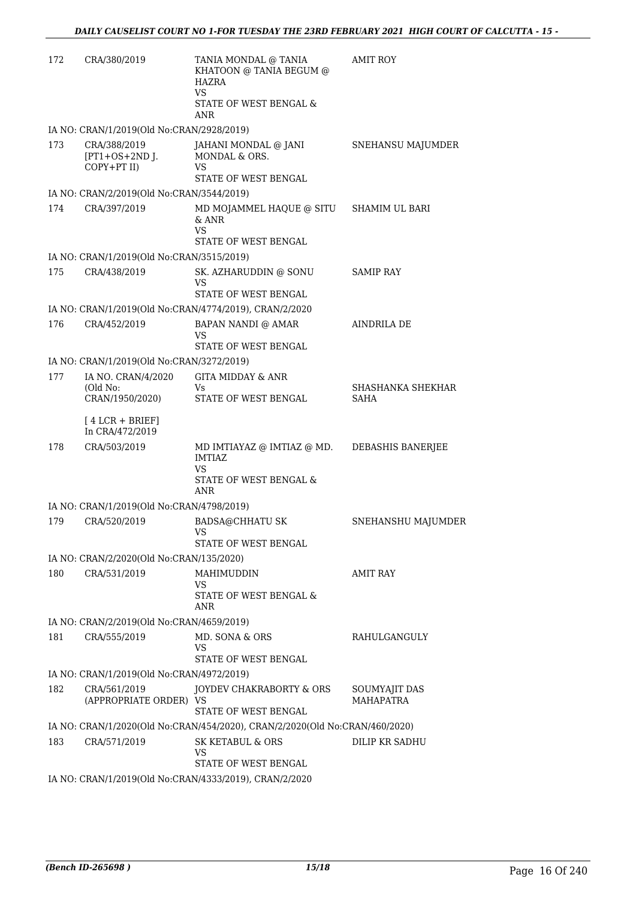| 172 | CRA/380/2019                                    | TANIA MONDAL @ TANIA<br>KHATOON @ TANIA BEGUM @<br>HAZRA<br>VS<br>STATE OF WEST BENGAL &<br><b>ANR</b> | <b>AMIT ROY</b>            |
|-----|-------------------------------------------------|--------------------------------------------------------------------------------------------------------|----------------------------|
|     | IA NO: CRAN/1/2019(Old No:CRAN/2928/2019)       |                                                                                                        |                            |
| 173 | CRA/388/2019<br>$[PT1+OS+2ND$ J.<br>COPY+PT II) | JAHANI MONDAL @ JANI<br>MONDAL & ORS.<br>VS<br>STATE OF WEST BENGAL                                    | SNEHANSU MAJUMDER          |
|     | IA NO: CRAN/2/2019(Old No:CRAN/3544/2019)       |                                                                                                        |                            |
| 174 | CRA/397/2019                                    | MD MOJAMMEL HAQUE @ SITU<br>& ANR<br>VS<br>STATE OF WEST BENGAL                                        | <b>SHAMIM UL BARI</b>      |
|     | IA NO: CRAN/1/2019(Old No:CRAN/3515/2019)       |                                                                                                        |                            |
| 175 | CRA/438/2019                                    | SK. AZHARUDDIN @ SONU<br>VS                                                                            | <b>SAMIP RAY</b>           |
|     |                                                 | STATE OF WEST BENGAL                                                                                   |                            |
|     |                                                 | IA NO: CRAN/1/2019(Old No:CRAN/4774/2019), CRAN/2/2020                                                 |                            |
| 176 | CRA/452/2019                                    | BAPAN NANDI @ AMAR<br>VS<br>STATE OF WEST BENGAL                                                       | <b>AINDRILA DE</b>         |
|     | IA NO: CRAN/1/2019(Old No:CRAN/3272/2019)       |                                                                                                        |                            |
| 177 | IA NO. CRAN/4/2020                              | <b>GITA MIDDAY &amp; ANR</b>                                                                           |                            |
|     | (Old No:<br>CRAN/1950/2020)                     | Vs<br>STATE OF WEST BENGAL                                                                             | SHASHANKA SHEKHAR<br>SAHA  |
|     | $[4 LCR + BRIEF]$<br>In CRA/472/2019            |                                                                                                        |                            |
| 178 | CRA/503/2019                                    | MD IMTIAYAZ @ IMTIAZ @ MD.<br><b>IMTIAZ</b><br>VS.<br>STATE OF WEST BENGAL &<br>ANR                    | DEBASHIS BANERJEE          |
|     | IA NO: CRAN/1/2019(Old No:CRAN/4798/2019)       |                                                                                                        |                            |
| 179 | CRA/520/2019                                    | <b>BADSA@CHHATU SK</b><br>VS.                                                                          | SNEHANSHU MAJUMDER         |
|     |                                                 | STATE OF WEST BENGAL                                                                                   |                            |
|     | IA NO: CRAN/2/2020(Old No:CRAN/135/2020)        |                                                                                                        |                            |
| 180 | CRA/531/2019                                    | MAHIMUDDIN<br>VS<br>STATE OF WEST BENGAL &<br>ANR                                                      | AMIT RAY                   |
|     | IA NO: CRAN/2/2019(Old No:CRAN/4659/2019)       |                                                                                                        |                            |
| 181 | CRA/555/2019                                    | MD. SONA & ORS<br>VS                                                                                   | RAHULGANGULY               |
|     |                                                 | STATE OF WEST BENGAL                                                                                   |                            |
|     | IA NO: CRAN/1/2019(Old No:CRAN/4972/2019)       |                                                                                                        |                            |
| 182 | CRA/561/2019<br>(APPROPRIATE ORDER) VS          | JOYDEV CHAKRABORTY & ORS<br>STATE OF WEST BENGAL                                                       | SOUMYAJIT DAS<br>MAHAPATRA |
|     |                                                 | IA NO: CRAN/1/2020(Old No:CRAN/454/2020), CRAN/2/2020(Old No:CRAN/460/2020)                            |                            |
| 183 | CRA/571/2019                                    | SK KETABUL & ORS<br>VS                                                                                 | DILIP KR SADHU             |
|     |                                                 | STATE OF WEST BENGAL<br>IA NO: CRAN/1/2019(Old No:CRAN/4333/2019), CRAN/2/2020                         |                            |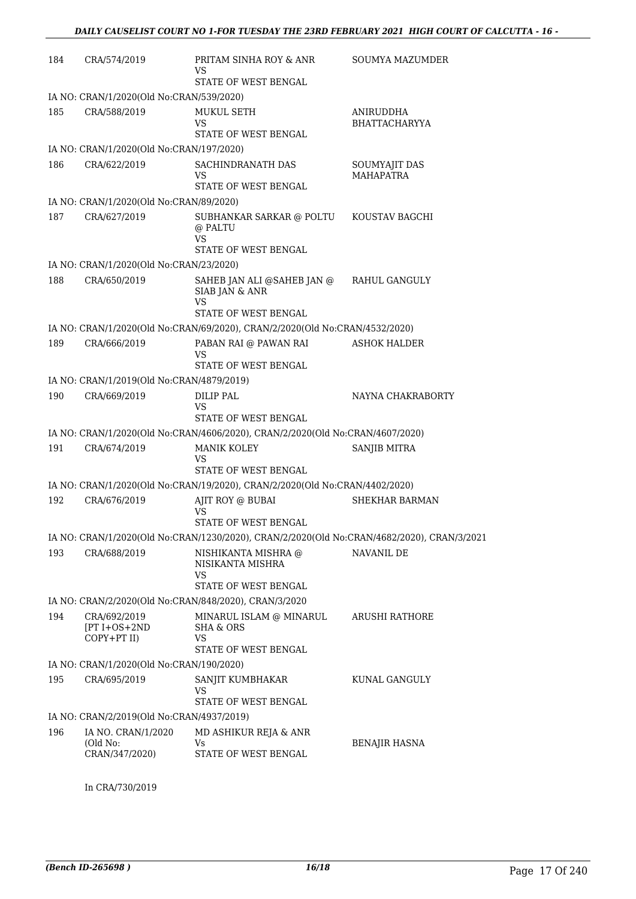| 184 | CRA/574/2019                                       | PRITAM SINHA ROY & ANR<br>VS                                                               | SOUMYA MAZUMDER                          |
|-----|----------------------------------------------------|--------------------------------------------------------------------------------------------|------------------------------------------|
|     |                                                    | STATE OF WEST BENGAL                                                                       |                                          |
|     | IA NO: CRAN/1/2020(Old No:CRAN/539/2020)           |                                                                                            |                                          |
| 185 | CRA/588/2019                                       | <b>MUKUL SETH</b><br>VS                                                                    | ANIRUDDHA<br><b>BHATTACHARYYA</b>        |
|     |                                                    | STATE OF WEST BENGAL                                                                       |                                          |
|     | IA NO: CRAN/1/2020(Old No:CRAN/197/2020)           |                                                                                            |                                          |
| 186 | CRA/622/2019                                       | SACHINDRANATH DAS<br>VS<br>STATE OF WEST BENGAL                                            | <b>SOUMYAJIT DAS</b><br><b>MAHAPATRA</b> |
|     | IA NO: CRAN/1/2020(Old No:CRAN/89/2020)            |                                                                                            |                                          |
| 187 | CRA/627/2019                                       | SUBHANKAR SARKAR @ POLTU<br>@ PALTU<br><b>VS</b><br>STATE OF WEST BENGAL                   | KOUSTAV BAGCHI                           |
|     | IA NO: CRAN/1/2020(Old No:CRAN/23/2020)            |                                                                                            |                                          |
| 188 | CRA/650/2019                                       | SAHEB JAN ALI @SAHEB JAN @<br>SIAB JAN & ANR<br>VS                                         | RAHUL GANGULY                            |
|     |                                                    | STATE OF WEST BENGAL                                                                       |                                          |
|     |                                                    | IA NO: CRAN/1/2020(Old No:CRAN/69/2020), CRAN/2/2020(Old No:CRAN/4532/2020)                |                                          |
| 189 | CRA/666/2019                                       | PABAN RAI @ PAWAN RAI<br>VS<br>STATE OF WEST BENGAL                                        | <b>ASHOK HALDER</b>                      |
|     | IA NO: CRAN/1/2019(Old No:CRAN/4879/2019)          |                                                                                            |                                          |
| 190 | CRA/669/2019                                       | DILIP PAL<br>VS                                                                            | NAYNA CHAKRABORTY                        |
|     |                                                    | STATE OF WEST BENGAL                                                                       |                                          |
|     |                                                    | IA NO: CRAN/1/2020(Old No:CRAN/4606/2020), CRAN/2/2020(Old No:CRAN/4607/2020)              |                                          |
| 191 | CRA/674/2019                                       | <b>MANIK KOLEY</b><br>VS<br>STATE OF WEST BENGAL                                           | <b>SANJIB MITRA</b>                      |
|     |                                                    | IA NO: CRAN/1/2020(Old No:CRAN/19/2020), CRAN/2/2020(Old No:CRAN/4402/2020)                |                                          |
| 192 | CRA/676/2019                                       | AJIT ROY @ BUBAI                                                                           | SHEKHAR BARMAN                           |
|     |                                                    | VS<br>STATE OF WEST BENGAL                                                                 |                                          |
|     |                                                    | IA NO: CRAN/1/2020(Old No:CRAN/1230/2020), CRAN/2/2020(Old No:CRAN/4682/2020), CRAN/3/2021 |                                          |
| 193 | CRA/688/2019                                       | NISHIKANTA MISHRA @<br>NISIKANTA MISHRA<br><b>VS</b>                                       | NAVANIL DE                               |
|     |                                                    | STATE OF WEST BENGAL                                                                       |                                          |
|     |                                                    | IA NO: CRAN/2/2020(Old No:CRAN/848/2020), CRAN/3/2020                                      |                                          |
| 194 | CRA/692/2019<br>$[PT I + OS + 2ND]$<br>COPY+PT II) | MINARUL ISLAM @ MINARUL<br><b>SHA &amp; ORS</b><br>VS                                      | ARUSHI RATHORE                           |
|     |                                                    | STATE OF WEST BENGAL                                                                       |                                          |
|     | IA NO: CRAN/1/2020(Old No:CRAN/190/2020)           |                                                                                            |                                          |
| 195 | CRA/695/2019                                       | SANJIT KUMBHAKAR<br>VS<br>STATE OF WEST BENGAL                                             | KUNAL GANGULY                            |
|     | IA NO: CRAN/2/2019(Old No:CRAN/4937/2019)          |                                                                                            |                                          |
| 196 | IA NO. CRAN/1/2020                                 | MD ASHIKUR REJA & ANR                                                                      |                                          |
|     | (Old No:<br>CRAN/347/2020)                         | Vs<br>STATE OF WEST BENGAL                                                                 | <b>BENAJIR HASNA</b>                     |
|     |                                                    |                                                                                            |                                          |

In CRA/730/2019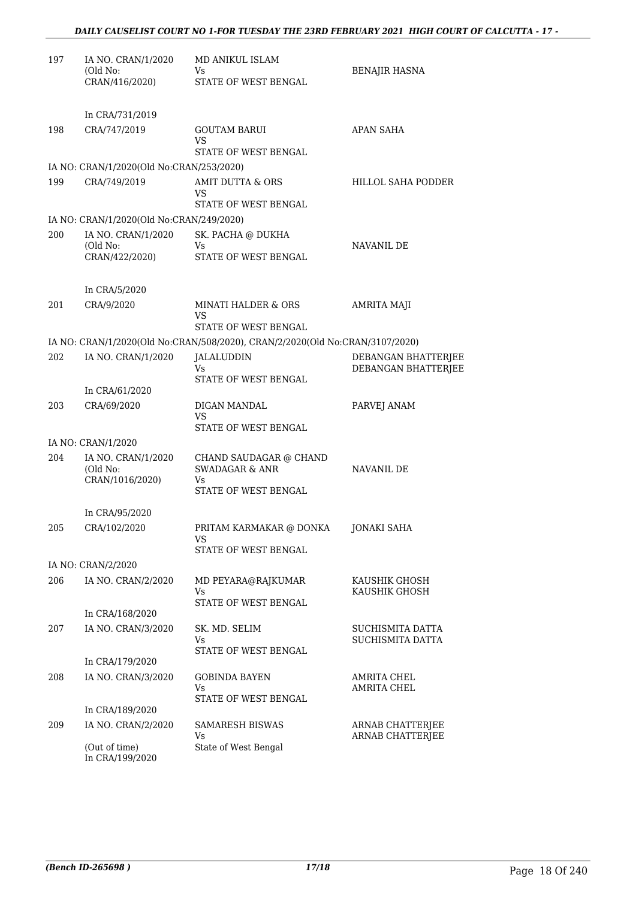| 197 | IA NO. CRAN/1/2020<br>(Old No:<br>CRAN/416/2020) | MD ANIKUL ISLAM<br>Vs<br>STATE OF WEST BENGAL                                | <b>BENAJIR HASNA</b>                       |
|-----|--------------------------------------------------|------------------------------------------------------------------------------|--------------------------------------------|
|     | In CRA/731/2019                                  |                                                                              |                                            |
| 198 | CRA/747/2019                                     | <b>GOUTAM BARUI</b><br>VS<br>STATE OF WEST BENGAL                            | <b>APAN SAHA</b>                           |
|     | IA NO: CRAN/1/2020(Old No:CRAN/253/2020)         |                                                                              |                                            |
| 199 | CRA/749/2019                                     | AMIT DUTTA & ORS<br>VS<br>STATE OF WEST BENGAL                               | HILLOL SAHA PODDER                         |
|     | IA NO: CRAN/1/2020(Old No:CRAN/249/2020)         |                                                                              |                                            |
| 200 | IA NO. CRAN/1/2020<br>(Old No:                   | SK. PACHA @ DUKHA<br>Vs                                                      | NAVANIL DE                                 |
|     | CRAN/422/2020)                                   | STATE OF WEST BENGAL                                                         |                                            |
|     | In CRA/5/2020                                    |                                                                              |                                            |
| 201 | CRA/9/2020                                       | <b>MINATI HALDER &amp; ORS</b><br>VS                                         | <b>AMRITA MAJI</b>                         |
|     |                                                  | STATE OF WEST BENGAL                                                         |                                            |
|     |                                                  | IA NO: CRAN/1/2020(Old No:CRAN/508/2020), CRAN/2/2020(Old No:CRAN/3107/2020) |                                            |
| 202 | IA NO. CRAN/1/2020                               | <b>JALALUDDIN</b><br>Vs<br>STATE OF WEST BENGAL                              | DEBANGAN BHATTERJEE<br>DEBANGAN BHATTERJEE |
|     | In CRA/61/2020                                   |                                                                              |                                            |
| 203 | CRA/69/2020                                      | DIGAN MANDAL<br>VS                                                           | PARVEJ ANAM                                |
|     |                                                  | STATE OF WEST BENGAL                                                         |                                            |
| 204 | IA NO: CRAN/1/2020<br>IA NO. CRAN/1/2020         | CHAND SAUDAGAR @ CHAND                                                       |                                            |
|     | (Old No:<br>CRAN/1016/2020)                      | <b>SWADAGAR &amp; ANR</b><br>Vs                                              | NAVANIL DE                                 |
|     |                                                  | STATE OF WEST BENGAL                                                         |                                            |
|     | In CRA/95/2020                                   |                                                                              |                                            |
| 205 | CRA/102/2020                                     | PRITAM KARMAKAR @ DONKA<br>VS                                                | JONAKI SAHA                                |
|     |                                                  | STATE OF WEST BENGAL                                                         |                                            |
| 206 | IA NO: CRAN/2/2020<br>IA NO. CRAN/2/2020         | MD PEYARA@RAJKUMAR                                                           | KAUSHIK GHOSH                              |
|     |                                                  | <b>Vs</b>                                                                    | KAUSHIK GHOSH                              |
|     | In CRA/168/2020                                  | STATE OF WEST BENGAL                                                         |                                            |
| 207 | IA NO. CRAN/3/2020                               | SK. MD. SELIM                                                                | SUCHISMITA DATTA                           |
|     |                                                  | Vs<br>STATE OF WEST BENGAL                                                   | SUCHISMITA DATTA                           |
|     | In CRA/179/2020                                  |                                                                              |                                            |
| 208 | IA NO. CRAN/3/2020                               | <b>GOBINDA BAYEN</b><br>Vs<br>STATE OF WEST BENGAL                           | <b>AMRITA CHEL</b><br><b>AMRITA CHEL</b>   |
|     | In CRA/189/2020                                  |                                                                              |                                            |
| 209 | IA NO. CRAN/2/2020                               | <b>SAMARESH BISWAS</b><br>Vs                                                 | ARNAB CHATTERJEE<br>ARNAB CHATTERJEE       |
|     | (Out of time)<br>In CRA/199/2020                 | State of West Bengal                                                         |                                            |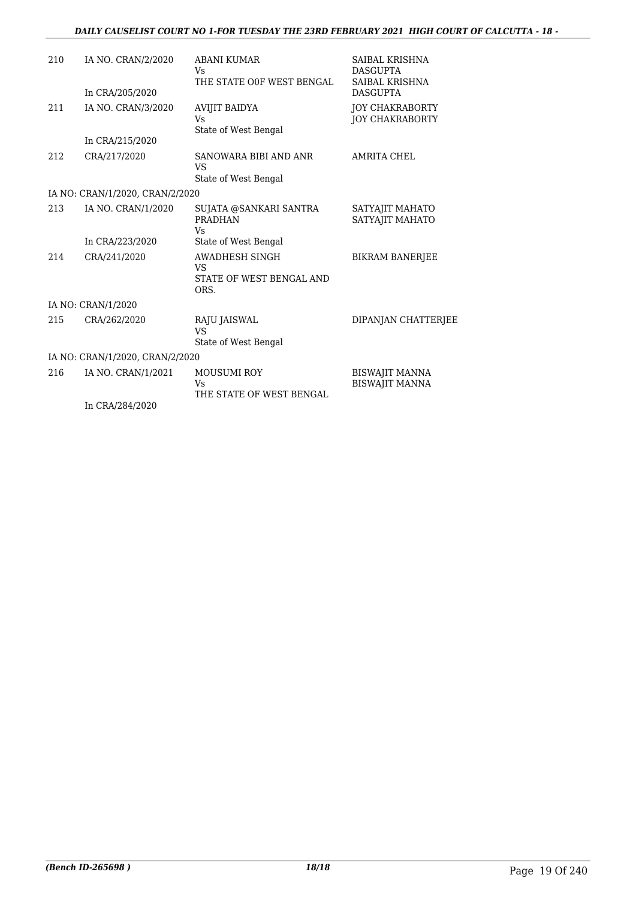| 210 | IA NO. CRAN/2/2020              | <b>ABANI KUMAR</b><br>Vs                                        | SAIBAL KRISHNA<br><b>DASGUPTA</b>                |
|-----|---------------------------------|-----------------------------------------------------------------|--------------------------------------------------|
|     | In CRA/205/2020                 | THE STATE OOF WEST BENGAL                                       | SAIBAL KRISHNA<br><b>DASGUPTA</b>                |
| 211 | IA NO. CRAN/3/2020              | <b>AVIJIT BAIDYA</b><br>Vs                                      | <b>JOY CHAKRABORTY</b><br><b>JOY CHAKRABORTY</b> |
|     | In CRA/215/2020                 | State of West Bengal                                            |                                                  |
| 212 | CRA/217/2020                    | SANOWARA BIBI AND ANR<br>VS                                     | <b>AMRITA CHEL</b>                               |
|     |                                 | State of West Bengal                                            |                                                  |
|     | IA NO: CRAN/1/2020, CRAN/2/2020 |                                                                 |                                                  |
| 213 | IA NO. CRAN/1/2020              | SUJATA @SANKARI SANTRA<br><b>PRADHAN</b><br>Vs.                 | SATYAJIT MAHATO<br>SATYAJIT MAHATO               |
|     | In CRA/223/2020                 | State of West Bengal                                            |                                                  |
| 214 | CRA/241/2020                    | AWADHESH SINGH<br><b>VS</b><br>STATE OF WEST BENGAL AND<br>ORS. | <b>BIKRAM BANERJEE</b>                           |
|     | IA NO: CRAN/1/2020              |                                                                 |                                                  |
| 215 | CRA/262/2020                    | RAJU JAISWAL<br>VS                                              | DIPANJAN CHATTERJEE                              |
|     |                                 | State of West Bengal                                            |                                                  |
|     | IA NO: CRAN/1/2020, CRAN/2/2020 |                                                                 |                                                  |
| 216 | IA NO. CRAN/1/2021              | <b>MOUSUMI ROY</b><br>Vs<br>THE STATE OF WEST BENGAL            | <b>BISWAJIT MANNA</b><br><b>BISWAJIT MANNA</b>   |
|     | In CRA/284/2020                 |                                                                 |                                                  |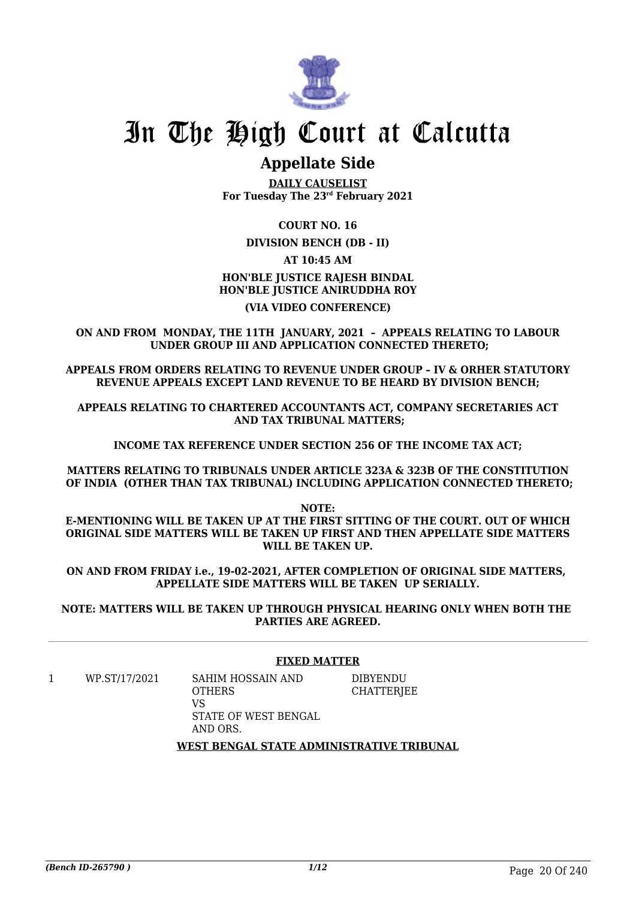

### **Appellate Side**

**DAILY CAUSELIST For Tuesday The 23rd February 2021**

### **COURT NO. 16**

### **DIVISION BENCH (DB - II)**

### **AT 10:45 AM HON'BLE JUSTICE RAJESH BINDAL HON'BLE JUSTICE ANIRUDDHA ROY**

### **(VIA VIDEO CONFERENCE)**

**ON AND FROM MONDAY, THE 11TH JANUARY, 2021 – APPEALS RELATING TO LABOUR UNDER GROUP III AND APPLICATION CONNECTED THERETO;**

**APPEALS FROM ORDERS RELATING TO REVENUE UNDER GROUP – IV & ORHER STATUTORY REVENUE APPEALS EXCEPT LAND REVENUE TO BE HEARD BY DIVISION BENCH;**

**APPEALS RELATING TO CHARTERED ACCOUNTANTS ACT, COMPANY SECRETARIES ACT AND TAX TRIBUNAL MATTERS;**

**INCOME TAX REFERENCE UNDER SECTION 256 OF THE INCOME TAX ACT;**

**MATTERS RELATING TO TRIBUNALS UNDER ARTICLE 323A & 323B OF THE CONSTITUTION OF INDIA (OTHER THAN TAX TRIBUNAL) INCLUDING APPLICATION CONNECTED THERETO;**

**NOTE: E-MENTIONING WILL BE TAKEN UP AT THE FIRST SITTING OF THE COURT. OUT OF WHICH ORIGINAL SIDE MATTERS WILL BE TAKEN UP FIRST AND THEN APPELLATE SIDE MATTERS WILL BE TAKEN UP.**

**ON AND FROM FRIDAY i.e., 19-02-2021, AFTER COMPLETION OF ORIGINAL SIDE MATTERS, APPELLATE SIDE MATTERS WILL BE TAKEN UP SERIALLY.**

**NOTE: MATTERS WILL BE TAKEN UP THROUGH PHYSICAL HEARING ONLY WHEN BOTH THE PARTIES ARE AGREED.**

### **FIXED MATTER**

DIBYENDU **CHATTERIEE** 

1 WP.ST/17/2021 SAHIM HOSSAIN AND

**OTHERS** VS STATE OF WEST BENGAL AND ORS.

**WEST BENGAL STATE ADMINISTRATIVE TRIBUNAL**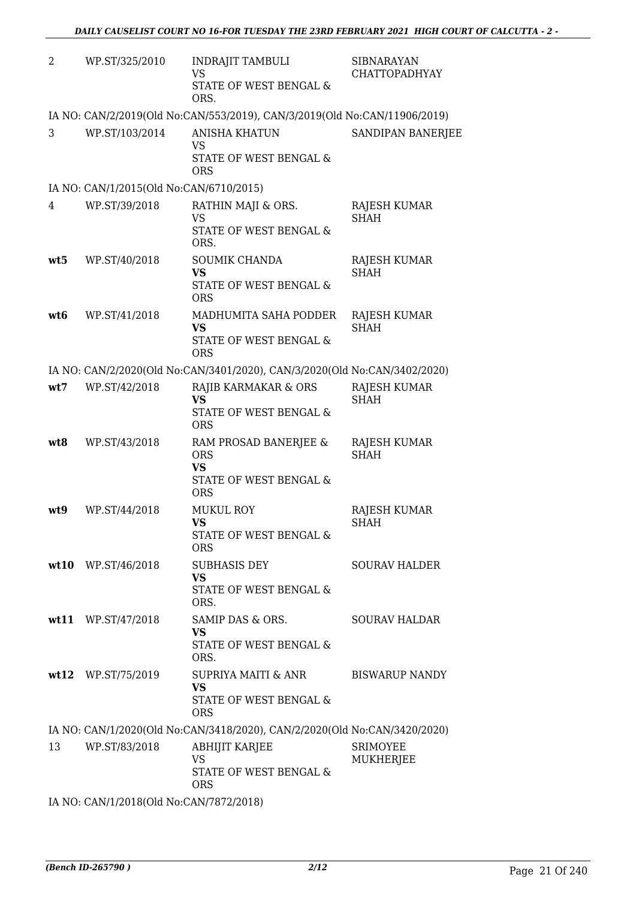| 2   | WP.ST/325/2010                          | <b>INDRAJIT TAMBULI</b><br><b>VS</b><br>STATE OF WEST BENGAL &<br>ORS.                   | <b>SIBNARAYAN</b><br><b>CHATTOPADHYAY</b> |
|-----|-----------------------------------------|------------------------------------------------------------------------------------------|-------------------------------------------|
|     |                                         | IA NO: CAN/2/2019(Old No:CAN/553/2019), CAN/3/2019(Old No:CAN/11906/2019)                |                                           |
| 3   | WP.ST/103/2014                          | <b>ANISHA KHATUN</b><br>VS<br>STATE OF WEST BENGAL &<br><b>ORS</b>                       | SANDIPAN BANERJEE                         |
|     | IA NO: CAN/1/2015(Old No:CAN/6710/2015) |                                                                                          |                                           |
| 4   | WP.ST/39/2018                           | RATHIN MAJI & ORS.<br>VS<br>STATE OF WEST BENGAL &<br>ORS.                               | <b>RAJESH KUMAR</b><br><b>SHAH</b>        |
| wt5 | WP.ST/40/2018                           | SOUMIK CHANDA<br><b>VS</b><br>STATE OF WEST BENGAL &<br><b>ORS</b>                       | RAJESH KUMAR<br><b>SHAH</b>               |
| wt6 | WP.ST/41/2018                           | MADHUMITA SAHA PODDER<br><b>VS</b><br>STATE OF WEST BENGAL &<br><b>ORS</b>               | <b>RAJESH KUMAR</b><br><b>SHAH</b>        |
|     |                                         | IA NO: CAN/2/2020(Old No:CAN/3401/2020), CAN/3/2020(Old No:CAN/3402/2020)                |                                           |
| wt7 | WP.ST/42/2018                           | RAJIB KARMAKAR & ORS<br><b>VS</b><br>STATE OF WEST BENGAL &<br><b>ORS</b>                | RAJESH KUMAR<br><b>SHAH</b>               |
| wt8 | WP.ST/43/2018                           | RAM PROSAD BANERJEE &<br><b>ORS</b><br><b>VS</b><br>STATE OF WEST BENGAL &<br><b>ORS</b> | RAJESH KUMAR<br><b>SHAH</b>               |
| wt9 | WP.ST/44/2018                           | <b>MUKUL ROY</b><br><b>VS</b><br>STATE OF WEST BENGAL &<br><b>ORS</b>                    | RAJESH KUMAR<br><b>SHAH</b>               |
|     | $wt10$ WP.ST/46/2018                    | SUBHASIS DEY<br><b>VS</b><br>STATE OF WEST BENGAL &<br>ORS.                              | <b>SOURAV HALDER</b>                      |
|     | $wt11$ WP.ST/47/2018                    | SAMIP DAS & ORS.<br><b>VS</b><br>STATE OF WEST BENGAL &<br>ORS.                          | <b>SOURAV HALDAR</b>                      |
|     | wt12 WP.ST/75/2019                      | SUPRIYA MAITI & ANR<br><b>VS</b><br>STATE OF WEST BENGAL &<br><b>ORS</b>                 | <b>BISWARUP NANDY</b>                     |
|     |                                         | IA NO: CAN/1/2020(Old No:CAN/3418/2020), CAN/2/2020(Old No:CAN/3420/2020)                |                                           |
| 13  | WP.ST/83/2018                           | ABHIJIT KARJEE<br><b>VS</b><br>STATE OF WEST BENGAL &<br><b>ORS</b>                      | <b>SRIMOYEE</b><br>MUKHERJEE              |
|     | IA NO: CAN/1/2018(Old No:CAN/7872/2018) |                                                                                          |                                           |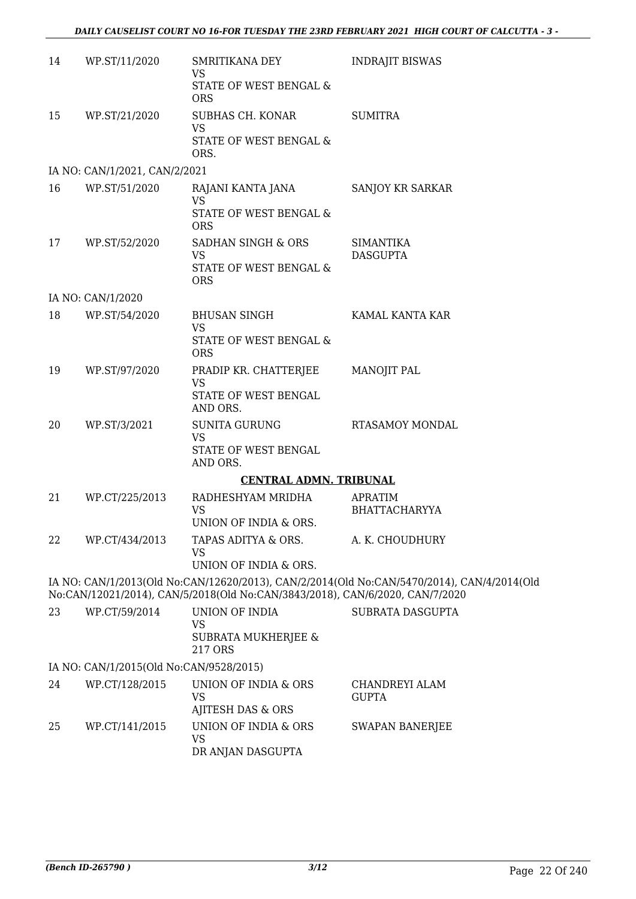| 14 | WP.ST/11/2020                           | SMRITIKANA DEY<br><b>VS</b><br>STATE OF WEST BENGAL &<br><b>ORS</b>          | <b>INDRAJIT BISWAS</b>                                                                     |
|----|-----------------------------------------|------------------------------------------------------------------------------|--------------------------------------------------------------------------------------------|
| 15 | WP.ST/21/2020                           | SUBHAS CH. KONAR<br><b>VS</b><br>STATE OF WEST BENGAL &<br>ORS.              | <b>SUMITRA</b>                                                                             |
|    | IA NO: CAN/1/2021, CAN/2/2021           |                                                                              |                                                                                            |
| 16 | WP.ST/51/2020                           | RAJANI KANTA JANA<br><b>VS</b><br>STATE OF WEST BENGAL &<br><b>ORS</b>       | SANJOY KR SARKAR                                                                           |
| 17 | WP.ST/52/2020                           | SADHAN SINGH & ORS<br><b>VS</b><br>STATE OF WEST BENGAL &<br><b>ORS</b>      | <b>SIMANTIKA</b><br><b>DASGUPTA</b>                                                        |
|    | IA NO: CAN/1/2020                       |                                                                              |                                                                                            |
| 18 | WP.ST/54/2020                           | <b>BHUSAN SINGH</b><br>VS<br>STATE OF WEST BENGAL &                          | KAMAL KANTA KAR                                                                            |
|    |                                         | <b>ORS</b>                                                                   |                                                                                            |
| 19 | WP.ST/97/2020                           | PRADIP KR. CHATTERJEE<br><b>VS</b><br>STATE OF WEST BENGAL<br>AND ORS.       | MANOJIT PAL                                                                                |
| 20 | WP.ST/3/2021                            | SUNITA GURUNG<br><b>VS</b><br>STATE OF WEST BENGAL<br>AND ORS.               | RTASAMOY MONDAL                                                                            |
|    |                                         | <b>CENTRAL ADMN. TRIBUNAL</b>                                                |                                                                                            |
| 21 | WP.CT/225/2013                          | RADHESHYAM MRIDHA<br><b>VS</b><br>UNION OF INDIA & ORS.                      | <b>APRATIM</b><br><b>BHATTACHARYYA</b>                                                     |
| 22 | WP.CT/434/2013                          | TAPAS ADITYA & ORS.<br>VS<br>UNION OF INDIA & ORS.                           | A. K. CHOUDHURY                                                                            |
|    |                                         | No:CAN/12021/2014), CAN/5/2018(Old No:CAN/3843/2018), CAN/6/2020, CAN/7/2020 | IA NO: CAN/1/2013(Old No:CAN/12620/2013), CAN/2/2014(Old No:CAN/5470/2014), CAN/4/2014(Old |
| 23 | WP.CT/59/2014                           | UNION OF INDIA<br><b>VS</b><br><b>SUBRATA MUKHERJEE &amp;</b><br>217 ORS     | <b>SUBRATA DASGUPTA</b>                                                                    |
|    | IA NO: CAN/1/2015(Old No:CAN/9528/2015) |                                                                              |                                                                                            |
| 24 | WP.CT/128/2015                          | UNION OF INDIA & ORS<br><b>VS</b><br>AJITESH DAS & ORS                       | CHANDREYI ALAM<br><b>GUPTA</b>                                                             |
| 25 | WP.CT/141/2015                          | UNION OF INDIA & ORS<br><b>VS</b><br>DR ANJAN DASGUPTA                       | <b>SWAPAN BANERJEE</b>                                                                     |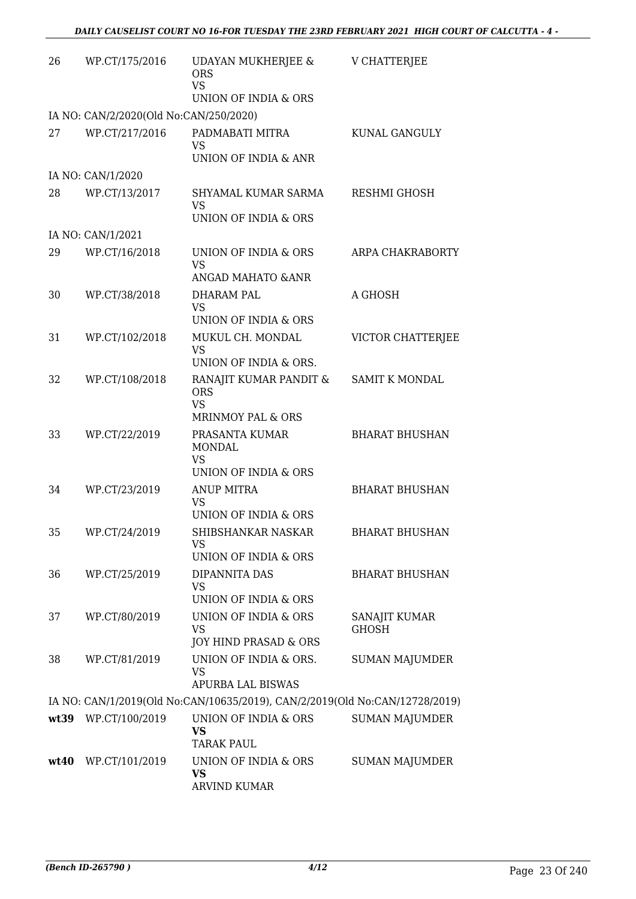| 26 | WP.CT/175/2016                         | <b>UDAYAN MUKHERJEE &amp;</b><br><b>ORS</b><br><b>VS</b>                    | V CHATTERJEE          |
|----|----------------------------------------|-----------------------------------------------------------------------------|-----------------------|
|    |                                        | UNION OF INDIA & ORS                                                        |                       |
|    | IA NO: CAN/2/2020(Old No:CAN/250/2020) |                                                                             |                       |
| 27 | WP.CT/217/2016                         | PADMABATI MITRA<br><b>VS</b><br>UNION OF INDIA & ANR                        | KUNAL GANGULY         |
|    | IA NO: CAN/1/2020                      |                                                                             |                       |
| 28 | WP.CT/13/2017                          | SHYAMAL KUMAR SARMA<br>VS                                                   | <b>RESHMI GHOSH</b>   |
|    |                                        | UNION OF INDIA & ORS                                                        |                       |
|    | IA NO: CAN/1/2021                      |                                                                             |                       |
| 29 | WP.CT/16/2018                          | UNION OF INDIA & ORS<br><b>VS</b>                                           | ARPA CHAKRABORTY      |
|    |                                        | ANGAD MAHATO & ANR                                                          |                       |
| 30 | WP.CT/38/2018                          | DHARAM PAL<br><b>VS</b><br>UNION OF INDIA & ORS                             | A GHOSH               |
| 31 | WP.CT/102/2018                         | MUKUL CH. MONDAL<br><b>VS</b><br>UNION OF INDIA & ORS.                      | VICTOR CHATTERJEE     |
| 32 | WP.CT/108/2018                         | RANAJIT KUMAR PANDIT &<br><b>ORS</b><br><b>VS</b>                           | <b>SAMIT K MONDAL</b> |
|    |                                        | MRINMOY PAL & ORS                                                           |                       |
| 33 | WP.CT/22/2019                          | PRASANTA KUMAR<br><b>MONDAL</b><br><b>VS</b><br>UNION OF INDIA & ORS        | <b>BHARAT BHUSHAN</b> |
| 34 | WP.CT/23/2019                          | <b>ANUP MITRA</b><br><b>VS</b>                                              | <b>BHARAT BHUSHAN</b> |
|    |                                        | UNION OF INDIA & ORS                                                        |                       |
| 35 | WP.CT/24/2019                          | SHIBSHANKAR NASKAR<br>VS                                                    | <b>BHARAT BHUSHAN</b> |
|    |                                        | UNION OF INDIA & ORS                                                        |                       |
| 36 | WP.CT/25/2019                          | DIPANNITA DAS<br>VS<br>UNION OF INDIA & ORS                                 | <b>BHARAT BHUSHAN</b> |
| 37 | WP.CT/80/2019                          | UNION OF INDIA & ORS                                                        | SANAJIT KUMAR         |
|    |                                        | <b>VS</b><br>JOY HIND PRASAD & ORS                                          | <b>GHOSH</b>          |
| 38 | WP.CT/81/2019                          | UNION OF INDIA & ORS.<br><b>VS</b><br>APURBA LAL BISWAS                     | <b>SUMAN MAJUMDER</b> |
|    |                                        | IA NO: CAN/1/2019(Old No:CAN/10635/2019), CAN/2/2019(Old No:CAN/12728/2019) |                       |
|    |                                        |                                                                             |                       |
|    | wt39 WP.CT/100/2019                    | UNION OF INDIA & ORS<br><b>VS</b><br><b>TARAK PAUL</b>                      | <b>SUMAN MAJUMDER</b> |
|    | wt40 WP.CT/101/2019                    | UNION OF INDIA & ORS<br><b>VS</b><br>ARVIND KUMAR                           | <b>SUMAN MAJUMDER</b> |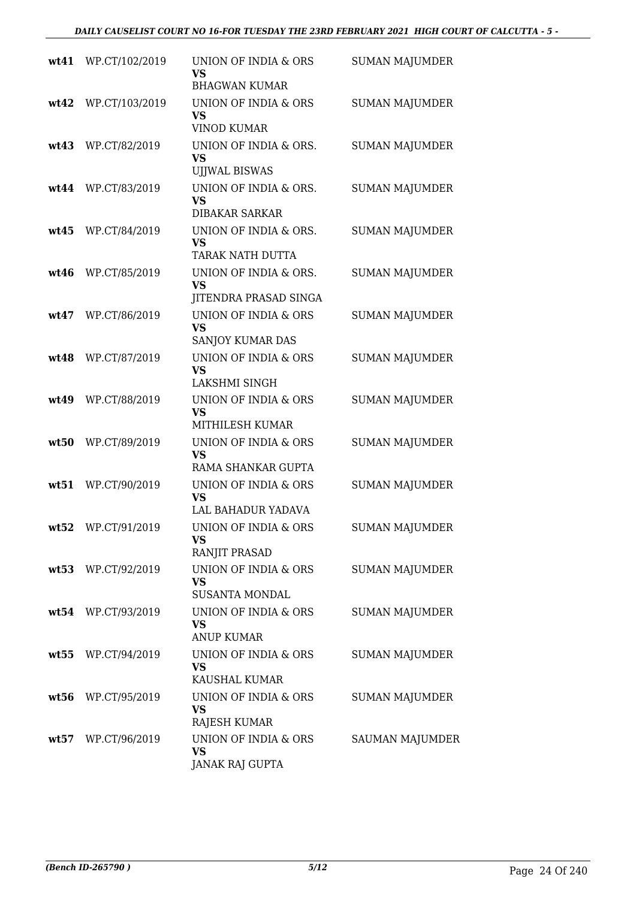|      | wt41 WP.CT/102/2019 | UNION OF INDIA & ORS<br>VS<br><b>BHAGWAN KUMAR</b>            | <b>SUMAN MAJUMDER</b>  |
|------|---------------------|---------------------------------------------------------------|------------------------|
| wt42 | WP.CT/103/2019      | UNION OF INDIA & ORS<br><b>VS</b><br><b>VINOD KUMAR</b>       | <b>SUMAN MAJUMDER</b>  |
| wt43 | WP.CT/82/2019       | UNION OF INDIA & ORS.<br><b>VS</b><br><b>UJJWAL BISWAS</b>    | <b>SUMAN MAJUMDER</b>  |
|      | wt44 WP.CT/83/2019  | UNION OF INDIA & ORS.<br><b>VS</b><br><b>DIBAKAR SARKAR</b>   | <b>SUMAN MAJUMDER</b>  |
| wt45 | WP.CT/84/2019       | UNION OF INDIA & ORS.<br><b>VS</b><br><b>TARAK NATH DUTTA</b> | <b>SUMAN MAJUMDER</b>  |
| wt46 | WP.CT/85/2019       | UNION OF INDIA & ORS.<br><b>VS</b><br>JITENDRA PRASAD SINGA   | <b>SUMAN MAJUMDER</b>  |
| wt47 | WP.CT/86/2019       | UNION OF INDIA & ORS<br><b>VS</b><br>SANJOY KUMAR DAS         | <b>SUMAN MAJUMDER</b>  |
| wt48 | WP.CT/87/2019       | <b>UNION OF INDIA &amp; ORS</b><br><b>VS</b><br>LAKSHMI SINGH | <b>SUMAN MAJUMDER</b>  |
|      | wt49 WP.CT/88/2019  | UNION OF INDIA & ORS<br><b>VS</b><br>MITHILESH KUMAR          | <b>SUMAN MAJUMDER</b>  |
| wt50 | WP.CT/89/2019       | UNION OF INDIA & ORS<br><b>VS</b><br>RAMA SHANKAR GUPTA       | <b>SUMAN MAJUMDER</b>  |
| wt51 | WP.CT/90/2019       | UNION OF INDIA & ORS<br><b>VS</b><br>LAL BAHADUR YADAVA       | <b>SUMAN MAJUMDER</b>  |
|      | wt52 WP.CT/91/2019  | UNION OF INDIA & ORS<br>VS<br>RANJIT PRASAD                   | <b>SUMAN MAJUMDER</b>  |
|      | wt53 WP.CT/92/2019  | UNION OF INDIA & ORS<br><b>VS</b><br><b>SUSANTA MONDAL</b>    | <b>SUMAN MAJUMDER</b>  |
|      | wt54 WP.CT/93/2019  | UNION OF INDIA & ORS<br>VS<br><b>ANUP KUMAR</b>               | <b>SUMAN MAJUMDER</b>  |
|      | wt55 WP.CT/94/2019  | UNION OF INDIA & ORS<br><b>VS</b><br>KAUSHAL KUMAR            | SUMAN MAJUMDER         |
| wt56 | WP.CT/95/2019       | UNION OF INDIA & ORS<br><b>VS</b><br>RAJESH KUMAR             | <b>SUMAN MAJUMDER</b>  |
|      | wt57 WP.CT/96/2019  | UNION OF INDIA & ORS<br><b>VS</b><br><b>JANAK RAJ GUPTA</b>   | <b>SAUMAN MAJUMDER</b> |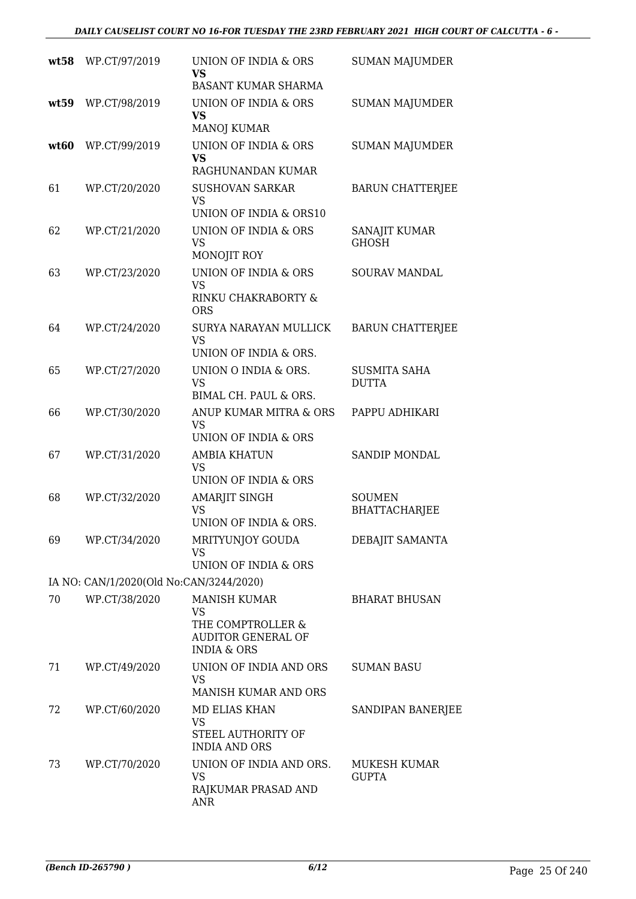|      | wt58 WP.CT/97/2019                      | UNION OF INDIA & ORS<br><b>VS</b><br><b>BASANT KUMAR SHARMA</b>                                              | <b>SUMAN MAJUMDER</b>                 |
|------|-----------------------------------------|--------------------------------------------------------------------------------------------------------------|---------------------------------------|
| wt59 | WP.CT/98/2019                           | UNION OF INDIA & ORS<br><b>VS</b><br><b>MANOJ KUMAR</b>                                                      | <b>SUMAN MAJUMDER</b>                 |
| wt60 | WP.CT/99/2019                           | UNION OF INDIA & ORS<br><b>VS</b><br>RAGHUNANDAN KUMAR                                                       | <b>SUMAN MAJUMDER</b>                 |
| 61   | WP.CT/20/2020                           | <b>SUSHOVAN SARKAR</b><br>VS.<br>UNION OF INDIA & ORS10                                                      | <b>BARUN CHATTERJEE</b>               |
| 62   | WP.CT/21/2020                           | UNION OF INDIA & ORS<br>VS<br>MONOJIT ROY                                                                    | SANAJIT KUMAR<br><b>GHOSH</b>         |
| 63   | WP.CT/23/2020                           | UNION OF INDIA & ORS<br><b>VS</b><br>RINKU CHAKRABORTY &<br><b>ORS</b>                                       | <b>SOURAV MANDAL</b>                  |
| 64   | WP.CT/24/2020                           | SURYA NARAYAN MULLICK<br><b>VS</b><br>UNION OF INDIA & ORS.                                                  | <b>BARUN CHATTERJEE</b>               |
| 65   | WP.CT/27/2020                           | UNION O INDIA & ORS.<br><b>VS</b><br>BIMAL CH. PAUL & ORS.                                                   | <b>SUSMITA SAHA</b><br><b>DUTTA</b>   |
| 66   | WP.CT/30/2020                           | ANUP KUMAR MITRA & ORS<br><b>VS</b><br>UNION OF INDIA & ORS                                                  | PAPPU ADHIKARI                        |
| 67   | WP.CT/31/2020                           | <b>AMBIA KHATUN</b><br><b>VS</b><br>UNION OF INDIA & ORS                                                     | SANDIP MONDAL                         |
| 68   | WP.CT/32/2020                           | <b>AMARJIT SINGH</b><br><b>VS</b><br>UNION OF INDIA & ORS.                                                   | <b>SOUMEN</b><br><b>BHATTACHARJEE</b> |
| 69   | WP.CT/34/2020                           | MRITYUNJOY GOUDA<br><b>VS</b><br>UNION OF INDIA & ORS                                                        | DEBAJIT SAMANTA                       |
|      | IA NO: CAN/1/2020(Old No:CAN/3244/2020) |                                                                                                              |                                       |
| 70   | WP.CT/38/2020                           | <b>MANISH KUMAR</b><br><b>VS</b><br>THE COMPTROLLER &<br><b>AUDITOR GENERAL OF</b><br><b>INDIA &amp; ORS</b> | <b>BHARAT BHUSAN</b>                  |
| 71   | WP.CT/49/2020                           | UNION OF INDIA AND ORS<br><b>VS</b><br>MANISH KUMAR AND ORS                                                  | SUMAN BASU                            |
| 72   | WP.CT/60/2020                           | MD ELIAS KHAN<br><b>VS</b><br>STEEL AUTHORITY OF<br><b>INDIA AND ORS</b>                                     | SANDIPAN BANERJEE                     |
| 73   | WP.CT/70/2020                           | UNION OF INDIA AND ORS.<br><b>VS</b><br>RAJKUMAR PRASAD AND<br><b>ANR</b>                                    | MUKESH KUMAR<br><b>GUPTA</b>          |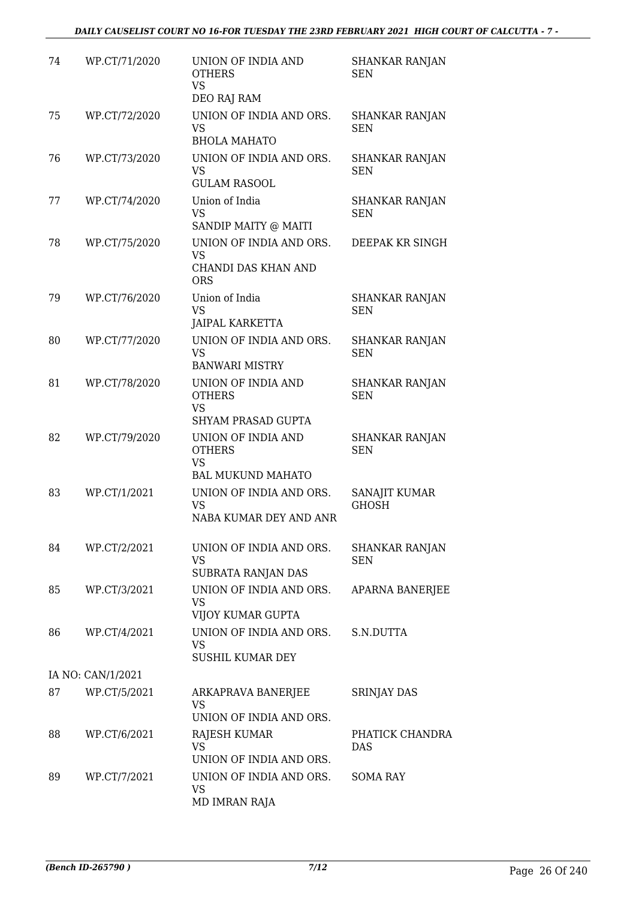| 74 | WP.CT/71/2020     | UNION OF INDIA AND<br><b>OTHERS</b><br><b>VS</b><br>DEO RAJ RAM              | <b>SHANKAR RANJAN</b><br><b>SEN</b> |
|----|-------------------|------------------------------------------------------------------------------|-------------------------------------|
| 75 | WP.CT/72/2020     | UNION OF INDIA AND ORS.<br><b>VS</b><br><b>BHOLA MAHATO</b>                  | <b>SHANKAR RANJAN</b><br><b>SEN</b> |
| 76 | WP.CT/73/2020     | UNION OF INDIA AND ORS.<br><b>VS</b><br><b>GULAM RASOOL</b>                  | <b>SHANKAR RANJAN</b><br><b>SEN</b> |
| 77 | WP.CT/74/2020     | Union of India<br><b>VS</b><br>SANDIP MAITY @ MAITI                          | SHANKAR RANJAN<br><b>SEN</b>        |
| 78 | WP.CT/75/2020     | UNION OF INDIA AND ORS.<br><b>VS</b><br>CHANDI DAS KHAN AND<br><b>ORS</b>    | DEEPAK KR SINGH                     |
| 79 | WP.CT/76/2020     | Union of India<br><b>VS</b><br><b>JAIPAL KARKETTA</b>                        | <b>SHANKAR RANJAN</b><br><b>SEN</b> |
| 80 | WP.CT/77/2020     | UNION OF INDIA AND ORS.<br><b>VS</b><br><b>BANWARI MISTRY</b>                | <b>SHANKAR RANJAN</b><br><b>SEN</b> |
| 81 | WP.CT/78/2020     | UNION OF INDIA AND<br><b>OTHERS</b><br><b>VS</b><br>SHYAM PRASAD GUPTA       | <b>SHANKAR RANJAN</b><br><b>SEN</b> |
| 82 | WP.CT/79/2020     | UNION OF INDIA AND<br><b>OTHERS</b><br><b>VS</b><br><b>BAL MUKUND MAHATO</b> | <b>SHANKAR RANJAN</b><br><b>SEN</b> |
| 83 | WP.CT/1/2021      | UNION OF INDIA AND ORS.<br><b>VS</b><br>NABA KUMAR DEY AND ANR               | SANAJIT KUMAR<br><b>GHOSH</b>       |
| 84 | WP.CT/2/2021      | UNION OF INDIA AND ORS.<br>VS<br>SUBRATA RANJAN DAS                          | <b>SHANKAR RANJAN</b><br><b>SEN</b> |
| 85 | WP.CT/3/2021      | UNION OF INDIA AND ORS.<br>VS<br>VIJOY KUMAR GUPTA                           | <b>APARNA BANERJEE</b>              |
| 86 | WP.CT/4/2021      | UNION OF INDIA AND ORS.<br>VS<br><b>SUSHIL KUMAR DEY</b>                     | S.N.DUTTA                           |
|    | IA NO: CAN/1/2021 |                                                                              |                                     |
| 87 | WP.CT/5/2021      | ARKAPRAVA BANERJEE<br><b>VS</b><br>UNION OF INDIA AND ORS.                   | <b>SRINJAY DAS</b>                  |
| 88 | WP.CT/6/2021      | RAJESH KUMAR<br><b>VS</b><br>UNION OF INDIA AND ORS.                         | PHATICK CHANDRA<br><b>DAS</b>       |
| 89 | WP.CT/7/2021      | UNION OF INDIA AND ORS.<br><b>VS</b><br>MD IMRAN RAJA                        | <b>SOMA RAY</b>                     |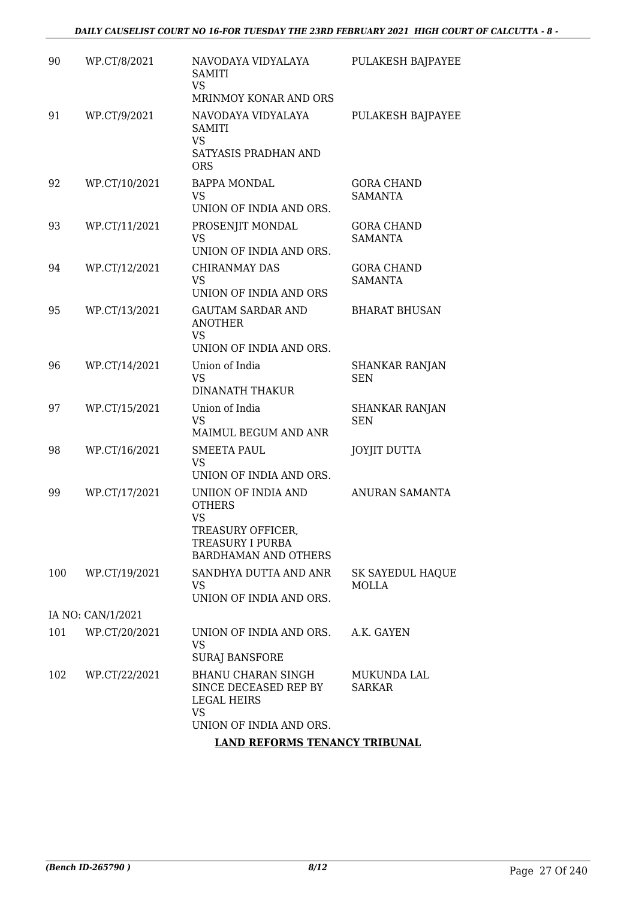| 90  | WP.CT/8/2021      | NAVODAYA VIDYALAYA<br><b>SAMITI</b><br><b>VS</b><br>MRINMOY KONAR AND ORS                                                 | PULAKESH BAJPAYEE                       |
|-----|-------------------|---------------------------------------------------------------------------------------------------------------------------|-----------------------------------------|
| 91  | WP.CT/9/2021      | NAVODAYA VIDYALAYA<br><b>SAMITI</b><br><b>VS</b><br>SATYASIS PRADHAN AND<br><b>ORS</b>                                    | PULAKESH BAJPAYEE                       |
| 92  | WP.CT/10/2021     | <b>BAPPA MONDAL</b><br><b>VS</b><br>UNION OF INDIA AND ORS.                                                               | <b>GORA CHAND</b><br><b>SAMANTA</b>     |
| 93  | WP.CT/11/2021     | PROSENJIT MONDAL<br>VS<br>UNION OF INDIA AND ORS.                                                                         | <b>GORA CHAND</b><br><b>SAMANTA</b>     |
| 94  | WP.CT/12/2021     | <b>CHIRANMAY DAS</b><br><b>VS</b><br>UNION OF INDIA AND ORS                                                               | <b>GORA CHAND</b><br><b>SAMANTA</b>     |
| 95  | WP.CT/13/2021     | <b>GAUTAM SARDAR AND</b><br><b>ANOTHER</b><br><b>VS</b><br>UNION OF INDIA AND ORS.                                        | <b>BHARAT BHUSAN</b>                    |
| 96  | WP.CT/14/2021     | Union of India<br><b>VS</b><br><b>DINANATH THAKUR</b>                                                                     | <b>SHANKAR RANJAN</b><br><b>SEN</b>     |
| 97  | WP.CT/15/2021     | Union of India<br><b>VS</b><br>MAIMUL BEGUM AND ANR                                                                       | <b>SHANKAR RANJAN</b><br><b>SEN</b>     |
| 98  | WP.CT/16/2021     | <b>SMEETA PAUL</b><br><b>VS</b><br>UNION OF INDIA AND ORS.                                                                | <b>JOYJIT DUTTA</b>                     |
| 99  | WP.CT/17/2021     | UNIION OF INDIA AND<br><b>OTHERS</b><br><b>VS</b><br>TREASURY OFFICER,<br>TREASURY I PURBA<br><b>BARDHAMAN AND OTHERS</b> | <b>ANURAN SAMANTA</b>                   |
| 100 | WP.CT/19/2021     | SANDHYA DUTTA AND ANR<br>VS.<br>UNION OF INDIA AND ORS.                                                                   | <b>SK SAYEDUL HAQUE</b><br><b>MOLLA</b> |
|     | IA NO: CAN/1/2021 |                                                                                                                           |                                         |
| 101 | WP.CT/20/2021     | UNION OF INDIA AND ORS.<br>VS<br><b>SURAJ BANSFORE</b>                                                                    | A.K. GAYEN                              |
| 102 | WP.CT/22/2021     | BHANU CHARAN SINGH<br>SINCE DECEASED REP BY<br>LEGAL HEIRS<br><b>VS</b><br>UNION OF INDIA AND ORS.                        | MUKUNDA LAL<br><b>SARKAR</b>            |
|     |                   | <b>LAND REFORMS TENANCY TRIBUNAL</b>                                                                                      |                                         |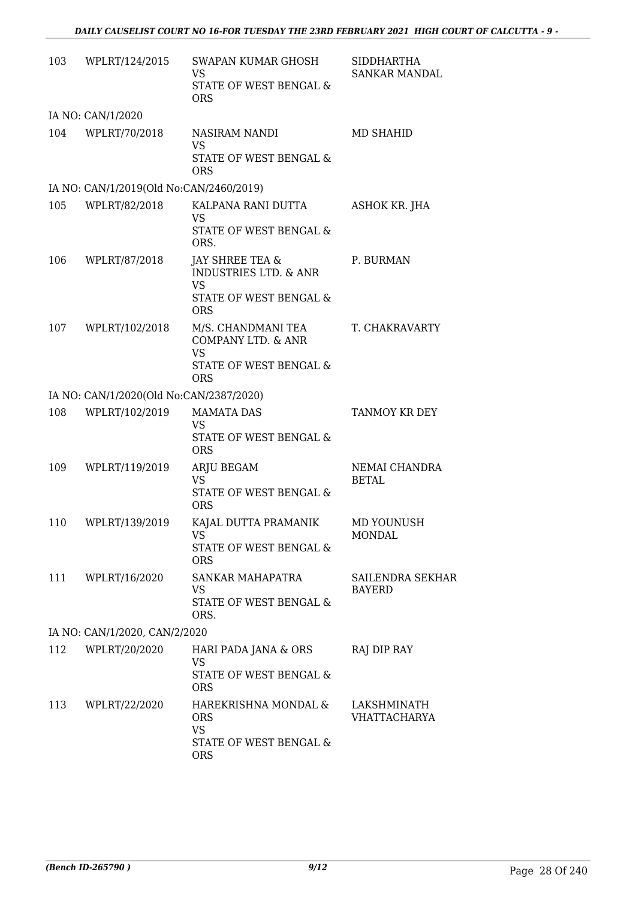| 103 | WPLRT/124/2015                          | SWAPAN KUMAR GHOSH<br><b>VS</b>                                                               | SIDDHARTHA<br>SANKAR MANDAL        |
|-----|-----------------------------------------|-----------------------------------------------------------------------------------------------|------------------------------------|
|     |                                         | STATE OF WEST BENGAL &<br><b>ORS</b>                                                          |                                    |
|     | IA NO: CAN/1/2020                       |                                                                                               |                                    |
| 104 | WPLRT/70/2018                           | NASIRAM NANDI<br><b>VS</b><br>STATE OF WEST BENGAL &<br><b>ORS</b>                            | MD SHAHID                          |
|     | IA NO: CAN/1/2019(Old No:CAN/2460/2019) |                                                                                               |                                    |
| 105 | WPLRT/82/2018                           | KALPANA RANI DUTTA<br><b>VS</b><br>STATE OF WEST BENGAL &<br>ORS.                             | <b>ASHOK KR. JHA</b>               |
| 106 | WPLRT/87/2018                           | JAY SHREE TEA &<br><b>INDUSTRIES LTD. &amp; ANR</b><br><b>VS</b><br>STATE OF WEST BENGAL &    | P. BURMAN                          |
|     |                                         | <b>ORS</b>                                                                                    |                                    |
| 107 | WPLRT/102/2018                          | M/S. CHANDMANI TEA<br>COMPANY LTD. & ANR<br><b>VS</b><br>STATE OF WEST BENGAL &<br><b>ORS</b> | T. CHAKRAVARTY                     |
|     | IA NO: CAN/1/2020(Old No:CAN/2387/2020) |                                                                                               |                                    |
| 108 | WPLRT/102/2019                          | <b>MAMATA DAS</b><br><b>VS</b><br>STATE OF WEST BENGAL &<br><b>ORS</b>                        | TANMOY KR DEY                      |
| 109 | WPLRT/119/2019                          | ARJU BEGAM<br><b>VS</b><br>STATE OF WEST BENGAL &<br><b>ORS</b>                               | NEMAI CHANDRA<br><b>BETAL</b>      |
| 110 | WPLRT/139/2019                          | KAJAL DUTTA PRAMANIK<br>VS<br>STATE OF WEST BENGAL &<br><b>ORS</b>                            | MD YOUNUSH<br><b>MONDAL</b>        |
| 111 | WPLRT/16/2020                           | <b>SANKAR MAHAPATRA</b><br>VS<br>STATE OF WEST BENGAL &<br>ORS.                               | SAILENDRA SEKHAR<br><b>BAYERD</b>  |
|     | IA NO: CAN/1/2020, CAN/2/2020           |                                                                                               |                                    |
| 112 | WPLRT/20/2020                           | HARI PADA JANA & ORS<br><b>VS</b><br>STATE OF WEST BENGAL &<br><b>ORS</b>                     | RAJ DIP RAY                        |
| 113 | WPLRT/22/2020                           | HAREKRISHNA MONDAL &<br><b>ORS</b><br><b>VS</b><br>STATE OF WEST BENGAL &                     | LAKSHMINATH<br><b>VHATTACHARYA</b> |
|     |                                         | <b>ORS</b>                                                                                    |                                    |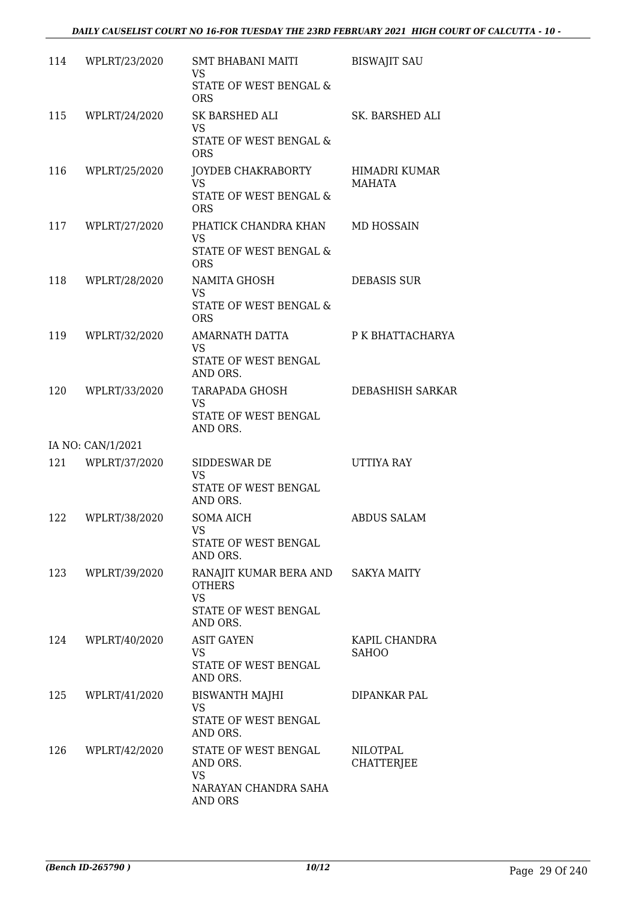| 114 | WPLRT/23/2020     | <b>SMT BHABANI MAITI</b><br><b>VS</b>                | <b>BISWAJIT SAU</b>                  |
|-----|-------------------|------------------------------------------------------|--------------------------------------|
|     |                   | STATE OF WEST BENGAL &<br><b>ORS</b>                 |                                      |
| 115 | WPLRT/24/2020     | SK BARSHED ALI<br><b>VS</b>                          | SK. BARSHED ALI                      |
|     |                   | STATE OF WEST BENGAL &<br><b>ORS</b>                 |                                      |
| 116 | WPLRT/25/2020     | JOYDEB CHAKRABORTY<br><b>VS</b>                      | HIMADRI KUMAR<br><b>MAHATA</b>       |
|     |                   | STATE OF WEST BENGAL &<br><b>ORS</b>                 |                                      |
| 117 | WPLRT/27/2020     | PHATICK CHANDRA KHAN<br><b>VS</b>                    | MD HOSSAIN                           |
|     |                   | STATE OF WEST BENGAL &<br><b>ORS</b>                 |                                      |
| 118 | WPLRT/28/2020     | NAMITA GHOSH<br>VS                                   | <b>DEBASIS SUR</b>                   |
|     |                   | STATE OF WEST BENGAL &<br><b>ORS</b>                 |                                      |
| 119 | WPLRT/32/2020     | AMARNATH DATTA<br><b>VS</b>                          | P K BHATTACHARYA                     |
|     |                   | STATE OF WEST BENGAL<br>AND ORS.                     |                                      |
| 120 | WPLRT/33/2020     | TARAPADA GHOSH<br><b>VS</b>                          | DEBASHISH SARKAR                     |
|     |                   | STATE OF WEST BENGAL<br>AND ORS.                     |                                      |
|     | IA NO: CAN/1/2021 |                                                      |                                      |
| 121 | WPLRT/37/2020     | SIDDESWAR DE<br><b>VS</b>                            | UTTIYA RAY                           |
|     |                   | STATE OF WEST BENGAL<br>AND ORS.                     |                                      |
| 122 | WPLRT/38/2020     | <b>SOMA AICH</b><br><b>VS</b>                        | <b>ABDUS SALAM</b>                   |
|     |                   | STATE OF WEST BENGAL<br>AND ORS.                     |                                      |
| 123 | WPLRT/39/2020     | RANAJIT KUMAR BERA AND<br><b>OTHERS</b><br><b>VS</b> | <b>SAKYA MAITY</b>                   |
|     |                   | STATE OF WEST BENGAL<br>AND ORS.                     |                                      |
| 124 | WPLRT/40/2020     | <b>ASIT GAYEN</b><br>VS                              | KAPIL CHANDRA<br><b>SAHOO</b>        |
|     |                   | STATE OF WEST BENGAL<br>AND ORS.                     |                                      |
| 125 | WPLRT/41/2020     | <b>BISWANTH MAJHI</b><br>VS                          | DIPANKAR PAL                         |
|     |                   | STATE OF WEST BENGAL<br>AND ORS.                     |                                      |
| 126 | WPLRT/42/2020     | STATE OF WEST BENGAL<br>AND ORS.                     | <b>NILOTPAL</b><br><b>CHATTERJEE</b> |
|     |                   | VS<br>NARAYAN CHANDRA SAHA                           |                                      |
|     |                   | AND ORS                                              |                                      |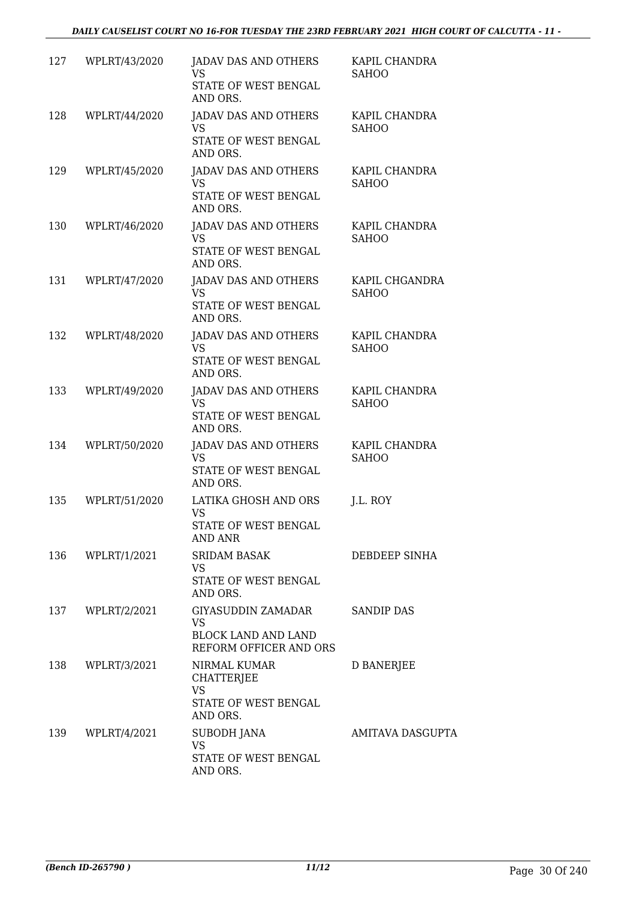| 127 | WPLRT/43/2020    | JADAV DAS AND OTHERS<br><b>VS</b><br>STATE OF WEST BENGAL<br>AND ORS.              | KAPIL CHANDRA<br><b>SAHOO</b>  |
|-----|------------------|------------------------------------------------------------------------------------|--------------------------------|
| 128 | WPLRT/44/2020    | <b>JADAV DAS AND OTHERS</b><br><b>VS</b><br>STATE OF WEST BENGAL<br>AND ORS.       | KAPIL CHANDRA<br><b>SAHOO</b>  |
| 129 | WPLRT/45/2020    | JADAV DAS AND OTHERS<br><b>VS</b><br>STATE OF WEST BENGAL<br>AND ORS.              | KAPIL CHANDRA<br><b>SAHOO</b>  |
| 130 | WPLRT/46/2020    | <b>JADAV DAS AND OTHERS</b><br>VS.<br>STATE OF WEST BENGAL<br>AND ORS.             | KAPIL CHANDRA<br><b>SAHOO</b>  |
| 131 | WPLRT/47/2020    | <b>JADAV DAS AND OTHERS</b><br>VS.<br>STATE OF WEST BENGAL<br>AND ORS.             | KAPIL CHGANDRA<br><b>SAHOO</b> |
| 132 | WPLRT/48/2020    | JADAV DAS AND OTHERS<br><b>VS</b><br>STATE OF WEST BENGAL<br>AND ORS.              | KAPIL CHANDRA<br><b>SAHOO</b>  |
| 133 | WPLRT/49/2020    | <b>JADAV DAS AND OTHERS</b><br><b>VS</b><br>STATE OF WEST BENGAL<br>AND ORS.       | KAPIL CHANDRA<br><b>SAHOO</b>  |
| 134 | WPLRT/50/2020    | JADAV DAS AND OTHERS<br><b>VS</b><br>STATE OF WEST BENGAL<br>AND ORS.              | KAPIL CHANDRA<br><b>SAHOO</b>  |
| 135 | WPLRT/51/2020    | LATIKA GHOSH AND ORS<br><b>VS</b><br>STATE OF WEST BENGAL<br>AND ANR               | J.L. ROY                       |
|     | 136 WPLRT/1/2021 | <b>SRIDAM BASAK</b><br>VS.<br>STATE OF WEST BENGAL<br>AND ORS.                     | DEBDEEP SINHA                  |
|     | 137 WPLRT/2/2021 | GIYASUDDIN ZAMADAR<br>VS.<br><b>BLOCK LAND AND LAND</b><br>REFORM OFFICER AND ORS  | <b>SANDIP DAS</b>              |
|     | 138 WPLRT/3/2021 | NIRMAL KUMAR<br><b>CHATTERJEE</b><br><b>VS</b><br>STATE OF WEST BENGAL<br>AND ORS. | <b>D BANERJEE</b>              |
| 139 | WPLRT/4/2021     | <b>SUBODH JANA</b><br><b>VS</b><br>STATE OF WEST BENGAL<br>AND ORS.                | AMITAVA DASGUPTA               |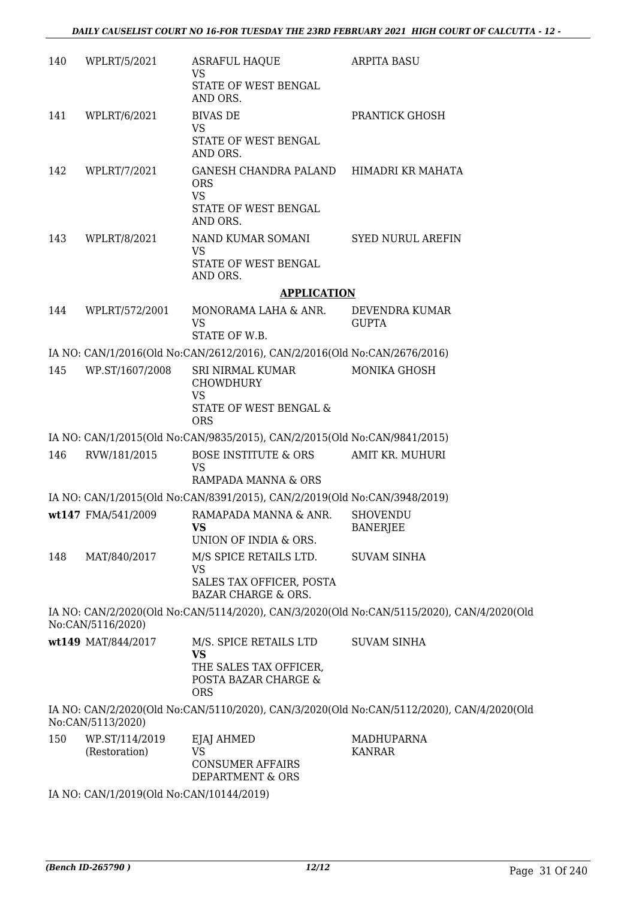| 140 | WPLRT/5/2021                    | <b>ASRAFUL HAQUE</b><br><b>VS</b>                                                         | <b>ARPITA BASU</b>                                                                        |
|-----|---------------------------------|-------------------------------------------------------------------------------------------|-------------------------------------------------------------------------------------------|
|     |                                 | STATE OF WEST BENGAL<br>AND ORS.                                                          |                                                                                           |
| 141 | WPLRT/6/2021                    | <b>BIVAS DE</b>                                                                           | PRANTICK GHOSH                                                                            |
|     |                                 | VS<br>STATE OF WEST BENGAL<br>AND ORS.                                                    |                                                                                           |
| 142 | WPLRT/7/2021                    | GANESH CHANDRA PALAND HIMADRI KR MAHATA<br><b>ORS</b><br><b>VS</b>                        |                                                                                           |
|     |                                 | STATE OF WEST BENGAL<br>AND ORS.                                                          |                                                                                           |
| 143 | WPLRT/8/2021                    | NAND KUMAR SOMANI<br><b>VS</b>                                                            | <b>SYED NURUL AREFIN</b>                                                                  |
|     |                                 | STATE OF WEST BENGAL<br>AND ORS.                                                          |                                                                                           |
|     |                                 | <b>APPLICATION</b>                                                                        |                                                                                           |
| 144 | WPLRT/572/2001                  | MONORAMA LAHA & ANR.<br><b>VS</b>                                                         | DEVENDRA KUMAR<br><b>GUPTA</b>                                                            |
|     |                                 | STATE OF W.B.                                                                             |                                                                                           |
|     |                                 | IA NO: CAN/1/2016(Old No:CAN/2612/2016), CAN/2/2016(Old No:CAN/2676/2016)                 |                                                                                           |
| 145 | WP.ST/1607/2008                 | SRI NIRMAL KUMAR<br><b>CHOWDHURY</b><br><b>VS</b><br>STATE OF WEST BENGAL &<br><b>ORS</b> | <b>MONIKA GHOSH</b>                                                                       |
|     |                                 |                                                                                           |                                                                                           |
|     |                                 | IA NO: CAN/1/2015(Old No:CAN/9835/2015), CAN/2/2015(Old No:CAN/9841/2015)                 |                                                                                           |
| 146 | RVW/181/2015                    | BOSE INSTITUTE & ORS<br>VS<br>RAMPADA MANNA & ORS                                         | AMIT KR. MUHURI                                                                           |
|     |                                 | IA NO: CAN/1/2015(Old No:CAN/8391/2015), CAN/2/2019(Old No:CAN/3948/2019)                 |                                                                                           |
|     | wt147 FMA/541/2009              | RAMAPADA MANNA & ANR.<br><b>VS</b>                                                        | <b>SHOVENDU</b><br><b>BANERJEE</b>                                                        |
|     |                                 | UNION OF INDIA & ORS.                                                                     |                                                                                           |
| 148 | MAT/840/2017                    | M/S SPICE RETAILS LTD.<br><b>VS</b>                                                       | <b>SUVAM SINHA</b>                                                                        |
|     |                                 | SALES TAX OFFICER, POSTA<br><b>BAZAR CHARGE &amp; ORS.</b>                                |                                                                                           |
|     | No:CAN/5116/2020)               |                                                                                           | IA NO: CAN/2/2020(Old No:CAN/5114/2020), CAN/3/2020(Old No:CAN/5115/2020), CAN/4/2020(Old |
|     | wt149 MAT/844/2017              | M/S. SPICE RETAILS LTD<br><b>VS</b>                                                       | <b>SUVAM SINHA</b>                                                                        |
|     |                                 | THE SALES TAX OFFICER,<br>POSTA BAZAR CHARGE &<br><b>ORS</b>                              |                                                                                           |
|     | No:CAN/5113/2020)               |                                                                                           | IA NO: CAN/2/2020(Old No:CAN/5110/2020), CAN/3/2020(Old No:CAN/5112/2020), CAN/4/2020(Old |
| 150 | WP.ST/114/2019<br>(Restoration) | EJAJ AHMED<br><b>VS</b><br><b>CONSUMER AFFAIRS</b><br>DEPARTMENT & ORS                    | MADHUPARNA<br><b>KANRAR</b>                                                               |
|     |                                 |                                                                                           |                                                                                           |

IA NO: CAN/1/2019(Old No:CAN/10144/2019)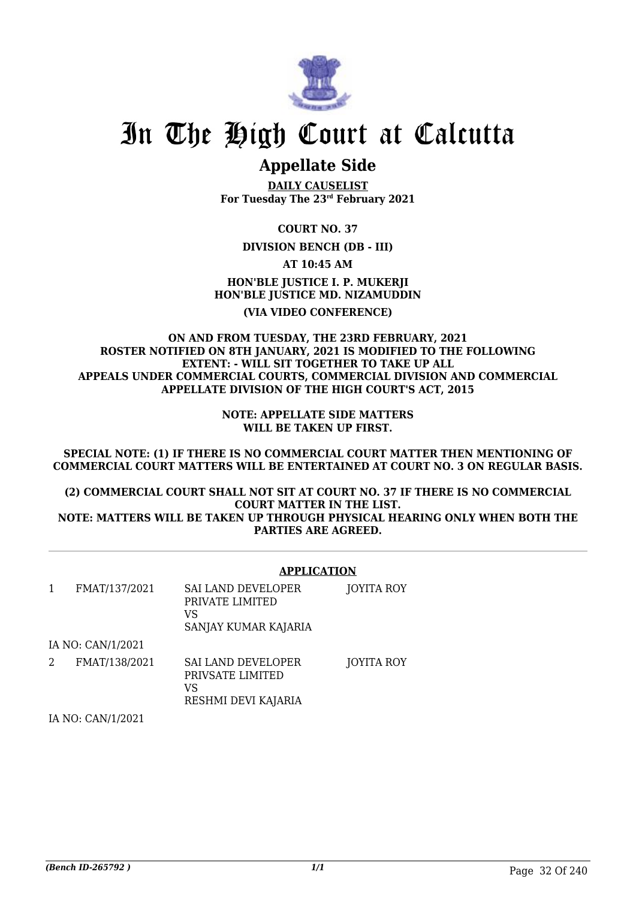

### **Appellate Side**

**DAILY CAUSELIST For Tuesday The 23rd February 2021**

**COURT NO. 37**

**DIVISION BENCH (DB - III)**

**AT 10:45 AM**

**HON'BLE JUSTICE I. P. MUKERJI HON'BLE JUSTICE MD. NIZAMUDDIN (VIA VIDEO CONFERENCE)**

### **ON AND FROM TUESDAY, THE 23RD FEBRUARY, 2021 ROSTER NOTIFIED ON 8TH JANUARY, 2021 IS MODIFIED TO THE FOLLOWING EXTENT: - WILL SIT TOGETHER TO TAKE UP ALL APPEALS UNDER COMMERCIAL COURTS, COMMERCIAL DIVISION AND COMMERCIAL APPELLATE DIVISION OF THE HIGH COURT'S ACT, 2015**

**NOTE: APPELLATE SIDE MATTERS WILL BE TAKEN UP FIRST.**

**SPECIAL NOTE: (1) IF THERE IS NO COMMERCIAL COURT MATTER THEN MENTIONING OF COMMERCIAL COURT MATTERS WILL BE ENTERTAINED AT COURT NO. 3 ON REGULAR BASIS.**

**(2) COMMERCIAL COURT SHALL NOT SIT AT COURT NO. 37 IF THERE IS NO COMMERCIAL COURT MATTER IN THE LIST. NOTE: MATTERS WILL BE TAKEN UP THROUGH PHYSICAL HEARING ONLY WHEN BOTH THE PARTIES ARE AGREED.**

|                   |               | <b>APPLICATION</b>                                                         |            |
|-------------------|---------------|----------------------------------------------------------------------------|------------|
| 1                 | FMAT/137/2021 | <b>SAI LAND DEVELOPER</b><br>PRIVATE LIMITED<br>VS<br>SANJAY KUMAR KAJARIA | JOYITA ROY |
| IA NO: CAN/1/2021 |               |                                                                            |            |
| 2                 | FMAT/138/2021 | SAI LAND DEVELOPER<br>PRIVSATE LIMITED<br>VS<br>RESHMI DEVI KAJARIA        | JOYITA ROY |
| IA NO: CAN/1/2021 |               |                                                                            |            |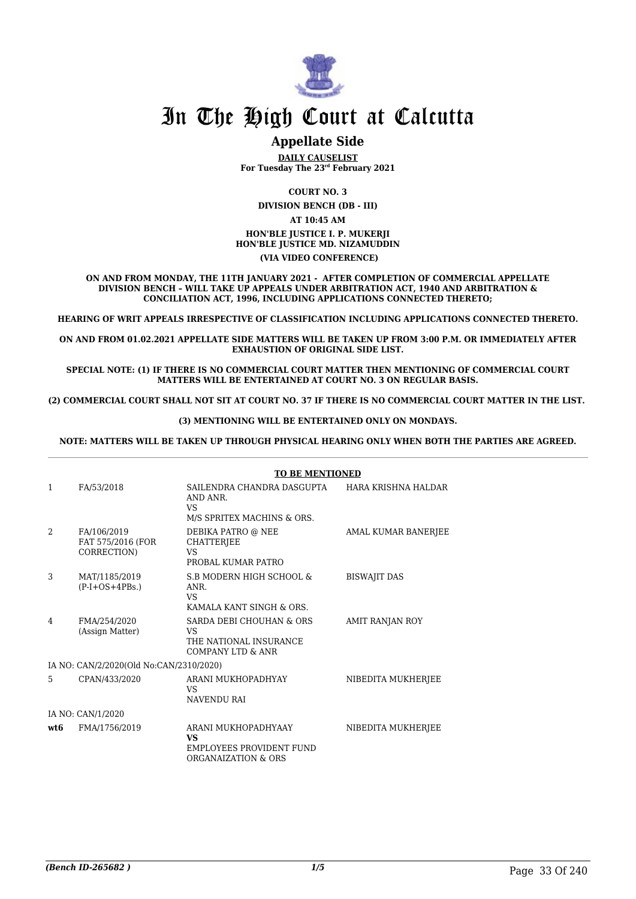

### **Appellate Side**

**DAILY CAUSELIST For Tuesday The 23rd February 2021**

**COURT NO. 3**

**DIVISION BENCH (DB - III)**

**AT 10:45 AM HON'BLE JUSTICE I. P. MUKERJI HON'BLE JUSTICE MD. NIZAMUDDIN (VIA VIDEO CONFERENCE)**

**ON AND FROM MONDAY, THE 11TH JANUARY 2021 - AFTER COMPLETION OF COMMERCIAL APPELLATE DIVISION BENCH – WILL TAKE UP APPEALS UNDER ARBITRATION ACT, 1940 AND ARBITRATION & CONCILIATION ACT, 1996, INCLUDING APPLICATIONS CONNECTED THERETO;**

**HEARING OF WRIT APPEALS IRRESPECTIVE OF CLASSIFICATION INCLUDING APPLICATIONS CONNECTED THERETO.**

**ON AND FROM 01.02.2021 APPELLATE SIDE MATTERS WILL BE TAKEN UP FROM 3:00 P.M. OR IMMEDIATELY AFTER EXHAUSTION OF ORIGINAL SIDE LIST.**

**SPECIAL NOTE: (1) IF THERE IS NO COMMERCIAL COURT MATTER THEN MENTIONING OF COMMERCIAL COURT MATTERS WILL BE ENTERTAINED AT COURT NO. 3 ON REGULAR BASIS.**

**(2) COMMERCIAL COURT SHALL NOT SIT AT COURT NO. 37 IF THERE IS NO COMMERCIAL COURT MATTER IN THE LIST.** 

**(3) MENTIONING WILL BE ENTERTAINED ONLY ON MONDAYS.**

**NOTE: MATTERS WILL BE TAKEN UP THROUGH PHYSICAL HEARING ONLY WHEN BOTH THE PARTIES ARE AGREED.**

|                   |                                                 | <b>TO BE MENTIONED</b>                                                                     |                        |
|-------------------|-------------------------------------------------|--------------------------------------------------------------------------------------------|------------------------|
| 1                 | FA/53/2018                                      | SAILENDRA CHANDRA DASGUPTA<br>AND ANR.<br><b>VS</b><br>M/S SPRITEX MACHINS & ORS.          | HARA KRISHNA HALDAR    |
| 2                 | FA/106/2019<br>FAT 575/2016 (FOR<br>CORRECTION) | DEBIKA PATRO @ NEE<br>CHATTERJEE<br><b>VS</b><br>PROBAL KUMAR PATRO                        | AMAL KUMAR BANERJEE    |
| 3                 | MAT/1185/2019<br>$(P-I+OS+4PBs.)$               | S.B MODERN HIGH SCHOOL &<br>ANR.<br><b>VS</b><br>KAMALA KANT SINGH & ORS.                  | <b>BISWAJIT DAS</b>    |
| 4                 | FMA/254/2020<br>(Assign Matter)                 | SARDA DEBI CHOUHAN & ORS<br>VS.<br>THE NATIONAL INSURANCE<br><b>COMPANY LTD &amp; ANR</b>  | <b>AMIT RANJAN ROY</b> |
|                   | IA NO: CAN/2/2020(Old No:CAN/2310/2020)         |                                                                                            |                        |
| 5                 | CPAN/433/2020                                   | ARANI MUKHOPADHYAY<br><b>VS</b><br><b>NAVENDU RAI</b>                                      | NIBEDITA MUKHERJEE     |
| IA NO: CAN/1/2020 |                                                 |                                                                                            |                        |
| wt.6              | FMA/1756/2019                                   | ARANI MUKHOPADHYAAY<br><b>VS</b><br><b>EMPLOYEES PROVIDENT FUND</b><br>ORGANAIZATION & ORS | NIBEDITA MUKHERJEE     |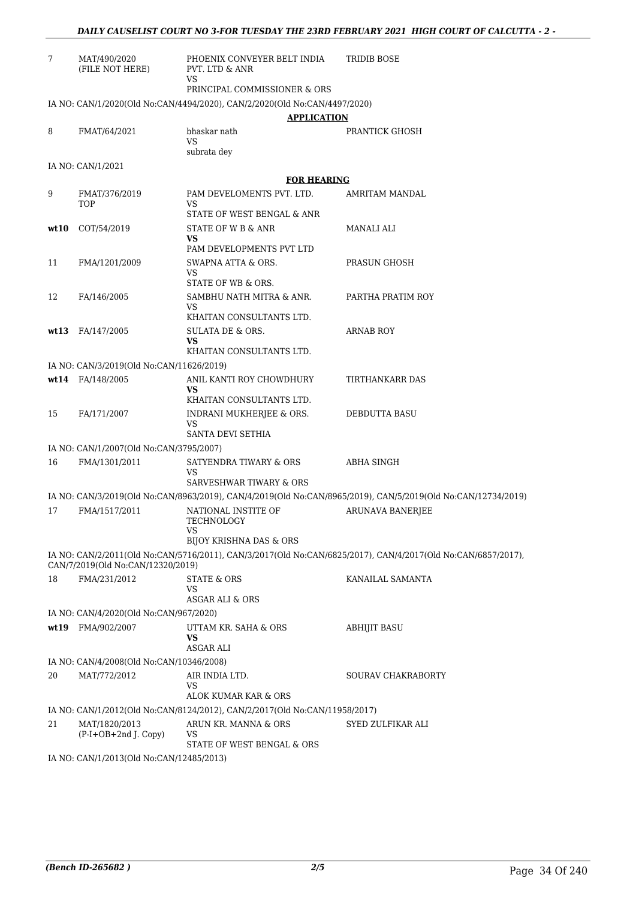| 7    | MAT/490/2020<br>(FILE NOT HERE)          | PHOENIX CONVEYER BELT INDIA<br>PVT. LTD & ANR<br><b>VS</b>                             | TRIDIB BOSE                                                                                                  |
|------|------------------------------------------|----------------------------------------------------------------------------------------|--------------------------------------------------------------------------------------------------------------|
|      |                                          | PRINCIPAL COMMISSIONER & ORS                                                           |                                                                                                              |
|      |                                          | IA NO: CAN/1/2020(Old No:CAN/4494/2020), CAN/2/2020(Old No:CAN/4497/2020)              |                                                                                                              |
|      |                                          | <b>APPLICATION</b>                                                                     |                                                                                                              |
| 8    | FMAT/64/2021                             | bhaskar nath<br><b>VS</b><br>subrata dey                                               | PRANTICK GHOSH                                                                                               |
|      | IA NO: CAN/1/2021                        |                                                                                        |                                                                                                              |
|      |                                          | <b>FOR HEARING</b>                                                                     |                                                                                                              |
| 9    | FMAT/376/2019<br><b>TOP</b>              | PAM DEVELOMENTS PVT. LTD.<br>VS                                                        | <b>AMRITAM MANDAL</b>                                                                                        |
|      |                                          | STATE OF WEST BENGAL & ANR                                                             |                                                                                                              |
| wt10 | COT/54/2019                              | STATE OF W B & ANR<br>VS<br>PAM DEVELOPMENTS PVT LTD                                   | MANALI ALI                                                                                                   |
| 11   | FMA/1201/2009                            | SWAPNA ATTA & ORS.                                                                     | PRASUN GHOSH                                                                                                 |
|      |                                          | <b>VS</b><br>STATE OF WB & ORS.                                                        |                                                                                                              |
| 12   | FA/146/2005                              | SAMBHU NATH MITRA & ANR.                                                               | PARTHA PRATIM ROY                                                                                            |
|      |                                          | VS<br>KHAITAN CONSULTANTS LTD.                                                         |                                                                                                              |
| wt13 | FA/147/2005                              | SULATA DE & ORS.<br>VS                                                                 | <b>ARNAB ROY</b>                                                                                             |
|      |                                          | KHAITAN CONSULTANTS LTD.                                                               |                                                                                                              |
|      | IA NO: CAN/3/2019(Old No:CAN/11626/2019) |                                                                                        |                                                                                                              |
|      | wt14 FA/148/2005                         | ANIL KANTI ROY CHOWDHURY<br><b>VS</b>                                                  | TIRTHANKARR DAS                                                                                              |
| 15   | FA/171/2007                              | KHAITAN CONSULTANTS LTD.<br>INDRANI MUKHERJEE & ORS.<br><b>VS</b><br>SANTA DEVI SETHIA | DEBDUTTA BASU                                                                                                |
|      | IA NO: CAN/1/2007(Old No:CAN/3795/2007)  |                                                                                        |                                                                                                              |
| 16   | FMA/1301/2011                            | SATYENDRA TIWARY & ORS<br>VS                                                           | <b>ABHA SINGH</b>                                                                                            |
|      |                                          | SARVESHWAR TIWARY & ORS                                                                |                                                                                                              |
|      |                                          |                                                                                        | IA NO: CAN/3/2019(Old No:CAN/8963/2019), CAN/4/2019(Old No:CAN/8965/2019), CAN/5/2019(Old No:CAN/12734/2019) |
| 17   | FMA/1517/2011                            | NATIONAL INSTITE OF<br><b>TECHNOLOGY</b>                                               | <b>ARUNAVA BANERJEE</b>                                                                                      |
|      |                                          | BIJOY KRISHNA DAS & ORS                                                                |                                                                                                              |
|      | CAN/7/2019(Old No:CAN/12320/2019)        |                                                                                        | IA NO: CAN/2/2011(Old No:CAN/5716/2011), CAN/3/2017(Old No:CAN/6825/2017), CAN/4/2017(Old No:CAN/6857/2017), |
| 18   | FMA/231/2012                             | <b>STATE &amp; ORS</b><br>VS                                                           | KANAILAL SAMANTA                                                                                             |
|      |                                          | <b>ASGAR ALI &amp; ORS</b>                                                             |                                                                                                              |
|      | IA NO: CAN/4/2020(Old No:CAN/967/2020)   |                                                                                        | <b>ABHIJIT BASU</b>                                                                                          |
| wt19 | FMA/902/2007                             | UTTAM KR. SAHA & ORS<br><b>VS</b><br><b>ASGAR ALI</b>                                  |                                                                                                              |
|      | IA NO: CAN/4/2008(Old No:CAN/10346/2008) |                                                                                        |                                                                                                              |
| 20   | MAT/772/2012                             | AIR INDIA LTD.<br>VS                                                                   | SOURAV CHAKRABORTY                                                                                           |
|      |                                          | ALOK KUMAR KAR & ORS                                                                   |                                                                                                              |
|      |                                          | IA NO: CAN/1/2012(Old No:CAN/8124/2012), CAN/2/2017(Old No:CAN/11958/2017)             |                                                                                                              |
| 21   | MAT/1820/2013<br>(P-I+OB+2nd J. Copy)    | ARUN KR. MANNA & ORS<br>VS<br>STATE OF WEST BENGAL & ORS                               | SYED ZULFIKAR ALI                                                                                            |
|      |                                          |                                                                                        |                                                                                                              |

IA NO: CAN/1/2013(Old No:CAN/12485/2013)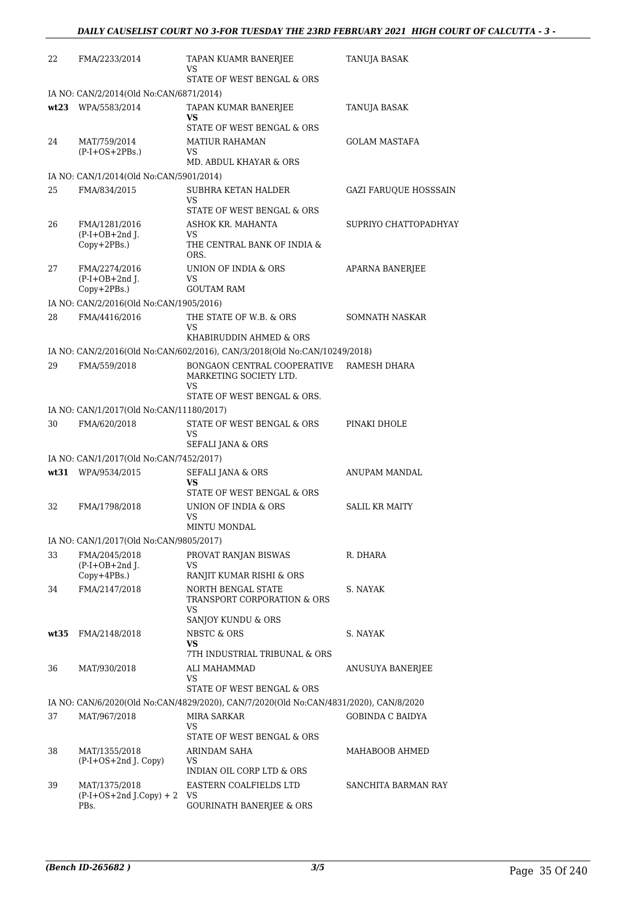| 22   | FMA/2233/2014                                       | TAPAN KUAMR BANERJEE<br>VS                                                            | <b>TANUJA BASAK</b>          |
|------|-----------------------------------------------------|---------------------------------------------------------------------------------------|------------------------------|
|      |                                                     | STATE OF WEST BENGAL & ORS                                                            |                              |
|      | IA NO: CAN/2/2014(Old No:CAN/6871/2014)             |                                                                                       |                              |
|      | wt23 WPA/5583/2014                                  | TAPAN KUMAR BANERJEE<br>VS<br>STATE OF WEST BENGAL & ORS                              | TANUJA BASAK                 |
| 24   | MAT/759/2014                                        | <b>MATIUR RAHAMAN</b>                                                                 | <b>GOLAM MASTAFA</b>         |
|      | $(P-I+OS+2PBs.)$                                    | VS<br>MD. ABDUL KHAYAR & ORS                                                          |                              |
|      | IA NO: CAN/1/2014(Old No:CAN/5901/2014)             |                                                                                       |                              |
| 25   | FMA/834/2015                                        | SUBHRA KETAN HALDER<br>VS<br>STATE OF WEST BENGAL & ORS                               | <b>GAZI FARUQUE HOSSSAIN</b> |
| 26   | FMA/1281/2016<br>$(P-I+OB+2nd J.$<br>Copy+2PBs.)    | ASHOK KR. MAHANTA<br>VS<br>THE CENTRAL BANK OF INDIA &<br>ORS.                        | SUPRIYO CHATTOPADHYAY        |
| 27   | FMA/2274/2016<br>$(P-I+OB+2nd J.$<br>Copy+2PBs.)    | UNION OF INDIA & ORS<br>VS<br><b>GOUTAM RAM</b>                                       | APARNA BANERJEE              |
|      | IA NO: CAN/2/2016(Old No:CAN/1905/2016)             |                                                                                       |                              |
| 28   | FMA/4416/2016                                       | THE STATE OF W.B. & ORS<br>VS                                                         | SOMNATH NASKAR               |
|      |                                                     | KHABIRUDDIN AHMED & ORS                                                               |                              |
|      |                                                     | IA NO: CAN/2/2016(Old No:CAN/602/2016), CAN/3/2018(Old No:CAN/10249/2018)             |                              |
| 29   | FMA/559/2018                                        | BONGAON CENTRAL COOPERATIVE<br>MARKETING SOCIETY LTD.<br>VS                           | RAMESH DHARA                 |
|      |                                                     | STATE OF WEST BENGAL & ORS.                                                           |                              |
|      | IA NO: CAN/1/2017(Old No:CAN/11180/2017)            |                                                                                       |                              |
| 30   | FMA/620/2018                                        | STATE OF WEST BENGAL & ORS<br>VS<br>SEFALI JANA & ORS                                 | PINAKI DHOLE                 |
|      | IA NO: CAN/1/2017(Old No:CAN/7452/2017)             |                                                                                       |                              |
|      | wt31 WPA/9534/2015                                  | <b>SEFALI JANA &amp; ORS</b><br>vs<br>STATE OF WEST BENGAL & ORS                      | ANUPAM MANDAL                |
| 32   | FMA/1798/2018                                       | UNION OF INDIA & ORS<br>VS<br>MINTU MONDAL                                            | <b>SALIL KR MAITY</b>        |
|      | IA NO: CAN/1/2017(Old No:CAN/9805/2017)             |                                                                                       |                              |
| 33   | FMA/2045/2018<br>$(P-I+OB+2nd$ J.<br>$Copy+4PBs.$ ) | PROVAT RANJAN BISWAS<br>VS<br>RANJIT KUMAR RISHI & ORS                                | R. DHARA                     |
| 34   | FMA/2147/2018                                       | NORTH BENGAL STATE<br>TRANSPORT CORPORATION & ORS<br>VS<br>SANJOY KUNDU & ORS         | S. NAYAK                     |
| wt35 | FMA/2148/2018                                       | NBSTC & ORS<br>VS<br>7TH INDUSTRIAL TRIBUNAL & ORS                                    | S. NAYAK                     |
| 36   | MAT/930/2018                                        | ALI MAHAMMAD<br>VS.<br>STATE OF WEST BENGAL & ORS                                     | ANUSUYA BANERJEE             |
|      |                                                     | IA NO: CAN/6/2020(Old No:CAN/4829/2020), CAN/7/2020(Old No:CAN/4831/2020), CAN/8/2020 |                              |
| 37   | MAT/967/2018                                        | MIRA SARKAR<br>VS                                                                     | <b>GOBINDA C BAIDYA</b>      |
|      |                                                     | STATE OF WEST BENGAL & ORS                                                            |                              |
| 38   | MAT/1355/2018<br>$(P-I+OS+2nd$ J. Copy)             | ARINDAM SAHA<br>VS<br>INDIAN OIL CORP LTD & ORS                                       | MAHABOOB AHMED               |
| 39   | MAT/1375/2018<br>$(P-I+OS+2nd J.Copy) + 2$<br>PBs.  | EASTERN COALFIELDS LTD<br>VS<br><b>GOURINATH BANERJEE &amp; ORS</b>                   | SANCHITA BARMAN RAY          |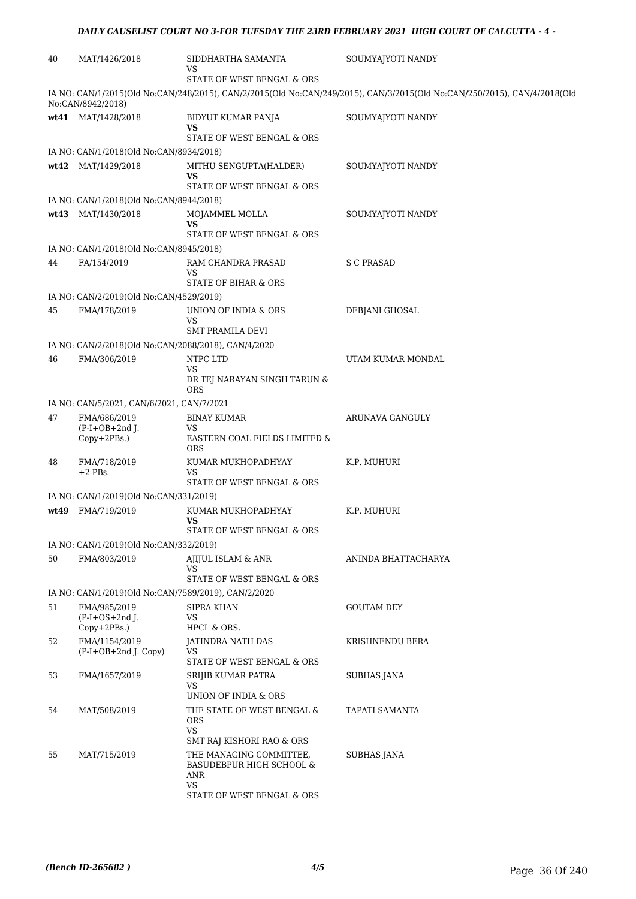| 40   | MAT/1426/2018                                       | SIDDHARTHA SAMANTA<br>VS                                         | SOUMYAJYOTI NANDY                                                                                                        |
|------|-----------------------------------------------------|------------------------------------------------------------------|--------------------------------------------------------------------------------------------------------------------------|
|      |                                                     | STATE OF WEST BENGAL & ORS                                       |                                                                                                                          |
|      | No:CAN/8942/2018)                                   |                                                                  | IA NO: CAN/1/2015(Old No:CAN/248/2015), CAN/2/2015(Old No:CAN/249/2015), CAN/3/2015(Old No:CAN/250/2015), CAN/4/2018(Old |
|      | wt41 MAT/1428/2018                                  | BIDYUT KUMAR PANJA<br>VS                                         | SOUMYAJYOTI NANDY                                                                                                        |
|      |                                                     | STATE OF WEST BENGAL & ORS                                       |                                                                                                                          |
|      | IA NO: CAN/1/2018(Old No:CAN/8934/2018)             |                                                                  |                                                                                                                          |
|      | wt42 MAT/1429/2018                                  | MITHU SENGUPTA(HALDER)<br>VS<br>STATE OF WEST BENGAL & ORS       | SOUMYAJYOTI NANDY                                                                                                        |
|      | IA NO: CAN/1/2018(Old No:CAN/8944/2018)             |                                                                  |                                                                                                                          |
|      | wt43 MAT/1430/2018                                  | MOJAMMEL MOLLA<br><b>VS</b>                                      | SOUMYAJYOTI NANDY                                                                                                        |
|      |                                                     | STATE OF WEST BENGAL & ORS                                       |                                                                                                                          |
|      | IA NO: CAN/1/2018(Old No:CAN/8945/2018)             |                                                                  |                                                                                                                          |
| 44   | FA/154/2019                                         | RAM CHANDRA PRASAD<br>VS<br>STATE OF BIHAR & ORS                 | S C PRASAD                                                                                                               |
|      | IA NO: CAN/2/2019(Old No:CAN/4529/2019)             |                                                                  |                                                                                                                          |
| 45   | FMA/178/2019                                        | UNION OF INDIA & ORS<br>VS                                       | DEBJANI GHOSAL                                                                                                           |
|      |                                                     | <b>SMT PRAMILA DEVI</b>                                          |                                                                                                                          |
|      | IA NO: CAN/2/2018(Old No:CAN/2088/2018), CAN/4/2020 |                                                                  |                                                                                                                          |
| 46   | FMA/306/2019                                        | NTPC LTD<br>VS<br>DR TEJ NARAYAN SINGH TARUN &<br>ORS            | UTAM KUMAR MONDAL                                                                                                        |
|      | IA NO: CAN/5/2021, CAN/6/2021, CAN/7/2021           |                                                                  |                                                                                                                          |
| 47   | FMA/686/2019                                        | <b>BINAY KUMAR</b>                                               | ARUNAVA GANGULY                                                                                                          |
|      | $(P-I+OB+2nd J.$<br>Copy+2PBs.)                     | VS<br>EASTERN COAL FIELDS LIMITED &<br>ORS                       |                                                                                                                          |
| 48   | FMA/718/2019<br>$+2$ PBs.                           | KUMAR MUKHOPADHYAY<br>VS                                         | K.P. MUHURI                                                                                                              |
|      |                                                     | STATE OF WEST BENGAL & ORS                                       |                                                                                                                          |
|      | IA NO: CAN/1/2019(Old No:CAN/331/2019)              |                                                                  |                                                                                                                          |
| wt49 | FMA/719/2019                                        | KUMAR MUKHOPADHYAY<br>VS<br>STATE OF WEST BENGAL & ORS           | K.P. MUHURI                                                                                                              |
|      | IA NO: CAN/1/2019(Old No:CAN/332/2019)              |                                                                  |                                                                                                                          |
| 50   | FMA/803/2019                                        | AJIJUL ISLAM & ANR                                               | ANINDA BHATTACHARYA                                                                                                      |
|      |                                                     | VS<br>STATE OF WEST BENGAL & ORS                                 |                                                                                                                          |
|      | IA NO: CAN/1/2019(Old No:CAN/7589/2019), CAN/2/2020 |                                                                  |                                                                                                                          |
| 51   | FMA/985/2019<br>$(P-I+OS+2nd$ J.<br>Copy+2PBs.)     | <b>SIPRA KHAN</b><br>VS<br>HPCL & ORS.                           | <b>GOUTAM DEY</b>                                                                                                        |
| 52   | FMA/1154/2019<br>$(P-I+OB+2nd J. Copy)$             | <b>JATINDRA NATH DAS</b><br>VS                                   | KRISHNENDU BERA                                                                                                          |
|      |                                                     | STATE OF WEST BENGAL & ORS                                       |                                                                                                                          |
| 53   | FMA/1657/2019                                       | SRIJIB KUMAR PATRA<br>VS<br>UNION OF INDIA & ORS                 | <b>SUBHAS JANA</b>                                                                                                       |
| 54   | MAT/508/2019                                        | THE STATE OF WEST BENGAL &<br>ORS<br>VS                          | TAPATI SAMANTA                                                                                                           |
|      |                                                     | SMT RAJ KISHORI RAO & ORS                                        |                                                                                                                          |
| 55   | MAT/715/2019                                        | THE MANAGING COMMITTEE,<br>BASUDEBPUR HIGH SCHOOL &<br>ANR<br>VS | <b>SUBHAS JANA</b>                                                                                                       |
|      |                                                     | STATE OF WEST BENGAL & ORS                                       |                                                                                                                          |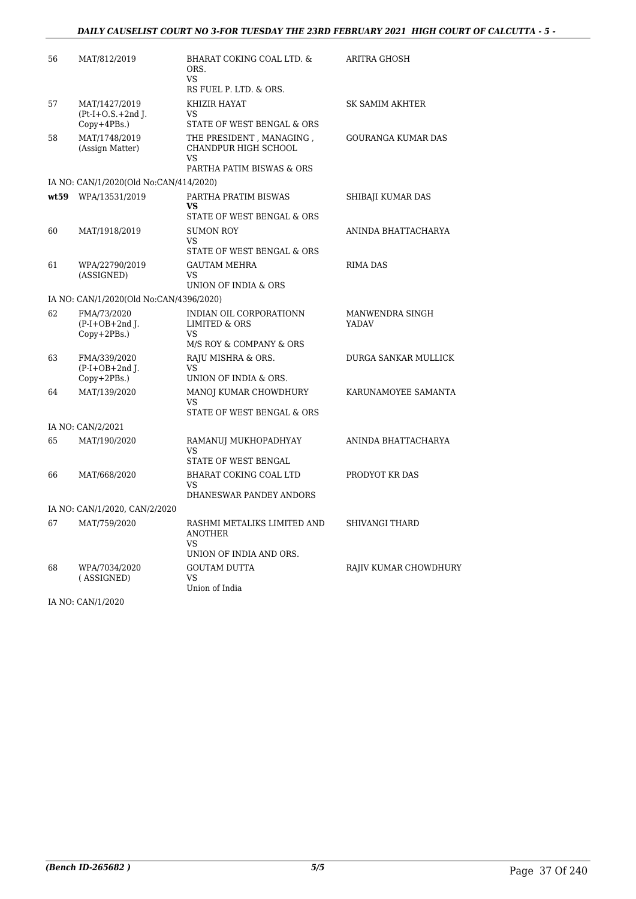### *DAILY CAUSELIST COURT NO 3-FOR TUESDAY THE 23RD FEBRUARY 2021 HIGH COURT OF CALCUTTA - 5 -*

| 56   | MAT/812/2019                                          | BHARAT COKING COAL LTD. &<br>ORS.<br><b>VS</b><br>RS FUEL P. LTD. & ORS.              | ARITRA GHOSH              |
|------|-------------------------------------------------------|---------------------------------------------------------------------------------------|---------------------------|
| 57   | MAT/1427/2019<br>$Pt-I+O.S.+2nd$ J.<br>$Copy+4PBs.$ ) | KHIZIR HAYAT<br>VS<br>STATE OF WEST BENGAL & ORS                                      | SK SAMIM AKHTER           |
| 58   | MAT/1748/2019<br>(Assign Matter)                      | THE PRESIDENT, MANAGING,<br>CHANDPUR HIGH SCHOOL<br>VS<br>PARTHA PATIM BISWAS & ORS   | <b>GOURANGA KUMAR DAS</b> |
|      | IA NO: CAN/1/2020(Old No:CAN/414/2020)                |                                                                                       |                           |
| wt59 | WPA/13531/2019                                        | PARTHA PRATIM BISWAS<br>VS.<br>STATE OF WEST BENGAL & ORS                             | SHIBAJI KUMAR DAS         |
| 60   | MAT/1918/2019                                         | <b>SUMON ROY</b><br>VS                                                                | ANINDA BHATTACHARYA       |
|      |                                                       | STATE OF WEST BENGAL & ORS                                                            |                           |
| 61   | WPA/22790/2019<br>(ASSIGNED)                          | <b>GAUTAM MEHRA</b><br>VS<br>UNION OF INDIA & ORS                                     | <b>RIMA DAS</b>           |
|      | IA NO: CAN/1/2020(Old No:CAN/4396/2020)               |                                                                                       |                           |
| 62   | FMA/73/2020<br>$(P-I+OB+2nd I.$<br>$Copy+2PBs.$ )     | INDIAN OIL CORPORATIONN<br><b>LIMITED &amp; ORS</b><br>VS.<br>M/S ROY & COMPANY & ORS | MANWENDRA SINGH<br>YADAV  |
| 63   | FMA/339/2020<br>$(P-I+OB+2nd I.$<br>Copy+2PBs.)       | RAJU MISHRA & ORS.<br>VS<br>UNION OF INDIA & ORS.                                     | DURGA SANKAR MULLICK      |
| 64   | MAT/139/2020                                          | MANOJ KUMAR CHOWDHURY<br><b>VS</b><br>STATE OF WEST BENGAL & ORS                      | KARUNAMOYEE SAMANTA       |
|      | IA NO: CAN/2/2021                                     |                                                                                       |                           |
| 65   | MAT/190/2020                                          | RAMANUJ MUKHOPADHYAY<br>VS.<br>STATE OF WEST BENGAL                                   | ANINDA BHATTACHARYA       |
| 66   | MAT/668/2020                                          | BHARAT COKING COAL LTD<br><b>VS</b><br>DHANESWAR PANDEY ANDORS                        | PRODYOT KR DAS            |
|      | IA NO: CAN/1/2020, CAN/2/2020                         |                                                                                       |                           |
| 67   | MAT/759/2020                                          | RASHMI METALIKS LIMITED AND<br><b>ANOTHER</b><br>VS<br>UNION OF INDIA AND ORS.        | <b>SHIVANGI THARD</b>     |
| 68   | WPA/7034/2020<br>(ASSIGNED)                           | <b>GOUTAM DUTTA</b><br>VS<br>Union of India                                           | RAJIV KUMAR CHOWDHURY     |

IA NO: CAN/1/2020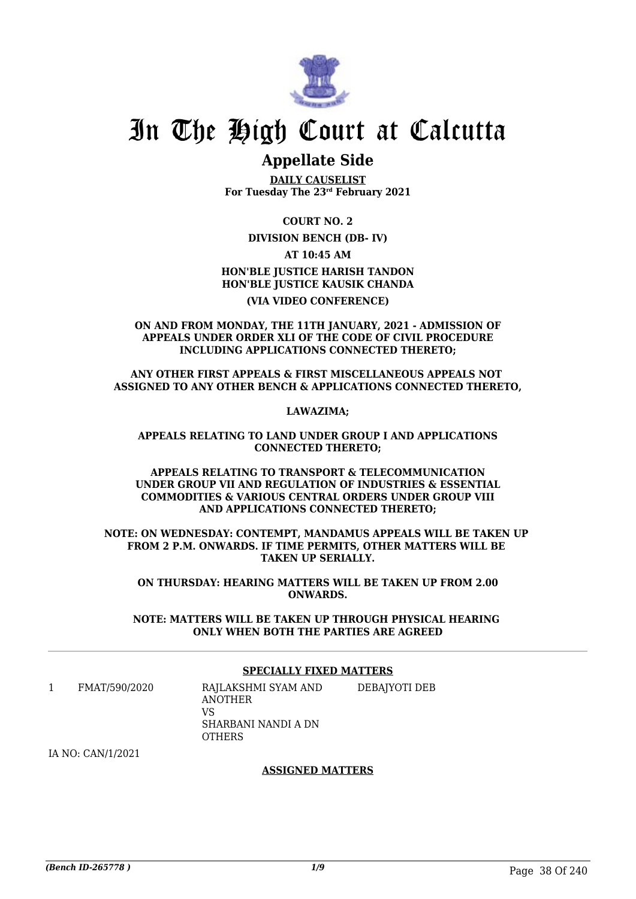

# In The High Court at Calcutta

### **Appellate Side**

**DAILY CAUSELIST For Tuesday The 23rd February 2021**

**COURT NO. 2**

**DIVISION BENCH (DB- IV)**

**AT 10:45 AM**

**HON'BLE JUSTICE HARISH TANDON HON'BLE JUSTICE KAUSIK CHANDA**

**(VIA VIDEO CONFERENCE)**

**ON AND FROM MONDAY, THE 11TH JANUARY, 2021 - ADMISSION OF APPEALS UNDER ORDER XLI OF THE CODE OF CIVIL PROCEDURE INCLUDING APPLICATIONS CONNECTED THERETO;**

**ANY OTHER FIRST APPEALS & FIRST MISCELLANEOUS APPEALS NOT ASSIGNED TO ANY OTHER BENCH & APPLICATIONS CONNECTED THERETO,**

**LAWAZIMA;**

**APPEALS RELATING TO LAND UNDER GROUP I AND APPLICATIONS CONNECTED THERETO;**

**APPEALS RELATING TO TRANSPORT & TELECOMMUNICATION UNDER GROUP VII AND REGULATION OF INDUSTRIES & ESSENTIAL COMMODITIES & VARIOUS CENTRAL ORDERS UNDER GROUP VIII AND APPLICATIONS CONNECTED THERETO;**

**NOTE: ON WEDNESDAY: CONTEMPT, MANDAMUS APPEALS WILL BE TAKEN UP FROM 2 P.M. ONWARDS. IF TIME PERMITS, OTHER MATTERS WILL BE TAKEN UP SERIALLY.**

**ON THURSDAY: HEARING MATTERS WILL BE TAKEN UP FROM 2.00 ONWARDS.**

**NOTE: MATTERS WILL BE TAKEN UP THROUGH PHYSICAL HEARING ONLY WHEN BOTH THE PARTIES ARE AGREED**

### **SPECIALLY FIXED MATTERS**

1 FMAT/590/2020 RAJLAKSHMI SYAM AND ANOTHER **VC** SHARBANI NANDI A DN **OTHERS** DEBAJYOTI DEB

IA NO: CAN/1/2021

### **ASSIGNED MATTERS**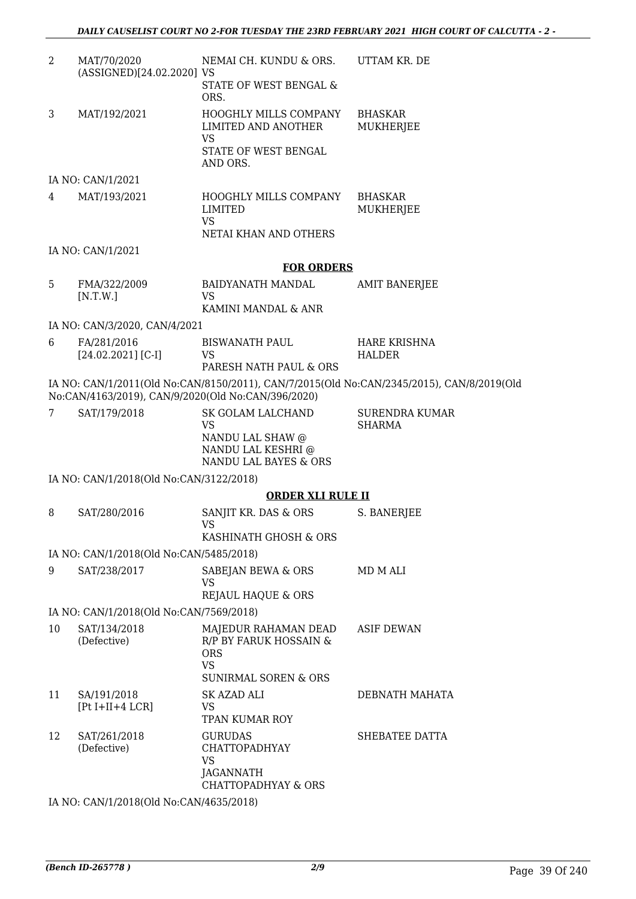| 2  | MAT/70/2020<br>(ASSIGNED)[24.02.2020] VS           | NEMAI CH. KUNDU & ORS.<br>STATE OF WEST BENGAL &<br>ORS.                                                     | UTTAM KR. DE                                                                              |
|----|----------------------------------------------------|--------------------------------------------------------------------------------------------------------------|-------------------------------------------------------------------------------------------|
| 3  | MAT/192/2021                                       | HOOGHLY MILLS COMPANY<br>LIMITED AND ANOTHER<br><b>VS</b><br>STATE OF WEST BENGAL<br>AND ORS.                | <b>BHASKAR</b><br><b>MUKHERJEE</b>                                                        |
|    | IA NO: CAN/1/2021                                  |                                                                                                              |                                                                                           |
| 4  | MAT/193/2021                                       | HOOGHLY MILLS COMPANY<br>LIMITED<br><b>VS</b>                                                                | <b>BHASKAR</b><br><b>MUKHERJEE</b>                                                        |
|    |                                                    | NETAI KHAN AND OTHERS                                                                                        |                                                                                           |
|    | IA NO: CAN/1/2021                                  |                                                                                                              |                                                                                           |
| 5  | FMA/322/2009<br>[N.T.W.]                           | <b>FOR ORDERS</b><br><b>BAIDYANATH MANDAL</b><br><b>VS</b><br>KAMINI MANDAL & ANR                            | <b>AMIT BANERJEE</b>                                                                      |
|    | IA NO: CAN/3/2020, CAN/4/2021                      |                                                                                                              |                                                                                           |
| 6  | FA/281/2016<br>$[24.02.2021]$ [C-I]                | <b>BISWANATH PAUL</b><br><b>VS</b><br>PARESH NATH PAUL & ORS                                                 | HARE KRISHNA<br><b>HALDER</b>                                                             |
|    | No:CAN/4163/2019), CAN/9/2020(Old No:CAN/396/2020) |                                                                                                              | IA NO: CAN/1/2011(Old No:CAN/8150/2011), CAN/7/2015(Old No:CAN/2345/2015), CAN/8/2019(Old |
| 7  | SAT/179/2018                                       | SK GOLAM LALCHAND<br><b>VS</b><br>NANDU LAL SHAW @<br>NANDU LAL KESHRI @<br>NANDU LAL BAYES & ORS            | <b>SURENDRA KUMAR</b><br><b>SHARMA</b>                                                    |
|    | IA NO: CAN/1/2018(Old No:CAN/3122/2018)            |                                                                                                              |                                                                                           |
|    |                                                    | <b>ORDER XLI RULE II</b>                                                                                     |                                                                                           |
| 8  | SAT/280/2016                                       | SANJIT KR. DAS & ORS<br>VS                                                                                   | S. BANERJEE                                                                               |
|    |                                                    | KASHINATH GHOSH & ORS                                                                                        |                                                                                           |
|    | IA NO: CAN/1/2018(Old No:CAN/5485/2018)            |                                                                                                              |                                                                                           |
| 9  | SAT/238/2017                                       | SABEJAN BEWA & ORS<br><b>VS</b><br><b>REJAUL HAQUE &amp; ORS</b>                                             | MD M ALI                                                                                  |
|    | IA NO: CAN/1/2018(Old No:CAN/7569/2018)            |                                                                                                              |                                                                                           |
| 10 | SAT/134/2018<br>(Defective)                        | MAJEDUR RAHAMAN DEAD<br>R/P BY FARUK HOSSAIN &<br><b>ORS</b><br><b>VS</b><br><b>SUNIRMAL SOREN &amp; ORS</b> | ASIF DEWAN                                                                                |
| 11 | SA/191/2018<br>$[Pt I+II+4 LCR]$                   | SK AZAD ALI<br>VS.<br>TPAN KUMAR ROY                                                                         | DEBNATH MAHATA                                                                            |
| 12 | SAT/261/2018<br>(Defective)                        | <b>GURUDAS</b><br><b>CHATTOPADHYAY</b><br>VS<br>JAGANNATH<br><b>CHATTOPADHYAY &amp; ORS</b>                  | SHEBATEE DATTA                                                                            |
|    |                                                    | $\mathbf{A}^T$ $\alpha$ $\mathbf{A}^T$ $\alpha$ $\alpha$ $\alpha$ $\alpha$ $\alpha$ $\alpha$                 |                                                                                           |

IA NO: CAN/1/2018(Old No:CAN/4635/2018)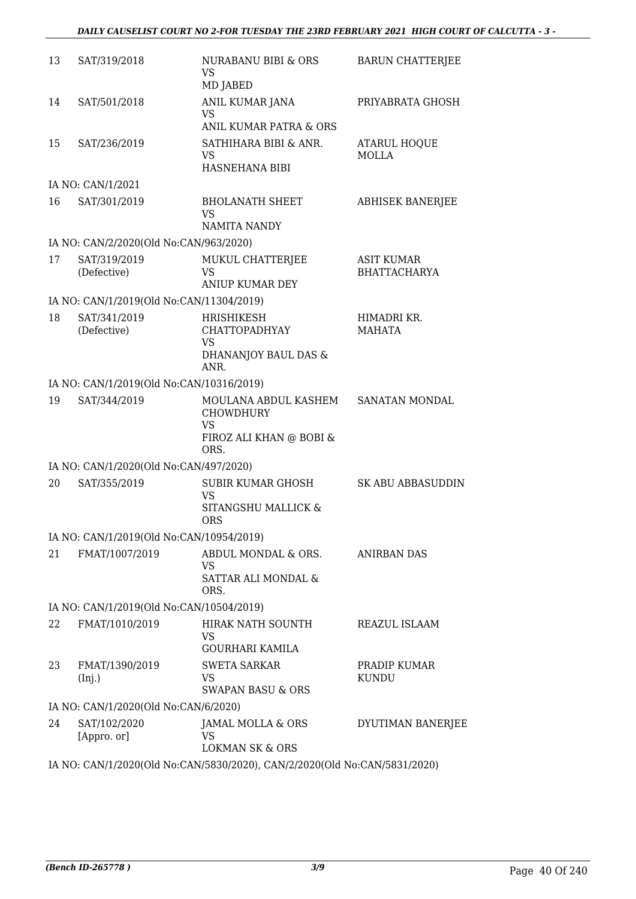| 13 | SAT/319/2018                             | NURABANU BIBI & ORS<br>VS<br>MD JABED                                                      | <b>BARUN CHATTERJEE</b>                  |
|----|------------------------------------------|--------------------------------------------------------------------------------------------|------------------------------------------|
| 14 | SAT/501/2018                             | ANIL KUMAR JANA<br><b>VS</b><br>ANIL KUMAR PATRA & ORS                                     | PRIYABRATA GHOSH                         |
| 15 | SAT/236/2019                             | SATHIHARA BIBI & ANR.<br><b>VS</b><br>HASNEHANA BIBI                                       | ATARUL HOQUE<br><b>MOLLA</b>             |
|    | IA NO: CAN/1/2021                        |                                                                                            |                                          |
| 16 | SAT/301/2019                             | <b>BHOLANATH SHEET</b><br><b>VS</b><br>NAMITA NANDY                                        | <b>ABHISEK BANERJEE</b>                  |
|    | IA NO: CAN/2/2020(Old No:CAN/963/2020)   |                                                                                            |                                          |
| 17 | SAT/319/2019<br>(Defective)              | MUKUL CHATTERJEE<br>VS                                                                     | <b>ASIT KUMAR</b><br><b>BHATTACHARYA</b> |
|    |                                          | <b>ANIUP KUMAR DEY</b>                                                                     |                                          |
|    | IA NO: CAN/1/2019(Old No:CAN/11304/2019) |                                                                                            |                                          |
| 18 | SAT/341/2019<br>(Defective)              | HRISHIKESH<br><b>CHATTOPADHYAY</b><br>VS<br>DHANANJOY BAUL DAS &<br>ANR.                   | HIMADRI KR.<br><b>MAHATA</b>             |
|    | IA NO: CAN/1/2019(Old No:CAN/10316/2019) |                                                                                            |                                          |
| 19 | SAT/344/2019                             | MOULANA ABDUL KASHEM<br><b>CHOWDHURY</b><br><b>VS</b><br>FIROZ ALI KHAN @ BOBI &           | SANATAN MONDAL                           |
|    |                                          | ORS.                                                                                       |                                          |
| 20 | IA NO: CAN/1/2020(Old No:CAN/497/2020)   | SUBIR KUMAR GHOSH                                                                          | <b>SK ABU ABBASUDDIN</b>                 |
|    | SAT/355/2019                             | <b>VS</b><br>SITANGSHU MALLICK &<br><b>ORS</b>                                             |                                          |
|    | IA NO: CAN/1/2019(Old No:CAN/10954/2019) |                                                                                            |                                          |
| 21 | FMAT/1007/2019                           | ABDUL MONDAL & ORS.<br>VS<br>SATTAR ALI MONDAL &<br>ORS.                                   | <b>ANIRBAN DAS</b>                       |
|    | IA NO: CAN/1/2019(Old No:CAN/10504/2019) |                                                                                            |                                          |
| 22 | FMAT/1010/2019                           | HIRAK NATH SOUNTH<br>VS                                                                    | REAZUL ISLAAM                            |
| 23 | FMAT/1390/2019<br>(Inj.)                 | <b>GOURHARI KAMILA</b><br><b>SWETA SARKAR</b><br><b>VS</b><br><b>SWAPAN BASU &amp; ORS</b> | PRADIP KUMAR<br><b>KUNDU</b>             |
|    | IA NO: CAN/1/2020(Old No:CAN/6/2020)     |                                                                                            |                                          |
| 24 | SAT/102/2020<br>[Appro. or]              | JAMAL MOLLA & ORS<br>VS<br><b>LOKMAN SK &amp; ORS</b>                                      | DYUTIMAN BANERJEE                        |
|    |                                          | IA NO: CAN/1/2020(Old No:CAN/5830/2020), CAN/2/2020(Old No:CAN/5831/2020)                  |                                          |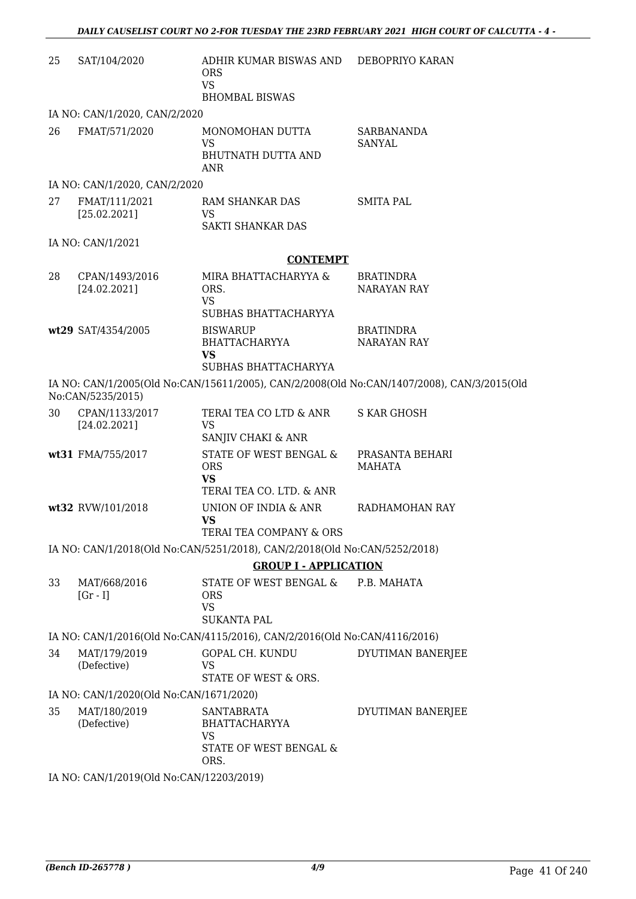| 25 | SAT/104/2020                             | ADHIR KUMAR BISWAS AND<br><b>ORS</b><br><b>VS</b><br><b>BHOMBAL BISWAS</b>    | DEBOPRIYO KARAN                                                                            |
|----|------------------------------------------|-------------------------------------------------------------------------------|--------------------------------------------------------------------------------------------|
|    | IA NO: CAN/1/2020, CAN/2/2020            |                                                                               |                                                                                            |
| 26 | FMAT/571/2020                            | MONOMOHAN DUTTA<br><b>VS</b><br><b>BHUTNATH DUTTA AND</b><br><b>ANR</b>       | <b>SARBANANDA</b><br>SANYAL                                                                |
|    | IA NO: CAN/1/2020, CAN/2/2020            |                                                                               |                                                                                            |
| 27 | FMAT/111/2021<br>[25.02.2021]            | RAM SHANKAR DAS<br>VS<br><b>SAKTI SHANKAR DAS</b>                             | <b>SMITA PAL</b>                                                                           |
|    | IA NO: CAN/1/2021                        |                                                                               |                                                                                            |
|    |                                          | <b>CONTEMPT</b>                                                               |                                                                                            |
| 28 | CPAN/1493/2016<br>[24.02.2021]           | MIRA BHATTACHARYYA &<br>ORS.<br><b>VS</b><br>SUBHAS BHATTACHARYYA             | <b>BRATINDRA</b><br><b>NARAYAN RAY</b>                                                     |
|    | wt29 SAT/4354/2005                       | <b>BISWARUP</b><br>BHATTACHARYYA<br><b>VS</b>                                 | <b>BRATINDRA</b><br><b>NARAYAN RAY</b>                                                     |
|    |                                          | SUBHAS BHATTACHARYYA                                                          |                                                                                            |
|    | No:CAN/5235/2015)                        |                                                                               | IA NO: CAN/1/2005(Old No:CAN/15611/2005), CAN/2/2008(Old No:CAN/1407/2008), CAN/3/2015(Old |
| 30 | CPAN/1133/2017<br>[24.02.2021]           | TERAI TEA CO LTD & ANR<br><b>VS</b><br>SANJIV CHAKI & ANR                     | <b>S KAR GHOSH</b>                                                                         |
|    | wt31 FMA/755/2017                        | STATE OF WEST BENGAL &<br><b>ORS</b><br><b>VS</b><br>TERAI TEA CO. LTD. & ANR | PRASANTA BEHARI<br><b>MAHATA</b>                                                           |
|    | wt32 RVW/101/2018                        | UNION OF INDIA & ANR<br><b>VS</b><br>TERAI TEA COMPANY & ORS                  | RADHAMOHAN RAY                                                                             |
|    |                                          | IA NO: CAN/1/2018(Old No:CAN/5251/2018), CAN/2/2018(Old No:CAN/5252/2018)     |                                                                                            |
|    |                                          | <b>GROUP I - APPLICATION</b>                                                  |                                                                                            |
| 33 | MAT/668/2016<br>$[Gr - I]$               | STATE OF WEST BENGAL &<br><b>ORS</b><br><b>VS</b><br><b>SUKANTA PAL</b>       | P.B. MAHATA                                                                                |
|    |                                          | IA NO: CAN/1/2016(Old No:CAN/4115/2016), CAN/2/2016(Old No:CAN/4116/2016)     |                                                                                            |
| 34 | MAT/179/2019<br>(Defective)              | <b>GOPAL CH. KUNDU</b><br>VS<br>STATE OF WEST & ORS.                          | DYUTIMAN BANERJEE                                                                          |
|    | IA NO: CAN/1/2020(Old No:CAN/1671/2020)  |                                                                               |                                                                                            |
| 35 | MAT/180/2019<br>(Defective)              | SANTABRATA<br><b>BHATTACHARYYA</b><br>VS<br>STATE OF WEST BENGAL &<br>ORS.    | DYUTIMAN BANERJEE                                                                          |
|    | IA NO: CAN/1/2019(Old No:CAN/12203/2019) |                                                                               |                                                                                            |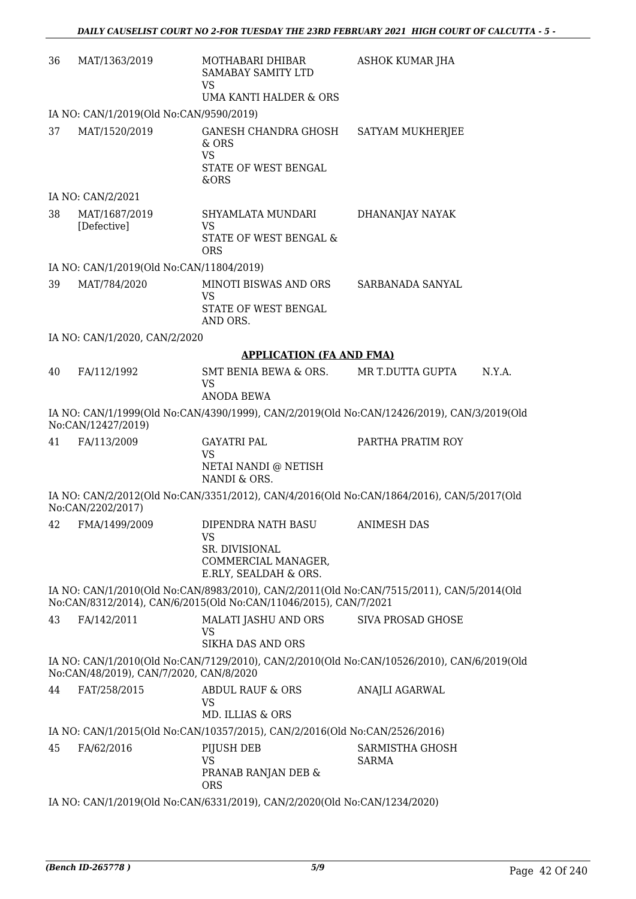| 36                                                                                                                                    | MAT/1363/2019                                                             | MOTHABARI DHIBAR<br><b>SAMABAY SAMITY LTD</b><br><b>VS</b><br>UMA KANTI HALDER & ORS              | ASHOK KUMAR JHA                                                                           |  |
|---------------------------------------------------------------------------------------------------------------------------------------|---------------------------------------------------------------------------|---------------------------------------------------------------------------------------------------|-------------------------------------------------------------------------------------------|--|
|                                                                                                                                       | IA NO: CAN/1/2019(Old No:CAN/9590/2019)                                   |                                                                                                   |                                                                                           |  |
| 37                                                                                                                                    | MAT/1520/2019                                                             | <b>GANESH CHANDRA GHOSH</b><br>& ORS<br><b>VS</b><br>STATE OF WEST BENGAL<br>&ORS                 | SATYAM MUKHERJEE                                                                          |  |
|                                                                                                                                       | IA NO: CAN/2/2021                                                         |                                                                                                   |                                                                                           |  |
| 38                                                                                                                                    | MAT/1687/2019<br>[Defective]                                              | SHYAMLATA MUNDARI<br><b>VS</b><br>STATE OF WEST BENGAL &<br><b>ORS</b>                            | DHANANJAY NAYAK                                                                           |  |
|                                                                                                                                       | IA NO: CAN/1/2019(Old No:CAN/11804/2019)                                  |                                                                                                   |                                                                                           |  |
| 39                                                                                                                                    | MAT/784/2020                                                              | MINOTI BISWAS AND ORS<br><b>VS</b><br>STATE OF WEST BENGAL<br>AND ORS.                            | SARBANADA SANYAL                                                                          |  |
|                                                                                                                                       | IA NO: CAN/1/2020, CAN/2/2020                                             |                                                                                                   |                                                                                           |  |
|                                                                                                                                       |                                                                           | <b>APPLICATION (FA AND FMA)</b>                                                                   |                                                                                           |  |
| 40                                                                                                                                    | FA/112/1992                                                               | SMT BENIA BEWA & ORS.<br><b>VS</b><br><b>ANODA BEWA</b>                                           | MR T.DUTTA GUPTA<br>N.Y.A.                                                                |  |
| IA NO: CAN/1/1999(Old No:CAN/4390/1999), CAN/2/2019(Old No:CAN/12426/2019), CAN/3/2019(Old<br>No:CAN/12427/2019)                      |                                                                           |                                                                                                   |                                                                                           |  |
| 41                                                                                                                                    | FA/113/2009                                                               | <b>GAYATRI PAL</b><br><b>VS</b><br>NETAI NANDI @ NETISH                                           | PARTHA PRATIM ROY                                                                         |  |
|                                                                                                                                       | No:CAN/2202/2017)                                                         | NANDI & ORS.                                                                                      | IA NO: CAN/2/2012(Old No:CAN/3351/2012), CAN/4/2016(Old No:CAN/1864/2016), CAN/5/2017(Old |  |
|                                                                                                                                       | 42 FMA/1499/2009                                                          | DIPENDRA NATH BASU<br><b>VS</b><br>SR. DIVISIONAL<br>COMMERCIAL MANAGER,<br>E.RLY, SEALDAH & ORS. | <b>ANIMESH DAS</b>                                                                        |  |
|                                                                                                                                       |                                                                           | No:CAN/8312/2014), CAN/6/2015(Old No:CAN/11046/2015), CAN/7/2021                                  | IA NO: CAN/1/2010(Old No:CAN/8983/2010), CAN/2/2011(Old No:CAN/7515/2011), CAN/5/2014(Old |  |
| 43                                                                                                                                    | FA/142/2011                                                               | MALATI JASHU AND ORS<br><b>VS</b><br><b>SIKHA DAS AND ORS</b>                                     | SIVA PROSAD GHOSE                                                                         |  |
| IA NO: CAN/1/2010(Old No:CAN/7129/2010), CAN/2/2010(Old No:CAN/10526/2010), CAN/6/2019(Old<br>No:CAN/48/2019), CAN/7/2020, CAN/8/2020 |                                                                           |                                                                                                   |                                                                                           |  |
| 44                                                                                                                                    | FAT/258/2015                                                              | ABDUL RAUF & ORS<br><b>VS</b><br>MD. ILLIAS & ORS                                                 | ANAJLI AGARWAL                                                                            |  |
|                                                                                                                                       |                                                                           | IA NO: CAN/1/2015(Old No:CAN/10357/2015), CAN/2/2016(Old No:CAN/2526/2016)                        |                                                                                           |  |
| 45                                                                                                                                    | FA/62/2016                                                                | PIJUSH DEB<br><b>VS</b><br>PRANAB RANJAN DEB &<br><b>ORS</b>                                      | SARMISTHA GHOSH<br><b>SARMA</b>                                                           |  |
|                                                                                                                                       | IA NO: CAN/1/2019(Old No:CAN/6331/2019), CAN/2/2020(Old No:CAN/1234/2020) |                                                                                                   |                                                                                           |  |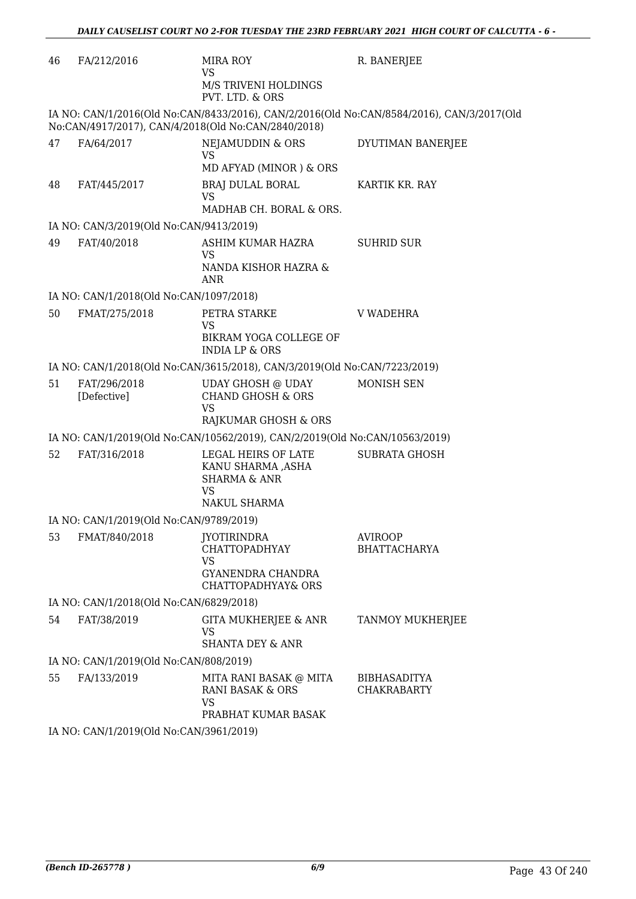| 46 | FA/212/2016                             | <b>MIRA ROY</b><br>VS<br>M/S TRIVENI HOLDINGS<br>PVT. LTD. & ORS                                          | R. BANERJEE                                                                               |
|----|-----------------------------------------|-----------------------------------------------------------------------------------------------------------|-------------------------------------------------------------------------------------------|
|    |                                         | No:CAN/4917/2017), CAN/4/2018(Old No:CAN/2840/2018)                                                       | IA NO: CAN/1/2016(Old No:CAN/8433/2016), CAN/2/2016(Old No:CAN/8584/2016), CAN/3/2017(Old |
| 47 | FA/64/2017                              | NEJAMUDDIN & ORS<br><b>VS</b><br>MD AFYAD (MINOR) & ORS                                                   | DYUTIMAN BANERJEE                                                                         |
| 48 | FAT/445/2017                            | BRAJ DULAL BORAL<br><b>VS</b><br>MADHAB CH. BORAL & ORS.                                                  | KARTIK KR. RAY                                                                            |
|    | IA NO: CAN/3/2019(Old No:CAN/9413/2019) |                                                                                                           |                                                                                           |
| 49 | FAT/40/2018                             | ASHIM KUMAR HAZRA<br><b>VS</b><br>NANDA KISHOR HAZRA &<br><b>ANR</b>                                      | <b>SUHRID SUR</b>                                                                         |
|    | IA NO: CAN/1/2018(Old No:CAN/1097/2018) |                                                                                                           |                                                                                           |
| 50 | FMAT/275/2018                           | PETRA STARKE<br><b>VS</b><br>BIKRAM YOGA COLLEGE OF<br><b>INDIA LP &amp; ORS</b>                          | <b>V WADEHRA</b>                                                                          |
|    |                                         | IA NO: CAN/1/2018(Old No:CAN/3615/2018), CAN/3/2019(Old No:CAN/7223/2019)                                 |                                                                                           |
| 51 | FAT/296/2018<br>[Defective]             | <b>UDAY GHOSH @ UDAY</b><br><b>CHAND GHOSH &amp; ORS</b><br>VS<br>RAJKUMAR GHOSH & ORS                    | <b>MONISH SEN</b>                                                                         |
|    |                                         | IA NO: CAN/1/2019(Old No:CAN/10562/2019), CAN/2/2019(Old No:CAN/10563/2019)                               |                                                                                           |
| 52 | FAT/316/2018                            | LEGAL HEIRS OF LATE<br>KANU SHARMA ,ASHA<br><b>SHARMA &amp; ANR</b><br><b>VS</b><br>NAKUL SHARMA          | <b>SUBRATA GHOSH</b>                                                                      |
|    | IA NO: CAN/1/2019(Old No:CAN/9789/2019) |                                                                                                           |                                                                                           |
| 53 | FMAT/840/2018                           | <b>JYOTIRINDRA</b><br><b>CHATTOPADHYAY</b><br><b>VS</b><br><b>GYANENDRA CHANDRA</b><br>CHATTOPADHYAY& ORS | <b>AVIROOP</b><br><b>BHATTACHARYA</b>                                                     |
|    | IA NO: CAN/1/2018(Old No:CAN/6829/2018) |                                                                                                           |                                                                                           |
| 54 | FAT/38/2019                             | GITA MUKHERJEE & ANR<br>VS<br><b>SHANTA DEY &amp; ANR</b>                                                 | TANMOY MUKHERJEE                                                                          |
|    | IA NO: CAN/1/2019(Old No:CAN/808/2019)  |                                                                                                           |                                                                                           |
| 55 | FA/133/2019                             | MITA RANI BASAK @ MITA<br><b>RANI BASAK &amp; ORS</b><br><b>VS</b><br>PRABHAT KUMAR BASAK                 | <b>BIBHASADITYA</b><br>CHAKRABARTY                                                        |
|    | IA NO: CAN/1/2019(Old No:CAN/3961/2019) |                                                                                                           |                                                                                           |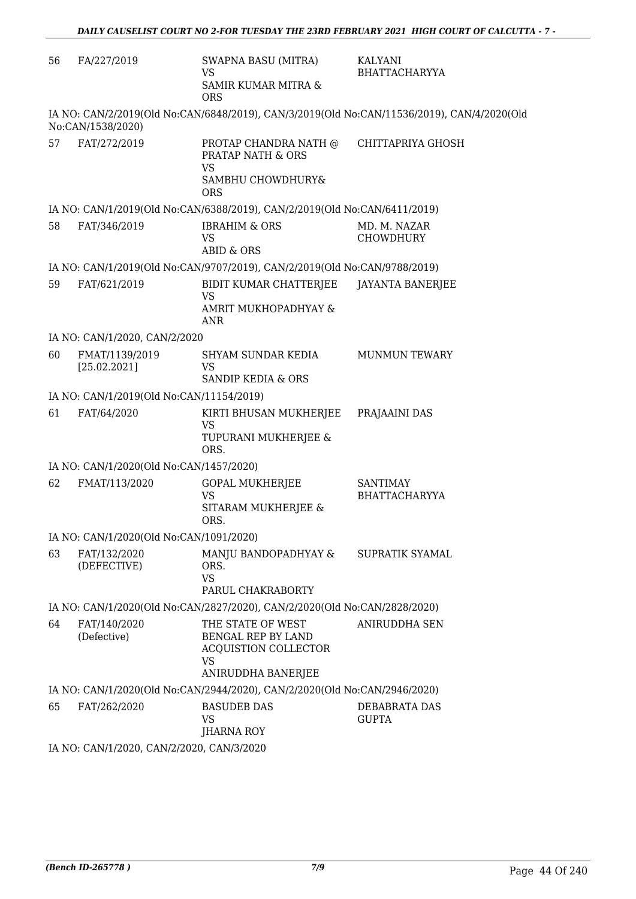| 56 | FA/227/2019                              | <b>SWAPNA BASU (MITRA)</b><br>VS<br>SAMIR KUMAR MITRA &<br><b>ORS</b>                                     | KALYANI<br><b>BHATTACHARYYA</b>                                                            |
|----|------------------------------------------|-----------------------------------------------------------------------------------------------------------|--------------------------------------------------------------------------------------------|
|    | No:CAN/1538/2020)                        |                                                                                                           | IA NO: CAN/2/2019(Old No:CAN/6848/2019), CAN/3/2019(Old No:CAN/11536/2019), CAN/4/2020(Old |
| 57 | FAT/272/2019                             | PROTAP CHANDRA NATH @<br>PRATAP NATH & ORS<br><b>VS</b><br>SAMBHU CHOWDHURY&<br><b>ORS</b>                | CHITTAPRIYA GHOSH                                                                          |
|    |                                          | IA NO: CAN/1/2019(Old No:CAN/6388/2019), CAN/2/2019(Old No:CAN/6411/2019)                                 |                                                                                            |
| 58 | FAT/346/2019                             | <b>IBRAHIM &amp; ORS</b><br><b>VS</b><br><b>ABID &amp; ORS</b>                                            | MD. M. NAZAR<br><b>CHOWDHURY</b>                                                           |
|    |                                          | IA NO: CAN/1/2019(Old No:CAN/9707/2019), CAN/2/2019(Old No:CAN/9788/2019)                                 |                                                                                            |
| 59 | FAT/621/2019                             | BIDIT KUMAR CHATTERJEE<br><b>VS</b><br>AMRIT MUKHOPADHYAY &<br><b>ANR</b>                                 | <b>JAYANTA BANERJEE</b>                                                                    |
|    | IA NO: CAN/1/2020, CAN/2/2020            |                                                                                                           |                                                                                            |
| 60 | FMAT/1139/2019<br>[25.02.2021]           | SHYAM SUNDAR KEDIA<br><b>VS</b><br>SANDIP KEDIA & ORS                                                     | <b>MUNMUN TEWARY</b>                                                                       |
|    | IA NO: CAN/1/2019(Old No:CAN/11154/2019) |                                                                                                           |                                                                                            |
| 61 | FAT/64/2020                              | KIRTI BHUSAN MUKHERJEE<br><b>VS</b><br>TUPURANI MUKHERJEE &<br>ORS.                                       | PRAJAAINI DAS                                                                              |
|    | IA NO: CAN/1/2020(Old No:CAN/1457/2020)  |                                                                                                           |                                                                                            |
| 62 | FMAT/113/2020                            | <b>GOPAL MUKHERJEE</b><br><b>VS</b><br>SITARAM MUKHERJEE &<br>ORS.                                        | <b>SANTIMAY</b><br><b>BHATTACHARYYA</b>                                                    |
|    | IA NO: CAN/1/2020(Old No:CAN/1091/2020)  |                                                                                                           |                                                                                            |
| 63 | FAT/132/2020<br>(DEFECTIVE)              | MANJU BANDOPADHYAY & SUPRATIK SYAMAL<br>ORS.<br><b>VS</b><br>PARUL CHAKRABORTY                            |                                                                                            |
|    |                                          | IA NO: CAN/1/2020(Old No:CAN/2827/2020), CAN/2/2020(Old No:CAN/2828/2020)                                 |                                                                                            |
| 64 | FAT/140/2020<br>(Defective)              | THE STATE OF WEST<br>BENGAL REP BY LAND<br><b>ACQUISTION COLLECTOR</b><br><b>VS</b><br>ANIRUDDHA BANERJEE | <b>ANIRUDDHA SEN</b>                                                                       |
|    |                                          | IA NO: CAN/1/2020(Old No:CAN/2944/2020), CAN/2/2020(Old No:CAN/2946/2020)                                 |                                                                                            |
| 65 | FAT/262/2020                             | <b>BASUDEB DAS</b><br><b>VS</b><br><b>JHARNA ROY</b>                                                      | DEBABRATA DAS<br><b>GUPTA</b>                                                              |
|    | IA NO CANILIZOZO CANIZIZOZO CANIZIZOZO   |                                                                                                           |                                                                                            |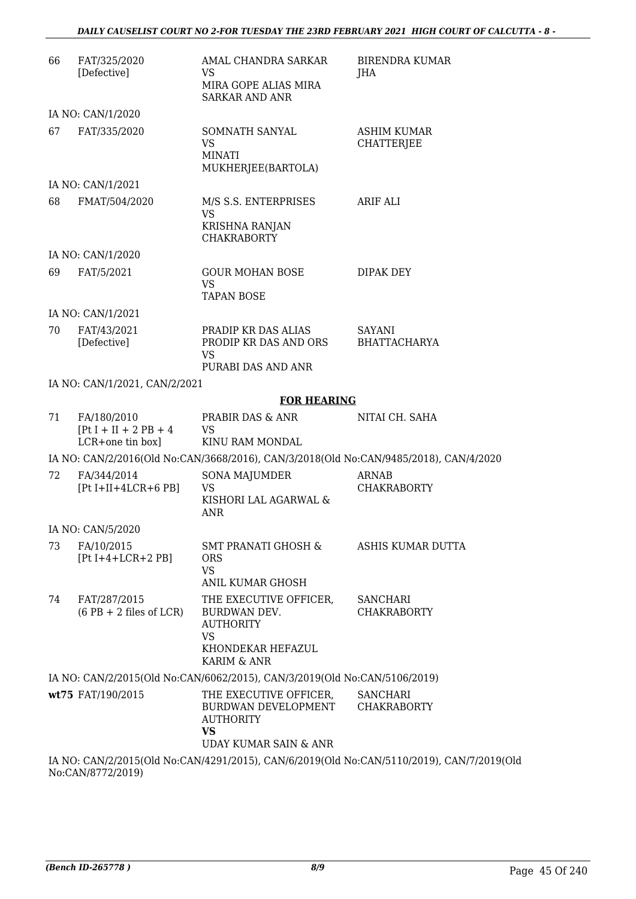| 66 | FAT/325/2020<br>[Defective]                                 | AMAL CHANDRA SARKAR<br><b>VS</b><br>MIRA GOPE ALIAS MIRA<br><b>SARKAR AND ANR</b>                           | <b>BIRENDRA KUMAR</b><br>JHA                                                          |
|----|-------------------------------------------------------------|-------------------------------------------------------------------------------------------------------------|---------------------------------------------------------------------------------------|
|    | IA NO: CAN/1/2020                                           |                                                                                                             |                                                                                       |
| 67 | FAT/335/2020                                                | SOMNATH SANYAL<br><b>VS</b><br><b>MINATI</b><br>MUKHERJEE(BARTOLA)                                          | <b>ASHIM KUMAR</b><br><b>CHATTERJEE</b>                                               |
|    | IA NO: CAN/1/2021                                           |                                                                                                             |                                                                                       |
| 68 | FMAT/504/2020                                               | M/S S.S. ENTERPRISES<br><b>VS</b><br><b>KRISHNA RANJAN</b><br><b>CHAKRABORTY</b>                            | ARIF ALI                                                                              |
|    | IA NO: CAN/1/2020                                           |                                                                                                             |                                                                                       |
| 69 | FAT/5/2021                                                  | <b>GOUR MOHAN BOSE</b><br><b>VS</b><br><b>TAPAN BOSE</b>                                                    | DIPAK DEY                                                                             |
|    | IA NO: CAN/1/2021                                           |                                                                                                             |                                                                                       |
| 70 | FAT/43/2021<br>[Defective]                                  | PRADIP KR DAS ALIAS<br>PRODIP KR DAS AND ORS<br>VS<br>PURABI DAS AND ANR                                    | SAYANI<br><b>BHATTACHARYA</b>                                                         |
|    | IA NO: CAN/1/2021, CAN/2/2021                               |                                                                                                             |                                                                                       |
|    |                                                             | <b>FOR HEARING</b>                                                                                          |                                                                                       |
| 71 | FA/180/2010<br>$[Pt I + II + 2 PB + 4]$<br>LCR+one tin box] | PRABIR DAS & ANR<br><b>VS</b><br>KINU RAM MONDAL                                                            | NITAI CH. SAHA                                                                        |
|    |                                                             |                                                                                                             | IA NO: CAN/2/2016(Old No:CAN/3668/2016), CAN/3/2018(Old No:CAN/9485/2018), CAN/4/2020 |
| 72 | FA/344/2014<br>$[Pt I+II+4LCR+6 PB]$                        | <b>SONA MAJUMDER</b><br><b>VS</b><br>KISHORI LAL AGARWAL &<br><b>ANR</b>                                    | <b>ARNAB</b><br><b>CHAKRABORTY</b>                                                    |
|    | IA NO: CAN/5/2020                                           |                                                                                                             |                                                                                       |
| 73 | FA/10/2015<br>$[Pt I+4+LCR+2 PB]$                           | SMT PRANATI GHOSH &<br><b>ORS</b><br><b>VS</b><br><b>ANIL KUMAR GHOSH</b>                                   | ASHIS KUMAR DUTTA                                                                     |
| 74 | FAT/287/2015<br>$(6$ PB + 2 files of LCR)                   | THE EXECUTIVE OFFICER,<br>BURDWAN DEV.<br><b>AUTHORITY</b><br><b>VS</b><br>KHONDEKAR HEFAZUL<br>KARIM & ANR | <b>SANCHARI</b><br><b>CHAKRABORTY</b>                                                 |
|    |                                                             | IA NO: CAN/2/2015(Old No:CAN/6062/2015), CAN/3/2019(Old No:CAN/5106/2019)                                   |                                                                                       |
|    | wt75 FAT/190/2015                                           | THE EXECUTIVE OFFICER,<br>BURDWAN DEVELOPMENT<br><b>AUTHORITY</b><br><b>VS</b><br>UDAY KUMAR SAIN & ANR     | <b>SANCHARI</b><br><b>CHAKRABORTY</b>                                                 |
|    |                                                             |                                                                                                             | IA NO: CAN/2/2015(Old No:CAN/4291/2015), CAN/6/2019(Old No:CAN/5110/2019), CAN/7/2019 |

IA NO: CAN/2/2015(Old No:CAN/4291/2015), CAN/6/2019(Old No:CAN/5110/2019), CAN/7/2019(Old No:CAN/8772/2019)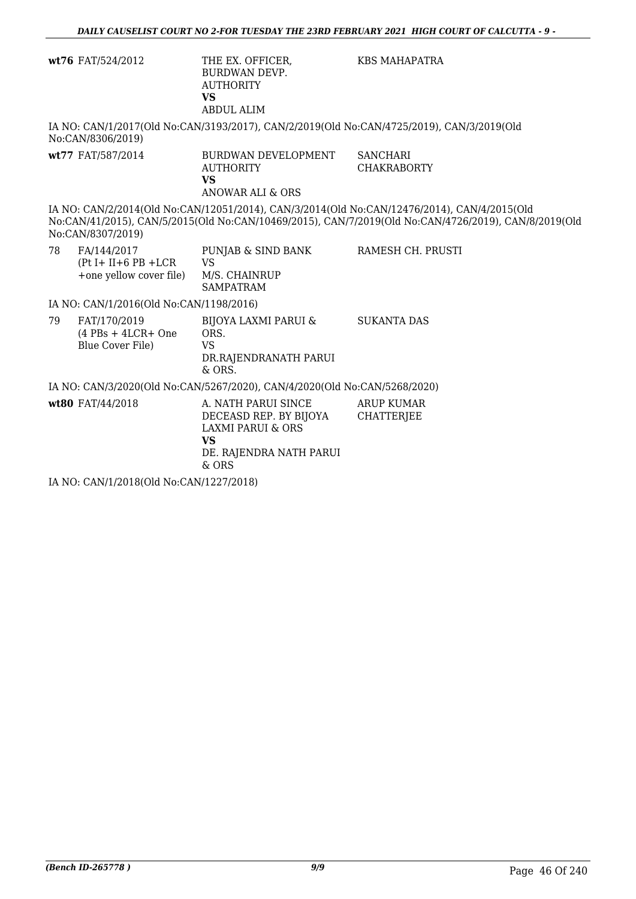|                  | wt76 FAT/524/2012                                                    | THE EX. OFFICER,<br><b>BURDWAN DEVP.</b><br><b>AUTHORITY</b><br><b>VS</b><br><b>ABDUL ALIM</b>                                 | <b>KBS MAHAPATRA</b>                                                                                                                                                                                |  |  |
|------------------|----------------------------------------------------------------------|--------------------------------------------------------------------------------------------------------------------------------|-----------------------------------------------------------------------------------------------------------------------------------------------------------------------------------------------------|--|--|
|                  | No:CAN/8306/2019)                                                    |                                                                                                                                | IA NO: CAN/1/2017(Old No:CAN/3193/2017), CAN/2/2019(Old No:CAN/4725/2019), CAN/3/2019(Old                                                                                                           |  |  |
|                  | wt77 FAT/587/2014                                                    | BURDWAN DEVELOPMENT<br><b>AUTHORITY</b><br><b>VS</b><br><b>ANOWAR ALI &amp; ORS</b>                                            | <b>SANCHARI</b><br><b>CHAKRABORTY</b>                                                                                                                                                               |  |  |
|                  | No:CAN/8307/2019)                                                    |                                                                                                                                | IA NO: CAN/2/2014(Old No:CAN/12051/2014), CAN/3/2014(Old No:CAN/12476/2014), CAN/4/2015(Old<br>No:CAN/41/2015), CAN/5/2015(Old No:CAN/10469/2015), CAN/7/2019(Old No:CAN/4726/2019), CAN/8/2019(Old |  |  |
| 78               | FA/144/2017<br>$(Pt I + II + 6 PB + LCR)$<br>+one yellow cover file) | PUNJAB & SIND BANK<br><b>VS</b><br>M/S. CHAINRUP<br><b>SAMPATRAM</b>                                                           | RAMESH CH. PRUSTI                                                                                                                                                                                   |  |  |
|                  | IA NO: CAN/1/2016(Old No:CAN/1198/2016)                              |                                                                                                                                |                                                                                                                                                                                                     |  |  |
| 79               | FAT/170/2019<br>$(4$ PBs + 4LCR+ One<br><b>Blue Cover File)</b>      | BIJOYA LAXMI PARUI &<br>ORS.<br><b>VS</b><br>DR.RAJENDRANATH PARUI<br>$&$ ORS.                                                 | <b>SUKANTA DAS</b>                                                                                                                                                                                  |  |  |
|                  |                                                                      | IA NO: CAN/3/2020(Old No:CAN/5267/2020), CAN/4/2020(Old No:CAN/5268/2020)                                                      |                                                                                                                                                                                                     |  |  |
| wt80 FAT/44/2018 |                                                                      | A. NATH PARUI SINCE<br>DECEASD REP. BY BIJOYA<br><b>LAXMI PARUI &amp; ORS</b><br><b>VS</b><br>DE. RAJENDRA NATH PARUI<br>& ORS | <b>ARUP KUMAR</b><br><b>CHATTERJEE</b>                                                                                                                                                              |  |  |
|                  | IA NO: CAN/1/2018(Old No:CAN/1227/2018)                              |                                                                                                                                |                                                                                                                                                                                                     |  |  |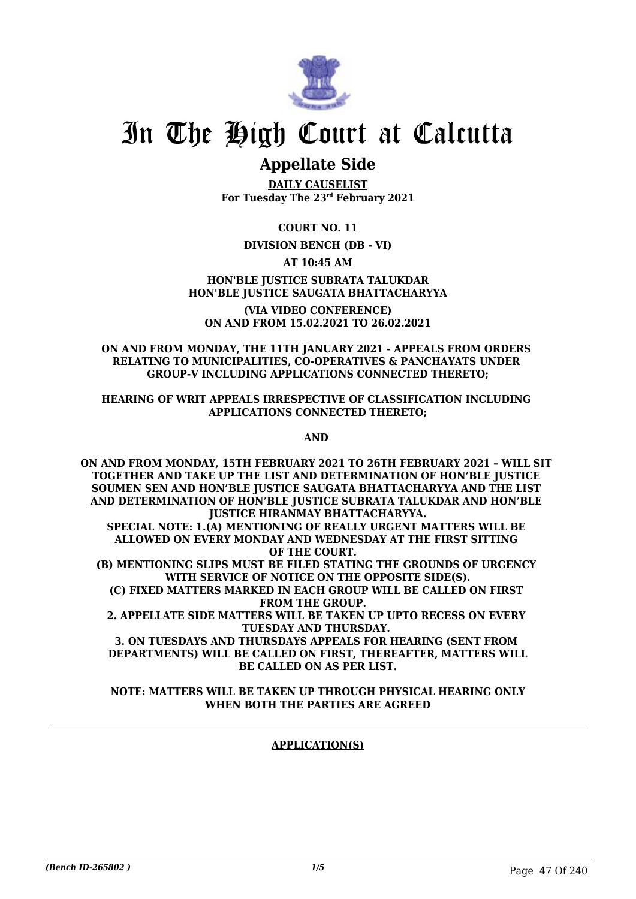

# In The High Court at Calcutta

## **Appellate Side**

**DAILY CAUSELIST For Tuesday The 23rd February 2021**

**COURT NO. 11**

### **DIVISION BENCH (DB - VI)**

### **AT 10:45 AM**

### **HON'BLE JUSTICE SUBRATA TALUKDAR HON'BLE JUSTICE SAUGATA BHATTACHARYYA**

**(VIA VIDEO CONFERENCE) ON AND FROM 15.02.2021 TO 26.02.2021**

### **ON AND FROM MONDAY, THE 11TH JANUARY 2021 - APPEALS FROM ORDERS RELATING TO MUNICIPALITIES, CO-OPERATIVES & PANCHAYATS UNDER GROUP-V INCLUDING APPLICATIONS CONNECTED THERETO;**

### **HEARING OF WRIT APPEALS IRRESPECTIVE OF CLASSIFICATION INCLUDING APPLICATIONS CONNECTED THERETO;**

**AND** 

**ON AND FROM MONDAY, 15TH FEBRUARY 2021 TO 26TH FEBRUARY 2021 – WILL SIT TOGETHER AND TAKE UP THE LIST AND DETERMINATION OF HON'BLE JUSTICE SOUMEN SEN AND HON'BLE JUSTICE SAUGATA BHATTACHARYYA AND THE LIST AND DETERMINATION OF HON'BLE JUSTICE SUBRATA TALUKDAR AND HON'BLE JUSTICE HIRANMAY BHATTACHARYYA. SPECIAL NOTE: 1.(A) MENTIONING OF REALLY URGENT MATTERS WILL BE ALLOWED ON EVERY MONDAY AND WEDNESDAY AT THE FIRST SITTING OF THE COURT. (B) MENTIONING SLIPS MUST BE FILED STATING THE GROUNDS OF URGENCY WITH SERVICE OF NOTICE ON THE OPPOSITE SIDE(S). (C) FIXED MATTERS MARKED IN EACH GROUP WILL BE CALLED ON FIRST FROM THE GROUP. 2. APPELLATE SIDE MATTERS WILL BE TAKEN UP UPTO RECESS ON EVERY TUESDAY AND THURSDAY. 3. ON TUESDAYS AND THURSDAYS APPEALS FOR HEARING (SENT FROM DEPARTMENTS) WILL BE CALLED ON FIRST, THEREAFTER, MATTERS WILL**

**BE CALLED ON AS PER LIST. NOTE: MATTERS WILL BE TAKEN UP THROUGH PHYSICAL HEARING ONLY**

## **WHEN BOTH THE PARTIES ARE AGREED**

### **APPLICATION(S)**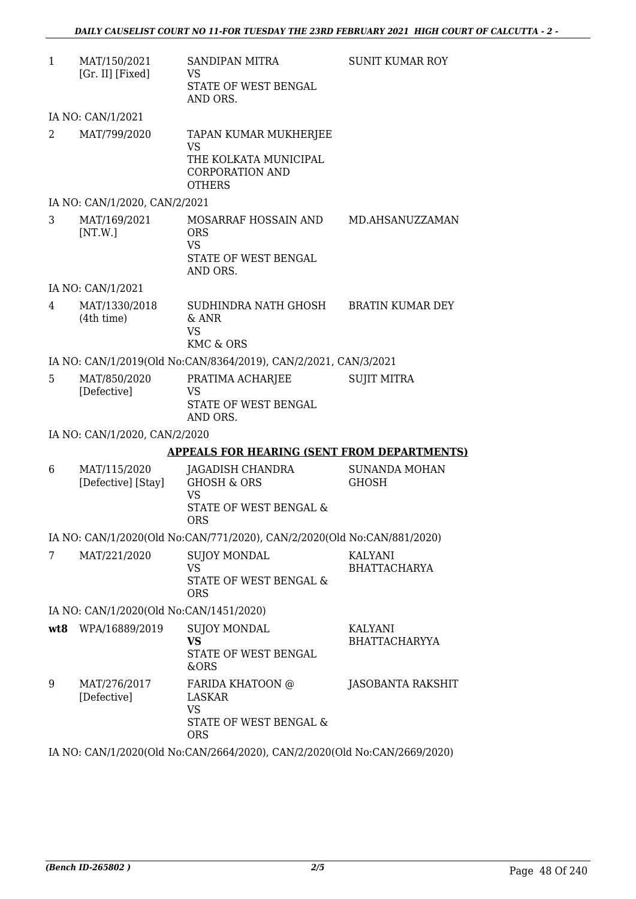| $\mathbf{1}$ | MAT/150/2021<br>[Gr. II] [Fixed]        | <b>SANDIPAN MITRA</b><br><b>VS</b><br>STATE OF WEST BENGAL<br>AND ORS.                                 | <b>SUNIT KUMAR ROY</b>                |
|--------------|-----------------------------------------|--------------------------------------------------------------------------------------------------------|---------------------------------------|
|              | IA NO: CAN/1/2021                       |                                                                                                        |                                       |
| 2            | MAT/799/2020                            | TAPAN KUMAR MUKHERJEE<br><b>VS</b><br>THE KOLKATA MUNICIPAL<br><b>CORPORATION AND</b><br><b>OTHERS</b> |                                       |
|              | IA NO: CAN/1/2020, CAN/2/2021           |                                                                                                        |                                       |
| 3            | MAT/169/2021<br>[NT.W.]                 | MOSARRAF HOSSAIN AND<br><b>ORS</b><br><b>VS</b><br>STATE OF WEST BENGAL<br>AND ORS.                    | MD.AHSANUZZAMAN                       |
|              | IA NO: CAN/1/2021                       |                                                                                                        |                                       |
| 4            | MAT/1330/2018<br>(4th time)             | SUDHINDRA NATH GHOSH<br>& ANR<br><b>VS</b><br>KMC & ORS                                                | <b>BRATIN KUMAR DEY</b>               |
|              |                                         | IA NO: CAN/1/2019(Old No:CAN/8364/2019), CAN/2/2021, CAN/3/2021                                        |                                       |
| 5            | MAT/850/2020<br>[Defective]             | PRATIMA ACHARJEE<br><b>VS</b><br>STATE OF WEST BENGAL<br>AND ORS.                                      | <b>SUJIT MITRA</b>                    |
|              | IA NO: CAN/1/2020, CAN/2/2020           |                                                                                                        |                                       |
|              |                                         | <b>APPEALS FOR HEARING (SENT FROM DEPARTMENTS)</b>                                                     |                                       |
| 6            | MAT/115/2020<br>[Defective] [Stay]      | JAGADISH CHANDRA<br><b>GHOSH &amp; ORS</b><br><b>VS</b><br>STATE OF WEST BENGAL &<br><b>ORS</b>        | <b>SUNANDA MOHAN</b><br>GHOSH         |
|              |                                         | IA NO: CAN/1/2020(Old No:CAN/771/2020), CAN/2/2020(Old No:CAN/881/2020)                                |                                       |
| 7            | MAT/221/2020                            | <b>SUJOY MONDAL</b><br><b>VS</b><br>STATE OF WEST BENGAL &<br><b>ORS</b>                               | <b>KALYANI</b><br><b>BHATTACHARYA</b> |
|              | IA NO: CAN/1/2020(Old No:CAN/1451/2020) |                                                                                                        |                                       |
|              | wt8 WPA/16889/2019                      | <b>SUJOY MONDAL</b><br><b>VS</b><br>STATE OF WEST BENGAL<br>&ORS                                       | KALYANI<br><b>BHATTACHARYYA</b>       |
| 9            | MAT/276/2017<br>[Defective]             | FARIDA KHATOON @<br>LASKAR<br><b>VS</b><br>STATE OF WEST BENGAL &<br><b>ORS</b>                        | <b>JASOBANTA RAKSHIT</b>              |

IA NO: CAN/1/2020(Old No:CAN/2664/2020), CAN/2/2020(Old No:CAN/2669/2020)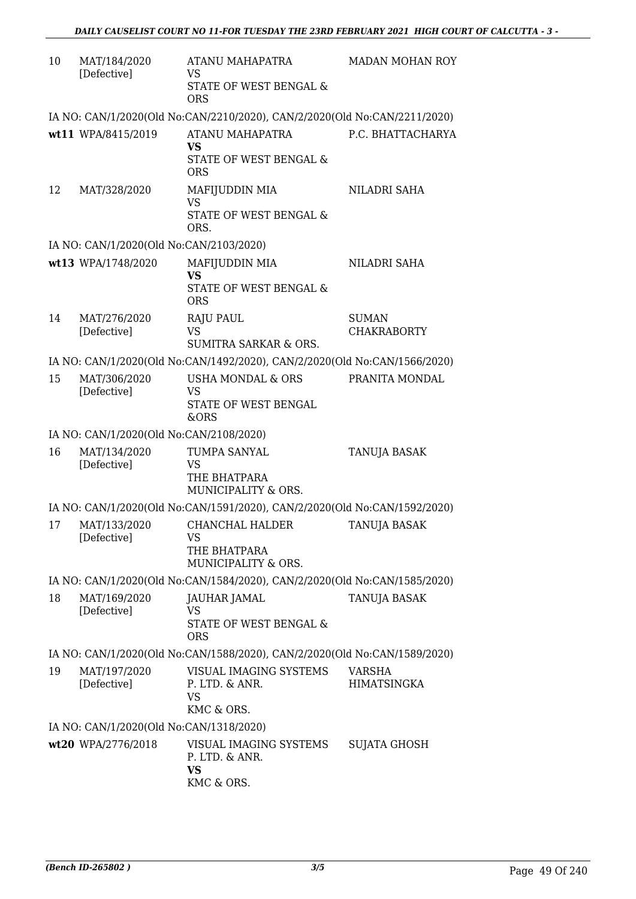| 10 | MAT/184/2020<br>[Defective]             | ATANU MAHAPATRA<br><b>VS</b><br>STATE OF WEST BENGAL &<br><b>ORS</b>           | MADAN MOHAN ROY                     |
|----|-----------------------------------------|--------------------------------------------------------------------------------|-------------------------------------|
|    |                                         | IA NO: CAN/1/2020(Old No:CAN/2210/2020), CAN/2/2020(Old No:CAN/2211/2020)      |                                     |
|    | wt11 WPA/8415/2019                      | ATANU MAHAPATRA<br><b>VS</b><br>STATE OF WEST BENGAL &<br><b>ORS</b>           | P.C. BHATTACHARYA                   |
| 12 | MAT/328/2020                            | MAFIJUDDIN MIA<br><b>VS</b><br>STATE OF WEST BENGAL &<br>ORS.                  | NILADRI SAHA                        |
|    | IA NO: CAN/1/2020(Old No:CAN/2103/2020) |                                                                                |                                     |
|    | wt13 WPA/1748/2020                      | MAFIJUDDIN MIA<br><b>VS</b><br><b>STATE OF WEST BENGAL &amp;</b><br><b>ORS</b> | NILADRI SAHA                        |
| 14 | MAT/276/2020<br>[Defective]             | <b>RAJU PAUL</b><br>VS<br><b>SUMITRA SARKAR &amp; ORS.</b>                     | <b>SUMAN</b><br><b>CHAKRABORTY</b>  |
|    |                                         | IA NO: CAN/1/2020(Old No:CAN/1492/2020), CAN/2/2020(Old No:CAN/1566/2020)      |                                     |
| 15 | MAT/306/2020<br>[Defective]             | <b>USHA MONDAL &amp; ORS</b><br><b>VS</b><br>STATE OF WEST BENGAL<br>&ORS      | PRANITA MONDAL                      |
|    | IA NO: CAN/1/2020(Old No:CAN/2108/2020) |                                                                                |                                     |
| 16 | MAT/134/2020<br>[Defective]             | TUMPA SANYAL<br><b>VS</b><br>THE BHATPARA<br>MUNICIPALITY & ORS.               | TANUJA BASAK                        |
|    |                                         | IA NO: CAN/1/2020(Old No:CAN/1591/2020), CAN/2/2020(Old No:CAN/1592/2020)      |                                     |
| 17 | MAT/133/2020<br>[Defective]             | CHANCHAL HALDER<br>VS<br>THE BHATPARA<br>MUNICIPALITY & ORS.                   | TANUJA BASAK                        |
|    |                                         | IA NO: CAN/1/2020(Old No:CAN/1584/2020), CAN/2/2020(Old No:CAN/1585/2020)      |                                     |
| 18 | MAT/169/2020<br>[Defective]             | JAUHAR JAMAL<br><b>VS</b><br>STATE OF WEST BENGAL &<br><b>ORS</b>              | TANUJA BASAK                        |
|    |                                         | IA NO: CAN/1/2020(Old No:CAN/1588/2020), CAN/2/2020(Old No:CAN/1589/2020)      |                                     |
| 19 | MAT/197/2020<br>[Defective]             | VISUAL IMAGING SYSTEMS<br>P. LTD. & ANR.<br>VS<br>KMC & ORS.                   | <b>VARSHA</b><br><b>HIMATSINGKA</b> |
|    | IA NO: CAN/1/2020(Old No:CAN/1318/2020) |                                                                                |                                     |
|    | wt20 WPA/2776/2018                      | VISUAL IMAGING SYSTEMS<br>P. LTD. & ANR.<br><b>VS</b><br>KMC & ORS.            | SUJATA GHOSH                        |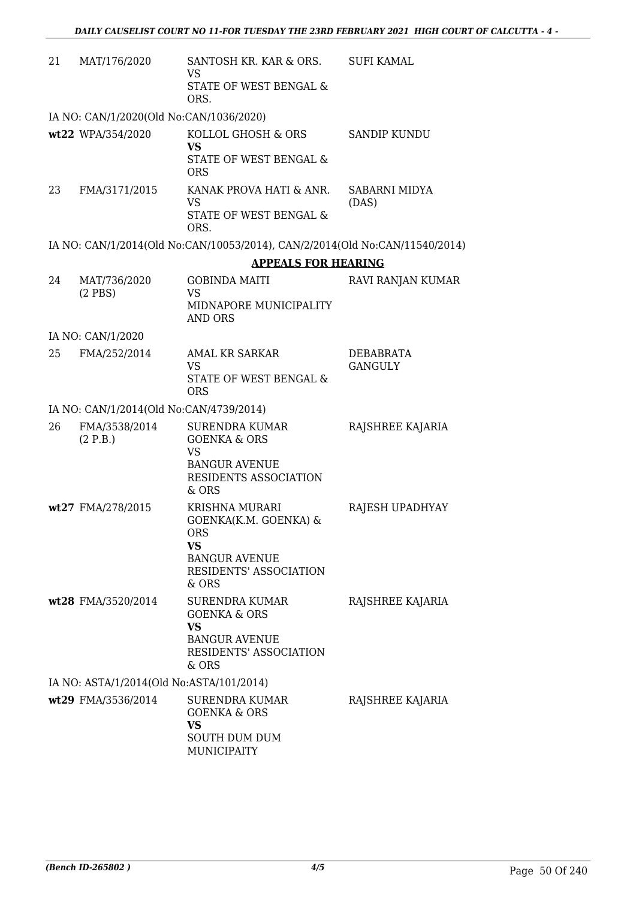| 21 | MAT/176/2020                             | SANTOSH KR. KAR & ORS.<br>VS<br><b>STATE OF WEST BENGAL &amp;</b><br>ORS.                                                            | <b>SUFI KAMAL</b>           |
|----|------------------------------------------|--------------------------------------------------------------------------------------------------------------------------------------|-----------------------------|
|    | IA NO: CAN/1/2020(Old No:CAN/1036/2020)  |                                                                                                                                      |                             |
|    | wt22 WPA/354/2020                        | KOLLOL GHOSH & ORS<br><b>VS</b><br>STATE OF WEST BENGAL &<br><b>ORS</b>                                                              | <b>SANDIP KUNDU</b>         |
| 23 | FMA/3171/2015                            | KANAK PROVA HATI & ANR.<br><b>VS</b><br>STATE OF WEST BENGAL &<br>ORS.                                                               | SABARNI MIDYA<br>(DAS)      |
|    |                                          | IA NO: CAN/1/2014(Old No:CAN/10053/2014), CAN/2/2014(Old No:CAN/11540/2014)                                                          |                             |
|    |                                          | <b>APPEALS FOR HEARING</b>                                                                                                           |                             |
| 24 | MAT/736/2020<br>$(2$ PBS $)$             | <b>GOBINDA MAITI</b><br><b>VS</b><br>MIDNAPORE MUNICIPALITY<br><b>AND ORS</b>                                                        | RAVI RANJAN KUMAR           |
|    | IA NO: CAN/1/2020                        |                                                                                                                                      |                             |
| 25 | FMA/252/2014                             | <b>AMAL KR SARKAR</b><br><b>VS</b><br>STATE OF WEST BENGAL &<br><b>ORS</b>                                                           | DEBABRATA<br><b>GANGULY</b> |
|    | IA NO: CAN/1/2014(Old No:CAN/4739/2014)  |                                                                                                                                      |                             |
| 26 | FMA/3538/2014<br>(2 P.B.)                | SURENDRA KUMAR<br><b>GOENKA &amp; ORS</b><br><b>VS</b><br><b>BANGUR AVENUE</b><br>RESIDENTS ASSOCIATION<br>& ORS                     | RAJSHREE KAJARIA            |
|    | wt27 FMA/278/2015                        | KRISHNA MURARI<br>GOENKA(K.M. GOENKA) &<br><b>ORS</b><br><b>VS</b><br><b>BANGUR AVENUE</b><br><b>RESIDENTS' ASSOCIATION</b><br>& ORS | RAJESH UPADHYAY             |
|    | wt28 FMA/3520/2014                       | SURENDRA KUMAR<br><b>GOENKA &amp; ORS</b><br><b>VS</b><br><b>BANGUR AVENUE</b><br>RESIDENTS' ASSOCIATION<br>& ORS                    | RAJSHREE KAJARIA            |
|    | IA NO: ASTA/1/2014(Old No:ASTA/101/2014) |                                                                                                                                      |                             |
|    | wt29 FMA/3536/2014                       | <b>SURENDRA KUMAR</b><br><b>GOENKA &amp; ORS</b><br>VS<br><b>SOUTH DUM DUM</b><br><b>MUNICIPAITY</b>                                 | RAJSHREE KAJARIA            |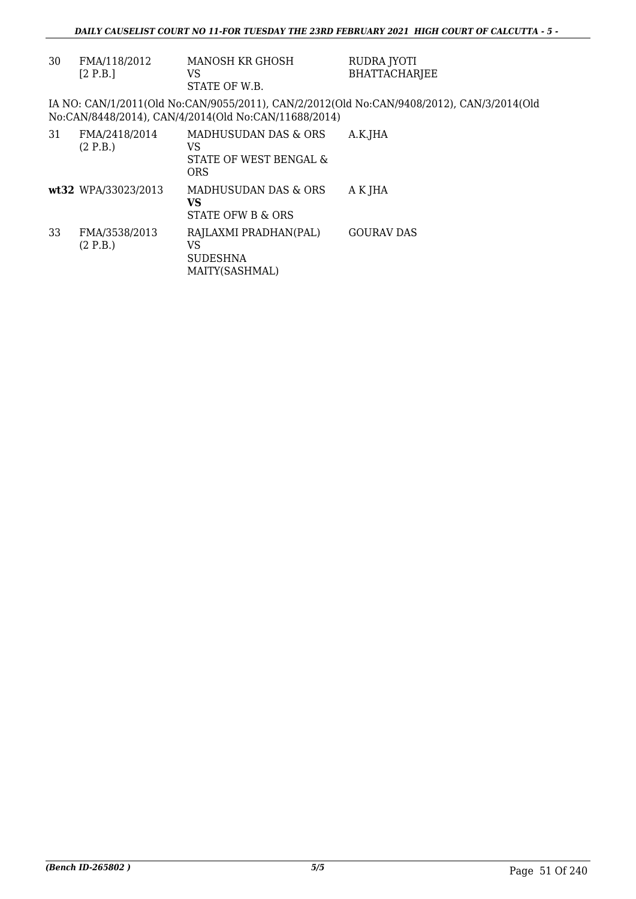| 30 | FMA/118/2012<br>[2 P.B.]  | MANOSH KR GHOSH<br>VS<br>STATE OF W.B.                             | RUDRA JYOTI<br><b>BHATTACHARJEE</b>                                                       |
|----|---------------------------|--------------------------------------------------------------------|-------------------------------------------------------------------------------------------|
|    |                           | No:CAN/8448/2014), CAN/4/2014(Old No:CAN/11688/2014)               | IA NO: CAN/1/2011(Old No:CAN/9055/2011), CAN/2/2012(Old No:CAN/9408/2012), CAN/3/2014(Old |
| 31 | FMA/2418/2014<br>(2 P.B.) | MADHUSUDAN DAS & ORS<br>VS<br>STATE OF WEST BENGAL &<br><b>ORS</b> | A.K.JHA                                                                                   |
|    | wt32 WPA/33023/2013       | MADHUSUDAN DAS & ORS<br>VS<br>STATE OFW B & ORS                    | A K JHA                                                                                   |
| 33 | FMA/3538/2013<br>(2 P.B.) | RAJLAXMI PRADHAN(PAL)<br>VS<br><b>SUDESHNA</b><br>MAITY(SASHMAL)   | <b>GOURAV DAS</b>                                                                         |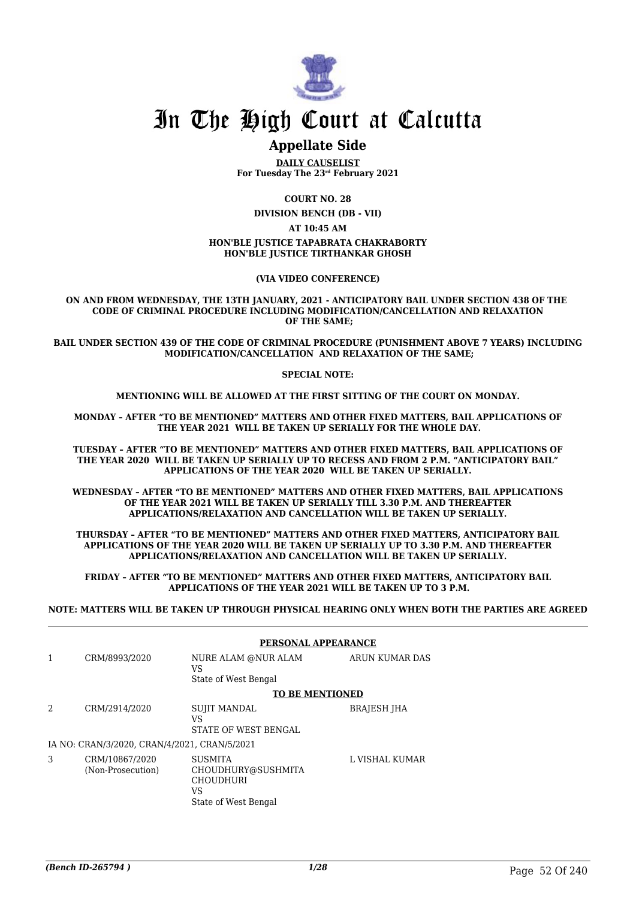

## In The High Court at Calcutta

### **Appellate Side**

**DAILY CAUSELIST For Tuesday The 23rd February 2021**

**COURT NO. 28**

**DIVISION BENCH (DB - VII)**

**AT 10:45 AM**

#### **HON'BLE JUSTICE TAPABRATA CHAKRABORTY HON'BLE JUSTICE TIRTHANKAR GHOSH**

#### **(VIA VIDEO CONFERENCE)**

**ON AND FROM WEDNESDAY, THE 13TH JANUARY, 2021 - ANTICIPATORY BAIL UNDER SECTION 438 OF THE CODE OF CRIMINAL PROCEDURE INCLUDING MODIFICATION/CANCELLATION AND RELAXATION OF THE SAME;**

**BAIL UNDER SECTION 439 OF THE CODE OF CRIMINAL PROCEDURE (PUNISHMENT ABOVE 7 YEARS) INCLUDING MODIFICATION/CANCELLATION AND RELAXATION OF THE SAME;**

**SPECIAL NOTE:**

**MENTIONING WILL BE ALLOWED AT THE FIRST SITTING OF THE COURT ON MONDAY.**

**MONDAY – AFTER "TO BE MENTIONED" MATTERS AND OTHER FIXED MATTERS, BAIL APPLICATIONS OF THE YEAR 2021 WILL BE TAKEN UP SERIALLY FOR THE WHOLE DAY.**

**TUESDAY – AFTER "TO BE MENTIONED" MATTERS AND OTHER FIXED MATTERS, BAIL APPLICATIONS OF THE YEAR 2020 WILL BE TAKEN UP SERIALLY UP TO RECESS AND FROM 2 P.M. "ANTICIPATORY BAIL" APPLICATIONS OF THE YEAR 2020 WILL BE TAKEN UP SERIALLY.**

**WEDNESDAY – AFTER "TO BE MENTIONED" MATTERS AND OTHER FIXED MATTERS, BAIL APPLICATIONS OF THE YEAR 2021 WILL BE TAKEN UP SERIALLY TILL 3.30 P.M. AND THEREAFTER APPLICATIONS/RELAXATION AND CANCELLATION WILL BE TAKEN UP SERIALLY.**

**THURSDAY – AFTER "TO BE MENTIONED" MATTERS AND OTHER FIXED MATTERS, ANTICIPATORY BAIL APPLICATIONS OF THE YEAR 2020 WILL BE TAKEN UP SERIALLY UP TO 3.30 P.M. AND THEREAFTER APPLICATIONS/RELAXATION AND CANCELLATION WILL BE TAKEN UP SERIALLY.**

**FRIDAY – AFTER "TO BE MENTIONED" MATTERS AND OTHER FIXED MATTERS, ANTICIPATORY BAIL APPLICATIONS OF THE YEAR 2021 WILL BE TAKEN UP TO 3 P.M.**

**NOTE: MATTERS WILL BE TAKEN UP THROUGH PHYSICAL HEARING ONLY WHEN BOTH THE PARTIES ARE AGREED**

|   |                                              | PERSONAL APPEARANCE                                                                    |                    |  |
|---|----------------------------------------------|----------------------------------------------------------------------------------------|--------------------|--|
| 1 | CRM/8993/2020                                | NURE ALAM @NUR ALAM<br>VS<br>State of West Bengal                                      | ARUN KUMAR DAS     |  |
|   |                                              | <b>TO BE MENTIONED</b>                                                                 |                    |  |
| 2 | CRM/2914/2020                                | <b>SUJIT MANDAL</b><br>VS<br>STATE OF WEST BENGAL                                      | <b>BRAJESH JHA</b> |  |
|   | IA NO: CRAN/3/2020, CRAN/4/2021, CRAN/5/2021 |                                                                                        |                    |  |
| 3 | CRM/10867/2020<br>(Non-Prosecution)          | <b>SUSMITA</b><br>CHOUDHURY@SUSHMITA<br><b>CHOUDHURI</b><br>VS<br>State of West Bengal | L VISHAL KUMAR     |  |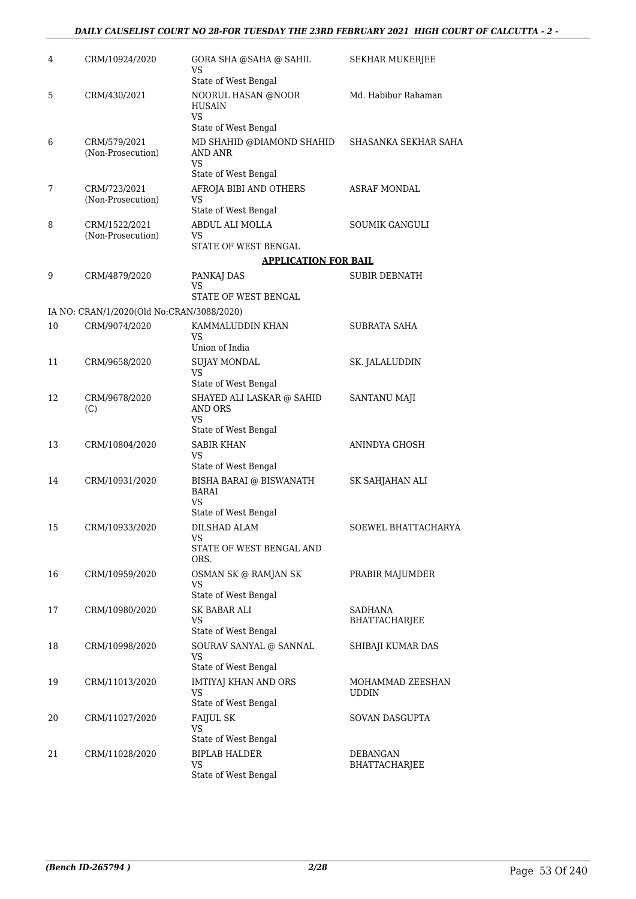### *DAILY CAUSELIST COURT NO 28-FOR TUESDAY THE 23RD FEBRUARY 2021 HIGH COURT OF CALCUTTA - 2 -*

| 4  | CRM/10924/2020                            | GORA SHA @SAHA @ SAHIL<br>VS                                | SEKHAR MUKERJEE                  |
|----|-------------------------------------------|-------------------------------------------------------------|----------------------------------|
| 5  | CRM/430/2021                              | State of West Bengal<br>NOORUL HASAN @NOOR<br><b>HUSAIN</b> | Md. Habibur Rahaman              |
|    |                                           | <b>VS</b><br>State of West Bengal                           |                                  |
| 6  | CRM/579/2021<br>(Non-Prosecution)         | MD SHAHID @DIAMOND SHAHID<br>AND ANR<br>VS                  | SHASANKA SEKHAR SAHA             |
|    |                                           | State of West Bengal                                        |                                  |
| 7  | CRM/723/2021<br>(Non-Prosecution)         | AFROJA BIBI AND OTHERS<br>VS                                | <b>ASRAF MONDAL</b>              |
| 8  | CRM/1522/2021                             | State of West Bengal<br>ABDUL ALI MOLLA                     | <b>SOUMIK GANGULI</b>            |
|    | (Non-Prosecution)                         | VS<br>STATE OF WEST BENGAL                                  |                                  |
|    |                                           | <b>APPLICATION FOR BAIL</b>                                 |                                  |
| 9  | CRM/4879/2020                             | PANKAJ DAS                                                  | <b>SUBIR DEBNATH</b>             |
|    |                                           | VS<br>STATE OF WEST BENGAL                                  |                                  |
|    | IA NO: CRAN/1/2020(Old No:CRAN/3088/2020) |                                                             |                                  |
| 10 | CRM/9074/2020                             | KAMMALUDDIN KHAN<br>VS                                      | SUBRATA SAHA                     |
|    |                                           | Union of India                                              |                                  |
| 11 | CRM/9658/2020                             | <b>SUJAY MONDAL</b><br><b>VS</b><br>State of West Bengal    | SK. JALALUDDIN                   |
| 12 | CRM/9678/2020<br>(C)                      | SHAYED ALI LASKAR @ SAHID<br>AND ORS<br><b>VS</b>           | SANTANU MAJI                     |
| 13 | CRM/10804/2020                            | State of West Bengal<br><b>SABIR KHAN</b>                   | ANINDYA GHOSH                    |
|    |                                           | <b>VS</b><br>State of West Bengal                           |                                  |
| 14 | CRM/10931/2020                            | BISHA BARAI @ BISWANATH<br>BARAI<br>VS.                     | SK SAHJAHAN ALI                  |
|    |                                           | State of West Bengal                                        |                                  |
| 15 | CRM/10933/2020                            | DILSHAD ALAM<br>VS<br>STATE OF WEST BENGAL AND              | SOEWEL BHATTACHARYA              |
|    |                                           | ORS.                                                        |                                  |
| 16 | CRM/10959/2020                            | OSMAN SK @ RAMJAN SK<br>VS                                  | PRABIR MAJUMDER                  |
|    |                                           | State of West Bengal                                        |                                  |
| 17 | CRM/10980/2020                            | <b>SK BABAR ALI</b><br>VS<br>State of West Bengal           | <b>SADHANA</b><br>BHATTACHARJEE  |
| 18 | CRM/10998/2020                            | SOURAV SANYAL @ SANNAL<br>VS                                | SHIBAJI KUMAR DAS                |
|    |                                           | State of West Bengal                                        |                                  |
| 19 | CRM/11013/2020                            | IMTIYAJ KHAN AND ORS<br><b>VS</b><br>State of West Bengal   | MOHAMMAD ZEESHAN<br><b>UDDIN</b> |
| 20 | CRM/11027/2020                            | <b>FAIJUL SK</b><br><b>VS</b>                               | SOVAN DASGUPTA                   |
|    |                                           | State of West Bengal                                        |                                  |
| 21 | CRM/11028/2020                            | <b>BIPLAB HALDER</b><br>VS.<br>State of West Bengal         | DEBANGAN<br>BHATTACHARJEE        |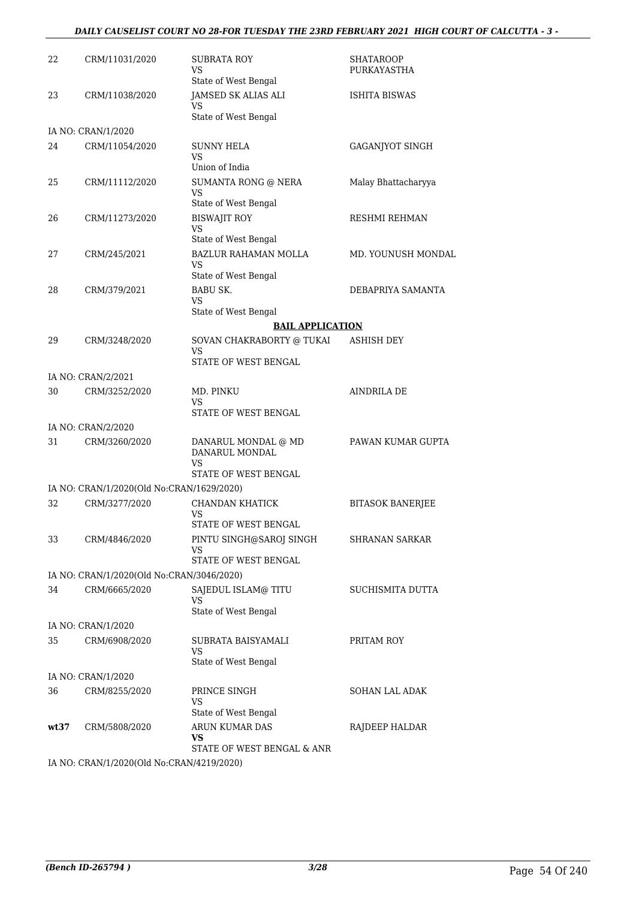### *DAILY CAUSELIST COURT NO 28-FOR TUESDAY THE 23RD FEBRUARY 2021 HIGH COURT OF CALCUTTA - 3 -*

| 22   | CRM/11031/2020                            | SUBRATA ROY<br>VS<br>State of West Bengal                | SHATAROOP<br>PURKAYASTHA |
|------|-------------------------------------------|----------------------------------------------------------|--------------------------|
| 23   | CRM/11038/2020                            | JAMSED SK ALIAS ALI<br>VS                                | <b>ISHITA BISWAS</b>     |
|      |                                           | State of West Bengal                                     |                          |
| 24   | IA NO: CRAN/1/2020<br>CRM/11054/2020      | SUNNY HELA                                               | <b>GAGANJYOT SINGH</b>   |
|      |                                           | VS<br>Union of India                                     |                          |
| 25   | CRM/11112/2020                            | <b>SUMANTA RONG @ NERA</b><br>VS                         | Malay Bhattacharyya      |
|      |                                           | State of West Bengal                                     |                          |
| 26   | CRM/11273/2020                            | <b>BISWAJIT ROY</b><br><b>VS</b><br>State of West Bengal | RESHMI REHMAN            |
| 27   | CRM/245/2021                              | <b>BAZLUR RAHAMAN MOLLA</b><br>VS                        | MD. YOUNUSH MONDAL       |
|      |                                           | State of West Bengal                                     |                          |
| 28   | CRM/379/2021                              | <b>BABU SK.</b><br>VS<br>State of West Bengal            | DEBAPRIYA SAMANTA        |
|      |                                           | <b>BAIL APPLICATION</b>                                  |                          |
| 29   | CRM/3248/2020                             | SOVAN CHAKRABORTY @ TUKAI<br>VS                          | <b>ASHISH DEY</b>        |
|      |                                           | STATE OF WEST BENGAL                                     |                          |
|      | IA NO: CRAN/2/2021                        |                                                          |                          |
| 30   | CRM/3252/2020                             | MD. PINKU<br>VS<br>STATE OF WEST BENGAL                  | AINDRILA DE              |
|      | IA NO: CRAN/2/2020                        |                                                          |                          |
| 31   | CRM/3260/2020                             | DANARUL MONDAL @ MD<br>DANARUL MONDAL<br>VS              | PAWAN KUMAR GUPTA        |
|      |                                           | STATE OF WEST BENGAL                                     |                          |
|      | IA NO: CRAN/1/2020(Old No:CRAN/1629/2020) |                                                          |                          |
| 32   | CRM/3277/2020                             | CHANDAN KHATICK<br>VS<br>STATE OF WEST BENGAL            | <b>BITASOK BANERJEE</b>  |
| 33   | CRM/4846/2020                             | PINTU SINGH@SAROJ SINGH<br>VS                            | <b>SHRANAN SARKAR</b>    |
|      |                                           | STATE OF WEST BENGAL                                     |                          |
|      | IA NO: CRAN/1/2020(Old No:CRAN/3046/2020) |                                                          |                          |
| 34   | CRM/6665/2020                             | SAJEDUL ISLAM@ TITU<br>VS                                | SUCHISMITA DUTTA         |
|      |                                           | State of West Bengal                                     |                          |
|      | IA NO: CRAN/1/2020                        |                                                          |                          |
| 35   | CRM/6908/2020                             | SUBRATA BAISYAMALI<br>VS<br>State of West Bengal         | PRITAM ROY               |
|      | IA NO: CRAN/1/2020                        |                                                          |                          |
| 36   | CRM/8255/2020                             | PRINCE SINGH<br>VS                                       | SOHAN LAL ADAK           |
|      |                                           | State of West Bengal                                     |                          |
| wt37 | CRM/5808/2020                             | ARUN KUMAR DAS<br>VS<br>STATE OF WEST BENGAL & ANR       | RAJDEEP HALDAR           |
|      | IA NO: CRAN/1/2020(Old No:CRAN/4219/2020) |                                                          |                          |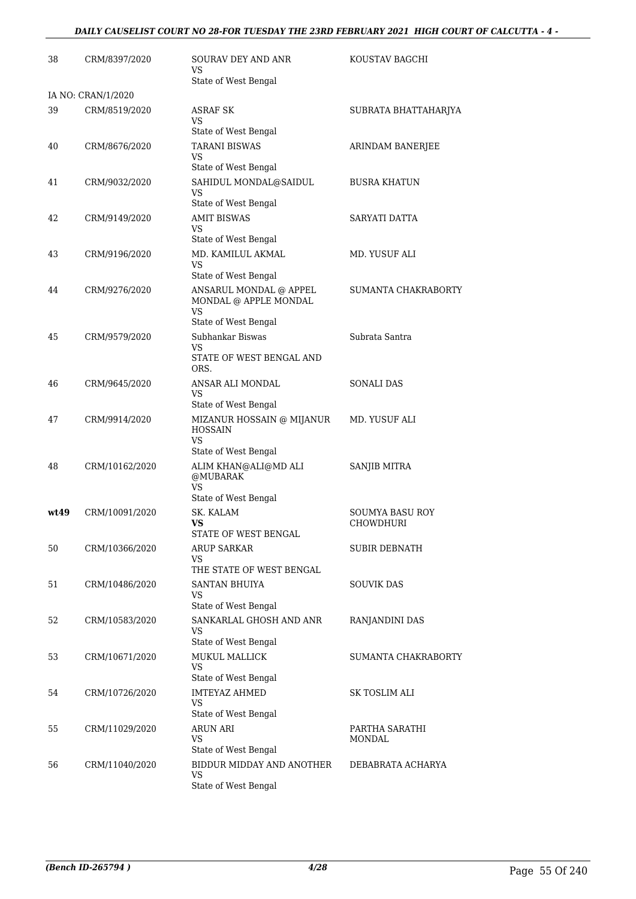### *DAILY CAUSELIST COURT NO 28-FOR TUESDAY THE 23RD FEBRUARY 2021 HIGH COURT OF CALCUTTA - 4 -*

| 38   | CRM/8397/2020                       | <b>SOURAV DEY AND ANR</b><br>VS<br>State of West Bengal                            | KOUSTAV BAGCHI                      |
|------|-------------------------------------|------------------------------------------------------------------------------------|-------------------------------------|
|      |                                     |                                                                                    |                                     |
| 39   | IA NO: CRAN/1/2020<br>CRM/8519/2020 | <b>ASRAF SK</b><br>VS<br>State of West Bengal                                      | SUBRATA BHATTAHARJYA                |
| 40   | CRM/8676/2020                       | <b>TARANI BISWAS</b><br>VS<br>State of West Bengal                                 | ARINDAM BANERJEE                    |
| 41   | CRM/9032/2020                       | SAHIDUL MONDAL@SAIDUL<br>VS<br>State of West Bengal                                | <b>BUSRA KHATUN</b>                 |
| 42   | CRM/9149/2020                       | <b>AMIT BISWAS</b><br>VS<br>State of West Bengal                                   | SARYATI DATTA                       |
| 43   | CRM/9196/2020                       | MD. KAMILUL AKMAL<br>VS<br>State of West Bengal                                    | MD. YUSUF ALI                       |
| 44   | CRM/9276/2020                       | ANSARUL MONDAL @ APPEL<br>MONDAL @ APPLE MONDAL<br>VS                              | SUMANTA CHAKRABORTY                 |
| 45   | CRM/9579/2020                       | State of West Bengal<br>Subhankar Biswas<br>VS<br>STATE OF WEST BENGAL AND<br>ORS. | Subrata Santra                      |
| 46   | CRM/9645/2020                       | ANSAR ALI MONDAL<br>VS<br>State of West Bengal                                     | <b>SONALI DAS</b>                   |
| 47   | CRM/9914/2020                       | MIZANUR HOSSAIN @ MIJANUR<br><b>HOSSAIN</b><br>VS.<br>State of West Bengal         | MD. YUSUF ALI                       |
| 48   | CRM/10162/2020                      | ALIM KHAN@ALI@MD ALI<br>@MUBARAK<br><b>VS</b><br>State of West Bengal              | <b>SANJIB MITRA</b>                 |
| wt49 | CRM/10091/2020                      | SK. KALAM<br>VS<br>STATE OF WEST BENGAL                                            | <b>SOUMYA BASU ROY</b><br>CHOWDHURI |
| 50   | CRM/10366/2020                      | <b>ARUP SARKAR</b><br>VS<br>THE STATE OF WEST BENGAL                               | SUBIR DEBNATH                       |
| 51   | CRM/10486/2020                      | <b>SANTAN BHUIYA</b><br>VS<br>State of West Bengal                                 | <b>SOUVIK DAS</b>                   |
| 52   | CRM/10583/2020                      | SANKARLAL GHOSH AND ANR<br>VS<br>State of West Bengal                              | RANJANDINI DAS                      |
| 53   | CRM/10671/2020                      | <b>MUKUL MALLICK</b><br><b>VS</b><br>State of West Bengal                          | SUMANTA CHAKRABORTY                 |
| 54   | CRM/10726/2020                      | <b>IMTEYAZ AHMED</b><br>VS<br>State of West Bengal                                 | SK TOSLIM ALI                       |
| 55   | CRM/11029/2020                      | <b>ARUN ARI</b><br>VS<br>State of West Bengal                                      | PARTHA SARATHI<br><b>MONDAL</b>     |
| 56   | CRM/11040/2020                      | BIDDUR MIDDAY AND ANOTHER<br>VS<br>State of West Bengal                            | DEBABRATA ACHARYA                   |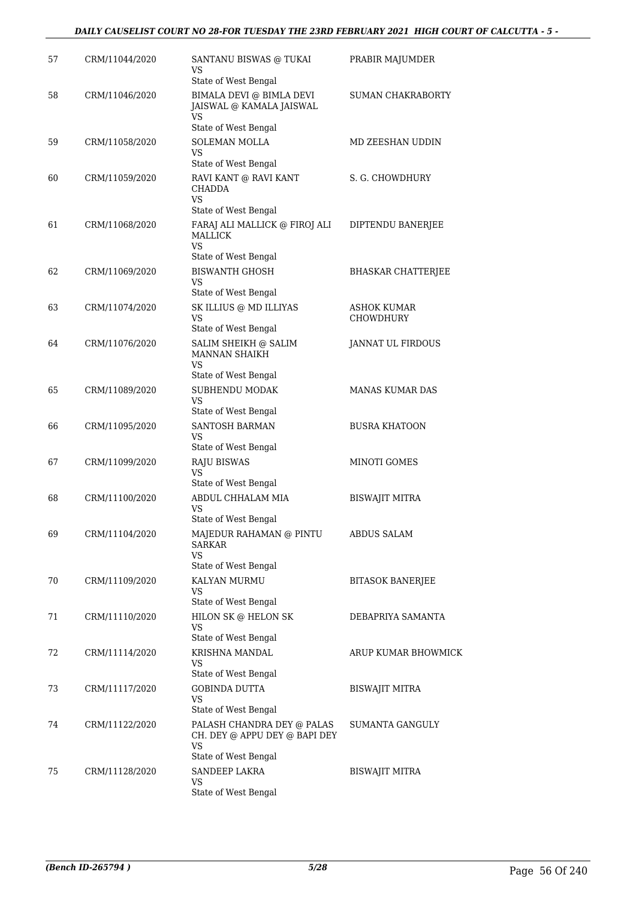| 57 | CRM/11044/2020 | SANTANU BISWAS @ TUKAI<br>VS                                                              | PRABIR MAJUMDER           |
|----|----------------|-------------------------------------------------------------------------------------------|---------------------------|
| 58 | CRM/11046/2020 | State of West Bengal<br>BIMALA DEVI @ BIMLA DEVI<br>JAISWAL @ KAMALA JAISWAL<br><b>VS</b> | <b>SUMAN CHAKRABORTY</b>  |
| 59 | CRM/11058/2020 | State of West Bengal<br>SOLEMAN MOLLA<br>VS                                               | MD ZEESHAN UDDIN          |
|    |                | State of West Bengal                                                                      |                           |
| 60 | CRM/11059/2020 | RAVI KANT @ RAVI KANT<br><b>CHADDA</b><br>VS.                                             | S. G. CHOWDHURY           |
|    |                | State of West Bengal                                                                      |                           |
| 61 | CRM/11068/2020 | FARAJ ALI MALLICK @ FIROJ ALI<br>MALLICK<br>VS                                            | DIPTENDU BANERJEE         |
|    |                | State of West Bengal                                                                      |                           |
| 62 | CRM/11069/2020 | <b>BISWANTH GHOSH</b><br>VS<br>State of West Bengal                                       | <b>BHASKAR CHATTERJEE</b> |
| 63 | CRM/11074/2020 | SK ILLIUS @ MD ILLIYAS                                                                    | <b>ASHOK KUMAR</b>        |
|    |                | VS<br>State of West Bengal                                                                | <b>CHOWDHURY</b>          |
| 64 | CRM/11076/2020 | SALIM SHEIKH @ SALIM<br><b>MANNAN SHAIKH</b><br>VS                                        | JANNAT UL FIRDOUS         |
|    |                | State of West Bengal                                                                      |                           |
| 65 | CRM/11089/2020 | SUBHENDU MODAK<br>VS<br>State of West Bengal                                              | <b>MANAS KUMAR DAS</b>    |
| 66 | CRM/11095/2020 | SANTOSH BARMAN<br>VS                                                                      | <b>BUSRA KHATOON</b>      |
|    |                | State of West Bengal                                                                      |                           |
| 67 | CRM/11099/2020 | <b>RAJU BISWAS</b><br><b>VS</b>                                                           | MINOTI GOMES              |
| 68 | CRM/11100/2020 | State of West Bengal<br>ABDUL CHHALAM MIA                                                 | <b>BISWAJIT MITRA</b>     |
|    |                | VS<br>State of West Bengal                                                                |                           |
| 69 | CRM/11104/2020 | MAJEDUR RAHAMAN @ PINTU<br>SARKAR<br>VS                                                   | ABDUS SALAM               |
| 70 | CRM/11109/2020 | State of West Bengal<br>KALYAN MURMU                                                      | <b>BITASOK BANERJEE</b>   |
|    |                | VS                                                                                        |                           |
|    |                | State of West Bengal                                                                      |                           |
| 71 | CRM/11110/2020 | HILON SK @ HELON SK<br>VS<br>State of West Bengal                                         | DEBAPRIYA SAMANTA         |
| 72 | CRM/11114/2020 | KRISHNA MANDAL<br>VS<br>State of West Bengal                                              | ARUP KUMAR BHOWMICK       |
| 73 | CRM/11117/2020 | <b>GOBINDA DUTTA</b><br>VS                                                                | BISWAJIT MITRA            |
| 74 | CRM/11122/2020 | State of West Bengal<br>PALASH CHANDRA DEY @ PALAS<br>CH. DEY @ APPU DEY @ BAPI DEY<br>VS | SUMANTA GANGULY           |
|    |                | State of West Bengal                                                                      |                           |
| 75 | CRM/11128/2020 | <b>SANDEEP LAKRA</b>                                                                      | BISWAJIT MITRA            |
|    |                | VS<br>State of West Bengal                                                                |                           |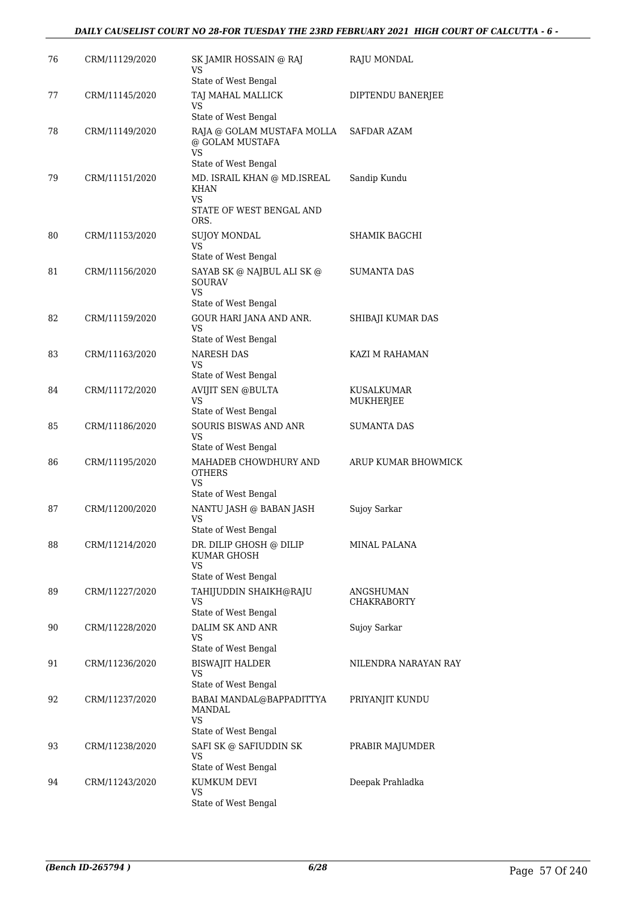### *DAILY CAUSELIST COURT NO 28-FOR TUESDAY THE 23RD FEBRUARY 2021 HIGH COURT OF CALCUTTA - 6 -*

| 76 | CRM/11129/2020 | SK JAMIR HOSSAIN @ RAJ<br>VS                                                     | RAJU MONDAL                     |
|----|----------------|----------------------------------------------------------------------------------|---------------------------------|
| 77 | CRM/11145/2020 | State of West Bengal<br>TAJ MAHAL MALLICK<br>VS                                  | DIPTENDU BANERJEE               |
|    |                | State of West Bengal                                                             |                                 |
| 78 | CRM/11149/2020 | RAJA @ GOLAM MUSTAFA MOLLA<br>@ GOLAM MUSTAFA<br><b>VS</b>                       | SAFDAR AZAM                     |
|    |                | State of West Bengal                                                             |                                 |
| 79 | CRM/11151/2020 | MD. ISRAIL KHAN @ MD.ISREAL<br>KHAN<br>VS.<br>STATE OF WEST BENGAL AND           | Sandip Kundu                    |
|    |                | ORS.                                                                             |                                 |
| 80 | CRM/11153/2020 | SUJOY MONDAL<br><b>VS</b>                                                        | SHAMIK BAGCHI                   |
|    |                | State of West Bengal                                                             |                                 |
| 81 | CRM/11156/2020 | SAYAB SK @ NAJBUL ALI SK @<br><b>SOURAV</b><br><b>VS</b><br>State of West Bengal | SUMANTA DAS                     |
| 82 | CRM/11159/2020 | GOUR HARI JANA AND ANR.                                                          | SHIBAJI KUMAR DAS               |
|    |                | VS                                                                               |                                 |
|    |                | State of West Bengal                                                             |                                 |
| 83 | CRM/11163/2020 | <b>NARESH DAS</b><br>VS                                                          | KAZI M RAHAMAN                  |
|    |                | State of West Bengal                                                             |                                 |
| 84 | CRM/11172/2020 | <b>AVIJIT SEN @BULTA</b><br>VS<br>State of West Bengal                           | KUSALKUMAR<br>MUKHERJEE         |
| 85 | CRM/11186/2020 | <b>SOURIS BISWAS AND ANR</b><br><b>VS</b>                                        | <b>SUMANTA DAS</b>              |
|    |                | State of West Bengal                                                             |                                 |
| 86 | CRM/11195/2020 | MAHADEB CHOWDHURY AND<br><b>OTHERS</b><br><b>VS</b>                              | ARUP KUMAR BHOWMICK             |
|    |                | State of West Bengal                                                             |                                 |
| 87 | CRM/11200/2020 | NANTU JASH @ BABAN JASH<br><b>VS</b><br>State of West Bengal                     | Sujoy Sarkar                    |
| 88 | CRM/11214/2020 | DR. DILIP GHOSH @ DILIP<br>KUMAR GHOSH<br>VS                                     | MINAL PALANA                    |
|    |                | State of West Bengal                                                             |                                 |
| 89 | CRM/11227/2020 | TAHIJUDDIN SHAIKH@RAJU<br>VS                                                     | ANGSHUMAN<br><b>CHAKRABORTY</b> |
|    |                | State of West Bengal                                                             |                                 |
| 90 | CRM/11228/2020 | DALIM SK AND ANR<br>VS<br>State of West Bengal                                   | Sujoy Sarkar                    |
| 91 | CRM/11236/2020 | <b>BISWAJIT HALDER</b><br>VS                                                     | NILENDRA NARAYAN RAY            |
|    |                | State of West Bengal                                                             |                                 |
| 92 | CRM/11237/2020 | BABAI MANDAL@BAPPADITTYA<br>MANDAL<br>VS                                         | PRIYANJIT KUNDU                 |
|    |                | State of West Bengal                                                             |                                 |
| 93 | CRM/11238/2020 | SAFI SK @ SAFIUDDIN SK<br>VS<br>State of West Bengal                             | PRABIR MAJUMDER                 |
| 94 | CRM/11243/2020 | KUMKUM DEVI                                                                      | Deepak Prahladka                |
|    |                | VS<br>State of West Bengal                                                       |                                 |
|    |                |                                                                                  |                                 |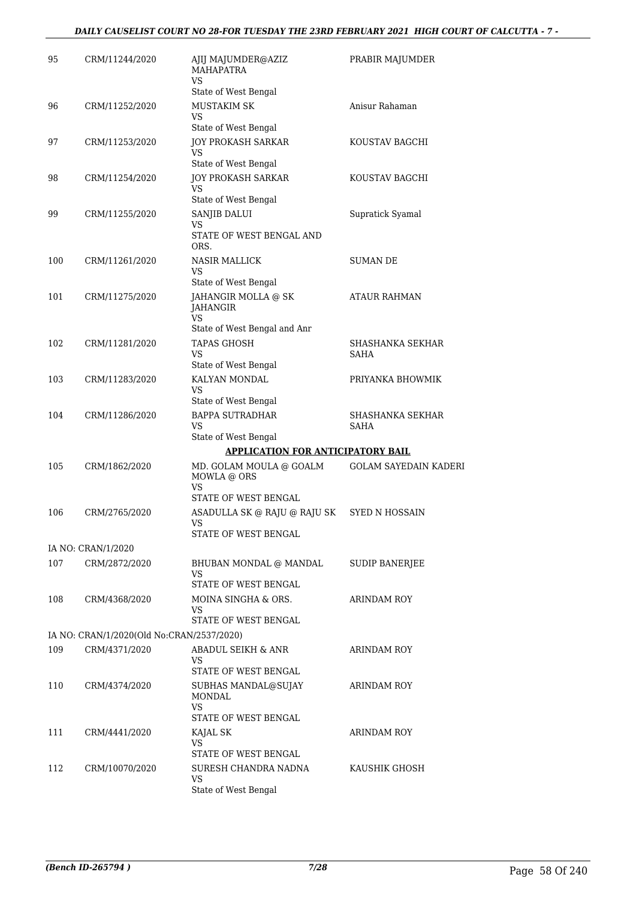| 95  | CRM/11244/2020                            | AJIJ MAJUMDER@AZIZ<br><b>MAHAPATRA</b><br><b>VS</b> | PRABIR MAJUMDER                 |
|-----|-------------------------------------------|-----------------------------------------------------|---------------------------------|
|     |                                           | State of West Bengal                                |                                 |
| 96  | CRM/11252/2020                            | MUSTAKIM SK<br>VS                                   | Anisur Rahaman                  |
|     |                                           | State of West Bengal                                |                                 |
| 97  | CRM/11253/2020                            | <b>JOY PROKASH SARKAR</b><br>VS                     | KOUSTAV BAGCHI                  |
| 98  | CRM/11254/2020                            | State of West Bengal<br><b>JOY PROKASH SARKAR</b>   | KOUSTAV BAGCHI                  |
|     |                                           | <b>VS</b><br>State of West Bengal                   |                                 |
| 99  | CRM/11255/2020                            | SANJIB DALUI<br>VS<br>STATE OF WEST BENGAL AND      | Supratick Syamal                |
|     |                                           | ORS.                                                |                                 |
| 100 | CRM/11261/2020                            | NASIR MALLICK<br>VS<br>State of West Bengal         | SUMAN DE                        |
| 101 | CRM/11275/2020                            | JAHANGIR MOLLA @ SK<br>JAHANGIR                     | <b>ATAUR RAHMAN</b>             |
|     |                                           | VS<br>State of West Bengal and Anr                  |                                 |
| 102 | CRM/11281/2020                            | <b>TAPAS GHOSH</b>                                  | SHASHANKA SEKHAR                |
|     |                                           | VS<br>State of West Bengal                          | SAHA                            |
| 103 | CRM/11283/2020                            | KALYAN MONDAL                                       | PRIYANKA BHOWMIK                |
|     |                                           | VS<br>State of West Bengal                          |                                 |
| 104 | CRM/11286/2020                            | <b>BAPPA SUTRADHAR</b><br><b>VS</b>                 | SHASHANKA SEKHAR<br><b>SAHA</b> |
|     |                                           | State of West Bengal                                |                                 |
|     |                                           | <b>APPLICATION FOR ANTICIPATORY BAIL</b>            |                                 |
| 105 | CRM/1862/2020                             | MD. GOLAM MOULA @ GOALM<br>MOWLA @ ORS              | <b>GOLAM SAYEDAIN KADERI</b>    |
|     |                                           | VS<br>STATE OF WEST BENGAL                          |                                 |
| 106 | CRM/2765/2020                             | ASADULLA SK @ RAJU @ RAJU SK<br><b>VS</b>           | <b>SYED N HOSSAIN</b>           |
|     | IA NO: CRAN/1/2020                        | STATE OF WEST BENGAL                                |                                 |
| 107 | CRM/2872/2020                             | BHUBAN MONDAL @ MANDAL<br>VS                        | SUDIP BANERJEE                  |
|     |                                           | STATE OF WEST BENGAL                                |                                 |
| 108 | CRM/4368/2020                             | MOINA SINGHA & ORS.<br>VS                           | <b>ARINDAM ROY</b>              |
|     |                                           | STATE OF WEST BENGAL                                |                                 |
|     | IA NO: CRAN/1/2020(Old No:CRAN/2537/2020) |                                                     |                                 |
| 109 | CRM/4371/2020                             | ABADUL SEIKH & ANR<br>VS<br>STATE OF WEST BENGAL    | ARINDAM ROY                     |
| 110 | CRM/4374/2020                             | SUBHAS MANDAL@SUJAY                                 | ARINDAM ROY                     |
|     |                                           | MONDAL<br>VS                                        |                                 |
| 111 | CRM/4441/2020                             | STATE OF WEST BENGAL                                | ARINDAM ROY                     |
|     |                                           | KAJAL SK<br>VS<br>STATE OF WEST BENGAL              |                                 |
| 112 | CRM/10070/2020                            | SURESH CHANDRA NADNA                                | KAUSHIK GHOSH                   |
|     |                                           | <b>VS</b><br>State of West Bengal                   |                                 |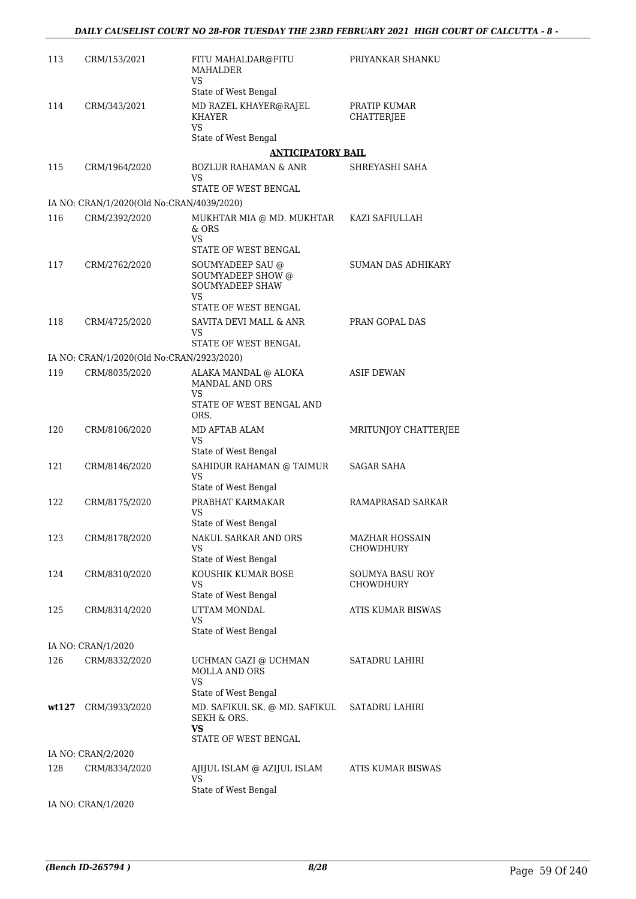| 113   | CRM/153/2021                              | FITU MAHALDAR@FITU<br>MAHALDER<br>VS                                                                 | PRIYANKAR SHANKU                          |
|-------|-------------------------------------------|------------------------------------------------------------------------------------------------------|-------------------------------------------|
|       |                                           | State of West Bengal                                                                                 |                                           |
| 114   | CRM/343/2021                              | MD RAZEL KHAYER@RAJEL<br><b>KHAYER</b>                                                               | PRATIP KUMAR<br><b>CHATTERJEE</b>         |
|       |                                           | VS.<br>State of West Bengal                                                                          |                                           |
|       |                                           | <b>ANTICIPATORY BAIL</b>                                                                             |                                           |
| 115   | CRM/1964/2020                             | <b>BOZLUR RAHAMAN &amp; ANR</b>                                                                      | SHREYASHI SAHA                            |
|       |                                           | VS                                                                                                   |                                           |
|       |                                           | STATE OF WEST BENGAL                                                                                 |                                           |
|       | IA NO: CRAN/1/2020(Old No:CRAN/4039/2020) |                                                                                                      |                                           |
| 116   | CRM/2392/2020                             | MUKHTAR MIA @ MD. MUKHTAR KAZI SAFIULLAH<br>& ORS<br>VS                                              |                                           |
|       |                                           | STATE OF WEST BENGAL                                                                                 |                                           |
| 117   | CRM/2762/2020                             | SOUMYADEEP SAU @<br><b>SOUMYADEEP SHOW @</b><br><b>SOUMYADEEP SHAW</b><br>VS<br>STATE OF WEST BENGAL | <b>SUMAN DAS ADHIKARY</b>                 |
| 118   | CRM/4725/2020                             | SAVITA DEVI MALL & ANR                                                                               | PRAN GOPAL DAS                            |
|       |                                           | VS.                                                                                                  |                                           |
|       |                                           | STATE OF WEST BENGAL                                                                                 |                                           |
|       | IA NO: CRAN/1/2020(Old No:CRAN/2923/2020) |                                                                                                      |                                           |
| 119   | CRM/8035/2020                             | ALAKA MANDAL @ ALOKA<br><b>MANDAL AND ORS</b><br>VS                                                  | <b>ASIF DEWAN</b>                         |
|       |                                           | STATE OF WEST BENGAL AND<br>ORS.                                                                     |                                           |
| 120   | CRM/8106/2020                             | MD AFTAB ALAM<br>VS<br>State of West Bengal                                                          | MRITUNJOY CHATTERJEE                      |
| 121   | CRM/8146/2020                             | SAHIDUR RAHAMAN @ TAIMUR                                                                             | <b>SAGAR SAHA</b>                         |
|       |                                           | <b>VS</b><br>State of West Bengal                                                                    |                                           |
| 122   | CRM/8175/2020                             | PRABHAT KARMAKAR<br>VS<br>State of West Bengal                                                       | RAMAPRASAD SARKAR                         |
| 123   | CRM/8178/2020                             | NAKUL SARKAR AND ORS<br>VS                                                                           | <b>MAZHAR HOSSAIN</b><br><b>CHOWDHURY</b> |
|       |                                           | State of West Bengal                                                                                 |                                           |
| 124   | CRM/8310/2020                             | KOUSHIK KUMAR BOSE<br>VS<br>State of West Bengal                                                     | SOUMYA BASU ROY<br>CHOWDHURY              |
| 125   | CRM/8314/2020                             | UTTAM MONDAL                                                                                         | ATIS KUMAR BISWAS                         |
|       |                                           | VS<br>State of West Bengal                                                                           |                                           |
|       | IA NO: CRAN/1/2020                        |                                                                                                      |                                           |
| 126   | CRM/8332/2020                             | UCHMAN GAZI @ UCHMAN<br><b>MOLLA AND ORS</b><br>VS.                                                  | SATADRU LAHIRI                            |
| wt127 | CRM/3933/2020                             | State of West Bengal<br>MD. SAFIKUL SK. @ MD. SAFIKUL<br>SEKH & ORS.<br>VS.                          | SATADRU LAHIRI                            |
|       |                                           | STATE OF WEST BENGAL                                                                                 |                                           |
| 128   | IA NO: CRAN/2/2020<br>CRM/8334/2020       | AJIJUL ISLAM @ AZIJUL ISLAM<br>VS                                                                    | ATIS KUMAR BISWAS                         |
|       |                                           | State of West Bengal                                                                                 |                                           |
|       | IA NO: CRAN/1/2020                        |                                                                                                      |                                           |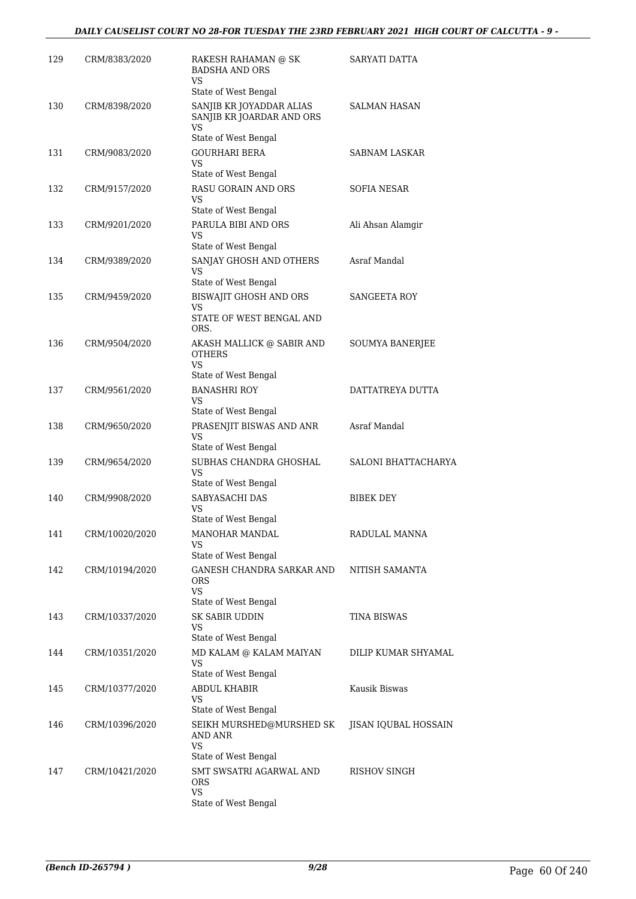| 129 | CRM/8383/2020  | RAKESH RAHAMAN @ SK<br><b>BADSHA AND ORS</b><br>VS                                                 | SARYATI DATTA          |
|-----|----------------|----------------------------------------------------------------------------------------------------|------------------------|
| 130 | CRM/8398/2020  | State of West Bengal<br>SANJIB KR JOYADDAR ALIAS<br>SANJIB KR JOARDAR AND ORS                      | <b>SALMAN HASAN</b>    |
|     |                | VS<br>State of West Bengal                                                                         |                        |
| 131 | CRM/9083/2020  | <b>GOURHARI BERA</b><br>VS<br>State of West Bengal                                                 | SABNAM LASKAR          |
| 132 | CRM/9157/2020  | RASU GORAIN AND ORS<br>VS                                                                          | SOFIA NESAR            |
| 133 | CRM/9201/2020  | State of West Bengal<br>PARULA BIBI AND ORS<br>VS                                                  | Ali Ahsan Alamgir      |
| 134 | CRM/9389/2020  | State of West Bengal<br>SANJAY GHOSH AND OTHERS<br><b>VS</b>                                       | Asraf Mandal           |
| 135 | CRM/9459/2020  | State of West Bengal<br><b>BISWAJIT GHOSH AND ORS</b><br>VS                                        | SANGEETA ROY           |
|     |                | STATE OF WEST BENGAL AND<br>ORS.                                                                   |                        |
| 136 | CRM/9504/2020  | AKASH MALLICK @ SABIR AND<br><b>OTHERS</b><br><b>VS</b>                                            | <b>SOUMYA BANERIEE</b> |
| 137 | CRM/9561/2020  | State of West Bengal<br><b>BANASHRI ROY</b><br>VS                                                  | DATTATREYA DUTTA       |
| 138 | CRM/9650/2020  | State of West Bengal<br>PRASENJIT BISWAS AND ANR<br><b>VS</b>                                      | Asraf Mandal           |
| 139 | CRM/9654/2020  | State of West Bengal<br>SUBHAS CHANDRA GHOSHAL<br>VS                                               | SALONI BHATTACHARYA    |
| 140 | CRM/9908/2020  | State of West Bengal<br>SABYASACHI DAS<br>VS                                                       | <b>BIBEK DEY</b>       |
| 141 | CRM/10020/2020 | State of West Bengal<br><b>MANOHAR MANDAL</b><br>VS                                                | RADULAL MANNA          |
| 142 | CRM/10194/2020 | State of West Bengal<br>GANESH CHANDRA SARKAR AND<br>ORS<br>VS.                                    | NITISH SAMANTA         |
| 143 | CRM/10337/2020 | State of West Bengal<br>SK SABIR UDDIN<br>VS                                                       | <b>TINA BISWAS</b>     |
| 144 | CRM/10351/2020 | State of West Bengal<br>MD KALAM @ KALAM MAIYAN<br>VS                                              | DILIP KUMAR SHYAMAL    |
| 145 | CRM/10377/2020 | State of West Bengal<br>ABDUL KHABIR<br>VS                                                         | Kausik Biswas          |
| 146 | CRM/10396/2020 | State of West Bengal<br>SEIKH MURSHED@MURSHED SK<br>AND ANR<br>VS                                  | JISAN IQUBAL HOSSAIN   |
| 147 | CRM/10421/2020 | State of West Bengal<br>SMT SWSATRI AGARWAL AND<br><b>ORS</b><br><b>VS</b><br>State of West Bengal | RISHOV SINGH           |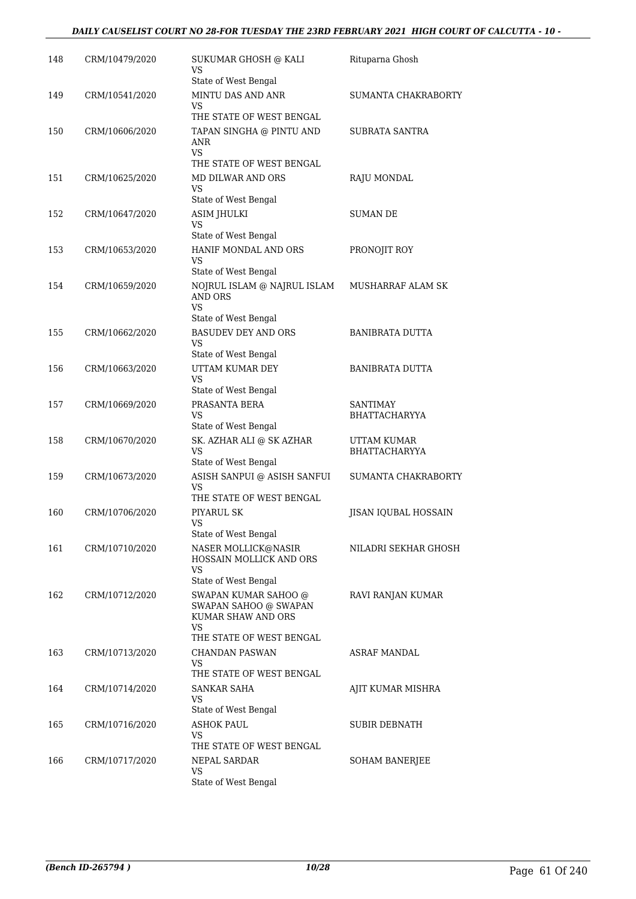### *DAILY CAUSELIST COURT NO 28-FOR TUESDAY THE 23RD FEBRUARY 2021 HIGH COURT OF CALCUTTA - 10 -*

| 148 | CRM/10479/2020 | SUKUMAR GHOSH @ KALI<br>VS<br>State of West Bengal                                                    | Rituparna Ghosh                         |
|-----|----------------|-------------------------------------------------------------------------------------------------------|-----------------------------------------|
| 149 | CRM/10541/2020 | MINTU DAS AND ANR<br>VS                                                                               | <b>SUMANTA CHAKRABORTY</b>              |
|     |                | THE STATE OF WEST BENGAL                                                                              |                                         |
| 150 | CRM/10606/2020 | TAPAN SINGHA @ PINTU AND<br>ANR<br><b>VS</b>                                                          | SUBRATA SANTRA                          |
|     |                | THE STATE OF WEST BENGAL                                                                              |                                         |
| 151 | CRM/10625/2020 | MD DILWAR AND ORS<br>VS                                                                               | RAJU MONDAL                             |
| 152 | CRM/10647/2020 | State of West Bengal<br><b>ASIM JHULKI</b><br>VS                                                      | <b>SUMAN DE</b>                         |
|     |                | State of West Bengal                                                                                  |                                         |
| 153 | CRM/10653/2020 | HANIF MONDAL AND ORS<br>VS<br>State of West Bengal                                                    | PRONOJIT ROY                            |
| 154 | CRM/10659/2020 | NOJRUL ISLAM @ NAJRUL ISLAM<br><b>AND ORS</b><br><b>VS</b>                                            | MUSHARRAF ALAM SK                       |
|     |                | State of West Bengal                                                                                  |                                         |
| 155 | CRM/10662/2020 | <b>BASUDEV DEY AND ORS</b><br>VS                                                                      | <b>BANIBRATA DUTTA</b>                  |
| 156 | CRM/10663/2020 | State of West Bengal<br>UTTAM KUMAR DEY<br>VS                                                         | <b>BANIBRATA DUTTA</b>                  |
| 157 | CRM/10669/2020 | State of West Bengal<br>PRASANTA BERA<br>VS                                                           | <b>SANTIMAY</b><br><b>BHATTACHARYYA</b> |
|     |                | State of West Bengal                                                                                  |                                         |
| 158 | CRM/10670/2020 | SK. AZHAR ALI @ SK AZHAR<br>VS<br>State of West Bengal                                                | UTTAM KUMAR<br><b>BHATTACHARYYA</b>     |
| 159 | CRM/10673/2020 | ASISH SANPUI @ ASISH SANFUI<br>VS                                                                     | SUMANTA CHAKRABORTY                     |
|     |                | THE STATE OF WEST BENGAL                                                                              |                                         |
| 160 | CRM/10706/2020 | PIYARUL SK<br>VS<br>State of West Bengal                                                              | JISAN IQUBAL HOSSAIN                    |
| 161 | CRM/10710/2020 | NASER MOLLICK@NASIR<br>HOSSAIN MOLLICK AND ORS<br>VS                                                  | NILADRI SEKHAR GHOSH                    |
|     |                | State of West Bengal                                                                                  |                                         |
| 162 | CRM/10712/2020 | SWAPAN KUMAR SAHOO @<br>SWAPAN SAHOO @ SWAPAN<br>KUMAR SHAW AND ORS<br>VS<br>THE STATE OF WEST BENGAL | RAVI RANJAN KUMAR                       |
| 163 | CRM/10713/2020 | CHANDAN PASWAN<br>VS                                                                                  | ASRAF MANDAL                            |
|     |                | THE STATE OF WEST BENGAL                                                                              |                                         |
| 164 | CRM/10714/2020 | SANKAR SAHA<br>VS<br>State of West Bengal                                                             | AJIT KUMAR MISHRA                       |
| 165 | CRM/10716/2020 | <b>ASHOK PAUL</b><br>VS<br>THE STATE OF WEST BENGAL                                                   | <b>SUBIR DEBNATH</b>                    |
| 166 | CRM/10717/2020 | NEPAL SARDAR<br>VS<br>State of West Bengal                                                            | <b>SOHAM BANERJEE</b>                   |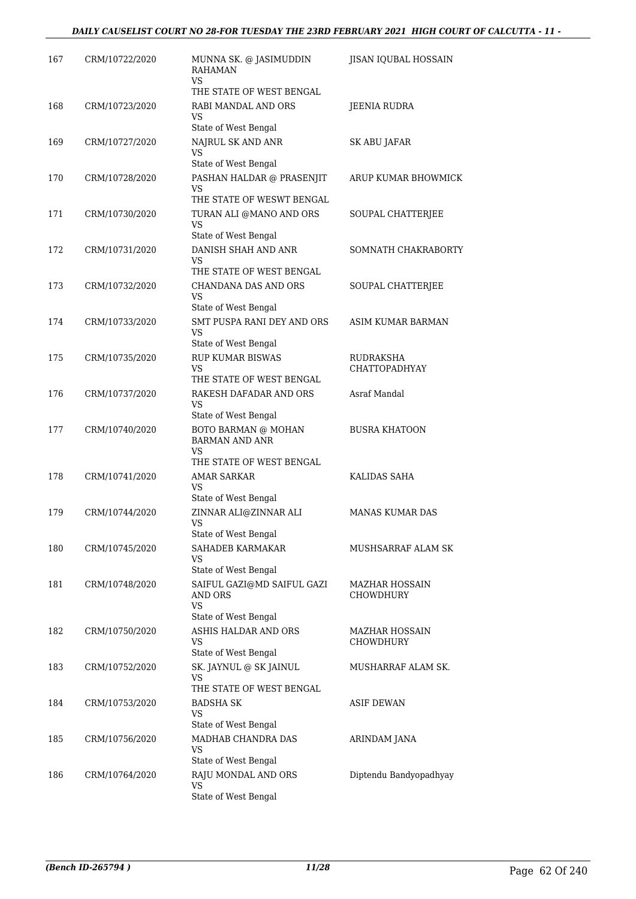| 167 | CRM/10722/2020 | MUNNA SK. @ JASIMUDDIN<br><b>RAHAMAN</b><br>VS               | JISAN IQUBAL HOSSAIN                      |
|-----|----------------|--------------------------------------------------------------|-------------------------------------------|
|     |                | THE STATE OF WEST BENGAL                                     |                                           |
| 168 | CRM/10723/2020 | RABI MANDAL AND ORS<br>VS                                    | JEENIA RUDRA                              |
|     |                | State of West Bengal                                         |                                           |
| 169 | CRM/10727/2020 | NAJRUL SK AND ANR<br>VS<br>State of West Bengal              | <b>SK ABU JAFAR</b>                       |
| 170 | CRM/10728/2020 | PASHAN HALDAR @ PRASENJIT                                    | ARUP KUMAR BHOWMICK                       |
|     |                | VS<br>THE STATE OF WESWT BENGAL                              |                                           |
| 171 | CRM/10730/2020 | TURAN ALI @MANO AND ORS<br><b>VS</b>                         | SOUPAL CHATTERJEE                         |
|     |                | State of West Bengal                                         |                                           |
| 172 | CRM/10731/2020 | DANISH SHAH AND ANR<br><b>VS</b><br>THE STATE OF WEST BENGAL | SOMNATH CHAKRABORTY                       |
| 173 | CRM/10732/2020 | CHANDANA DAS AND ORS<br>VS                                   | SOUPAL CHATTERJEE                         |
|     |                | State of West Bengal                                         |                                           |
| 174 | CRM/10733/2020 | SMT PUSPA RANI DEY AND ORS<br>VS                             | ASIM KUMAR BARMAN                         |
|     |                | State of West Bengal                                         |                                           |
| 175 | CRM/10735/2020 | <b>RUP KUMAR BISWAS</b><br>VS<br>THE STATE OF WEST BENGAL    | RUDRAKSHA<br><b>CHATTOPADHYAY</b>         |
| 176 | CRM/10737/2020 | RAKESH DAFADAR AND ORS                                       | Asraf Mandal                              |
|     |                | VS<br>State of West Bengal                                   |                                           |
| 177 | CRM/10740/2020 | BOTO BARMAN @ MOHAN<br><b>BARMAN AND ANR</b><br><b>VS</b>    | <b>BUSRA KHATOON</b>                      |
|     |                | THE STATE OF WEST BENGAL                                     |                                           |
| 178 | CRM/10741/2020 | <b>AMAR SARKAR</b><br>VS                                     | KALIDAS SAHA                              |
|     |                | State of West Bengal                                         |                                           |
| 179 | CRM/10744/2020 | ZINNAR ALI@ZINNAR ALI<br><b>VS</b><br>State of West Bengal   | <b>MANAS KUMAR DAS</b>                    |
| 180 | CRM/10745/2020 | SAHADEB KARMAKAR<br>VS                                       | MUSHSARRAF ALAM SK                        |
|     |                | State of West Bengal                                         |                                           |
| 181 | CRM/10748/2020 | SAIFUL GAZI@MD SAIFUL GAZI<br><b>AND ORS</b><br><b>VS</b>    | MAZHAR HOSSAIN<br>CHOWDHURY               |
|     |                | State of West Bengal                                         |                                           |
| 182 | CRM/10750/2020 | ASHIS HALDAR AND ORS<br>VS                                   | <b>MAZHAR HOSSAIN</b><br><b>CHOWDHURY</b> |
|     |                | State of West Bengal                                         |                                           |
| 183 | CRM/10752/2020 | SK. JAYNUL @ SK JAINUL<br>VS<br>THE STATE OF WEST BENGAL     | MUSHARRAF ALAM SK.                        |
| 184 | CRM/10753/2020 | BADSHA SK                                                    | ASIF DEWAN                                |
|     |                | <b>VS</b><br>State of West Bengal                            |                                           |
| 185 | CRM/10756/2020 | MADHAB CHANDRA DAS                                           | ARINDAM JANA                              |
|     |                | VS                                                           |                                           |
| 186 | CRM/10764/2020 | State of West Bengal<br>RAJU MONDAL AND ORS                  | Diptendu Bandyopadhyay                    |
|     |                | VS                                                           |                                           |
|     |                | State of West Bengal                                         |                                           |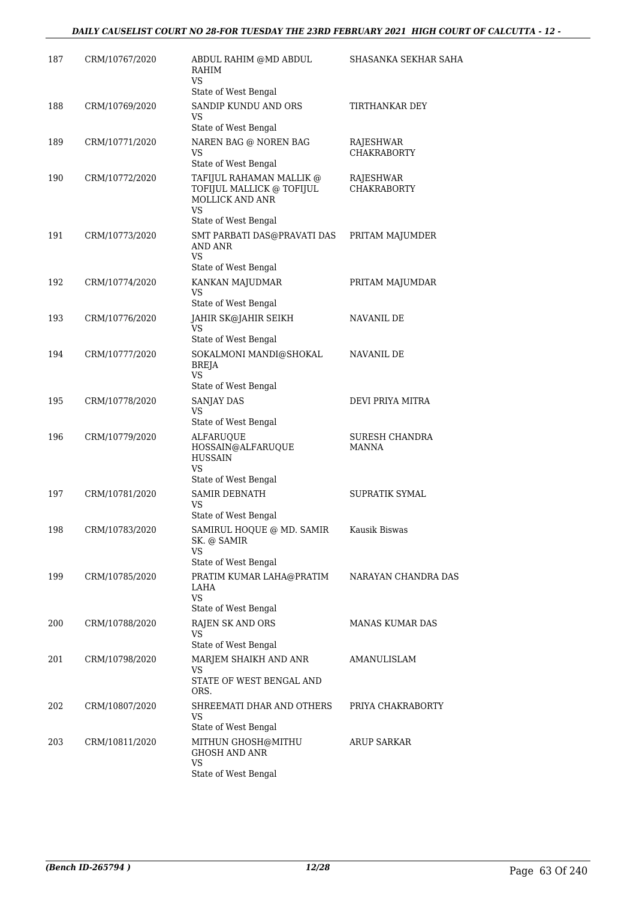| 187 | CRM/10767/2020 | ABDUL RAHIM @MD ABDUL<br>RAHIM<br>VS                                                                                 | SHASANKA SEKHAR SAHA                  |
|-----|----------------|----------------------------------------------------------------------------------------------------------------------|---------------------------------------|
| 188 | CRM/10769/2020 | State of West Bengal<br>SANDIP KUNDU AND ORS                                                                         | TIRTHANKAR DEY                        |
|     |                | VS<br>State of West Bengal                                                                                           |                                       |
| 189 | CRM/10771/2020 | NAREN BAG @ NOREN BAG<br>VS                                                                                          | RAJESHWAR<br><b>CHAKRABORTY</b>       |
|     |                | State of West Bengal                                                                                                 |                                       |
| 190 | CRM/10772/2020 | TAFIJUL RAHAMAN MALLIK @<br>TOFIJUL MALLICK @ TOFIJUL<br><b>MOLLICK AND ANR</b><br><b>VS</b><br>State of West Bengal | RAJESHWAR<br><b>CHAKRABORTY</b>       |
| 191 | CRM/10773/2020 | SMT PARBATI DAS@PRAVATI DAS<br>AND ANR<br>VS<br>State of West Bengal                                                 | PRITAM MAJUMDER                       |
| 192 | CRM/10774/2020 | KANKAN MAJUDMAR                                                                                                      | PRITAM MAJUMDAR                       |
|     |                | VS                                                                                                                   |                                       |
| 193 |                | State of West Bengal                                                                                                 | NAVANIL DE                            |
|     | CRM/10776/2020 | JAHIR SK@JAHIR SEIKH<br>VS<br>State of West Bengal                                                                   |                                       |
| 194 | CRM/10777/2020 | SOKALMONI MANDI@SHOKAL<br>BREJA<br>VS<br>State of West Bengal                                                        | NAVANIL DE                            |
| 195 | CRM/10778/2020 | SANJAY DAS<br><b>VS</b>                                                                                              | DEVI PRIYA MITRA                      |
|     |                | State of West Bengal                                                                                                 |                                       |
| 196 | CRM/10779/2020 | <b>ALFARUQUE</b><br>HOSSAIN@ALFARUQUE<br><b>HUSSAIN</b><br>VS<br>State of West Bengal                                | <b>SURESH CHANDRA</b><br><b>MANNA</b> |
| 197 | CRM/10781/2020 | <b>SAMIR DEBNATH</b><br>VS                                                                                           | SUPRATIK SYMAL                        |
|     |                | State of West Bengal                                                                                                 |                                       |
| 198 | CRM/10783/2020 | SAMIRUL HOQUE @ MD. SAMIR<br>SK. @ SAMIR<br>VS                                                                       | Kausik Biswas                         |
|     |                | State of West Bengal                                                                                                 |                                       |
| 199 | CRM/10785/2020 | PRATIM KUMAR LAHA@PRATIM<br>LAHA<br><b>VS</b><br>State of West Bengal                                                | NARAYAN CHANDRA DAS                   |
| 200 | CRM/10788/2020 | <b>RAJEN SK AND ORS</b>                                                                                              | <b>MANAS KUMAR DAS</b>                |
|     |                | VS<br>State of West Bengal                                                                                           |                                       |
| 201 | CRM/10798/2020 | MARJEM SHAIKH AND ANR<br>VS.                                                                                         | AMANULISLAM                           |
|     |                | STATE OF WEST BENGAL AND<br>ORS.                                                                                     |                                       |
| 202 | CRM/10807/2020 | SHREEMATI DHAR AND OTHERS<br>VS                                                                                      | PRIYA CHAKRABORTY                     |
|     |                | State of West Bengal                                                                                                 |                                       |
| 203 | CRM/10811/2020 | MITHUN GHOSH@MITHU<br><b>GHOSH AND ANR</b><br>VS                                                                     | ARUP SARKAR                           |
|     |                | State of West Bengal                                                                                                 |                                       |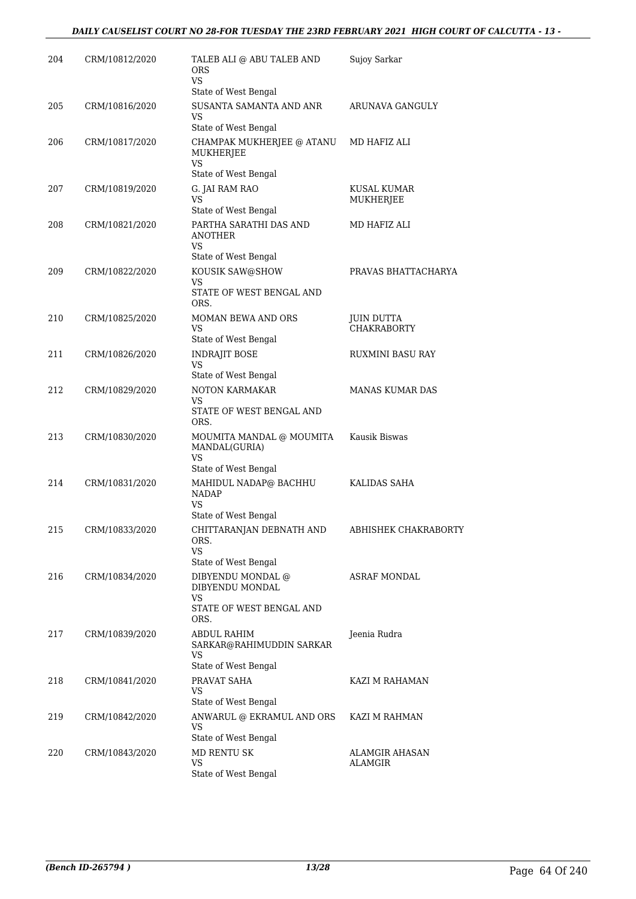### *DAILY CAUSELIST COURT NO 28-FOR TUESDAY THE 23RD FEBRUARY 2021 HIGH COURT OF CALCUTTA - 13 -*

| 204 | CRM/10812/2020 | TALEB ALI @ ABU TALEB AND<br><b>ORS</b><br><b>VS</b>                                          | Sujoy Sarkar                            |
|-----|----------------|-----------------------------------------------------------------------------------------------|-----------------------------------------|
| 205 | CRM/10816/2020 | State of West Bengal<br>SUSANTA SAMANTA AND ANR<br>VS                                         | ARUNAVA GANGULY                         |
| 206 | CRM/10817/2020 | State of West Bengal<br>CHAMPAK MUKHERJEE @ ATANU<br>MUKHERJEE<br><b>VS</b>                   | MD HAFIZ ALI                            |
| 207 | CRM/10819/2020 | State of West Bengal<br>G. JAI RAM RAO<br>VS                                                  | KUSAL KUMAR<br>MUKHERJEE                |
| 208 | CRM/10821/2020 | State of West Bengal<br>PARTHA SARATHI DAS AND<br><b>ANOTHER</b>                              | MD HAFIZ ALI                            |
| 209 | CRM/10822/2020 | <b>VS</b><br>State of West Bengal<br>KOUSIK SAW@SHOW<br><b>VS</b><br>STATE OF WEST BENGAL AND | PRAVAS BHATTACHARYA                     |
| 210 | CRM/10825/2020 | ORS.<br>MOMAN BEWA AND ORS<br>VS                                                              | <b>JUIN DUTTA</b><br><b>CHAKRABORTY</b> |
| 211 | CRM/10826/2020 | State of West Bengal<br><b>INDRAJIT BOSE</b><br>VS                                            | RUXMINI BASU RAY                        |
| 212 | CRM/10829/2020 | State of West Bengal<br>NOTON KARMAKAR<br>VS<br>STATE OF WEST BENGAL AND                      | MANAS KUMAR DAS                         |
| 213 | CRM/10830/2020 | ORS.<br>MOUMITA MANDAL @ MOUMITA<br>MANDAL(GURIA)<br>VS                                       | Kausik Biswas                           |
| 214 | CRM/10831/2020 | State of West Bengal<br>MAHIDUL NADAP@ BACHHU<br><b>NADAP</b><br>VS                           | KALIDAS SAHA                            |
| 215 | CRM/10833/2020 | State of West Bengal<br>CHITTARANJAN DEBNATH AND<br>ORS.<br><b>VS</b>                         | ABHISHEK CHAKRABORTY                    |
| 216 | CRM/10834/2020 | State of West Bengal<br>DIBYENDU MONDAL @<br>DIBYENDU MONDAL<br><b>VS</b>                     | ASRAF MONDAL                            |
| 217 | CRM/10839/2020 | STATE OF WEST BENGAL AND<br>ORS.<br>ABDUL RAHIM<br>SARKAR@RAHIMUDDIN SARKAR                   | Jeenia Rudra                            |
| 218 | CRM/10841/2020 | VS<br>State of West Bengal<br>PRAVAT SAHA<br>VS                                               | KAZI M RAHAMAN                          |
| 219 | CRM/10842/2020 | State of West Bengal<br>ANWARUL @ EKRAMUL AND ORS<br><b>VS</b>                                | KAZI M RAHMAN                           |
| 220 | CRM/10843/2020 | State of West Bengal<br><b>MD RENTU SK</b><br>VS.<br>State of West Bengal                     | ALAMGIR AHASAN<br>ALAMGIR               |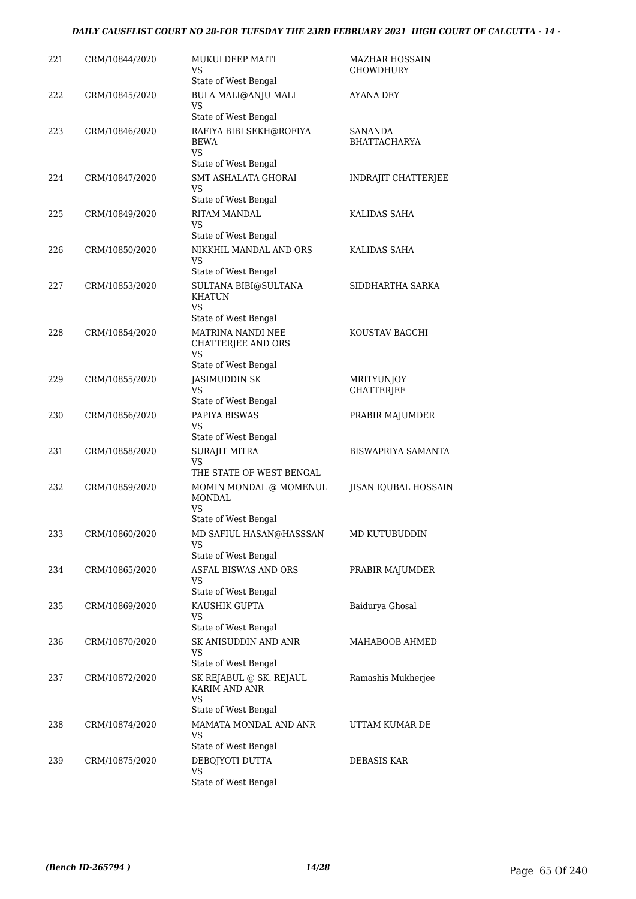### *DAILY CAUSELIST COURT NO 28-FOR TUESDAY THE 23RD FEBRUARY 2021 HIGH COURT OF CALCUTTA - 14 -*

| 221 | CRM/10844/2020 | MUKULDEEP MAITI<br>VS<br>State of West Bengal            | MAZHAR HOSSAIN<br><b>CHOWDHURY</b>     |
|-----|----------------|----------------------------------------------------------|----------------------------------------|
| 222 | CRM/10845/2020 | BULA MALI@ANJU MALI<br><b>VS</b>                         | AYANA DEY                              |
|     |                | State of West Bengal                                     |                                        |
| 223 | CRM/10846/2020 | RAFIYA BIBI SEKH@ROFIYA<br><b>BEWA</b><br>VS.            | SANANDA<br><b>BHATTACHARYA</b>         |
|     |                | State of West Bengal                                     |                                        |
| 224 | CRM/10847/2020 | <b>SMT ASHALATA GHORAI</b><br>VS<br>State of West Bengal | INDRAJIT CHATTERJEE                    |
| 225 | CRM/10849/2020 | RITAM MANDAL<br>VS<br>State of West Bengal               | KALIDAS SAHA                           |
| 226 | CRM/10850/2020 | NIKKHIL MANDAL AND ORS<br><b>VS</b>                      | KALIDAS SAHA                           |
|     |                | State of West Bengal                                     |                                        |
| 227 | CRM/10853/2020 | SULTANA BIBI@SULTANA<br><b>KHATUN</b><br><b>VS</b>       | SIDDHARTHA SARKA                       |
|     |                | State of West Bengal                                     |                                        |
| 228 | CRM/10854/2020 | MATRINA NANDI NEE<br><b>CHATTERJEE AND ORS</b><br>VS     | KOUSTAV BAGCHI                         |
|     |                | State of West Bengal                                     |                                        |
| 229 | CRM/10855/2020 | JASIMUDDIN SK<br><b>VS</b>                               | <b>MRITYUNJOY</b><br><b>CHATTERJEE</b> |
|     |                | State of West Bengal                                     |                                        |
| 230 | CRM/10856/2020 | PAPIYA BISWAS<br>VS<br>State of West Bengal              | PRABIR MAJUMDER                        |
| 231 | CRM/10858/2020 | <b>SURAJIT MITRA</b>                                     | BISWAPRIYA SAMANTA                     |
|     |                | <b>VS</b><br>THE STATE OF WEST BENGAL                    |                                        |
| 232 | CRM/10859/2020 | MOMIN MONDAL @ MOMENUL<br><b>MONDAL</b>                  | <b>JISAN IQUBAL HOSSAIN</b>            |
|     |                | VS                                                       |                                        |
|     |                | State of West Bengal                                     |                                        |
| 233 | CRM/10860/2020 | MD SAFIUL HASAN@HASSSAN<br>VS<br>State of West Bengal    | MD KUTUBUDDIN                          |
| 234 | CRM/10865/2020 | ASFAL BISWAS AND ORS<br>VS                               | PRABIR MAJUMDER                        |
|     |                | State of West Bengal                                     |                                        |
| 235 | CRM/10869/2020 | KAUSHIK GUPTA<br>VS<br>State of West Bengal              | Baidurya Ghosal                        |
| 236 | CRM/10870/2020 | SK ANISUDDIN AND ANR                                     | MAHABOOB AHMED                         |
|     |                | VS<br>State of West Bengal                               |                                        |
| 237 | CRM/10872/2020 | SK REJABUL @ SK. REJAUL<br>KARIM AND ANR<br><b>VS</b>    | Ramashis Mukherjee                     |
| 238 | CRM/10874/2020 | State of West Bengal<br>MAMATA MONDAL AND ANR            | UTTAM KUMAR DE                         |
|     |                | VS<br>State of West Bengal                               |                                        |
| 239 | CRM/10875/2020 | DEBOJYOTI DUTTA                                          | <b>DEBASIS KAR</b>                     |
|     |                | <b>VS</b><br>State of West Bengal                        |                                        |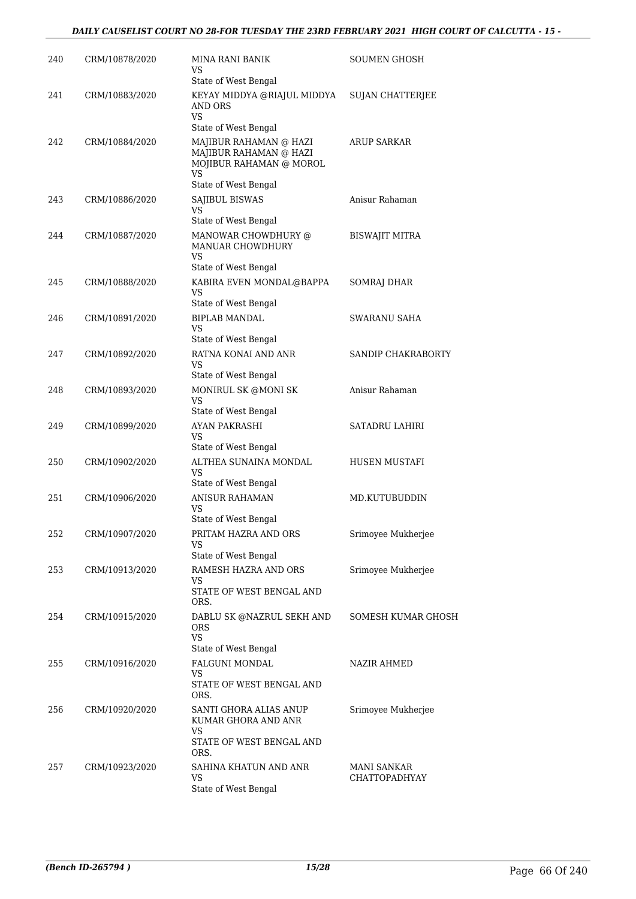| 240 | CRM/10878/2020 | MINA RANI BANIK<br>VS<br>State of West Bengal                                                              | SOUMEN GHOSH                        |
|-----|----------------|------------------------------------------------------------------------------------------------------------|-------------------------------------|
| 241 | CRM/10883/2020 | KEYAY MIDDYA @RIAJUL MIDDYA<br><b>AND ORS</b><br><b>VS</b><br>State of West Bengal                         | <b>SUJAN CHATTERJEE</b>             |
| 242 | CRM/10884/2020 | MAJIBUR RAHAMAN @ HAZI<br>MAJIBUR RAHAMAN @ HAZI<br>MOJIBUR RAHAMAN @ MOROL<br>VS.<br>State of West Bengal | <b>ARUP SARKAR</b>                  |
| 243 | CRM/10886/2020 | <b>SAJIBUL BISWAS</b><br>VS<br>State of West Bengal                                                        | Anisur Rahaman                      |
| 244 | CRM/10887/2020 | MANOWAR CHOWDHURY @<br>MANUAR CHOWDHURY<br>VS<br>State of West Bengal                                      | <b>BISWAJIT MITRA</b>               |
| 245 | CRM/10888/2020 | KABIRA EVEN MONDAL@BAPPA<br>VS<br>State of West Bengal                                                     | <b>SOMRAJ DHAR</b>                  |
| 246 | CRM/10891/2020 | <b>BIPLAB MANDAL</b><br>VS<br>State of West Bengal                                                         | SWARANU SAHA                        |
| 247 | CRM/10892/2020 | RATNA KONAI AND ANR<br>VS<br>State of West Bengal                                                          | SANDIP CHAKRABORTY                  |
| 248 | CRM/10893/2020 | MONIRUL SK @MONI SK<br>VS<br>State of West Bengal                                                          | Anisur Rahaman                      |
| 249 | CRM/10899/2020 | AYAN PAKRASHI<br>VS<br>State of West Bengal                                                                | SATADRU LAHIRI                      |
| 250 | CRM/10902/2020 | ALTHEA SUNAINA MONDAL<br>VS<br>State of West Bengal                                                        | HUSEN MUSTAFI                       |
| 251 | CRM/10906/2020 | <b>ANISUR RAHAMAN</b><br>VS<br>State of West Bengal                                                        | MD.KUTUBUDDIN                       |
| 252 | CRM/10907/2020 | PRITAM HAZRA AND ORS<br>VS<br>State of West Bengal                                                         | Srimoyee Mukherjee                  |
| 253 | CRM/10913/2020 | RAMESH HAZRA AND ORS<br>VS<br>STATE OF WEST BENGAL AND<br>ORS.                                             | Srimoyee Mukherjee                  |
| 254 | CRM/10915/2020 | DABLU SK @NAZRUL SEKH AND<br>ORS<br><b>VS</b>                                                              | SOMESH KUMAR GHOSH                  |
| 255 | CRM/10916/2020 | State of West Bengal<br><b>FALGUNI MONDAL</b><br>VS.<br>STATE OF WEST BENGAL AND<br>ORS.                   | NAZIR AHMED                         |
| 256 | CRM/10920/2020 | SANTI GHORA ALIAS ANUP<br>KUMAR GHORA AND ANR<br>VS.<br>STATE OF WEST BENGAL AND                           | Srimoyee Mukherjee                  |
| 257 | CRM/10923/2020 | ORS.<br>SAHINA KHATUN AND ANR<br><b>VS</b><br>State of West Bengal                                         | MANI SANKAR<br><b>CHATTOPADHYAY</b> |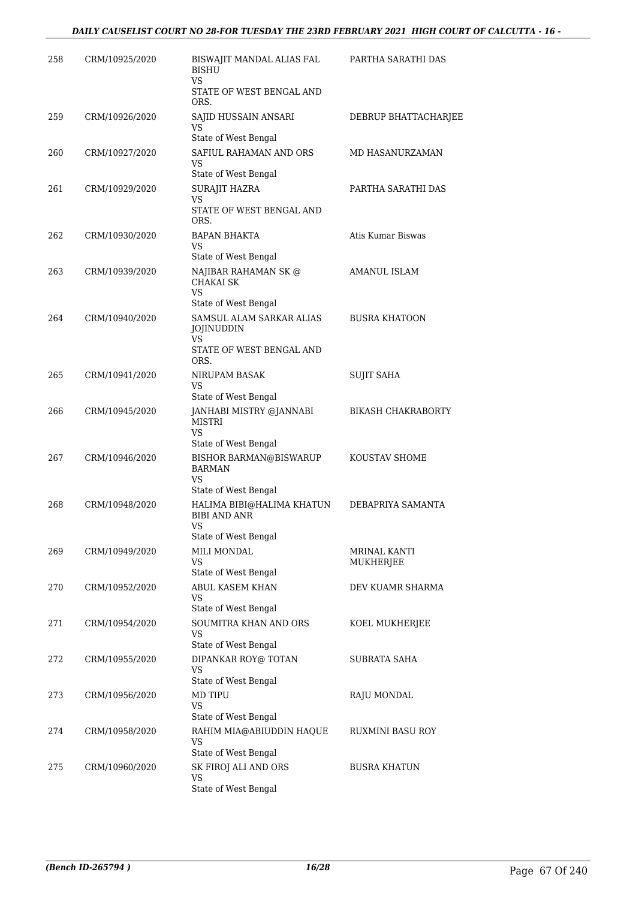| 258 | CRM/10925/2020 | BISWAJIT MANDAL ALIAS FAL<br><b>BISHU</b><br>VS.                                                 | PARTHA SARATHI DAS        |
|-----|----------------|--------------------------------------------------------------------------------------------------|---------------------------|
|     |                | STATE OF WEST BENGAL AND<br>ORS.                                                                 |                           |
| 259 | CRM/10926/2020 | SAJID HUSSAIN ANSARI<br>VS<br>State of West Bengal                                               | DEBRUP BHATTACHARJEE      |
| 260 | CRM/10927/2020 | SAFIUL RAHAMAN AND ORS<br>VS<br>State of West Bengal                                             | MD HASANURZAMAN           |
| 261 | CRM/10929/2020 | SURAJIT HAZRA<br>VS<br>STATE OF WEST BENGAL AND                                                  | PARTHA SARATHI DAS        |
| 262 | CRM/10930/2020 | ORS.<br>BAPAN BHAKTA<br><b>VS</b><br>State of West Bengal                                        | Atis Kumar Biswas         |
| 263 | CRM/10939/2020 | NAJIBAR RAHAMAN SK @<br><b>CHAKAI SK</b><br>VS                                                   | <b>AMANUL ISLAM</b>       |
| 264 | CRM/10940/2020 | State of West Bengal<br>SAMSUL ALAM SARKAR ALIAS<br>JOJINUDDIN<br>VS<br>STATE OF WEST BENGAL AND | <b>BUSRA KHATOON</b>      |
| 265 | CRM/10941/2020 | ORS.<br>NIRUPAM BASAK<br><b>VS</b>                                                               | <b>SUJIT SAHA</b>         |
| 266 | CRM/10945/2020 | State of West Bengal<br>JANHABI MISTRY @JANNABI<br><b>MISTRI</b>                                 | <b>BIKASH CHAKRABORTY</b> |
| 267 | CRM/10946/2020 | VS<br>State of West Bengal<br><b>BISHOR BARMAN@BISWARUP</b><br><b>BARMAN</b><br><b>VS</b>        | KOUSTAV SHOME             |
| 268 | CRM/10948/2020 | State of West Bengal<br>HALIMA BIBI@HALIMA KHATUN<br><b>BIBI AND ANR</b><br><b>VS</b>            | DEBAPRIYA SAMANTA         |
| 269 | CRM/10949/2020 | State of West Bengal<br>MILI MONDAL<br>VS                                                        | MRINAL KANTI<br>MUKHERJEE |
| 270 | CRM/10952/2020 | State of West Bengal<br><b>ABUL KASEM KHAN</b><br>VS<br>State of West Bengal                     | DEV KUAMR SHARMA          |
| 271 | CRM/10954/2020 | <b>SOUMITRA KHAN AND ORS</b><br>VS<br>State of West Bengal                                       | KOEL MUKHERJEE            |
| 272 | CRM/10955/2020 | DIPANKAR ROY@ TOTAN<br>VS<br>State of West Bengal                                                | SUBRATA SAHA              |
| 273 | CRM/10956/2020 | MD TIPU<br>VS<br>State of West Bengal                                                            | RAJU MONDAL               |
| 274 | CRM/10958/2020 | RAHIM MIA@ABIUDDIN HAQUE<br>VS<br>State of West Bengal                                           | RUXMINI BASU ROY          |
| 275 | CRM/10960/2020 | SK FIROJ ALI AND ORS<br><b>VS</b><br>State of West Bengal                                        | <b>BUSRA KHATUN</b>       |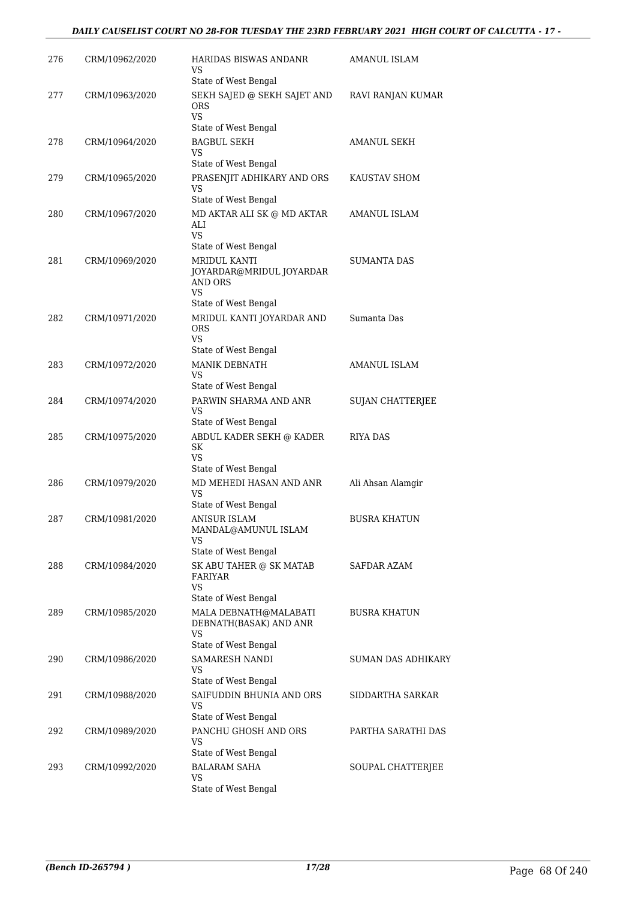| 276 | CRM/10962/2020 | HARIDAS BISWAS ANDANR<br>VS<br>State of West Bengal                                  | AMANUL ISLAM            |
|-----|----------------|--------------------------------------------------------------------------------------|-------------------------|
| 277 | CRM/10963/2020 | SEKH SAJED @ SEKH SAJET AND<br>ORS<br>VS                                             | RAVI RANJAN KUMAR       |
| 278 | CRM/10964/2020 | State of West Bengal<br><b>BAGBUL SEKH</b><br><b>VS</b>                              | AMANUL SEKH             |
| 279 | CRM/10965/2020 | State of West Bengal<br>PRASENJIT ADHIKARY AND ORS<br>VS<br>State of West Bengal     | KAUSTAV SHOM            |
| 280 | CRM/10967/2020 | MD AKTAR ALI SK @ MD AKTAR<br>ALI<br>VS.<br>State of West Bengal                     | AMANUL ISLAM            |
| 281 | CRM/10969/2020 | MRIDUL KANTI<br>JOYARDAR@MRIDUL JOYARDAR<br><b>AND ORS</b><br><b>VS</b>              | <b>SUMANTA DAS</b>      |
| 282 | CRM/10971/2020 | State of West Bengal<br>MRIDUL KANTI JOYARDAR AND<br>ORS<br><b>VS</b>                | Sumanta Das             |
| 283 | CRM/10972/2020 | State of West Bengal<br>MANIK DEBNATH<br>VS<br>State of West Bengal                  | AMANUL ISLAM            |
| 284 | CRM/10974/2020 | PARWIN SHARMA AND ANR<br>VS<br>State of West Bengal                                  | <b>SUJAN CHATTERJEE</b> |
| 285 | CRM/10975/2020 | ABDUL KADER SEKH @ KADER<br>SK<br>VS<br>State of West Bengal                         | RIYA DAS                |
| 286 | CRM/10979/2020 | MD MEHEDI HASAN AND ANR<br>VS<br>State of West Bengal                                | Ali Ahsan Alamgir       |
| 287 | CRM/10981/2020 | <b>ANISUR ISLAM</b><br>MANDAL@AMUNUL ISLAM<br>VS                                     | <b>BUSRA KHATUN</b>     |
| 288 | CRM/10984/2020 | State of West Bengal<br>SK ABU TAHER @ SK MATAB<br>FARIYAR<br>VS                     | SAFDAR AZAM             |
| 289 | CRM/10985/2020 | State of West Bengal<br>MALA DEBNATH@MALABATI<br>DEBNATH(BASAK) AND ANR<br><b>VS</b> | <b>BUSRA KHATUN</b>     |
| 290 | CRM/10986/2020 | State of West Bengal<br>SAMARESH NANDI<br>VS                                         | SUMAN DAS ADHIKARY      |
| 291 | CRM/10988/2020 | State of West Bengal<br>SAIFUDDIN BHUNIA AND ORS<br>VS                               | SIDDARTHA SARKAR        |
| 292 | CRM/10989/2020 | State of West Bengal<br>PANCHU GHOSH AND ORS<br><b>VS</b><br>State of West Bengal    | PARTHA SARATHI DAS      |
| 293 | CRM/10992/2020 | <b>BALARAM SAHA</b><br>VS<br>State of West Bengal                                    | SOUPAL CHATTERJEE       |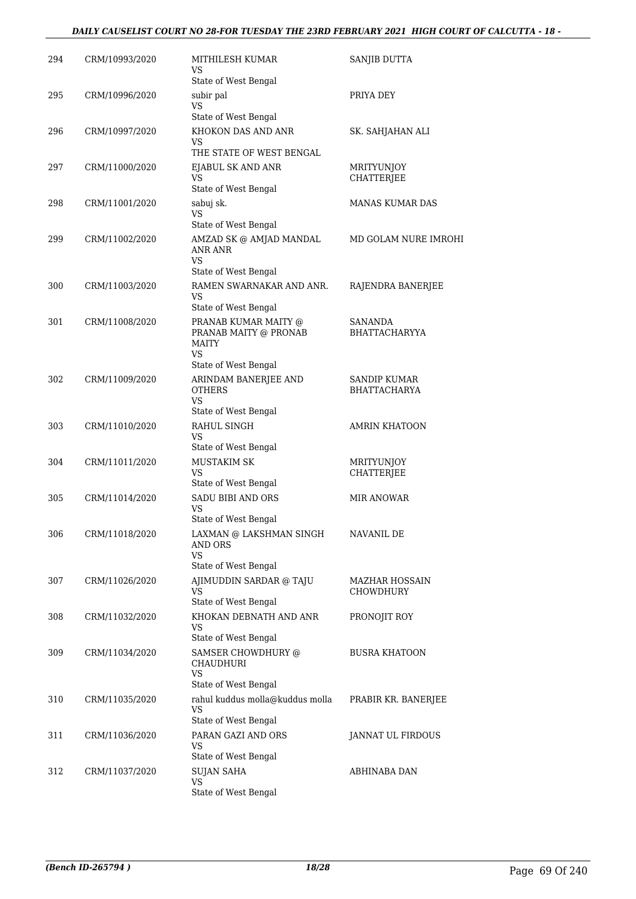### *DAILY CAUSELIST COURT NO 28-FOR TUESDAY THE 23RD FEBRUARY 2021 HIGH COURT OF CALCUTTA - 18 -*

| 294 | CRM/10993/2020 | MITHILESH KUMAR<br>VS                                                      | SANJIB DUTTA                        |
|-----|----------------|----------------------------------------------------------------------------|-------------------------------------|
|     |                | State of West Bengal                                                       |                                     |
| 295 | CRM/10996/2020 | subir pal<br><b>VS</b>                                                     | PRIYA DEY                           |
|     |                | State of West Bengal                                                       |                                     |
| 296 | CRM/10997/2020 | KHOKON DAS AND ANR<br>VS                                                   | SK. SAHJAHAN ALI                    |
|     |                | THE STATE OF WEST BENGAL                                                   |                                     |
| 297 | CRM/11000/2020 | EJABUL SK AND ANR<br><b>VS</b><br>State of West Bengal                     | MRITYUNJOY<br><b>CHATTERJEE</b>     |
| 298 | CRM/11001/2020 | sabuj sk.<br><b>VS</b>                                                     | MANAS KUMAR DAS                     |
|     |                | State of West Bengal                                                       |                                     |
| 299 | CRM/11002/2020 | AMZAD SK @ AMJAD MANDAL<br>ANR ANR<br>VS.                                  | MD GOLAM NURE IMROHI                |
|     |                | State of West Bengal                                                       |                                     |
| 300 | CRM/11003/2020 | RAMEN SWARNAKAR AND ANR.<br>VS                                             | RAJENDRA BANERJEE                   |
|     |                | State of West Bengal                                                       |                                     |
| 301 | CRM/11008/2020 | PRANAB KUMAR MAITY @<br>PRANAB MAITY @ PRONAB<br><b>MAITY</b><br><b>VS</b> | SANANDA<br><b>BHATTACHARYYA</b>     |
|     |                | State of West Bengal                                                       |                                     |
| 302 | CRM/11009/2020 | ARINDAM BANERJEE AND<br><b>OTHERS</b><br><b>VS</b>                         | <b>SANDIP KUMAR</b><br>BHATTACHARYA |
|     |                | State of West Bengal                                                       |                                     |
| 303 | CRM/11010/2020 | RAHUL SINGH<br>VS<br>State of West Bengal                                  | <b>AMRIN KHATOON</b>                |
| 304 | CRM/11011/2020 | <b>MUSTAKIM SK</b>                                                         | MRITYUNJOY                          |
|     |                | <b>VS</b><br>State of West Bengal                                          | CHATTERJEE                          |
| 305 | CRM/11014/2020 | SADU BIBI AND ORS<br>VS                                                    | <b>MIR ANOWAR</b>                   |
|     |                | State of West Bengal                                                       |                                     |
| 306 | CRM/11018/2020 | LAXMAN @ LAKSHMAN SINGH<br><b>AND ORS</b><br>VS<br>State of West Bengal    | <b>NAVANIL DE</b>                   |
| 307 | CRM/11026/2020 | AJIMUDDIN SARDAR @ TAJU                                                    | <b>MAZHAR HOSSAIN</b>               |
|     |                | VS<br>State of West Bengal                                                 | CHOWDHURY                           |
| 308 | CRM/11032/2020 | KHOKAN DEBNATH AND ANR<br>VS                                               | PRONOJIT ROY                        |
|     |                | State of West Bengal                                                       |                                     |
| 309 | CRM/11034/2020 | SAMSER CHOWDHURY @<br>CHAUDHURI<br>VS.                                     | <b>BUSRA KHATOON</b>                |
|     |                | State of West Bengal                                                       |                                     |
| 310 | CRM/11035/2020 | rahul kuddus molla@kuddus molla<br>VS<br>State of West Bengal              | PRABIR KR. BANERJEE                 |
| 311 | CRM/11036/2020 | PARAN GAZI AND ORS                                                         | JANNAT UL FIRDOUS                   |
|     |                | VS<br>State of West Bengal                                                 |                                     |
| 312 | CRM/11037/2020 | <b>SUJAN SAHA</b>                                                          | ABHINABA DAN                        |
|     |                | <b>VS</b><br>State of West Bengal                                          |                                     |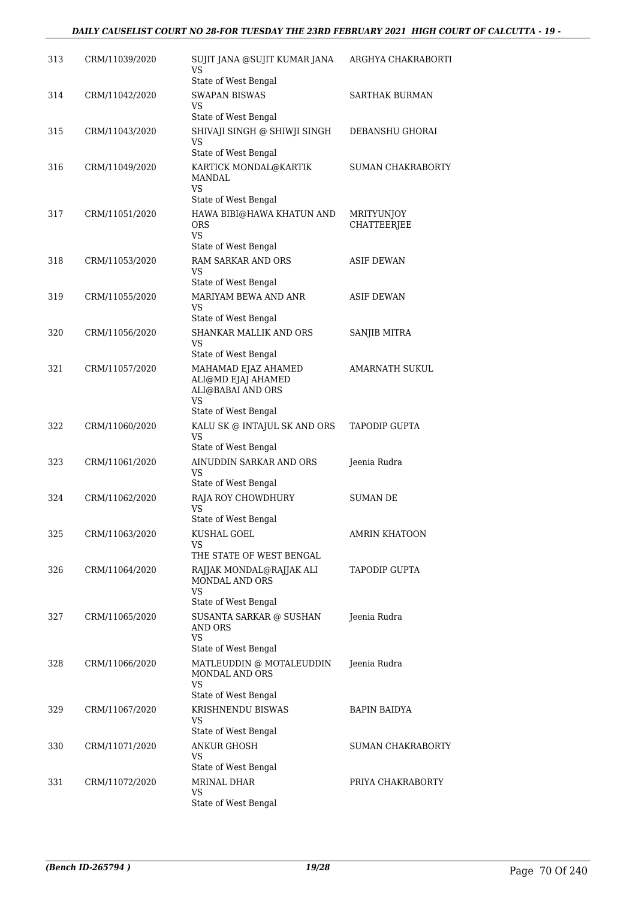| 313 | CRM/11039/2020 | SUJIT JANA @SUJIT KUMAR JANA<br>VS<br>State of West Bengal                                                           | ARGHYA CHAKRABORTI        |
|-----|----------------|----------------------------------------------------------------------------------------------------------------------|---------------------------|
| 314 | CRM/11042/2020 | <b>SWAPAN BISWAS</b><br>VS                                                                                           | <b>SARTHAK BURMAN</b>     |
| 315 | CRM/11043/2020 | State of West Bengal<br>SHIVAJI SINGH @ SHIWJI SINGH<br>VS                                                           | DEBANSHU GHORAI           |
| 316 | CRM/11049/2020 | State of West Bengal<br>KARTICK MONDAL@KARTIK<br><b>MANDAL</b><br>VS.                                                | <b>SUMAN CHAKRABORTY</b>  |
| 317 | CRM/11051/2020 | State of West Bengal<br>HAWA BIBI@HAWA KHATUN AND<br><b>ORS</b><br><b>VS</b><br>State of West Bengal                 | MRITYUNJOY<br>CHATTEERJEE |
| 318 | CRM/11053/2020 | RAM SARKAR AND ORS<br>VS<br>State of West Bengal                                                                     | <b>ASIF DEWAN</b>         |
| 319 | CRM/11055/2020 | MARIYAM BEWA AND ANR<br>VS                                                                                           | <b>ASIF DEWAN</b>         |
| 320 | CRM/11056/2020 | State of West Bengal<br>SHANKAR MALLIK AND ORS<br>VS                                                                 | <b>SANJIB MITRA</b>       |
| 321 | CRM/11057/2020 | State of West Bengal<br>MAHAMAD EJAZ AHAMED<br>ALI@MD EJAJ AHAMED<br>ALI@BABAI AND ORS<br>VS<br>State of West Bengal | AMARNATH SUKUL            |
| 322 | CRM/11060/2020 | KALU SK @ INTAJUL SK AND ORS<br><b>VS</b><br>State of West Bengal                                                    | <b>TAPODIP GUPTA</b>      |
| 323 | CRM/11061/2020 | AINUDDIN SARKAR AND ORS<br>VS                                                                                        | Jeenia Rudra              |
| 324 | CRM/11062/2020 | State of West Bengal<br>RAJA ROY CHOWDHURY<br>VS<br>State of West Bengal                                             | <b>SUMAN DE</b>           |
| 325 | CRM/11063/2020 | KUSHAL GOEL<br>VS<br>THE STATE OF WEST BENGAL                                                                        | <b>AMRIN KHATOON</b>      |
| 326 | CRM/11064/2020 | RAJJAK MONDAL@RAJJAK ALI<br>MONDAL AND ORS<br>VS                                                                     | <b>TAPODIP GUPTA</b>      |
| 327 | CRM/11065/2020 | State of West Bengal<br>SUSANTA SARKAR @ SUSHAN<br>AND ORS<br><b>VS</b>                                              | Jeenia Rudra              |
| 328 | CRM/11066/2020 | State of West Bengal<br>MATLEUDDIN @ MOTALEUDDIN<br>MONDAL AND ORS<br>VS                                             | Jeenia Rudra              |
| 329 | CRM/11067/2020 | State of West Bengal<br>KRISHNENDU BISWAS<br>VS                                                                      | <b>BAPIN BAIDYA</b>       |
| 330 | CRM/11071/2020 | State of West Bengal<br>ANKUR GHOSH<br>VS<br>State of West Bengal                                                    | SUMAN CHAKRABORTY         |
| 331 | CRM/11072/2020 | MRINAL DHAR<br>VS<br>State of West Bengal                                                                            | PRIYA CHAKRABORTY         |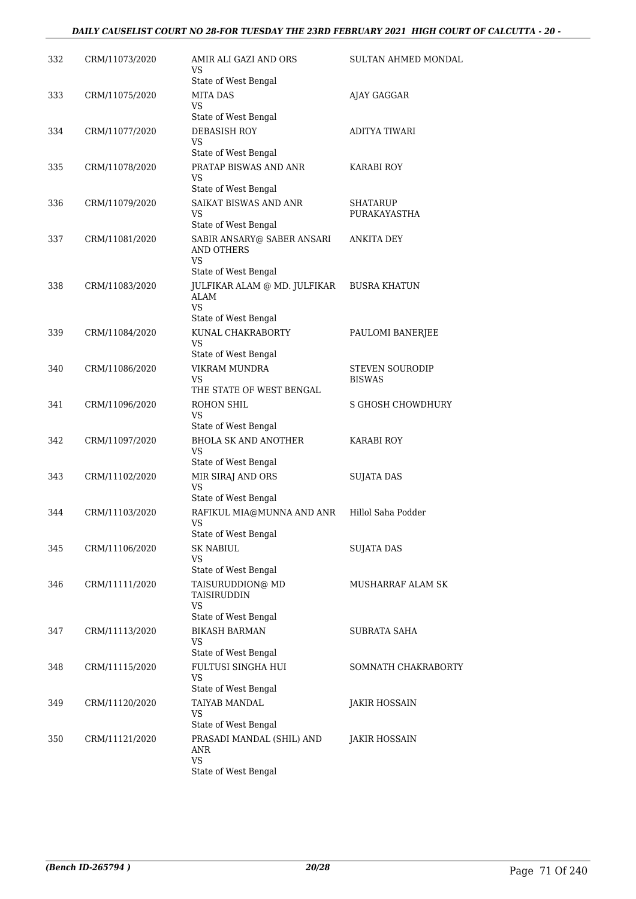| 332 | CRM/11073/2020 | AMIR ALI GAZI AND ORS<br>VS                             | SULTAN AHMED MONDAL      |
|-----|----------------|---------------------------------------------------------|--------------------------|
|     |                | State of West Bengal                                    |                          |
| 333 | CRM/11075/2020 | <b>MITA DAS</b><br>VS                                   | AJAY GAGGAR              |
|     |                | State of West Bengal                                    |                          |
| 334 | CRM/11077/2020 | <b>DEBASISH ROY</b>                                     | <b>ADITYA TIWARI</b>     |
|     |                | VS                                                      |                          |
|     |                | State of West Bengal                                    |                          |
| 335 | CRM/11078/2020 | PRATAP BISWAS AND ANR<br>VS                             | <b>KARABI ROY</b>        |
|     |                | State of West Bengal                                    |                          |
| 336 | CRM/11079/2020 | SAIKAT BISWAS AND ANR                                   | <b>SHATARUP</b>          |
|     |                | VS                                                      | PURAKAYASTHA             |
| 337 |                | State of West Bengal                                    |                          |
|     | CRM/11081/2020 | SABIR ANSARY@ SABER ANSARI<br>AND OTHERS<br><b>VS</b>   | ANKITA DEY               |
|     |                | State of West Bengal                                    |                          |
| 338 | CRM/11083/2020 | JULFIKAR ALAM @ MD. JULFIKAR<br><b>ALAM</b><br>VS       | <b>BUSRA KHATUN</b>      |
|     |                | State of West Bengal                                    |                          |
| 339 | CRM/11084/2020 | KUNAL CHAKRABORTY                                       | PAULOMI BANERJEE         |
|     |                | VS                                                      |                          |
| 340 |                | State of West Bengal<br>VIKRAM MUNDRA                   | <b>STEVEN SOURODIP</b>   |
|     | CRM/11086/2020 | VS                                                      | <b>BISWAS</b>            |
|     |                | THE STATE OF WEST BENGAL                                |                          |
| 341 | CRM/11096/2020 | ROHON SHIL                                              | <b>S GHOSH CHOWDHURY</b> |
|     |                | VS<br>State of West Bengal                              |                          |
| 342 | CRM/11097/2020 | <b>BHOLA SK AND ANOTHER</b>                             | KARABI ROY               |
|     |                | VS                                                      |                          |
|     |                | State of West Bengal                                    |                          |
| 343 | CRM/11102/2020 | MIR SIRAJ AND ORS<br><b>VS</b>                          | <b>SUJATA DAS</b>        |
|     |                | State of West Bengal                                    |                          |
| 344 | CRM/11103/2020 | RAFIKUL MIA@MUNNA AND ANR                               | Hillol Saha Podder       |
|     |                | <b>VS</b>                                               |                          |
|     |                | State of West Bengal                                    |                          |
| 345 | CRM/11106/2020 | <b>SK NABIUL</b><br><b>VS</b>                           | SUJATA DAS               |
|     |                | State of West Bengal                                    |                          |
| 346 | CRM/11111/2020 | TAISURUDDION@ MD<br>TAISIRUDDIN                         | <b>MUSHARRAF ALAM SK</b> |
|     |                | <b>VS</b><br>State of West Bengal                       |                          |
| 347 | CRM/11113/2020 | <b>BIKASH BARMAN</b>                                    | SUBRATA SAHA             |
|     |                | VS                                                      |                          |
|     |                | State of West Bengal                                    |                          |
| 348 | CRM/11115/2020 | FULTUSI SINGHA HUI<br><b>VS</b><br>State of West Bengal | SOMNATH CHAKRABORTY      |
| 349 | CRM/11120/2020 | TAIYAB MANDAL                                           | JAKIR HOSSAIN            |
|     |                | VS                                                      |                          |
|     |                | State of West Bengal                                    |                          |
| 350 | CRM/11121/2020 | PRASADI MANDAL (SHIL) AND<br>ANR<br><b>VS</b>           | JAKIR HOSSAIN            |
|     |                | State of West Bengal                                    |                          |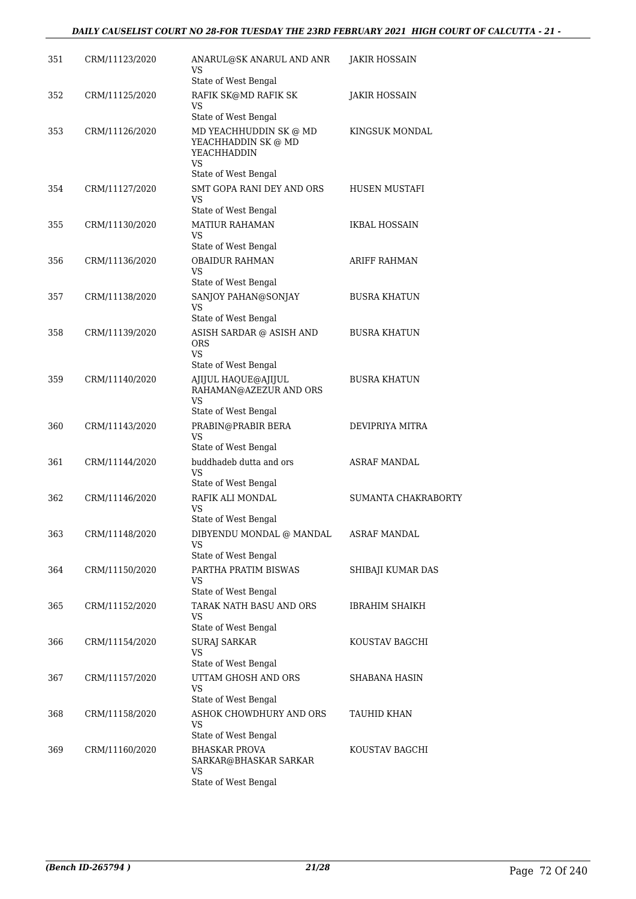| 351 | CRM/11123/2020 | ANARUL@SK ANARUL AND ANR<br>VS<br>State of West Bengal                                            | JAKIR HOSSAIN       |
|-----|----------------|---------------------------------------------------------------------------------------------------|---------------------|
| 352 | CRM/11125/2020 | RAFIK SK@MD RAFIK SK<br>VS                                                                        | JAKIR HOSSAIN       |
|     |                | State of West Bengal                                                                              |                     |
| 353 | CRM/11126/2020 | MD YEACHHUDDIN SK @ MD<br>YEACHHADDIN SK @ MD<br><b>YEACHHADDIN</b><br>VS<br>State of West Bengal | KINGSUK MONDAL      |
| 354 | CRM/11127/2020 | SMT GOPA RANI DEY AND ORS<br>VS                                                                   | HUSEN MUSTAFI       |
|     |                | State of West Bengal                                                                              |                     |
| 355 | CRM/11130/2020 | <b>MATIUR RAHAMAN</b><br>VS.                                                                      | IKBAL HOSSAIN       |
| 356 | CRM/11136/2020 | State of West Bengal<br><b>OBAIDUR RAHMAN</b>                                                     | ARIFF RAHMAN        |
|     |                | <b>VS</b>                                                                                         |                     |
|     |                | State of West Bengal                                                                              |                     |
| 357 | CRM/11138/2020 | SANJOY PAHAN@SONJAY<br><b>VS</b><br>State of West Bengal                                          | <b>BUSRA KHATUN</b> |
| 358 | CRM/11139/2020 | ASISH SARDAR @ ASISH AND                                                                          | <b>BUSRA KHATUN</b> |
|     |                | <b>ORS</b><br><b>VS</b>                                                                           |                     |
|     |                | State of West Bengal                                                                              |                     |
| 359 | CRM/11140/2020 | AJIJUL HAQUE@AJIJUL<br>RAHAMAN@AZEZUR AND ORS<br>VS                                               | <b>BUSRA KHATUN</b> |
|     |                | State of West Bengal                                                                              |                     |
| 360 | CRM/11143/2020 | PRABIN@PRABIR BERA<br>VS<br>State of West Bengal                                                  | DEVIPRIYA MITRA     |
| 361 | CRM/11144/2020 | buddhadeb dutta and ors                                                                           | <b>ASRAF MANDAL</b> |
|     |                | <b>VS</b><br>State of West Bengal                                                                 |                     |
| 362 | CRM/11146/2020 | RAFIK ALI MONDAL<br>VS                                                                            | SUMANTA CHAKRABORTY |
|     |                | State of West Bengal                                                                              |                     |
| 363 | CRM/11148/2020 | DIBYENDU MONDAL @ MANDAL<br>VS<br>State of West Bengal                                            | <b>ASRAF MANDAL</b> |
| 364 | CRM/11150/2020 | PARTHA PRATIM BISWAS<br>VS                                                                        | SHIBAJI KUMAR DAS   |
|     |                | State of West Bengal                                                                              |                     |
| 365 | CRM/11152/2020 | TARAK NATH BASU AND ORS<br>VS                                                                     | IBRAHIM SHAIKH      |
|     |                | State of West Bengal                                                                              |                     |
| 366 | CRM/11154/2020 | <b>SURAJ SARKAR</b><br>VS.<br>State of West Bengal                                                | KOUSTAV BAGCHI      |
| 367 | CRM/11157/2020 | UTTAM GHOSH AND ORS                                                                               | SHABANA HASIN       |
|     |                | <b>VS</b><br>State of West Bengal                                                                 |                     |
| 368 | CRM/11158/2020 | ASHOK CHOWDHURY AND ORS<br>VS                                                                     | TAUHID KHAN         |
|     |                | State of West Bengal                                                                              |                     |
| 369 | CRM/11160/2020 | <b>BHASKAR PROVA</b><br>SARKAR@BHASKAR SARKAR<br>VS                                               | KOUSTAV BAGCHI      |
|     |                | State of West Bengal                                                                              |                     |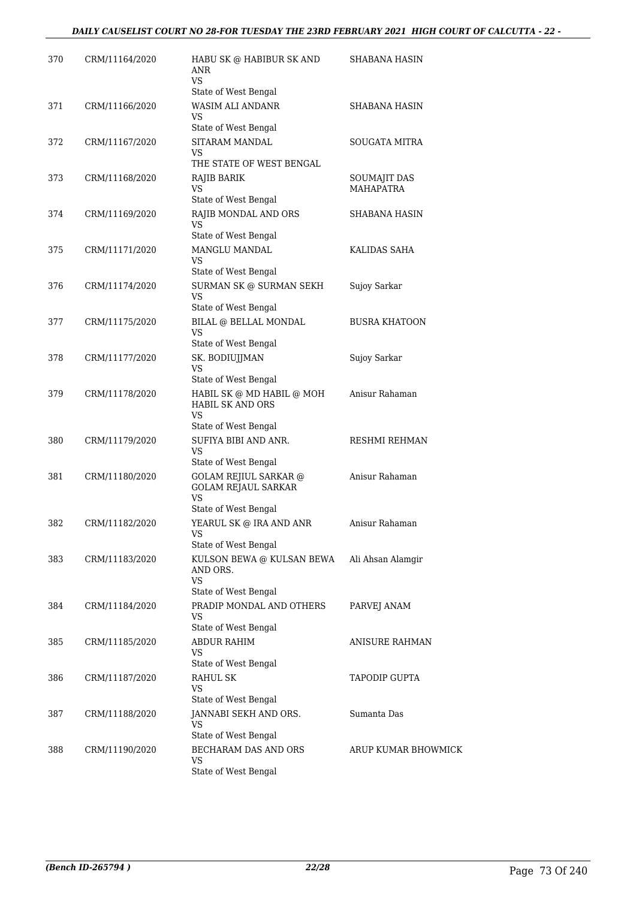| 370 | CRM/11164/2020 | HABU SK @ HABIBUR SK AND<br>ANR<br>VS.                                                          | SHABANA HASIN        |
|-----|----------------|-------------------------------------------------------------------------------------------------|----------------------|
|     |                | State of West Bengal                                                                            |                      |
| 371 | CRM/11166/2020 | WASIM ALI ANDANR<br>VS<br>State of West Bengal                                                  | SHABANA HASIN        |
|     |                | SITARAM MANDAL                                                                                  | SOUGATA MITRA        |
| 372 | CRM/11167/2020 | VS<br>THE STATE OF WEST BENGAL                                                                  |                      |
| 373 | CRM/11168/2020 | RAJIB BARIK                                                                                     | SOUMAJIT DAS         |
|     |                | VS<br>State of West Bengal                                                                      | <b>MAHAPATRA</b>     |
| 374 | CRM/11169/2020 | RAJIB MONDAL AND ORS                                                                            | SHABANA HASIN        |
|     |                | VS.<br>State of West Bengal                                                                     |                      |
| 375 | CRM/11171/2020 | MANGLU MANDAL                                                                                   | KALIDAS SAHA         |
|     |                | VS<br>State of West Bengal                                                                      |                      |
| 376 | CRM/11174/2020 | SURMAN SK @ SURMAN SEKH                                                                         | Sujoy Sarkar         |
|     |                | VS.<br>State of West Bengal                                                                     |                      |
| 377 | CRM/11175/2020 | BILAL @ BELLAL MONDAL                                                                           | <b>BUSRA KHATOON</b> |
|     |                | VS<br>State of West Bengal                                                                      |                      |
| 378 | CRM/11177/2020 | SK. BODIUJJMAN                                                                                  | Sujoy Sarkar         |
|     |                | VS                                                                                              |                      |
|     |                | State of West Bengal                                                                            |                      |
| 379 | CRM/11178/2020 | HABIL SK @ MD HABIL @ MOH<br><b>HABIL SK AND ORS</b><br>VS.                                     | Anisur Rahaman       |
|     |                | State of West Bengal                                                                            |                      |
| 380 | CRM/11179/2020 | SUFIYA BIBI AND ANR.<br>VS<br>State of West Bengal                                              | RESHMI REHMAN        |
|     |                |                                                                                                 |                      |
| 381 | CRM/11180/2020 | <b>GOLAM REJIUL SARKAR @</b><br><b>GOLAM REJAUL SARKAR</b><br><b>VS</b><br>State of West Bengal | Anisur Rahaman       |
| 382 | CRM/11182/2020 | YEARUL SK @ IRA AND ANR                                                                         | Anisur Rahaman       |
|     |                | <b>VS</b><br>State of West Bengal                                                               |                      |
| 383 | CRM/11183/2020 | KULSON BEWA @ KULSAN BEWA                                                                       | Ali Ahsan Alamgir    |
|     |                | AND ORS.<br><b>VS</b>                                                                           |                      |
|     |                | State of West Bengal                                                                            |                      |
| 384 | CRM/11184/2020 | PRADIP MONDAL AND OTHERS<br>VS                                                                  | PARVEJ ANAM          |
|     |                | State of West Bengal                                                                            |                      |
| 385 | CRM/11185/2020 | ABDUR RAHIM<br>VS                                                                               | ANISURE RAHMAN       |
|     |                | State of West Bengal                                                                            |                      |
| 386 | CRM/11187/2020 | <b>RAHUL SK</b>                                                                                 | TAPODIP GUPTA        |
|     |                | VS<br>State of West Bengal                                                                      |                      |
|     |                |                                                                                                 | Sumanta Das          |
| 387 | CRM/11188/2020 | JANNABI SEKH AND ORS.<br>VS<br>State of West Bengal                                             |                      |
| 388 |                | BECHARAM DAS AND ORS                                                                            | ARUP KUMAR BHOWMICK  |
|     | CRM/11190/2020 | VS                                                                                              |                      |
|     |                | State of West Bengal                                                                            |                      |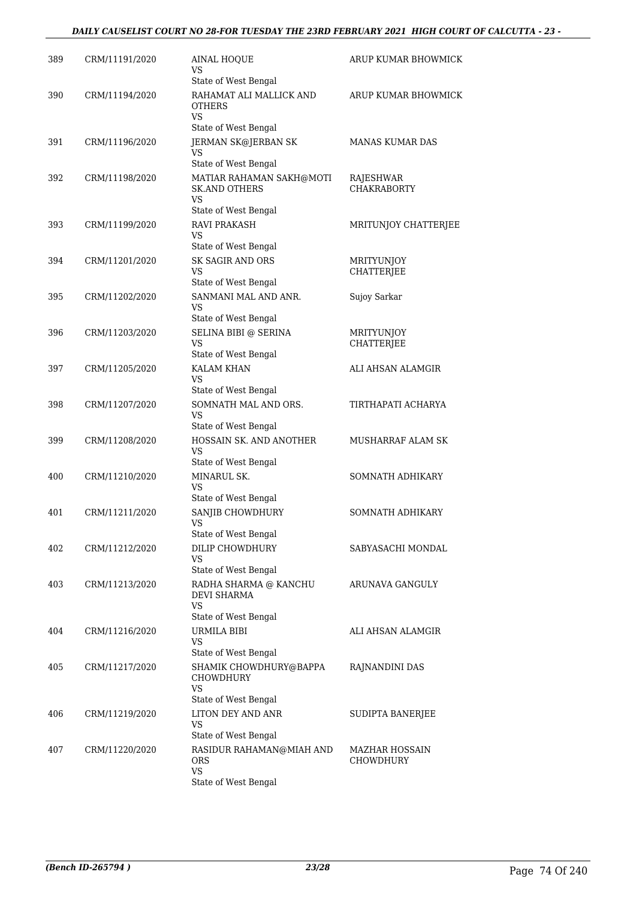### *DAILY CAUSELIST COURT NO 28-FOR TUESDAY THE 23RD FEBRUARY 2021 HIGH COURT OF CALCUTTA - 23 -*

| 389 | CRM/11191/2020 | <b>AINAL HOOUE</b><br>VS                                                                            | ARUP KUMAR BHOWMICK                    |
|-----|----------------|-----------------------------------------------------------------------------------------------------|----------------------------------------|
| 390 | CRM/11194/2020 | State of West Bengal<br>RAHAMAT ALI MALLICK AND<br><b>OTHERS</b><br><b>VS</b>                       | ARUP KUMAR BHOWMICK                    |
|     |                | State of West Bengal                                                                                |                                        |
| 391 | CRM/11196/2020 | JERMAN SK@JERBAN SK<br><b>VS</b>                                                                    | <b>MANAS KUMAR DAS</b>                 |
| 392 | CRM/11198/2020 | State of West Bengal<br>MATIAR RAHAMAN SAKH@MOTI<br><b>SK.AND OTHERS</b><br>VS                      | RAJESHWAR<br><b>CHAKRABORTY</b>        |
| 393 | CRM/11199/2020 | State of West Bengal<br><b>RAVI PRAKASH</b><br>VS                                                   | MRITUNJOY CHATTERJEE                   |
|     |                | State of West Bengal                                                                                |                                        |
| 394 | CRM/11201/2020 | SK SAGIR AND ORS<br>VS<br>State of West Bengal                                                      | <b>MRITYUNJOY</b><br><b>CHATTERJEE</b> |
| 395 | CRM/11202/2020 | SANMANI MAL AND ANR.<br><b>VS</b>                                                                   | Sujoy Sarkar                           |
| 396 | CRM/11203/2020 | State of West Bengal<br>SELINA BIBI @ SERINA<br>VS<br>State of West Bengal                          | <b>MRITYUNJOY</b><br><b>CHATTERJEE</b> |
| 397 | CRM/11205/2020 | KALAM KHAN<br>VS<br>State of West Bengal                                                            | ALI AHSAN ALAMGIR                      |
| 398 | CRM/11207/2020 | SOMNATH MAL AND ORS.<br>VS                                                                          | TIRTHAPATI ACHARYA                     |
| 399 | CRM/11208/2020 | State of West Bengal<br>HOSSAIN SK. AND ANOTHER<br>VS<br>State of West Bengal                       | <b>MUSHARRAF ALAM SK</b>               |
| 400 | CRM/11210/2020 | MINARUL SK.<br>VS<br>State of West Bengal                                                           | SOMNATH ADHIKARY                       |
| 401 | CRM/11211/2020 | SANJIB CHOWDHURY<br>VS<br>State of West Bengal                                                      | SOMNATH ADHIKARY                       |
| 402 | CRM/11212/2020 | DILIP CHOWDHURY<br>VS<br>State of West Bengal                                                       | SABYASACHI MONDAL                      |
| 403 | CRM/11213/2020 | RADHA SHARMA @ KANCHU<br><b>DEVI SHARMA</b><br>VS<br>State of West Bengal                           | ARUNAVA GANGULY                        |
| 404 | CRM/11216/2020 | URMILA BIBI<br>VS<br>State of West Bengal                                                           | ALI AHSAN ALAMGIR                      |
| 405 | CRM/11217/2020 | SHAMIK CHOWDHURY@BAPPA<br>CHOWDHURY<br><b>VS</b><br>State of West Bengal                            | RAJNANDINI DAS                         |
| 406 | CRM/11219/2020 | LITON DEY AND ANR<br>VS                                                                             | SUDIPTA BANERJEE                       |
| 407 | CRM/11220/2020 | State of West Bengal<br>RASIDUR RAHAMAN@MIAH AND<br><b>ORS</b><br><b>VS</b><br>State of West Bengal | MAZHAR HOSSAIN<br><b>CHOWDHURY</b>     |
|     |                |                                                                                                     |                                        |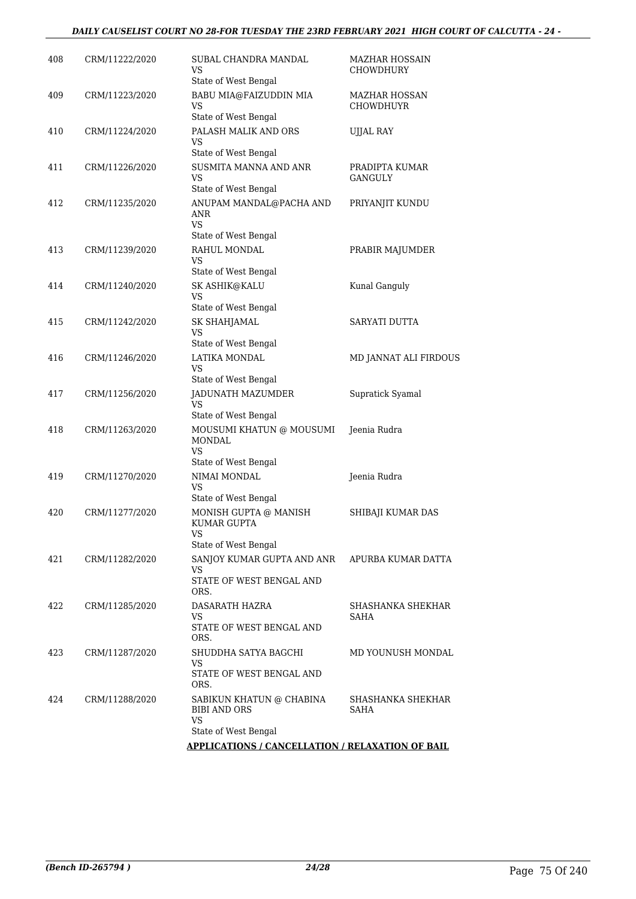### *DAILY CAUSELIST COURT NO 28-FOR TUESDAY THE 23RD FEBRUARY 2021 HIGH COURT OF CALCUTTA - 24 -*

| 408 | CRM/11222/2020 | SUBAL CHANDRA MANDAL<br>VS<br>State of West Bengal                            | <b>MAZHAR HOSSAIN</b><br><b>CHOWDHURY</b> |
|-----|----------------|-------------------------------------------------------------------------------|-------------------------------------------|
| 409 | CRM/11223/2020 | BABU MIA@FAIZUDDIN MIA<br>VS<br>State of West Bengal                          | <b>MAZHAR HOSSAN</b><br>CHOWDHUYR         |
| 410 | CRM/11224/2020 | PALASH MALIK AND ORS<br>VS<br>State of West Bengal                            | <b>UJJAL RAY</b>                          |
| 411 | CRM/11226/2020 | SUSMITA MANNA AND ANR<br>VS<br>State of West Bengal                           | PRADIPTA KUMAR<br><b>GANGULY</b>          |
| 412 | CRM/11235/2020 | ANUPAM MANDAL@PACHA AND<br>ANR<br>VS.<br>State of West Bengal                 | PRIYANJIT KUNDU                           |
| 413 | CRM/11239/2020 | RAHUL MONDAL<br>VS<br>State of West Bengal                                    | PRABIR MAJUMDER                           |
| 414 | CRM/11240/2020 | SK ASHIK@KALU<br>VS<br>State of West Bengal                                   | Kunal Ganguly                             |
| 415 | CRM/11242/2020 | SK SHAHJAMAL<br>VS<br>State of West Bengal                                    | SARYATI DUTTA                             |
| 416 | CRM/11246/2020 | LATIKA MONDAL<br>VS<br>State of West Bengal                                   | MD JANNAT ALI FIRDOUS                     |
| 417 | CRM/11256/2020 | JADUNATH MAZUMDER<br>VS<br>State of West Bengal                               | Supratick Syamal                          |
| 418 | CRM/11263/2020 | MOUSUMI KHATUN @ MOUSUMI<br><b>MONDAL</b><br>VS.<br>State of West Bengal      | Jeenia Rudra                              |
| 419 | CRM/11270/2020 | NIMAI MONDAL<br>VS<br>State of West Bengal                                    | Jeenia Rudra                              |
| 420 | CRM/11277/2020 | MONISH GUPTA @ MANISH<br>KUMAR GUPTA<br>VS<br>State of West Bengal            | SHIBAJI KUMAR DAS                         |
| 421 | CRM/11282/2020 | SANJOY KUMAR GUPTA AND ANR<br>VS<br>STATE OF WEST BENGAL AND<br>ORS.          | APURBA KUMAR DATTA                        |
| 422 | CRM/11285/2020 | DASARATH HAZRA<br>VS<br>STATE OF WEST BENGAL AND<br>ORS.                      | SHASHANKA SHEKHAR<br>SAHA                 |
| 423 | CRM/11287/2020 | SHUDDHA SATYA BAGCHI<br>VS<br>STATE OF WEST BENGAL AND<br>ORS.                | MD YOUNUSH MONDAL                         |
| 424 | CRM/11288/2020 | SABIKUN KHATUN @ CHABINA<br><b>BIBI AND ORS</b><br>VS<br>State of West Bengal | SHASHANKA SHEKHAR<br>SAHA                 |
|     |                | <b>APPLICATIONS / CANCELLATION / RELAXATION OF BAIL</b>                       |                                           |
|     |                |                                                                               |                                           |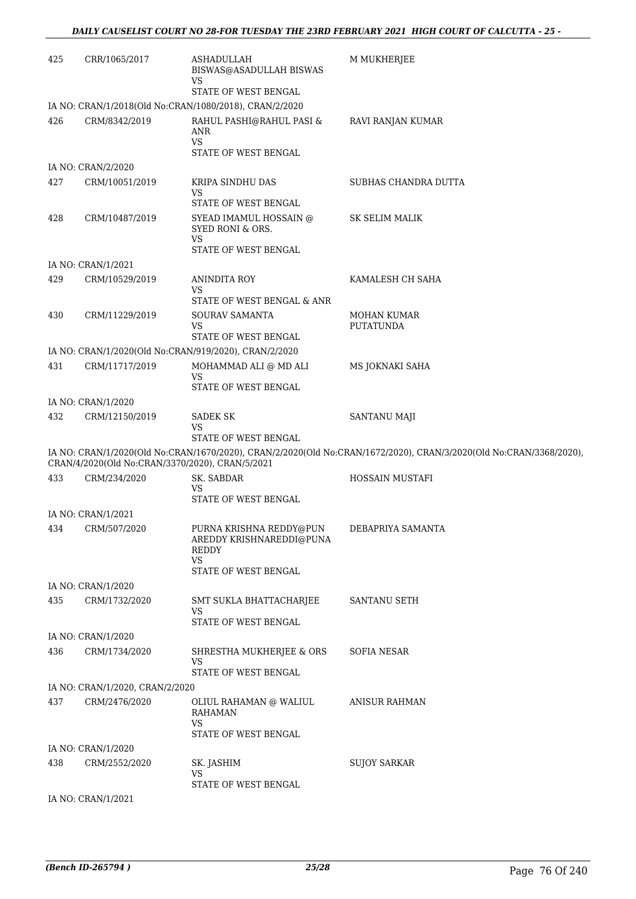| 425 | CRR/1065/2017                                   | ASHADULLAH<br>BISWAS@ASADULLAH BISWAS<br><b>VS</b>                                                                  | <b>M MUKHERJEE</b>                                                                                                 |
|-----|-------------------------------------------------|---------------------------------------------------------------------------------------------------------------------|--------------------------------------------------------------------------------------------------------------------|
|     |                                                 | STATE OF WEST BENGAL<br>IA NO: CRAN/1/2018(Old No:CRAN/1080/2018), CRAN/2/2020                                      |                                                                                                                    |
| 426 | CRM/8342/2019                                   | RAHUL PASHI@RAHUL PASI &<br>ANR<br><b>VS</b>                                                                        | RAVI RANJAN KUMAR                                                                                                  |
|     |                                                 | STATE OF WEST BENGAL                                                                                                |                                                                                                                    |
|     | IA NO: CRAN/2/2020                              |                                                                                                                     |                                                                                                                    |
| 427 | CRM/10051/2019                                  | KRIPA SINDHU DAS<br>VS<br>STATE OF WEST BENGAL                                                                      | SUBHAS CHANDRA DUTTA                                                                                               |
| 428 | CRM/10487/2019                                  | SYEAD IMAMUL HOSSAIN @<br>SYED RONI & ORS.<br>VS<br>STATE OF WEST BENGAL                                            | <b>SK SELIM MALIK</b>                                                                                              |
|     | IA NO: CRAN/1/2021                              |                                                                                                                     |                                                                                                                    |
| 429 | CRM/10529/2019                                  | ANINDITA ROY<br>VS<br>STATE OF WEST BENGAL & ANR                                                                    | KAMALESH CH SAHA                                                                                                   |
| 430 | CRM/11229/2019                                  | <b>SOURAV SAMANTA</b><br>VS<br>STATE OF WEST BENGAL                                                                 | <b>MOHAN KUMAR</b><br><b>PUTATUNDA</b>                                                                             |
|     |                                                 | IA NO: CRAN/1/2020(Old No:CRAN/919/2020), CRAN/2/2020                                                               |                                                                                                                    |
| 431 | CRM/11717/2019                                  | MOHAMMAD ALI $\circledcirc$ MD ALI<br>VS                                                                            | MS JOKNAKI SAHA                                                                                                    |
|     |                                                 | STATE OF WEST BENGAL                                                                                                |                                                                                                                    |
|     | IA NO: CRAN/1/2020                              |                                                                                                                     |                                                                                                                    |
| 432 | CRM/12150/2019                                  | <b>SADEK SK</b><br>VS<br>STATE OF WEST BENGAL                                                                       | SANTANU MAJI                                                                                                       |
|     | CRAN/4/2020(Old No:CRAN/3370/2020), CRAN/5/2021 |                                                                                                                     | IA NO: CRAN/1/2020(Old No:CRAN/1670/2020), CRAN/2/2020(Old No:CRAN/1672/2020), CRAN/3/2020(Old No:CRAN/3368/2020), |
| 433 | CRM/234/2020                                    | SK. SABDAR<br><b>VS</b><br>STATE OF WEST BENGAL                                                                     | HOSSAIN MUSTAFI                                                                                                    |
|     | IA NO: CRAN/1/2021                              |                                                                                                                     |                                                                                                                    |
|     | 434 CRM/507/2020                                | PURNA KRISHNA REDDY@PUN DEBAPRIYA SAMANTA<br>AREDDY KRISHNAREDDI@PUNA<br>REDDY<br><b>VS</b><br>STATE OF WEST BENGAL |                                                                                                                    |
|     | IA NO: CRAN/1/2020                              |                                                                                                                     |                                                                                                                    |
| 435 | CRM/1732/2020                                   | SMT SUKLA BHATTACHARJEE<br>VS                                                                                       | SANTANU SETH                                                                                                       |
|     |                                                 | STATE OF WEST BENGAL                                                                                                |                                                                                                                    |
|     | IA NO: CRAN/1/2020                              |                                                                                                                     |                                                                                                                    |
| 436 | CRM/1734/2020                                   | SHRESTHA MUKHERJEE & ORS<br><b>VS</b><br>STATE OF WEST BENGAL                                                       | SOFIA NESAR                                                                                                        |
|     | IA NO: CRAN/1/2020, CRAN/2/2020                 |                                                                                                                     |                                                                                                                    |
| 437 | CRM/2476/2020                                   | OLIUL RAHAMAN @ WALIUL<br><b>RAHAMAN</b><br>VS                                                                      | ANISUR RAHMAN                                                                                                      |
|     |                                                 | STATE OF WEST BENGAL                                                                                                |                                                                                                                    |
|     | IA NO: CRAN/1/2020                              |                                                                                                                     |                                                                                                                    |
| 438 | CRM/2552/2020                                   | SK. JASHIM<br><b>VS</b><br>STATE OF WEST BENGAL                                                                     | <b>SUJOY SARKAR</b>                                                                                                |
|     | IA NO: CRAN/1/2021                              |                                                                                                                     |                                                                                                                    |
|     |                                                 |                                                                                                                     |                                                                                                                    |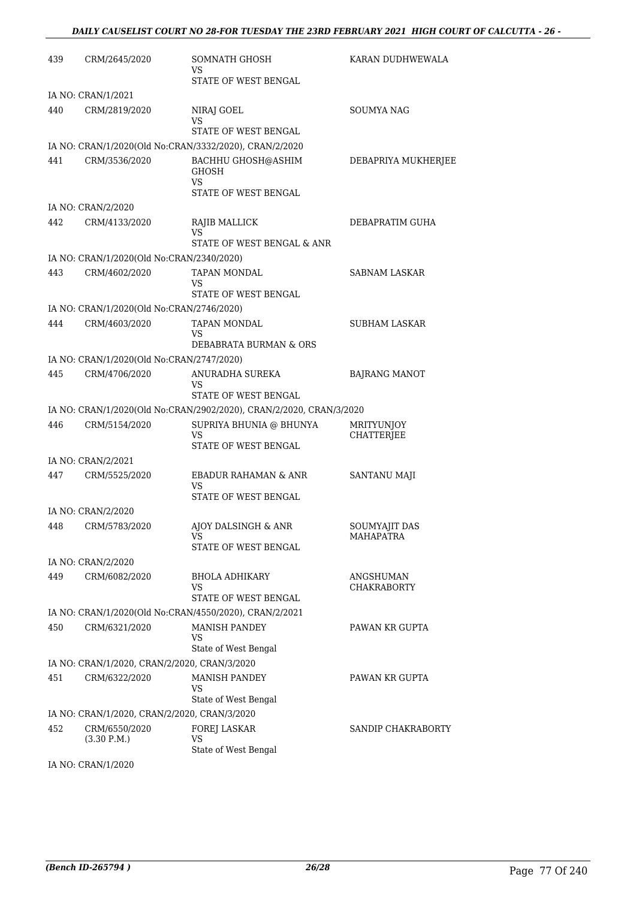| 439 | CRM/2645/2020                                | SOMNATH GHOSH<br>VS<br>STATE OF WEST BENGAL                         | KARAN DUDHWEWALA                       |
|-----|----------------------------------------------|---------------------------------------------------------------------|----------------------------------------|
|     |                                              |                                                                     |                                        |
| 440 | IA NO: CRAN/1/2021<br>CRM/2819/2020          | NIRAJ GOEL                                                          | <b>SOUMYA NAG</b>                      |
|     |                                              | VS<br>STATE OF WEST BENGAL                                          |                                        |
|     |                                              | IA NO: CRAN/1/2020(Old No:CRAN/3332/2020), CRAN/2/2020              |                                        |
| 441 | CRM/3536/2020                                | BACHHU GHOSH@ASHIM<br><b>GHOSH</b>                                  | DEBAPRIYA MUKHERJEE                    |
|     |                                              | <b>VS</b><br>STATE OF WEST BENGAL                                   |                                        |
|     | IA NO: CRAN/2/2020                           |                                                                     |                                        |
| 442 | CRM/4133/2020                                | RAJIB MALLICK<br>VS<br>STATE OF WEST BENGAL & ANR                   | DEBAPRATIM GUHA                        |
|     | IA NO: CRAN/1/2020(Old No:CRAN/2340/2020)    |                                                                     |                                        |
| 443 | CRM/4602/2020                                | TAPAN MONDAL<br>VS                                                  | <b>SABNAM LASKAR</b>                   |
|     |                                              | STATE OF WEST BENGAL                                                |                                        |
|     | IA NO: CRAN/1/2020(Old No:CRAN/2746/2020)    |                                                                     |                                        |
| 444 | CRM/4603/2020                                | TAPAN MONDAL<br>VS<br>DEBABRATA BURMAN & ORS                        | <b>SUBHAM LASKAR</b>                   |
|     | IA NO: CRAN/1/2020(Old No:CRAN/2747/2020)    |                                                                     |                                        |
| 445 | CRM/4706/2020                                | ANURADHA SUREKA                                                     | <b>BAJRANG MANOT</b>                   |
|     |                                              | VS<br>STATE OF WEST BENGAL                                          |                                        |
|     |                                              | IA NO: CRAN/1/2020(Old No:CRAN/2902/2020), CRAN/2/2020, CRAN/3/2020 |                                        |
| 446 | CRM/5154/2020                                | SUPRIYA BHUNIA @ BHUNYA<br>VS<br>STATE OF WEST BENGAL               | <b>MRITYUNJOY</b><br><b>CHATTERJEE</b> |
|     | IA NO: CRAN/2/2021                           |                                                                     |                                        |
| 447 | CRM/5525/2020                                | EBADUR RAHAMAN & ANR<br><b>VS</b>                                   | SANTANU MAJI                           |
|     |                                              | STATE OF WEST BENGAL                                                |                                        |
|     | IA NO: CRAN/2/2020                           |                                                                     |                                        |
|     | 448 CRM/5783/2020                            | AJOY DALSINGH & ANR<br>VS<br>STATE OF WEST BENGAL                   | SOUMYAJIT DAS<br><b>MAHAPATRA</b>      |
|     | IA NO: CRAN/2/2020                           |                                                                     |                                        |
| 449 | CRM/6082/2020                                | <b>BHOLA ADHIKARY</b>                                               | ANGSHUMAN                              |
|     |                                              | VS<br>STATE OF WEST BENGAL                                          | <b>CHAKRABORTY</b>                     |
|     |                                              | IA NO: CRAN/1/2020(Old No:CRAN/4550/2020), CRAN/2/2021              |                                        |
| 450 | CRM/6321/2020                                | <b>MANISH PANDEY</b><br>VS                                          | PAWAN KR GUPTA                         |
|     | IA NO: CRAN/1/2020, CRAN/2/2020, CRAN/3/2020 | State of West Bengal                                                |                                        |
| 451 | CRM/6322/2020                                | <b>MANISH PANDEY</b>                                                | PAWAN KR GUPTA                         |
|     |                                              | VS<br>State of West Bengal                                          |                                        |
|     | IA NO: CRAN/1/2020, CRAN/2/2020, CRAN/3/2020 |                                                                     |                                        |
| 452 | CRM/6550/2020<br>(3.30 P.M.)                 | FOREJ LASKAR<br><b>VS</b>                                           | SANDIP CHAKRABORTY                     |
|     |                                              | State of West Bengal                                                |                                        |

IA NO: CRAN/1/2020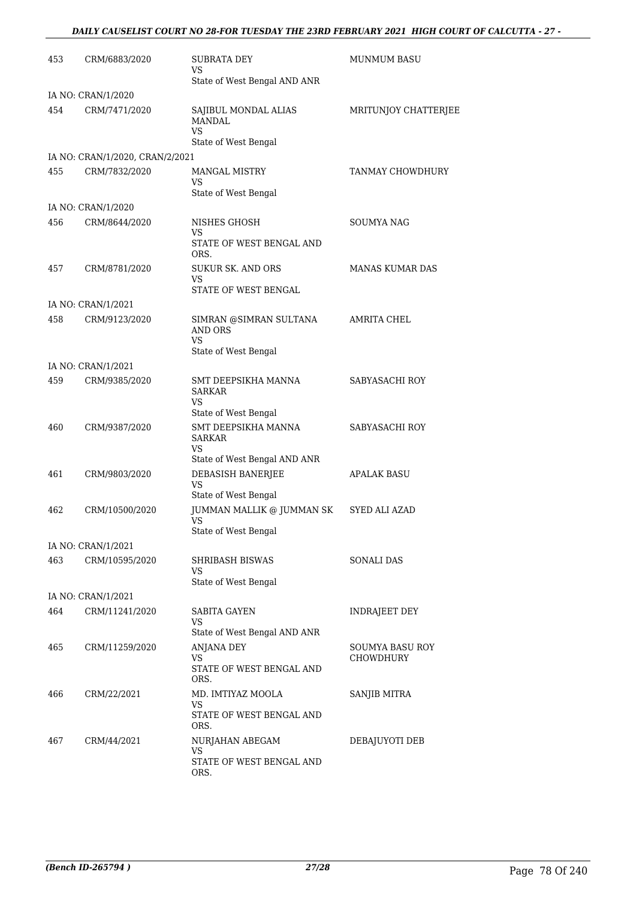## *DAILY CAUSELIST COURT NO 28-FOR TUESDAY THE 23RD FEBRUARY 2021 HIGH COURT OF CALCUTTA - 27 -*

| 453 | CRM/6883/2020                   | SUBRATA DEY<br>VS<br>State of West Bengal AND ANR                            | <b>MUNMUM BASU</b>           |
|-----|---------------------------------|------------------------------------------------------------------------------|------------------------------|
|     | IA NO: CRAN/1/2020              |                                                                              |                              |
| 454 | CRM/7471/2020                   | SAJIBUL MONDAL ALIAS<br><b>MANDAL</b><br>VS.<br>State of West Bengal         | MRITUNJOY CHATTERJEE         |
|     | IA NO: CRAN/1/2020, CRAN/2/2021 |                                                                              |                              |
| 455 | CRM/7832/2020                   | <b>MANGAL MISTRY</b><br>VS                                                   | TANMAY CHOWDHURY             |
|     |                                 | State of West Bengal                                                         |                              |
|     | IA NO: CRAN/1/2020              |                                                                              |                              |
| 456 | CRM/8644/2020                   | NISHES GHOSH<br>VS.<br>STATE OF WEST BENGAL AND<br>ORS.                      | <b>SOUMYA NAG</b>            |
| 457 | CRM/8781/2020                   | <b>SUKUR SK. AND ORS</b><br>VS.<br>STATE OF WEST BENGAL                      | <b>MANAS KUMAR DAS</b>       |
|     | IA NO: CRAN/1/2021              |                                                                              |                              |
| 458 | CRM/9123/2020                   | SIMRAN @SIMRAN SULTANA<br>AND ORS<br>VS<br>State of West Bengal              | AMRITA CHEL                  |
|     | IA NO: CRAN/1/2021              |                                                                              |                              |
| 459 | CRM/9385/2020                   | SMT DEEPSIKHA MANNA<br><b>SARKAR</b><br>VS<br>State of West Bengal           | SABYASACHI ROY               |
| 460 | CRM/9387/2020                   | SMT DEEPSIKHA MANNA<br><b>SARKAR</b><br>VS<br>State of West Bengal AND ANR   | SABYASACHI ROY               |
| 461 | CRM/9803/2020                   | DEBASISH BANERJEE<br><b>VS</b><br>State of West Bengal                       | <b>APALAK BASU</b>           |
| 462 | CRM/10500/2020                  | JUMMAN MALLIK @ JUMMAN SK<br><b>VS</b><br>State of West Bengal               | SYED ALI AZAD                |
|     | IA NO: CRAN/1/2021              |                                                                              |                              |
| 463 | CRM/10595/2020                  | SHRIBASH BISWAS<br>VS<br>State of West Bengal                                | <b>SONALI DAS</b>            |
|     | IA NO: CRAN/1/2021              |                                                                              |                              |
| 464 | CRM/11241/2020                  | <b>SABITA GAYEN</b><br>VS                                                    | INDRAJEET DEY                |
| 465 | CRM/11259/2020                  | State of West Bengal AND ANR<br>ANJANA DEY<br>VS<br>STATE OF WEST BENGAL AND | SOUMYA BASU ROY<br>CHOWDHURY |
|     |                                 | ORS.                                                                         |                              |
| 466 | CRM/22/2021                     | MD. IMTIYAZ MOOLA<br>VS<br>STATE OF WEST BENGAL AND<br>ORS.                  | SANJIB MITRA                 |
| 467 | CRM/44/2021                     | NURJAHAN ABEGAM<br>VS<br>STATE OF WEST BENGAL AND<br>ORS.                    | DEBAJUYOTI DEB               |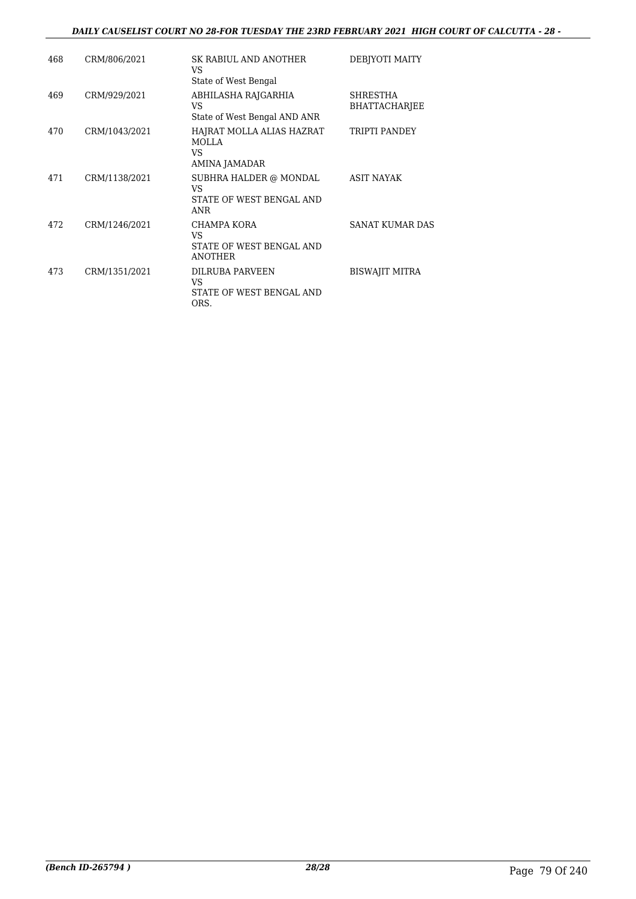### *DAILY CAUSELIST COURT NO 28-FOR TUESDAY THE 23RD FEBRUARY 2021 HIGH COURT OF CALCUTTA - 28 -*

| 468 | CRM/806/2021  | SK RABIUL AND ANOTHER<br>VS<br>State of West Bengal                    | DEBJYOTI MAITY                   |
|-----|---------------|------------------------------------------------------------------------|----------------------------------|
| 469 | CRM/929/2021  | ABHILASHA RAJGARHIA<br>VS<br>State of West Bengal AND ANR              | SHRESTHA<br><b>BHATTACHARJEE</b> |
| 470 | CRM/1043/2021 | HAJRAT MOLLA ALIAS HAZRAT<br>MOLLA<br>VS.<br>AMINA JAMADAR             | <b>TRIPTI PANDEY</b>             |
| 471 | CRM/1138/2021 | SUBHRA HALDER @ MONDAL<br>VS<br>STATE OF WEST BENGAL AND<br><b>ANR</b> | <b>ASIT NAYAK</b>                |
| 472 | CRM/1246/2021 | CHAMPA KORA<br>VS<br>STATE OF WEST BENGAL AND<br><b>ANOTHER</b>        | SANAT KUMAR DAS                  |
| 473 | CRM/1351/2021 | <b>DILRUBA PARVEEN</b><br>VS<br>STATE OF WEST BENGAL AND<br>ORS.       | <b>BISWAJIT MITRA</b>            |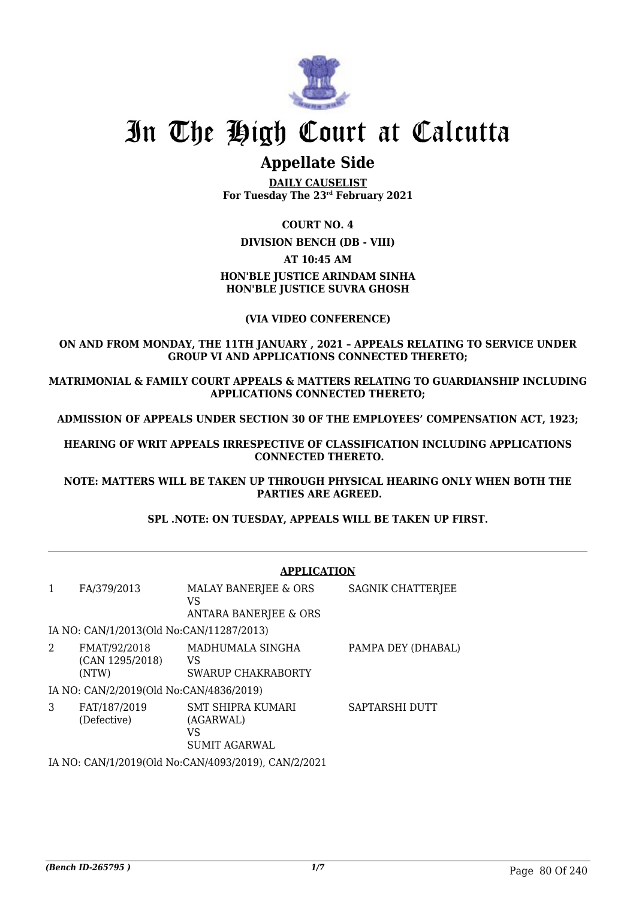

# **Appellate Side**

**DAILY CAUSELIST For Tuesday The 23rd February 2021**

## **COURT NO. 4**

**DIVISION BENCH (DB - VIII)**

### **AT 10:45 AM**

# **HON'BLE JUSTICE ARINDAM SINHA HON'BLE JUSTICE SUVRA GHOSH**

### **(VIA VIDEO CONFERENCE)**

### **ON AND FROM MONDAY, THE 11TH JANUARY , 2021 – APPEALS RELATING TO SERVICE UNDER GROUP VI AND APPLICATIONS CONNECTED THERETO;**

**MATRIMONIAL & FAMILY COURT APPEALS & MATTERS RELATING TO GUARDIANSHIP INCLUDING APPLICATIONS CONNECTED THERETO;**

**ADMISSION OF APPEALS UNDER SECTION 30 OF THE EMPLOYEES' COMPENSATION ACT, 1923;**

**HEARING OF WRIT APPEALS IRRESPECTIVE OF CLASSIFICATION INCLUDING APPLICATIONS CONNECTED THERETO.**

**NOTE: MATTERS WILL BE TAKEN UP THROUGH PHYSICAL HEARING ONLY WHEN BOTH THE PARTIES ARE AGREED.**

# **SPL .NOTE: ON TUESDAY, APPEALS WILL BE TAKEN UP FIRST.**

|   |                                          | <b>APPLICATION</b>                                                  |                    |
|---|------------------------------------------|---------------------------------------------------------------------|--------------------|
| 1 | FA/379/2013                              | MALAY BANERJEE & ORS<br>VS<br><b>ANTARA BANERJEE &amp; ORS</b>      | SAGNIK CHATTERJEE  |
|   | IA NO: CAN/1/2013(Old No:CAN/11287/2013) |                                                                     |                    |
| 2 | FMAT/92/2018<br>(CAN 1295/2018)<br>(NTW) | MADHUMALA SINGHA<br>VS<br>SWARUP CHAKRABORTY                        | PAMPA DEY (DHABAL) |
|   | IA NO: CAN/2/2019(Old No:CAN/4836/2019)  |                                                                     |                    |
| 3 | FAT/187/2019<br>(Defective)              | <b>SMT SHIPRA KUMARI</b><br>(AGARWAL)<br>VS<br><b>SUMIT AGARWAL</b> | SAPTARSHI DUTT     |
|   |                                          | TI 3TO CASTILIONAO (OLI 3T) CASTILOODIONAS CASTIO IOODA             |                    |

IA NO: CAN/1/2019(Old No:CAN/4093/2019), CAN/2/2021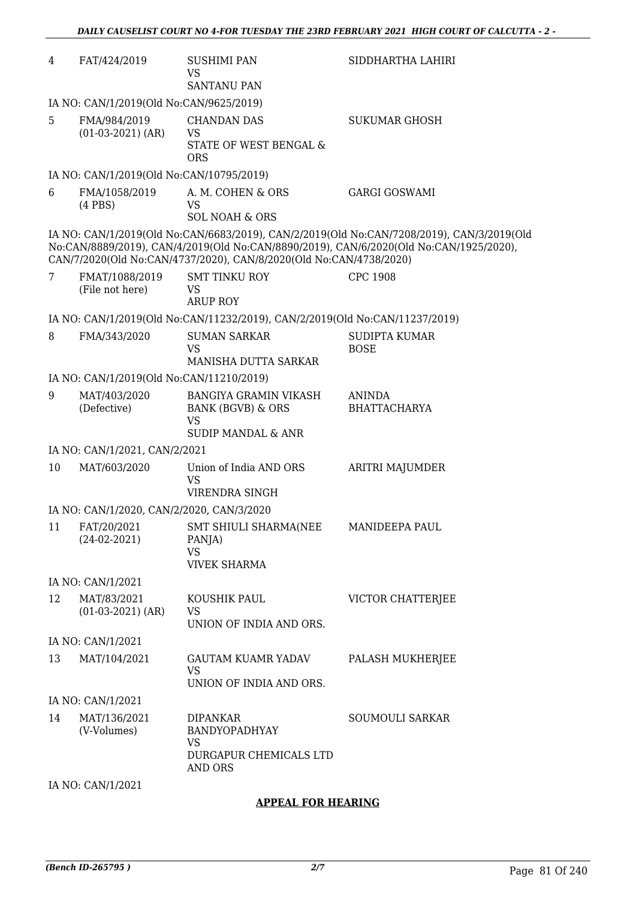| 4  | FAT/424/2019                              | SUSHIMI PAN<br><b>VS</b><br><b>SANTANU PAN</b>                                                  | SIDDHARTHA LAHIRI                                                                                                                                                                   |
|----|-------------------------------------------|-------------------------------------------------------------------------------------------------|-------------------------------------------------------------------------------------------------------------------------------------------------------------------------------------|
|    | IA NO: CAN/1/2019(Old No:CAN/9625/2019)   |                                                                                                 |                                                                                                                                                                                     |
| 5  | FMA/984/2019                              | <b>CHANDAN DAS</b>                                                                              | <b>SUKUMAR GHOSH</b>                                                                                                                                                                |
|    | $(01-03-2021)$ (AR)                       | <b>VS</b><br>STATE OF WEST BENGAL &                                                             |                                                                                                                                                                                     |
|    |                                           | <b>ORS</b>                                                                                      |                                                                                                                                                                                     |
|    | IA NO: CAN/1/2019(Old No:CAN/10795/2019)  |                                                                                                 |                                                                                                                                                                                     |
| 6  | FMA/1058/2019<br>$(4$ PBS $)$             | A. M. COHEN & ORS<br><b>VS</b><br><b>SOL NOAH &amp; ORS</b>                                     | <b>GARGI GOSWAMI</b>                                                                                                                                                                |
|    |                                           | CAN/7/2020(Old No:CAN/4737/2020), CAN/8/2020(Old No:CAN/4738/2020)                              | IA NO: CAN/1/2019(Old No:CAN/6683/2019), CAN/2/2019(Old No:CAN/7208/2019), CAN/3/2019(Old<br>No:CAN/8889/2019), CAN/4/2019(Old No:CAN/8890/2019), CAN/6/2020(Old No:CAN/1925/2020), |
| 7  | FMAT/1088/2019<br>(File not here)         | <b>SMT TINKU ROY</b><br><b>VS</b>                                                               | <b>CPC 1908</b>                                                                                                                                                                     |
|    |                                           | <b>ARUP ROY</b>                                                                                 |                                                                                                                                                                                     |
|    |                                           | IA NO: CAN/1/2019(Old No:CAN/11232/2019), CAN/2/2019(Old No:CAN/11237/2019)                     |                                                                                                                                                                                     |
| 8  | FMA/343/2020                              | <b>SUMAN SARKAR</b><br><b>VS</b>                                                                | <b>SUDIPTA KUMAR</b><br><b>BOSE</b>                                                                                                                                                 |
|    |                                           | MANISHA DUTTA SARKAR                                                                            |                                                                                                                                                                                     |
|    | IA NO: CAN/1/2019(Old No:CAN/11210/2019)  |                                                                                                 |                                                                                                                                                                                     |
| 9  | MAT/403/2020<br>(Defective)               | <b>BANGIYA GRAMIN VIKASH</b><br>BANK (BGVB) & ORS<br><b>VS</b><br><b>SUDIP MANDAL &amp; ANR</b> | <b>ANINDA</b><br><b>BHATTACHARYA</b>                                                                                                                                                |
|    | IA NO: CAN/1/2021, CAN/2/2021             |                                                                                                 |                                                                                                                                                                                     |
| 10 | MAT/603/2020                              | Union of India AND ORS<br><b>VS</b>                                                             | ARITRI MAJUMDER                                                                                                                                                                     |
|    |                                           | VIRENDRA SINGH                                                                                  |                                                                                                                                                                                     |
|    | IA NO: CAN/1/2020, CAN/2/2020, CAN/3/2020 |                                                                                                 |                                                                                                                                                                                     |
| 11 | FAT/20/2021<br>$(24-02-2021)$             | <b>SMT SHIULI SHARMA(NEE</b><br>PANJA)<br><b>VS</b><br><b>VIVEK SHARMA</b>                      | MANIDEEPA PAUL                                                                                                                                                                      |
|    | IA NO: CAN/1/2021                         |                                                                                                 |                                                                                                                                                                                     |
| 12 | MAT/83/2021                               | KOUSHIK PAUL                                                                                    | VICTOR CHATTERJEE                                                                                                                                                                   |
|    | $(01-03-2021)$ (AR)                       | <b>VS</b><br>UNION OF INDIA AND ORS.                                                            |                                                                                                                                                                                     |
|    | IA NO: CAN/1/2021                         |                                                                                                 |                                                                                                                                                                                     |
| 13 | MAT/104/2021                              | <b>GAUTAM KUAMR YADAV</b><br><b>VS</b><br>UNION OF INDIA AND ORS.                               | PALASH MUKHERJEE                                                                                                                                                                    |
|    | IA NO: CAN/1/2021                         |                                                                                                 |                                                                                                                                                                                     |
| 14 | MAT/136/2021<br>(V-Volumes)               | <b>DIPANKAR</b><br>BANDYOPADHYAY<br><b>VS</b>                                                   | SOUMOULI SARKAR                                                                                                                                                                     |
|    |                                           | DURGAPUR CHEMICALS LTD<br>AND ORS                                                               |                                                                                                                                                                                     |
|    | IA NO: CAN/1/2021                         |                                                                                                 |                                                                                                                                                                                     |

# **APPEAL FOR HEARING**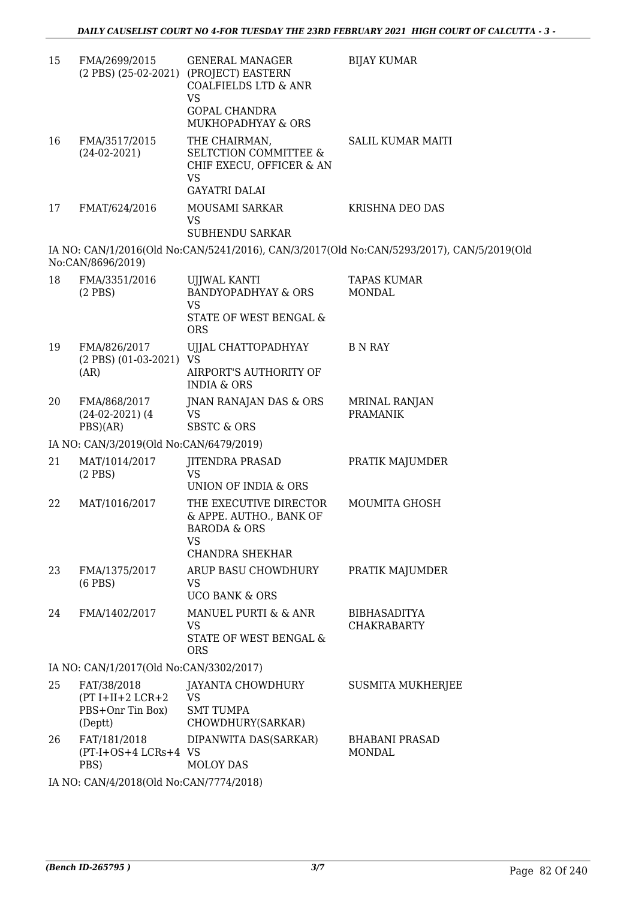| 15                                      | FMA/2699/2015                                                    | <b>GENERAL MANAGER</b><br>(2 PBS) (25-02-2021) (PROJECT) EASTERN<br><b>COALFIELDS LTD &amp; ANR</b><br>VS          | <b>BIJAY KUMAR</b>                                                                        |  |  |
|-----------------------------------------|------------------------------------------------------------------|--------------------------------------------------------------------------------------------------------------------|-------------------------------------------------------------------------------------------|--|--|
|                                         |                                                                  | GOPAL CHANDRA<br>MUKHOPADHYAY & ORS                                                                                |                                                                                           |  |  |
| 16                                      | FMA/3517/2015<br>$(24-02-2021)$                                  | THE CHAIRMAN,<br><b>SELTCTION COMMITTEE &amp;</b><br>CHIF EXECU, OFFICER & AN<br><b>VS</b><br><b>GAYATRI DALAI</b> | <b>SALIL KUMAR MAITI</b>                                                                  |  |  |
| 17                                      | FMAT/624/2016                                                    | MOUSAMI SARKAR                                                                                                     | KRISHNA DEO DAS                                                                           |  |  |
|                                         |                                                                  | VS.<br><b>SUBHENDU SARKAR</b>                                                                                      |                                                                                           |  |  |
|                                         | No:CAN/8696/2019)                                                |                                                                                                                    | IA NO: CAN/1/2016(Old No:CAN/5241/2016), CAN/3/2017(Old No:CAN/5293/2017), CAN/5/2019(Old |  |  |
| 18                                      | FMA/3351/2016<br>$(2$ PBS)                                       | <b>UJJWAL KANTI</b><br><b>BANDYOPADHYAY &amp; ORS</b><br><b>VS</b><br>STATE OF WEST BENGAL &<br><b>ORS</b>         | <b>TAPAS KUMAR</b><br><b>MONDAL</b>                                                       |  |  |
| 19                                      | FMA/826/2017<br>$(2$ PBS $)$ $(01-03-2021)$<br>(AR)              | UJJAL CHATTOPADHYAY<br><b>VS</b><br>AIRPORT'S AUTHORITY OF<br><b>INDIA &amp; ORS</b>                               | <b>B N RAY</b>                                                                            |  |  |
| 20                                      | FMA/868/2017<br>$(24-02-2021)$ (4)<br>PBS)(AR)                   | JNAN RANAJAN DAS & ORS<br><b>VS</b><br><b>SBSTC &amp; ORS</b>                                                      | MRINAL RANJAN<br><b>PRAMANIK</b>                                                          |  |  |
| IA NO: CAN/3/2019(Old No:CAN/6479/2019) |                                                                  |                                                                                                                    |                                                                                           |  |  |
| 21                                      | MAT/1014/2017<br>$(2$ PBS)                                       | JITENDRA PRASAD<br>VS.<br>UNION OF INDIA & ORS                                                                     | PRATIK MAJUMDER                                                                           |  |  |
| 22                                      | MAT/1016/2017                                                    | THE EXECUTIVE DIRECTOR<br>& APPE. AUTHO., BANK OF<br><b>BARODA &amp; ORS</b><br>VS                                 | MOUMITA GHOSH                                                                             |  |  |
|                                         |                                                                  | <b>CHANDRA SHEKHAR</b>                                                                                             |                                                                                           |  |  |
| 23                                      | FMA/1375/2017<br>$(6$ PBS $)$                                    | ARUP BASU CHOWDHURY<br><b>VS</b><br><b>UCO BANK &amp; ORS</b>                                                      | PRATIK MAJUMDER                                                                           |  |  |
| 24                                      | FMA/1402/2017                                                    | MANUEL PURTI & & ANR<br><b>VS</b><br><b>STATE OF WEST BENGAL &amp;</b><br><b>ORS</b>                               | <b>BIBHASADITYA</b><br><b>CHAKRABARTY</b>                                                 |  |  |
|                                         | IA NO: CAN/1/2017(Old No:CAN/3302/2017)                          |                                                                                                                    |                                                                                           |  |  |
| 25                                      | FAT/38/2018<br>$(PT I+II+2 LCR+2$<br>PBS+Onr Tin Box)<br>(Deptt) | JAYANTA CHOWDHURY<br><b>VS</b><br><b>SMT TUMPA</b><br>CHOWDHURY(SARKAR)                                            | SUSMITA MUKHERJEE                                                                         |  |  |
| 26                                      | FAT/181/2018<br>(PT-I+OS+4 LCRs+4 VS<br>PBS)                     | DIPANWITA DAS(SARKAR)<br><b>MOLOY DAS</b>                                                                          | <b>BHABANI PRASAD</b><br><b>MONDAL</b>                                                    |  |  |
|                                         | IA NO: CAN/4/2018(Old No:CAN/7774/2018)                          |                                                                                                                    |                                                                                           |  |  |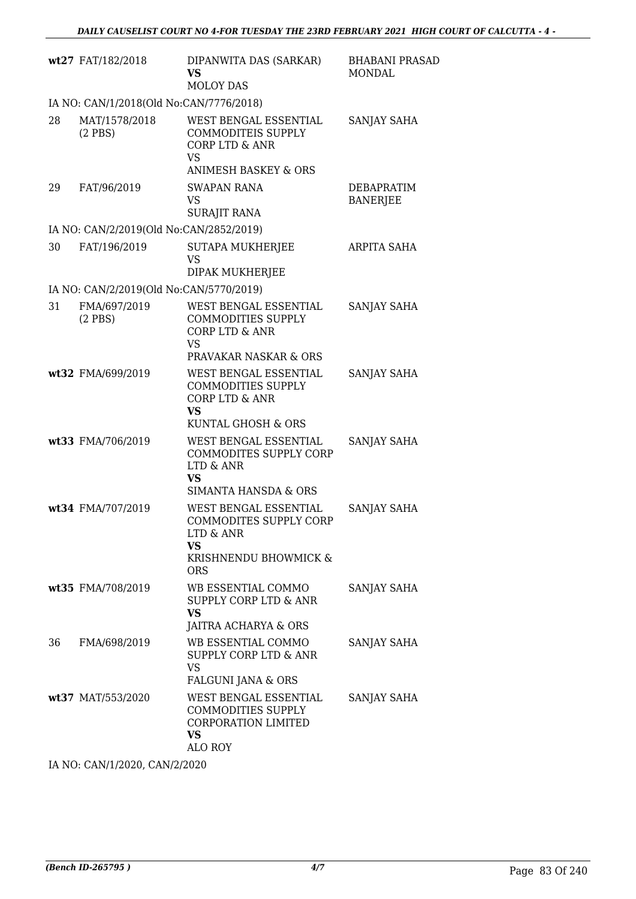|    | wt27 FAT/182/2018                       | DIPANWITA DAS (SARKAR)<br><b>VS</b><br><b>MOLOY DAS</b>                                                                                     | <b>BHABANI PRASAD</b><br>MONDAL      |
|----|-----------------------------------------|---------------------------------------------------------------------------------------------------------------------------------------------|--------------------------------------|
|    | IA NO: CAN/1/2018(Old No:CAN/7776/2018) |                                                                                                                                             |                                      |
| 28 | MAT/1578/2018<br>$(2$ PBS)              | WEST BENGAL ESSENTIAL<br><b>COMMODITEIS SUPPLY</b><br><b>CORP LTD &amp; ANR</b><br><b>VS</b><br><b>ANIMESH BASKEY &amp; ORS</b>             | SANJAY SAHA                          |
| 29 | FAT/96/2019                             | <b>SWAPAN RANA</b><br>VS.<br><b>SURAJIT RANA</b>                                                                                            | <b>DEBAPRATIM</b><br><b>BANERJEE</b> |
|    | IA NO: CAN/2/2019(Old No:CAN/2852/2019) |                                                                                                                                             |                                      |
| 30 | FAT/196/2019                            | <b>SUTAPA MUKHERJEE</b><br><b>VS</b><br>DIPAK MUKHERJEE                                                                                     | ARPITA SAHA                          |
|    | IA NO: CAN/2/2019(Old No:CAN/5770/2019) |                                                                                                                                             |                                      |
| 31 | FMA/697/2019<br>$(2$ PBS)               | WEST BENGAL ESSENTIAL<br><b>COMMODITIES SUPPLY</b><br><b>CORP LTD &amp; ANR</b><br><b>VS</b>                                                | SANJAY SAHA                          |
|    | wt32 FMA/699/2019                       | PRAVAKAR NASKAR & ORS<br>WEST BENGAL ESSENTIAL<br><b>COMMODITIES SUPPLY</b><br><b>CORP LTD &amp; ANR</b><br><b>VS</b><br>KUNTAL GHOSH & ORS | SANJAY SAHA                          |
|    | wt33 FMA/706/2019                       | WEST BENGAL ESSENTIAL<br>COMMODITES SUPPLY CORP<br>LTD & ANR<br><b>VS</b><br><b>SIMANTA HANSDA &amp; ORS</b>                                | SANJAY SAHA                          |
|    | wt34 FMA/707/2019                       | WEST BENGAL ESSENTIAL<br><b>COMMODITES SUPPLY CORP</b><br>LTD & ANR<br>VS<br>KRISHNENDU BHOWMICK &<br><b>ORS</b>                            | SANJAY SAHA                          |
|    | wt35 FMA/708/2019                       | WB ESSENTIAL COMMO<br>SUPPLY CORP LTD & ANR<br><b>VS</b><br>JAITRA ACHARYA & ORS                                                            | SANJAY SAHA                          |
| 36 | FMA/698/2019                            | WB ESSENTIAL COMMO<br><b>SUPPLY CORP LTD &amp; ANR</b><br><b>VS</b><br>FALGUNI JANA & ORS                                                   | SANJAY SAHA                          |
|    | wt37 MAT/553/2020                       | WEST BENGAL ESSENTIAL<br>COMMODITIES SUPPLY<br><b>CORPORATION LIMITED</b><br>VS<br>ALO ROY                                                  | SANJAY SAHA                          |
|    |                                         |                                                                                                                                             |                                      |

IA NO: CAN/1/2020, CAN/2/2020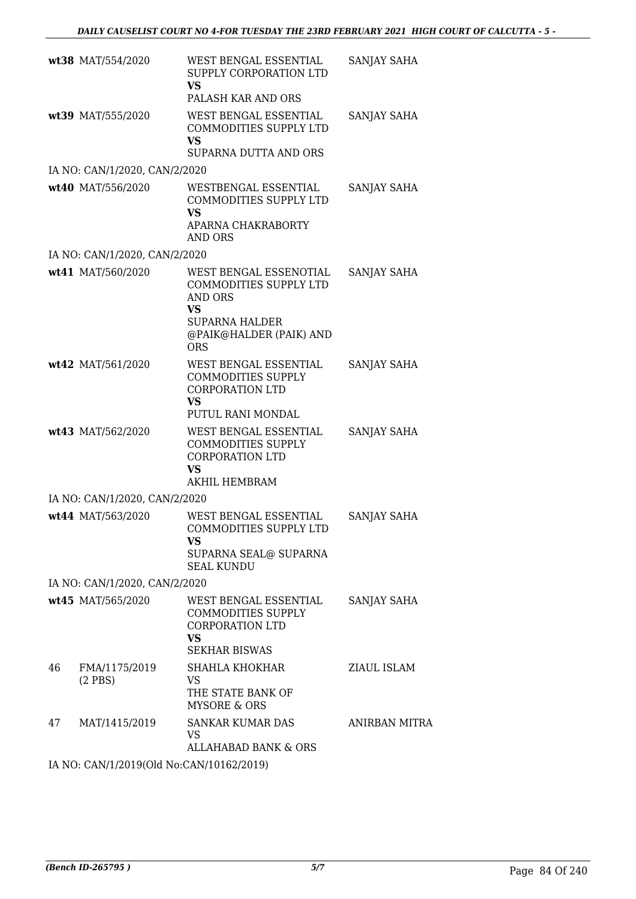|    | wt38 MAT/554/2020                        | WEST BENGAL ESSENTIAL<br>SUPPLY CORPORATION LTD<br>VS<br>PALASH KAR AND ORS                                                                       | SANJAY SAHA          |
|----|------------------------------------------|---------------------------------------------------------------------------------------------------------------------------------------------------|----------------------|
|    | wt39 MAT/555/2020                        | WEST BENGAL ESSENTIAL<br>COMMODITIES SUPPLY LTD<br>VS<br>SUPARNA DUTTA AND ORS                                                                    | SANJAY SAHA          |
|    | IA NO: CAN/1/2020, CAN/2/2020            |                                                                                                                                                   |                      |
|    | wt40 MAT/556/2020                        | WESTBENGAL ESSENTIAL<br>COMMODITIES SUPPLY LTD<br><b>VS</b><br>APARNA CHAKRABORTY                                                                 | SANJAY SAHA          |
|    |                                          | AND ORS                                                                                                                                           |                      |
|    | IA NO: CAN/1/2020, CAN/2/2020            |                                                                                                                                                   |                      |
|    | wt41 MAT/560/2020                        | WEST BENGAL ESSENOTIAL<br>COMMODITIES SUPPLY LTD<br><b>AND ORS</b><br><b>VS</b><br><b>SUPARNA HALDER</b><br>@PAIK@HALDER (PAIK) AND<br><b>ORS</b> | SANJAY SAHA          |
|    | wt42 MAT/561/2020                        | WEST BENGAL ESSENTIAL<br><b>COMMODITIES SUPPLY</b><br><b>CORPORATION LTD</b><br><b>VS</b><br>PUTUL RANI MONDAL                                    | SANJAY SAHA          |
|    | wt43 MAT/562/2020                        | WEST BENGAL ESSENTIAL<br><b>COMMODITIES SUPPLY</b><br><b>CORPORATION LTD</b><br><b>VS</b><br>AKHIL HEMBRAM                                        | SANJAY SAHA          |
|    | IA NO: CAN/1/2020, CAN/2/2020            |                                                                                                                                                   |                      |
|    | wt44 MAT/563/2020                        | WEST BENGAL ESSENTIAL<br><b>COMMODITIES SUPPLY LTD</b><br>VS<br>SUPARNA SEAL@ SUPARNA<br><b>SEAL KUNDU</b>                                        | SANJAY SAHA          |
|    | IA NO: CAN/1/2020, CAN/2/2020            |                                                                                                                                                   |                      |
|    | wt45 MAT/565/2020                        | WEST BENGAL ESSENTIAL<br>COMMODITIES SUPPLY<br><b>CORPORATION LTD</b><br><b>VS</b><br><b>SEKHAR BISWAS</b>                                        | SANJAY SAHA          |
| 46 | FMA/1175/2019<br>$(2$ PBS)               | SHAHLA KHOKHAR<br>VS<br>THE STATE BANK OF<br><b>MYSORE &amp; ORS</b>                                                                              | ZIAUL ISLAM          |
| 47 | MAT/1415/2019                            | <b>SANKAR KUMAR DAS</b><br>VS<br>ALLAHABAD BANK & ORS                                                                                             | <b>ANIRBAN MITRA</b> |
|    | IA NO: CAN/1/2019(Old No:CAN/10162/2019) |                                                                                                                                                   |                      |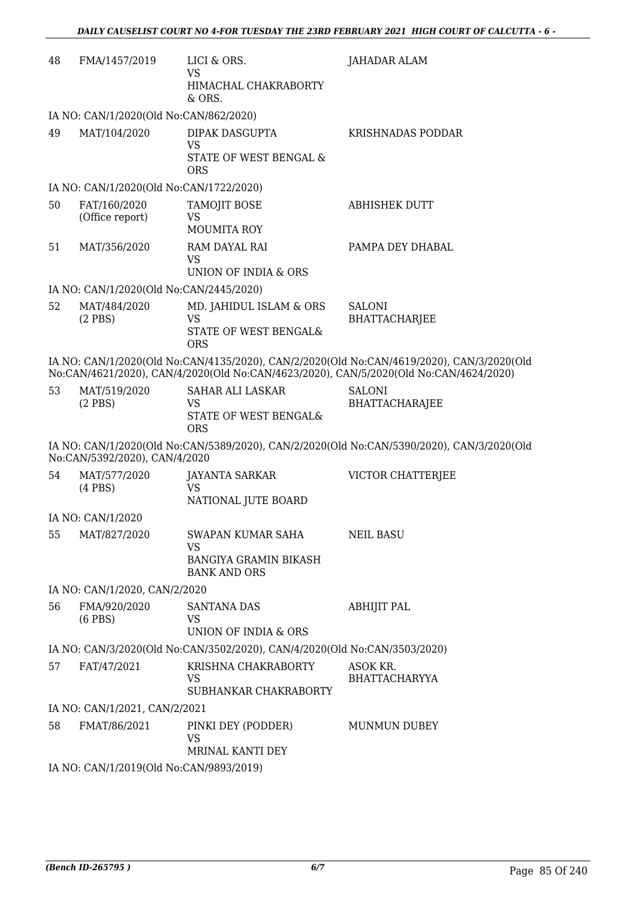| 48 | FMA/1457/2019                           | LICI & ORS.<br>VS<br>HIMACHAL CHAKRABORTY<br>$&$ ORS.                                 | JAHADAR ALAM                                                                                                                                                                       |  |  |
|----|-----------------------------------------|---------------------------------------------------------------------------------------|------------------------------------------------------------------------------------------------------------------------------------------------------------------------------------|--|--|
|    | IA NO: CAN/1/2020(Old No:CAN/862/2020)  |                                                                                       |                                                                                                                                                                                    |  |  |
| 49 | MAT/104/2020                            | DIPAK DASGUPTA<br><b>VS</b><br>STATE OF WEST BENGAL &<br><b>ORS</b>                   | KRISHNADAS PODDAR                                                                                                                                                                  |  |  |
|    | IA NO: CAN/1/2020(Old No:CAN/1722/2020) |                                                                                       |                                                                                                                                                                                    |  |  |
| 50 | FAT/160/2020<br>(Office report)         | TAMOJIT BOSE<br>VS<br><b>MOUMITA ROY</b>                                              | <b>ABHISHEK DUTT</b>                                                                                                                                                               |  |  |
| 51 | MAT/356/2020                            | RAM DAYAL RAI<br><b>VS</b><br>UNION OF INDIA & ORS                                    | PAMPA DEY DHABAL                                                                                                                                                                   |  |  |
|    | IA NO: CAN/1/2020(Old No:CAN/2445/2020) |                                                                                       |                                                                                                                                                                                    |  |  |
| 52 | MAT/484/2020<br>$(2$ PBS)               | MD. JAHIDUL ISLAM & ORS<br><b>VS</b><br>STATE OF WEST BENGAL&<br><b>ORS</b>           | <b>SALONI</b><br><b>BHATTACHARJEE</b>                                                                                                                                              |  |  |
|    |                                         |                                                                                       | IA NO: CAN/1/2020(Old No:CAN/4135/2020), CAN/2/2020(Old No:CAN/4619/2020), CAN/3/2020(Old<br>No:CAN/4621/2020), CAN/4/2020(Old No:CAN/4623/2020), CAN/5/2020(Old No:CAN/4624/2020) |  |  |
| 53 | MAT/519/2020<br>$(2$ PBS $)$            | SAHAR ALI LASKAR<br><b>VS</b><br>STATE OF WEST BENGAL&<br><b>ORS</b>                  | <b>SALONI</b><br><b>BHATTACHARAJEE</b>                                                                                                                                             |  |  |
|    | No:CAN/5392/2020), CAN/4/2020           |                                                                                       | IA NO: CAN/1/2020(Old No:CAN/5389/2020), CAN/2/2020(Old No:CAN/5390/2020), CAN/3/2020(Old                                                                                          |  |  |
| 54 | MAT/577/2020<br>$(4$ PBS $)$            | <b>JAYANTA SARKAR</b><br><b>VS</b><br>NATIONAL JUTE BOARD                             | VICTOR CHATTERJEE                                                                                                                                                                  |  |  |
|    | IA NO: CAN/1/2020                       |                                                                                       |                                                                                                                                                                                    |  |  |
| 55 | MAT/827/2020                            | <b>SWAPAN KUMAR SAHA</b><br>VS<br><b>BANGIYA GRAMIN BIKASH</b><br><b>BANK AND ORS</b> | <b>NEIL BASU</b>                                                                                                                                                                   |  |  |
|    | IA NO: CAN/1/2020, CAN/2/2020           |                                                                                       |                                                                                                                                                                                    |  |  |
| 56 | FMA/920/2020<br>$(6$ PBS $)$            | <b>SANTANA DAS</b><br>VS<br>UNION OF INDIA & ORS                                      | <b>ABHIJIT PAL</b>                                                                                                                                                                 |  |  |
|    |                                         | IA NO: CAN/3/2020(Old No:CAN/3502/2020), CAN/4/2020(Old No:CAN/3503/2020)             |                                                                                                                                                                                    |  |  |
| 57 | FAT/47/2021                             | KRISHNA CHAKRABORTY<br><b>VS</b><br>SUBHANKAR CHAKRABORTY                             | ASOK KR.<br><b>BHATTACHARYYA</b>                                                                                                                                                   |  |  |
|    | IA NO: CAN/1/2021, CAN/2/2021           |                                                                                       |                                                                                                                                                                                    |  |  |
| 58 | FMAT/86/2021                            | PINKI DEY (PODDER)<br><b>VS</b><br>MRINAL KANTI DEY                                   | <b>MUNMUN DUBEY</b>                                                                                                                                                                |  |  |
|    |                                         | IA NO: CAN/1/2019(Old No:CAN/9893/2019)                                               |                                                                                                                                                                                    |  |  |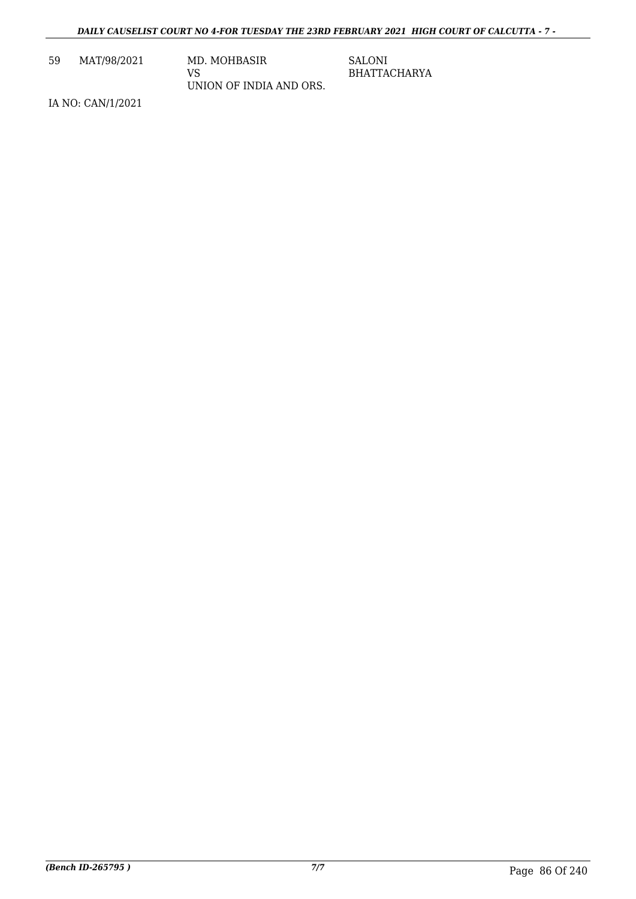59 MAT/98/2021 MD. MOHBASIR

VS UNION OF INDIA AND ORS. SALONI BHATTACHARYA

IA NO: CAN/1/2021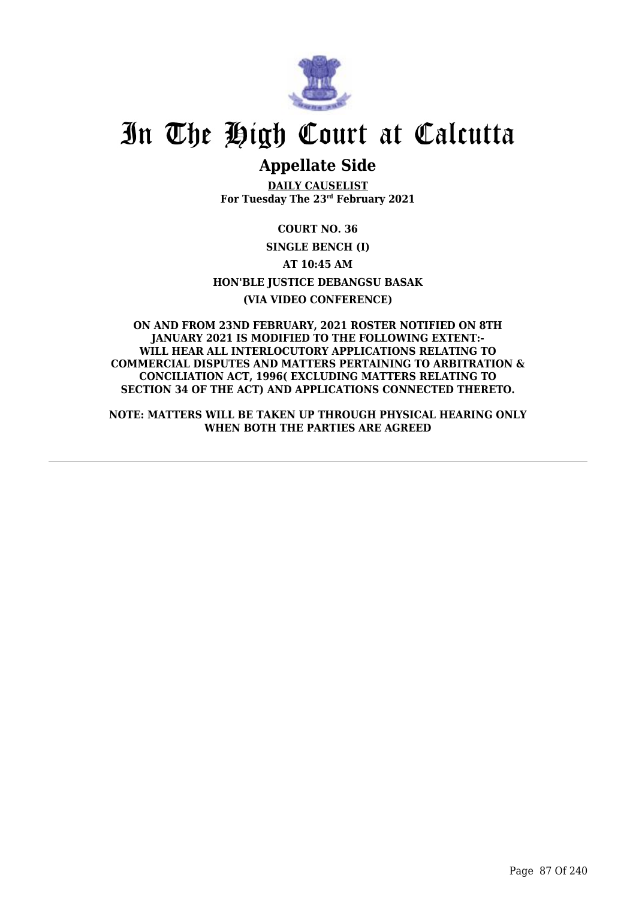

# **Appellate Side**

**DAILY CAUSELIST For Tuesday The 23rd February 2021**

**COURT NO. 36 SINGLE BENCH (I) AT 10:45 AM HON'BLE JUSTICE DEBANGSU BASAK (VIA VIDEO CONFERENCE)**

**ON AND FROM 23ND FEBRUARY, 2021 ROSTER NOTIFIED ON 8TH JANUARY 2021 IS MODIFIED TO THE FOLLOWING EXTENT:- WILL HEAR ALL INTERLOCUTORY APPLICATIONS RELATING TO COMMERCIAL DISPUTES AND MATTERS PERTAINING TO ARBITRATION & CONCILIATION ACT, 1996( EXCLUDING MATTERS RELATING TO SECTION 34 OF THE ACT) AND APPLICATIONS CONNECTED THERETO.**

**NOTE: MATTERS WILL BE TAKEN UP THROUGH PHYSICAL HEARING ONLY WHEN BOTH THE PARTIES ARE AGREED**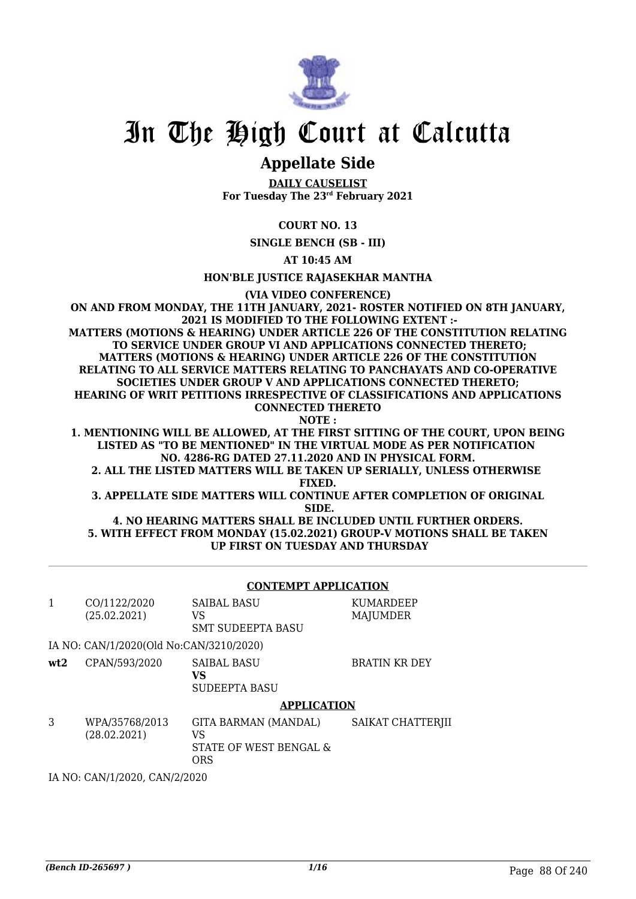

# **Appellate Side**

**DAILY CAUSELIST For Tuesday The 23rd February 2021**

# **COURT NO. 13**

**SINGLE BENCH (SB - III)**

**AT 10:45 AM**

**HON'BLE JUSTICE RAJASEKHAR MANTHA**

**(VIA VIDEO CONFERENCE)**

**ON AND FROM MONDAY, THE 11TH JANUARY, 2021- ROSTER NOTIFIED ON 8TH JANUARY, 2021 IS MODIFIED TO THE FOLLOWING EXTENT :- MATTERS (MOTIONS & HEARING) UNDER ARTICLE 226 OF THE CONSTITUTION RELATING TO SERVICE UNDER GROUP VI AND APPLICATIONS CONNECTED THERETO; MATTERS (MOTIONS & HEARING) UNDER ARTICLE 226 OF THE CONSTITUTION RELATING TO ALL SERVICE MATTERS RELATING TO PANCHAYATS AND CO-OPERATIVE SOCIETIES UNDER GROUP V AND APPLICATIONS CONNECTED THERETO; HEARING OF WRIT PETITIONS IRRESPECTIVE OF CLASSIFICATIONS AND APPLICATIONS CONNECTED THERETO NOTE :**

**1. MENTIONING WILL BE ALLOWED, AT THE FIRST SITTING OF THE COURT, UPON BEING LISTED AS "TO BE MENTIONED" IN THE VIRTUAL MODE AS PER NOTIFICATION NO. 4286-RG DATED 27.11.2020 AND IN PHYSICAL FORM.**

**2. ALL THE LISTED MATTERS WILL BE TAKEN UP SERIALLY, UNLESS OTHERWISE FIXED.**

**3. APPELLATE SIDE MATTERS WILL CONTINUE AFTER COMPLETION OF ORIGINAL SIDE.**

**4. NO HEARING MATTERS SHALL BE INCLUDED UNTIL FURTHER ORDERS. 5. WITH EFFECT FROM MONDAY (15.02.2021) GROUP-V MOTIONS SHALL BE TAKEN UP FIRST ON TUESDAY AND THURSDAY**

### **CONTEMPT APPLICATION**

|     | CO/1122/2020<br>(25.02.2021)            | <b>SAIBAL BASU</b><br>VS<br><b>SMT SUDEEPTA BASU</b>        | KUMARDEEP<br><b>MAJUMDER</b> |
|-----|-----------------------------------------|-------------------------------------------------------------|------------------------------|
|     | IA NO: CAN/1/2020(Old No:CAN/3210/2020) |                                                             |                              |
| wt2 | CPAN/593/2020                           | <b>SAIBAL BASU</b><br>VS<br><b>SUDEEPTA BASU</b>            | <b>BRATIN KR DEY</b>         |
|     |                                         | <b>APPLICATION</b>                                          |                              |
| 3   | WPA/35768/2013<br>(28.02.2021)          | GITA BARMAN (MANDAL)<br>VS<br>STATE OF WEST BENGAL &<br>ORS | SAIKAT CHATTERJII            |

IA NO: CAN/1/2020, CAN/2/2020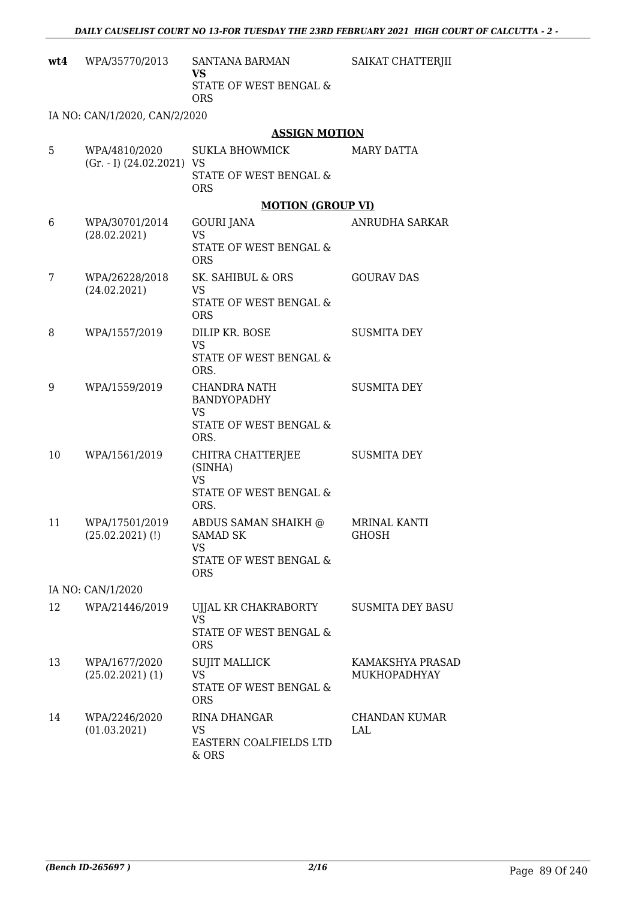|    | $wt4$ WPA/35770/2013                           | SANTANA BARMAN<br>VS<br>STATE OF WEST BENGAL &<br><b>ORS</b>                          | SAIKAT CHATTERJII                   |
|----|------------------------------------------------|---------------------------------------------------------------------------------------|-------------------------------------|
|    | IA NO: CAN/1/2020, CAN/2/2020                  |                                                                                       |                                     |
|    |                                                | <b>ASSIGN MOTION</b>                                                                  |                                     |
| 5  | WPA/4810/2020<br>$(Gr. - I)$ $(24.02.2021)$ VS | <b>SUKLA BHOWMICK</b><br>STATE OF WEST BENGAL &<br><b>ORS</b>                         | <b>MARY DATTA</b>                   |
|    |                                                | <b>MOTION (GROUP VI)</b>                                                              |                                     |
| 6  | WPA/30701/2014<br>(28.02.2021)                 | GOURI JANA<br><b>VS</b><br>STATE OF WEST BENGAL &<br><b>ORS</b>                       | ANRUDHA SARKAR                      |
| 7  | WPA/26228/2018<br>(24.02.2021)                 | SK. SAHIBUL & ORS<br><b>VS</b><br>STATE OF WEST BENGAL &<br><b>ORS</b>                | <b>GOURAV DAS</b>                   |
| 8  | WPA/1557/2019                                  | DILIP KR. BOSE<br><b>VS</b><br>STATE OF WEST BENGAL &<br>ORS.                         | <b>SUSMITA DEY</b>                  |
| 9  | WPA/1559/2019                                  | CHANDRA NATH<br>BANDYOPADHY<br><b>VS</b><br>STATE OF WEST BENGAL &<br>ORS.            | <b>SUSMITA DEY</b>                  |
| 10 | WPA/1561/2019                                  | CHITRA CHATTERJEE<br>(SINHA)<br><b>VS</b><br>STATE OF WEST BENGAL &<br>ORS.           | <b>SUSMITA DEY</b>                  |
| 11 | WPA/17501/2019<br>$(25.02.2021)$ (!)           | ABDUS SAMAN SHAIKH @<br><b>SAMAD SK</b><br>VS<br>STATE OF WEST BENGAL &<br><b>ORS</b> | <b>MRINAL KANTI</b><br><b>GHOSH</b> |
|    | IA NO: CAN/1/2020                              |                                                                                       |                                     |
| 12 | WPA/21446/2019                                 | UJJAL KR CHAKRABORTY<br><b>VS</b><br>STATE OF WEST BENGAL &<br><b>ORS</b>             | <b>SUSMITA DEY BASU</b>             |
| 13 | WPA/1677/2020<br>$(25.02.2021)$ (1)            | <b>SUJIT MALLICK</b><br><b>VS</b><br>STATE OF WEST BENGAL &<br><b>ORS</b>             | KAMAKSHYA PRASAD<br>MUKHOPADHYAY    |
| 14 | WPA/2246/2020<br>(01.03.2021)                  | RINA DHANGAR<br>VS<br>EASTERN COALFIELDS LTD<br>& ORS                                 | CHANDAN KUMAR<br>LAL                |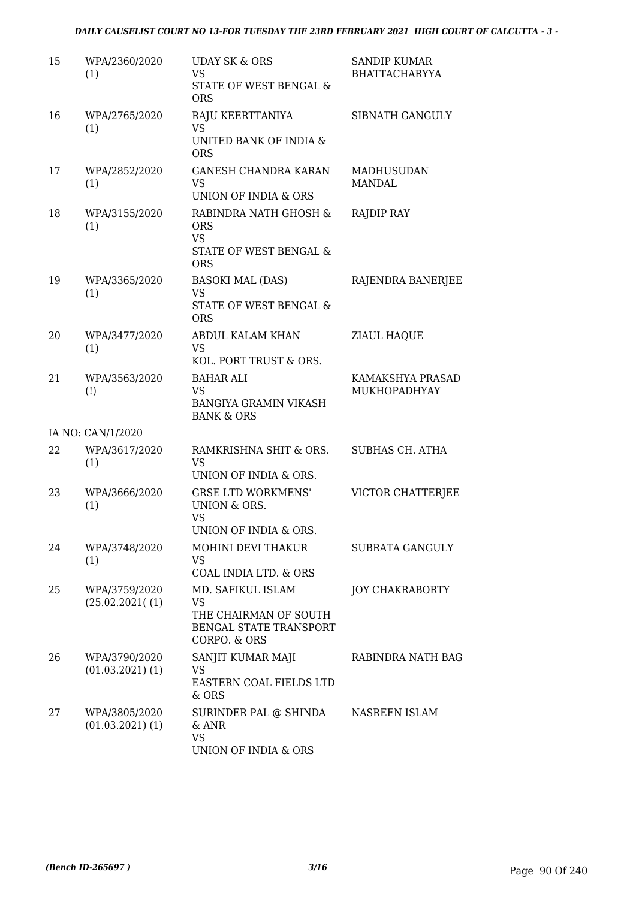| 15 | WPA/2360/2020<br>(1)                             | <b>UDAY SK &amp; ORS</b><br><b>VS</b><br>STATE OF WEST BENGAL &<br><b>ORS</b>                     | <b>SANDIP KUMAR</b><br><b>BHATTACHARYYA</b> |
|----|--------------------------------------------------|---------------------------------------------------------------------------------------------------|---------------------------------------------|
| 16 | WPA/2765/2020<br>(1)                             | RAJU KEERTTANIYA<br><b>VS</b><br>UNITED BANK OF INDIA &<br><b>ORS</b>                             | SIBNATH GANGULY                             |
| 17 | WPA/2852/2020<br>(1)                             | <b>GANESH CHANDRA KARAN</b><br><b>VS</b><br>UNION OF INDIA & ORS                                  | <b>MADHUSUDAN</b><br><b>MANDAL</b>          |
| 18 | WPA/3155/2020<br>(1)                             | RABINDRA NATH GHOSH &<br><b>ORS</b><br><b>VS</b><br>STATE OF WEST BENGAL &<br><b>ORS</b>          | RAJDIP RAY                                  |
| 19 | WPA/3365/2020<br>(1)                             | <b>BASOKI MAL (DAS)</b><br><b>VS</b><br><b>STATE OF WEST BENGAL &amp;</b><br><b>ORS</b>           | RAJENDRA BANERJEE                           |
| 20 | WPA/3477/2020<br>(1)                             | ABDUL KALAM KHAN<br><b>VS</b><br>KOL. PORT TRUST & ORS.                                           | ZIAUL HAQUE                                 |
| 21 | WPA/3563/2020<br>$\left( \left  \right  \right)$ | <b>BAHAR ALI</b><br><b>VS</b><br><b>BANGIYA GRAMIN VIKASH</b><br><b>BANK &amp; ORS</b>            | KAMAKSHYA PRASAD<br>MUKHOPADHYAY            |
|    | IA NO: CAN/1/2020                                |                                                                                                   |                                             |
| 22 | WPA/3617/2020<br>(1)                             | RAMKRISHNA SHIT & ORS.<br><b>VS</b><br>UNION OF INDIA & ORS.                                      | <b>SUBHAS CH. ATHA</b>                      |
| 23 | WPA/3666/2020<br>(1)                             | <b>GRSE LTD WORKMENS'</b><br>UNION & ORS.<br><b>VS</b>                                            | VICTOR CHATTERJEE                           |
| 24 | WPA/3748/2020<br>(1)                             | UNION OF INDIA & ORS.<br>MOHINI DEVI THAKUR<br>VS<br>COAL INDIA LTD. & ORS                        | SUBRATA GANGULY                             |
| 25 | WPA/3759/2020<br>(25.02.2021(1))                 | MD. SAFIKUL ISLAM<br><b>VS</b><br>THE CHAIRMAN OF SOUTH<br>BENGAL STATE TRANSPORT<br>CORPO. & ORS | <b>JOY CHAKRABORTY</b>                      |
| 26 | WPA/3790/2020<br>$(01.03.2021)$ $(1)$            | SANJIT KUMAR MAJI<br>VS<br>EASTERN COAL FIELDS LTD<br>& ORS                                       | RABINDRA NATH BAG                           |
| 27 | WPA/3805/2020<br>$(01.03.2021)$ $(1)$            | SURINDER PAL @ SHINDA<br>& ANR<br><b>VS</b><br><b>UNION OF INDIA &amp; ORS</b>                    | NASREEN ISLAM                               |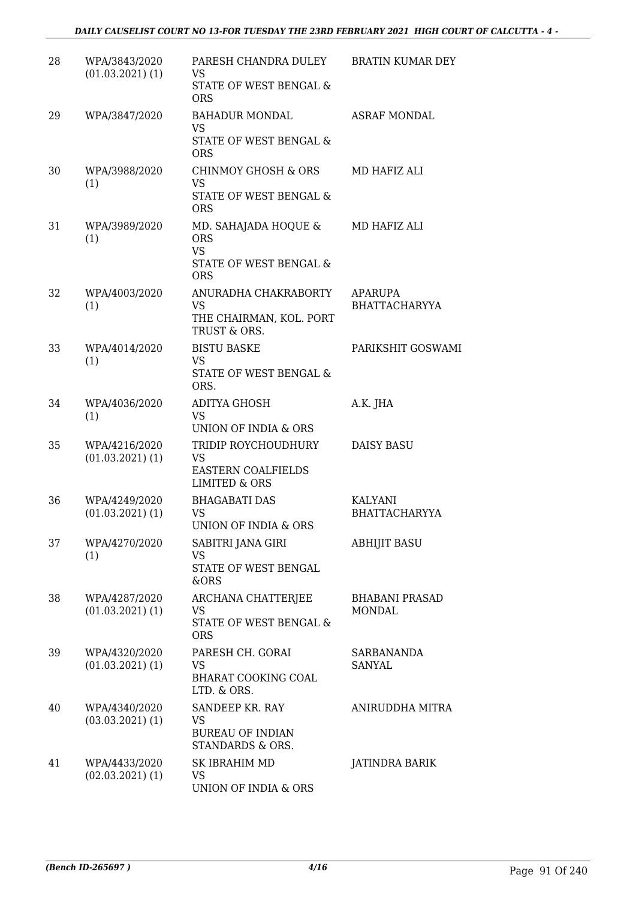# *DAILY CAUSELIST COURT NO 13-FOR TUESDAY THE 23RD FEBRUARY 2021 HIGH COURT OF CALCUTTA - 4 -*

| 28 | WPA/3843/2020<br>$(01.03.2021)$ $(1)$ | PARESH CHANDRA DULEY<br>VS<br>STATE OF WEST BENGAL &<br><b>ORS</b>                        | BRATIN KUMAR DEY                       |
|----|---------------------------------------|-------------------------------------------------------------------------------------------|----------------------------------------|
| 29 | WPA/3847/2020                         | <b>BAHADUR MONDAL</b><br><b>VS</b><br>STATE OF WEST BENGAL &<br><b>ORS</b>                | <b>ASRAF MONDAL</b>                    |
| 30 | WPA/3988/2020<br>(1)                  | <b>CHINMOY GHOSH &amp; ORS</b><br>VS.<br><b>STATE OF WEST BENGAL &amp;</b><br><b>ORS</b>  | MD HAFIZ ALI                           |
| 31 | WPA/3989/2020<br>(1)                  | MD. SAHAJADA HOQUE &<br><b>ORS</b><br><b>VS</b><br>STATE OF WEST BENGAL &<br><b>ORS</b>   | MD HAFIZ ALI                           |
| 32 | WPA/4003/2020<br>(1)                  | ANURADHA CHAKRABORTY<br><b>VS</b><br>THE CHAIRMAN, KOL. PORT<br>TRUST & ORS.              | <b>APARUPA</b><br><b>BHATTACHARYYA</b> |
| 33 | WPA/4014/2020<br>(1)                  | <b>BISTU BASKE</b><br><b>VS</b><br>STATE OF WEST BENGAL &<br>ORS.                         | PARIKSHIT GOSWAMI                      |
| 34 | WPA/4036/2020<br>(1)                  | <b>ADITYA GHOSH</b><br><b>VS</b><br>UNION OF INDIA & ORS                                  | A.K. JHA                               |
| 35 | WPA/4216/2020<br>$(01.03.2021)$ $(1)$ | TRIDIP ROYCHOUDHURY<br><b>VS</b><br><b>EASTERN COALFIELDS</b><br><b>LIMITED &amp; ORS</b> | <b>DAISY BASU</b>                      |
| 36 | WPA/4249/2020<br>$(01.03.2021)$ $(1)$ | <b>BHAGABATI DAS</b><br>VS<br>UNION OF INDIA & ORS                                        | KALYANI<br><b>BHATTACHARYYA</b>        |
| 37 | WPA/4270/2020<br>(1)                  | SABITRI JANA GIRI<br><b>VS</b><br>STATE OF WEST BENGAL<br>&ORS                            | <b>ABHIJIT BASU</b>                    |
| 38 | WPA/4287/2020<br>$(01.03.2021)$ $(1)$ | <b>ARCHANA CHATTERJEE</b><br>VS<br>STATE OF WEST BENGAL &<br><b>ORS</b>                   | <b>BHABANI PRASAD</b><br><b>MONDAL</b> |
| 39 | WPA/4320/2020<br>$(01.03.2021)$ $(1)$ | PARESH CH. GORAI<br>VS<br><b>BHARAT COOKING COAL</b><br>LTD. & ORS.                       | <b>SARBANANDA</b><br>SANYAL            |
| 40 | WPA/4340/2020<br>$(03.03.2021)$ $(1)$ | SANDEEP KR. RAY<br>VS<br><b>BUREAU OF INDIAN</b><br>STANDARDS & ORS.                      | ANIRUDDHA MITRA                        |
| 41 | WPA/4433/2020<br>$(02.03.2021)$ $(1)$ | SK IBRAHIM MD<br>VS<br>UNION OF INDIA & ORS                                               | JATINDRA BARIK                         |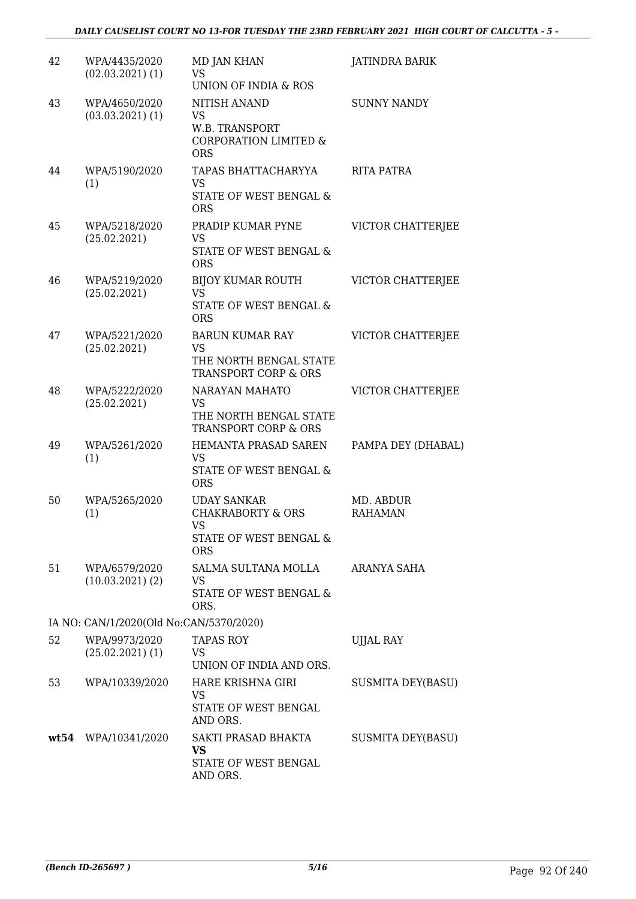| 42 | WPA/4435/2020<br>$(02.03.2021)$ $(1)$   | <b>MD JAN KHAN</b><br><b>VS</b><br><b>UNION OF INDIA &amp; ROS</b>                                      | <b>JATINDRA BARIK</b>       |
|----|-----------------------------------------|---------------------------------------------------------------------------------------------------------|-----------------------------|
| 43 | WPA/4650/2020<br>$(03.03.2021)$ $(1)$   | NITISH ANAND<br>VS<br>W.B. TRANSPORT<br><b>CORPORATION LIMITED &amp;</b><br><b>ORS</b>                  | <b>SUNNY NANDY</b>          |
| 44 | WPA/5190/2020<br>(1)                    | TAPAS BHATTACHARYYA<br><b>VS</b><br>STATE OF WEST BENGAL &<br><b>ORS</b>                                | RITA PATRA                  |
| 45 | WPA/5218/2020<br>(25.02.2021)           | PRADIP KUMAR PYNE<br><b>VS</b><br>STATE OF WEST BENGAL &<br><b>ORS</b>                                  | VICTOR CHATTERJEE           |
| 46 | WPA/5219/2020<br>(25.02.2021)           | <b>BIJOY KUMAR ROUTH</b><br>VS.<br>STATE OF WEST BENGAL &<br><b>ORS</b>                                 | VICTOR CHATTERJEE           |
| 47 | WPA/5221/2020<br>(25.02.2021)           | <b>BARUN KUMAR RAY</b><br>VS<br>THE NORTH BENGAL STATE<br>TRANSPORT CORP & ORS                          | VICTOR CHATTERJEE           |
| 48 | WPA/5222/2020<br>(25.02.2021)           | NARAYAN MAHATO<br><b>VS</b><br>THE NORTH BENGAL STATE<br>TRANSPORT CORP & ORS                           | VICTOR CHATTERJEE           |
| 49 | WPA/5261/2020<br>(1)                    | HEMANTA PRASAD SAREN<br><b>VS</b><br><b>STATE OF WEST BENGAL &amp;</b><br><b>ORS</b>                    | PAMPA DEY (DHABAL)          |
| 50 | WPA/5265/2020<br>(1)                    | <b>UDAY SANKAR</b><br><b>CHAKRABORTY &amp; ORS</b><br><b>VS</b><br>STATE OF WEST BENGAL &<br><b>ORS</b> | MD. ABDUR<br><b>RAHAMAN</b> |
| 51 | WPA/6579/2020<br>$(10.03.2021)$ $(2)$   | SALMA SULTANA MOLLA<br>VS<br>STATE OF WEST BENGAL &<br>ORS.                                             | ARANYA SAHA                 |
|    | IA NO: CAN/1/2020(Old No:CAN/5370/2020) |                                                                                                         |                             |
| 52 | WPA/9973/2020<br>$(25.02.2021)$ (1)     | <b>TAPAS ROY</b><br>VS.<br>UNION OF INDIA AND ORS.                                                      | <b>UJJAL RAY</b>            |
| 53 | WPA/10339/2020                          | HARE KRISHNA GIRI<br><b>VS</b><br>STATE OF WEST BENGAL<br>AND ORS.                                      | SUSMITA DEY(BASU)           |
|    | wt54 WPA/10341/2020                     | SAKTI PRASAD BHAKTA<br>VS<br>STATE OF WEST BENGAL<br>AND ORS.                                           | SUSMITA DEY(BASU)           |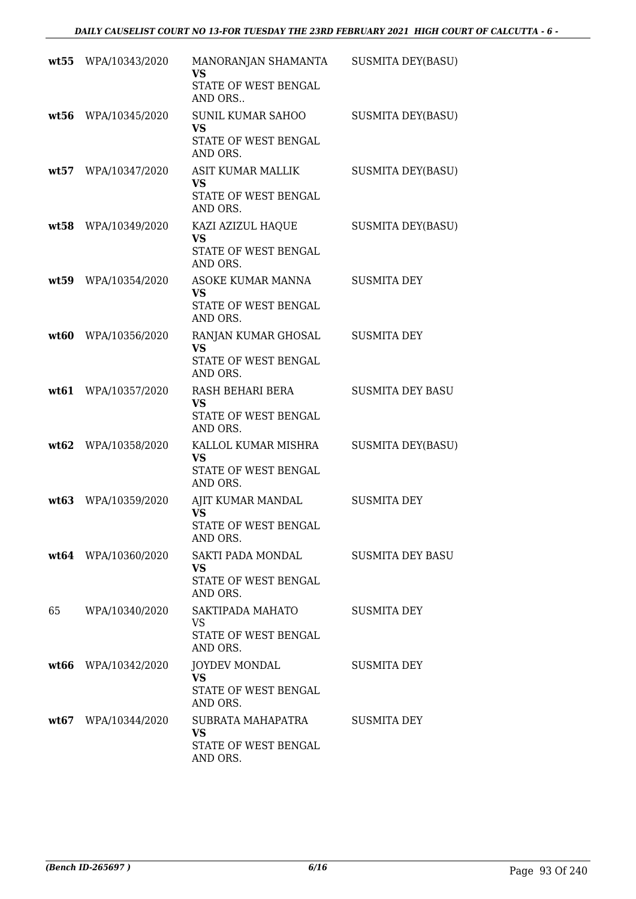|      | wt55 WPA/10343/2020 | MANORANJAN SHAMANTA<br><b>VS</b><br>STATE OF WEST BENGAL<br>AND ORS       | SUSMITA DEY(BASU)        |
|------|---------------------|---------------------------------------------------------------------------|--------------------------|
| wt56 | WPA/10345/2020      | <b>SUNIL KUMAR SAHOO</b><br><b>VS</b><br>STATE OF WEST BENGAL<br>AND ORS. | <b>SUSMITA DEY(BASU)</b> |
| wt57 | WPA/10347/2020      | ASIT KUMAR MALLIK<br><b>VS</b><br>STATE OF WEST BENGAL<br>AND ORS.        | <b>SUSMITA DEY(BASU)</b> |
|      | wt58 WPA/10349/2020 | KAZI AZIZUL HAQUE<br><b>VS</b><br>STATE OF WEST BENGAL<br>AND ORS.        | <b>SUSMITA DEY(BASU)</b> |
| wt59 | WPA/10354/2020      | ASOKE KUMAR MANNA<br><b>VS</b><br>STATE OF WEST BENGAL<br>AND ORS.        | <b>SUSMITA DEY</b>       |
| wt60 | WPA/10356/2020      | RANJAN KUMAR GHOSAL<br><b>VS</b><br>STATE OF WEST BENGAL<br>AND ORS.      | <b>SUSMITA DEY</b>       |
| wt61 | WPA/10357/2020      | RASH BEHARI BERA<br><b>VS</b><br>STATE OF WEST BENGAL<br>AND ORS.         | <b>SUSMITA DEY BASU</b>  |
| wt62 | WPA/10358/2020      | KALLOL KUMAR MISHRA<br>VS<br>STATE OF WEST BENGAL<br>AND ORS.             | <b>SUSMITA DEY(BASU)</b> |
| wt63 | WPA/10359/2020      | AJIT KUMAR MANDAL<br><b>VS</b><br>STATE OF WEST BENGAL<br>AND ORS.        | <b>SUSMITA DEY</b>       |
|      | wt64 WPA/10360/2020 | SAKTI PADA MONDAL<br>VS.<br>STATE OF WEST BENGAL<br>AND ORS.              | <b>SUSMITA DEY BASU</b>  |
| 65   | WPA/10340/2020      | SAKTIPADA MAHATO<br>VS.<br>STATE OF WEST BENGAL<br>AND ORS.               | <b>SUSMITA DEY</b>       |
|      | wt66 WPA/10342/2020 | <b>JOYDEV MONDAL</b><br><b>VS</b><br>STATE OF WEST BENGAL<br>AND ORS.     | SUSMITA DEY              |
|      | wt67 WPA/10344/2020 | SUBRATA MAHAPATRA<br><b>VS</b><br>STATE OF WEST BENGAL<br>AND ORS.        | <b>SUSMITA DEY</b>       |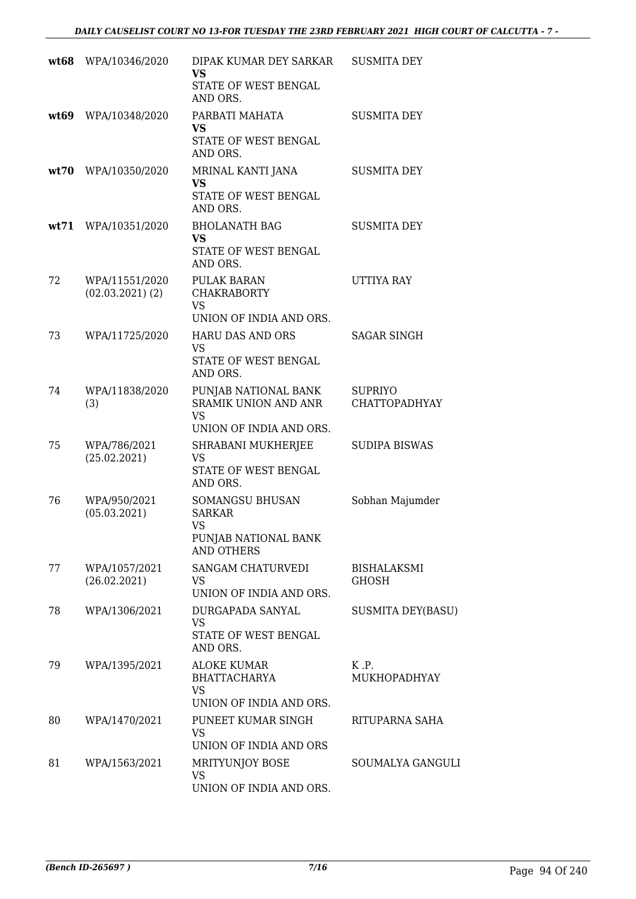|      | wt68 WPA/10346/2020                  | DIPAK KUMAR DEY SARKAR<br><b>VS</b><br>STATE OF WEST BENGAL<br>AND ORS.                     | <b>SUSMITA DEY</b>                       |
|------|--------------------------------------|---------------------------------------------------------------------------------------------|------------------------------------------|
|      | wt69 WPA/10348/2020                  | PARBATI MAHATA<br>VS<br>STATE OF WEST BENGAL<br>AND ORS.                                    | <b>SUSMITA DEY</b>                       |
|      | wt70 WPA/10350/2020                  | MRINAL KANTI JANA<br><b>VS</b><br>STATE OF WEST BENGAL<br>AND ORS.                          | <b>SUSMITA DEY</b>                       |
| wt71 | WPA/10351/2020                       | <b>BHOLANATH BAG</b><br><b>VS</b><br>STATE OF WEST BENGAL<br>AND ORS.                       | <b>SUSMITA DEY</b>                       |
| 72   | WPA/11551/2020<br>$(02.03.2021)$ (2) | <b>PULAK BARAN</b><br><b>CHAKRABORTY</b><br><b>VS</b><br>UNION OF INDIA AND ORS.            | UTTIYA RAY                               |
| 73   | WPA/11725/2020                       | <b>HARU DAS AND ORS</b><br><b>VS</b><br>STATE OF WEST BENGAL<br>AND ORS.                    | <b>SAGAR SINGH</b>                       |
| 74   | WPA/11838/2020<br>(3)                | PUNJAB NATIONAL BANK<br><b>SRAMIK UNION AND ANR</b><br><b>VS</b><br>UNION OF INDIA AND ORS. | <b>SUPRIYO</b><br>CHATTOPADHYAY          |
| 75   | WPA/786/2021<br>(25.02.2021)         | SHRABANI MUKHERJEE<br>VS<br>STATE OF WEST BENGAL<br>AND ORS.                                | <b>SUDIPA BISWAS</b>                     |
| 76   | WPA/950/2021<br>(05.03.2021)         | <b>SOMANGSU BHUSAN</b><br><b>SARKAR</b><br>VS<br>PUNJAB NATIONAL BANK<br><b>AND OTHERS</b>  | Sobhan Majumder                          |
| 77   | WPA/1057/2021<br>(26.02.2021)        | SANGAM CHATURVEDI<br>VS<br>UNION OF INDIA AND ORS.                                          | <b>BISHALAKSMI</b><br><b>GHOSH</b>       |
| 78   | WPA/1306/2021                        | DURGAPADA SANYAL<br><b>VS</b><br>STATE OF WEST BENGAL<br>AND ORS.                           | <b>SUSMITA DEY(BASU)</b>                 |
| 79   | WPA/1395/2021                        | ALOKE KUMAR<br><b>BHATTACHARYA</b><br><b>VS</b><br>UNION OF INDIA AND ORS.                  | $K$ $\cdot$ $P$ .<br><b>MUKHOPADHYAY</b> |
| 80   | WPA/1470/2021                        | PUNEET KUMAR SINGH<br>VS<br>UNION OF INDIA AND ORS                                          | RITUPARNA SAHA                           |
| 81   | WPA/1563/2021                        | MRITYUNJOY BOSE<br><b>VS</b><br>UNION OF INDIA AND ORS.                                     | SOUMALYA GANGULI                         |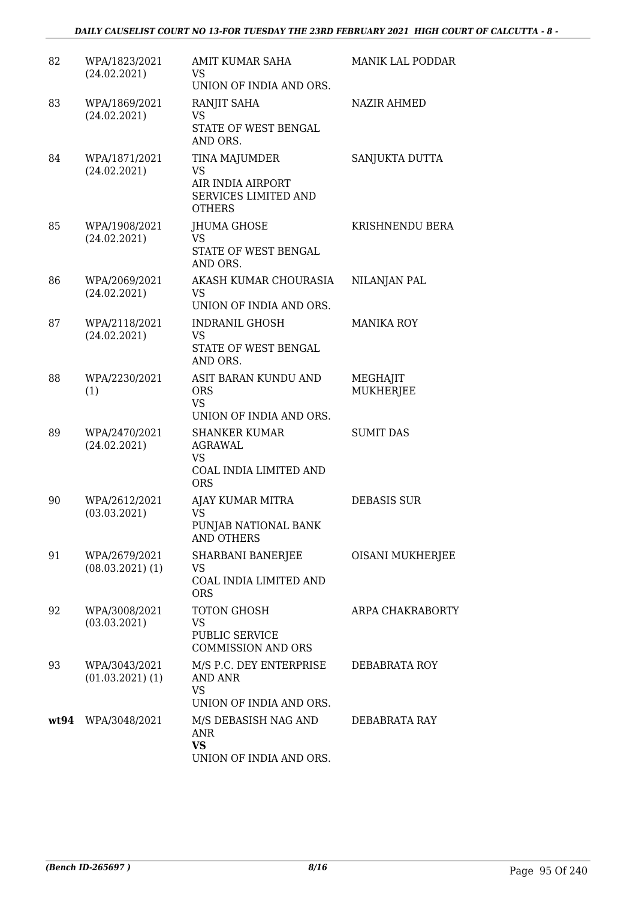| 82 | WPA/1823/2021<br>(24.02.2021)       | <b>AMIT KUMAR SAHA</b><br>VS.<br>UNION OF INDIA AND ORS.                          | <b>MANIK LAL PODDAR</b>      |
|----|-------------------------------------|-----------------------------------------------------------------------------------|------------------------------|
| 83 | WPA/1869/2021<br>(24.02.2021)       | RANJIT SAHA<br>VS<br>STATE OF WEST BENGAL<br>AND ORS.                             | <b>NAZIR AHMED</b>           |
| 84 | WPA/1871/2021<br>(24.02.2021)       | TINA MAJUMDER<br>VS<br>AIR INDIA AIRPORT<br>SERVICES LIMITED AND<br><b>OTHERS</b> | SANJUKTA DUTTA               |
| 85 | WPA/1908/2021<br>(24.02.2021)       | JHUMA GHOSE<br><b>VS</b><br>STATE OF WEST BENGAL<br>AND ORS.                      | KRISHNENDU BERA              |
| 86 | WPA/2069/2021<br>(24.02.2021)       | AKASH KUMAR CHOURASIA<br>VS.<br>UNION OF INDIA AND ORS.                           | NILANJAN PAL                 |
| 87 | WPA/2118/2021<br>(24.02.2021)       | <b>INDRANIL GHOSH</b><br>VS.<br>STATE OF WEST BENGAL<br>AND ORS.                  | <b>MANIKA ROY</b>            |
| 88 | WPA/2230/2021<br>(1)                | ASIT BARAN KUNDU AND<br><b>ORS</b><br><b>VS</b><br>UNION OF INDIA AND ORS.        | MEGHAJIT<br><b>MUKHERJEE</b> |
| 89 | WPA/2470/2021<br>(24.02.2021)       | <b>SHANKER KUMAR</b><br>AGRAWAL<br>VS<br>COAL INDIA LIMITED AND<br><b>ORS</b>     | <b>SUMIT DAS</b>             |
| 90 | WPA/2612/2021<br>(03.03.2021)       | AJAY KUMAR MITRA<br><b>VS</b><br>PUNJAB NATIONAL BANK<br><b>AND OTHERS</b>        | <b>DEBASIS SUR</b>           |
| 91 | WPA/2679/2021<br>$(08.03.2021)$ (1) | SHARBANI BANERJEE<br>VS<br>COAL INDIA LIMITED AND<br><b>ORS</b>                   | OISANI MUKHERJEE             |
| 92 | WPA/3008/2021<br>(03.03.2021)       | <b>TOTON GHOSH</b><br><b>VS</b><br>PUBLIC SERVICE<br><b>COMMISSION AND ORS</b>    | ARPA CHAKRABORTY             |
| 93 | WPA/3043/2021<br>$(01.03.2021)$ (1) | M/S P.C. DEY ENTERPRISE<br><b>AND ANR</b><br><b>VS</b><br>UNION OF INDIA AND ORS. | DEBABRATA ROY                |
|    | wt94 WPA/3048/2021                  | M/S DEBASISH NAG AND<br>ANR<br><b>VS</b><br>UNION OF INDIA AND ORS.               | DEBABRATA RAY                |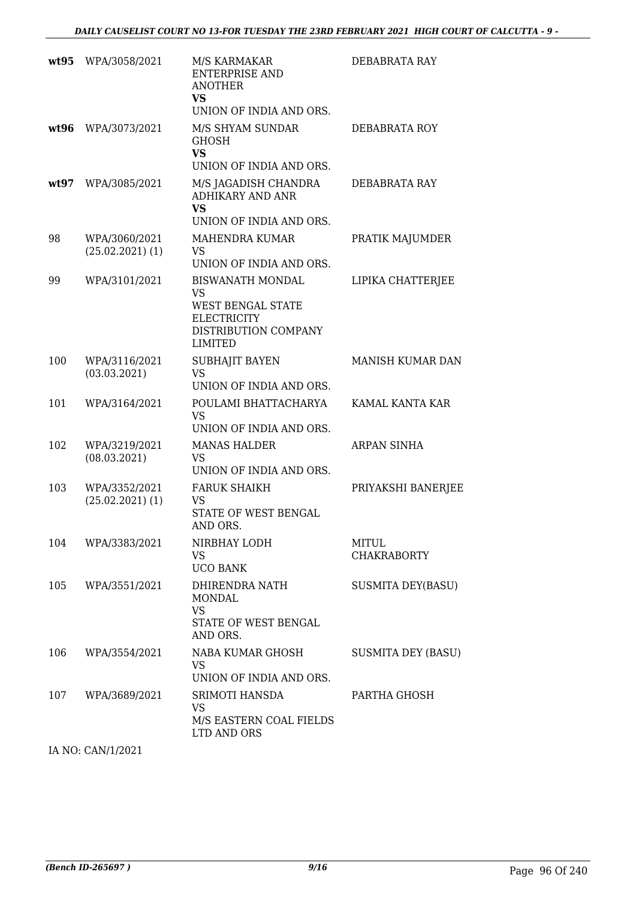|      | wt95 WPA/3058/2021                  | M/S KARMAKAR<br><b>ENTERPRISE AND</b><br><b>ANOTHER</b><br><b>VS</b><br>UNION OF INDIA AND ORS.                    | DEBABRATA RAY               |
|------|-------------------------------------|--------------------------------------------------------------------------------------------------------------------|-----------------------------|
| wt96 | WPA/3073/2021                       | M/S SHYAM SUNDAR<br><b>GHOSH</b><br><b>VS</b><br>UNION OF INDIA AND ORS.                                           | DEBABRATA ROY               |
| wt97 | WPA/3085/2021                       | M/S JAGADISH CHANDRA<br><b>ADHIKARY AND ANR</b><br><b>VS</b><br>UNION OF INDIA AND ORS.                            | DEBABRATA RAY               |
| 98   | WPA/3060/2021<br>$(25.02.2021)$ (1) | MAHENDRA KUMAR<br>VS<br>UNION OF INDIA AND ORS.                                                                    | PRATIK MAJUMDER             |
| 99   | WPA/3101/2021                       | <b>BISWANATH MONDAL</b><br><b>VS</b><br>WEST BENGAL STATE<br><b>ELECTRICITY</b><br>DISTRIBUTION COMPANY<br>LIMITED | LIPIKA CHATTERJEE           |
| 100  | WPA/3116/2021<br>(03.03.2021)       | <b>SUBHAJIT BAYEN</b><br><b>VS</b><br>UNION OF INDIA AND ORS.                                                      | <b>MANISH KUMAR DAN</b>     |
| 101  | WPA/3164/2021                       | POULAMI BHATTACHARYA<br><b>VS</b><br>UNION OF INDIA AND ORS.                                                       | KAMAL KANTA KAR             |
| 102  | WPA/3219/2021<br>(08.03.2021)       | <b>MANAS HALDER</b><br><b>VS</b><br>UNION OF INDIA AND ORS.                                                        | ARPAN SINHA                 |
| 103  | WPA/3352/2021<br>$(25.02.2021)$ (1) | <b>FARUK SHAIKH</b><br>VS<br>STATE OF WEST BENGAL<br>AND ORS.                                                      | PRIYAKSHI BANERJEE          |
| 104  | WPA/3383/2021                       | NIRBHAY LODH<br>VS<br><b>UCO BANK</b>                                                                              | MITUL<br><b>CHAKRABORTY</b> |
| 105  | WPA/3551/2021                       | DHIRENDRA NATH<br>MONDAL<br><b>VS</b><br>STATE OF WEST BENGAL<br>AND ORS.                                          | <b>SUSMITA DEY(BASU)</b>    |
| 106  | WPA/3554/2021                       | NABA KUMAR GHOSH<br><b>VS</b><br>UNION OF INDIA AND ORS.                                                           | <b>SUSMITA DEY (BASU)</b>   |
| 107  | WPA/3689/2021                       | SRIMOTI HANSDA<br>VS.<br>M/S EASTERN COAL FIELDS<br>LTD AND ORS                                                    | PARTHA GHOSH                |

IA NO: CAN/1/2021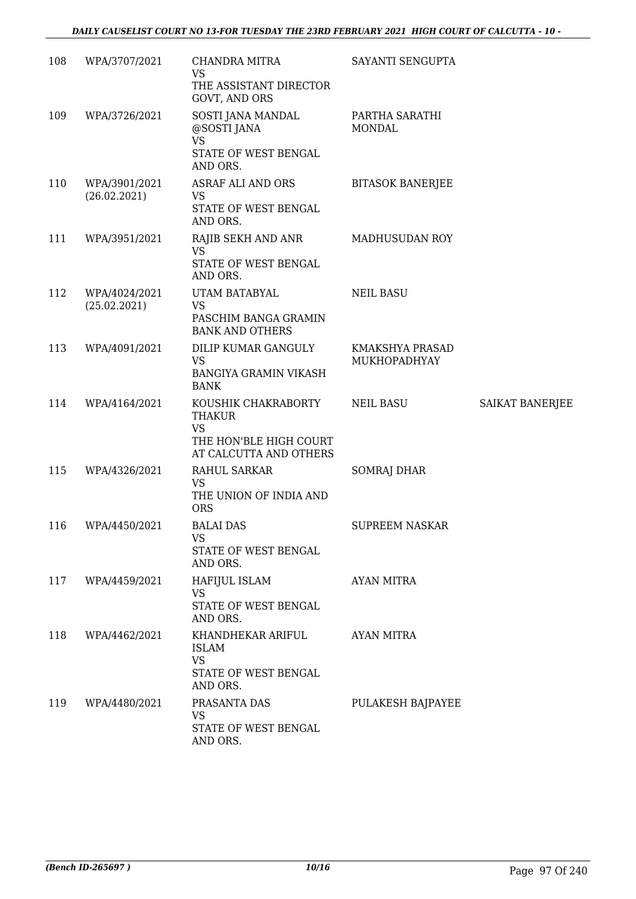# *DAILY CAUSELIST COURT NO 13-FOR TUESDAY THE 23RD FEBRUARY 2021 HIGH COURT OF CALCUTTA - 10 -*

| 108 | WPA/3707/2021                 | CHANDRA MITRA<br>VS<br>THE ASSISTANT DIRECTOR<br>GOVT, AND ORS                                        | SAYANTI SENGUPTA                |                 |
|-----|-------------------------------|-------------------------------------------------------------------------------------------------------|---------------------------------|-----------------|
| 109 | WPA/3726/2021                 | SOSTI JANA MANDAL<br>@SOSTI JANA<br><b>VS</b><br>STATE OF WEST BENGAL<br>AND ORS.                     | PARTHA SARATHI<br><b>MONDAL</b> |                 |
| 110 | WPA/3901/2021<br>(26.02.2021) | ASRAF ALI AND ORS<br><b>VS</b><br>STATE OF WEST BENGAL<br>AND ORS.                                    | <b>BITASOK BANERJEE</b>         |                 |
| 111 | WPA/3951/2021                 | RAJIB SEKH AND ANR<br><b>VS</b><br>STATE OF WEST BENGAL<br>AND ORS.                                   | MADHUSUDAN ROY                  |                 |
| 112 | WPA/4024/2021<br>(25.02.2021) | UTAM BATABYAL<br><b>VS</b><br>PASCHIM BANGA GRAMIN<br><b>BANK AND OTHERS</b>                          | <b>NEIL BASU</b>                |                 |
| 113 | WPA/4091/2021                 | DILIP KUMAR GANGULY<br>VS.<br><b>BANGIYA GRAMIN VIKASH</b><br><b>BANK</b>                             | KMAKSHYA PRASAD<br>MUKHOPADHYAY |                 |
| 114 | WPA/4164/2021                 | KOUSHIK CHAKRABORTY<br><b>THAKUR</b><br><b>VS</b><br>THE HON'BLE HIGH COURT<br>AT CALCUTTA AND OTHERS | <b>NEIL BASU</b>                | SAIKAT BANERJEE |
| 115 | WPA/4326/2021                 | RAHUL SARKAR<br>VS<br>THE UNION OF INDIA AND<br><b>ORS</b>                                            | <b>SOMRAJ DHAR</b>              |                 |
| 116 | WPA/4450/2021                 | <b>BALAI DAS</b><br><b>VS</b><br>STATE OF WEST BENGAL<br>AND ORS.                                     | <b>SUPREEM NASKAR</b>           |                 |
| 117 | WPA/4459/2021                 | HAFIJUL ISLAM<br><b>VS</b><br>STATE OF WEST BENGAL<br>AND ORS.                                        | <b>AYAN MITRA</b>               |                 |
| 118 | WPA/4462/2021                 | KHANDHEKAR ARIFUL<br><b>ISLAM</b><br><b>VS</b><br>STATE OF WEST BENGAL<br>AND ORS.                    | AYAN MITRA                      |                 |
| 119 | WPA/4480/2021                 | PRASANTA DAS<br><b>VS</b><br>STATE OF WEST BENGAL<br>AND ORS.                                         | PULAKESH BAJPAYEE               |                 |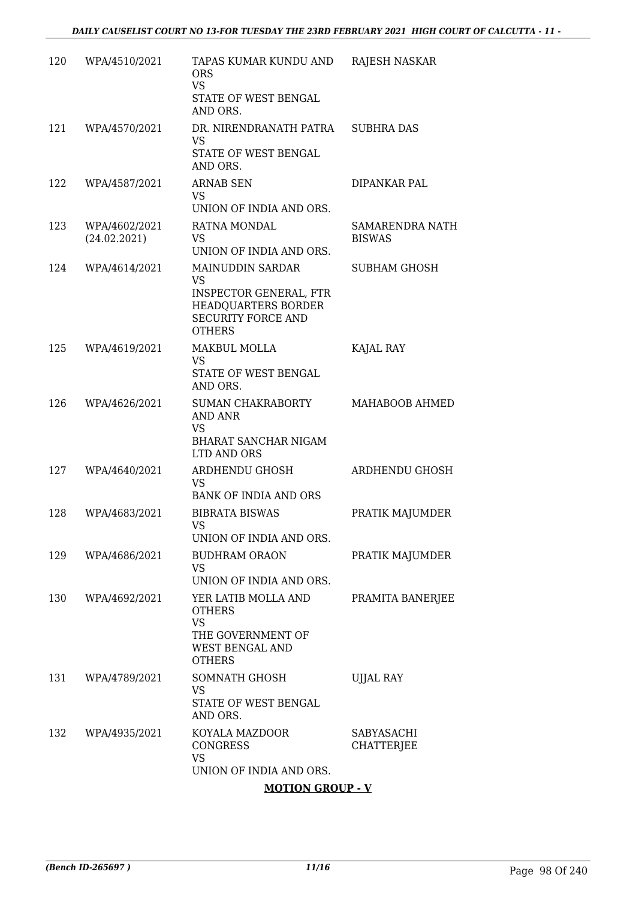| 120 | WPA/4510/2021                 | TAPAS KUMAR KUNDU AND<br><b>ORS</b><br><b>VS</b><br>STATE OF WEST BENGAL<br>AND ORS.                                                | RAJESH NASKAR                           |
|-----|-------------------------------|-------------------------------------------------------------------------------------------------------------------------------------|-----------------------------------------|
| 121 | WPA/4570/2021                 | DR. NIRENDRANATH PATRA<br>VS<br>STATE OF WEST BENGAL                                                                                | <b>SUBHRA DAS</b>                       |
|     |                               | AND ORS.                                                                                                                            |                                         |
| 122 | WPA/4587/2021                 | <b>ARNAB SEN</b><br>VS.<br>UNION OF INDIA AND ORS.                                                                                  | DIPANKAR PAL                            |
| 123 | WPA/4602/2021<br>(24.02.2021) | RATNA MONDAL<br><b>VS</b><br>UNION OF INDIA AND ORS.                                                                                | <b>SAMARENDRA NATH</b><br><b>BISWAS</b> |
| 124 | WPA/4614/2021                 | <b>MAINUDDIN SARDAR</b><br><b>VS</b><br>INSPECTOR GENERAL, FTR<br>HEADQUARTERS BORDER<br><b>SECURITY FORCE AND</b><br><b>OTHERS</b> | <b>SUBHAM GHOSH</b>                     |
| 125 | WPA/4619/2021                 | <b>MAKBUL MOLLA</b><br><b>VS</b><br>STATE OF WEST BENGAL<br>AND ORS.                                                                | KAJAL RAY                               |
| 126 | WPA/4626/2021                 | <b>SUMAN CHAKRABORTY</b><br><b>AND ANR</b><br><b>VS</b><br>BHARAT SANCHAR NIGAM<br>LTD AND ORS                                      | MAHABOOB AHMED                          |
| 127 | WPA/4640/2021                 | ARDHENDU GHOSH<br><b>VS</b><br><b>BANK OF INDIA AND ORS</b>                                                                         | ARDHENDU GHOSH                          |
| 128 | WPA/4683/2021                 | <b>BIBRATA BISWAS</b><br><b>VS</b><br>UNION OF INDIA AND ORS.                                                                       | PRATIK MAJUMDER                         |
| 129 | WPA/4686/2021                 | <b>BUDHRAM ORAON</b><br><b>VS</b><br>UNION OF INDIA AND ORS.                                                                        | PRATIK MAJUMDER                         |
| 130 | WPA/4692/2021                 | YER LATIB MOLLA AND<br><b>OTHERS</b><br><b>VS</b><br>THE GOVERNMENT OF<br>WEST BENGAL AND<br><b>OTHERS</b>                          | PRAMITA BANERJEE                        |
| 131 | WPA/4789/2021                 | SOMNATH GHOSH<br><b>VS</b><br>STATE OF WEST BENGAL<br>AND ORS.                                                                      | <b>UJJAL RAY</b>                        |
| 132 | WPA/4935/2021                 | KOYALA MAZDOOR<br><b>CONGRESS</b><br><b>VS</b><br>UNION OF INDIA AND ORS.                                                           | SABYASACHI<br>CHATTERJEE                |

### **MOTION GROUP - V**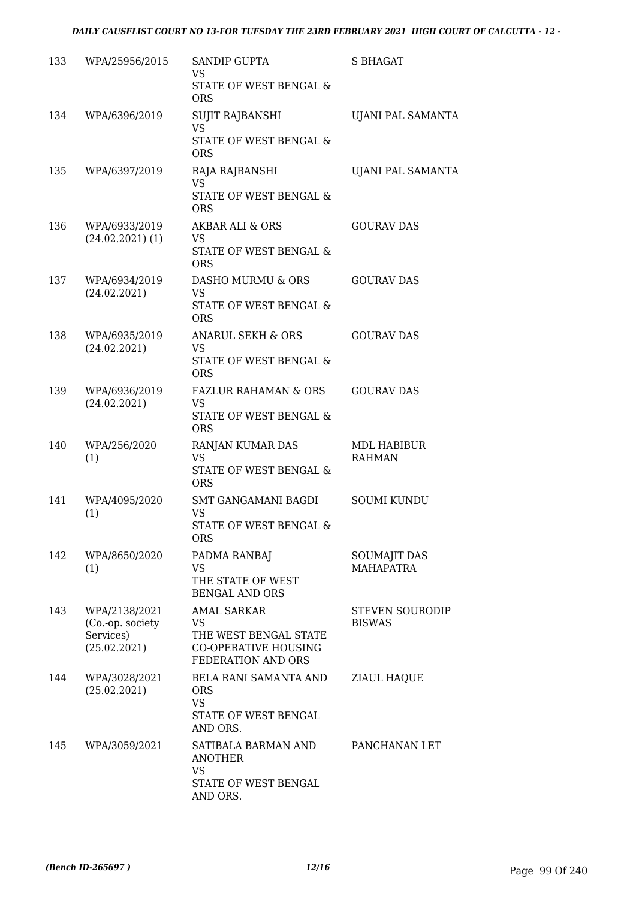| 133 | WPA/25956/2015                                                 | <b>SANDIP GUPTA</b><br>VS<br>STATE OF WEST BENGAL &<br><b>ORS</b>                                       | S BHAGAT                                |
|-----|----------------------------------------------------------------|---------------------------------------------------------------------------------------------------------|-----------------------------------------|
| 134 | WPA/6396/2019                                                  | <b>SUJIT RAJBANSHI</b><br><b>VS</b><br>STATE OF WEST BENGAL &<br><b>ORS</b>                             | UJANI PAL SAMANTA                       |
| 135 | WPA/6397/2019                                                  | RAJA RAJBANSHI<br><b>VS</b><br>STATE OF WEST BENGAL &<br><b>ORS</b>                                     | UJANI PAL SAMANTA                       |
| 136 | WPA/6933/2019<br>$(24.02.2021)$ (1)                            | AKBAR ALI & ORS<br><b>VS</b><br>STATE OF WEST BENGAL &<br><b>ORS</b>                                    | <b>GOURAV DAS</b>                       |
| 137 | WPA/6934/2019<br>(24.02.2021)                                  | DASHO MURMU & ORS<br>VS<br>STATE OF WEST BENGAL &<br><b>ORS</b>                                         | <b>GOURAV DAS</b>                       |
| 138 | WPA/6935/2019<br>(24.02.2021)                                  | ANARUL SEKH & ORS<br><b>VS</b><br>STATE OF WEST BENGAL &<br><b>ORS</b>                                  | <b>GOURAV DAS</b>                       |
| 139 | WPA/6936/2019<br>(24.02.2021)                                  | <b>FAZLUR RAHAMAN &amp; ORS</b><br><b>VS</b><br>STATE OF WEST BENGAL &<br><b>ORS</b>                    | <b>GOURAV DAS</b>                       |
| 140 | WPA/256/2020<br>(1)                                            | RANJAN KUMAR DAS<br><b>VS</b><br>STATE OF WEST BENGAL &<br><b>ORS</b>                                   | MDL HABIBUR<br><b>RAHMAN</b>            |
| 141 | WPA/4095/2020<br>(1)                                           | <b>SMT GANGAMANI BAGDI</b><br><b>VS</b><br>STATE OF WEST BENGAL &<br><b>ORS</b>                         | <b>SOUMI KUNDU</b>                      |
| 142 | WPA/8650/2020<br>(1)                                           | PADMA RANBAJ<br><b>VS</b><br>THE STATE OF WEST<br><b>BENGAL AND ORS</b>                                 | <b>SOUMAJIT DAS</b><br><b>MAHAPATRA</b> |
| 143 | WPA/2138/2021<br>(Co.-op. society<br>Services)<br>(25.02.2021) | <b>AMAL SARKAR</b><br>VS.<br>THE WEST BENGAL STATE<br><b>CO-OPERATIVE HOUSING</b><br>FEDERATION AND ORS | <b>STEVEN SOURODIP</b><br><b>BISWAS</b> |
| 144 | WPA/3028/2021<br>(25.02.2021)                                  | BELA RANI SAMANTA AND<br><b>ORS</b><br><b>VS</b><br>STATE OF WEST BENGAL<br>AND ORS.                    | ZIAUL HAQUE                             |
| 145 | WPA/3059/2021                                                  | SATIBALA BARMAN AND<br><b>ANOTHER</b><br><b>VS</b><br>STATE OF WEST BENGAL<br>AND ORS.                  | PANCHANAN LET                           |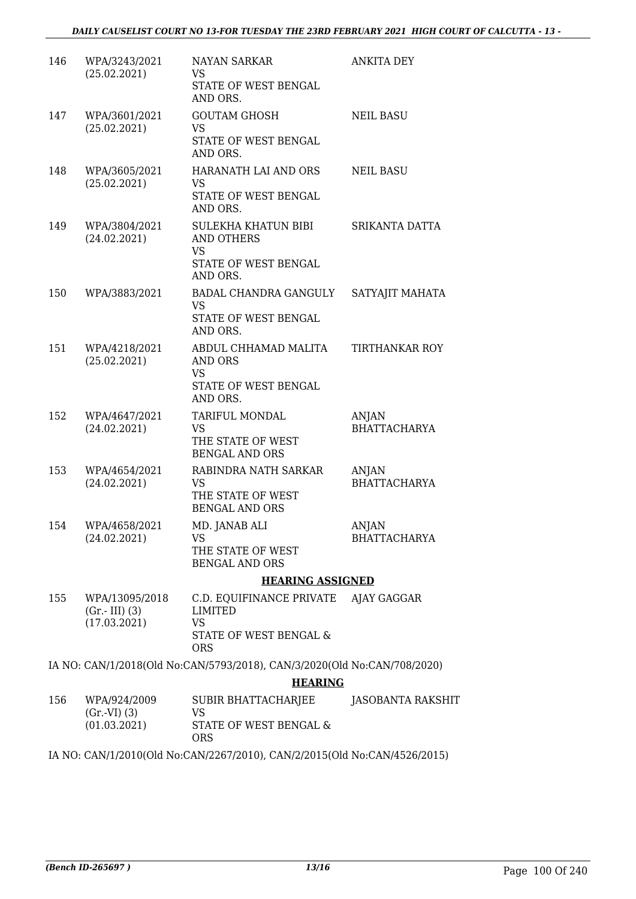| 146 | WPA/3243/2021<br>(25.02.2021)                     | <b>NAYAN SARKAR</b><br>VS                                                | <b>ANKITA DEY</b>            |
|-----|---------------------------------------------------|--------------------------------------------------------------------------|------------------------------|
|     |                                                   | STATE OF WEST BENGAL<br>AND ORS.                                         |                              |
| 147 | WPA/3601/2021<br>(25.02.2021)                     | <b>GOUTAM GHOSH</b><br><b>VS</b>                                         | <b>NEIL BASU</b>             |
|     |                                                   | STATE OF WEST BENGAL<br>AND ORS.                                         |                              |
| 148 | WPA/3605/2021<br>(25.02.2021)                     | HARANATH LAI AND ORS<br>VS                                               | <b>NEIL BASU</b>             |
|     |                                                   | STATE OF WEST BENGAL<br>AND ORS.                                         |                              |
| 149 | WPA/3804/2021<br>(24.02.2021)                     | SULEKHA KHATUN BIBI<br><b>AND OTHERS</b>                                 | SRIKANTA DATTA               |
|     |                                                   | <b>VS</b><br>STATE OF WEST BENGAL<br>AND ORS.                            |                              |
| 150 | WPA/3883/2021                                     | BADAL CHANDRA GANGULY<br><b>VS</b>                                       | SATYAJIT MAHATA              |
|     |                                                   | STATE OF WEST BENGAL<br>AND ORS.                                         |                              |
| 151 | WPA/4218/2021<br>(25.02.2021)                     | ABDUL CHHAMAD MALITA<br>AND ORS                                          | <b>TIRTHANKAR ROY</b>        |
|     |                                                   | <b>VS</b><br>STATE OF WEST BENGAL<br>AND ORS.                            |                              |
| 152 | WPA/4647/2021                                     | TARIFUL MONDAL                                                           | ANJAN                        |
|     | (24.02.2021)                                      | <b>VS</b><br>THE STATE OF WEST<br><b>BENGAL AND ORS</b>                  | <b>BHATTACHARYA</b>          |
| 153 | WPA/4654/2021                                     | RABINDRA NATH SARKAR<br><b>VS</b>                                        | <b>ANJAN</b>                 |
|     | (24.02.2021)                                      | THE STATE OF WEST<br><b>BENGAL AND ORS</b>                               | <b>BHATTACHARYA</b>          |
| 154 | WPA/4658/2021<br>(24.02.2021)                     | MD. JANAB ALI<br>VS                                                      | ANJAN<br><b>BHATTACHARYA</b> |
|     |                                                   | THE STATE OF WEST<br><b>BENGAL AND ORS</b>                               |                              |
|     |                                                   | <b>HEARING ASSIGNED</b>                                                  |                              |
| 155 | WPA/13095/2018<br>$(Gr.-III)$ (3)<br>(17.03.2021) | C.D. EQUIFINANCE PRIVATE<br><b>LIMITED</b><br><b>VS</b>                  | AJAY GAGGAR                  |
|     |                                                   | STATE OF WEST BENGAL &<br><b>ORS</b>                                     |                              |
|     |                                                   | IA NO: CAN/1/2018(Old No:CAN/5793/2018), CAN/3/2020(Old No:CAN/708/2020) |                              |
|     |                                                   | <b>HEARING</b>                                                           |                              |
| 156 | WPA/924/2009<br>(Gr.VI) (3)                       | SUBIR BHATTACHARJEE<br><b>VS</b>                                         | JASOBANTA RAKSHIT            |
|     | (01.03.2021)                                      | STATE OF WEST BENGAL &<br><b>ORS</b>                                     |                              |

IA NO: CAN/1/2010(Old No:CAN/2267/2010), CAN/2/2015(Old No:CAN/4526/2015)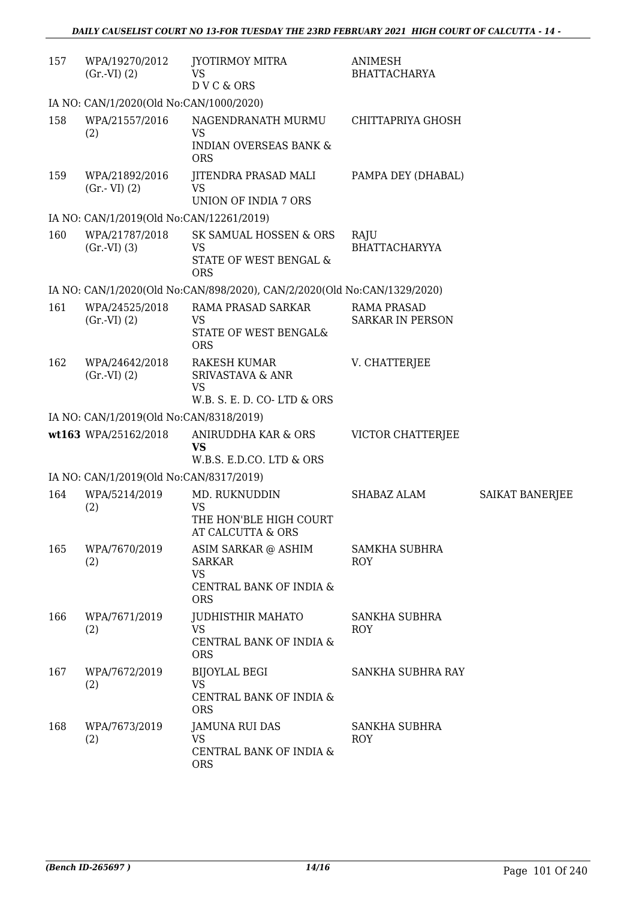| 157 | WPA/19270/2012<br>(Gr.VI) (2)            | JYOTIRMOY MITRA<br>VS<br>DVC&ORS                                                           | ANIMESH<br><b>BHATTACHARYA</b>                |                        |
|-----|------------------------------------------|--------------------------------------------------------------------------------------------|-----------------------------------------------|------------------------|
|     | IA NO: CAN/1/2020(Old No:CAN/1000/2020)  |                                                                                            |                                               |                        |
| 158 | WPA/21557/2016<br>(2)                    | NAGENDRANATH MURMU<br>VS<br><b>INDIAN OVERSEAS BANK &amp;</b><br><b>ORS</b>                | CHITTAPRIYA GHOSH                             |                        |
| 159 | WPA/21892/2016<br>$(Gr.-VI)$ $(2)$       | JITENDRA PRASAD MALI<br><b>VS</b><br><b>UNION OF INDIA 7 ORS</b>                           | PAMPA DEY (DHABAL)                            |                        |
|     | IA NO: CAN/1/2019(Old No:CAN/12261/2019) |                                                                                            |                                               |                        |
| 160 | WPA/21787/2018<br>(Gr.VI) (3)            | SK SAMUAL HOSSEN & ORS<br><b>VS</b><br>STATE OF WEST BENGAL &<br><b>ORS</b>                | RAJU<br><b>BHATTACHARYYA</b>                  |                        |
|     |                                          | IA NO: CAN/1/2020(Old No:CAN/898/2020), CAN/2/2020(Old No:CAN/1329/2020)                   |                                               |                        |
| 161 | WPA/24525/2018<br>(Gr.VI) (2)            | <b>RAMA PRASAD SARKAR</b><br><b>VS</b><br>STATE OF WEST BENGAL&<br><b>ORS</b>              | <b>RAMA PRASAD</b><br><b>SARKAR IN PERSON</b> |                        |
| 162 | WPA/24642/2018<br>(Gr.VI) (2)            | <b>RAKESH KUMAR</b><br>SRIVASTAVA & ANR<br><b>VS</b><br>W.B. S. E. D. CO-LTD & ORS         | V. CHATTERJEE                                 |                        |
|     | IA NO: CAN/1/2019(Old No:CAN/8318/2019)  |                                                                                            |                                               |                        |
|     | wt163 WPA/25162/2018                     | ANIRUDDHA KAR & ORS<br><b>VS</b><br>W.B.S. E.D.CO. LTD & ORS                               | VICTOR CHATTERJEE                             |                        |
|     | IA NO: CAN/1/2019(Old No:CAN/8317/2019)  |                                                                                            |                                               |                        |
| 164 | WPA/5214/2019<br>(2)                     | MD. RUKNUDDIN<br><b>VS</b><br>THE HON'BLE HIGH COURT<br>AT CALCUTTA & ORS                  | SHABAZ ALAM                                   | <b>SAIKAT BANERJEE</b> |
| 165 | WPA/7670/2019<br>(2)                     | ASIM SARKAR @ ASHIM<br><b>SARKAR</b><br><b>VS</b><br>CENTRAL BANK OF INDIA &<br><b>ORS</b> | <b>SAMKHA SUBHRA</b><br><b>ROY</b>            |                        |
| 166 | WPA/7671/2019<br>(2)                     | <b>JUDHISTHIR MAHATO</b><br><b>VS</b><br>CENTRAL BANK OF INDIA &<br><b>ORS</b>             | SANKHA SUBHRA<br><b>ROY</b>                   |                        |
| 167 | WPA/7672/2019<br>(2)                     | <b>BIJOYLAL BEGI</b><br><b>VS</b><br>CENTRAL BANK OF INDIA &<br><b>ORS</b>                 | SANKHA SUBHRA RAY                             |                        |
| 168 | WPA/7673/2019<br>(2)                     | <b>JAMUNA RUI DAS</b><br><b>VS</b><br>CENTRAL BANK OF INDIA &<br><b>ORS</b>                | <b>SANKHA SUBHRA</b><br>ROY                   |                        |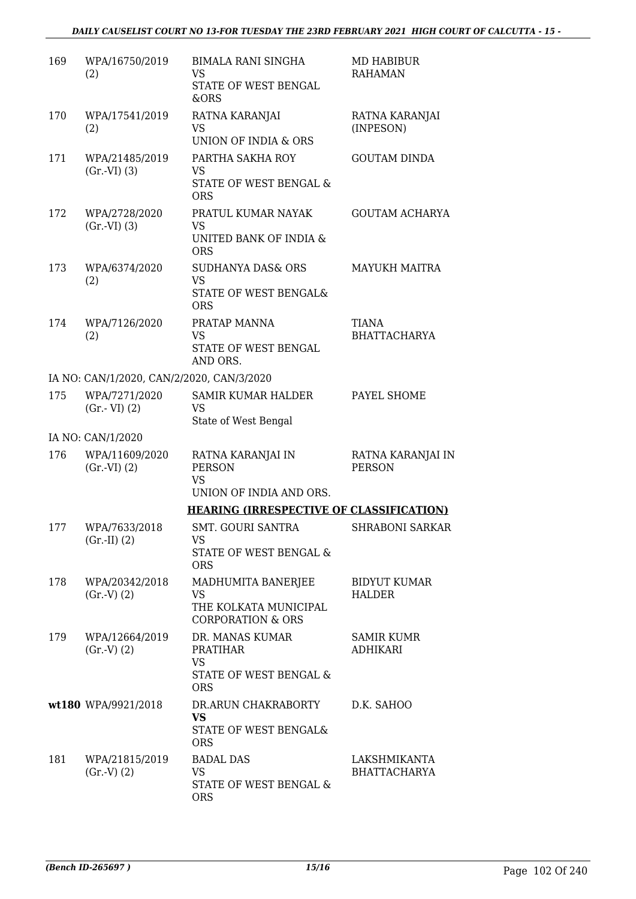| 169 | WPA/16750/2019<br>(2)                     | <b>BIMALA RANI SINGHA</b><br>VS<br>STATE OF WEST BENGAL<br>&ORS                             | MD HABIBUR<br><b>RAHAMAN</b>         |
|-----|-------------------------------------------|---------------------------------------------------------------------------------------------|--------------------------------------|
| 170 | WPA/17541/2019<br>(2)                     | RATNA KARANJAI<br><b>VS</b><br><b>UNION OF INDIA &amp; ORS</b>                              | RATNA KARANJAI<br>(INPESON)          |
| 171 | WPA/21485/2019<br>(Gr.VI) (3)             | PARTHA SAKHA ROY<br><b>VS</b><br>STATE OF WEST BENGAL &<br><b>ORS</b>                       | <b>GOUTAM DINDA</b>                  |
| 172 | WPA/2728/2020<br>(Gr.VI) (3)              | PRATUL KUMAR NAYAK<br><b>VS</b><br>UNITED BANK OF INDIA &<br><b>ORS</b>                     | <b>GOUTAM ACHARYA</b>                |
| 173 | WPA/6374/2020<br>(2)                      | <b>SUDHANYA DAS&amp; ORS</b><br><b>VS</b><br><b>STATE OF WEST BENGAL&amp;</b><br><b>ORS</b> | <b>MAYUKH MAITRA</b>                 |
| 174 | WPA/7126/2020<br>(2)                      | PRATAP MANNA<br><b>VS</b><br>STATE OF WEST BENGAL<br>AND ORS.                               | <b>TIANA</b><br><b>BHATTACHARYA</b>  |
|     | IA NO: CAN/1/2020, CAN/2/2020, CAN/3/2020 |                                                                                             |                                      |
| 175 | WPA/7271/2020<br>$(Gr.-VI)$ $(2)$         | <b>SAMIR KUMAR HALDER</b><br><b>VS</b><br>State of West Bengal                              | PAYEL SHOME                          |
|     | IA NO: CAN/1/2020                         |                                                                                             |                                      |
| 176 | WPA/11609/2020<br>(Gr.VI) (2)             | RATNA KARANJAI IN<br><b>PERSON</b><br><b>VS</b><br>UNION OF INDIA AND ORS.                  | RATNA KARANJAI IN<br><b>PERSON</b>   |
|     |                                           | <b>HEARING (IRRESPECTIVE OF CLASSIFICATION)</b>                                             |                                      |
| 177 | WPA/7633/2018<br>(Gr.II) (2)              | SMT. GOURI SANTRA<br>VS<br>STATE OF WEST BENGAL &<br><b>ORS</b>                             | SHRABONI SARKAR                      |
| 178 | WPA/20342/2018<br>(Gr.V) (2)              | MADHUMITA BANERJEE<br><b>VS</b><br>THE KOLKATA MUNICIPAL<br><b>CORPORATION &amp; ORS</b>    | <b>BIDYUT KUMAR</b><br><b>HALDER</b> |
| 179 | WPA/12664/2019<br>(Gr.V) (2)              | DR. MANAS KUMAR<br>PRATIHAR<br><b>VS</b><br>STATE OF WEST BENGAL &<br><b>ORS</b>            | <b>SAMIR KUMR</b><br><b>ADHIKARI</b> |
|     | wt180 WPA/9921/2018                       | DR.ARUN CHAKRABORTY<br><b>VS</b><br>STATE OF WEST BENGAL&<br><b>ORS</b>                     | D.K. SAHOO                           |
| 181 | WPA/21815/2019<br>(Gr.V) (2)              | <b>BADAL DAS</b><br>VS<br>STATE OF WEST BENGAL &<br><b>ORS</b>                              | LAKSHMIKANTA<br><b>BHATTACHARYA</b>  |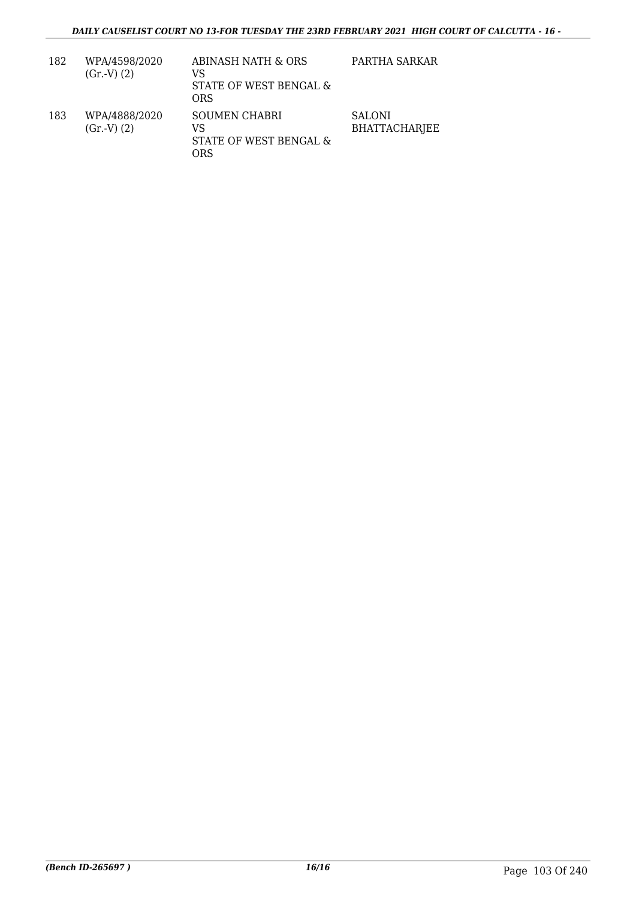| 182 | WPA/4598/2020<br>(Gr.V) (2) | ABINASH NATH & ORS<br>VS<br>STATE OF WEST BENGAL &<br>ORS   | PARTHA SARKAR                         |
|-----|-----------------------------|-------------------------------------------------------------|---------------------------------------|
| 183 | WPA/4888/2020<br>(Gr.V) (2) | <b>SOUMEN CHABRI</b><br>VS<br>STATE OF WEST BENGAL &<br>ORS | <b>SALONI</b><br><b>BHATTACHARJEE</b> |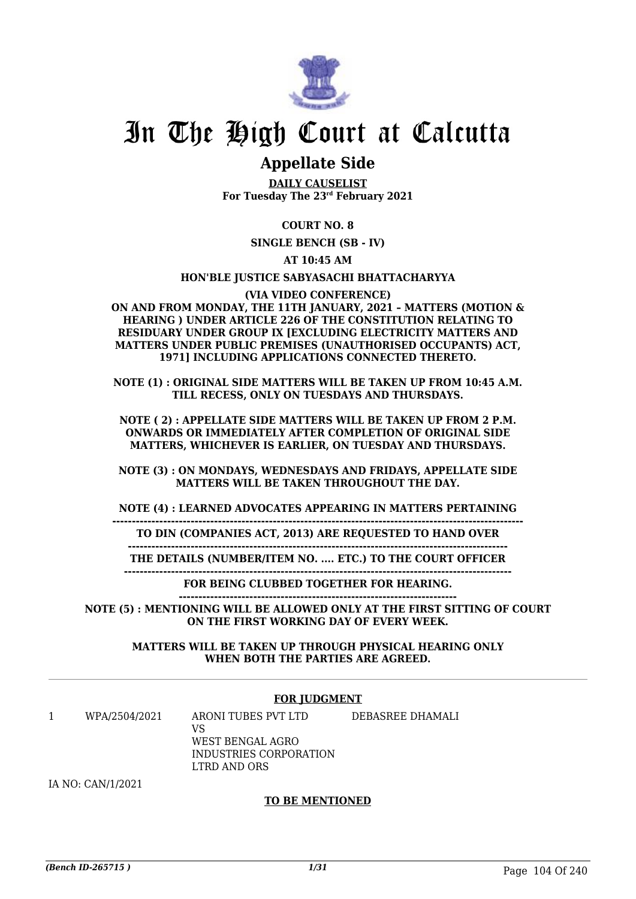

# **Appellate Side**

**DAILY CAUSELIST For Tuesday The 23rd February 2021**

## **COURT NO. 8**

**SINGLE BENCH (SB - IV)**

**AT 10:45 AM**

#### **HON'BLE JUSTICE SABYASACHI BHATTACHARYYA**

#### **(VIA VIDEO CONFERENCE)**

**ON AND FROM MONDAY, THE 11TH JANUARY, 2021 – MATTERS (MOTION & HEARING ) UNDER ARTICLE 226 OF THE CONSTITUTION RELATING TO RESIDUARY UNDER GROUP IX [EXCLUDING ELECTRICITY MATTERS AND MATTERS UNDER PUBLIC PREMISES (UNAUTHORISED OCCUPANTS) ACT, 1971] INCLUDING APPLICATIONS CONNECTED THERETO.**

**NOTE (1) : ORIGINAL SIDE MATTERS WILL BE TAKEN UP FROM 10:45 A.M. TILL RECESS, ONLY ON TUESDAYS AND THURSDAYS.**

**NOTE ( 2) : APPELLATE SIDE MATTERS WILL BE TAKEN UP FROM 2 P.M. ONWARDS OR IMMEDIATELY AFTER COMPLETION OF ORIGINAL SIDE MATTERS, WHICHEVER IS EARLIER, ON TUESDAY AND THURSDAYS.**

**NOTE (3) : ON MONDAYS, WEDNESDAYS AND FRIDAYS, APPELLATE SIDE MATTERS WILL BE TAKEN THROUGHOUT THE DAY.**

**NOTE (4) : LEARNED ADVOCATES APPEARING IN MATTERS PERTAINING**

**---------------------------------------------------------------------------------------------------------**

**TO DIN (COMPANIES ACT, 2013) ARE REQUESTED TO HAND OVER**

**------------------------------------------------------------------------------------------------- THE DETAILS (NUMBER/ITEM NO. .... ETC.) TO THE COURT OFFICER**

**---------------------------------------------------------------------------------------------------**

**FOR BEING CLUBBED TOGETHER FOR HEARING. -----------------------------------------------------------------------**

**NOTE (5) : MENTIONING WILL BE ALLOWED ONLY AT THE FIRST SITTING OF COURT ON THE FIRST WORKING DAY OF EVERY WEEK.**

> **MATTERS WILL BE TAKEN UP THROUGH PHYSICAL HEARING ONLY WHEN BOTH THE PARTIES ARE AGREED.**

### **FOR JUDGMENT**

| WPA/2504/2021 | ARONI TUBES PVT LTD    | DEBASREE DHAMALI |
|---------------|------------------------|------------------|
|               | VS                     |                  |
|               | WEST BENGAL AGRO       |                  |
|               | INDUSTRIES CORPORATION |                  |
|               | LTRD AND ORS           |                  |

IA NO: CAN/1/2021

### **TO BE MENTIONED**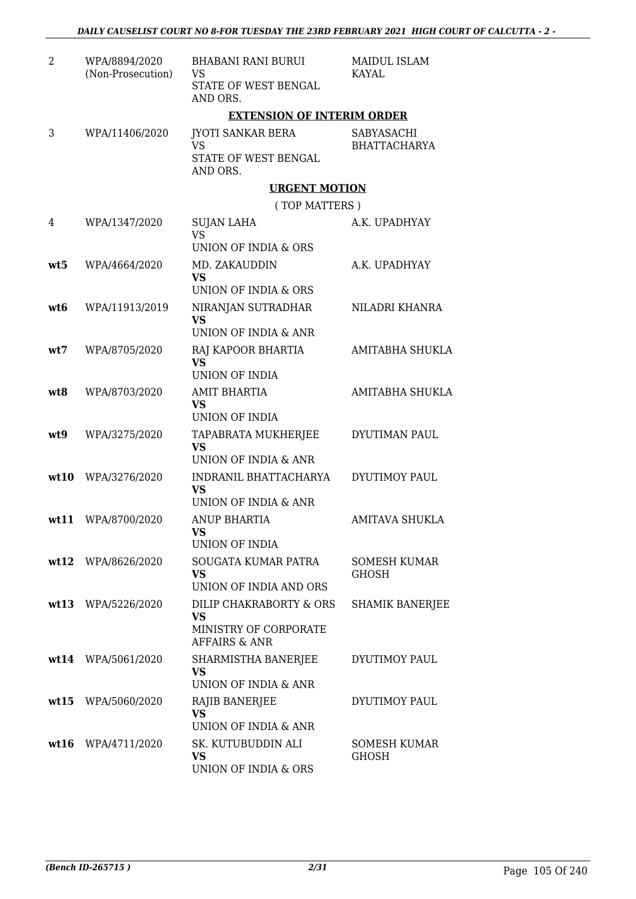| $\overline{2}$ | WPA/8894/2020<br>(Non-Prosecution) | <b>BHABANI RANI BURUI</b><br>VS<br>STATE OF WEST BENGAL<br>AND ORS.                       | <b>MAIDUL ISLAM</b><br><b>KAYAL</b> |
|----------------|------------------------------------|-------------------------------------------------------------------------------------------|-------------------------------------|
|                |                                    | <b>EXTENSION OF INTERIM ORDER</b>                                                         |                                     |
| 3              | WPA/11406/2020                     | <b>JYOTI SANKAR BERA</b><br><b>VS</b><br>STATE OF WEST BENGAL<br>AND ORS.                 | SABYASACHI<br><b>BHATTACHARYA</b>   |
|                |                                    | <b>URGENT MOTION</b>                                                                      |                                     |
|                |                                    | (TOP MATTERS)                                                                             |                                     |
| 4              | WPA/1347/2020                      | <b>SUJAN LAHA</b><br><b>VS</b><br>UNION OF INDIA & ORS                                    | A.K. UPADHYAY                       |
| wt5            | WPA/4664/2020                      | MD. ZAKAUDDIN<br><b>VS</b>                                                                | A.K. UPADHYAY                       |
|                |                                    | <b>UNION OF INDIA &amp; ORS</b>                                                           |                                     |
| wt6            | WPA/11913/2019                     | NIRANJAN SUTRADHAR<br><b>VS</b>                                                           | NILADRI KHANRA                      |
|                |                                    | UNION OF INDIA & ANR                                                                      |                                     |
| wt7            | WPA/8705/2020                      | RAJ KAPOOR BHARTIA<br><b>VS</b><br><b>UNION OF INDIA</b>                                  | AMITABHA SHUKLA                     |
|                |                                    |                                                                                           |                                     |
| wt8            | WPA/8703/2020                      | <b>AMIT BHARTIA</b><br><b>VS</b><br><b>UNION OF INDIA</b>                                 | AMITABHA SHUKLA                     |
| wt9            | WPA/3275/2020                      | TAPABRATA MUKHERJEE<br><b>VS</b><br>UNION OF INDIA & ANR                                  | DYUTIMAN PAUL                       |
| wt10           | WPA/3276/2020                      | INDRANIL BHATTACHARYA<br><b>VS</b><br>UNION OF INDIA & ANR                                | <b>DYUTIMOY PAUL</b>                |
| wt11           | WPA/8700/2020                      | <b>ANUP BHARTIA</b><br>VS —                                                               | <b>AMITAVA SHUKLA</b>               |
|                |                                    | UNION OF INDIA                                                                            |                                     |
|                | wt12 WPA/8626/2020                 | SOUGATA KUMAR PATRA<br><b>VS</b><br>UNION OF INDIA AND ORS                                | <b>SOMESH KUMAR</b><br><b>GHOSH</b> |
|                | wt13 WPA/5226/2020                 | DILIP CHAKRABORTY & ORS<br><b>VS</b><br>MINISTRY OF CORPORATE<br><b>AFFAIRS &amp; ANR</b> | <b>SHAMIK BANERJEE</b>              |
|                | wt14 WPA/5061/2020                 | SHARMISTHA BANERJEE<br><b>VS</b><br>UNION OF INDIA & ANR                                  | DYUTIMOY PAUL                       |
| wt15           | WPA/5060/2020                      | RAJIB BANERJEE<br><b>VS</b>                                                               | DYUTIMOY PAUL                       |
|                | wt16 WPA/4711/2020                 | UNION OF INDIA & ANR<br>SK. KUTUBUDDIN ALI<br><b>VS</b><br>UNION OF INDIA & ORS           | <b>SOMESH KUMAR</b><br><b>GHOSH</b> |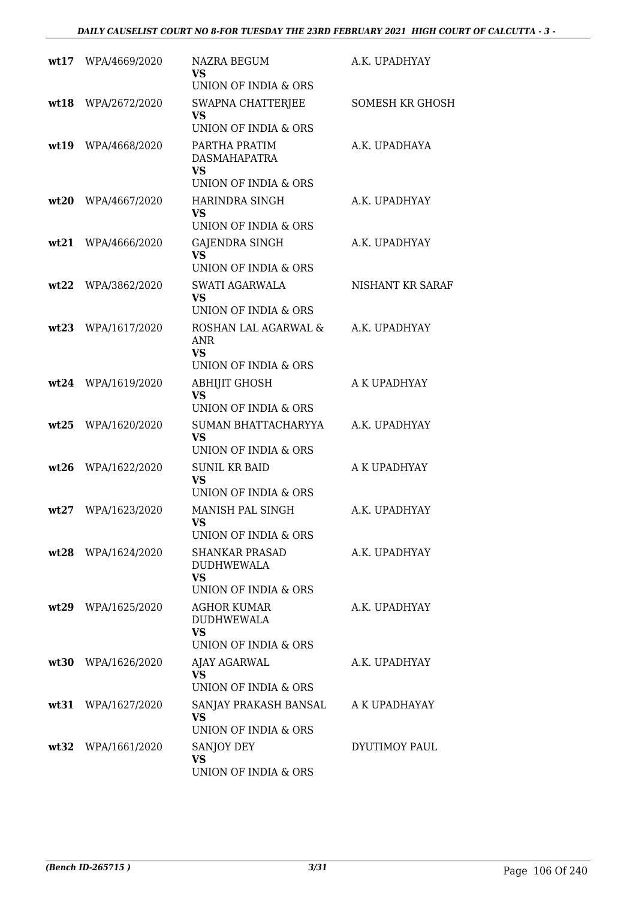| wt17 | WPA/4669/2020      | <b>NAZRA BEGUM</b><br>VS                                                        | A.K. UPADHYAY          |
|------|--------------------|---------------------------------------------------------------------------------|------------------------|
|      |                    | UNION OF INDIA & ORS                                                            |                        |
| wt18 | WPA/2672/2020      | SWAPNA CHATTERJEE<br><b>VS</b><br>UNION OF INDIA & ORS                          | <b>SOMESH KR GHOSH</b> |
| wt19 | WPA/4668/2020      | PARTHA PRATIM<br><b>DASMAHAPATRA</b><br><b>VS</b><br>UNION OF INDIA & ORS       | A.K. UPADHAYA          |
| wt20 | WPA/4667/2020      | <b>HARINDRA SINGH</b><br>VS.<br>UNION OF INDIA & ORS                            | A.K. UPADHYAY          |
| wt21 | WPA/4666/2020      | GAJENDRA SINGH<br><b>VS</b><br>UNION OF INDIA & ORS                             | A.K. UPADHYAY          |
| wt22 | WPA/3862/2020      | SWATI AGARWALA<br><b>VS</b><br>UNION OF INDIA & ORS                             | NISHANT KR SARAF       |
| wt23 | WPA/1617/2020      | ROSHAN LAL AGARWAL &<br><b>ANR</b><br><b>VS</b><br>UNION OF INDIA & ORS         | A.K. UPADHYAY          |
| wt24 | WPA/1619/2020      | <b>ABHIJIT GHOSH</b><br><b>VS</b><br>UNION OF INDIA & ORS                       | A K UPADHYAY           |
| wt25 | WPA/1620/2020      | SUMAN BHATTACHARYYA<br><b>VS</b><br><b>UNION OF INDIA &amp; ORS</b>             | A.K. UPADHYAY          |
| wt26 | WPA/1622/2020      | <b>SUNIL KR BAID</b><br>VS<br>UNION OF INDIA & ORS                              | A K UPADHYAY           |
| wt27 | WPA/1623/2020      | MANISH PAL SINGH<br>VS<br>UNION OF INDIA & ORS                                  | A.K. UPADHYAY          |
|      | wt28 WPA/1624/2020 | <b>SHANKAR PRASAD</b><br><b>DUDHWEWALA</b><br><b>VS</b><br>UNION OF INDIA & ORS | A.K. UPADHYAY          |
|      | wt29 WPA/1625/2020 | <b>AGHOR KUMAR</b><br><b>DUDHWEWALA</b><br><b>VS</b><br>UNION OF INDIA & ORS    | A.K. UPADHYAY          |
| wt30 | WPA/1626/2020      | AJAY AGARWAL<br><b>VS</b><br><b>UNION OF INDIA &amp; ORS</b>                    | A.K. UPADHYAY          |
|      | wt31 WPA/1627/2020 | SANJAY PRAKASH BANSAL<br>VS.<br>UNION OF INDIA & ORS                            | A K UPADHAYAY          |
|      | wt32 WPA/1661/2020 | SANJOY DEY<br><b>VS</b><br>UNION OF INDIA & ORS                                 | DYUTIMOY PAUL          |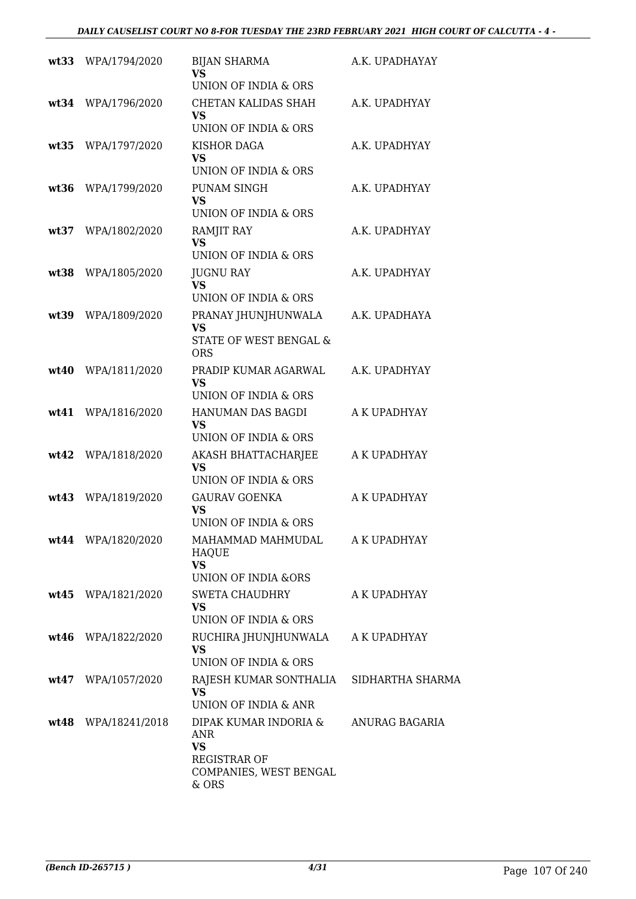|      | wt33 WPA/1794/2020  | <b>BIJAN SHARMA</b><br>VS.<br>UNION OF INDIA & ORS                                                  | A.K. UPADHAYAY |
|------|---------------------|-----------------------------------------------------------------------------------------------------|----------------|
| wt34 | WPA/1796/2020       | CHETAN KALIDAS SHAH<br><b>VS</b><br>UNION OF INDIA & ORS                                            | A.K. UPADHYAY  |
|      | wt35 WPA/1797/2020  | KISHOR DAGA<br>VS<br>UNION OF INDIA & ORS                                                           | A.K. UPADHYAY  |
| wt36 | WPA/1799/2020       | PUNAM SINGH<br>VS.<br>UNION OF INDIA & ORS                                                          | A.K. UPADHYAY  |
| wt37 | WPA/1802/2020       | RAMJIT RAY<br><b>VS</b><br>UNION OF INDIA & ORS                                                     | A.K. UPADHYAY  |
| wt38 | WPA/1805/2020       | <b>JUGNU RAY</b><br><b>VS</b><br>UNION OF INDIA & ORS                                               | A.K. UPADHYAY  |
|      | wt39 WPA/1809/2020  | PRANAY JHUNJHUNWALA<br><b>VS</b><br>STATE OF WEST BENGAL &<br><b>ORS</b>                            | A.K. UPADHAYA  |
| wt40 | WPA/1811/2020       | PRADIP KUMAR AGARWAL<br>VS<br>UNION OF INDIA & ORS                                                  | A.K. UPADHYAY  |
|      | wt41 WPA/1816/2020  | HANUMAN DAS BAGDI<br>VS<br>UNION OF INDIA & ORS                                                     | A K UPADHYAY   |
|      | wt42 WPA/1818/2020  | AKASH BHATTACHARJEE<br><b>VS</b><br>UNION OF INDIA & ORS                                            | A K UPADHYAY   |
| wt43 | WPA/1819/2020       | <b>GAURAV GOENKA</b><br><b>VS</b><br>UNION OF INDIA & ORS                                           | A K UPADHYAY   |
|      | wt44 WPA/1820/2020  | MAHAMMAD MAHMUDAL<br><b>HAQUE</b><br><b>VS</b><br><b>UNION OF INDIA &amp;ORS</b>                    | A K UPADHYAY   |
|      | wt45 WPA/1821/2020  | SWETA CHAUDHRY<br><b>VS</b><br>UNION OF INDIA & ORS                                                 | A K UPADHYAY   |
|      | wt46 WPA/1822/2020  | RUCHIRA JHUNJHUNWALA<br><b>VS</b><br>UNION OF INDIA & ORS                                           | A K UPADHYAY   |
|      | wt47 WPA/1057/2020  | RAJESH KUMAR SONTHALIA SIDHARTHA SHARMA<br><b>VS</b><br>UNION OF INDIA & ANR                        |                |
|      | wt48 WPA/18241/2018 | DIPAK KUMAR INDORIA &<br>ANR<br><b>VS</b><br><b>REGISTRAR OF</b><br>COMPANIES, WEST BENGAL<br>& ORS | ANURAG BAGARIA |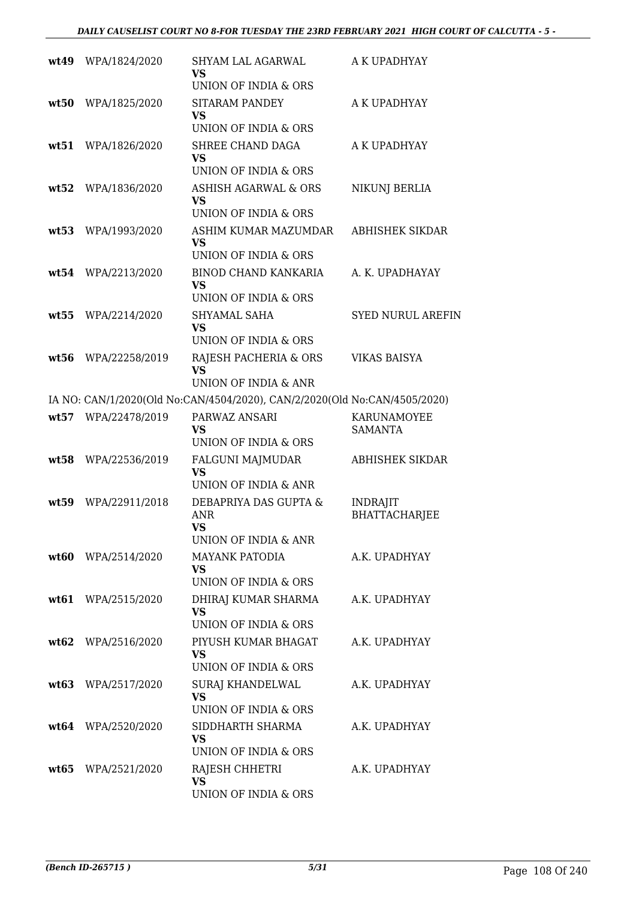| wt49  | WPA/1824/2020      | SHYAM LAL AGARWAL<br><b>VS</b>                                                         | A K UPADHYAY                            |
|-------|--------------------|----------------------------------------------------------------------------------------|-----------------------------------------|
| wt50  | WPA/1825/2020      | <b>UNION OF INDIA &amp; ORS</b><br><b>SITARAM PANDEY</b><br>VS<br>UNION OF INDIA & ORS | A K UPADHYAY                            |
| wt51  | WPA/1826/2020      | SHREE CHAND DAGA<br>VS<br>UNION OF INDIA & ORS                                         | A K UPADHYAY                            |
| wt52  | WPA/1836/2020      | <b>ASHISH AGARWAL &amp; ORS</b><br><b>VS</b>                                           | NIKUNJ BERLIA                           |
| wt53  | WPA/1993/2020      | UNION OF INDIA & ORS<br>ASHIM KUMAR MAZUMDAR<br><b>VS</b><br>UNION OF INDIA & ORS      | ABHISHEK SIKDAR                         |
| wt.54 | WPA/2213/2020      | BINOD CHAND KANKARIA<br>VS<br>UNION OF INDIA & ORS                                     | A. K. UPADHAYAY                         |
| wt55  | WPA/2214/2020      | SHYAMAL SAHA<br><b>VS</b><br>UNION OF INDIA & ORS                                      | <b>SYED NURUL AREFIN</b>                |
| wt56  | WPA/22258/2019     | RAJESH PACHERIA & ORS<br><b>VS</b><br>UNION OF INDIA & ANR                             | <b>VIKAS BAISYA</b>                     |
|       |                    | IA NO: CAN/1/2020(Old No:CAN/4504/2020), CAN/2/2020(Old No:CAN/4505/2020)              |                                         |
| wt57  | WPA/22478/2019     | PARWAZ ANSARI<br><b>VS</b><br>UNION OF INDIA & ORS                                     | KARUNAMOYEE<br><b>SAMANTA</b>           |
| wt58  | WPA/22536/2019     | <b>FALGUNI MAJMUDAR</b><br><b>VS</b><br>UNION OF INDIA & ANR                           | <b>ABHISHEK SIKDAR</b>                  |
| wt59  | WPA/22911/2018     | DEBAPRIYA DAS GUPTA &<br>ANR<br><b>VS</b>                                              | <b>INDRAJIT</b><br><b>BHATTACHARJEE</b> |
| wt60  | WPA/2514/2020      | UNION OF INDIA & ANR<br>MAYANK PATODIA<br><b>VS</b><br>UNION OF INDIA & ORS            | A.K. UPADHYAY                           |
|       | wt61 WPA/2515/2020 | DHIRAJ KUMAR SHARMA<br><b>VS</b><br>UNION OF INDIA & ORS                               | A.K. UPADHYAY                           |
|       | wt62 WPA/2516/2020 | PIYUSH KUMAR BHAGAT<br>VS<br>UNION OF INDIA & ORS                                      | A.K. UPADHYAY                           |
|       | wt63 WPA/2517/2020 | SURAJ KHANDELWAL<br><b>VS</b><br>UNION OF INDIA & ORS                                  | A.K. UPADHYAY                           |
|       | wt64 WPA/2520/2020 | SIDDHARTH SHARMA<br><b>VS</b><br>UNION OF INDIA & ORS                                  | A.K. UPADHYAY                           |
|       | wt65 WPA/2521/2020 | RAJESH CHHETRI<br><b>VS</b><br>UNION OF INDIA & ORS                                    | A.K. UPADHYAY                           |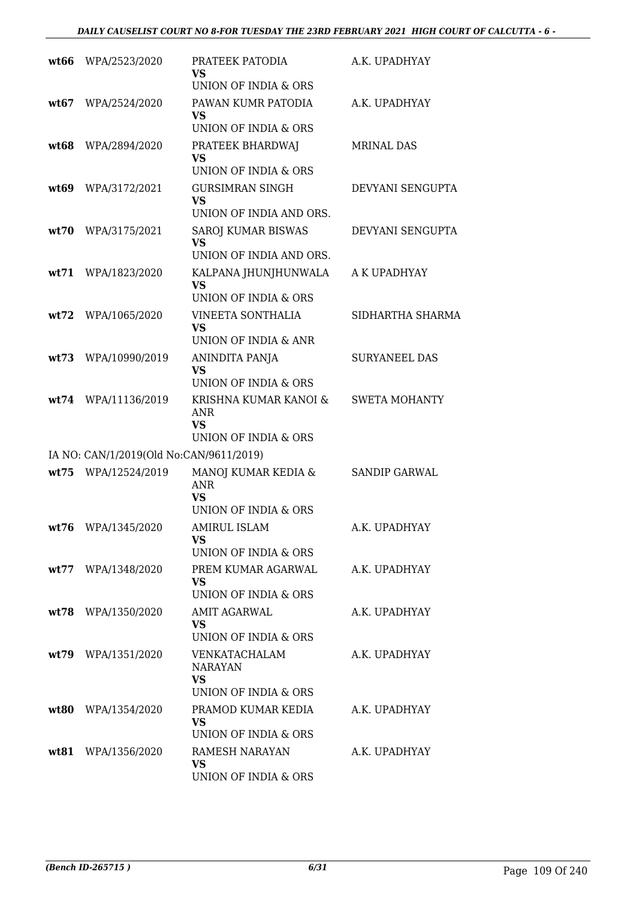| wt66 | WPA/2523/2020                           | PRATEEK PATODIA<br>VS                                                                 | A.K. UPADHYAY        |
|------|-----------------------------------------|---------------------------------------------------------------------------------------|----------------------|
|      |                                         | UNION OF INDIA & ORS                                                                  |                      |
| wt67 | WPA/2524/2020                           | PAWAN KUMR PATODIA<br>VS<br>UNION OF INDIA & ORS                                      | A.K. UPADHYAY        |
| wt68 | WPA/2894/2020                           | PRATEEK BHARDWAJ<br>VS<br>UNION OF INDIA & ORS                                        | <b>MRINAL DAS</b>    |
| wt69 | WPA/3172/2021                           | <b>GURSIMRAN SINGH</b><br><b>VS</b>                                                   | DEVYANI SENGUPTA     |
| wt70 | WPA/3175/2021                           | UNION OF INDIA AND ORS.<br>SAROJ KUMAR BISWAS<br><b>VS</b><br>UNION OF INDIA AND ORS. | DEVYANI SENGUPTA     |
| wt71 | WPA/1823/2020                           | KALPANA JHUNJHUNWALA<br>VS<br>UNION OF INDIA & ORS                                    | A K UPADHYAY         |
| wt72 | WPA/1065/2020                           | <b>VINEETA SONTHALIA</b><br><b>VS</b><br>UNION OF INDIA & ANR                         | SIDHARTHA SHARMA     |
| wt73 | WPA/10990/2019                          | ANINDITA PANJA<br><b>VS</b><br>UNION OF INDIA & ORS                                   | <b>SURYANEEL DAS</b> |
| wt74 | WPA/11136/2019                          | KRISHNA KUMAR KANOI &<br><b>ANR</b><br><b>VS</b><br>UNION OF INDIA & ORS              | <b>SWETA MOHANTY</b> |
|      | IA NO: CAN/1/2019(Old No:CAN/9611/2019) |                                                                                       |                      |
| wt75 | WPA/12524/2019                          | MANOJ KUMAR KEDIA &<br><b>ANR</b><br>VS                                               | <b>SANDIP GARWAL</b> |
|      | wt76 WPA/1345/2020                      | UNION OF INDIA & ORS<br><b>AMIRUL ISLAM</b><br>VS.<br>UNION OF INDIA & ORS            | A.K. UPADHYAY        |
| wt77 | WPA/1348/2020                           | PREM KUMAR AGARWAL<br><b>VS</b><br>UNION OF INDIA & ORS                               | A.K. UPADHYAY        |
| wt78 | WPA/1350/2020                           | AMIT AGARWAL<br>VS.<br>UNION OF INDIA & ORS                                           | A.K. UPADHYAY        |
|      | wt79 WPA/1351/2020                      | VENKATACHALAM<br><b>NARAYAN</b><br>VS.<br>UNION OF INDIA & ORS                        | A.K. UPADHYAY        |
| wt80 | WPA/1354/2020                           | PRAMOD KUMAR KEDIA<br><b>VS</b><br>UNION OF INDIA & ORS                               | A.K. UPADHYAY        |
| wt81 | WPA/1356/2020                           | RAMESH NARAYAN<br><b>VS</b><br>UNION OF INDIA & ORS                                   | A.K. UPADHYAY        |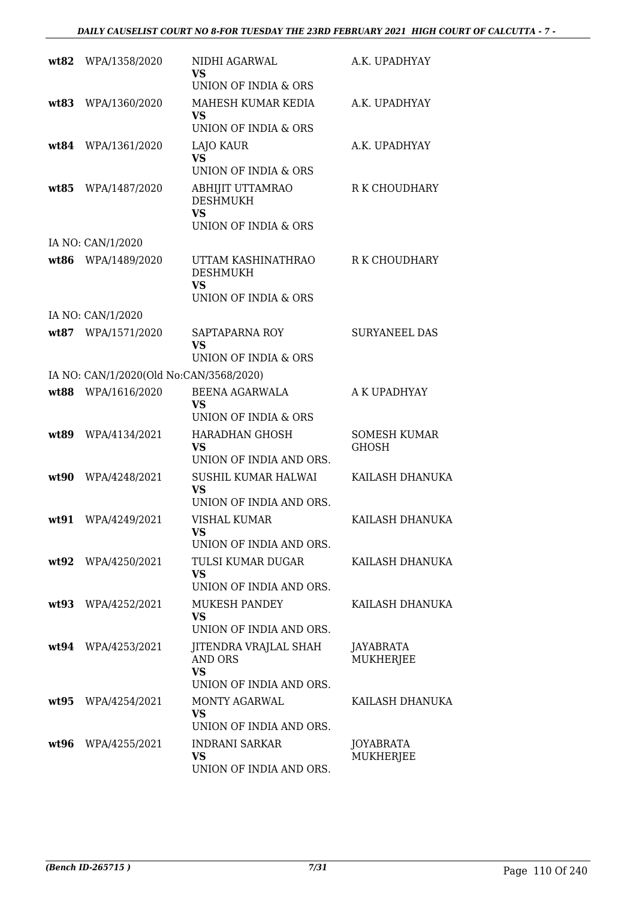| wt82  | WPA/1358/2020                           | NIDHI AGARWAL<br><b>VS</b>                                    | A.K. UPADHYAY                |
|-------|-----------------------------------------|---------------------------------------------------------------|------------------------------|
| wt83  | WPA/1360/2020                           | UNION OF INDIA & ORS<br>MAHESH KUMAR KEDIA<br><b>VS</b>       | A.K. UPADHYAY                |
|       |                                         | UNION OF INDIA & ORS                                          |                              |
|       | wt84 WPA/1361/2020                      | LAJO KAUR<br><b>VS</b><br><b>UNION OF INDIA &amp; ORS</b>     | A.K. UPADHYAY                |
| wt.85 | WPA/1487/2020                           | ABHIJIT UTTAMRAO<br><b>DESHMUKH</b><br><b>VS</b>              | R K CHOUDHARY                |
|       |                                         | UNION OF INDIA & ORS                                          |                              |
|       | IA NO: CAN/1/2020                       |                                                               |                              |
| wt86  | WPA/1489/2020                           | UTTAM KASHINATHRAO<br><b>DESHMUKH</b><br><b>VS</b>            | R K CHOUDHARY                |
|       |                                         | <b>UNION OF INDIA &amp; ORS</b>                               |                              |
|       | IA NO: CAN/1/2020                       |                                                               |                              |
|       | wt87 WPA/1571/2020                      | SAPTAPARNA ROY<br><b>VS</b><br>UNION OF INDIA & ORS           | <b>SURYANEEL DAS</b>         |
|       | IA NO: CAN/1/2020(Old No:CAN/3568/2020) |                                                               |                              |
|       | wt88 WPA/1616/2020                      | BEENA AGARWALA                                                | A K UPADHYAY                 |
|       |                                         | <b>VS</b><br>UNION OF INDIA & ORS                             |                              |
| wt89  | WPA/4134/2021                           | <b>HARADHAN GHOSH</b><br><b>VS</b><br>UNION OF INDIA AND ORS. | <b>SOMESH KUMAR</b><br>GHOSH |
| wt90  | WPA/4248/2021                           | SUSHIL KUMAR HALWAI<br><b>VS</b><br>UNION OF INDIA AND ORS.   | KAILASH DHANUKA              |
| wt91  | WPA/4249/2021                           | <b>VISHAL KUMAR</b>                                           | KAILASH DHANUKA              |
|       |                                         | VS                                                            |                              |
|       |                                         | UNION OF INDIA AND ORS.<br>TULSI KUMAR DUGAR                  |                              |
|       | wt92 WPA/4250/2021                      | <b>VS</b><br>UNION OF INDIA AND ORS.                          | KAILASH DHANUKA              |
|       | wt93 WPA/4252/2021                      | <b>MUKESH PANDEY</b><br><b>VS</b>                             | KAILASH DHANUKA              |
|       |                                         | UNION OF INDIA AND ORS.                                       |                              |
|       | wt94 WPA/4253/2021                      | JITENDRA VRAJLAL SHAH<br>AND ORS<br><b>VS</b>                 | JAYABRATA<br>MUKHERJEE       |
|       |                                         | UNION OF INDIA AND ORS.                                       |                              |
|       | wt95 WPA/4254/2021                      | MONTY AGARWAL<br><b>VS</b><br>UNION OF INDIA AND ORS.         | KAILASH DHANUKA              |
| wt96  | WPA/4255/2021                           | <b>INDRANI SARKAR</b><br>VS<br>UNION OF INDIA AND ORS.        | JOYABRATA<br>MUKHERJEE       |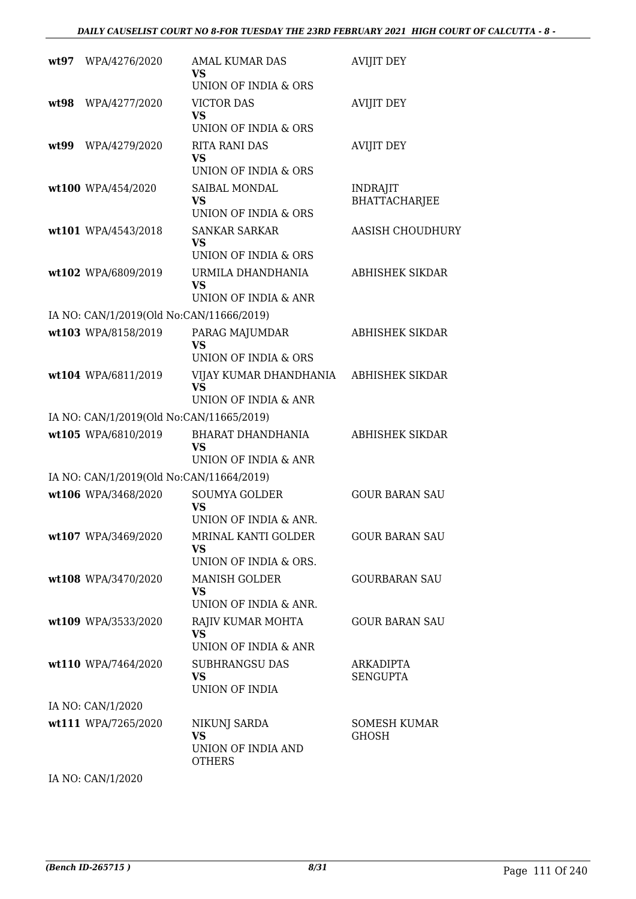| wt97 | WPA/4276/2020                            | <b>AMAL KUMAR DAS</b><br>VS<br>UNION OF INDIA & ORS              | <b>AVIJIT DEY</b>                |
|------|------------------------------------------|------------------------------------------------------------------|----------------------------------|
| wt98 | WPA/4277/2020                            | <b>VICTOR DAS</b><br>VS.<br>UNION OF INDIA & ORS                 | <b>AVIJIT DEY</b>                |
| wt99 | WPA/4279/2020                            | <b>RITA RANI DAS</b><br>VS.<br>UNION OF INDIA & ORS              | <b>AVIJIT DEY</b>                |
|      | wt100 WPA/454/2020                       | SAIBAL MONDAL<br><b>VS</b><br>UNION OF INDIA & ORS               | <b>INDRAJIT</b><br>BHATTACHARJEE |
|      | wt101 WPA/4543/2018                      | <b>SANKAR SARKAR</b><br><b>VS</b><br>UNION OF INDIA & ORS        | <b>AASISH CHOUDHURY</b>          |
|      | wt102 WPA/6809/2019                      | URMILA DHANDHANIA<br><b>VS</b><br>UNION OF INDIA & ANR           | ABHISHEK SIKDAR                  |
|      | IA NO: CAN/1/2019(Old No:CAN/11666/2019) |                                                                  |                                  |
|      | wt103 WPA/8158/2019                      | PARAG MAJUMDAR<br><b>VS</b><br>UNION OF INDIA & ORS              | <b>ABHISHEK SIKDAR</b>           |
|      | wt104 WPA/6811/2019                      | VIJAY KUMAR DHANDHANIA<br><b>VS</b><br>UNION OF INDIA & ANR      | ABHISHEK SIKDAR                  |
|      | IA NO: CAN/1/2019(Old No:CAN/11665/2019) |                                                                  |                                  |
|      | wt105 WPA/6810/2019                      | BHARAT DHANDHANIA<br><b>VS</b><br>UNION OF INDIA & ANR           | ABHISHEK SIKDAR                  |
|      | IA NO: CAN/1/2019(Old No:CAN/11664/2019) |                                                                  |                                  |
|      | wt106 WPA/3468/2020                      | <b>SOUMYA GOLDER</b>                                             | <b>GOUR BARAN SAU</b>            |
|      |                                          | <b>VS</b><br>UNION OF INDIA & ANR.                               |                                  |
|      | wt107 WPA/3469/2020                      | MRINAL KANTI GOLDER<br>VS.<br>UNION OF INDIA & ORS.              | <b>GOUR BARAN SAU</b>            |
|      | wt108 WPA/3470/2020                      | <b>MANISH GOLDER</b><br>VS.<br>UNION OF INDIA & ANR.             | <b>GOURBARAN SAU</b>             |
|      | wt109 WPA/3533/2020                      | RAJIV KUMAR MOHTA<br>VS.<br>UNION OF INDIA & ANR                 | <b>GOUR BARAN SAU</b>            |
|      | wt110 WPA/7464/2020                      | SUBHRANGSU DAS<br><b>VS</b><br>UNION OF INDIA                    | ARKADIPTA<br><b>SENGUPTA</b>     |
|      | IA NO: CAN/1/2020                        |                                                                  |                                  |
|      | wt111 WPA/7265/2020                      | NIKUNJ SARDA<br><b>VS</b><br>UNION OF INDIA AND<br><b>OTHERS</b> | SOMESH KUMAR<br>GHOSH            |
|      | IA NO: CAN/1/2020                        |                                                                  |                                  |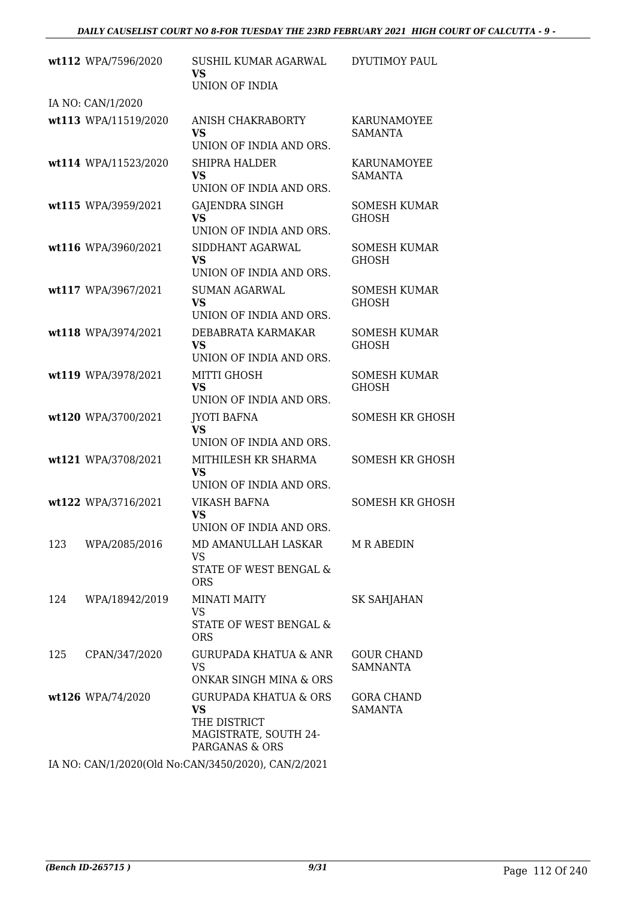|     | wt112 WPA/7596/2020  | SUSHIL KUMAR AGARWAL<br>VS<br>UNION OF INDIA                                                             | DYUTIMOY PAUL                        |
|-----|----------------------|----------------------------------------------------------------------------------------------------------|--------------------------------------|
|     | IA NO: CAN/1/2020    |                                                                                                          |                                      |
|     | wt113 WPA/11519/2020 | ANISH CHAKRABORTY<br><b>VS</b><br>UNION OF INDIA AND ORS.                                                | KARUNAMOYEE<br><b>SAMANTA</b>        |
|     | wt114 WPA/11523/2020 | <b>SHIPRA HALDER</b><br>VS<br>UNION OF INDIA AND ORS.                                                    | KARUNAMOYEE<br><b>SAMANTA</b>        |
|     | wt115 WPA/3959/2021  | <b>GAJENDRA SINGH</b><br>VS.<br>UNION OF INDIA AND ORS.                                                  | <b>SOMESH KUMAR</b><br><b>GHOSH</b>  |
|     | wt116 WPA/3960/2021  | SIDDHANT AGARWAL<br><b>VS</b><br>UNION OF INDIA AND ORS.                                                 | <b>SOMESH KUMAR</b><br><b>GHOSH</b>  |
|     | wt117 WPA/3967/2021  | <b>SUMAN AGARWAL</b><br><b>VS</b><br>UNION OF INDIA AND ORS.                                             | <b>SOMESH KUMAR</b><br><b>GHOSH</b>  |
|     | wt118 WPA/3974/2021  | DEBABRATA KARMAKAR<br><b>VS</b><br>UNION OF INDIA AND ORS.                                               | <b>SOMESH KUMAR</b><br><b>GHOSH</b>  |
|     | wt119 WPA/3978/2021  | MITTI GHOSH<br><b>VS</b><br>UNION OF INDIA AND ORS.                                                      | <b>SOMESH KUMAR</b><br><b>GHOSH</b>  |
|     | wt120 WPA/3700/2021  | JYOTI BAFNA<br><b>VS</b><br>UNION OF INDIA AND ORS.                                                      | <b>SOMESH KR GHOSH</b>               |
|     | wt121 WPA/3708/2021  | MITHILESH KR SHARMA<br><b>VS</b><br>UNION OF INDIA AND ORS.                                              | <b>SOMESH KR GHOSH</b>               |
|     | wt122 WPA/3716/2021  | <b>VIKASH BAFNA</b><br><b>VS</b><br>UNION OF INDIA AND ORS                                               | <b>SOMESH KR GHOSH</b>               |
| 123 | WPA/2085/2016        | MD AMANULLAH LASKAR<br>VS<br>STATE OF WEST BENGAL &<br><b>ORS</b>                                        | M R ABEDIN                           |
| 124 | WPA/18942/2019       | <b>MINATI MAITY</b><br><b>VS</b><br><b>STATE OF WEST BENGAL &amp;</b><br><b>ORS</b>                      | <b>SK SAHJAHAN</b>                   |
| 125 | CPAN/347/2020        | GURUPADA KHATUA & ANR<br><b>VS</b><br>ONKAR SINGH MINA & ORS                                             | <b>GOUR CHAND</b><br><b>SAMNANTA</b> |
|     | wt126 WPA/74/2020    | <b>GURUPADA KHATUA &amp; ORS</b><br><b>VS</b><br>THE DISTRICT<br>MAGISTRATE, SOUTH 24-<br>PARGANAS & ORS | <b>GORA CHAND</b><br><b>SAMANTA</b>  |
|     |                      | IA NO CANILLOODOCOLLINE CANTOLEOGODO) CANTOGODI                                                          |                                      |

IA NO: CAN/1/2020(Old No:CAN/3450/2020), CAN/2/2021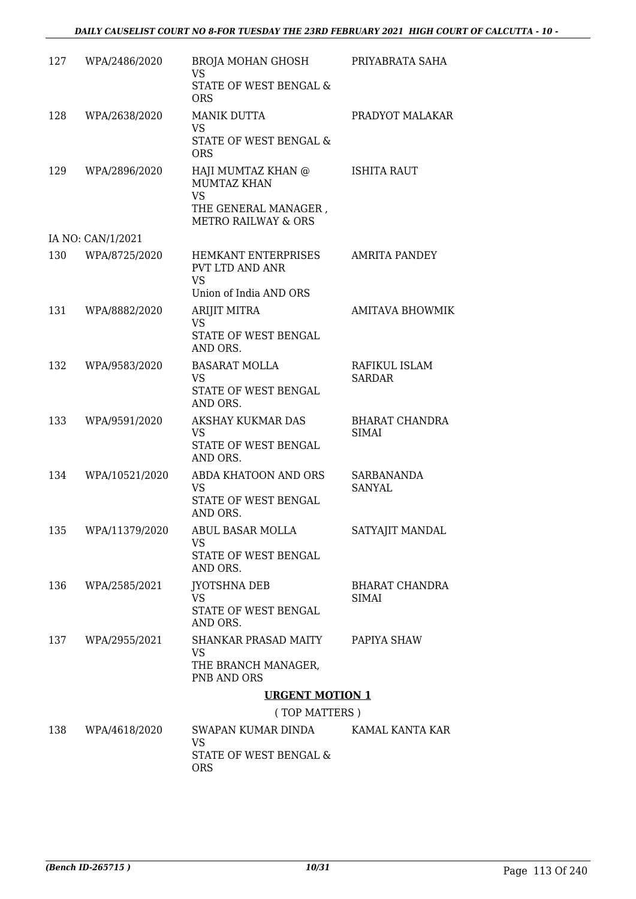| 127 | WPA/2486/2020      | BROJA MOHAN GHOSH<br><b>VS</b><br>STATE OF WEST BENGAL &<br><b>ORS</b>                                          | PRIYABRATA SAHA                       |
|-----|--------------------|-----------------------------------------------------------------------------------------------------------------|---------------------------------------|
| 128 | WPA/2638/2020      | <b>MANIK DUTTA</b><br>VS<br>STATE OF WEST BENGAL &<br><b>ORS</b>                                                | PRADYOT MALAKAR                       |
| 129 | WPA/2896/2020      | HAJI MUMTAZ KHAN @<br><b>MUMTAZ KHAN</b><br><b>VS</b><br>THE GENERAL MANAGER,<br><b>METRO RAILWAY &amp; ORS</b> | <b>ISHITA RAUT</b>                    |
|     | IA NO: CAN/1/2021  |                                                                                                                 |                                       |
| 130 | WPA/8725/2020      | HEMKANT ENTERPRISES<br>PVT LTD AND ANR<br><b>VS</b><br>Union of India AND ORS                                   | <b>AMRITA PANDEY</b>                  |
| 131 | WPA/8882/2020      | ARIJIT MITRA<br><b>VS</b><br>STATE OF WEST BENGAL<br>AND ORS.                                                   | <b>AMITAVA BHOWMIK</b>                |
| 132 | WPA/9583/2020      | <b>BASARAT MOLLA</b><br>VS<br>STATE OF WEST BENGAL<br>AND ORS.                                                  | RAFIKUL ISLAM<br><b>SARDAR</b>        |
| 133 | WPA/9591/2020      | AKSHAY KUKMAR DAS<br><b>VS</b><br>STATE OF WEST BENGAL<br>AND ORS.                                              | <b>BHARAT CHANDRA</b><br><b>SIMAI</b> |
| 134 | WPA/10521/2020     | ABDA KHATOON AND ORS<br><b>VS</b><br>STATE OF WEST BENGAL<br>AND ORS.                                           | <b>SARBANANDA</b><br><b>SANYAL</b>    |
|     | 135 WPA/11379/2020 | <b>ABUL BASAR MOLLA</b><br>VS<br>STATE OF WEST BENGAL<br>AND ORS.                                               | SATYAJIT MANDAL                       |
| 136 | WPA/2585/2021      | <b>JYOTSHNA DEB</b><br><b>VS</b><br>STATE OF WEST BENGAL<br>AND ORS.                                            | <b>BHARAT CHANDRA</b><br><b>SIMAI</b> |
| 137 | WPA/2955/2021      | SHANKAR PRASAD MAITY<br>VS.<br>THE BRANCH MANAGER,<br>PNB AND ORS                                               | PAPIYA SHAW                           |
|     |                    | <b>URGENT MOTION 1</b>                                                                                          |                                       |
|     |                    | (TOP MATTERS)                                                                                                   |                                       |
| 138 | WPA/4618/2020      | SWAPAN KUMAR DINDA<br>VS<br>STATE OF WEST BENGAL &                                                              | KAMAL KANTA KAR                       |

ORS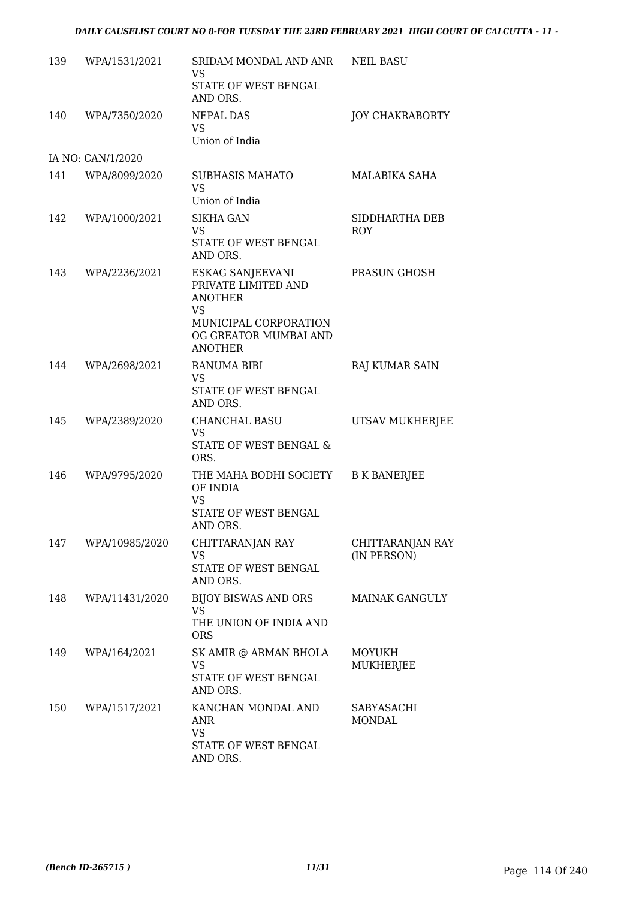| 139 | WPA/1531/2021     | SRIDAM MONDAL AND ANR<br>VS                                                                                                                | <b>NEIL BASU</b>                |
|-----|-------------------|--------------------------------------------------------------------------------------------------------------------------------------------|---------------------------------|
|     |                   | STATE OF WEST BENGAL<br>AND ORS.                                                                                                           |                                 |
| 140 | WPA/7350/2020     | <b>NEPAL DAS</b><br><b>VS</b><br>Union of India                                                                                            | <b>JOY CHAKRABORTY</b>          |
|     | IA NO: CAN/1/2020 |                                                                                                                                            |                                 |
| 141 | WPA/8099/2020     | <b>SUBHASIS MAHATO</b><br><b>VS</b><br>Union of India                                                                                      | MALABIKA SAHA                   |
| 142 | WPA/1000/2021     | <b>SIKHA GAN</b><br><b>VS</b><br>STATE OF WEST BENGAL<br>AND ORS.                                                                          | SIDDHARTHA DEB<br><b>ROY</b>    |
| 143 | WPA/2236/2021     | ESKAG SANJEEVANI<br>PRIVATE LIMITED AND<br><b>ANOTHER</b><br><b>VS</b><br>MUNICIPAL CORPORATION<br>OG GREATOR MUMBAI AND<br><b>ANOTHER</b> | PRASUN GHOSH                    |
| 144 | WPA/2698/2021     | <b>RANUMA BIBI</b><br>VS<br>STATE OF WEST BENGAL<br>AND ORS.                                                                               | RAJ KUMAR SAIN                  |
| 145 | WPA/2389/2020     | CHANCHAL BASU<br><b>VS</b><br>STATE OF WEST BENGAL &<br>ORS.                                                                               | UTSAV MUKHERJEE                 |
| 146 | WPA/9795/2020     | THE MAHA BODHI SOCIETY<br>OF INDIA<br><b>VS</b><br>STATE OF WEST BENGAL<br>AND ORS.                                                        | <b>B K BANERJEE</b>             |
| 147 | WPA/10985/2020    | CHITTARANJAN RAY<br>VS<br>STATE OF WEST BENGAL<br>AND ORS.                                                                                 | CHITTARANJAN RAY<br>(IN PERSON) |
| 148 | WPA/11431/2020    | BIJOY BISWAS AND ORS<br><b>VS</b><br>THE UNION OF INDIA AND<br><b>ORS</b>                                                                  | <b>MAINAK GANGULY</b>           |
| 149 | WPA/164/2021      | SK AMIR @ ARMAN BHOLA<br><b>VS</b><br>STATE OF WEST BENGAL<br>AND ORS.                                                                     | MOYUKH<br>MUKHERJEE             |
| 150 | WPA/1517/2021     | KANCHAN MONDAL AND<br>ANR<br><b>VS</b><br>STATE OF WEST BENGAL<br>AND ORS.                                                                 | SABYASACHI<br><b>MONDAL</b>     |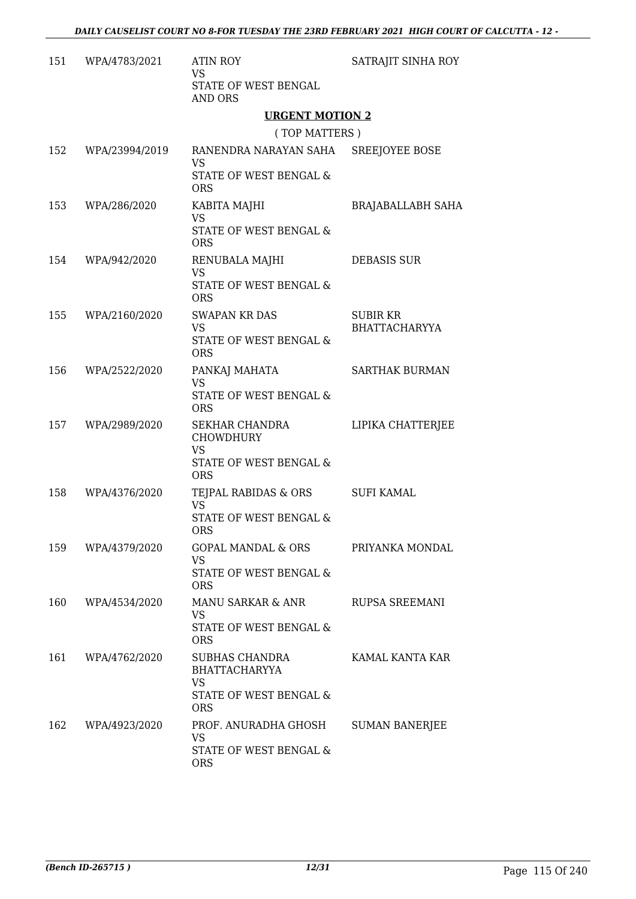| 151 | WPA/4783/2021      | <b>ATIN ROY</b><br><b>VS</b><br>STATE OF WEST BENGAL<br><b>AND ORS</b>                    | SATRAJIT SINHA ROY                      |
|-----|--------------------|-------------------------------------------------------------------------------------------|-----------------------------------------|
|     |                    | <b>URGENT MOTION 2</b>                                                                    |                                         |
|     |                    | (TOP MATTERS)                                                                             |                                         |
|     | 152 WPA/23994/2019 | RANENDRA NARAYAN SAHA SREEJOYEE BOSE<br><b>VS</b><br>STATE OF WEST BENGAL &<br><b>ORS</b> |                                         |
| 153 | WPA/286/2020       | KABITA MAJHI<br><b>VS</b><br>STATE OF WEST BENGAL &<br><b>ORS</b>                         | <b>BRAJABALLABH SAHA</b>                |
|     | 154 WPA/942/2020   | RENUBALA MAJHI<br><b>VS</b><br>STATE OF WEST BENGAL &<br><b>ORS</b>                       | <b>DEBASIS SUR</b>                      |
| 155 | WPA/2160/2020      | <b>SWAPAN KR DAS</b><br><b>VS</b><br>STATE OF WEST BENGAL &<br><b>ORS</b>                 | <b>SUBIR KR</b><br><b>BHATTACHARYYA</b> |
| 156 | WPA/2522/2020      | PANKAJ MAHATA<br><b>VS</b><br>STATE OF WEST BENGAL &<br><b>ORS</b>                        | <b>SARTHAK BURMAN</b>                   |
| 157 | WPA/2989/2020      | SEKHAR CHANDRA<br><b>CHOWDHURY</b><br><b>VS</b><br>STATE OF WEST BENGAL &<br><b>ORS</b>   | LIPIKA CHATTERJEE                       |
| 158 | WPA/4376/2020      | TEJPAL RABIDAS & ORS SUFI KAMAL<br><b>VS</b><br>STATE OF WEST BENGAL &<br><b>ORS</b>      |                                         |
| 159 | WPA/4379/2020      | GOPAL MANDAL & ORS<br><b>VS</b><br>STATE OF WEST BENGAL &<br><b>ORS</b>                   | PRIYANKA MONDAL                         |
| 160 | WPA/4534/2020      | MANU SARKAR & ANR<br>VS.<br>STATE OF WEST BENGAL &<br><b>ORS</b>                          | RUPSA SREEMANI                          |
| 161 | WPA/4762/2020      | SUBHAS CHANDRA<br><b>BHATTACHARYYA</b><br><b>VS</b><br>STATE OF WEST BENGAL &             | KAMAL KANTA KAR                         |
| 162 | WPA/4923/2020      | <b>ORS</b><br>PROF. ANURADHA GHOSH<br>VS.<br>STATE OF WEST BENGAL &<br><b>ORS</b>         | <b>SUMAN BANERJEE</b>                   |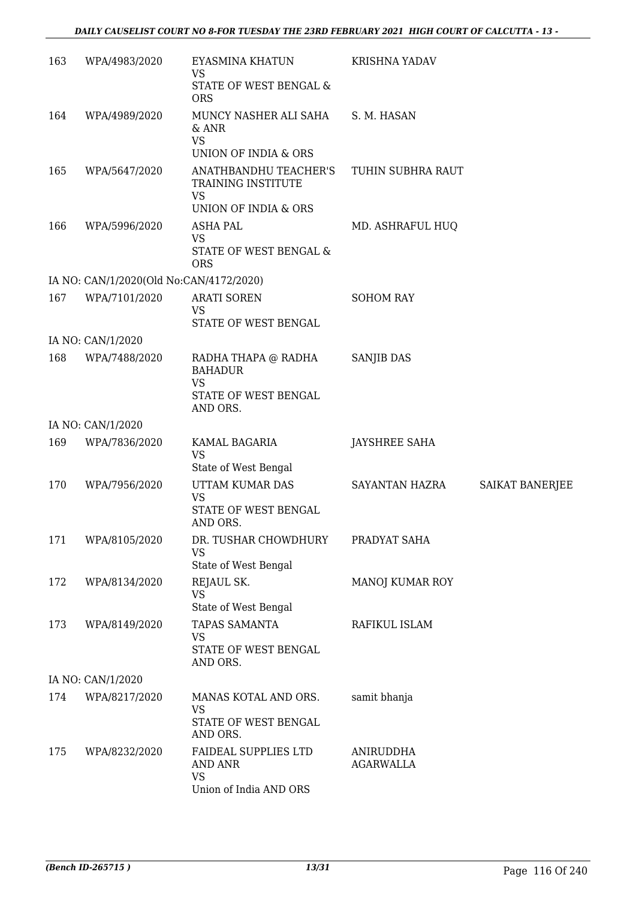| 163 | WPA/4983/2020                           | EYASMINA KHATUN<br><b>VS</b>                                                     | <b>KRISHNA YADAV</b>          |                 |
|-----|-----------------------------------------|----------------------------------------------------------------------------------|-------------------------------|-----------------|
|     |                                         | STATE OF WEST BENGAL &<br><b>ORS</b>                                             |                               |                 |
| 164 | WPA/4989/2020                           | MUNCY NASHER ALI SAHA<br>$&$ ANR<br><b>VS</b>                                    | S. M. HASAN                   |                 |
|     |                                         | UNION OF INDIA & ORS                                                             |                               |                 |
| 165 | WPA/5647/2020                           | ANATHBANDHU TEACHER'S<br>TRAINING INSTITUTE<br><b>VS</b><br>UNION OF INDIA & ORS | TUHIN SUBHRA RAUT             |                 |
| 166 | WPA/5996/2020                           | <b>ASHA PAL</b>                                                                  | MD. ASHRAFUL HUQ              |                 |
|     |                                         | <b>VS</b><br>STATE OF WEST BENGAL &<br><b>ORS</b>                                |                               |                 |
|     | IA NO: CAN/1/2020(Old No:CAN/4172/2020) |                                                                                  |                               |                 |
| 167 | WPA/7101/2020                           | <b>ARATI SOREN</b><br><b>VS</b>                                                  | <b>SOHOM RAY</b>              |                 |
|     |                                         | STATE OF WEST BENGAL                                                             |                               |                 |
|     | IA NO: CAN/1/2020                       |                                                                                  |                               |                 |
| 168 | WPA/7488/2020                           | RADHA THAPA @ RADHA<br><b>BAHADUR</b><br><b>VS</b><br>STATE OF WEST BENGAL       | <b>SANJIB DAS</b>             |                 |
|     |                                         | AND ORS.                                                                         |                               |                 |
|     | IA NO: CAN/1/2020                       |                                                                                  |                               |                 |
| 169 | WPA/7836/2020                           | KAMAL BAGARIA<br><b>VS</b>                                                       | <b>JAYSHREE SAHA</b>          |                 |
|     |                                         | State of West Bengal                                                             |                               |                 |
| 170 | WPA/7956/2020                           | UTTAM KUMAR DAS<br><b>VS</b><br>STATE OF WEST BENGAL                             | SAYANTAN HAZRA                | SAIKAT BANERJEE |
|     |                                         | AND ORS.                                                                         |                               |                 |
| 171 | WPA/8105/2020                           | DR. TUSHAR CHOWDHURY<br><b>VS</b><br>State of West Bengal                        | PRADYAT SAHA                  |                 |
| 172 | WPA/8134/2020                           | REJAUL SK.                                                                       | MANOJ KUMAR ROY               |                 |
|     |                                         | <b>VS</b><br>State of West Bengal                                                |                               |                 |
| 173 | WPA/8149/2020                           | <b>TAPAS SAMANTA</b><br><b>VS</b>                                                | RAFIKUL ISLAM                 |                 |
|     |                                         | STATE OF WEST BENGAL<br>AND ORS.                                                 |                               |                 |
|     | IA NO: CAN/1/2020                       |                                                                                  |                               |                 |
| 174 | WPA/8217/2020                           | MANAS KOTAL AND ORS.<br>VS<br>STATE OF WEST BENGAL                               | samit bhanja                  |                 |
|     |                                         | AND ORS.                                                                         |                               |                 |
| 175 | WPA/8232/2020                           | <b>FAIDEAL SUPPLIES LTD</b><br>AND ANR<br><b>VS</b>                              | ANIRUDDHA<br><b>AGARWALLA</b> |                 |
|     |                                         | Union of India AND ORS                                                           |                               |                 |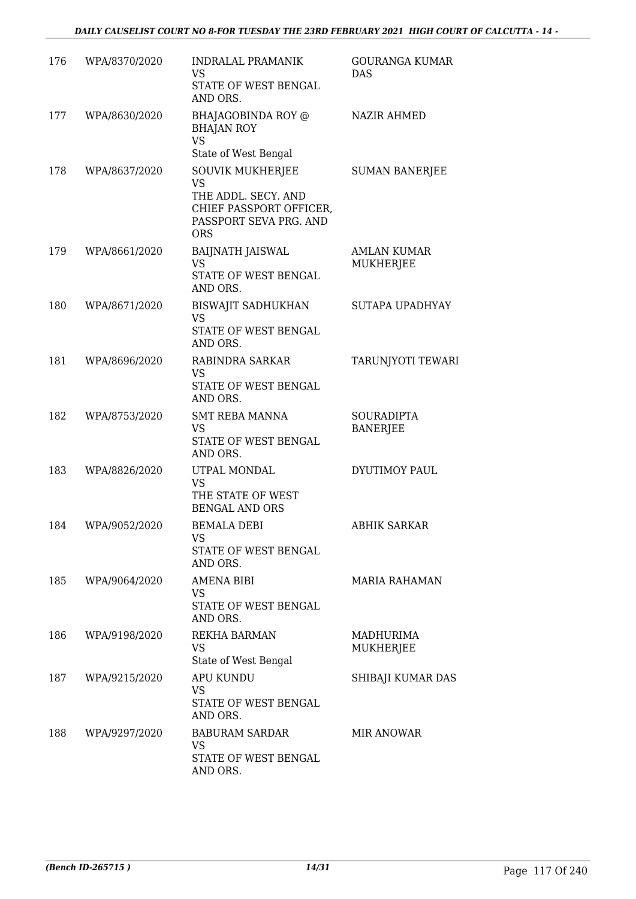| 176 | WPA/8370/2020 | <b>INDRALAL PRAMANIK</b><br><b>VS</b><br>STATE OF WEST BENGAL<br>AND ORS.                                               | <b>GOURANGA KUMAR</b><br>DAS           |
|-----|---------------|-------------------------------------------------------------------------------------------------------------------------|----------------------------------------|
| 177 | WPA/8630/2020 | BHAJAGOBINDA ROY @<br><b>BHAJAN ROY</b><br><b>VS</b><br>State of West Bengal                                            | <b>NAZIR AHMED</b>                     |
| 178 | WPA/8637/2020 | SOUVIK MUKHERJEE<br><b>VS</b><br>THE ADDL. SECY. AND<br>CHIEF PASSPORT OFFICER,<br>PASSPORT SEVA PRG. AND<br><b>ORS</b> | <b>SUMAN BANERJEE</b>                  |
| 179 | WPA/8661/2020 | <b>BAIJNATH JAISWAL</b><br>VS<br>STATE OF WEST BENGAL<br>AND ORS.                                                       | <b>AMLAN KUMAR</b><br><b>MUKHERJEE</b> |
| 180 | WPA/8671/2020 | <b>BISWAJIT SADHUKHAN</b><br><b>VS</b><br>STATE OF WEST BENGAL<br>AND ORS.                                              | SUTAPA UPADHYAY                        |
| 181 | WPA/8696/2020 | RABINDRA SARKAR<br><b>VS</b><br>STATE OF WEST BENGAL<br>AND ORS.                                                        | TARUNJYOTI TEWARI                      |
| 182 | WPA/8753/2020 | <b>SMT REBA MANNA</b><br>VS<br>STATE OF WEST BENGAL<br>AND ORS.                                                         | SOURADIPTA<br><b>BANERJEE</b>          |
| 183 | WPA/8826/2020 | UTPAL MONDAL<br><b>VS</b><br>THE STATE OF WEST<br><b>BENGAL AND ORS</b>                                                 | DYUTIMOY PAUL                          |
| 184 | WPA/9052/2020 | BEMALA DEBI<br>VS<br>STATE OF WEST BENGAL<br>AND ORS.                                                                   | <b>ABHIK SARKAR</b>                    |
| 185 | WPA/9064/2020 | <b>AMENA BIBI</b><br>VS<br>STATE OF WEST BENGAL<br>AND ORS.                                                             | MARIA RAHAMAN                          |
| 186 | WPA/9198/2020 | <b>REKHA BARMAN</b><br><b>VS</b><br>State of West Bengal                                                                | <b>MADHURIMA</b><br>MUKHERJEE          |
| 187 | WPA/9215/2020 | <b>APU KUNDU</b><br><b>VS</b><br>STATE OF WEST BENGAL<br>AND ORS.                                                       | SHIBAJI KUMAR DAS                      |
| 188 | WPA/9297/2020 | <b>BABURAM SARDAR</b><br>VS<br>STATE OF WEST BENGAL<br>AND ORS.                                                         | <b>MIR ANOWAR</b>                      |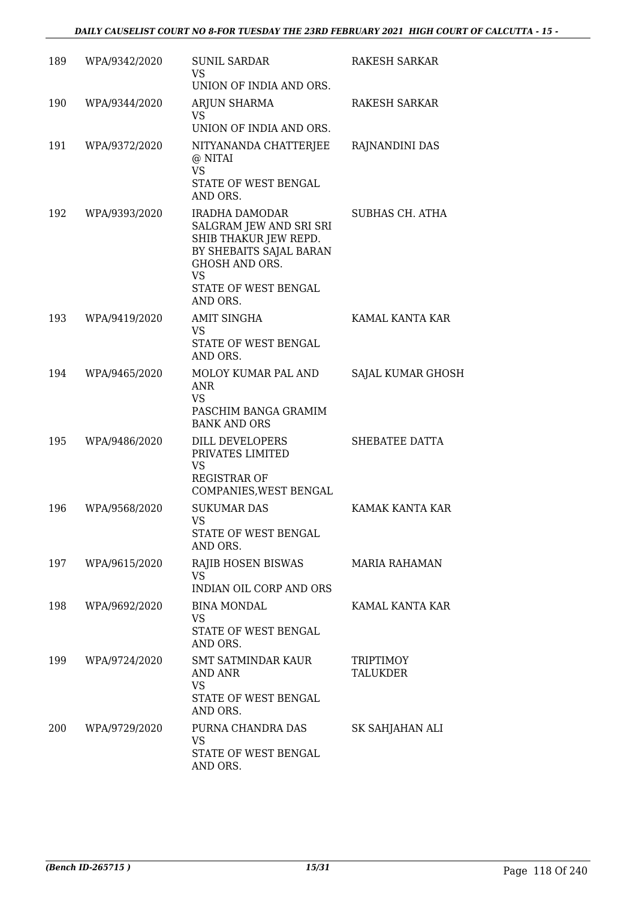| 189 | WPA/9342/2020 | <b>SUNIL SARDAR</b><br>VS.<br>UNION OF INDIA AND ORS.                                                                                                                   | RAKESH SARKAR                |
|-----|---------------|-------------------------------------------------------------------------------------------------------------------------------------------------------------------------|------------------------------|
| 190 | WPA/9344/2020 | ARJUN SHARMA<br><b>VS</b><br>UNION OF INDIA AND ORS.                                                                                                                    | <b>RAKESH SARKAR</b>         |
| 191 | WPA/9372/2020 | NITYANANDA CHATTERJEE<br>@ NITAI<br><b>VS</b><br>STATE OF WEST BENGAL<br>AND ORS.                                                                                       | RAJNANDINI DAS               |
| 192 | WPA/9393/2020 | IRADHA DAMODAR<br>SALGRAM JEW AND SRI SRI<br>SHIB THAKUR JEW REPD.<br>BY SHEBAITS SAJAL BARAN<br><b>GHOSH AND ORS.</b><br><b>VS</b><br>STATE OF WEST BENGAL<br>AND ORS. | SUBHAS CH. ATHA              |
| 193 | WPA/9419/2020 | <b>AMIT SINGHA</b><br><b>VS</b><br>STATE OF WEST BENGAL<br>AND ORS.                                                                                                     | KAMAL KANTA KAR              |
| 194 | WPA/9465/2020 | MOLOY KUMAR PAL AND<br><b>ANR</b><br><b>VS</b><br>PASCHIM BANGA GRAMIM<br><b>BANK AND ORS</b>                                                                           | SAJAL KUMAR GHOSH            |
| 195 | WPA/9486/2020 | DILL DEVELOPERS<br>PRIVATES LIMITED<br>VS<br><b>REGISTRAR OF</b><br>COMPANIES, WEST BENGAL                                                                              | SHEBATEE DATTA               |
| 196 | WPA/9568/2020 | <b>SUKUMAR DAS</b><br><b>VS</b><br><b>STATE OF WEST BENGAL</b><br>AND ORS.                                                                                              | KAMAK KANTA KAR              |
| 197 | WPA/9615/2020 | RAJIB HOSEN BISWAS<br><b>VS</b><br><b>INDIAN OIL CORP AND ORS</b>                                                                                                       | MARIA RAHAMAN                |
| 198 | WPA/9692/2020 | <b>BINA MONDAL</b><br>VS<br>STATE OF WEST BENGAL<br>AND ORS.                                                                                                            | KAMAL KANTA KAR              |
| 199 | WPA/9724/2020 | <b>SMT SATMINDAR KAUR</b><br>AND ANR<br><b>VS</b><br>STATE OF WEST BENGAL<br>AND ORS.                                                                                   | <b>TRIPTIMOY</b><br>TALUKDER |
| 200 | WPA/9729/2020 | PURNA CHANDRA DAS<br><b>VS</b><br>STATE OF WEST BENGAL<br>AND ORS.                                                                                                      | SK SAHJAHAN ALI              |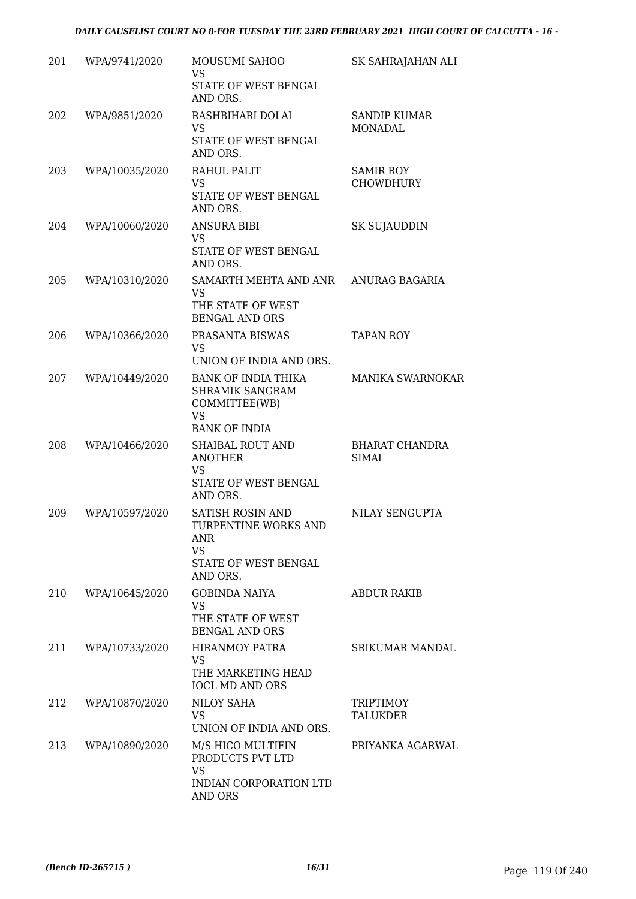| 201 | WPA/9741/2020  | MOUSUMI SAHOO<br><b>VS</b><br>STATE OF WEST BENGAL                                               | SK SAHRAJAHAN ALI                    |
|-----|----------------|--------------------------------------------------------------------------------------------------|--------------------------------------|
| 202 | WPA/9851/2020  | AND ORS.<br>RASHBIHARI DOLAI<br>VS<br>STATE OF WEST BENGAL                                       | <b>SANDIP KUMAR</b><br>MONADAL       |
| 203 | WPA/10035/2020 | AND ORS.<br>RAHUL PALIT<br>VS.<br>STATE OF WEST BENGAL<br>AND ORS.                               | <b>SAMIR ROY</b><br><b>CHOWDHURY</b> |
| 204 | WPA/10060/2020 | <b>ANSURA BIBI</b><br><b>VS</b><br>STATE OF WEST BENGAL<br>AND ORS.                              | SK SUJAUDDIN                         |
| 205 | WPA/10310/2020 | SAMARTH MEHTA AND ANR<br><b>VS</b><br>THE STATE OF WEST<br><b>BENGAL AND ORS</b>                 | ANURAG BAGARIA                       |
| 206 | WPA/10366/2020 | PRASANTA BISWAS<br>VS<br>UNION OF INDIA AND ORS.                                                 | <b>TAPAN ROY</b>                     |
| 207 | WPA/10449/2020 | BANK OF INDIA THIKA<br>SHRAMIK SANGRAM<br>COMMITTEE(WB)<br>VS<br><b>BANK OF INDIA</b>            | MANIKA SWARNOKAR                     |
| 208 | WPA/10466/2020 | SHAIBAL ROUT AND<br><b>ANOTHER</b><br><b>VS</b><br>STATE OF WEST BENGAL<br>AND ORS.              | <b>BHARAT CHANDRA</b><br>SIMAI       |
| 209 | WPA/10597/2020 | SATISH ROSIN AND<br>TURPENTINE WORKS AND<br>ANR<br><b>VS</b><br>STATE OF WEST BENGAL<br>AND ORS. | NILAY SENGUPTA                       |
| 210 | WPA/10645/2020 | <b>GOBINDA NAIYA</b><br>VS<br>THE STATE OF WEST<br><b>BENGAL AND ORS</b>                         | <b>ABDUR RAKIB</b>                   |
| 211 | WPA/10733/2020 | <b>HIRANMOY PATRA</b><br>VS<br>THE MARKETING HEAD<br><b>IOCL MD AND ORS</b>                      | <b>SRIKUMAR MANDAL</b>               |
| 212 | WPA/10870/2020 | NILOY SAHA<br>VS<br>UNION OF INDIA AND ORS.                                                      | <b>TRIPTIMOY</b><br><b>TALUKDER</b>  |
| 213 | WPA/10890/2020 | M/S HICO MULTIFIN<br>PRODUCTS PVT LTD<br><b>VS</b><br>INDIAN CORPORATION LTD<br>AND ORS          | PRIYANKA AGARWAL                     |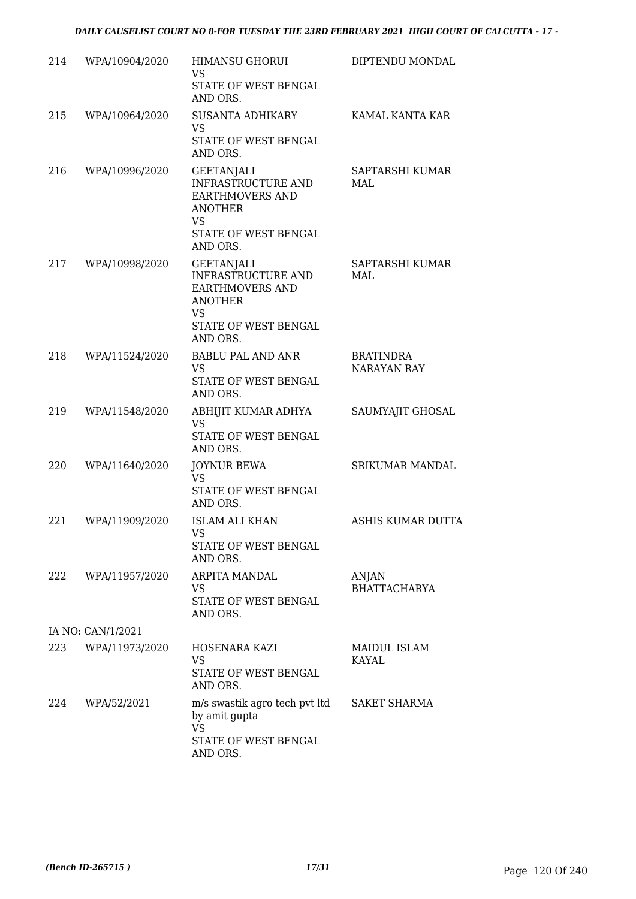| 214 | WPA/10904/2020    | <b>HIMANSU GHORUI</b><br><b>VS</b><br>STATE OF WEST BENGAL                                                                           | DIPTENDU MONDAL                        |
|-----|-------------------|--------------------------------------------------------------------------------------------------------------------------------------|----------------------------------------|
| 215 | WPA/10964/2020    | AND ORS.<br>SUSANTA ADHIKARY<br><b>VS</b><br>STATE OF WEST BENGAL<br>AND ORS.                                                        | KAMAL KANTA KAR                        |
| 216 | WPA/10996/2020    | GEETANJALI<br>INFRASTRUCTURE AND<br><b>EARTHMOVERS AND</b><br><b>ANOTHER</b><br><b>VS</b><br>STATE OF WEST BENGAL<br>AND ORS.        | SAPTARSHI KUMAR<br>MAL                 |
| 217 | WPA/10998/2020    | <b>GEETANJALI</b><br>INFRASTRUCTURE AND<br><b>EARTHMOVERS AND</b><br><b>ANOTHER</b><br><b>VS</b><br>STATE OF WEST BENGAL<br>AND ORS. | SAPTARSHI KUMAR<br>MAL                 |
| 218 | WPA/11524/2020    | BABLU PAL AND ANR<br><b>VS</b><br>STATE OF WEST BENGAL<br>AND ORS.                                                                   | <b>BRATINDRA</b><br><b>NARAYAN RAY</b> |
| 219 | WPA/11548/2020    | ABHIJIT KUMAR ADHYA<br><b>VS</b><br>STATE OF WEST BENGAL<br>AND ORS.                                                                 | SAUMYAJIT GHOSAL                       |
| 220 | WPA/11640/2020    | <b>JOYNUR BEWA</b><br>VS<br>STATE OF WEST BENGAL<br>AND ORS.                                                                         | <b>SRIKUMAR MANDAL</b>                 |
| 221 | WPA/11909/2020    | <b>ISLAM ALI KHAN</b><br>VS<br>STATE OF WEST BENGAL<br>AND ORS.                                                                      | ASHIS KUMAR DUTTA                      |
| 222 | WPA/11957/2020    | ARPITA MANDAL<br>VS<br>STATE OF WEST BENGAL<br>AND ORS.                                                                              | ANJAN<br><b>BHATTACHARYA</b>           |
|     | IA NO: CAN/1/2021 |                                                                                                                                      |                                        |
| 223 | WPA/11973/2020    | HOSENARA KAZI<br>VS<br>STATE OF WEST BENGAL<br>AND ORS.                                                                              | <b>MAIDUL ISLAM</b><br><b>KAYAL</b>    |
| 224 | WPA/52/2021       | m/s swastik agro tech pvt ltd<br>by amit gupta<br><b>VS</b><br>STATE OF WEST BENGAL<br>AND ORS.                                      | <b>SAKET SHARMA</b>                    |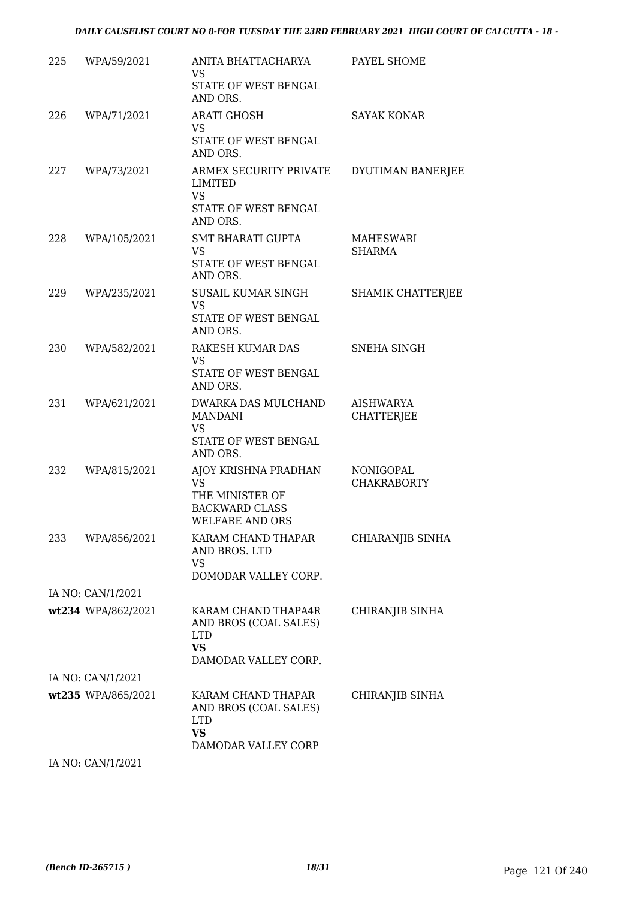| 225 | WPA/59/2021        | ANITA BHATTACHARYA<br><b>VS</b><br>STATE OF WEST BENGAL<br>AND ORS.                                     | PAYEL SHOME                     |
|-----|--------------------|---------------------------------------------------------------------------------------------------------|---------------------------------|
| 226 | WPA/71/2021        | <b>ARATI GHOSH</b><br>VS<br>STATE OF WEST BENGAL<br>AND ORS.                                            | <b>SAYAK KONAR</b>              |
| 227 | WPA/73/2021        | ARMEX SECURITY PRIVATE<br>LIMITED<br><b>VS</b><br>STATE OF WEST BENGAL                                  | DYUTIMAN BANERJEE               |
| 228 | WPA/105/2021       | AND ORS.<br><b>SMT BHARATI GUPTA</b><br>VS<br>STATE OF WEST BENGAL<br>AND ORS.                          | <b>MAHESWARI</b><br>SHARMA      |
| 229 | WPA/235/2021       | SUSAIL KUMAR SINGH<br><b>VS</b><br>STATE OF WEST BENGAL<br>AND ORS.                                     | <b>SHAMIK CHATTERJEE</b>        |
| 230 | WPA/582/2021       | RAKESH KUMAR DAS<br><b>VS</b><br>STATE OF WEST BENGAL<br>AND ORS.                                       | <b>SNEHA SINGH</b>              |
| 231 | WPA/621/2021       | DWARKA DAS MULCHAND<br><b>MANDANI</b><br><b>VS</b><br>STATE OF WEST BENGAL<br>AND ORS.                  | AISHWARYA<br><b>CHATTERJEE</b>  |
| 232 | WPA/815/2021       | AJOY KRISHNA PRADHAN<br><b>VS</b><br>THE MINISTER OF<br><b>BACKWARD CLASS</b><br><b>WELFARE AND ORS</b> | NONIGOPAL<br><b>CHAKRABORTY</b> |
| 233 | WPA/856/2021       | KARAM CHAND THAPAR<br>AND BROS. LTD<br>VS<br>DOMODAR VALLEY CORP.                                       | CHIARANJIB SINHA                |
|     | IA NO: CAN/1/2021  |                                                                                                         |                                 |
|     | wt234 WPA/862/2021 | KARAM CHAND THAPA4R<br>AND BROS (COAL SALES)<br><b>LTD</b><br><b>VS</b><br>DAMODAR VALLEY CORP.         | CHIRANJIB SINHA                 |
|     | IA NO: CAN/1/2021  |                                                                                                         |                                 |
|     | wt235 WPA/865/2021 | KARAM CHAND THAPAR<br>AND BROS (COAL SALES)<br><b>LTD</b><br><b>VS</b><br>DAMODAR VALLEY CORP           | CHIRANJIB SINHA                 |
|     |                    |                                                                                                         |                                 |

IA NO: CAN/1/2021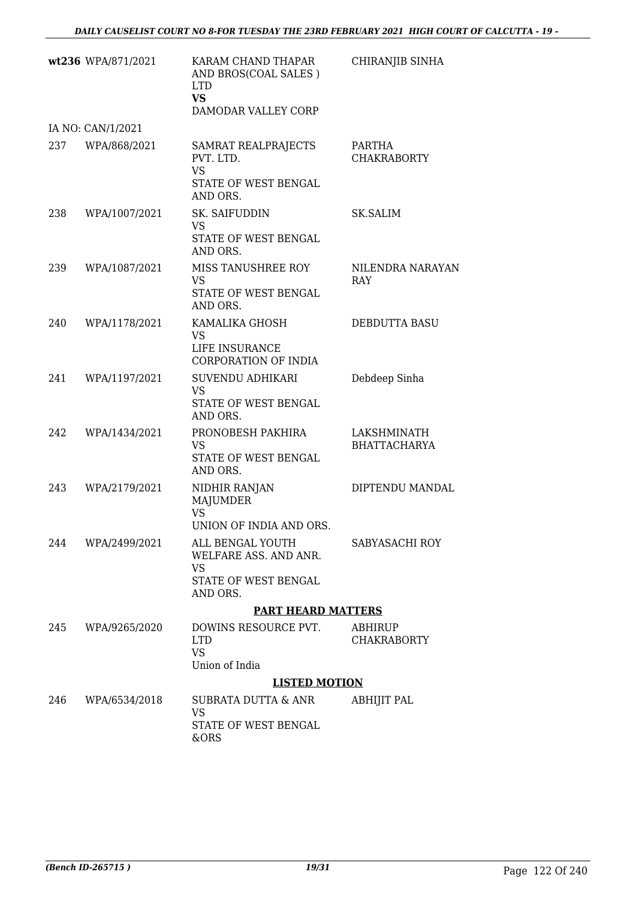|     | wt236 WPA/871/2021 | KARAM CHAND THAPAR<br>AND BROS(COAL SALES)<br><b>LTD</b><br><b>VS</b><br>DAMODAR VALLEY CORP | CHIRANJIB SINHA                    |
|-----|--------------------|----------------------------------------------------------------------------------------------|------------------------------------|
|     | IA NO: CAN/1/2021  |                                                                                              |                                    |
| 237 | WPA/868/2021       | SAMRAT REALPRAJECTS<br>PVT. LTD.<br><b>VS</b><br>STATE OF WEST BENGAL<br>AND ORS.            | PARTHA<br><b>CHAKRABORTY</b>       |
| 238 | WPA/1007/2021      | SK. SAIFUDDIN<br><b>VS</b><br>STATE OF WEST BENGAL<br>AND ORS.                               | SK.SALIM                           |
| 239 | WPA/1087/2021      | MISS TANUSHREE ROY<br>VS<br>STATE OF WEST BENGAL<br>AND ORS.                                 | NILENDRA NARAYAN<br>RAY            |
| 240 | WPA/1178/2021      | KAMALIKA GHOSH<br>VS<br>LIFE INSURANCE<br><b>CORPORATION OF INDIA</b>                        | DEBDUTTA BASU                      |
| 241 | WPA/1197/2021      | SUVENDU ADHIKARI<br>VS<br>STATE OF WEST BENGAL<br>AND ORS.                                   | Debdeep Sinha                      |
| 242 | WPA/1434/2021      | PRONOBESH PAKHIRA<br>VS<br>STATE OF WEST BENGAL<br>AND ORS.                                  | LAKSHMINATH<br><b>BHATTACHARYA</b> |
| 243 | WPA/2179/2021      | NIDHIR RANJAN<br>MAJUMDER<br><b>VS</b><br>UNION OF INDIA AND ORS                             | DIPTENDU MANDAL                    |
|     | 244 WPA/2499/2021  | ALL BENGAL YOUTH<br>WELFARE ASS. AND ANR.<br>VS.<br>STATE OF WEST BENGAL<br>AND ORS.         | SABYASACHI ROY                     |
|     |                    | <b>PART HEARD MATTERS</b>                                                                    |                                    |
| 245 | WPA/9265/2020      | DOWINS RESOURCE PVT.<br><b>LTD</b><br><b>VS</b><br>Union of India                            | ABHIRUP<br><b>CHAKRABORTY</b>      |
|     |                    | <b>LISTED MOTION</b>                                                                         |                                    |
| 246 | WPA/6534/2018      | SUBRATA DUTTA & ANR<br>VS<br>STATE OF WEST BENGAL<br>&ORS                                    | <b>ABHIJIT PAL</b>                 |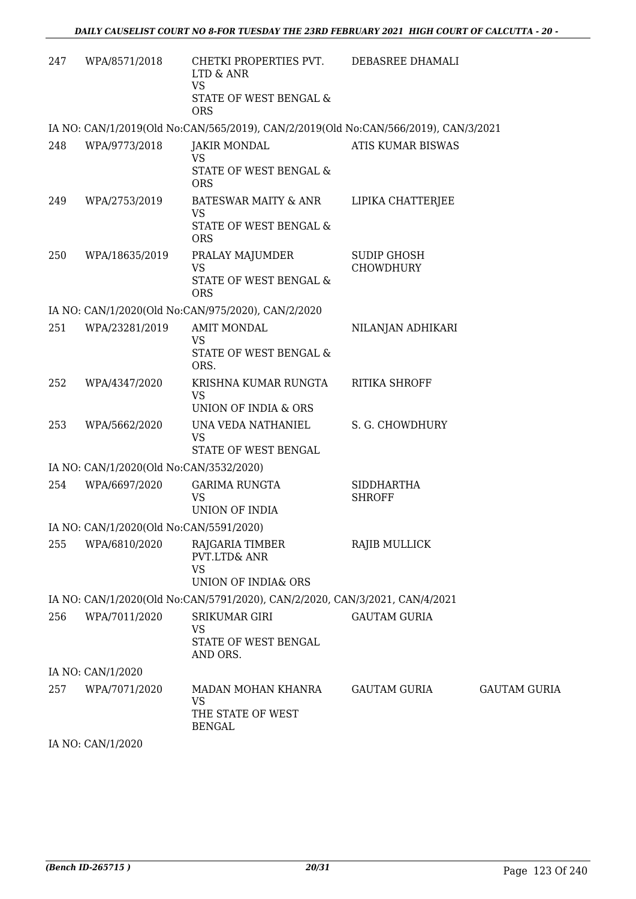| 247 | WPA/8571/2018                           | CHETKI PROPERTIES PVT.<br>LTD & ANR<br><b>VS</b><br>STATE OF WEST BENGAL &                        | DEBASREE DHAMALI                       |                     |
|-----|-----------------------------------------|---------------------------------------------------------------------------------------------------|----------------------------------------|---------------------|
|     |                                         | <b>ORS</b><br>IA NO: CAN/1/2019(Old No:CAN/565/2019), CAN/2/2019(Old No:CAN/566/2019), CAN/3/2021 |                                        |                     |
| 248 | WPA/9773/2018                           | <b>JAKIR MONDAL</b><br><b>VS</b><br><b>STATE OF WEST BENGAL &amp;</b><br><b>ORS</b>               | ATIS KUMAR BISWAS                      |                     |
| 249 | WPA/2753/2019                           | <b>BATESWAR MAITY &amp; ANR</b><br><b>VS</b><br>STATE OF WEST BENGAL &<br><b>ORS</b>              | LIPIKA CHATTERJEE                      |                     |
| 250 | WPA/18635/2019                          | PRALAY MAJUMDER<br><b>VS</b><br>STATE OF WEST BENGAL &<br><b>ORS</b>                              | <b>SUDIP GHOSH</b><br><b>CHOWDHURY</b> |                     |
|     |                                         | IA NO: CAN/1/2020(Old No:CAN/975/2020), CAN/2/2020                                                |                                        |                     |
| 251 | WPA/23281/2019                          | <b>AMIT MONDAL</b><br><b>VS</b><br>STATE OF WEST BENGAL &<br>ORS.                                 | NILANJAN ADHIKARI                      |                     |
| 252 | WPA/4347/2020                           | KRISHNA KUMAR RUNGTA<br><b>VS</b><br>UNION OF INDIA & ORS                                         | RITIKA SHROFF                          |                     |
| 253 | WPA/5662/2020                           | UNA VEDA NATHANIEL<br><b>VS</b><br>STATE OF WEST BENGAL                                           | S. G. CHOWDHURY                        |                     |
|     | IA NO: CAN/1/2020(Old No:CAN/3532/2020) |                                                                                                   |                                        |                     |
| 254 | WPA/6697/2020                           | <b>GARIMA RUNGTA</b><br>VS<br>UNION OF INDIA                                                      | <b>SIDDHARTHA</b><br><b>SHROFF</b>     |                     |
|     | IA NO: CAN/1/2020(Old No:CAN/5591/2020) |                                                                                                   |                                        |                     |
| 255 | WPA/6810/2020                           | RAJGARIA TIMBER<br>PVT.LTD& ANR<br><b>VS</b><br>UNION OF INDIA& ORS                               | RAJIB MULLICK                          |                     |
|     |                                         | IA NO: CAN/1/2020(Old No:CAN/5791/2020), CAN/2/2020, CAN/3/2021, CAN/4/2021                       |                                        |                     |
| 256 | WPA/7011/2020                           | SRIKUMAR GIRI<br><b>VS</b><br>STATE OF WEST BENGAL<br>AND ORS.                                    | <b>GAUTAM GURIA</b>                    |                     |
|     | IA NO: CAN/1/2020                       |                                                                                                   |                                        |                     |
| 257 | WPA/7071/2020                           | MADAN MOHAN KHANRA<br>VS<br>THE STATE OF WEST<br><b>BENGAL</b>                                    | GAUTAM GURIA                           | <b>GAUTAM GURIA</b> |
|     |                                         |                                                                                                   |                                        |                     |

IA NO: CAN/1/2020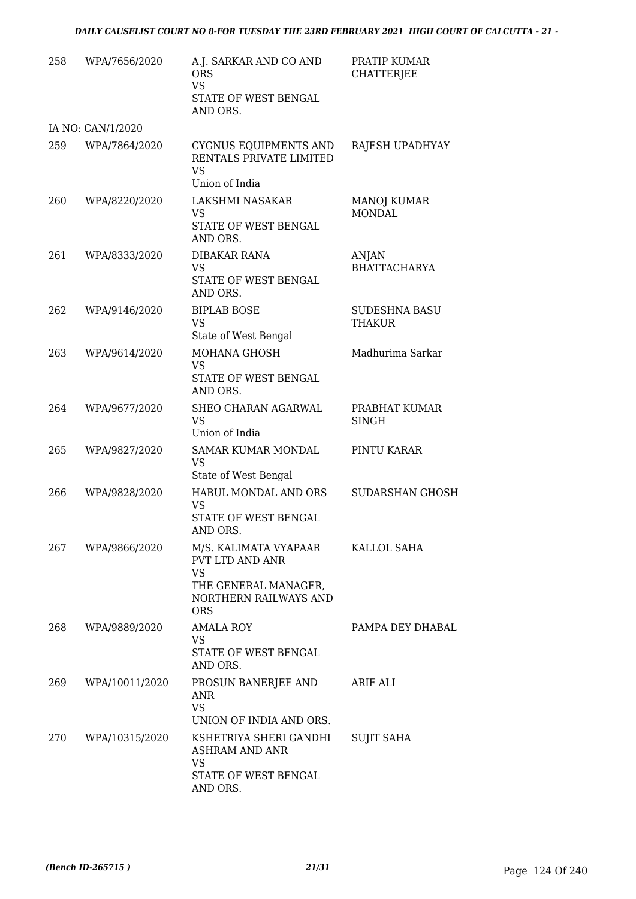| 258 | WPA/7656/2020     | A.J. SARKAR AND CO AND<br><b>ORS</b><br><b>VS</b><br>STATE OF WEST BENGAL<br>AND ORS.                         | PRATIP KUMAR<br><b>CHATTERJEE</b>     |
|-----|-------------------|---------------------------------------------------------------------------------------------------------------|---------------------------------------|
|     | IA NO: CAN/1/2020 |                                                                                                               |                                       |
| 259 | WPA/7864/2020     | CYGNUS EQUIPMENTS AND<br>RENTALS PRIVATE LIMITED<br><b>VS</b><br>Union of India                               | RAJESH UPADHYAY                       |
| 260 | WPA/8220/2020     | LAKSHMI NASAKAR<br>VS<br>STATE OF WEST BENGAL<br>AND ORS.                                                     | MANOJ KUMAR<br><b>MONDAL</b>          |
| 261 | WPA/8333/2020     | <b>DIBAKAR RANA</b><br>VS<br>STATE OF WEST BENGAL<br>AND ORS.                                                 | ANJAN<br><b>BHATTACHARYA</b>          |
| 262 | WPA/9146/2020     | <b>BIPLAB BOSE</b><br><b>VS</b><br>State of West Bengal                                                       | <b>SUDESHNA BASU</b><br><b>THAKUR</b> |
| 263 | WPA/9614/2020     | MOHANA GHOSH<br><b>VS</b><br>STATE OF WEST BENGAL<br>AND ORS.                                                 | Madhurima Sarkar                      |
| 264 | WPA/9677/2020     | SHEO CHARAN AGARWAL<br><b>VS</b><br>Union of India                                                            | PRABHAT KUMAR<br><b>SINGH</b>         |
| 265 | WPA/9827/2020     | SAMAR KUMAR MONDAL<br><b>VS</b><br>State of West Bengal                                                       | PINTU KARAR                           |
| 266 | WPA/9828/2020     | HABUL MONDAL AND ORS<br>VS<br>STATE OF WEST BENGAL<br>AND ORS.                                                | <b>SUDARSHAN GHOSH</b>                |
| 267 | WPA/9866/2020     | M/S. KALIMATA VYAPAAR<br>PVT LTD AND ANR<br>VS<br>THE GENERAL MANAGER,<br>NORTHERN RAILWAYS AND<br><b>ORS</b> | KALLOL SAHA                           |
| 268 | WPA/9889/2020     | <b>AMALA ROY</b><br>VS<br>STATE OF WEST BENGAL<br>AND ORS.                                                    | PAMPA DEY DHABAL                      |
| 269 | WPA/10011/2020    | PROSUN BANERJEE AND<br>ANR<br><b>VS</b><br>UNION OF INDIA AND ORS.                                            | ARIF ALI                              |
| 270 | WPA/10315/2020    | KSHETRIYA SHERI GANDHI<br><b>ASHRAM AND ANR</b><br>VS<br>STATE OF WEST BENGAL<br>AND ORS.                     | <b>SUJIT SAHA</b>                     |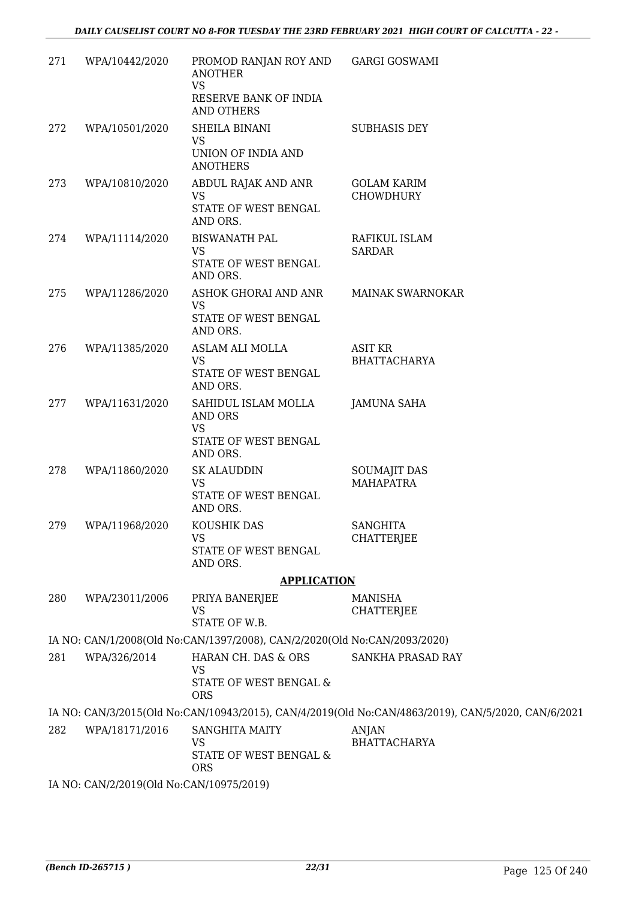| 271 | WPA/10442/2020                           | PROMOD RANJAN ROY AND<br><b>ANOTHER</b><br><b>VS</b><br>RESERVE BANK OF INDIA<br>AND OTHERS | <b>GARGI GOSWAMI</b>                                                                               |
|-----|------------------------------------------|---------------------------------------------------------------------------------------------|----------------------------------------------------------------------------------------------------|
| 272 | WPA/10501/2020                           | SHEILA BINANI<br><b>VS</b><br>UNION OF INDIA AND                                            | <b>SUBHASIS DEY</b>                                                                                |
|     |                                          | <b>ANOTHERS</b>                                                                             |                                                                                                    |
| 273 | WPA/10810/2020                           | ABDUL RAJAK AND ANR<br><b>VS</b><br>STATE OF WEST BENGAL<br>AND ORS.                        | <b>GOLAM KARIM</b><br><b>CHOWDHURY</b>                                                             |
| 274 | WPA/11114/2020                           | <b>BISWANATH PAL</b><br>VS<br>STATE OF WEST BENGAL<br>AND ORS.                              | RAFIKUL ISLAM<br><b>SARDAR</b>                                                                     |
| 275 | WPA/11286/2020                           | ASHOK GHORAI AND ANR<br><b>VS</b><br>STATE OF WEST BENGAL<br>AND ORS.                       | <b>MAINAK SWARNOKAR</b>                                                                            |
| 276 | WPA/11385/2020                           | ASLAM ALI MOLLA<br>VS.<br>STATE OF WEST BENGAL<br>AND ORS.                                  | <b>ASIT KR</b><br><b>BHATTACHARYA</b>                                                              |
| 277 | WPA/11631/2020                           | SAHIDUL ISLAM MOLLA<br><b>AND ORS</b><br><b>VS</b><br>STATE OF WEST BENGAL<br>AND ORS.      | <b>JAMUNA SAHA</b>                                                                                 |
| 278 | WPA/11860/2020                           | <b>SK ALAUDDIN</b><br>VS<br>STATE OF WEST BENGAL<br>AND ORS.                                | <b>SOUMAJIT DAS</b><br><b>MAHAPATRA</b>                                                            |
| 279 | WPA/11968/2020                           | KOUSHIK DAS<br><b>VS</b><br>STATE OF WEST BENGAL<br>AND ORS.                                | <b>SANGHITA</b><br><b>CHATTERJEE</b>                                                               |
|     |                                          | <b>APPLICATION</b>                                                                          |                                                                                                    |
| 280 | WPA/23011/2006                           | PRIYA BANERJEE<br><b>VS</b><br>STATE OF W.B.                                                | MANISHA<br><b>CHATTERJEE</b>                                                                       |
|     |                                          | IA NO: CAN/1/2008(Old No:CAN/1397/2008), CAN/2/2020(Old No:CAN/2093/2020)                   |                                                                                                    |
| 281 | WPA/326/2014                             | HARAN CH. DAS & ORS<br><b>VS</b><br>STATE OF WEST BENGAL &<br><b>ORS</b>                    | SANKHA PRASAD RAY                                                                                  |
|     |                                          |                                                                                             | IA NO: CAN/3/2015(Old No:CAN/10943/2015), CAN/4/2019(Old No:CAN/4863/2019), CAN/5/2020, CAN/6/2021 |
| 282 | WPA/18171/2016                           | <b>SANGHITA MAITY</b><br><b>VS</b><br>STATE OF WEST BENGAL &<br><b>ORS</b>                  | ANJAN<br><b>BHATTACHARYA</b>                                                                       |
|     | IA NO: CAN/2/2019(Old No:CAN/10975/2019) |                                                                                             |                                                                                                    |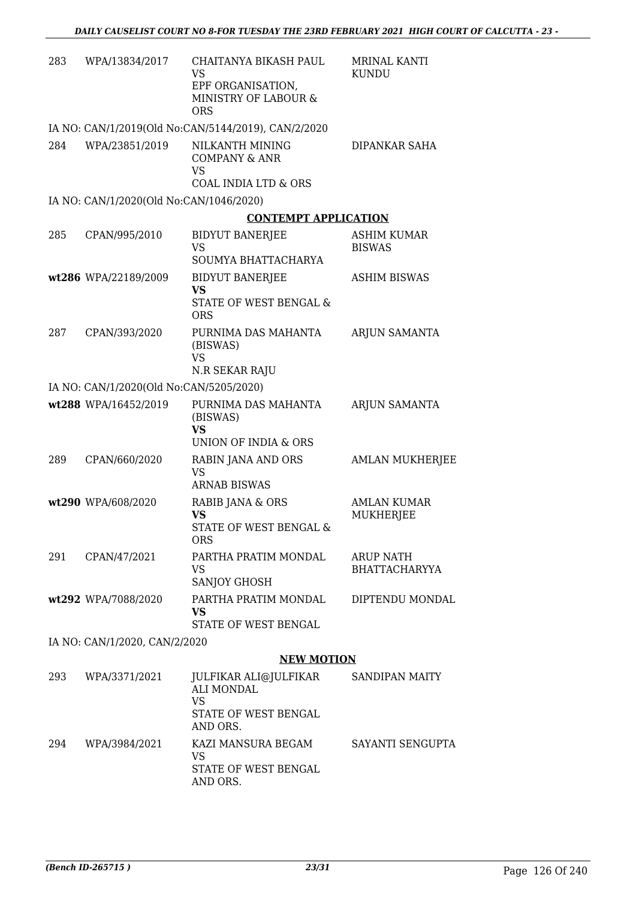| 283 | WPA/13834/2017                          | CHAITANYA BIKASH PAUL<br>VS<br>EPF ORGANISATION,<br>MINISTRY OF LABOUR &<br><b>ORS</b>      | <b>MRINAL KANTI</b><br><b>KUNDU</b> |
|-----|-----------------------------------------|---------------------------------------------------------------------------------------------|-------------------------------------|
|     |                                         | IA NO: CAN/1/2019(Old No:CAN/5144/2019), CAN/2/2020                                         |                                     |
| 284 | WPA/23851/2019                          | NILKANTH MINING<br><b>COMPANY &amp; ANR</b><br><b>VS</b><br><b>COAL INDIA LTD &amp; ORS</b> | DIPANKAR SAHA                       |
|     | IA NO: CAN/1/2020(Old No:CAN/1046/2020) |                                                                                             |                                     |
|     |                                         | <b>CONTEMPT APPLICATION</b>                                                                 |                                     |
| 285 | CPAN/995/2010                           | <b>BIDYUT BANERJEE</b><br><b>VS</b>                                                         | <b>ASHIM KUMAR</b><br><b>BISWAS</b> |
|     | wt286 WPA/22189/2009                    | SOUMYA BHATTACHARYA                                                                         | <b>ASHIM BISWAS</b>                 |
|     |                                         | <b>BIDYUT BANERJEE</b><br><b>VS</b><br>STATE OF WEST BENGAL &<br><b>ORS</b>                 |                                     |
| 287 | CPAN/393/2020                           | PURNIMA DAS MAHANTA<br>(BISWAS)<br><b>VS</b>                                                | ARJUN SAMANTA                       |
|     |                                         | N.R SEKAR RAJU                                                                              |                                     |
|     | IA NO: CAN/1/2020(Old No:CAN/5205/2020) |                                                                                             |                                     |
|     | wt288 WPA/16452/2019                    | PURNIMA DAS MAHANTA<br>(BISWAS)<br><b>VS</b><br>UNION OF INDIA & ORS                        | ARJUN SAMANTA                       |
| 289 | CPAN/660/2020                           | RABIN JANA AND ORS                                                                          | <b>AMLAN MUKHERJEE</b>              |
|     |                                         | <b>VS</b><br><b>ARNAB BISWAS</b>                                                            |                                     |
|     | wt290 WPA/608/2020                      | RABIB JANA & ORS<br><b>VS</b><br>STATE OF WEST BENGAL &<br><b>ORS</b>                       | AMLAN KUMAR<br><b>MUKHERJEE</b>     |
| 291 | CPAN/47/2021                            | PARTHA PRATIM MONDAL<br>VS<br><b>SANJOY GHOSH</b>                                           | ARUP NATH<br><b>BHATTACHARYYA</b>   |
|     | wt292 WPA/7088/2020                     | PARTHA PRATIM MONDAL<br><b>VS</b><br>STATE OF WEST BENGAL                                   | DIPTENDU MONDAL                     |
|     | IA NO: CAN/1/2020, CAN/2/2020           |                                                                                             |                                     |
|     |                                         | <b>NEW MOTION</b>                                                                           |                                     |
| 293 | WPA/3371/2021                           | JULFIKAR ALI@JULFIKAR<br><b>ALI MONDAL</b><br><b>VS</b><br>STATE OF WEST BENGAL<br>AND ORS. | <b>SANDIPAN MAITY</b>               |
| 294 | WPA/3984/2021                           | KAZI MANSURA BEGAM<br><b>VS</b><br>STATE OF WEST BENGAL<br>AND ORS.                         | SAYANTI SENGUPTA                    |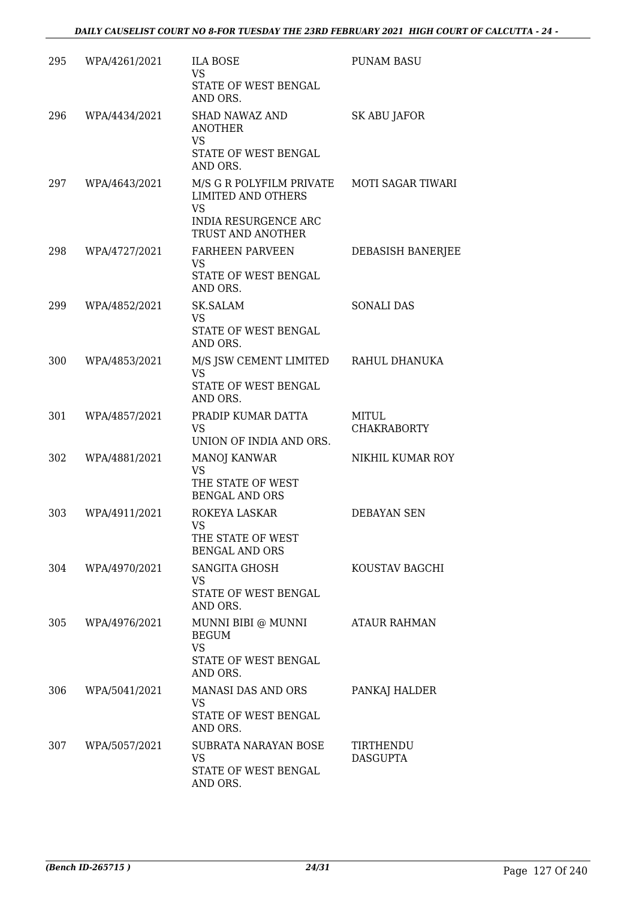| 295 | WPA/4261/2021 | <b>ILA BOSE</b><br><b>VS</b><br>STATE OF WEST BENGAL<br>AND ORS.                                                                         | <b>PUNAM BASU</b>            |
|-----|---------------|------------------------------------------------------------------------------------------------------------------------------------------|------------------------------|
| 296 | WPA/4434/2021 | SHAD NAWAZ AND<br><b>ANOTHER</b><br><b>VS</b><br>STATE OF WEST BENGAL<br>AND ORS.                                                        | SK ABU JAFOR                 |
| 297 | WPA/4643/2021 | M/S G R POLYFILM PRIVATE MOTI SAGAR TIWARI<br><b>LIMITED AND OTHERS</b><br><b>VS</b><br><b>INDIA RESURGENCE ARC</b><br>TRUST AND ANOTHER |                              |
| 298 | WPA/4727/2021 | FARHEEN PARVEEN<br>VS<br>STATE OF WEST BENGAL<br>AND ORS.                                                                                | DEBASISH BANERJEE            |
| 299 | WPA/4852/2021 | SK.SALAM<br>VS<br>STATE OF WEST BENGAL<br>AND ORS.                                                                                       | <b>SONALI DAS</b>            |
| 300 | WPA/4853/2021 | M/S JSW CEMENT LIMITED RAHUL DHANUKA<br><b>VS</b><br>STATE OF WEST BENGAL<br>AND ORS.                                                    |                              |
| 301 | WPA/4857/2021 | PRADIP KUMAR DATTA<br>VS<br>UNION OF INDIA AND ORS.                                                                                      | MITUL<br><b>CHAKRABORTY</b>  |
| 302 | WPA/4881/2021 | MANOJ KANWAR<br><b>VS</b><br>THE STATE OF WEST<br><b>BENGAL AND ORS</b>                                                                  | NIKHIL KUMAR ROY             |
| 303 | WPA/4911/2021 | ROKEYA LASKAR<br>VS<br>THE STATE OF WEST<br><b>BENGAL AND ORS</b>                                                                        | <b>DEBAYAN SEN</b>           |
| 304 | WPA/4970/2021 | <b>SANGITA GHOSH</b><br>VS<br>STATE OF WEST BENGAL<br>AND ORS.                                                                           | KOUSTAV BAGCHI               |
| 305 | WPA/4976/2021 | MUNNI BIBI @ MUNNI<br><b>BEGUM</b><br><b>VS</b><br>STATE OF WEST BENGAL<br>AND ORS.                                                      | <b>ATAUR RAHMAN</b>          |
| 306 | WPA/5041/2021 | MANASI DAS AND ORS<br>VS.<br>STATE OF WEST BENGAL<br>AND ORS.                                                                            | PANKAJ HALDER                |
| 307 | WPA/5057/2021 | SUBRATA NARAYAN BOSE<br>VS<br>STATE OF WEST BENGAL<br>AND ORS.                                                                           | TIRTHENDU<br><b>DASGUPTA</b> |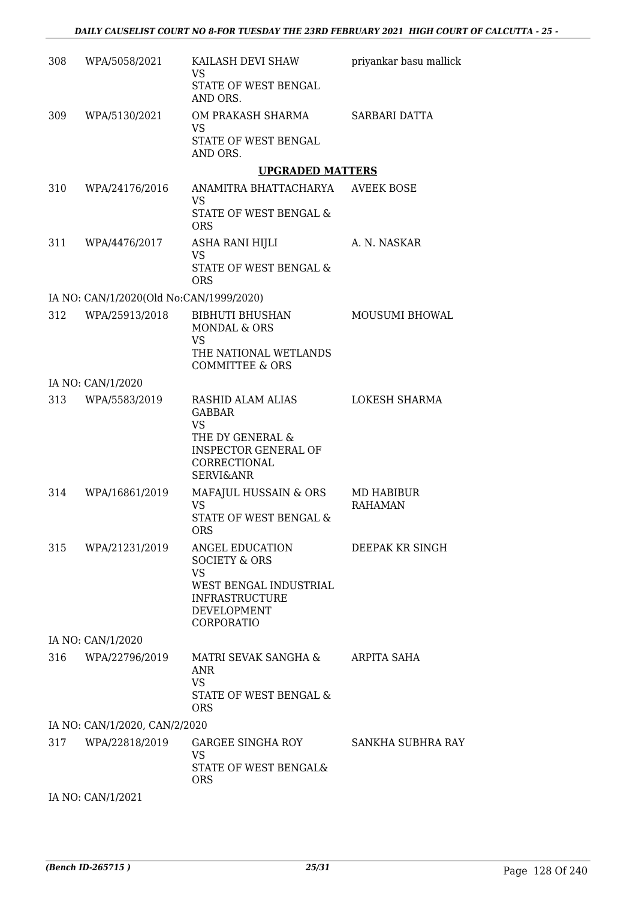| 308 | WPA/5058/2021                           | KAILASH DEVI SHAW<br>VS                                                                                                                    | priyankar basu mallick              |
|-----|-----------------------------------------|--------------------------------------------------------------------------------------------------------------------------------------------|-------------------------------------|
|     |                                         | STATE OF WEST BENGAL<br>AND ORS.                                                                                                           |                                     |
| 309 | WPA/5130/2021                           | OM PRAKASH SHARMA                                                                                                                          | SARBARI DATTA                       |
|     |                                         | VS<br>STATE OF WEST BENGAL<br>AND ORS.                                                                                                     |                                     |
|     |                                         | <b>UPGRADED MATTERS</b>                                                                                                                    |                                     |
| 310 | WPA/24176/2016                          | ANAMITRA BHATTACHARYA<br>VS                                                                                                                | <b>AVEEK BOSE</b>                   |
|     |                                         | STATE OF WEST BENGAL &<br><b>ORS</b>                                                                                                       |                                     |
| 311 | WPA/4476/2017                           | ASHA RANI HIJLI<br><b>VS</b>                                                                                                               | A. N. NASKAR                        |
|     |                                         | <b>STATE OF WEST BENGAL &amp;</b><br><b>ORS</b>                                                                                            |                                     |
|     | IA NO: CAN/1/2020(Old No:CAN/1999/2020) |                                                                                                                                            |                                     |
| 312 | WPA/25913/2018                          | <b>BIBHUTI BHUSHAN</b><br>MONDAL & ORS<br><b>VS</b>                                                                                        | MOUSUMI BHOWAL                      |
|     |                                         | THE NATIONAL WETLANDS<br><b>COMMITTEE &amp; ORS</b>                                                                                        |                                     |
|     | IA NO: CAN/1/2020                       |                                                                                                                                            |                                     |
| 313 | WPA/5583/2019                           | RASHID ALAM ALIAS<br><b>GABBAR</b><br><b>VS</b><br>THE DY GENERAL &<br><b>INSPECTOR GENERAL OF</b><br>CORRECTIONAL<br><b>SERVI&amp;ANR</b> | LOKESH SHARMA                       |
| 314 | WPA/16861/2019                          | MAFAJUL HUSSAIN & ORS<br><b>VS</b><br>STATE OF WEST BENGAL &<br><b>ORS</b>                                                                 | <b>MD HABIBUR</b><br><b>RAHAMAN</b> |
| 315 | WPA/21231/2019                          | ANGEL EDUCATION<br><b>SOCIETY &amp; ORS</b><br><b>VS</b><br>WEST BENGAL INDUSTRIAL<br><b>INFRASTRUCTURE</b><br>DEVELOPMENT<br>CORPORATIO   | DEEPAK KR SINGH                     |
|     | IA NO: CAN/1/2020                       |                                                                                                                                            |                                     |
| 316 | WPA/22796/2019                          | MATRI SEVAK SANGHA &<br><b>ANR</b><br><b>VS</b><br>STATE OF WEST BENGAL &<br><b>ORS</b>                                                    | ARPITA SAHA                         |
|     | IA NO: CAN/1/2020, CAN/2/2020           |                                                                                                                                            |                                     |
| 317 | WPA/22818/2019                          | GARGEE SINGHA ROY<br>VS<br>STATE OF WEST BENGAL&<br><b>ORS</b>                                                                             | SANKHA SUBHRA RAY                   |
|     |                                         |                                                                                                                                            |                                     |

IA NO: CAN/1/2021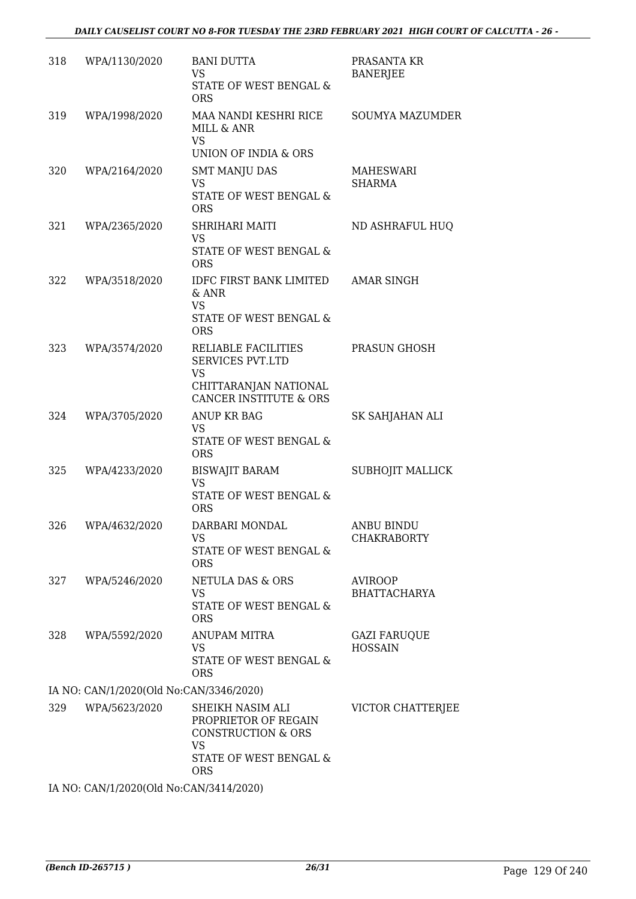| 318 | WPA/1130/2020                           | <b>BANI DUTTA</b><br><b>VS</b><br>STATE OF WEST BENGAL &<br><b>ORS</b>                                                  | PRASANTA KR<br><b>BANERJEE</b>        |
|-----|-----------------------------------------|-------------------------------------------------------------------------------------------------------------------------|---------------------------------------|
| 319 | WPA/1998/2020                           | MAA NANDI KESHRI RICE<br>MILL & ANR<br>VS                                                                               | <b>SOUMYA MAZUMDER</b>                |
| 320 | WPA/2164/2020                           | UNION OF INDIA & ORS<br><b>SMT MANJU DAS</b><br><b>VS</b><br>STATE OF WEST BENGAL &<br><b>ORS</b>                       | MAHESWARI<br><b>SHARMA</b>            |
| 321 | WPA/2365/2020                           | SHRIHARI MAITI<br><b>VS</b><br>STATE OF WEST BENGAL &<br><b>ORS</b>                                                     | ND ASHRAFUL HUQ                       |
| 322 | WPA/3518/2020                           | IDFC FIRST BANK LIMITED<br>$&$ ANR<br><b>VS</b><br>STATE OF WEST BENGAL &<br><b>ORS</b>                                 | <b>AMAR SINGH</b>                     |
| 323 | WPA/3574/2020                           | RELIABLE FACILITIES<br><b>SERVICES PVT.LTD</b><br>VS<br>CHITTARANJAN NATIONAL<br>CANCER INSTITUTE & ORS                 | PRASUN GHOSH                          |
| 324 | WPA/3705/2020                           | ANUP KR BAG<br><b>VS</b><br>STATE OF WEST BENGAL &<br><b>ORS</b>                                                        | SK SAHJAHAN ALI                       |
| 325 | WPA/4233/2020                           | <b>BISWAJIT BARAM</b><br><b>VS</b><br>STATE OF WEST BENGAL &<br><b>ORS</b>                                              | SUBHOJIT MALLICK                      |
| 326 | WPA/4632/2020                           | DARBARI MONDAL<br>VS<br>STATE OF WEST BENGAL &<br><b>ORS</b>                                                            | ANBU BINDU<br><b>CHAKRABORTY</b>      |
| 327 | WPA/5246/2020                           | <b>NETULA DAS &amp; ORS</b><br>VS<br>STATE OF WEST BENGAL &<br><b>ORS</b>                                               | <b>AVIROOP</b><br><b>BHATTACHARYA</b> |
| 328 | WPA/5592/2020                           | <b>ANUPAM MITRA</b><br>VS<br>STATE OF WEST BENGAL &<br><b>ORS</b>                                                       | <b>GAZI FARUQUE</b><br><b>HOSSAIN</b> |
|     | IA NO: CAN/1/2020(Old No:CAN/3346/2020) |                                                                                                                         |                                       |
| 329 | WPA/5623/2020                           | SHEIKH NASIM ALI<br>PROPRIETOR OF REGAIN<br><b>CONSTRUCTION &amp; ORS</b><br><b>VS</b><br>STATE OF WEST BENGAL &<br>ORS | VICTOR CHATTERJEE                     |
|     | IA NO CANIH PRODUCT No CANTRAL HOOD     |                                                                                                                         |                                       |

IA NO: CAN/1/2020(Old No:CAN/3414/2020)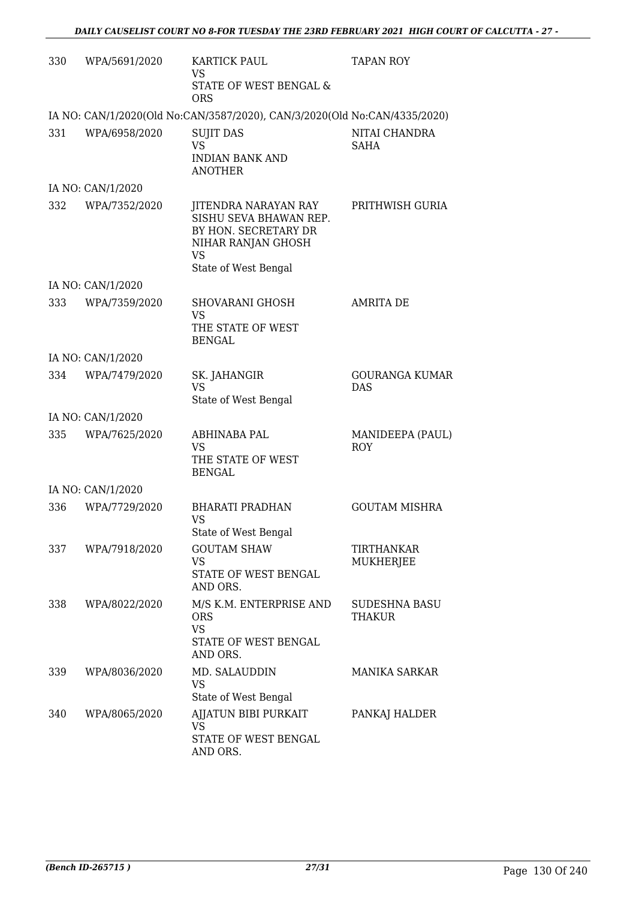| 330 | WPA/5691/2020     | KARTICK PAUL<br><b>VS</b><br>STATE OF WEST BENGAL &                                                                               | <b>TAPAN ROY</b>                    |
|-----|-------------------|-----------------------------------------------------------------------------------------------------------------------------------|-------------------------------------|
|     |                   | <b>ORS</b>                                                                                                                        |                                     |
|     |                   | IA NO: CAN/1/2020(Old No:CAN/3587/2020), CAN/3/2020(Old No:CAN/4335/2020)                                                         |                                     |
| 331 | WPA/6958/2020     | <b>SUJIT DAS</b><br><b>VS</b><br><b>INDIAN BANK AND</b><br><b>ANOTHER</b>                                                         | NITAI CHANDRA<br>SAHA               |
|     | IA NO: CAN/1/2020 |                                                                                                                                   |                                     |
| 332 | WPA/7352/2020     | JITENDRA NARAYAN RAY<br>SISHU SEVA BHAWAN REP.<br>BY HON. SECRETARY DR<br>NIHAR RANJAN GHOSH<br><b>VS</b><br>State of West Bengal | PRITHWISH GURIA                     |
|     | IA NO: CAN/1/2020 |                                                                                                                                   |                                     |
| 333 | WPA/7359/2020     | SHOVARANI GHOSH<br><b>VS</b><br>THE STATE OF WEST<br><b>BENGAL</b>                                                                | <b>AMRITA DE</b>                    |
|     | IA NO: CAN/1/2020 |                                                                                                                                   |                                     |
| 334 | WPA/7479/2020     | SK. JAHANGIR<br><b>VS</b><br>State of West Bengal                                                                                 | <b>GOURANGA KUMAR</b><br><b>DAS</b> |
|     | IA NO: CAN/1/2020 |                                                                                                                                   |                                     |
| 335 | WPA/7625/2020     | ABHINABA PAL<br>VS<br>THE STATE OF WEST<br><b>BENGAL</b>                                                                          | MANIDEEPA (PAUL)<br><b>ROY</b>      |
|     | IA NO: CAN/1/2020 |                                                                                                                                   |                                     |
| 336 | WPA/7729/2020     | <b>BHARATI PRADHAN</b><br>VS<br>State of West Bengal                                                                              | <b>GOUTAM MISHRA</b>                |
| 337 | WPA/7918/2020     | <b>GOUTAM SHAW</b><br>VS<br>STATE OF WEST BENGAL<br>AND ORS.                                                                      | TIRTHANKAR<br>MUKHERJEE             |
| 338 | WPA/8022/2020     | M/S K.M. ENTERPRISE AND<br><b>ORS</b><br><b>VS</b><br>STATE OF WEST BENGAL<br>AND ORS.                                            | SUDESHNA BASU<br>THAKUR             |
| 339 | WPA/8036/2020     | MD. SALAUDDIN<br>VS<br>State of West Bengal                                                                                       | MANIKA SARKAR                       |
| 340 | WPA/8065/2020     | AJJATUN BIBI PURKAIT<br>VS<br>STATE OF WEST BENGAL<br>AND ORS.                                                                    | PANKAJ HALDER                       |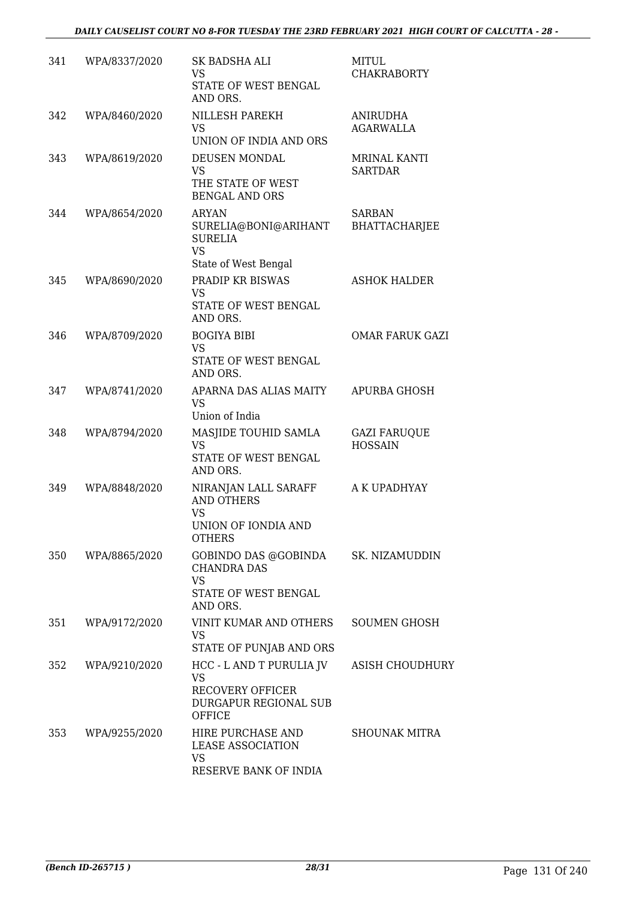| 341 | WPA/8337/2020 | SK BADSHA ALI<br><b>VS</b><br>STATE OF WEST BENGAL<br>AND ORS.                                      | <b>MITUL</b><br><b>CHAKRABORTY</b>    |
|-----|---------------|-----------------------------------------------------------------------------------------------------|---------------------------------------|
| 342 | WPA/8460/2020 | <b>NILLESH PAREKH</b><br><b>VS</b><br>UNION OF INDIA AND ORS                                        | <b>ANIRUDHA</b><br><b>AGARWALLA</b>   |
| 343 | WPA/8619/2020 | DEUSEN MONDAL<br><b>VS</b><br>THE STATE OF WEST<br><b>BENGAL AND ORS</b>                            | <b>MRINAL KANTI</b><br><b>SARTDAR</b> |
| 344 | WPA/8654/2020 | <b>ARYAN</b><br>SURELIA@BONI@ARIHANT<br><b>SURELIA</b><br><b>VS</b><br>State of West Bengal         | <b>SARBAN</b><br>BHATTACHARJEE        |
| 345 | WPA/8690/2020 | PRADIP KR BISWAS<br>VS<br>STATE OF WEST BENGAL<br>AND ORS.                                          | <b>ASHOK HALDER</b>                   |
| 346 | WPA/8709/2020 | <b>BOGIYA BIBI</b><br><b>VS</b><br>STATE OF WEST BENGAL<br>AND ORS.                                 | <b>OMAR FARUK GAZI</b>                |
| 347 | WPA/8741/2020 | APARNA DAS ALIAS MAITY<br><b>VS</b><br>Union of India                                               | APURBA GHOSH                          |
| 348 | WPA/8794/2020 | MASJIDE TOUHID SAMLA<br><b>VS</b><br>STATE OF WEST BENGAL<br>AND ORS.                               | <b>GAZI FARUQUE</b><br><b>HOSSAIN</b> |
| 349 | WPA/8848/2020 | NIRANJAN LALL SARAFF<br><b>AND OTHERS</b><br><b>VS</b><br>UNION OF IONDIA AND<br><b>OTHERS</b>      | A K UPADHYAY                          |
| 350 | WPA/8865/2020 | GOBINDO DAS @GOBINDA<br><b>CHANDRA DAS</b><br><b>VS</b><br>STATE OF WEST BENGAL<br>AND ORS.         | SK. NIZAMUDDIN                        |
| 351 | WPA/9172/2020 | <b>VINIT KUMAR AND OTHERS</b><br>VS<br>STATE OF PUNJAB AND ORS                                      | <b>SOUMEN GHOSH</b>                   |
| 352 | WPA/9210/2020 | HCC - L AND T PURULIA JV<br><b>VS</b><br><b>RECOVERY OFFICER</b><br>DURGAPUR REGIONAL SUB<br>OFFICE | <b>ASISH CHOUDHURY</b>                |
| 353 | WPA/9255/2020 | HIRE PURCHASE AND<br><b>LEASE ASSOCIATION</b><br><b>VS</b><br>RESERVE BANK OF INDIA                 | <b>SHOUNAK MITRA</b>                  |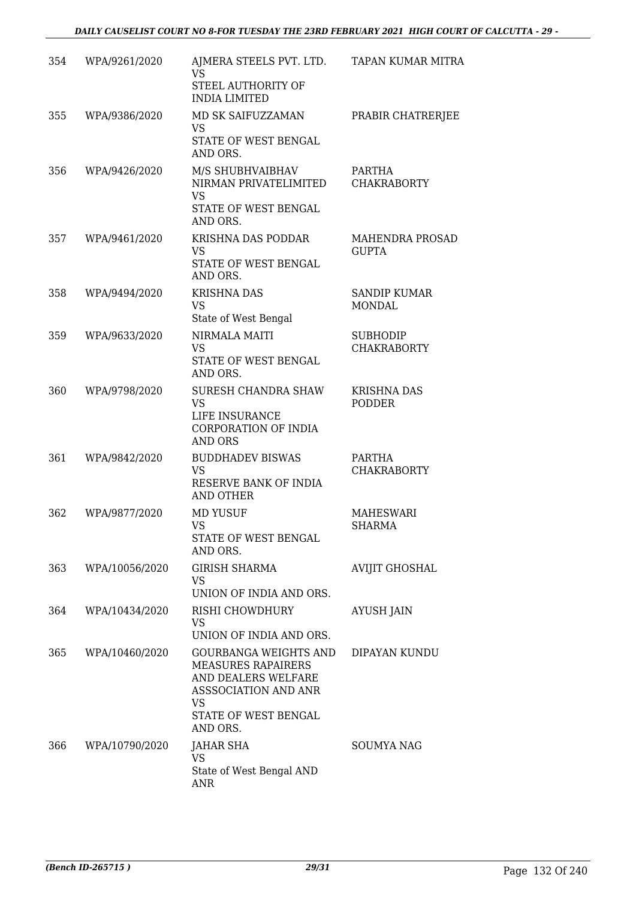| 354 | WPA/9261/2020  | AJMERA STEELS PVT. LTD. TAPAN KUMAR MITRA<br><b>VS</b><br>STEEL AUTHORITY OF<br><b>INDIA LIMITED</b>                                               |                                       |
|-----|----------------|----------------------------------------------------------------------------------------------------------------------------------------------------|---------------------------------------|
| 355 | WPA/9386/2020  | MD SK SAIFUZZAMAN<br>VS<br>STATE OF WEST BENGAL<br>AND ORS.                                                                                        | PRABIR CHATRERJEE                     |
| 356 | WPA/9426/2020  | M/S SHUBHVAIBHAV<br>NIRMAN PRIVATELIMITED<br><b>VS</b><br>STATE OF WEST BENGAL<br>AND ORS.                                                         | PARTHA<br><b>CHAKRABORTY</b>          |
| 357 | WPA/9461/2020  | KRISHNA DAS PODDAR<br><b>VS</b><br>STATE OF WEST BENGAL<br>AND ORS.                                                                                | MAHENDRA PROSAD<br><b>GUPTA</b>       |
| 358 | WPA/9494/2020  | <b>KRISHNA DAS</b><br><b>VS</b><br>State of West Bengal                                                                                            | <b>SANDIP KUMAR</b><br><b>MONDAL</b>  |
| 359 | WPA/9633/2020  | NIRMALA MAITI<br><b>VS</b><br>STATE OF WEST BENGAL<br>AND ORS.                                                                                     | <b>SUBHODIP</b><br><b>CHAKRABORTY</b> |
| 360 | WPA/9798/2020  | SURESH CHANDRA SHAW<br><b>VS</b><br>LIFE INSURANCE<br>CORPORATION OF INDIA<br><b>AND ORS</b>                                                       | <b>KRISHNA DAS</b><br><b>PODDER</b>   |
| 361 | WPA/9842/2020  | <b>BUDDHADEV BISWAS</b><br><b>VS</b><br>RESERVE BANK OF INDIA<br>AND OTHER                                                                         | PARTHA<br><b>CHAKRABORTY</b>          |
| 362 | WPA/9877/2020  | <b>MD YUSUF</b><br>VS<br>STATE OF WEST BENGAL<br>AND ORS.                                                                                          | <b>MAHESWARI</b><br><b>SHARMA</b>     |
| 363 | WPA/10056/2020 | <b>GIRISH SHARMA</b><br>VS<br>UNION OF INDIA AND ORS.                                                                                              | <b>AVIJIT GHOSHAL</b>                 |
| 364 | WPA/10434/2020 | RISHI CHOWDHURY<br>VS<br>UNION OF INDIA AND ORS.                                                                                                   | <b>AYUSH JAIN</b>                     |
| 365 | WPA/10460/2020 | GOURBANGA WEIGHTS AND<br><b>MEASURES RAPAIRERS</b><br>AND DEALERS WELFARE<br>ASSSOCIATION AND ANR<br><b>VS</b><br>STATE OF WEST BENGAL<br>AND ORS. | DIPAYAN KUNDU                         |
| 366 | WPA/10790/2020 | JAHAR SHA<br>VS<br>State of West Bengal AND<br><b>ANR</b>                                                                                          | <b>SOUMYA NAG</b>                     |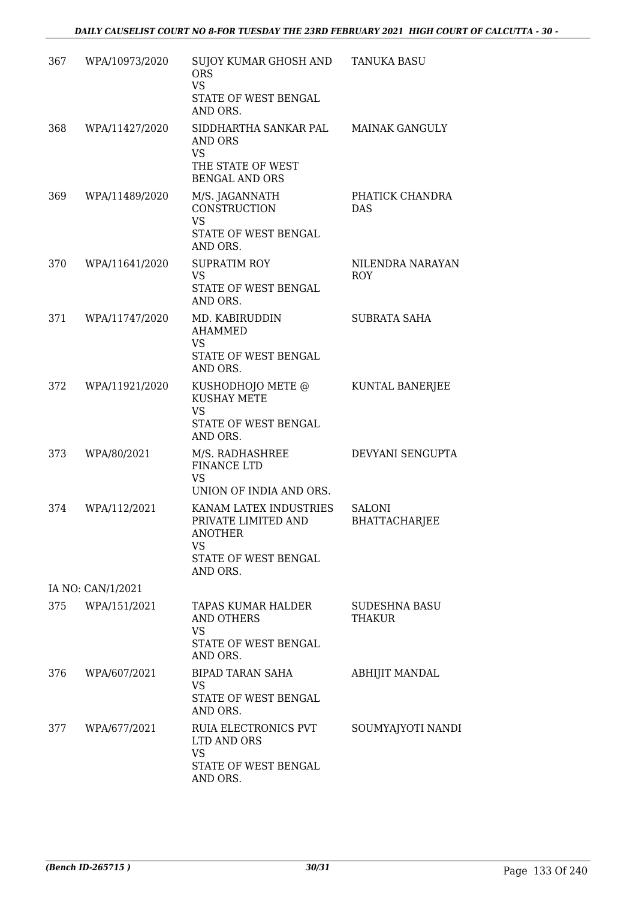| 367 | WPA/10973/2020    | SUJOY KUMAR GHOSH AND<br><b>ORS</b><br><b>VS</b>                                                    | <b>TANUKA BASU</b>                    |
|-----|-------------------|-----------------------------------------------------------------------------------------------------|---------------------------------------|
|     |                   | STATE OF WEST BENGAL<br>AND ORS.                                                                    |                                       |
| 368 | WPA/11427/2020    | SIDDHARTHA SANKAR PAL<br>AND ORS<br><b>VS</b><br>THE STATE OF WEST<br><b>BENGAL AND ORS</b>         | <b>MAINAK GANGULY</b>                 |
| 369 | WPA/11489/2020    | M/S. JAGANNATH<br><b>CONSTRUCTION</b><br><b>VS</b><br>STATE OF WEST BENGAL<br>AND ORS.              | PHATICK CHANDRA<br><b>DAS</b>         |
| 370 | WPA/11641/2020    | <b>SUPRATIM ROY</b><br><b>VS</b><br>STATE OF WEST BENGAL<br>AND ORS.                                | NILENDRA NARAYAN<br><b>ROY</b>        |
| 371 | WPA/11747/2020    | MD. KABIRUDDIN<br><b>AHAMMED</b><br>VS<br>STATE OF WEST BENGAL<br>AND ORS.                          | <b>SUBRATA SAHA</b>                   |
| 372 | WPA/11921/2020    | KUSHODHOJO METE @<br><b>KUSHAY METE</b><br>VS<br>STATE OF WEST BENGAL<br>AND ORS.                   | KUNTAL BANERJEE                       |
| 373 | WPA/80/2021       | M/S. RADHASHREE<br><b>FINANCE LTD</b><br>VS<br>UNION OF INDIA AND ORS.                              | DEVYANI SENGUPTA                      |
| 374 | WPA/112/2021      | KANAM LATEX INDUSTRIES<br>PRIVATE LIMITED AND<br>ANOTHER<br>VS.<br>STATE OF WEST BENGAL<br>AND ORS. | <b>SALONI</b><br><b>BHATTACHARJEE</b> |
|     | IA NO: CAN/1/2021 |                                                                                                     |                                       |
|     | 375 WPA/151/2021  | TAPAS KUMAR HALDER<br><b>AND OTHERS</b><br><b>VS</b><br>STATE OF WEST BENGAL                        | <b>SUDESHNA BASU</b><br><b>THAKUR</b> |
| 376 | WPA/607/2021      | AND ORS.<br>BIPAD TARAN SAHA<br>VS.<br>STATE OF WEST BENGAL<br>AND ORS.                             | ABHIJIT MANDAL                        |
| 377 | WPA/677/2021      | RUIA ELECTRONICS PVT<br>LTD AND ORS<br><b>VS</b><br>STATE OF WEST BENGAL<br>AND ORS.                | SOUMYAJYOTI NANDI                     |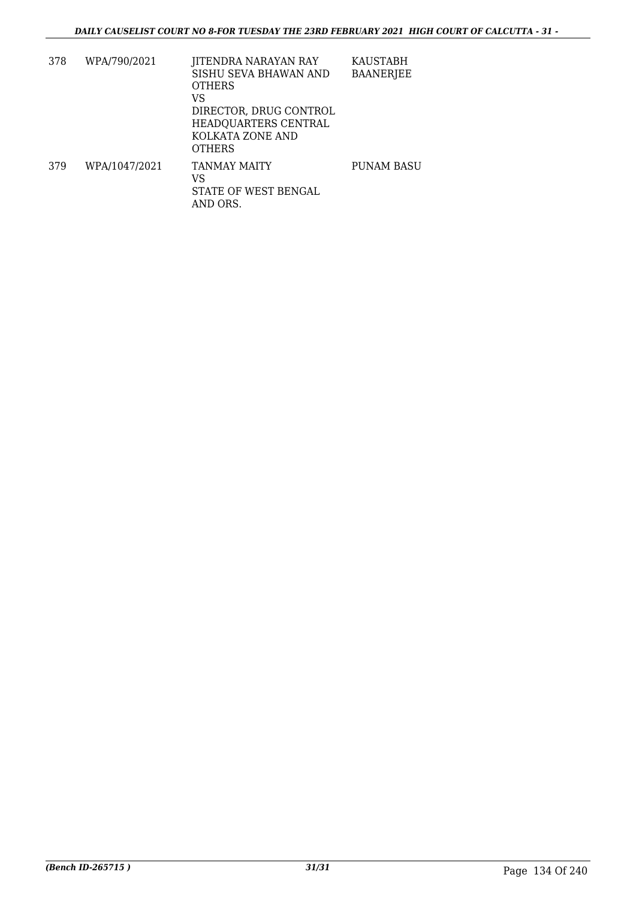| 378 | WPA/790/2021  | JITENDRA NARAYAN RAY<br>SISHU SEVA BHAWAN AND<br><b>OTHERS</b><br>VS<br>DIRECTOR, DRUG CONTROL<br>HEADQUARTERS CENTRAL<br>KOLKATA ZONE AND<br><b>OTHERS</b> | KAUSTABH<br><b>BAANERJEE</b> |
|-----|---------------|-------------------------------------------------------------------------------------------------------------------------------------------------------------|------------------------------|
| 379 | WPA/1047/2021 | TANMAY MAITY<br>VS<br>STATE OF WEST BENGAL<br>AND ORS.                                                                                                      | <b>PUNAM BASU</b>            |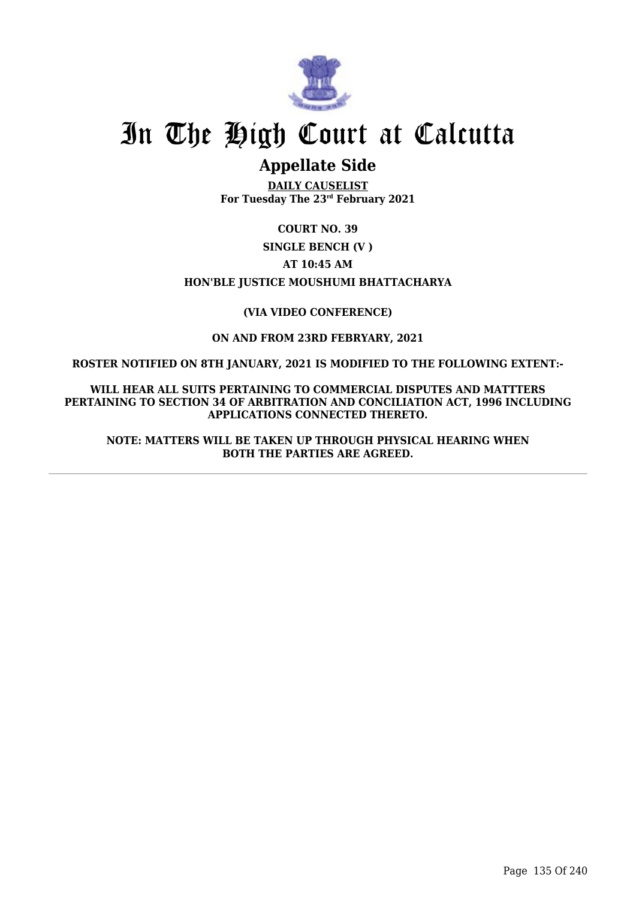

# In The High Court at Calcutta

## **Appellate Side**

**DAILY CAUSELIST For Tuesday The 23rd February 2021**

**COURT NO. 39**

**SINGLE BENCH (V )**

**AT 10:45 AM**

**HON'BLE JUSTICE MOUSHUMI BHATTACHARYA**

## **(VIA VIDEO CONFERENCE)**

**ON AND FROM 23RD FEBRYARY, 2021**

**ROSTER NOTIFIED ON 8TH JANUARY, 2021 IS MODIFIED TO THE FOLLOWING EXTENT:-**

**WILL HEAR ALL SUITS PERTAINING TO COMMERCIAL DISPUTES AND MATTTERS PERTAINING TO SECTION 34 OF ARBITRATION AND CONCILIATION ACT, 1996 INCLUDING APPLICATIONS CONNECTED THERETO.**

**NOTE: MATTERS WILL BE TAKEN UP THROUGH PHYSICAL HEARING WHEN BOTH THE PARTIES ARE AGREED.**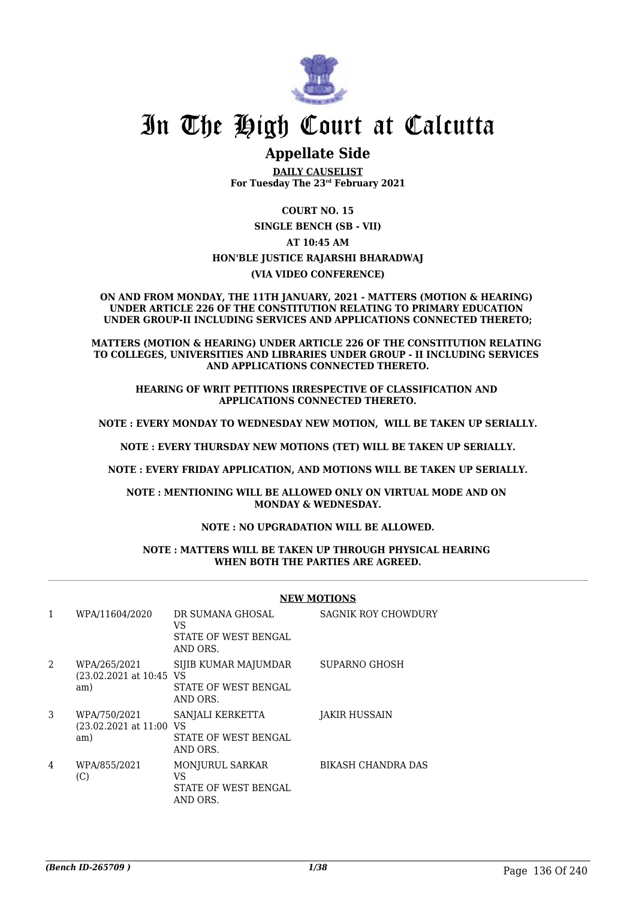

## In The High Court at Calcutta

## **Appellate Side**

**DAILY CAUSELIST For Tuesday The 23rd February 2021**

**COURT NO. 15 SINGLE BENCH (SB - VII) AT 10:45 AM HON'BLE JUSTICE RAJARSHI BHARADWAJ (VIA VIDEO CONFERENCE)**

**ON AND FROM MONDAY, THE 11TH JANUARY, 2021 - MATTERS (MOTION & HEARING) UNDER ARTICLE 226 OF THE CONSTITUTION RELATING TO PRIMARY EDUCATION UNDER GROUP-II INCLUDING SERVICES AND APPLICATIONS CONNECTED THERETO;**

**MATTERS (MOTION & HEARING) UNDER ARTICLE 226 OF THE CONSTITUTION RELATING TO COLLEGES, UNIVERSITIES AND LIBRARIES UNDER GROUP - II INCLUDING SERVICES AND APPLICATIONS CONNECTED THERETO.**

**HEARING OF WRIT PETITIONS IRRESPECTIVE OF CLASSIFICATION AND APPLICATIONS CONNECTED THERETO.**

**NOTE : EVERY MONDAY TO WEDNESDAY NEW MOTION, WILL BE TAKEN UP SERIALLY.**

**NOTE : EVERY THURSDAY NEW MOTIONS (TET) WILL BE TAKEN UP SERIALLY.**

**NOTE : EVERY FRIDAY APPLICATION, AND MOTIONS WILL BE TAKEN UP SERIALLY.**

**NOTE : MENTIONING WILL BE ALLOWED ONLY ON VIRTUAL MODE AND ON MONDAY & WEDNESDAY.**

#### **NOTE : NO UPGRADATION WILL BE ALLOWED.**

#### **NOTE : MATTERS WILL BE TAKEN UP THROUGH PHYSICAL HEARING WHEN BOTH THE PARTIES ARE AGREED.**

#### **NEW MOTIONS**

| 1 | WPA/11604/2020                                                     | DR SUMANA GHOSAL<br>VS<br>STATE OF WEST BENGAL<br>AND ORS.       | <b>SAGNIK ROY CHOWDURY</b> |
|---|--------------------------------------------------------------------|------------------------------------------------------------------|----------------------------|
| 2 | WPA/265/2021<br>(23.02.2021 at 10:45 VS<br>am)                     | SIJIB KUMAR MAJUMDAR<br>STATE OF WEST BENGAL<br>AND ORS.         | SUPARNO GHOSH              |
| 3 | WPA/750/2021<br>$(23.02.2021 \text{ at } 11.00 \text{ VS})$<br>am) | SANJALI KERKETTA<br>STATE OF WEST BENGAL<br>AND ORS.             | JAKIR HUSSAIN              |
| 4 | WPA/855/2021<br>(C)                                                | <b>MONJURUL SARKAR</b><br>VS<br>STATE OF WEST BENGAL<br>AND ORS. | <b>BIKASH CHANDRA DAS</b>  |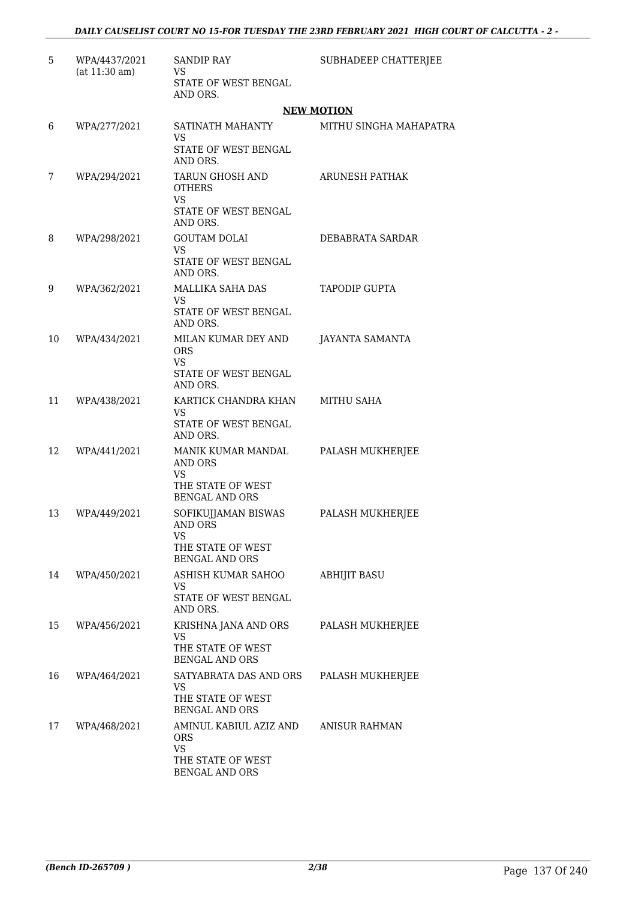| 5  | WPA/4437/2021<br>(at 11:30 am) | <b>SANDIP RAY</b><br><b>VS</b>                                                            | SUBHADEEP CHATTERJEE   |
|----|--------------------------------|-------------------------------------------------------------------------------------------|------------------------|
|    |                                | STATE OF WEST BENGAL<br>AND ORS.                                                          |                        |
|    |                                |                                                                                           | <b>NEW MOTION</b>      |
| 6  | WPA/277/2021                   | SATINATH MAHANTY<br><b>VS</b>                                                             | MITHU SINGHA MAHAPATRA |
|    |                                | STATE OF WEST BENGAL<br>AND ORS.                                                          |                        |
| 7  | WPA/294/2021                   | TARUN GHOSH AND<br><b>OTHERS</b><br><b>VS</b>                                             | <b>ARUNESH PATHAK</b>  |
|    |                                | STATE OF WEST BENGAL<br>AND ORS.                                                          |                        |
| 8  | WPA/298/2021                   | <b>GOUTAM DOLAI</b><br><b>VS</b><br>STATE OF WEST BENGAL<br>AND ORS.                      | DEBABRATA SARDAR       |
| 9  | WPA/362/2021                   | MALLIKA SAHA DAS<br><b>VS</b><br>STATE OF WEST BENGAL<br>AND ORS.                         | <b>TAPODIP GUPTA</b>   |
| 10 | WPA/434/2021                   | MILAN KUMAR DEY AND<br><b>ORS</b><br><b>VS</b><br>STATE OF WEST BENGAL<br>AND ORS.        | <b>JAYANTA SAMANTA</b> |
| 11 | WPA/438/2021                   | KARTICK CHANDRA KHAN<br><b>VS</b><br>STATE OF WEST BENGAL<br>AND ORS.                     | <b>MITHU SAHA</b>      |
| 12 | WPA/441/2021                   | MANIK KUMAR MANDAL<br><b>AND ORS</b><br>VS<br>THE STATE OF WEST                           | PALASH MUKHERJEE       |
| 13 | WPA/449/2021                   | <b>BENGAL AND ORS</b><br>SOFIKUJJAMAN BISWAS<br><b>AND ORS</b><br>VS<br>THE STATE OF WEST | PALASH MUKHERJEE       |
| 14 | WPA/450/2021                   | <b>BENGAL AND ORS</b><br>ASHISH KUMAR SAHOO<br>VS<br>STATE OF WEST BENGAL<br>AND ORS.     | <b>ABHIJIT BASU</b>    |
| 15 | WPA/456/2021                   | KRISHNA JANA AND ORS<br>VS<br>THE STATE OF WEST<br><b>BENGAL AND ORS</b>                  | PALASH MUKHERJEE       |
| 16 | WPA/464/2021                   | SATYABRATA DAS AND ORS<br><b>VS</b><br>THE STATE OF WEST<br><b>BENGAL AND ORS</b>         | PALASH MUKHERJEE       |
| 17 | WPA/468/2021                   | AMINUL KABIUL AZIZ AND<br><b>ORS</b><br><b>VS</b><br>THE STATE OF WEST<br>BENGAL AND ORS  | <b>ANISUR RAHMAN</b>   |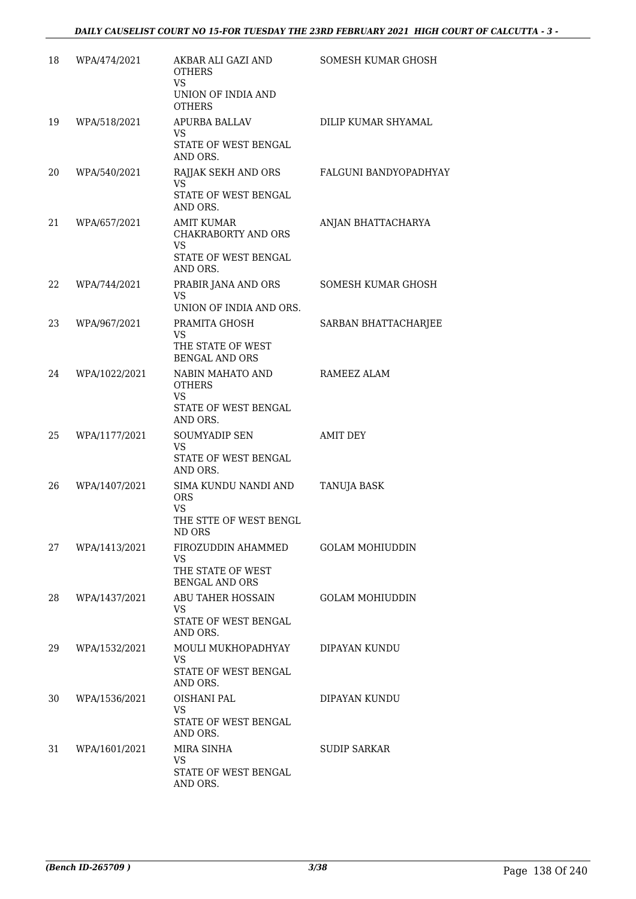| 18 | WPA/474/2021  | AKBAR ALI GAZI AND<br><b>OTHERS</b><br>VS.                                                | SOMESH KUMAR GHOSH     |
|----|---------------|-------------------------------------------------------------------------------------------|------------------------|
|    |               | UNION OF INDIA AND<br><b>OTHERS</b>                                                       |                        |
| 19 | WPA/518/2021  | APURBA BALLAV<br>VS.<br>STATE OF WEST BENGAL<br>AND ORS.                                  | DILIP KUMAR SHYAMAL    |
| 20 | WPA/540/2021  | RAJJAK SEKH AND ORS<br><b>VS</b><br>STATE OF WEST BENGAL<br>AND ORS.                      | FALGUNI BANDYOPADHYAY  |
| 21 | WPA/657/2021  | <b>AMIT KUMAR</b><br>CHAKRABORTY AND ORS<br><b>VS</b><br>STATE OF WEST BENGAL<br>AND ORS. | ANJAN BHATTACHARYA     |
| 22 | WPA/744/2021  | PRABIR JANA AND ORS<br>VS.<br>UNION OF INDIA AND ORS.                                     | SOMESH KUMAR GHOSH     |
| 23 | WPA/967/2021  | PRAMITA GHOSH<br><b>VS</b><br>THE STATE OF WEST<br><b>BENGAL AND ORS</b>                  | SARBAN BHATTACHARJEE   |
| 24 | WPA/1022/2021 | NABIN MAHATO AND<br><b>OTHERS</b><br><b>VS</b><br>STATE OF WEST BENGAL<br>AND ORS.        | RAMEEZ ALAM            |
| 25 | WPA/1177/2021 | <b>SOUMYADIP SEN</b><br>VS.<br>STATE OF WEST BENGAL<br>AND ORS.                           | <b>AMIT DEY</b>        |
| 26 | WPA/1407/2021 | SIMA KUNDU NANDI AND<br>ORS<br><b>VS</b><br>THE STTE OF WEST BENGL<br>ND ORS              | <b>TANUJA BASK</b>     |
| 27 | WPA/1413/2021 | FIROZUDDIN AHAMMED<br><b>VS</b><br>THE STATE OF WEST<br><b>BENGAL AND ORS</b>             | <b>GOLAM MOHIUDDIN</b> |
| 28 | WPA/1437/2021 | <b>ABU TAHER HOSSAIN</b><br>VS.<br>STATE OF WEST BENGAL<br>AND ORS.                       | <b>GOLAM MOHIUDDIN</b> |
| 29 | WPA/1532/2021 | MOULI MUKHOPADHYAY<br>VS.<br>STATE OF WEST BENGAL<br>AND ORS.                             | DIPAYAN KUNDU          |
| 30 | WPA/1536/2021 | OISHANI PAL<br>VS.<br>STATE OF WEST BENGAL<br>AND ORS.                                    | DIPAYAN KUNDU          |
| 31 | WPA/1601/2021 | MIRA SINHA<br>VS.<br>STATE OF WEST BENGAL<br>AND ORS.                                     | <b>SUDIP SARKAR</b>    |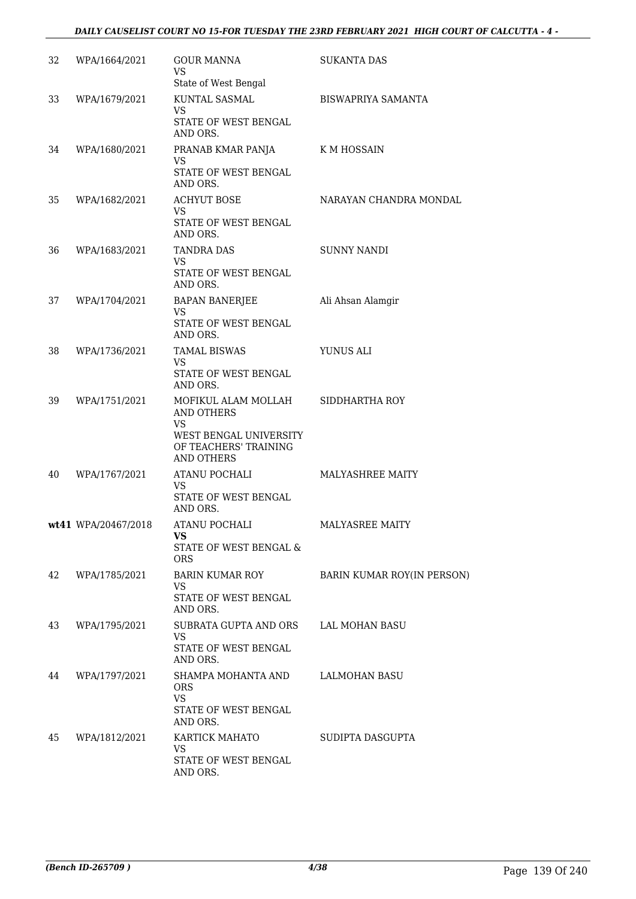### *DAILY CAUSELIST COURT NO 15-FOR TUESDAY THE 23RD FEBRUARY 2021 HIGH COURT OF CALCUTTA - 4 -*

| 32 | WPA/1664/2021       | GOUR MANNA<br>VS.<br>State of West Bengal                     | <b>SUKANTA DAS</b>         |
|----|---------------------|---------------------------------------------------------------|----------------------------|
| 33 | WPA/1679/2021       | KUNTAL SASMAL<br>VS.<br>STATE OF WEST BENGAL                  | BISWAPRIYA SAMANTA         |
|    |                     | AND ORS.                                                      |                            |
| 34 | WPA/1680/2021       | PRANAB KMAR PANJA<br>VS.<br>STATE OF WEST BENGAL              | K M HOSSAIN                |
| 35 | WPA/1682/2021       | AND ORS.<br><b>ACHYUT BOSE</b><br>VS.                         | NARAYAN CHANDRA MONDAL     |
|    |                     | STATE OF WEST BENGAL<br>AND ORS.                              |                            |
| 36 | WPA/1683/2021       | <b>TANDRA DAS</b><br>VS.<br>STATE OF WEST BENGAL              | <b>SUNNY NANDI</b>         |
|    |                     | AND ORS.                                                      |                            |
| 37 | WPA/1704/2021       | BAPAN BANERJEE<br>VS.                                         | Ali Ahsan Alamgir          |
|    |                     | STATE OF WEST BENGAL<br>AND ORS.                              |                            |
| 38 | WPA/1736/2021       | <b>TAMAL BISWAS</b><br>VS.                                    | YUNUS ALI                  |
|    |                     | STATE OF WEST BENGAL<br>AND ORS.                              |                            |
| 39 | WPA/1751/2021       | MOFIKUL ALAM MOLLAH<br>AND OTHERS<br><b>VS</b>                | SIDDHARTHA ROY             |
|    |                     | WEST BENGAL UNIVERSITY<br>OF TEACHERS' TRAINING<br>AND OTHERS |                            |
| 40 | WPA/1767/2021       | ATANU POCHALI<br><b>VS</b>                                    | <b>MALYASHREE MAITY</b>    |
|    |                     | STATE OF WEST BENGAL<br>AND ORS.                              |                            |
|    | wt41 WPA/20467/2018 | ATANU POCHALI                                                 | MALYASREE MAITY            |
|    |                     | <b>VS</b><br>STATE OF WEST BENGAL &<br><b>ORS</b>             |                            |
| 42 | WPA/1785/2021       | <b>BARIN KUMAR ROY</b><br><b>VS</b>                           | BARIN KUMAR ROY(IN PERSON) |
|    |                     | STATE OF WEST BENGAL<br>AND ORS.                              |                            |
| 43 | WPA/1795/2021       | SUBRATA GUPTA AND ORS<br><b>VS</b>                            | <b>LAL MOHAN BASU</b>      |
|    |                     | STATE OF WEST BENGAL<br>AND ORS.                              |                            |
| 44 | WPA/1797/2021       | SHAMPA MOHANTA AND<br><b>ORS</b><br><b>VS</b>                 | LALMOHAN BASU              |
|    |                     | <b>STATE OF WEST BENGAL</b><br>AND ORS.                       |                            |
| 45 | WPA/1812/2021       | KARTICK MAHATO<br>VS                                          | SUDIPTA DASGUPTA           |
|    |                     | STATE OF WEST BENGAL<br>AND ORS.                              |                            |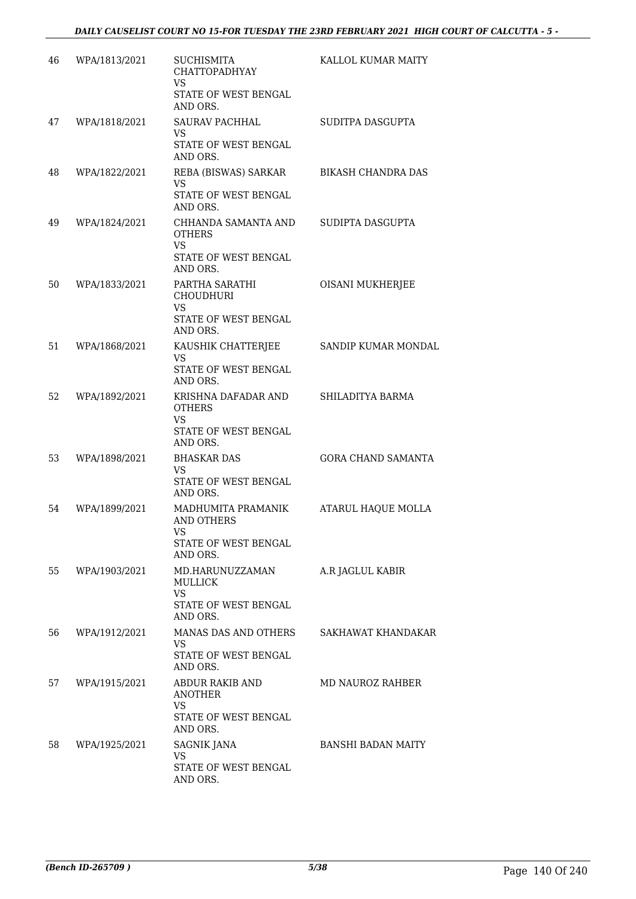| 46 | WPA/1813/2021 | <b>SUCHISMITA</b><br>CHATTOPADHYAY<br><b>VS</b>                           | KALLOL KUMAR MAITY        |
|----|---------------|---------------------------------------------------------------------------|---------------------------|
|    |               | STATE OF WEST BENGAL<br>AND ORS.                                          |                           |
| 47 | WPA/1818/2021 | <b>SAURAV PACHHAL</b><br>VS.                                              | SUDITPA DASGUPTA          |
|    |               | STATE OF WEST BENGAL<br>AND ORS.                                          |                           |
| 48 | WPA/1822/2021 | REBA (BISWAS) SARKAR<br>VS.<br>STATE OF WEST BENGAL                       | <b>BIKASH CHANDRA DAS</b> |
|    |               | AND ORS.                                                                  |                           |
| 49 | WPA/1824/2021 | CHHANDA SAMANTA AND<br><b>OTHERS</b><br><b>VS</b><br>STATE OF WEST BENGAL | SUDIPTA DASGUPTA          |
|    |               | AND ORS.                                                                  |                           |
| 50 | WPA/1833/2021 | PARTHA SARATHI<br><b>CHOUDHURI</b><br><b>VS</b>                           | OISANI MUKHERJEE          |
|    |               | STATE OF WEST BENGAL<br>AND ORS.                                          |                           |
| 51 | WPA/1868/2021 | KAUSHIK CHATTERJEE<br><b>VS</b>                                           | SANDIP KUMAR MONDAL       |
|    |               | STATE OF WEST BENGAL<br>AND ORS.                                          |                           |
| 52 | WPA/1892/2021 | KRISHNA DAFADAR AND<br><b>OTHERS</b><br>VS                                | SHILADITYA BARMA          |
|    |               | STATE OF WEST BENGAL<br>AND ORS.                                          |                           |
| 53 | WPA/1898/2021 | <b>BHASKAR DAS</b><br><b>VS</b>                                           | <b>GORA CHAND SAMANTA</b> |
|    |               | STATE OF WEST BENGAL<br>AND ORS.                                          |                           |
| 54 | WPA/1899/2021 | MADHUMITA PRAMANIK<br><b>AND OTHERS</b>                                   | <b>ATARUL HAQUE MOLLA</b> |
|    |               | <b>VS</b><br>STATE OF WEST BENGAL<br>AND ORS.                             |                           |
| 55 | WPA/1903/2021 | MD.HARUNUZZAMAN<br>MULLICK                                                | A.R JAGLUL KABIR          |
|    |               | <b>VS</b><br>STATE OF WEST BENGAL<br>AND ORS.                             |                           |
| 56 | WPA/1912/2021 | MANAS DAS AND OTHERS<br>VS.                                               | SAKHAWAT KHANDAKAR        |
|    |               | STATE OF WEST BENGAL<br>AND ORS.                                          |                           |
| 57 | WPA/1915/2021 | ABDUR RAKIB AND<br><b>ANOTHER</b><br><b>VS</b>                            | MD NAUROZ RAHBER          |
|    |               | STATE OF WEST BENGAL<br>AND ORS.                                          |                           |
| 58 | WPA/1925/2021 | <b>SAGNIK JANA</b><br><b>VS</b>                                           | <b>BANSHI BADAN MAITY</b> |
|    |               | STATE OF WEST BENGAL<br>AND ORS.                                          |                           |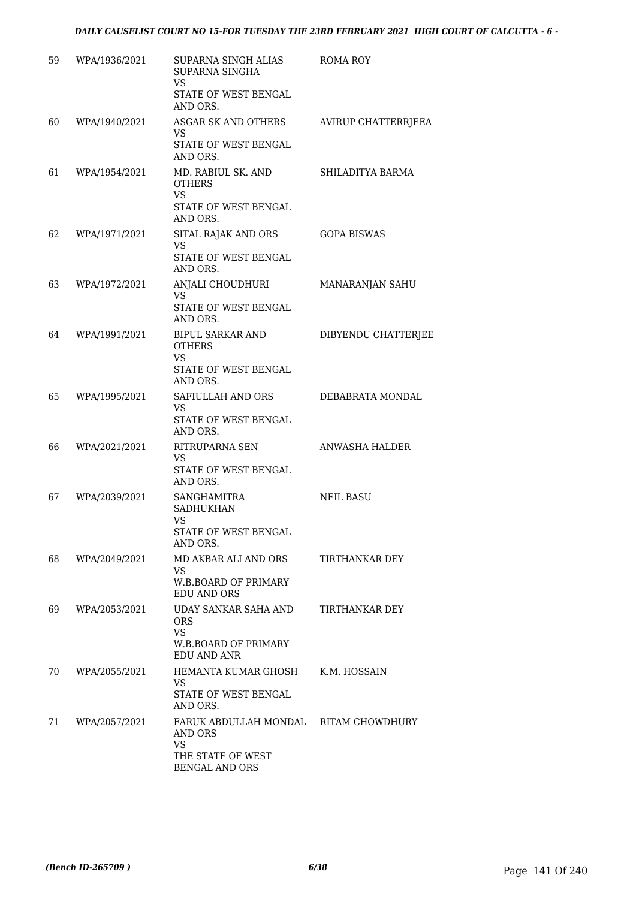| 59 | WPA/1936/2021 | SUPARNA SINGH ALIAS<br>SUPARNA SINGHA<br>VS.<br>STATE OF WEST BENGAL<br>AND ORS.                            | ROMA ROY              |
|----|---------------|-------------------------------------------------------------------------------------------------------------|-----------------------|
| 60 | WPA/1940/2021 | ASGAR SK AND OTHERS<br>VS.<br>STATE OF WEST BENGAL<br>AND ORS.                                              | AVIRUP CHATTERRJEEA   |
| 61 | WPA/1954/2021 | MD. RABIUL SK. AND<br><b>OTHERS</b><br>VS<br>STATE OF WEST BENGAL<br>AND ORS.                               | SHILADITYA BARMA      |
| 62 | WPA/1971/2021 | SITAL RAJAK AND ORS<br>VS<br>STATE OF WEST BENGAL<br>AND ORS.                                               | <b>GOPA BISWAS</b>    |
| 63 | WPA/1972/2021 | ANJALI CHOUDHURI<br>VS.<br>STATE OF WEST BENGAL<br>AND ORS.                                                 | MANARANJAN SAHU       |
| 64 | WPA/1991/2021 | BIPUL SARKAR AND<br><b>OTHERS</b><br><b>VS</b><br>STATE OF WEST BENGAL<br>AND ORS.                          | DIBYENDU CHATTERJEE   |
| 65 | WPA/1995/2021 | SAFIULLAH AND ORS<br>VS.<br>STATE OF WEST BENGAL<br>AND ORS.                                                | DEBABRATA MONDAL      |
| 66 | WPA/2021/2021 | RITRUPARNA SEN<br>VS<br>STATE OF WEST BENGAL<br>AND ORS.                                                    | ANWASHA HALDER        |
| 67 | WPA/2039/2021 | <b>SANGHAMITRA</b><br><b>SADHUKHAN</b><br><b>VS</b><br>STATE OF WEST BENGAL<br>AND ORS.                     | NEIL BASU             |
| 68 | WPA/2049/2021 | MD AKBAR ALI AND ORS<br>VS.<br><b>W.B.BOARD OF PRIMARY</b><br><b>EDU AND ORS</b>                            | <b>TIRTHANKAR DEY</b> |
| 69 | WPA/2053/2021 | <b>UDAY SANKAR SAHA AND</b><br><b>ORS</b><br><b>VS</b><br>W.B.BOARD OF PRIMARY<br>EDU AND ANR               | TIRTHANKAR DEY        |
| 70 | WPA/2055/2021 | HEMANTA KUMAR GHOSH<br>VS.<br>STATE OF WEST BENGAL<br>AND ORS.                                              | K.M. HOSSAIN          |
| 71 | WPA/2057/2021 | FARUK ABDULLAH MONDAL RITAM CHOWDHURY<br>AND ORS<br><b>VS</b><br>THE STATE OF WEST<br><b>BENGAL AND ORS</b> |                       |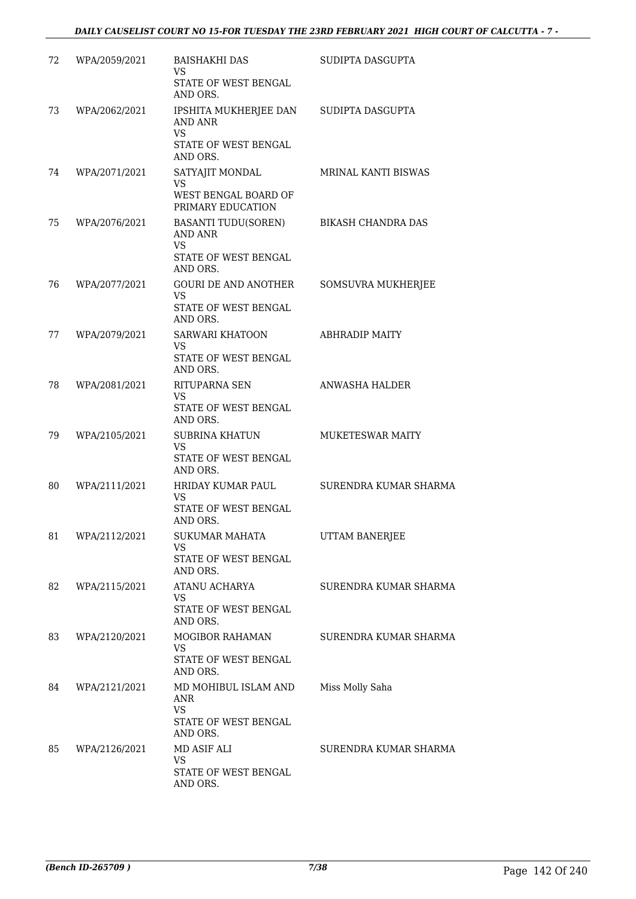| 72 | WPA/2059/2021 | <b>BAISHAKHI DAS</b><br><b>VS</b><br>STATE OF WEST BENGAL<br>AND ORS.                  | SUDIPTA DASGUPTA      |
|----|---------------|----------------------------------------------------------------------------------------|-----------------------|
| 73 | WPA/2062/2021 | IPSHITA MUKHERJEE DAN<br><b>AND ANR</b><br>VS<br>STATE OF WEST BENGAL<br>AND ORS.      | SUDIPTA DASGUPTA      |
| 74 | WPA/2071/2021 | SATYAJIT MONDAL<br><b>VS</b><br>WEST BENGAL BOARD OF<br>PRIMARY EDUCATION              | MRINAL KANTI BISWAS   |
| 75 | WPA/2076/2021 | <b>BASANTI TUDU(SOREN)</b><br><b>AND ANR</b><br>VS<br>STATE OF WEST BENGAL<br>AND ORS. | BIKASH CHANDRA DAS    |
| 76 | WPA/2077/2021 | <b>GOURI DE AND ANOTHER</b><br><b>VS</b><br>STATE OF WEST BENGAL<br>AND ORS.           | SOMSUVRA MUKHERJEE    |
| 77 | WPA/2079/2021 | SARWARI KHATOON<br><b>VS</b><br>STATE OF WEST BENGAL<br>AND ORS.                       | <b>ABHRADIP MAITY</b> |
| 78 | WPA/2081/2021 | RITUPARNA SEN<br>VS.<br>STATE OF WEST BENGAL<br>AND ORS.                               | ANWASHA HALDER        |
| 79 | WPA/2105/2021 | <b>SUBRINA KHATUN</b><br><b>VS</b><br>STATE OF WEST BENGAL<br>AND ORS.                 | MUKETESWAR MAITY      |
| 80 | WPA/2111/2021 | HRIDAY KUMAR PAUL<br>VS<br>STATE OF WEST BENGAL<br>AND ORS.                            | SURENDRA KUMAR SHARMA |
| 81 | WPA/2112/2021 | SUKUMAR MAHATA<br><b>VS</b><br>STATE OF WEST BENGAL<br>AND ORS.                        | UTTAM BANERJEE        |
| 82 | WPA/2115/2021 | ATANU ACHARYA<br><b>VS</b><br>STATE OF WEST BENGAL<br>AND ORS.                         | SURENDRA KUMAR SHARMA |
| 83 | WPA/2120/2021 | <b>MOGIBOR RAHAMAN</b><br><b>VS</b><br>STATE OF WEST BENGAL<br>AND ORS.                | SURENDRA KUMAR SHARMA |
| 84 | WPA/2121/2021 | MD MOHIBUL ISLAM AND<br>ANR<br><b>VS</b><br>STATE OF WEST BENGAL<br>AND ORS.           | Miss Molly Saha       |
| 85 | WPA/2126/2021 | MD ASIF ALI<br><b>VS</b><br>STATE OF WEST BENGAL<br>AND ORS.                           | SURENDRA KUMAR SHARMA |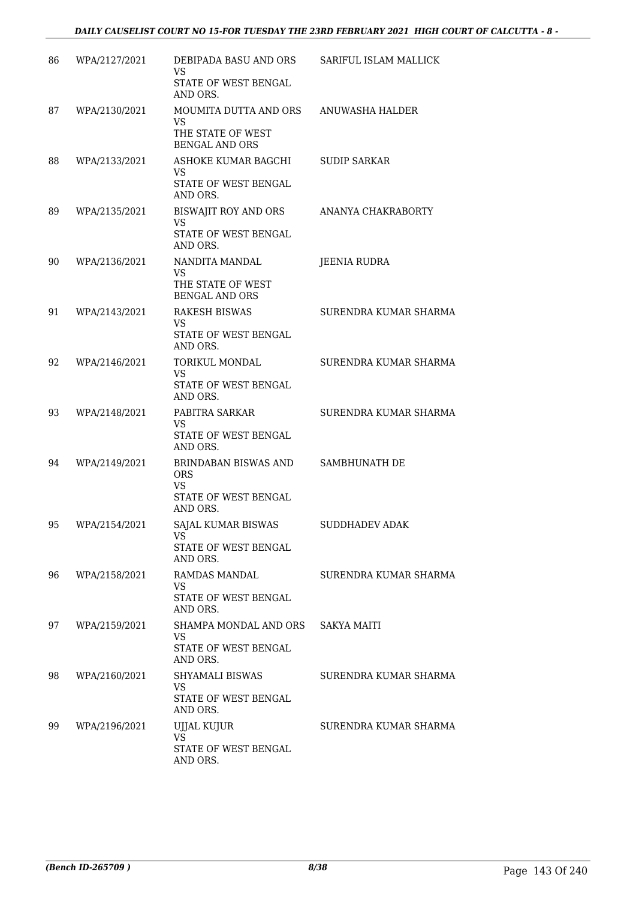| 86 | WPA/2127/2021 | DEBIPADA BASU AND ORS                                                        | SARIFUL ISLAM MALLICK |
|----|---------------|------------------------------------------------------------------------------|-----------------------|
|    |               | VS<br>STATE OF WEST BENGAL                                                   |                       |
|    |               | AND ORS.                                                                     |                       |
| 87 | WPA/2130/2021 | MOUMITA DUTTA AND ORS<br><b>VS</b><br>THE STATE OF WEST                      | ANUWASHA HALDER       |
|    |               | <b>BENGAL AND ORS</b>                                                        |                       |
| 88 | WPA/2133/2021 | ASHOKE KUMAR BAGCHI<br>VS<br>STATE OF WEST BENGAL                            | <b>SUDIP SARKAR</b>   |
|    |               | AND ORS.                                                                     |                       |
| 89 | WPA/2135/2021 | <b>BISWAJIT ROY AND ORS</b><br><b>VS</b><br>STATE OF WEST BENGAL<br>AND ORS. | ANANYA CHAKRABORTY    |
| 90 | WPA/2136/2021 | NANDITA MANDAL                                                               | <b>JEENIA RUDRA</b>   |
|    |               | VS.<br>THE STATE OF WEST<br><b>BENGAL AND ORS</b>                            |                       |
| 91 | WPA/2143/2021 | <b>RAKESH BISWAS</b>                                                         | SURENDRA KUMAR SHARMA |
|    |               | VS.<br><b>STATE OF WEST BENGAL</b><br>AND ORS.                               |                       |
| 92 | WPA/2146/2021 | <b>TORIKUL MONDAL</b>                                                        | SURENDRA KUMAR SHARMA |
|    |               | <b>VS</b><br>STATE OF WEST BENGAL<br>AND ORS.                                |                       |
| 93 | WPA/2148/2021 | PABITRA SARKAR                                                               | SURENDRA KUMAR SHARMA |
|    |               | VS<br>STATE OF WEST BENGAL<br>AND ORS.                                       |                       |
| 94 | WPA/2149/2021 | BRINDABAN BISWAS AND<br><b>ORS</b>                                           | SAMBHUNATH DE         |
|    |               | VS<br>STATE OF WEST BENGAL<br>AND ORS.                                       |                       |
| 95 | WPA/2154/2021 | SAJAL KUMAR BISWAS<br>VS<br>STATE OF WEST BENGAL                             | <b>SUDDHADEV ADAK</b> |
|    |               | AND ORS.                                                                     |                       |
| 96 | WPA/2158/2021 | <b>RAMDAS MANDAL</b><br><b>VS</b>                                            | SURENDRA KUMAR SHARMA |
|    |               | STATE OF WEST BENGAL<br>AND ORS.                                             |                       |
| 97 | WPA/2159/2021 | SHAMPA MONDAL AND ORS<br><b>VS</b><br>STATE OF WEST BENGAL                   | <b>SAKYA MAITI</b>    |
|    |               | AND ORS.                                                                     |                       |
| 98 | WPA/2160/2021 | SHYAMALI BISWAS<br><b>VS</b><br>STATE OF WEST BENGAL                         | SURENDRA KUMAR SHARMA |
|    |               | AND ORS.                                                                     |                       |
| 99 | WPA/2196/2021 | UJJAL KUJUR<br>VS.<br>STATE OF WEST BENGAL                                   | SURENDRA KUMAR SHARMA |
|    |               | AND ORS.                                                                     |                       |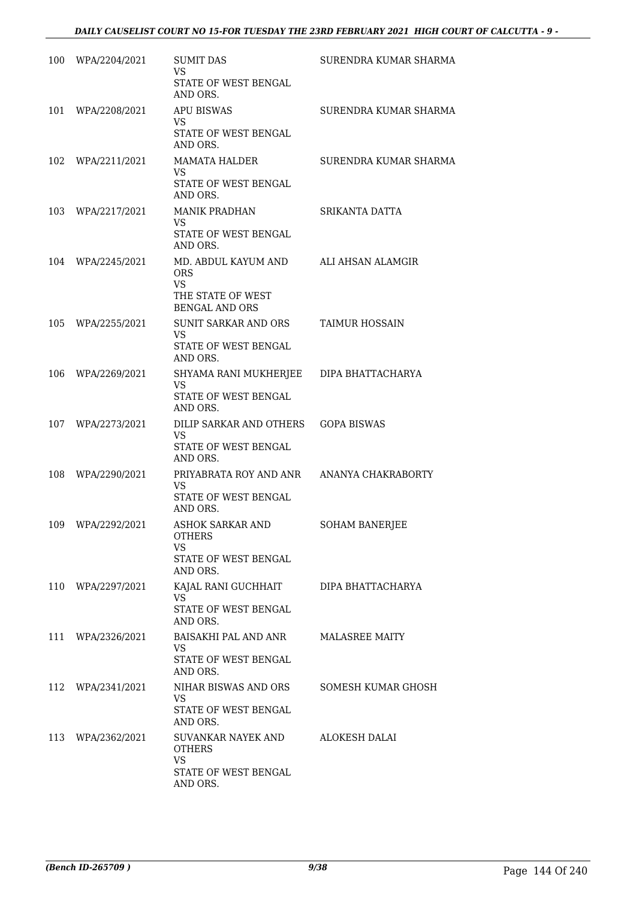| 100 | WPA/2204/2021 | <b>SUMIT DAS</b><br><b>VS</b><br>STATE OF WEST BENGAL<br>AND ORS.                            | SURENDRA KUMAR SHARMA |
|-----|---------------|----------------------------------------------------------------------------------------------|-----------------------|
| 101 | WPA/2208/2021 | <b>APU BISWAS</b><br>VS.<br>STATE OF WEST BENGAL<br>AND ORS.                                 | SURENDRA KUMAR SHARMA |
| 102 | WPA/2211/2021 | <b>MAMATA HALDER</b><br><b>VS</b><br>STATE OF WEST BENGAL<br>AND ORS.                        | SURENDRA KUMAR SHARMA |
| 103 | WPA/2217/2021 | <b>MANIK PRADHAN</b><br>VS.<br>STATE OF WEST BENGAL<br>AND ORS.                              | SRIKANTA DATTA        |
| 104 | WPA/2245/2021 | MD. ABDUL KAYUM AND<br><b>ORS</b><br><b>VS</b><br>THE STATE OF WEST<br><b>BENGAL AND ORS</b> | ALI AHSAN ALAMGIR     |
| 105 | WPA/2255/2021 | SUNIT SARKAR AND ORS<br>VS.<br>STATE OF WEST BENGAL<br>AND ORS.                              | <b>TAIMUR HOSSAIN</b> |
| 106 | WPA/2269/2021 | SHYAMA RANI MUKHERJEE<br><b>VS</b><br>STATE OF WEST BENGAL<br>AND ORS.                       | DIPA BHATTACHARYA     |
| 107 | WPA/2273/2021 | DILIP SARKAR AND OTHERS<br>VS.<br>STATE OF WEST BENGAL<br>AND ORS.                           | <b>GOPA BISWAS</b>    |
| 108 | WPA/2290/2021 | PRIYABRATA ROY AND ANR<br><b>VS</b><br>STATE OF WEST BENGAL<br>AND ORS.                      | ANANYA CHAKRABORTY    |
| 109 | WPA/2292/2021 | ASHOK SARKAR AND<br><b>OTHERS</b><br>VS<br>STATE OF WEST BENGAL<br>AND ORS.                  | SOHAM BANERJEE        |
| 110 | WPA/2297/2021 | KAJAL RANI GUCHHAIT<br>VS.<br>STATE OF WEST BENGAL<br>AND ORS.                               | DIPA BHATTACHARYA     |
| 111 | WPA/2326/2021 | BAISAKHI PAL AND ANR<br>VS.<br>STATE OF WEST BENGAL<br>AND ORS.                              | <b>MALASREE MAITY</b> |
| 112 | WPA/2341/2021 | NIHAR BISWAS AND ORS<br><b>VS</b><br>STATE OF WEST BENGAL<br>AND ORS.                        | SOMESH KUMAR GHOSH    |
| 113 | WPA/2362/2021 | SUVANKAR NAYEK AND<br><b>OTHERS</b><br>VS.<br>STATE OF WEST BENGAL<br>AND ORS.               | <b>ALOKESH DALAI</b>  |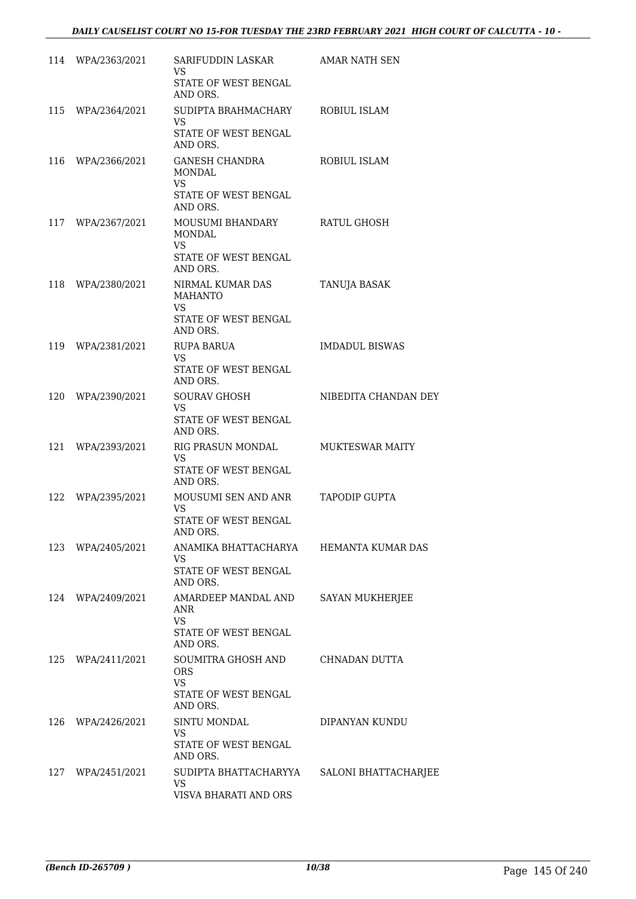|     | 114 WPA/2363/2021 | SARIFUDDIN LASKAR<br>VS<br>STATE OF WEST BENGAL<br>AND ORS.                         | AMAR NATH SEN          |
|-----|-------------------|-------------------------------------------------------------------------------------|------------------------|
|     | 115 WPA/2364/2021 | SUDIPTA BRAHMACHARY<br>VS<br>STATE OF WEST BENGAL<br>AND ORS.                       | ROBIUL ISLAM           |
| 116 | WPA/2366/2021     | GANESH CHANDRA<br>MONDAL<br>VS.<br>STATE OF WEST BENGAL<br>AND ORS.                 | ROBIUL ISLAM           |
| 117 | WPA/2367/2021     | MOUSUMI BHANDARY<br>MONDAL<br>VS.<br>STATE OF WEST BENGAL<br>AND ORS.               | RATUL GHOSH            |
| 118 | WPA/2380/2021     | NIRMAL KUMAR DAS<br><b>MAHANTO</b><br><b>VS</b><br>STATE OF WEST BENGAL<br>AND ORS. | TANUJA BASAK           |
| 119 | WPA/2381/2021     | RUPA BARUA<br>VS.<br>STATE OF WEST BENGAL<br>AND ORS.                               | <b>IMDADUL BISWAS</b>  |
|     | 120 WPA/2390/2021 | <b>SOURAV GHOSH</b><br>VS.<br>STATE OF WEST BENGAL<br>AND ORS.                      | NIBEDITA CHANDAN DEY   |
| 121 | WPA/2393/2021     | RIG PRASUN MONDAL<br>VS.<br>STATE OF WEST BENGAL<br>AND ORS.                        | <b>MUKTESWAR MAITY</b> |
| 122 | WPA/2395/2021     | MOUSUMI SEN AND ANR<br><b>VS</b><br>STATE OF WEST BENGAL<br>AND ORS.                | TAPODIP GUPTA          |
| 123 | WPA/2405/2021     | ANAMIKA BHATTACHARYA<br>VS.<br>STATE OF WEST BENGAL<br>AND ORS.                     | HEMANTA KUMAR DAS      |
| 124 | WPA/2409/2021     | AMARDEEP MANDAL AND<br>ANR<br>VS.<br>STATE OF WEST BENGAL<br>AND ORS.               | SAYAN MUKHERJEE        |
| 125 | WPA/2411/2021     | SOUMITRA GHOSH AND<br><b>ORS</b><br><b>VS</b><br>STATE OF WEST BENGAL<br>AND ORS.   | CHNADAN DUTTA          |
| 126 | WPA/2426/2021     | SINTU MONDAL<br><b>VS</b><br>STATE OF WEST BENGAL<br>AND ORS.                       | DIPANYAN KUNDU         |
|     | 127 WPA/2451/2021 | SUDIPTA BHATTACHARYYA<br>VS.<br>VISVA BHARATI AND ORS                               | SALONI BHATTACHARJEE   |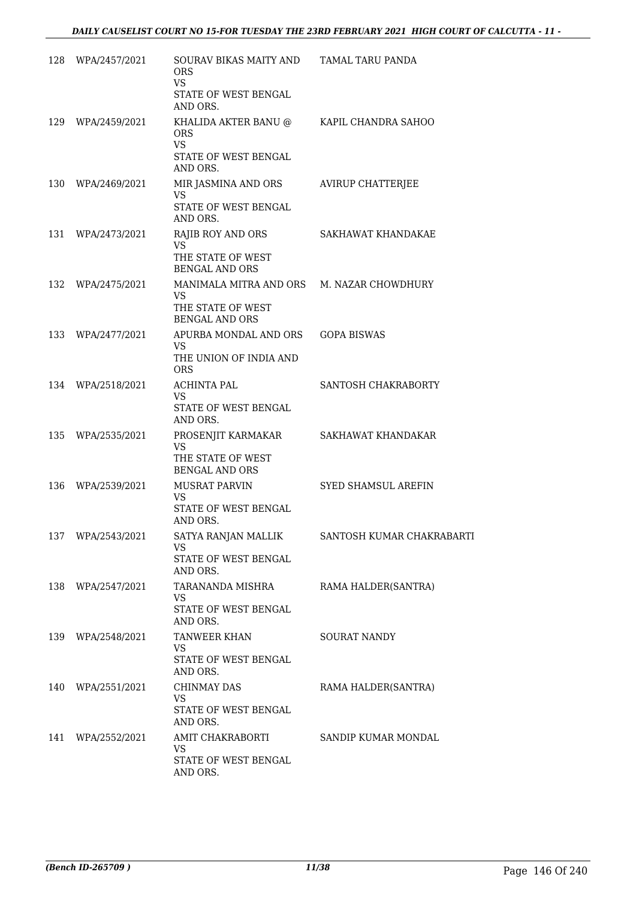|     | 128 WPA/2457/2021 | SOURAV BIKAS MAITY AND<br><b>ORS</b><br><b>VS</b> | TAMAL TARU PANDA          |
|-----|-------------------|---------------------------------------------------|---------------------------|
|     |                   | STATE OF WEST BENGAL<br>AND ORS.                  |                           |
|     | 129 WPA/2459/2021 | KHALIDA AKTER BANU @<br><b>ORS</b><br><b>VS</b>   | KAPIL CHANDRA SAHOO       |
|     |                   | STATE OF WEST BENGAL<br>AND ORS.                  |                           |
|     | 130 WPA/2469/2021 | MIR JASMINA AND ORS<br><b>VS</b>                  | AVIRUP CHATTERJEE         |
|     |                   | STATE OF WEST BENGAL<br>AND ORS.                  |                           |
| 131 | WPA/2473/2021     | RAJIB ROY AND ORS<br><b>VS</b>                    | SAKHAWAT KHANDAKAE        |
|     |                   | THE STATE OF WEST<br><b>BENGAL AND ORS</b>        |                           |
| 132 | WPA/2475/2021     | MANIMALA MITRA AND ORS<br>VS                      | M. NAZAR CHOWDHURY        |
|     |                   | THE STATE OF WEST<br><b>BENGAL AND ORS</b>        |                           |
| 133 | WPA/2477/2021     | APURBA MONDAL AND ORS<br><b>VS</b>                | <b>GOPA BISWAS</b>        |
|     |                   | THE UNION OF INDIA AND<br><b>ORS</b>              |                           |
| 134 | WPA/2518/2021     | <b>ACHINTA PAL</b><br>VS.                         | SANTOSH CHAKRABORTY       |
|     |                   | STATE OF WEST BENGAL<br>AND ORS.                  |                           |
|     | 135 WPA/2535/2021 | PROSENJIT KARMAKAR<br>VS.                         | SAKHAWAT KHANDAKAR        |
|     |                   | THE STATE OF WEST<br><b>BENGAL AND ORS</b>        |                           |
|     | 136 WPA/2539/2021 | MUSRAT PARVIN<br>VS.                              | SYED SHAMSUL AREFIN       |
|     |                   | STATE OF WEST BENGAL<br>AND ORS.                  |                           |
|     | 137 WPA/2543/2021 | SATYA RANJAN MALLIK<br>VS                         | SANTOSH KUMAR CHAKRABARTI |
|     |                   | STATE OF WEST BENGAL<br>AND ORS.                  |                           |
| 138 | WPA/2547/2021     | TARANANDA MISHRA<br>VS.                           | RAMA HALDER(SANTRA)       |
|     |                   | STATE OF WEST BENGAL<br>AND ORS.                  |                           |
|     | 139 WPA/2548/2021 | TANWEER KHAN<br><b>VS</b>                         | <b>SOURAT NANDY</b>       |
|     |                   | STATE OF WEST BENGAL<br>AND ORS.                  |                           |
|     | 140 WPA/2551/2021 | <b>CHINMAY DAS</b><br><b>VS</b>                   | RAMA HALDER(SANTRA)       |
|     |                   | STATE OF WEST BENGAL<br>AND ORS.                  |                           |
| 141 | WPA/2552/2021     | AMIT CHAKRABORTI<br>VS.                           | SANDIP KUMAR MONDAL       |
|     |                   | STATE OF WEST BENGAL<br>AND ORS.                  |                           |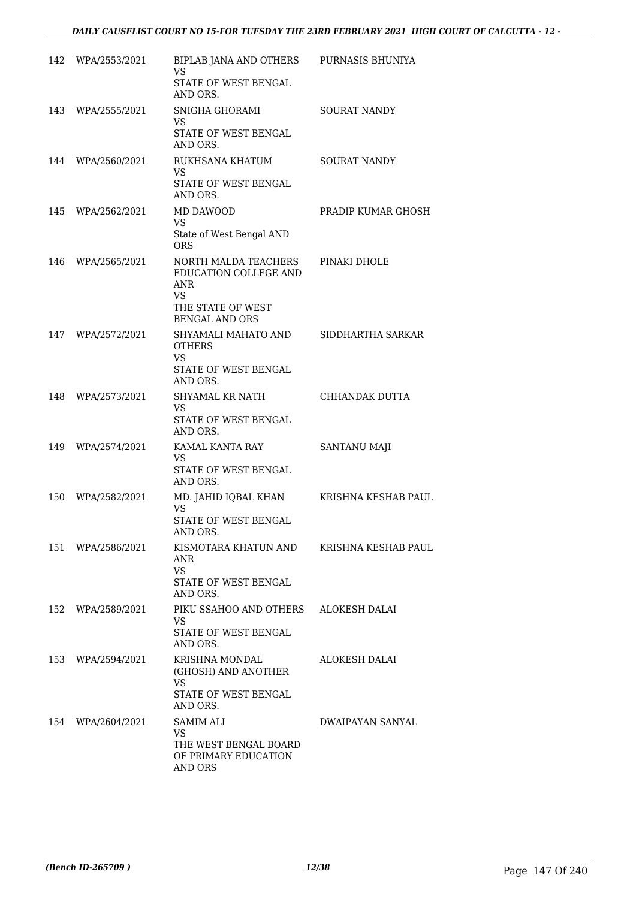| 142 | WPA/2553/2021     | BIPLAB JANA AND OTHERS PURNASIS BHUNIYA<br>VS<br>STATE OF WEST BENGAL                                                  |                      |
|-----|-------------------|------------------------------------------------------------------------------------------------------------------------|----------------------|
|     | 143 WPA/2555/2021 | AND ORS.<br>SNIGHA GHORAMI<br>VS<br>STATE OF WEST BENGAL<br>AND ORS.                                                   | SOURAT NANDY         |
|     | 144 WPA/2560/2021 | RUKHSANA KHATUM<br>VS<br>STATE OF WEST BENGAL<br>AND ORS.                                                              | <b>SOURAT NANDY</b>  |
| 145 | WPA/2562/2021     | MD DAWOOD<br>VS.<br>State of West Bengal AND<br><b>ORS</b>                                                             | PRADIP KUMAR GHOSH   |
|     | 146 WPA/2565/2021 | NORTH MALDA TEACHERS<br>EDUCATION COLLEGE AND<br><b>ANR</b><br><b>VS</b><br>THE STATE OF WEST<br><b>BENGAL AND ORS</b> | PINAKI DHOLE         |
| 147 | WPA/2572/2021     | SHYAMALI MAHATO AND<br><b>OTHERS</b><br><b>VS</b><br>STATE OF WEST BENGAL<br>AND ORS.                                  | SIDDHARTHA SARKAR    |
| 148 | WPA/2573/2021     | SHYAMAL KR NATH<br>VS.<br>STATE OF WEST BENGAL<br>AND ORS.                                                             | CHHANDAK DUTTA       |
| 149 | WPA/2574/2021     | KAMAL KANTA RAY<br>VS.<br>STATE OF WEST BENGAL<br>AND ORS.                                                             | <b>SANTANU MAJI</b>  |
| 150 | WPA/2582/2021     | MD. JAHID IQBAL KHAN<br><b>VS</b><br><b>STATE OF WEST BENGAL</b><br>AND ORS.                                           | KRISHNA KESHAB PAUL  |
| 151 | WPA/2586/2021     | KISMOTARA KHATUN AND<br>ANR<br><b>VS</b><br>STATE OF WEST BENGAL<br>AND ORS.                                           | KRISHNA KESHAB PAUL  |
| 152 | WPA/2589/2021     | PIKU SSAHOO AND OTHERS<br>VS<br><b>STATE OF WEST BENGAL</b><br>AND ORS.                                                | <b>ALOKESH DALAI</b> |
| 153 | WPA/2594/2021     | KRISHNA MONDAL<br>(GHOSH) AND ANOTHER<br>VS.<br>STATE OF WEST BENGAL                                                   | <b>ALOKESH DALAI</b> |
| 154 | WPA/2604/2021     | AND ORS.<br>SAMIM ALI<br>VS.<br>THE WEST BENGAL BOARD<br>OF PRIMARY EDUCATION<br><b>AND ORS</b>                        | DWAIPAYAN SANYAL     |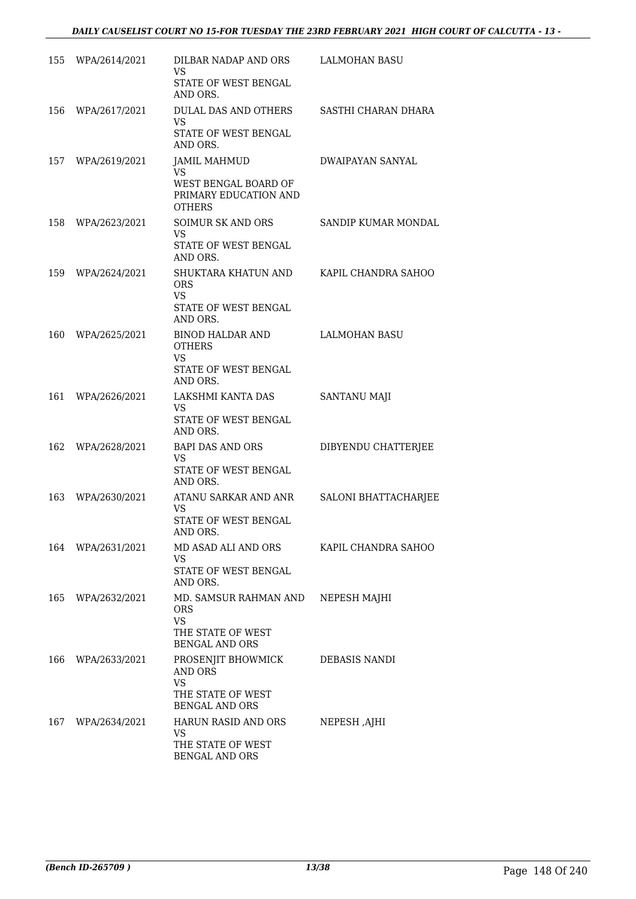|     | 155 WPA/2614/2021 | DILBAR NADAP AND ORS<br>VS<br>STATE OF WEST BENGAL<br>AND ORS.                                 | LALMOHAN BASU               |
|-----|-------------------|------------------------------------------------------------------------------------------------|-----------------------------|
| 156 | WPA/2617/2021     | DULAL DAS AND OTHERS<br>VS.<br>STATE OF WEST BENGAL<br>AND ORS.                                | SASTHI CHARAN DHARA         |
|     | 157 WPA/2619/2021 | <b>JAMIL MAHMUD</b><br>VS.<br>WEST BENGAL BOARD OF<br>PRIMARY EDUCATION AND<br><b>OTHERS</b>   | DWAIPAYAN SANYAL            |
| 158 | WPA/2623/2021     | SOIMUR SK AND ORS<br>VS.<br>STATE OF WEST BENGAL<br>AND ORS.                                   | SANDIP KUMAR MONDAL         |
|     | 159 WPA/2624/2021 | SHUKTARA KHATUN AND<br><b>ORS</b><br><b>VS</b><br>STATE OF WEST BENGAL<br>AND ORS.             | KAPIL CHANDRA SAHOO         |
| 160 | WPA/2625/2021     | BINOD HALDAR AND<br><b>OTHERS</b><br>VS<br>STATE OF WEST BENGAL<br>AND ORS.                    | <b>LALMOHAN BASU</b>        |
| 161 | WPA/2626/2021     | LAKSHMI KANTA DAS<br>VS<br>STATE OF WEST BENGAL<br>AND ORS.                                    | SANTANU MAJI                |
| 162 | WPA/2628/2021     | <b>BAPI DAS AND ORS</b><br>VS.<br>STATE OF WEST BENGAL<br>AND ORS.                             | DIBYENDU CHATTERJEE         |
| 163 | WPA/2630/2021     | ATANU SARKAR AND ANR<br><b>VS</b><br>STATE OF WEST BENGAL<br>AND ORS.                          | <b>SALONI BHATTACHARJEE</b> |
|     | 164 WPA/2631/2021 | MD ASAD ALI AND ORS<br>VS.<br>STATE OF WEST BENGAL<br>AND ORS.                                 | KAPIL CHANDRA SAHOO         |
| 165 | WPA/2632/2021     | MD. SAMSUR RAHMAN AND<br><b>ORS</b><br><b>VS</b><br>THE STATE OF WEST<br><b>BENGAL AND ORS</b> | NEPESH MAJHI                |
| 166 | WPA/2633/2021     | PROSENJIT BHOWMICK<br>AND ORS<br><b>VS</b><br>THE STATE OF WEST<br><b>BENGAL AND ORS</b>       | DEBASIS NANDI               |
| 167 | WPA/2634/2021     | HARUN RASID AND ORS<br>VS<br>THE STATE OF WEST<br><b>BENGAL AND ORS</b>                        | NEPESH ,AJHI                |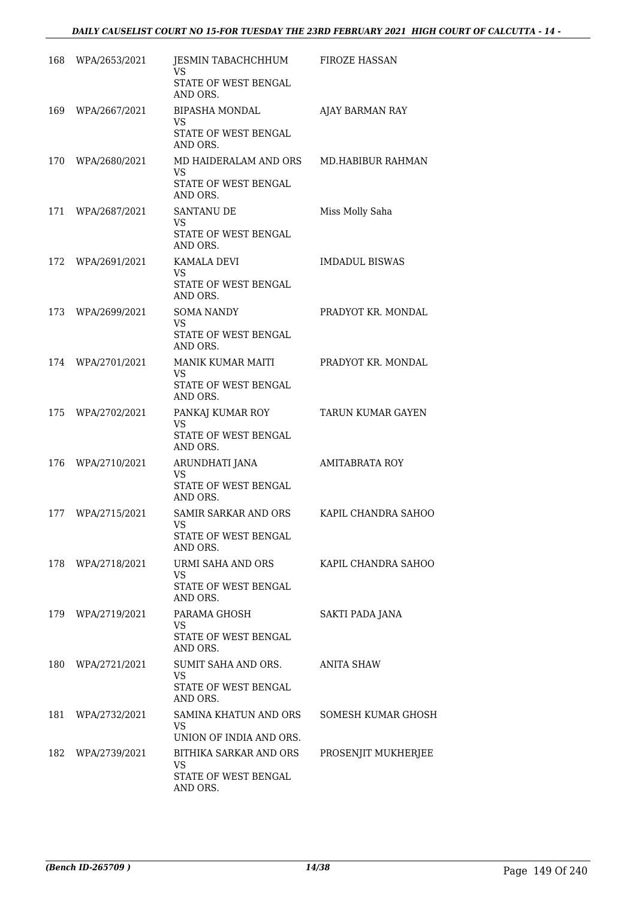| 168 | WPA/2653/2021 | JESMIN TABACHCHHUM<br>VS<br>STATE OF WEST BENGAL<br>AND ORS.                   | FIROZE HASSAN         |
|-----|---------------|--------------------------------------------------------------------------------|-----------------------|
| 169 | WPA/2667/2021 | <b>BIPASHA MONDAL</b><br>VS<br>STATE OF WEST BENGAL<br>AND ORS.                | AJAY BARMAN RAY       |
| 170 | WPA/2680/2021 | MD HAIDERALAM AND ORS<br>VS<br><b>STATE OF WEST BENGAL</b><br>AND ORS.         | MD.HABIBUR RAHMAN     |
| 171 | WPA/2687/2021 | <b>SANTANU DE</b><br>VS.<br>STATE OF WEST BENGAL<br>AND ORS.                   | Miss Molly Saha       |
| 172 | WPA/2691/2021 | KAMALA DEVI<br>VS.<br>STATE OF WEST BENGAL<br>AND ORS.                         | <b>IMDADUL BISWAS</b> |
| 173 | WPA/2699/2021 | <b>SOMA NANDY</b><br><b>VS</b><br>STATE OF WEST BENGAL<br>AND ORS.             | PRADYOT KR. MONDAL    |
| 174 | WPA/2701/2021 | MANIK KUMAR MAITI<br>VS<br>STATE OF WEST BENGAL<br>AND ORS.                    | PRADYOT KR. MONDAL    |
| 175 | WPA/2702/2021 | PANKAJ KUMAR ROY<br><b>VS</b><br>STATE OF WEST BENGAL<br>AND ORS.              | TARUN KUMAR GAYEN     |
| 176 | WPA/2710/2021 | ARUNDHATI JANA<br>VS<br>STATE OF WEST BENGAL<br>AND ORS.                       | <b>AMITABRATA ROY</b> |
| 177 | WPA/2715/2021 | <b>SAMIR SARKAR AND ORS</b><br>VS<br>STATE OF WEST BENGAL<br>AND ORS.          | KAPIL CHANDRA SAHOO   |
| 178 | WPA/2718/2021 | URMI SAHA AND ORS<br>VS.<br>STATE OF WEST BENGAL<br>AND ORS.                   | KAPIL CHANDRA SAHOO   |
| 179 | WPA/2719/2021 | PARAMA GHOSH<br><b>VS</b><br>STATE OF WEST BENGAL<br>AND ORS.                  | SAKTI PADA JANA       |
| 180 | WPA/2721/2021 | SUMIT SAHA AND ORS.<br><b>VS</b><br>STATE OF WEST BENGAL<br>AND ORS.           | <b>ANITA SHAW</b>     |
| 181 | WPA/2732/2021 | SAMINA KHATUN AND ORS<br>VS.<br>UNION OF INDIA AND ORS.                        | SOMESH KUMAR GHOSH    |
| 182 | WPA/2739/2021 | <b>BITHIKA SARKAR AND ORS</b><br><b>VS</b><br>STATE OF WEST BENGAL<br>AND ORS. | PROSENJIT MUKHERJEE   |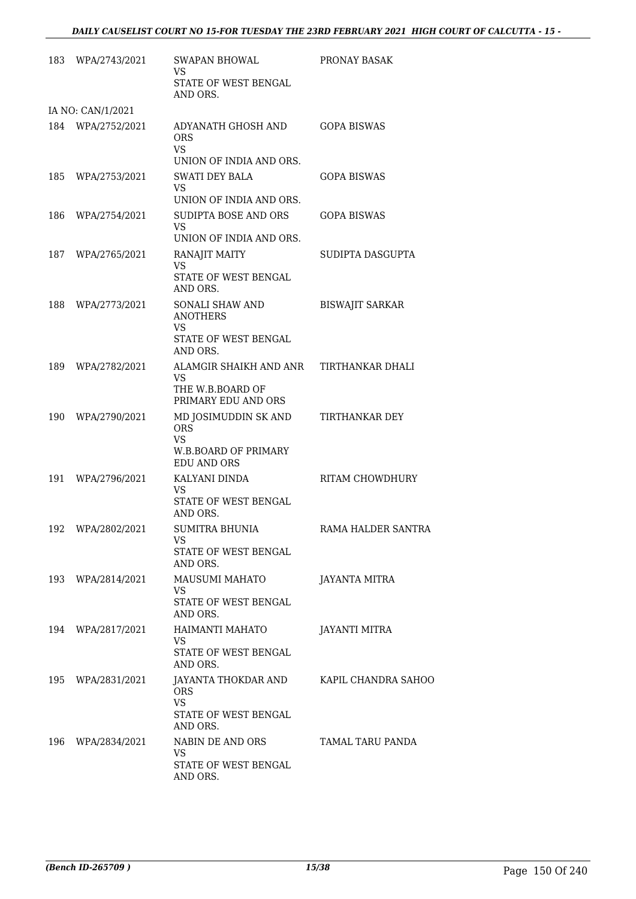| 183 | WPA/2743/2021     | SWAPAN BHOWAL<br>VS.<br>STATE OF WEST BENGAL<br>AND ORS.                                                          | PRONAY BASAK           |
|-----|-------------------|-------------------------------------------------------------------------------------------------------------------|------------------------|
|     | IA NO: CAN/1/2021 |                                                                                                                   |                        |
|     | 184 WPA/2752/2021 | ADYANATH GHOSH AND<br><b>ORS</b><br><b>VS</b><br>UNION OF INDIA AND ORS.                                          | GOPA BISWAS            |
| 185 | WPA/2753/2021     | <b>SWATI DEY BALA</b><br>VS<br>UNION OF INDIA AND ORS.                                                            | GOPA BISWAS            |
| 186 | WPA/2754/2021     | SUDIPTA BOSE AND ORS<br>VS<br>UNION OF INDIA AND ORS.                                                             | <b>GOPA BISWAS</b>     |
| 187 | WPA/2765/2021     | RANAJIT MAITY<br>VS.<br>STATE OF WEST BENGAL<br>AND ORS.                                                          | SUDIPTA DASGUPTA       |
| 188 | WPA/2773/2021     | SONALI SHAW AND<br><b>ANOTHERS</b><br><b>VS</b><br><b>STATE OF WEST BENGAL</b><br>AND ORS.                        | <b>BISWAJIT SARKAR</b> |
| 189 | WPA/2782/2021     | ALAMGIR SHAIKH AND ANR<br>VS.<br>THE W.B.BOARD OF<br>PRIMARY EDU AND ORS                                          | TIRTHANKAR DHALI       |
|     | 190 WPA/2790/2021 | MD JOSIMUDDIN SK AND<br><b>ORS</b><br><b>VS</b><br><b>W.B.BOARD OF PRIMARY</b><br><b>EDU AND ORS</b>              | TIRTHANKAR DEY         |
| 191 | WPA/2796/2021     | KALYANI DINDA<br>VS<br>STATE OF WEST BENGAL<br>AND ORS.                                                           | RITAM CHOWDHURY        |
| 192 | WPA/2802/2021     | SUMITRA BHUNIA<br>VS<br>STATE OF WEST BENGAL<br>AND ORS.                                                          | RAMA HALDER SANTRA     |
|     | 193 WPA/2814/2021 | MAUSUMI MAHATO<br><b>VS</b><br>STATE OF WEST BENGAL<br>AND ORS.                                                   | JAYANTA MITRA          |
|     | 194 WPA/2817/2021 | HAIMANTI MAHATO<br>VS.<br>STATE OF WEST BENGAL<br>AND ORS.                                                        | JAYANTI MITRA          |
|     | 195 WPA/2831/2021 | JAYANTA THOKDAR AND            KAPIL CHANDRA SAHOO<br><b>ORS</b><br><b>VS</b><br>STATE OF WEST BENGAL<br>AND ORS. |                        |
|     | 196 WPA/2834/2021 | NABIN DE AND ORS<br>VS<br>STATE OF WEST BENGAL<br>AND ORS.                                                        | TAMAL TARU PANDA       |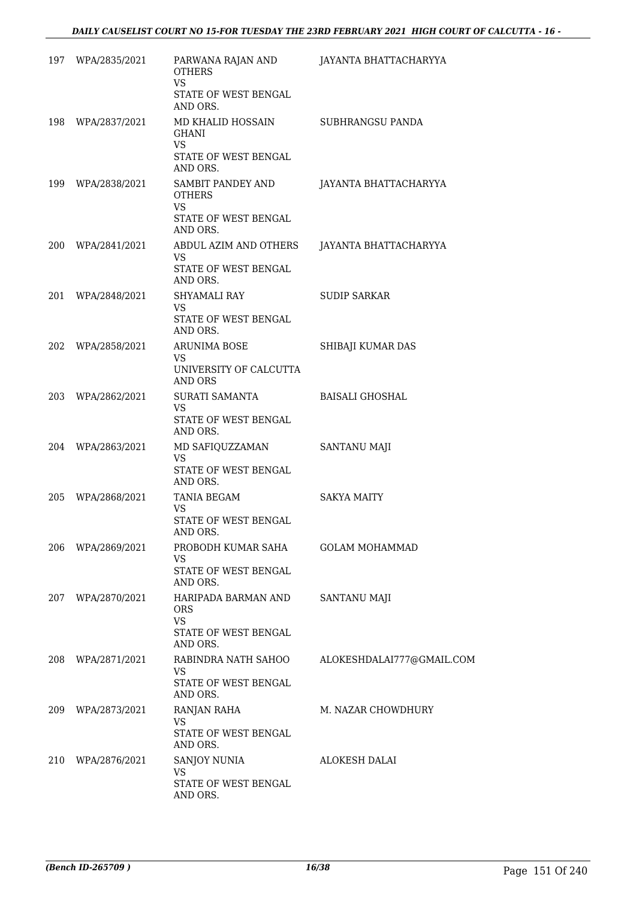|     | 197 WPA/2835/2021 | PARWANA RAJAN AND<br><b>OTHERS</b><br><b>VS</b>                        | JAYANTA BHATTACHARYYA     |
|-----|-------------------|------------------------------------------------------------------------|---------------------------|
|     |                   | STATE OF WEST BENGAL<br>AND ORS.                                       |                           |
|     | 198 WPA/2837/2021 | MD KHALID HOSSAIN<br><b>GHANI</b><br>VS.                               | SUBHRANGSU PANDA          |
|     |                   | STATE OF WEST BENGAL<br>AND ORS.                                       |                           |
|     | 199 WPA/2838/2021 | SAMBIT PANDEY AND<br><b>OTHERS</b>                                     | JAYANTA BHATTACHARYYA     |
|     |                   | VS.<br>STATE OF WEST BENGAL<br>AND ORS.                                |                           |
|     | 200 WPA/2841/2021 | ABDUL AZIM AND OTHERS<br><b>VS</b>                                     | JAYANTA BHATTACHARYYA     |
|     |                   | STATE OF WEST BENGAL<br>AND ORS.                                       |                           |
| 201 | WPA/2848/2021     | SHYAMALI RAY<br><b>VS</b>                                              | <b>SUDIP SARKAR</b>       |
|     |                   | STATE OF WEST BENGAL<br>AND ORS.                                       |                           |
|     | 202 WPA/2858/2021 | <b>ARUNIMA BOSE</b><br>VS.                                             | SHIBAJI KUMAR DAS         |
|     |                   | UNIVERSITY OF CALCUTTA<br><b>AND ORS</b>                               |                           |
|     | 203 WPA/2862/2021 | SURATI SAMANTA<br><b>VS</b>                                            | <b>BAISALI GHOSHAL</b>    |
|     |                   | STATE OF WEST BENGAL<br>AND ORS.                                       |                           |
|     | 204 WPA/2863/2021 | MD SAFIQUZZAMAN<br>VS.                                                 | SANTANU MAJI              |
|     |                   | STATE OF WEST BENGAL<br>AND ORS.                                       |                           |
| 205 | WPA/2868/2021     | TANIA BEGAM<br><b>VS</b>                                               | <b>SAKYA MAITY</b>        |
|     |                   | STATE OF WEST BENGAL<br>AND ORS.                                       |                           |
|     | 206 WPA/2869/2021 | PROBODH KUMAR SAHA<br>VS                                               | <b>GOLAM MOHAMMAD</b>     |
|     |                   | STATE OF WEST BENGAL<br>AND ORS.                                       |                           |
|     | 207 WPA/2870/2021 | HARIPADA BARMAN AND<br><b>ORS</b><br><b>VS</b><br>STATE OF WEST BENGAL | SANTANU MAJI              |
|     |                   | AND ORS.                                                               |                           |
|     | 208 WPA/2871/2021 | RABINDRA NATH SAHOO<br>VS.                                             | ALOKESHDALAI777@GMAIL.COM |
|     |                   | STATE OF WEST BENGAL<br>AND ORS.                                       |                           |
|     | 209 WPA/2873/2021 | RANJAN RAHA<br>VS.                                                     | M. NAZAR CHOWDHURY        |
|     |                   | STATE OF WEST BENGAL<br>AND ORS.                                       |                           |
|     | 210 WPA/2876/2021 | <b>SANJOY NUNIA</b><br>VS.                                             | ALOKESH DALAI             |
|     |                   | STATE OF WEST BENGAL<br>AND ORS.                                       |                           |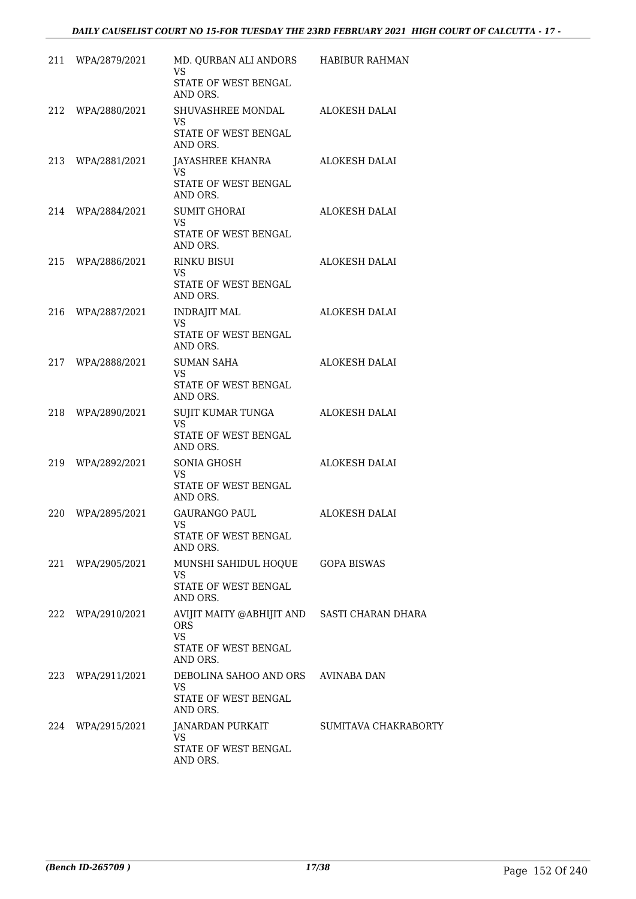| 211 WPA/2879/2021 | MD. QURBAN ALI ANDORS HABIBUR RAHMAN<br><b>VS</b><br>STATE OF WEST BENGAL |                      |
|-------------------|---------------------------------------------------------------------------|----------------------|
|                   | AND ORS.                                                                  |                      |
| 212 WPA/2880/2021 | SHUVASHREE MONDAL<br>VS.                                                  | ALOKESH DALAI        |
|                   | STATE OF WEST BENGAL<br>AND ORS.                                          |                      |
| 213 WPA/2881/2021 | JAYASHREE KHANRA<br><b>VS</b>                                             | ALOKESH DALAI        |
|                   | STATE OF WEST BENGAL<br>AND ORS.                                          |                      |
| 214 WPA/2884/2021 | <b>SUMIT GHORAI</b><br>VS.                                                | ALOKESH DALAI        |
|                   | STATE OF WEST BENGAL<br>AND ORS.                                          |                      |
| 215 WPA/2886/2021 | <b>RINKU BISUI</b><br>VS.                                                 | ALOKESH DALAI        |
|                   | STATE OF WEST BENGAL<br>AND ORS.                                          |                      |
| 216 WPA/2887/2021 | <b>INDRAJIT MAL</b><br><b>VS</b>                                          | ALOKESH DALAI        |
|                   | STATE OF WEST BENGAL<br>AND ORS.                                          |                      |
| 217 WPA/2888/2021 | SUMAN SAHA<br><b>VS</b>                                                   | ALOKESH DALAI        |
|                   | STATE OF WEST BENGAL<br>AND ORS.                                          |                      |
| 218 WPA/2890/2021 | SUJIT KUMAR TUNGA<br><b>VS</b>                                            | ALOKESH DALAI        |
|                   | STATE OF WEST BENGAL<br>AND ORS.                                          |                      |
| 219 WPA/2892/2021 | SONIA GHOSH<br><b>VS</b>                                                  | ALOKESH DALAI        |
|                   | STATE OF WEST BENGAL<br>AND ORS.                                          |                      |
| 220 WPA/2895/2021 | <b>GAURANGO PAUL</b><br>VS                                                | ALOKESH DALAI        |
|                   | STATE OF WEST BENGAL<br>AND ORS.                                          |                      |
| 221 WPA/2905/2021 | MUNSHI SAHIDUL HOQUE<br><b>VS</b>                                         | <b>GOPA BISWAS</b>   |
|                   | STATE OF WEST BENGAL<br>AND ORS.                                          |                      |
| 222 WPA/2910/2021 | AVIJIT MAITY @ABHIJIT AND SASTI CHARAN DHARA<br><b>ORS</b>                |                      |
|                   | <b>VS</b><br><b>STATE OF WEST BENGAL</b><br>AND ORS.                      |                      |
| 223 WPA/2911/2021 | DEBOLINA SAHOO AND ORS AVINABA DAN<br><b>VS</b>                           |                      |
|                   | STATE OF WEST BENGAL<br>AND ORS.                                          |                      |
| 224 WPA/2915/2021 | JANARDAN PURKAIT<br>VS.                                                   | SUMITAVA CHAKRABORTY |
|                   | STATE OF WEST BENGAL<br>AND ORS.                                          |                      |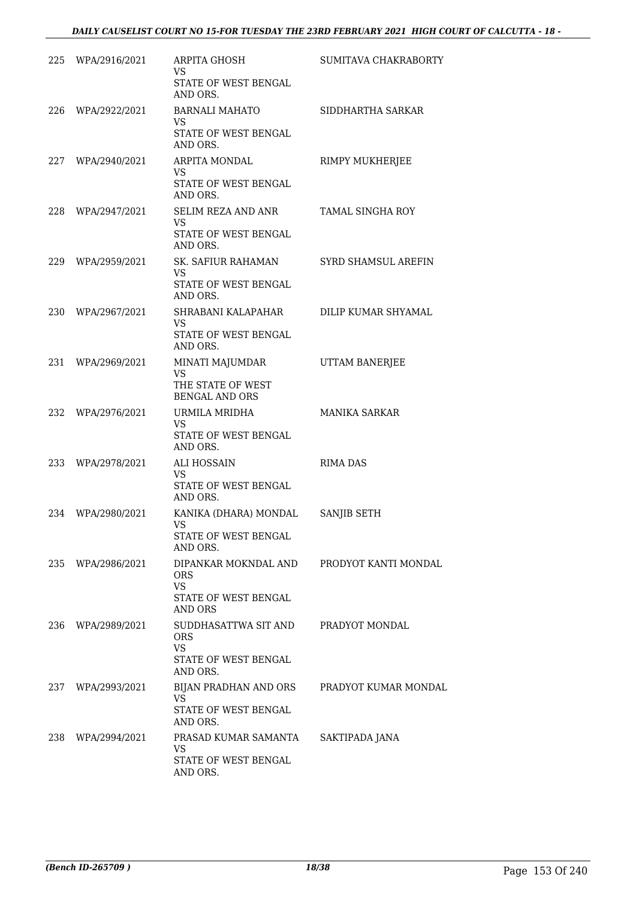| 225 | WPA/2916/2021     | ARPITA GHOSH<br><b>VS</b><br>STATE OF WEST BENGAL       | SUMITAVA CHAKRABORTY |
|-----|-------------------|---------------------------------------------------------|----------------------|
|     |                   | AND ORS.                                                |                      |
| 226 | WPA/2922/2021     | <b>BARNALI MAHATO</b><br>VS                             | SIDDHARTHA SARKAR    |
|     |                   | STATE OF WEST BENGAL<br>AND ORS.                        |                      |
|     | 227 WPA/2940/2021 | ARPITA MONDAL                                           | RIMPY MUKHERJEE      |
|     |                   | <b>VS</b><br>STATE OF WEST BENGAL<br>AND ORS.           |                      |
| 228 | WPA/2947/2021     | SELIM REZA AND ANR                                      | TAMAL SINGHA ROY     |
|     |                   | VS.<br>STATE OF WEST BENGAL<br>AND ORS.                 |                      |
|     | 229 WPA/2959/2021 | SK. SAFIUR RAHAMAN                                      | SYRD SHAMSUL AREFIN  |
|     |                   | <b>VS</b><br>STATE OF WEST BENGAL<br>AND ORS.           |                      |
| 230 | WPA/2967/2021     | SHRABANI KALAPAHAR                                      | DILIP KUMAR SHYAMAL  |
|     |                   | VS.<br>STATE OF WEST BENGAL<br>AND ORS.                 |                      |
| 231 | WPA/2969/2021     | MINATI MAJUMDAR                                         | UTTAM BANERJEE       |
|     |                   | <b>VS</b><br>THE STATE OF WEST<br><b>BENGAL AND ORS</b> |                      |
| 232 | WPA/2976/2021     | URMILA MRIDHA                                           | <b>MANIKA SARKAR</b> |
|     |                   | <b>VS</b><br>STATE OF WEST BENGAL<br>AND ORS.           |                      |
| 233 | WPA/2978/2021     | ALI HOSSAIN                                             | <b>RIMA DAS</b>      |
|     |                   | VS<br>STATE OF WEST BENGAL<br>AND ORS.                  |                      |
| 234 | WPA/2980/2021     | KANIKA (DHARA) MONDAL                                   | SANJIB SETH          |
|     |                   | <b>VS</b><br>STATE OF WEST BENGAL<br>AND ORS.           |                      |
| 235 | WPA/2986/2021     | DIPANKAR MOKNDAL AND                                    | PRODYOT KANTI MONDAL |
|     |                   | <b>ORS</b><br>VS                                        |                      |
|     |                   | STATE OF WEST BENGAL<br>AND ORS                         |                      |
| 236 | WPA/2989/2021     | SUDDHASATTWA SIT AND                                    | PRADYOT MONDAL       |
|     |                   | <b>ORS</b><br><b>VS</b>                                 |                      |
|     |                   | STATE OF WEST BENGAL<br>AND ORS.                        |                      |
| 237 | WPA/2993/2021     | BIJAN PRADHAN AND ORS<br><b>VS</b>                      | PRADYOT KUMAR MONDAL |
|     |                   | STATE OF WEST BENGAL<br>AND ORS.                        |                      |
| 238 | WPA/2994/2021     | PRASAD KUMAR SAMANTA<br><b>VS</b>                       | SAKTIPADA JANA       |
|     |                   | STATE OF WEST BENGAL<br>AND ORS.                        |                      |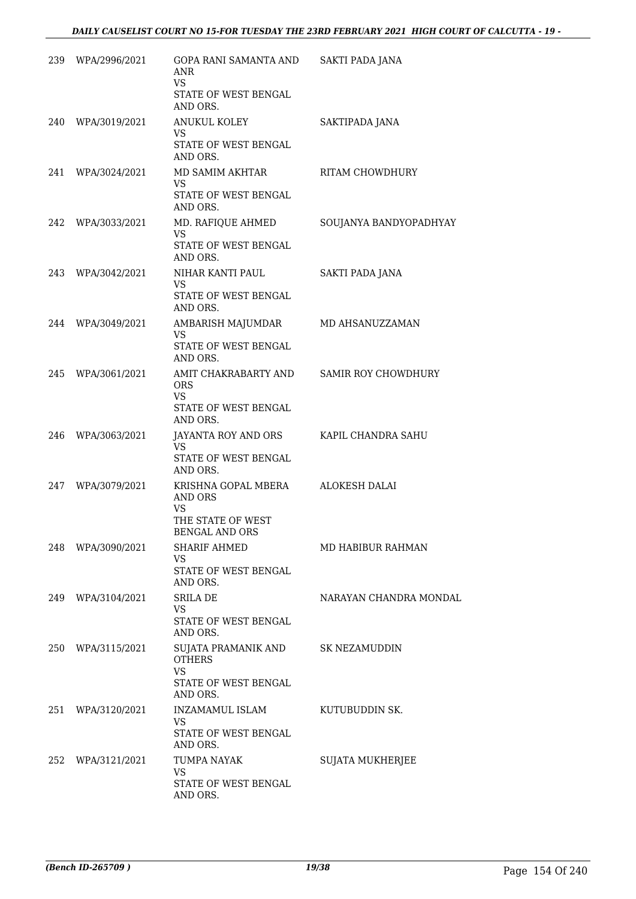| 239 | WPA/2996/2021     | GOPA RANI SAMANTA AND<br><b>ANR</b><br><b>VS</b><br>STATE OF WEST BENGAL<br>AND ORS.      | <b>SAKTI PADA JANA</b>     |
|-----|-------------------|-------------------------------------------------------------------------------------------|----------------------------|
| 240 | WPA/3019/2021     | <b>ANUKUL KOLEY</b><br>VS.<br>STATE OF WEST BENGAL<br>AND ORS.                            | SAKTIPADA JANA             |
| 241 | WPA/3024/2021     | MD SAMIM AKHTAR<br><b>VS</b><br>STATE OF WEST BENGAL<br>AND ORS.                          | RITAM CHOWDHURY            |
| 242 | WPA/3033/2021     | MD. RAFIQUE AHMED<br><b>VS</b><br>STATE OF WEST BENGAL<br>AND ORS.                        | SOUJANYA BANDYOPADHYAY     |
| 243 | WPA/3042/2021     | NIHAR KANTI PAUL<br><b>VS</b><br>STATE OF WEST BENGAL<br>AND ORS.                         | <b>SAKTI PADA JANA</b>     |
| 244 | WPA/3049/2021     | AMBARISH MAJUMDAR<br>VS<br>STATE OF WEST BENGAL<br>AND ORS.                               | MD AHSANUZZAMAN            |
| 245 | WPA/3061/2021     | AMIT CHAKRABARTY AND<br><b>ORS</b><br><b>VS</b><br>STATE OF WEST BENGAL<br>AND ORS.       | <b>SAMIR ROY CHOWDHURY</b> |
| 246 | WPA/3063/2021     | JAYANTA ROY AND ORS<br><b>VS</b><br>STATE OF WEST BENGAL<br>AND ORS.                      | KAPIL CHANDRA SAHU         |
| 247 | WPA/3079/2021     | KRISHNA GOPAL MBERA<br><b>AND ORS</b><br><b>VS</b><br>THE STATE OF WEST<br>BENGAL AND ORS | ALOKESH DALAI              |
|     | 248 WPA/3090/2021 | SHARIF AHMED<br><b>VS</b><br>STATE OF WEST BENGAL<br>AND ORS.                             | MD HABIBUR RAHMAN          |
| 249 | WPA/3104/2021     | <b>SRILA DE</b><br><b>VS</b><br>STATE OF WEST BENGAL<br>AND ORS.                          | NARAYAN CHANDRA MONDAL     |
|     | 250 WPA/3115/2021 | SUJATA PRAMANIK AND<br><b>OTHERS</b><br><b>VS</b><br>STATE OF WEST BENGAL<br>AND ORS.     | <b>SK NEZAMUDDIN</b>       |
|     | 251 WPA/3120/2021 | INZAMAMUL ISLAM<br><b>VS</b><br>STATE OF WEST BENGAL<br>AND ORS.                          | KUTUBUDDIN SK.             |
|     | 252 WPA/3121/2021 | TUMPA NAYAK<br><b>VS</b><br>STATE OF WEST BENGAL<br>AND ORS.                              | SUJATA MUKHERJEE           |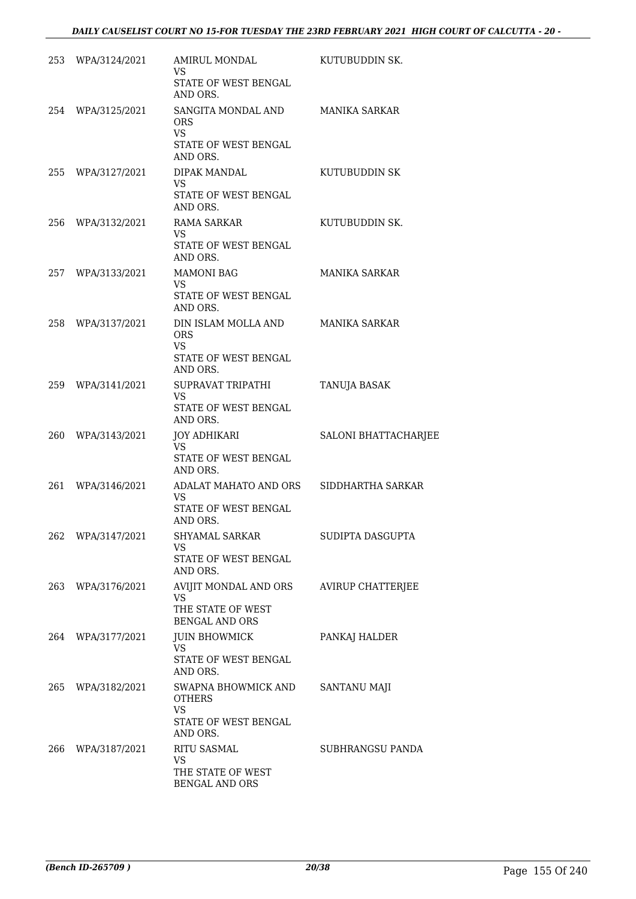|     | 253 WPA/3124/2021 | AMIRUL MONDAL<br>VS.<br>STATE OF WEST BENGAL                                     | KUTUBUDDIN SK.       |
|-----|-------------------|----------------------------------------------------------------------------------|----------------------|
|     | 254 WPA/3125/2021 | AND ORS.<br>SANGITA MONDAL AND<br>ORS.<br>VS.<br>STATE OF WEST BENGAL            | <b>MANIKA SARKAR</b> |
| 255 | WPA/3127/2021     | AND ORS.<br>DIPAK MANDAL<br>VS.                                                  | KUTUBUDDIN SK        |
|     |                   | STATE OF WEST BENGAL<br>AND ORS.                                                 |                      |
| 256 | WPA/3132/2021     | <b>RAMA SARKAR</b><br>VS.<br>STATE OF WEST BENGAL                                | KUTUBUDDIN SK.       |
|     |                   | AND ORS.                                                                         |                      |
|     | 257 WPA/3133/2021 | <b>MAMONI BAG</b><br>VS.<br>STATE OF WEST BENGAL<br>AND ORS.                     | <b>MANIKA SARKAR</b> |
| 258 | WPA/3137/2021     | DIN ISLAM MOLLA AND<br><b>ORS</b><br>VS.<br>STATE OF WEST BENGAL<br>AND ORS.     | <b>MANIKA SARKAR</b> |
| 259 | WPA/3141/2021     | SUPRAVAT TRIPATHI<br>VS.<br>STATE OF WEST BENGAL<br>AND ORS.                     | TANUJA BASAK         |
| 260 | WPA/3143/2021     | <b>JOY ADHIKARI</b>                                                              | SALONI BHATTACHARJEE |
|     |                   | VS.<br>STATE OF WEST BENGAL<br>AND ORS.                                          |                      |
| 261 | WPA/3146/2021     | ADALAT MAHATO AND ORS<br><b>VS</b><br>STATE OF WEST BENGAL<br>AND ORS.           | SIDDHARTHA SARKAR    |
| 262 | WPA/3147/2021     | SHYAMAL SARKAR<br>VS<br>STATE OF WEST BENGAL<br>AND ORS.                         | SUDIPTA DASGUPTA     |
| 263 | WPA/3176/2021     | AVIJIT MONDAL AND ORS<br><b>VS</b><br>THE STATE OF WEST<br><b>BENGAL AND ORS</b> | AVIRUP CHATTERJEE    |
| 264 | WPA/3177/2021     | <b>JUIN BHOWMICK</b><br>VS.<br>STATE OF WEST BENGAL                              | PANKAJ HALDER        |
|     |                   | AND ORS.                                                                         |                      |
| 265 | WPA/3182/2021     | SWAPNA BHOWMICK AND<br><b>OTHERS</b><br><b>VS</b>                                | <b>SANTANU MAJI</b>  |
|     |                   | STATE OF WEST BENGAL<br>AND ORS.                                                 |                      |
| 266 | WPA/3187/2021     | <b>RITU SASMAL</b><br><b>VS</b>                                                  | SUBHRANGSU PANDA     |
|     |                   | THE STATE OF WEST<br>BENGAL AND ORS                                              |                      |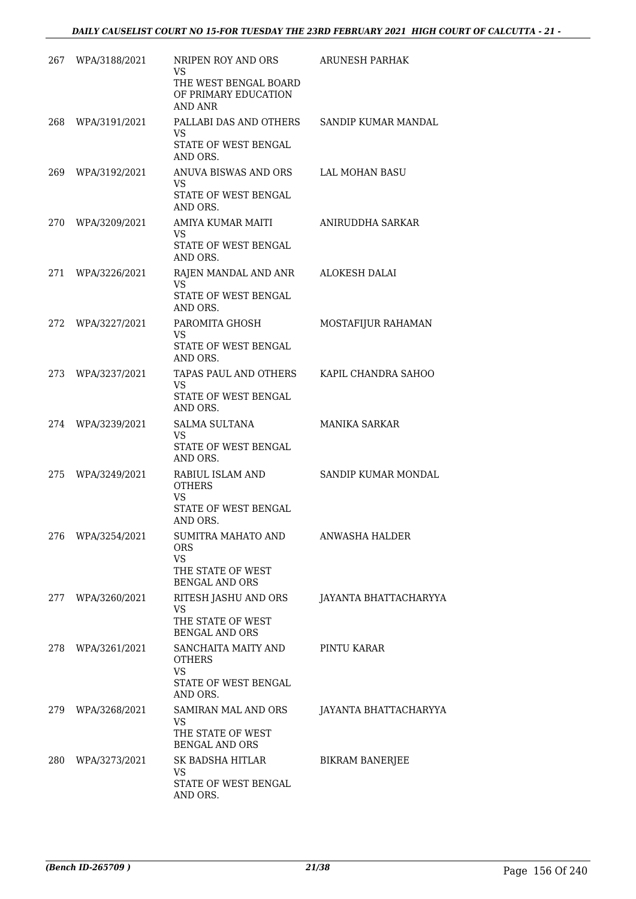| 267  | WPA/3188/2021 | NRIPEN ROY AND ORS<br>VS<br>THE WEST BENGAL BOARD<br>OF PRIMARY EDUCATION<br><b>AND ANR</b> | <b>ARUNESH PARHAK</b>  |
|------|---------------|---------------------------------------------------------------------------------------------|------------------------|
| 268  | WPA/3191/2021 | PALLABI DAS AND OTHERS<br><b>VS</b><br>STATE OF WEST BENGAL<br>AND ORS.                     | SANDIP KUMAR MANDAL    |
| 269  | WPA/3192/2021 | ANUVA BISWAS AND ORS<br>VS<br><b>STATE OF WEST BENGAL</b><br>AND ORS.                       | <b>LAL MOHAN BASU</b>  |
| 270  | WPA/3209/2021 | AMIYA KUMAR MAITI<br>VS.<br>STATE OF WEST BENGAL<br>AND ORS.                                | ANIRUDDHA SARKAR       |
| 271  | WPA/3226/2021 | RAJEN MANDAL AND ANR<br><b>VS</b><br>STATE OF WEST BENGAL<br>AND ORS.                       | <b>ALOKESH DALAI</b>   |
| 272. | WPA/3227/2021 | PAROMITA GHOSH<br>VS.<br><b>STATE OF WEST BENGAL</b><br>AND ORS.                            | MOSTAFIJUR RAHAMAN     |
| 273. | WPA/3237/2021 | TAPAS PAUL AND OTHERS<br><b>VS</b><br>STATE OF WEST BENGAL<br>AND ORS.                      | KAPIL CHANDRA SAHOO    |
| 274  | WPA/3239/2021 | <b>SALMA SULTANA</b><br>VS<br>STATE OF WEST BENGAL<br>AND ORS.                              | <b>MANIKA SARKAR</b>   |
| 275  | WPA/3249/2021 | RABIUL ISLAM AND<br><b>OTHERS</b><br><b>VS</b><br>STATE OF WEST BENGAL<br>AND ORS.          | SANDIP KUMAR MONDAL    |
| 276  | WPA/3254/2021 | SUMITRA MAHATO AND<br><b>ORS</b><br><b>VS</b><br>THE STATE OF WEST<br><b>BENGAL AND ORS</b> | ANWASHA HALDER         |
| 277  | WPA/3260/2021 | RITESH JASHU AND ORS<br><b>VS</b><br>THE STATE OF WEST<br><b>BENGAL AND ORS</b>             | JAYANTA BHATTACHARYYA  |
| 278  | WPA/3261/2021 | SANCHAITA MAITY AND<br>OTHERS<br>VS<br>STATE OF WEST BENGAL<br>AND ORS.                     | PINTU KARAR            |
| 279  | WPA/3268/2021 | SAMIRAN MAL AND ORS<br><b>VS</b><br>THE STATE OF WEST<br><b>BENGAL AND ORS</b>              | JAYANTA BHATTACHARYYA  |
| 280  | WPA/3273/2021 | SK BADSHA HITLAR<br>VS.<br>STATE OF WEST BENGAL<br>AND ORS.                                 | <b>BIKRAM BANERJEE</b> |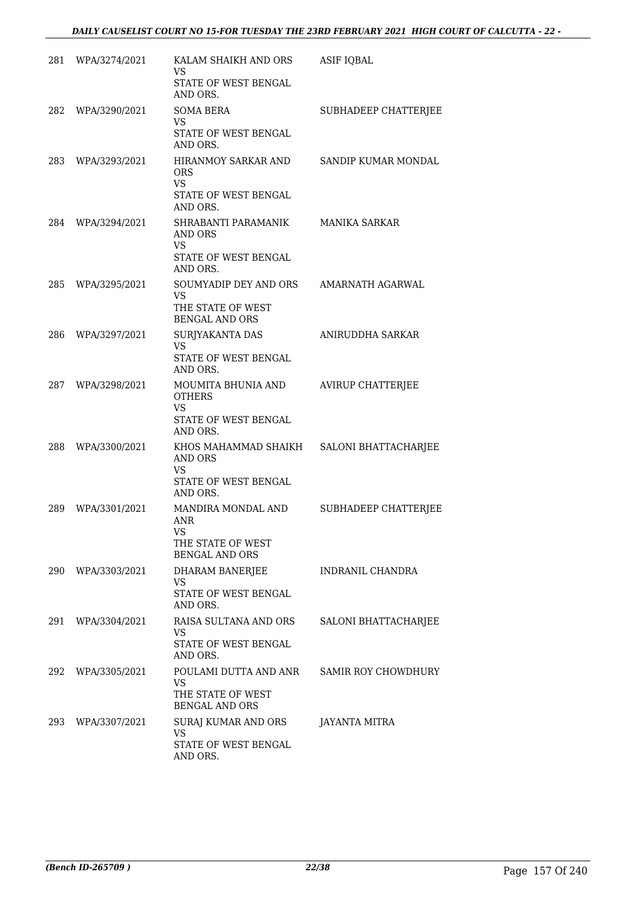| 281 | WPA/3274/2021     | KALAM SHAIKH AND ORS<br>VS<br>STATE OF WEST BENGAL<br>AND ORS.                          | ASIF IQBAL                 |
|-----|-------------------|-----------------------------------------------------------------------------------------|----------------------------|
| 282 | WPA/3290/2021     | <b>SOMA BERA</b><br><b>VS</b><br>STATE OF WEST BENGAL<br>AND ORS.                       | SUBHADEEP CHATTERJEE       |
| 283 | WPA/3293/2021     | HIRANMOY SARKAR AND<br>ORS.<br><b>VS</b><br>STATE OF WEST BENGAL<br>AND ORS.            | SANDIP KUMAR MONDAL        |
| 284 | WPA/3294/2021     | SHRABANTI PARAMANIK<br><b>AND ORS</b><br><b>VS</b><br>STATE OF WEST BENGAL<br>AND ORS.  | <b>MANIKA SARKAR</b>       |
| 285 | WPA/3295/2021     | SOUMYADIP DEY AND ORS<br>VS.<br>THE STATE OF WEST<br><b>BENGAL AND ORS</b>              | AMARNATH AGARWAL           |
| 286 | WPA/3297/2021     | SURJYAKANTA DAS<br><b>VS</b><br>STATE OF WEST BENGAL<br>AND ORS.                        | ANIRUDDHA SARKAR           |
| 287 | WPA/3298/2021     | MOUMITA BHUNIA AND<br><b>OTHERS</b><br><b>VS</b><br>STATE OF WEST BENGAL<br>AND ORS.    | <b>AVIRUP CHATTERJEE</b>   |
| 288 | WPA/3300/2021     | KHOS MAHAMMAD SHAIKH<br><b>AND ORS</b><br><b>VS</b><br>STATE OF WEST BENGAL<br>AND ORS. | SALONI BHATTACHARJEE       |
| 289 | WPA/3301/2021     | MANDIRA MONDAL AND<br><b>ANR</b><br>VS<br>THE STATE OF WEST<br><b>BENGAL AND ORS</b>    | SUBHADEEP CHATTERJEE       |
| 290 | WPA/3303/2021     | <b>DHARAM BANERJEE</b><br>VS<br>STATE OF WEST BENGAL<br>AND ORS.                        | <b>INDRANIL CHANDRA</b>    |
| 291 | WPA/3304/2021     | RAISA SULTANA AND ORS<br>VS.<br>STATE OF WEST BENGAL<br>AND ORS.                        | SALONI BHATTACHARJEE       |
|     | 292 WPA/3305/2021 | POULAMI DUTTA AND ANR<br>VS.<br>THE STATE OF WEST<br><b>BENGAL AND ORS</b>              | <b>SAMIR ROY CHOWDHURY</b> |
|     | 293 WPA/3307/2021 | SURAJ KUMAR AND ORS<br>VS.<br>STATE OF WEST BENGAL<br>AND ORS.                          | <b>JAYANTA MITRA</b>       |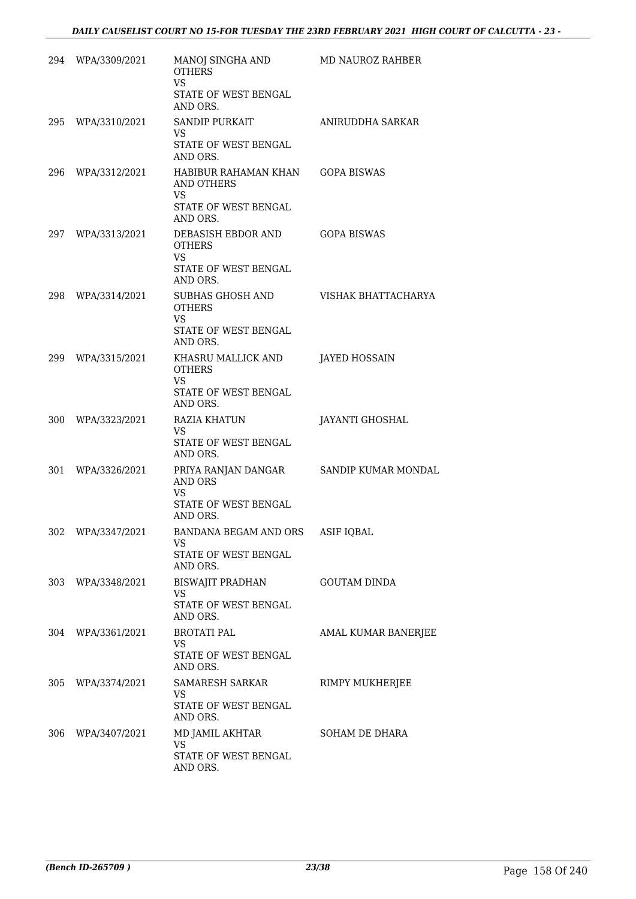|     | 294 WPA/3309/2021 | MANOJ SINGHA AND<br><b>OTHERS</b><br><b>VS</b><br>STATE OF WEST BENGAL<br>AND ORS.                     | MD NAUROZ RAHBER     |
|-----|-------------------|--------------------------------------------------------------------------------------------------------|----------------------|
|     | 295 WPA/3310/2021 | SANDIP PURKAIT<br>VS.<br>STATE OF WEST BENGAL<br>AND ORS.                                              | ANIRUDDHA SARKAR     |
|     | 296 WPA/3312/2021 | HABIBUR RAHAMAN KHAN GOPA BISWAS<br><b>AND OTHERS</b><br><b>VS</b><br>STATE OF WEST BENGAL<br>AND ORS. |                      |
|     | 297 WPA/3313/2021 | DEBASISH EBDOR AND<br><b>OTHERS</b><br>VS<br>STATE OF WEST BENGAL<br>AND ORS.                          | <b>GOPA BISWAS</b>   |
| 298 | WPA/3314/2021     | SUBHAS GHOSH AND<br><b>OTHERS</b><br>VS.                                                               | VISHAK BHATTACHARYA  |
|     | 299 WPA/3315/2021 | STATE OF WEST BENGAL<br>AND ORS.<br>KHASRU MALLICK AND                                                 | <b>JAYED HOSSAIN</b> |
|     |                   | <b>OTHERS</b><br>VS.<br>STATE OF WEST BENGAL                                                           |                      |
|     | 300 WPA/3323/2021 | AND ORS.<br>RAZIA KHATUN<br>VS.<br>STATE OF WEST BENGAL<br>AND ORS.                                    | JAYANTI GHOSHAL      |
| 301 | WPA/3326/2021     | PRIYA RANJAN DANGAR<br><b>AND ORS</b><br><b>VS</b><br>STATE OF WEST BENGAL<br>AND ORS.                 | SANDIP KUMAR MONDAL  |
|     | 302 WPA/3347/2021 | BANDANA BEGAM AND ORS<br>VS.<br>STATE OF WEST BENGAL<br>AND ORS.                                       | <b>ASIF IQBAL</b>    |
|     | 303 WPA/3348/2021 | BISWAJIT PRADHAN<br>VS.<br>STATE OF WEST BENGAL<br>AND ORS.                                            | <b>GOUTAM DINDA</b>  |
|     | 304 WPA/3361/2021 | <b>BROTATI PAL</b><br><b>VS</b><br>STATE OF WEST BENGAL<br>AND ORS.                                    | AMAL KUMAR BANERJEE  |
|     | 305 WPA/3374/2021 | SAMARESH SARKAR<br>VS.<br>STATE OF WEST BENGAL<br>AND ORS.                                             | RIMPY MUKHERJEE      |
|     | 306 WPA/3407/2021 | MD JAMIL AKHTAR<br>VS.<br>STATE OF WEST BENGAL<br>AND ORS.                                             | SOHAM DE DHARA       |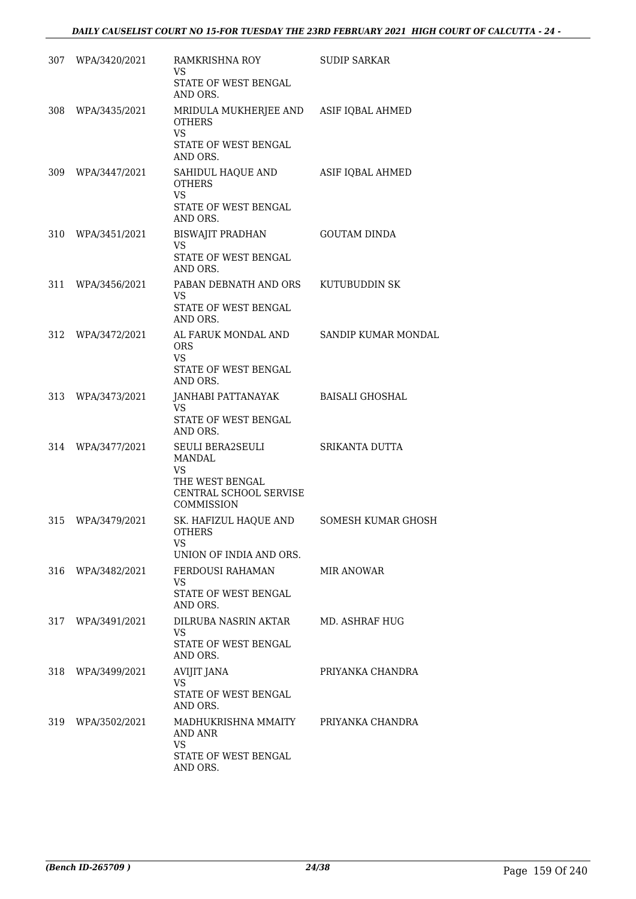|     | 307 WPA/3420/2021 | RAMKRISHNA ROY<br>VS.<br>STATE OF WEST BENGAL<br>AND ORS.                                                | <b>SUDIP SARKAR</b> |
|-----|-------------------|----------------------------------------------------------------------------------------------------------|---------------------|
|     | 308 WPA/3435/2021 | MRIDULA MUKHERJEE AND ASIF IQBAL AHMED<br><b>OTHERS</b><br><b>VS</b><br>STATE OF WEST BENGAL<br>AND ORS. |                     |
|     | 309 WPA/3447/2021 | SAHIDUL HAQUE AND<br><b>OTHERS</b><br><b>VS</b><br>STATE OF WEST BENGAL<br>AND ORS.                      | ASIF IQBAL AHMED    |
|     | 310 WPA/3451/2021 | BISWAJIT PRADHAN<br>VS<br>STATE OF WEST BENGAL<br>AND ORS.                                               | <b>GOUTAM DINDA</b> |
| 311 | WPA/3456/2021     | PABAN DEBNATH AND ORS<br>VS.<br>STATE OF WEST BENGAL<br>AND ORS.                                         | KUTUBUDDIN SK       |
| 312 | WPA/3472/2021     | AL FARUK MONDAL AND<br><b>ORS</b><br>VS.<br>STATE OF WEST BENGAL<br>AND ORS.                             | SANDIP KUMAR MONDAL |
| 313 | WPA/3473/2021     | JANHABI PATTANAYAK<br>VS.<br>STATE OF WEST BENGAL<br>AND ORS.                                            | BAISALI GHOSHAL     |
| 314 | WPA/3477/2021     | SEULI BERA2SEULI<br>MANDAL<br><b>VS</b><br>THE WEST BENGAL<br>CENTRAL SCHOOL SERVISE<br>COMMISSION       | SRIKANTA DUTTA      |
|     | 315 WPA/3479/2021 | SK. HAFIZUL HAQUE AND<br><b>OTHERS</b><br>VS<br>UNION OF INDIA AND ORS.                                  | SOMESH KUMAR GHOSH  |
| 316 | WPA/3482/2021     | FERDOUSI RAHAMAN<br>VS.<br>STATE OF WEST BENGAL<br>AND ORS.                                              | <b>MIR ANOWAR</b>   |
| 317 | WPA/3491/2021     | DILRUBA NASRIN AKTAR<br>VS<br><b>STATE OF WEST BENGAL</b><br>AND ORS.                                    | MD. ASHRAF HUG      |
| 318 | WPA/3499/2021     | AVIJIT JANA<br>VS.<br>STATE OF WEST BENGAL<br>AND ORS.                                                   | PRIYANKA CHANDRA    |
| 319 | WPA/3502/2021     | MADHUKRISHNA MMAITY<br>AND ANR<br><b>VS</b><br>STATE OF WEST BENGAL<br>AND ORS.                          | PRIYANKA CHANDRA    |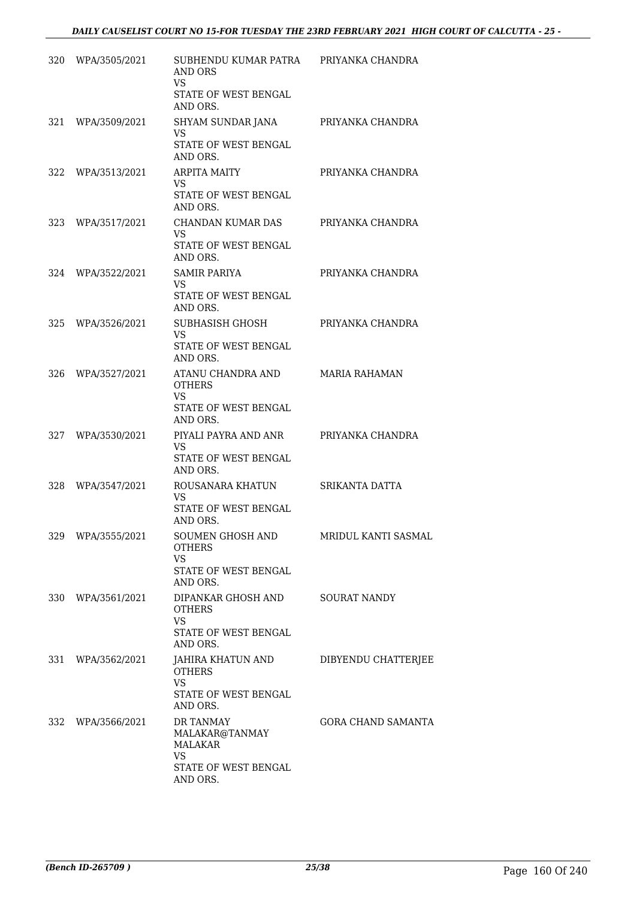| 320 | WPA/3505/2021     | SUBHENDU KUMAR PATRA<br>AND ORS<br>VS<br>STATE OF WEST BENGAL<br>AND ORS.               | PRIYANKA CHANDRA          |
|-----|-------------------|-----------------------------------------------------------------------------------------|---------------------------|
| 321 | WPA/3509/2021     | SHYAM SUNDAR JANA<br>VS<br>STATE OF WEST BENGAL<br>AND ORS.                             | PRIYANKA CHANDRA          |
| 322 | WPA/3513/2021     | <b>ARPITA MAITY</b><br>VS.<br>STATE OF WEST BENGAL<br>AND ORS.                          | PRIYANKA CHANDRA          |
| 323 | WPA/3517/2021     | CHANDAN KUMAR DAS<br>VS.<br>STATE OF WEST BENGAL<br>AND ORS.                            | PRIYANKA CHANDRA          |
| 324 | WPA/3522/2021     | <b>SAMIR PARIYA</b><br>VS.<br>STATE OF WEST BENGAL<br>AND ORS.                          | PRIYANKA CHANDRA          |
| 325 | WPA/3526/2021     | SUBHASISH GHOSH<br>VS.<br>STATE OF WEST BENGAL<br>AND ORS.                              | PRIYANKA CHANDRA          |
| 326 | WPA/3527/2021     | ATANU CHANDRA AND<br><b>OTHERS</b><br>VS<br>STATE OF WEST BENGAL<br>AND ORS.            | <b>MARIA RAHAMAN</b>      |
| 327 | WPA/3530/2021     | PIYALI PAYRA AND ANR<br>VS.<br>STATE OF WEST BENGAL<br>AND ORS.                         | PRIYANKA CHANDRA          |
| 328 | WPA/3547/2021     | ROUSANARA KHATUN<br>VS.<br>STATE OF WEST BENGAL<br>AND ORS.                             | <b>SRIKANTA DATTA</b>     |
|     | 329 WPA/3555/2021 | SOUMEN GHOSH AND<br><b>OTHERS</b><br>VS<br>STATE OF WEST BENGAL<br>AND ORS.             | MRIDUL KANTI SASMAL       |
| 330 | WPA/3561/2021     | DIPANKAR GHOSH AND<br><b>OTHERS</b><br><b>VS</b><br>STATE OF WEST BENGAL<br>AND ORS.    | <b>SOURAT NANDY</b>       |
|     | 331 WPA/3562/2021 | JAHIRA KHATUN AND<br><b>OTHERS</b><br><b>VS</b><br>STATE OF WEST BENGAL<br>AND ORS.     | DIBYENDU CHATTERJEE       |
|     | 332 WPA/3566/2021 | DR TANMAY<br>MALAKAR@TANMAY<br>MALAKAR<br><b>VS</b><br>STATE OF WEST BENGAL<br>AND ORS. | <b>GORA CHAND SAMANTA</b> |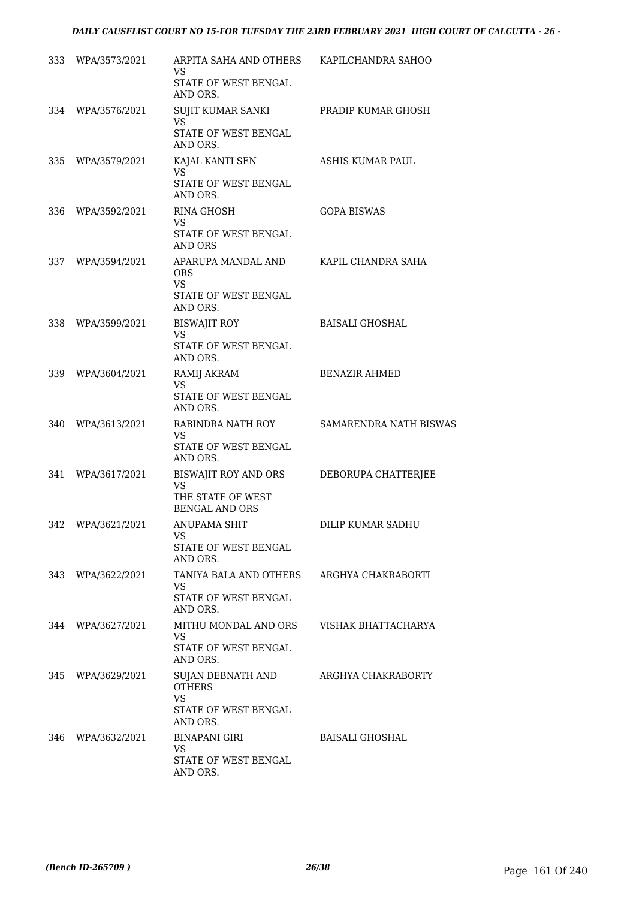| 333 | WPA/3573/2021 | ARPITA SAHA AND OTHERS<br>VS<br>STATE OF WEST BENGAL<br>AND ORS.                    | KAPILCHANDRA SAHOO     |
|-----|---------------|-------------------------------------------------------------------------------------|------------------------|
| 334 | WPA/3576/2021 | SUJIT KUMAR SANKI<br>VS<br>STATE OF WEST BENGAL                                     | PRADIP KUMAR GHOSH     |
| 335 | WPA/3579/2021 | AND ORS.<br>KAJAL KANTI SEN<br>VS<br>STATE OF WEST BENGAL<br>AND ORS.               | ASHIS KUMAR PAUL       |
| 336 | WPA/3592/2021 | <b>RINA GHOSH</b><br>VS<br>STATE OF WEST BENGAL<br><b>AND ORS</b>                   | <b>GOPA BISWAS</b>     |
| 337 | WPA/3594/2021 | APARUPA MANDAL AND<br>ORS<br><b>VS</b><br>STATE OF WEST BENGAL<br>AND ORS.          | KAPIL CHANDRA SAHA     |
| 338 | WPA/3599/2021 | <b>BISWAJIT ROY</b><br><b>VS</b><br>STATE OF WEST BENGAL<br>AND ORS.                | <b>BAISALI GHOSHAL</b> |
| 339 | WPA/3604/2021 | RAMIJ AKRAM<br><b>VS</b><br>STATE OF WEST BENGAL<br>AND ORS.                        | <b>BENAZIR AHMED</b>   |
| 340 | WPA/3613/2021 | RABINDRA NATH ROY<br>VS<br>STATE OF WEST BENGAL<br>AND ORS.                         | SAMARENDRA NATH BISWAS |
| 341 | WPA/3617/2021 | BISWAJIT ROY AND ORS<br><b>VS</b><br>THE STATE OF WEST<br><b>BENGAL AND ORS</b>     | DEBORUPA CHATTERJEE    |
| 342 | WPA/3621/2021 | <b>ANUPAMA SHIT</b><br>VS<br><b>STATE OF WEST BENGAL</b><br>AND ORS.                | DILIP KUMAR SADHU      |
| 343 | WPA/3622/2021 | TANIYA BALA AND OTHERS<br>VS.<br>STATE OF WEST BENGAL<br>AND ORS.                   | ARGHYA CHAKRABORTI     |
| 344 | WPA/3627/2021 | MITHU MONDAL AND ORS<br>VS<br><b>STATE OF WEST BENGAL</b><br>AND ORS.               | VISHAK BHATTACHARYA    |
| 345 | WPA/3629/2021 | SUJAN DEBNATH AND<br><b>OTHERS</b><br><b>VS</b><br>STATE OF WEST BENGAL<br>AND ORS. | ARGHYA CHAKRABORTY     |
| 346 | WPA/3632/2021 | <b>BINAPANI GIRI</b><br>VS<br>STATE OF WEST BENGAL<br>AND ORS.                      | <b>BAISALI GHOSHAL</b> |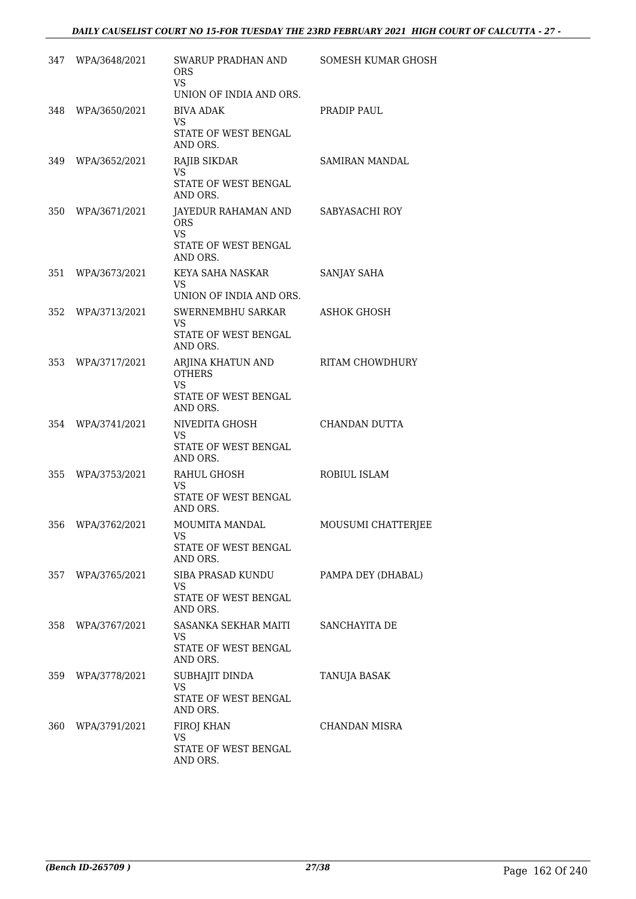|     | 347 WPA/3648/2021 | SWARUP PRADHAN AND<br><b>ORS</b><br>VS<br>UNION OF INDIA AND ORS.            | SOMESH KUMAR GHOSH |
|-----|-------------------|------------------------------------------------------------------------------|--------------------|
|     | 348 WPA/3650/2021 | BIVA ADAK<br>VS<br>STATE OF WEST BENGAL<br>AND ORS.                          | PRADIP PAUL        |
| 349 | WPA/3652/2021     | RAJIB SIKDAR<br>VS<br>STATE OF WEST BENGAL<br>AND ORS.                       | SAMIRAN MANDAL     |
|     | 350 WPA/3671/2021 | JAYEDUR RAHAMAN AND<br><b>ORS</b><br>VS.<br>STATE OF WEST BENGAL<br>AND ORS. | SABYASACHI ROY     |
| 351 | WPA/3673/2021     | KEYA SAHA NASKAR<br>VS<br>UNION OF INDIA AND ORS.                            | SANJAY SAHA        |
|     | 352 WPA/3713/2021 | SWERNEMBHU SARKAR<br>VS<br>STATE OF WEST BENGAL<br>AND ORS.                  | <b>ASHOK GHOSH</b> |
| 353 | WPA/3717/2021     | ARJINA KHATUN AND<br><b>OTHERS</b><br>VS<br>STATE OF WEST BENGAL<br>AND ORS. | RITAM CHOWDHURY    |
| 354 | WPA/3741/2021     | NIVEDITA GHOSH<br>VS<br>STATE OF WEST BENGAL<br>AND ORS.                     | CHANDAN DUTTA      |
| 355 | WPA/3753/2021     | RAHUL GHOSH<br>VS<br>STATE OF WEST BENGAL<br>AND ORS.                        | ROBIUL ISLAM       |
| 356 | WPA/3762/2021     | MOUMITA MANDAL<br>VS<br>STATE OF WEST BENGAL<br>AND ORS.                     | MOUSUMI CHATTERJEE |
| 357 | WPA/3765/2021     | SIBA PRASAD KUNDU<br>VS.<br><b>STATE OF WEST BENGAL</b><br>AND ORS.          | PAMPA DEY (DHABAL) |
| 358 | WPA/3767/2021     | SASANKA SEKHAR MAITI<br><b>VS</b><br><b>STATE OF WEST BENGAL</b><br>AND ORS. | SANCHAYITA DE      |
| 359 | WPA/3778/2021     | SUBHAJIT DINDA<br>VS<br>STATE OF WEST BENGAL<br>AND ORS.                     | TANUJA BASAK       |
| 360 | WPA/3791/2021     | FIROJ KHAN<br>VS<br>STATE OF WEST BENGAL<br>AND ORS.                         | CHANDAN MISRA      |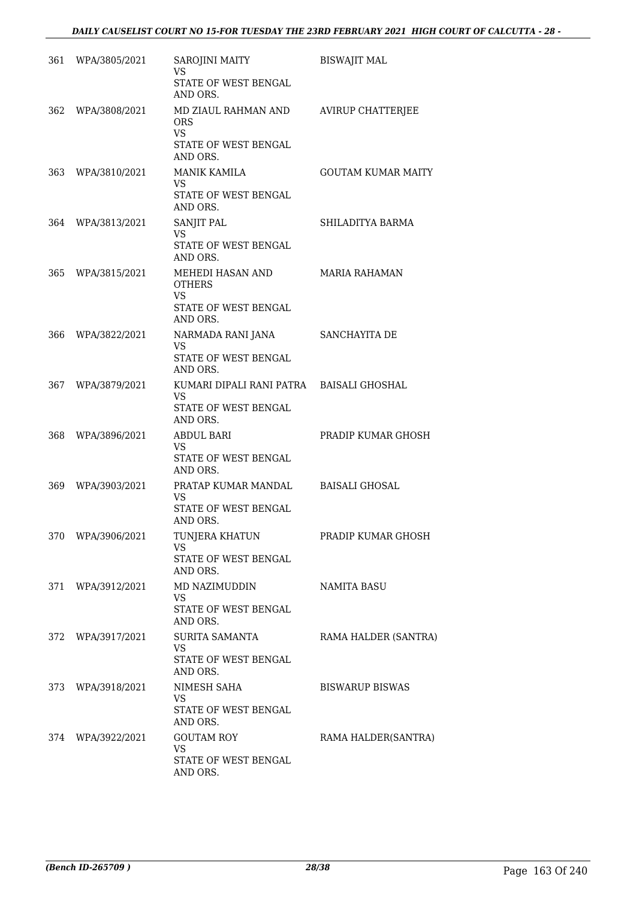| 361   | WPA/3805/2021     | SAROJINI MAITY<br>VS                    | <b>BISWAJIT MAL</b>       |
|-------|-------------------|-----------------------------------------|---------------------------|
|       |                   | STATE OF WEST BENGAL<br>AND ORS.        |                           |
| 362.  | WPA/3808/2021     | MD ZIAUL RAHMAN AND<br>ORS.<br>VS.      | <b>AVIRUP CHATTERJEE</b>  |
|       |                   | STATE OF WEST BENGAL<br>AND ORS.        |                           |
| 363 - | WPA/3810/2021     | <b>MANIK KAMILA</b><br>VS.              | <b>GOUTAM KUMAR MAITY</b> |
|       |                   | STATE OF WEST BENGAL<br>AND ORS.        |                           |
| 364 - | WPA/3813/2021     | SANJIT PAL<br>VS                        | SHILADITYA BARMA          |
|       |                   | STATE OF WEST BENGAL<br>AND ORS.        |                           |
|       | 365 WPA/3815/2021 | MEHEDI HASAN AND<br><b>OTHERS</b>       | <b>MARIA RAHAMAN</b>      |
|       |                   | VS.<br>STATE OF WEST BENGAL             |                           |
|       |                   | AND ORS.                                |                           |
| 366   | WPA/3822/2021     | NARMADA RANI JANA<br><b>VS</b>          | SANCHAYITA DE             |
|       |                   | STATE OF WEST BENGAL<br>AND ORS.        |                           |
| 367   | WPA/3879/2021     | KUMARI DIPALI RANI PATRA<br>VS.         | <b>BAISALI GHOSHAL</b>    |
|       |                   | STATE OF WEST BENGAL<br>AND ORS.        |                           |
| 368   | WPA/3896/2021     | <b>ABDUL BARI</b><br><b>VS</b>          | PRADIP KUMAR GHOSH        |
|       |                   | STATE OF WEST BENGAL<br>AND ORS.        |                           |
| 369.  | WPA/3903/2021     | PRATAP KUMAR MANDAL<br><b>VS</b>        | <b>BAISALI GHOSAL</b>     |
|       |                   | STATE OF WEST BENGAL<br>AND ORS.        |                           |
| 370   | WPA/3906/2021     | TUNJERA KHATUN<br><b>VS</b>             | PRADIP KUMAR GHOSH        |
|       |                   | STATE OF WEST BENGAL<br>AND ORS.        |                           |
| 371   | WPA/3912/2021     | MD NAZIMUDDIN<br>VS.                    | NAMITA BASU               |
|       |                   | <b>STATE OF WEST BENGAL</b><br>AND ORS. |                           |
| 372   | WPA/3917/2021     | SURITA SAMANTA<br>VS.                   | RAMA HALDER (SANTRA)      |
|       |                   | STATE OF WEST BENGAL<br>AND ORS.        |                           |
| 373   | WPA/3918/2021     | NIMESH SAHA<br>VS.                      | <b>BISWARUP BISWAS</b>    |
|       |                   | STATE OF WEST BENGAL<br>AND ORS.        |                           |
| 374   | WPA/3922/2021     | <b>GOUTAM ROY</b><br><b>VS</b>          | RAMA HALDER(SANTRA)       |
|       |                   | STATE OF WEST BENGAL<br>AND ORS.        |                           |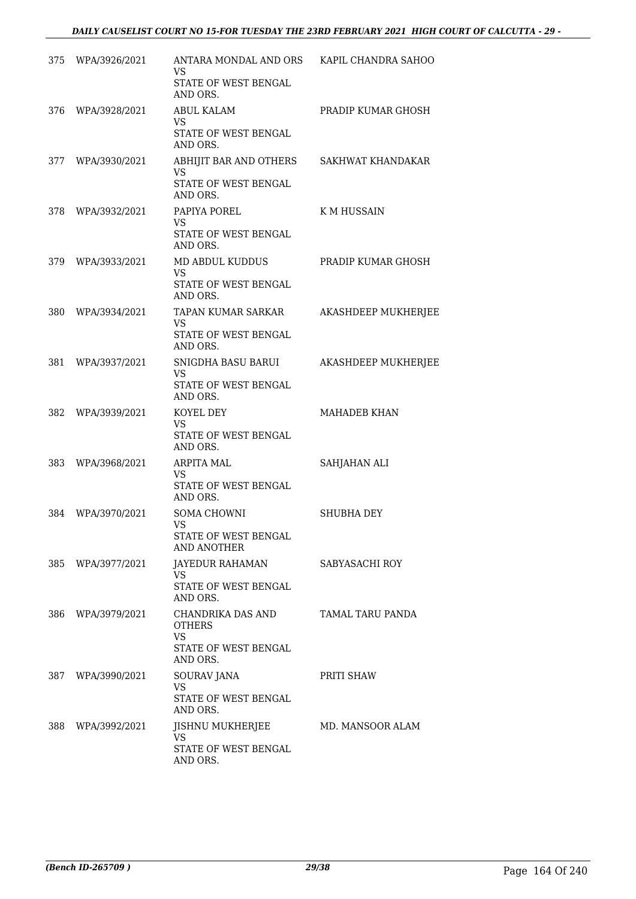| 375 | WPA/3926/2021     | ANTARA MONDAL AND ORS KAPIL CHANDRA SAHOO<br>VS<br>STATE OF WEST BENGAL             |                       |
|-----|-------------------|-------------------------------------------------------------------------------------|-----------------------|
|     | 376 WPA/3928/2021 | AND ORS.<br><b>ABUL KALAM</b><br>VS.                                                | PRADIP KUMAR GHOSH    |
|     |                   | STATE OF WEST BENGAL<br>AND ORS.                                                    |                       |
|     | 377 WPA/3930/2021 | ABHIJIT BAR AND OTHERS<br><b>VS</b><br>STATE OF WEST BENGAL<br>AND ORS.             | SAKHWAT KHANDAKAR     |
| 378 | WPA/3932/2021     | PAPIYA POREL<br>VS.<br>STATE OF WEST BENGAL<br>AND ORS.                             | K M HUSSAIN           |
|     | 379 WPA/3933/2021 | MD ABDUL KUDDUS<br><b>VS</b><br>STATE OF WEST BENGAL<br>AND ORS.                    | PRADIP KUMAR GHOSH    |
| 380 | WPA/3934/2021     | TAPAN KUMAR SARKAR<br>VS.<br>STATE OF WEST BENGAL<br>AND ORS.                       | AKASHDEEP MUKHERJEE   |
| 381 | WPA/3937/2021     | SNIGDHA BASU BARUI<br>VS.<br>STATE OF WEST BENGAL<br>AND ORS.                       | AKASHDEEP MUKHERJEE   |
| 382 | WPA/3939/2021     | KOYEL DEY<br><b>VS</b><br>STATE OF WEST BENGAL<br>AND ORS.                          | <b>MAHADEB KHAN</b>   |
| 383 | WPA/3968/2021     | ARPITA MAL<br>VS<br>STATE OF WEST BENGAL<br>AND ORS.                                | SAHJAHAN ALI          |
| 384 | WPA/3970/2021     | SOMA CHOWNI<br>VS<br>STATE OF WEST BENGAL<br>AND ANOTHER                            | <b>SHUBHA DEY</b>     |
| 385 | WPA/3977/2021     | JAYEDUR RAHAMAN<br>VS.<br>STATE OF WEST BENGAL<br>AND ORS.                          | <b>SABYASACHI ROY</b> |
| 386 | WPA/3979/2021     | CHANDRIKA DAS AND<br><b>OTHERS</b><br><b>VS</b><br>STATE OF WEST BENGAL<br>AND ORS. | TAMAL TARU PANDA      |
| 387 | WPA/3990/2021     | SOURAV JANA<br>VS.<br>STATE OF WEST BENGAL<br>AND ORS.                              | PRITI SHAW            |
| 388 | WPA/3992/2021     | JISHNU MUKHERJEE<br>VS.<br>STATE OF WEST BENGAL<br>AND ORS.                         | MD. MANSOOR ALAM      |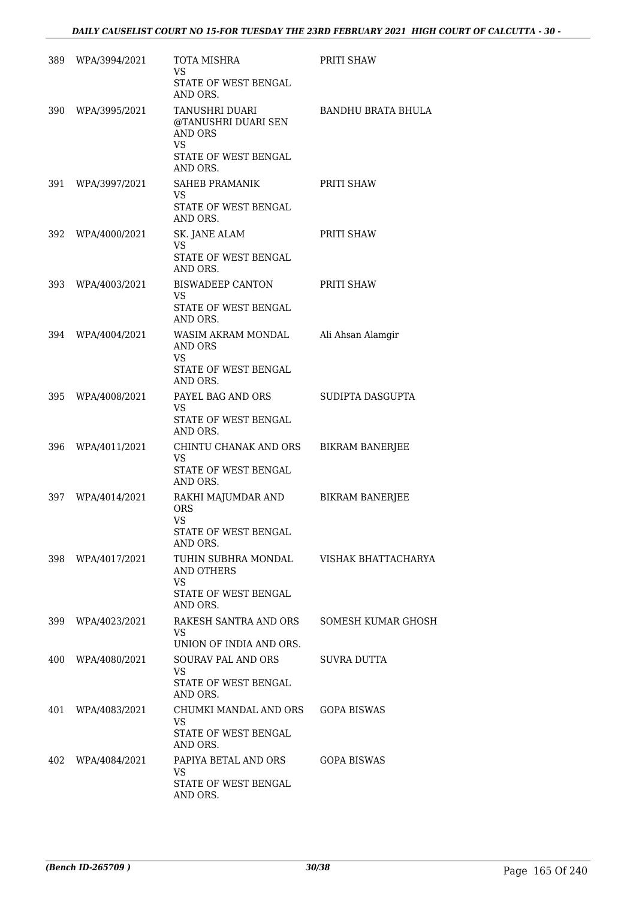| 389 | WPA/3994/2021     | TOTA MISHRA<br>VS<br>STATE OF WEST BENGAL<br>AND ORS.                              | PRITI SHAW             |
|-----|-------------------|------------------------------------------------------------------------------------|------------------------|
|     | 390 WPA/3995/2021 | TANUSHRI DUARI<br>@TANUSHRI DUARI SEN<br><b>AND ORS</b><br>VS                      | BANDHU BRATA BHULA     |
|     |                   | STATE OF WEST BENGAL<br>AND ORS.                                                   |                        |
| 391 | WPA/3997/2021     | SAHEB PRAMANIK<br>VS.<br>STATE OF WEST BENGAL<br>AND ORS.                          | PRITI SHAW             |
|     | 392 WPA/4000/2021 | SK. JANE ALAM<br>VS.<br>STATE OF WEST BENGAL<br>AND ORS.                           | PRITI SHAW             |
| 393 | WPA/4003/2021     | BISWADEEP CANTON<br><b>VS</b><br>STATE OF WEST BENGAL<br>AND ORS.                  | PRITI SHAW             |
|     | 394 WPA/4004/2021 | WASIM AKRAM MONDAL<br>AND ORS<br>VS.<br>STATE OF WEST BENGAL<br>AND ORS.           | Ali Ahsan Alamgir      |
|     | 395 WPA/4008/2021 | PAYEL BAG AND ORS<br>VS.<br>STATE OF WEST BENGAL<br>AND ORS.                       | SUDIPTA DASGUPTA       |
|     | 396 WPA/4011/2021 | CHINTU CHANAK AND ORS<br>VS.<br>STATE OF WEST BENGAL<br>AND ORS.                   | <b>BIKRAM BANERJEE</b> |
| 397 | WPA/4014/2021     | RAKHI MAJUMDAR AND<br><b>ORS</b><br><b>VS</b><br>STATE OF WEST BENGAL              | <b>BIKRAM BANERJEE</b> |
|     | 398 WPA/4017/2021 | AND ORS.<br>TUHIN SUBHRA MONDAL<br>AND OTHERS<br><b>VS</b><br>STATE OF WEST BENGAL | VISHAK BHATTACHARYA    |
|     | 399 WPA/4023/2021 | AND ORS.<br>RAKESH SANTRA AND ORS<br>VS.<br>UNION OF INDIA AND ORS.                | SOMESH KUMAR GHOSH     |
|     | 400 WPA/4080/2021 | <b>SOURAV PAL AND ORS</b><br>VS.<br>STATE OF WEST BENGAL<br>AND ORS.               | SUVRA DUTTA            |
|     | 401 WPA/4083/2021 | CHUMKI MANDAL AND ORS<br>VS.<br>STATE OF WEST BENGAL<br>AND ORS.                   | GOPA BISWAS            |
|     | 402 WPA/4084/2021 | PAPIYA BETAL AND ORS<br>VS.<br>STATE OF WEST BENGAL<br>AND ORS.                    | GOPA BISWAS            |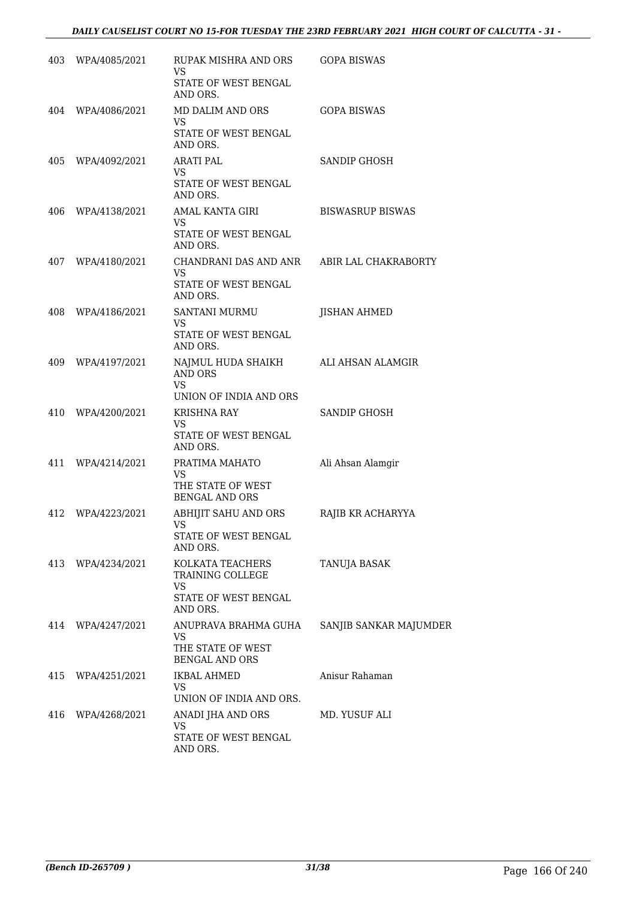| 403 | WPA/4085/2021     | RUPAK MISHRA AND ORS<br>VS.                 | <b>GOPA BISWAS</b>      |
|-----|-------------------|---------------------------------------------|-------------------------|
|     |                   | STATE OF WEST BENGAL<br>AND ORS.            |                         |
| 404 | WPA/4086/2021     | MD DALIM AND ORS<br>VS.                     | <b>GOPA BISWAS</b>      |
|     |                   | STATE OF WEST BENGAL<br>AND ORS.            |                         |
| 405 | WPA/4092/2021     | <b>ARATI PAL</b><br><b>VS</b>               | SANDIP GHOSH            |
|     |                   | STATE OF WEST BENGAL<br>AND ORS.            |                         |
| 406 | WPA/4138/2021     | AMAL KANTA GIRI<br>VS.                      | <b>BISWASRUP BISWAS</b> |
|     |                   | STATE OF WEST BENGAL<br>AND ORS.            |                         |
| 407 | WPA/4180/2021     | CHANDRANI DAS AND ANR<br><b>VS</b>          | ABIR LAL CHAKRABORTY    |
|     |                   | STATE OF WEST BENGAL<br>AND ORS.            |                         |
| 408 | WPA/4186/2021     | SANTANI MURMU<br>VS.                        | <b>JISHAN AHMED</b>     |
|     |                   | STATE OF WEST BENGAL<br>AND ORS.            |                         |
| 409 | WPA/4197/2021     | NAJMUL HUDA SHAIKH<br><b>AND ORS</b>        | ALI AHSAN ALAMGIR       |
|     |                   | <b>VS</b><br>UNION OF INDIA AND ORS         |                         |
| 410 | WPA/4200/2021     | <b>KRISHNA RAY</b><br>VS                    | SANDIP GHOSH            |
|     |                   | STATE OF WEST BENGAL<br>AND ORS.            |                         |
| 411 | WPA/4214/2021     | PRATIMA MAHATO<br>VS                        | Ali Ahsan Alamgir       |
|     |                   | THE STATE OF WEST<br><b>BENGAL AND ORS</b>  |                         |
| 412 | WPA/4223/2021     | <b>ABHIJIT SAHU AND ORS</b><br>VS           | RAJIB KR ACHARYYA       |
|     |                   | STATE OF WEST BENGAL<br>AND ORS.            |                         |
|     | 413 WPA/4234/2021 | KOLKATA TEACHERS<br>TRAINING COLLEGE<br>VS. | TANUJA BASAK            |
|     |                   | STATE OF WEST BENGAL<br>AND ORS.            |                         |
|     | 414 WPA/4247/2021 | ANUPRAVA BRAHMA GUHA<br>VS.                 | SANJIB SANKAR MAJUMDER  |
|     |                   | THE STATE OF WEST<br><b>BENGAL AND ORS</b>  |                         |
| 415 | WPA/4251/2021     | <b>IKBAL AHMED</b><br>VS.                   | Anisur Rahaman          |
|     |                   | UNION OF INDIA AND ORS.                     |                         |
| 416 | WPA/4268/2021     | ANADI JHA AND ORS<br><b>VS</b>              | MD. YUSUF ALI           |
|     |                   | STATE OF WEST BENGAL<br>AND ORS.            |                         |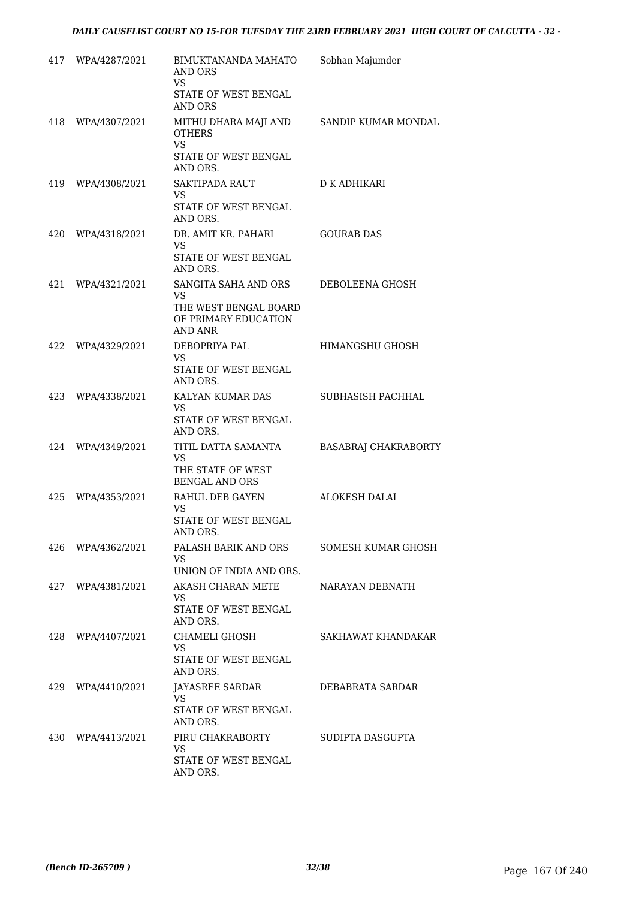|     | 417 WPA/4287/2021 | BIMUKTANANDA MAHATO<br>AND ORS<br><b>VS</b><br>STATE OF WEST BENGAL<br><b>AND ORS</b>   | Sobhan Majumder      |
|-----|-------------------|-----------------------------------------------------------------------------------------|----------------------|
|     | 418 WPA/4307/2021 | MITHU DHARA MAJI AND<br><b>OTHERS</b><br><b>VS</b><br>STATE OF WEST BENGAL<br>AND ORS.  | SANDIP KUMAR MONDAL  |
|     | 419 WPA/4308/2021 | SAKTIPADA RAUT<br>VS.<br>STATE OF WEST BENGAL<br>AND ORS.                               | D K ADHIKARI         |
|     | 420 WPA/4318/2021 | DR. AMIT KR. PAHARI<br>VS.<br>STATE OF WEST BENGAL<br>AND ORS.                          | <b>GOURAB DAS</b>    |
| 421 | WPA/4321/2021     | SANGITA SAHA AND ORS<br>VS.<br>THE WEST BENGAL BOARD<br>OF PRIMARY EDUCATION<br>AND ANR | DEBOLEENA GHOSH      |
| 422 | WPA/4329/2021     | DEBOPRIYA PAL<br>VS.<br>STATE OF WEST BENGAL<br>AND ORS.                                | HIMANGSHU GHOSH      |
| 423 | WPA/4338/2021     | KALYAN KUMAR DAS<br>VS.<br>STATE OF WEST BENGAL<br>AND ORS.                             | SUBHASISH PACHHAL    |
|     | 424 WPA/4349/2021 | TITIL DATTA SAMANTA<br><b>VS</b><br>THE STATE OF WEST<br><b>BENGAL AND ORS</b>          | BASABRAJ CHAKRABORTY |
| 425 | WPA/4353/2021     | RAHUL DEB GAYEN<br>VS.<br>STATE OF WEST BENGAL<br>AND ORS.                              | ALOKESH DALAI        |
| 426 | WPA/4362/2021     | PALASH BARIK AND ORS<br>VS.<br>UNION OF INDIA AND ORS.                                  | SOMESH KUMAR GHOSH   |
| 427 | WPA/4381/2021     | AKASH CHARAN METE<br>VS<br>STATE OF WEST BENGAL<br>AND ORS.                             | NARAYAN DEBNATH      |
| 428 | WPA/4407/2021     | CHAMELI GHOSH<br><b>VS</b><br><b>STATE OF WEST BENGAL</b><br>AND ORS.                   | SAKHAWAT KHANDAKAR   |
| 429 | WPA/4410/2021     | JAYASREE SARDAR<br>VS<br>STATE OF WEST BENGAL<br>AND ORS.                               | DEBABRATA SARDAR     |
| 430 | WPA/4413/2021     | PIRU CHAKRABORTY<br><b>VS</b><br>STATE OF WEST BENGAL<br>AND ORS.                       | SUDIPTA DASGUPTA     |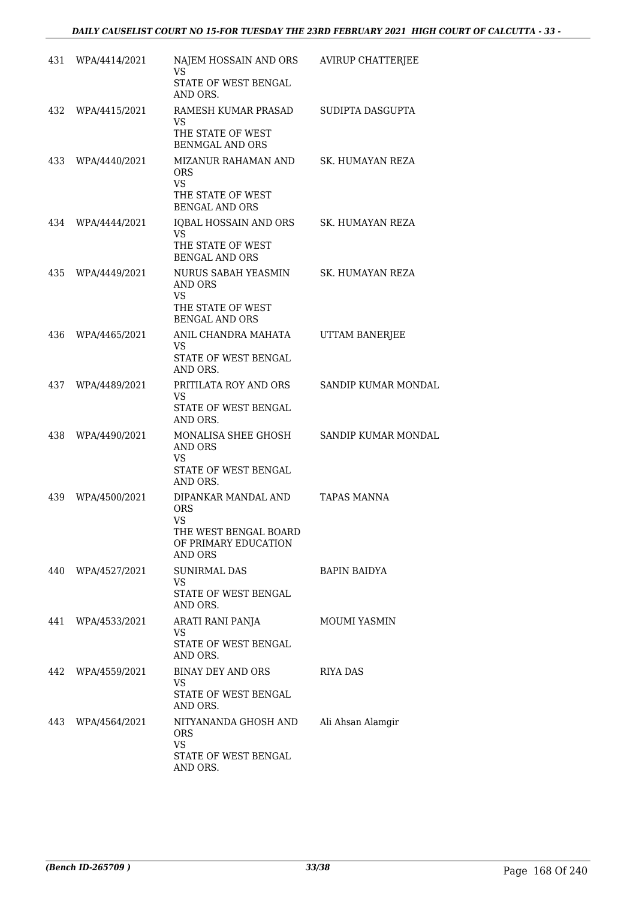| 431 | WPA/4414/2021     | NAJEM HOSSAIN AND ORS<br>VS<br>STATE OF WEST BENGAL<br>AND ORS.                                     | AVIRUP CHATTERJEE   |
|-----|-------------------|-----------------------------------------------------------------------------------------------------|---------------------|
| 432 | WPA/4415/2021     | RAMESH KUMAR PRASAD<br>VS.<br>THE STATE OF WEST<br><b>BENMGAL AND ORS</b>                           | SUDIPTA DASGUPTA    |
| 433 | WPA/4440/2021     | MIZANUR RAHAMAN AND<br><b>ORS</b><br><b>VS</b><br>THE STATE OF WEST<br><b>BENGAL AND ORS</b>        | SK. HUMAYAN REZA    |
| 434 | WPA/4444/2021     | IQBAL HOSSAIN AND ORS<br><b>VS</b><br>THE STATE OF WEST<br><b>BENGAL AND ORS</b>                    | SK. HUMAYAN REZA    |
| 435 | WPA/4449/2021     | NURUS SABAH YEASMIN<br>AND ORS<br><b>VS</b><br>THE STATE OF WEST<br><b>BENGAL AND ORS</b>           | SK. HUMAYAN REZA    |
| 436 | WPA/4465/2021     | ANIL CHANDRA MAHATA<br>VS<br>STATE OF WEST BENGAL<br>AND ORS.                                       | UTTAM BANERJEE      |
| 437 | WPA/4489/2021     | PRITILATA ROY AND ORS<br>VS<br>STATE OF WEST BENGAL<br>AND ORS.                                     | SANDIP KUMAR MONDAL |
| 438 | WPA/4490/2021     | MONALISA SHEE GHOSH<br><b>AND ORS</b><br><b>VS</b><br>STATE OF WEST BENGAL<br>AND ORS.              | SANDIP KUMAR MONDAL |
| 439 | WPA/4500/2021     | DIPANKAR MANDAL AND<br>ORS<br><b>VS</b><br>THE WEST BENGAL BOARD<br>OF PRIMARY EDUCATION<br>AND ORS | TAPAS MANNA         |
|     | 440 WPA/4527/2021 | SUNIRMAL DAS<br>VS<br>STATE OF WEST BENGAL<br>AND ORS.                                              | <b>BAPIN BAIDYA</b> |
|     | 441 WPA/4533/2021 | ARATI RANI PANJA<br>VS.<br>STATE OF WEST BENGAL<br>AND ORS.                                         | MOUMI YASMIN        |
|     | 442 WPA/4559/2021 | BINAY DEY AND ORS<br>VS.<br>STATE OF WEST BENGAL<br>AND ORS.                                        | RIYA DAS            |
|     | 443 WPA/4564/2021 | NITYANANDA GHOSH AND<br><b>ORS</b><br><b>VS</b><br>STATE OF WEST BENGAL<br>AND ORS.                 | Ali Ahsan Alamgir   |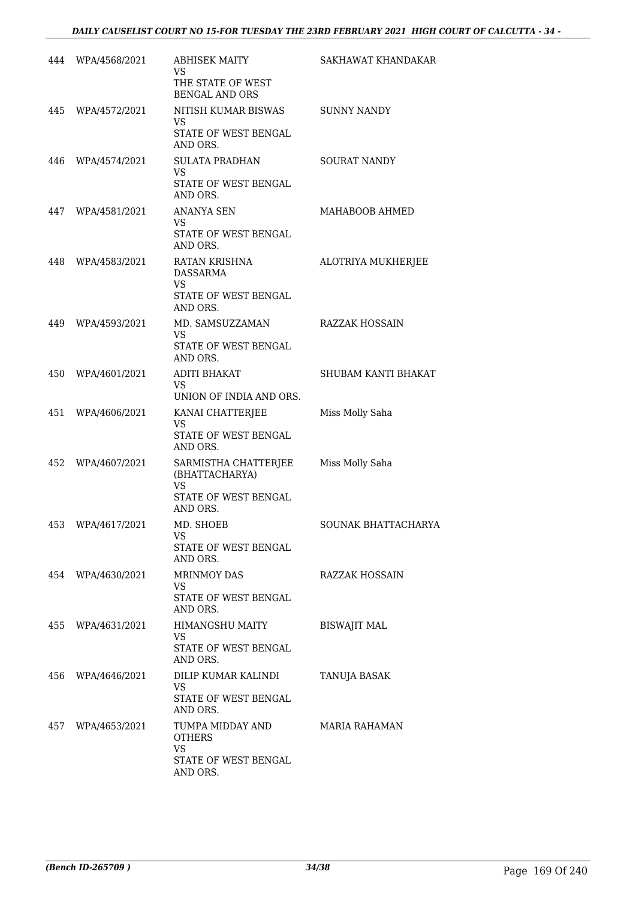|     | 444 WPA/4568/2021 | <b>ABHISEK MAITY</b><br>VS.<br>THE STATE OF WEST<br><b>BENGAL AND ORS</b>          | SAKHAWAT KHANDAKAR    |
|-----|-------------------|------------------------------------------------------------------------------------|-----------------------|
|     | 445 WPA/4572/2021 | NITISH KUMAR BISWAS<br>VS<br>STATE OF WEST BENGAL<br>AND ORS.                      | <b>SUNNY NANDY</b>    |
| 446 | WPA/4574/2021     | <b>SULATA PRADHAN</b><br>VS.<br>STATE OF WEST BENGAL<br>AND ORS.                   | <b>SOURAT NANDY</b>   |
| 447 | WPA/4581/2021     | <b>ANANYA SEN</b><br>VS.<br>STATE OF WEST BENGAL<br>AND ORS.                       | MAHABOOB AHMED        |
| 448 | WPA/4583/2021     | RATAN KRISHNA<br>DASSARMA<br>VS.<br>STATE OF WEST BENGAL<br>AND ORS.               | ALOTRIYA MUKHERJEE    |
|     | 449 WPA/4593/2021 | MD. SAMSUZZAMAN<br>VS.<br>STATE OF WEST BENGAL<br>AND ORS.                         | <b>RAZZAK HOSSAIN</b> |
| 450 | WPA/4601/2021     | <b>ADITI BHAKAT</b><br>VS.<br>UNION OF INDIA AND ORS.                              | SHUBAM KANTI BHAKAT   |
| 451 | WPA/4606/2021     | KANAI CHATTERJEE<br><b>VS</b><br>STATE OF WEST BENGAL<br>AND ORS.                  | Miss Molly Saha       |
| 452 | WPA/4607/2021     | SARMISTHA CHATTERJEE<br>(BHATTACHARYA)<br>VS<br>STATE OF WEST BENGAL<br>AND ORS.   | Miss Molly Saha       |
| 453 | WPA/4617/2021     | MD. SHOEB<br>VS<br>STATE OF WEST BENGAL<br>AND ORS.                                | SOUNAK BHATTACHARYA   |
| 454 | WPA/4630/2021     | <b>MRINMOY DAS</b><br>VS<br>STATE OF WEST BENGAL<br>AND ORS.                       | RAZZAK HOSSAIN        |
| 455 | WPA/4631/2021     | HIMANGSHU MAITY<br>VS.<br>STATE OF WEST BENGAL<br>AND ORS.                         | <b>BISWAJIT MAL</b>   |
| 456 | WPA/4646/2021     | DILIP KUMAR KALINDI<br>VS<br>STATE OF WEST BENGAL<br>AND ORS.                      | TANUJA BASAK          |
| 457 | WPA/4653/2021     | TUMPA MIDDAY AND<br><b>OTHERS</b><br><b>VS</b><br>STATE OF WEST BENGAL<br>AND ORS. | MARIA RAHAMAN         |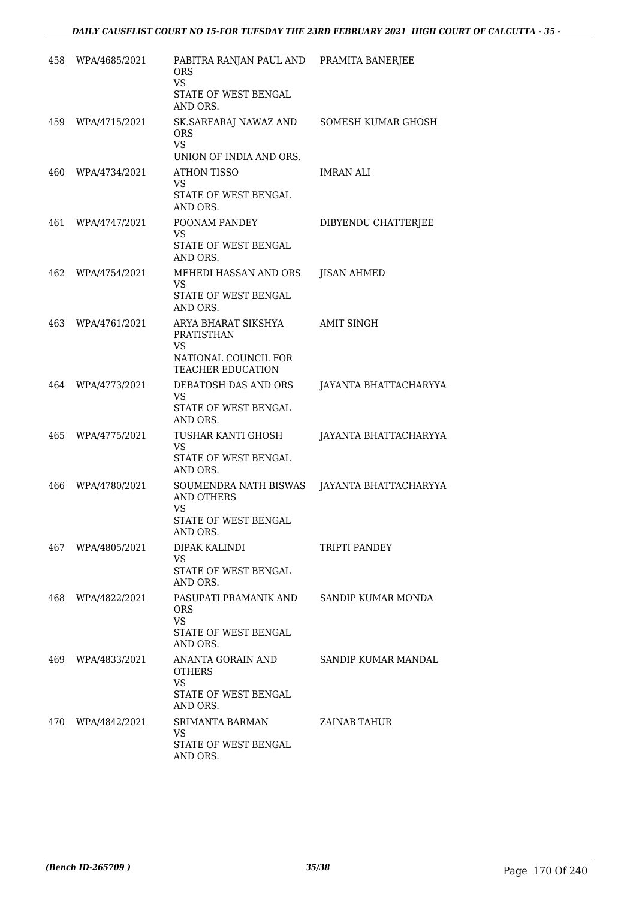| 458 | WPA/4685/2021 | PABITRA RANJAN PAUL AND PRAMITA BANERJEE<br><b>ORS</b><br><b>VS</b><br>STATE OF WEST BENGAL<br>AND ORS. |                            |
|-----|---------------|---------------------------------------------------------------------------------------------------------|----------------------------|
| 459 | WPA/4715/2021 | SK.SARFARAJ NAWAZ AND<br><b>ORS</b><br><b>VS</b><br>UNION OF INDIA AND ORS.                             | SOMESH KUMAR GHOSH         |
| 460 | WPA/4734/2021 | ATHON TISSO<br>VS<br>STATE OF WEST BENGAL<br>AND ORS.                                                   | <b>IMRAN ALI</b>           |
| 461 | WPA/4747/2021 | POONAM PANDEY<br><b>VS</b><br>STATE OF WEST BENGAL<br>AND ORS.                                          | DIBYENDU CHATTERJEE        |
| 462 | WPA/4754/2021 | MEHEDI HASSAN AND ORS<br>VS<br>STATE OF WEST BENGAL<br>AND ORS.                                         | <b>JISAN AHMED</b>         |
| 463 | WPA/4761/2021 | ARYA BHARAT SIKSHYA<br>PRATISTHAN<br><b>VS</b><br>NATIONAL COUNCIL FOR<br><b>TEACHER EDUCATION</b>      | <b>AMIT SINGH</b>          |
| 464 | WPA/4773/2021 | DEBATOSH DAS AND ORS<br><b>VS</b><br>STATE OF WEST BENGAL<br>AND ORS.                                   | JAYANTA BHATTACHARYYA      |
| 465 | WPA/4775/2021 | TUSHAR KANTI GHOSH<br><b>VS</b><br>STATE OF WEST BENGAL<br>AND ORS.                                     | JAYANTA BHATTACHARYYA      |
| 466 | WPA/4780/2021 | SOUMENDRA NATH BISWAS<br><b>AND OTHERS</b><br>VS<br>STATE OF WEST BENGAL<br>AND ORS.                    | JAYANTA BHATTACHARYYA      |
| 467 | WPA/4805/2021 | DIPAK KALINDI<br><b>VS</b><br><b>STATE OF WEST BENGAL</b><br>AND ORS.                                   | <b>TRIPTI PANDEY</b>       |
| 468 | WPA/4822/2021 | PASUPATI PRAMANIK AND<br><b>ORS</b><br><b>VS</b><br>STATE OF WEST BENGAL<br>AND ORS.                    | SANDIP KUMAR MONDA         |
| 469 | WPA/4833/2021 | ANANTA GORAIN AND<br>OTHERS<br><b>VS</b><br>STATE OF WEST BENGAL<br>AND ORS.                            | <b>SANDIP KUMAR MANDAL</b> |
| 470 | WPA/4842/2021 | SRIMANTA BARMAN<br>VS.<br>STATE OF WEST BENGAL<br>AND ORS.                                              | ZAINAB TAHUR               |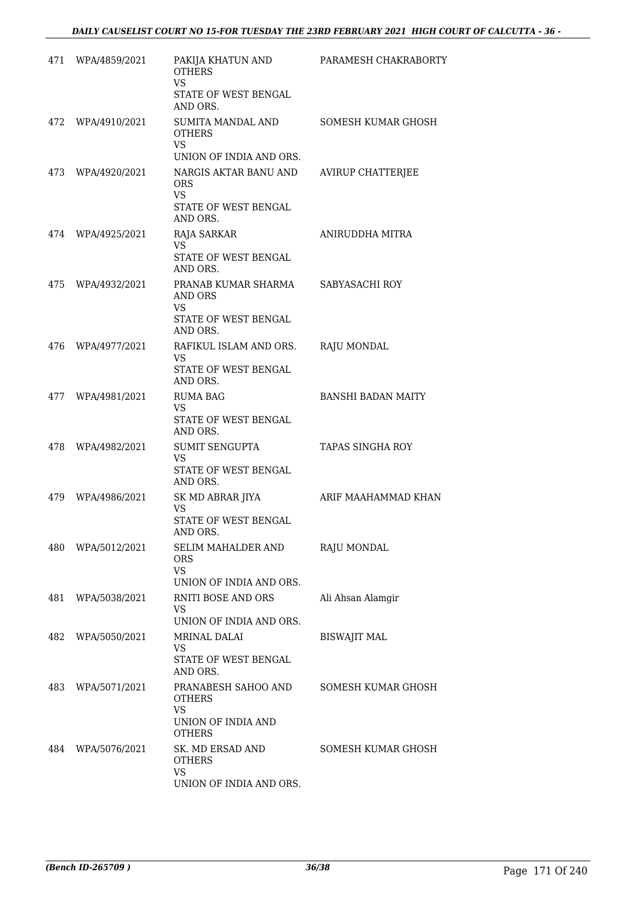| 471 | WPA/4859/2021     | PAKIJA KHATUN AND<br><b>OTHERS</b><br><b>VS</b>                                                                 | PARAMESH CHAKRABORTY      |
|-----|-------------------|-----------------------------------------------------------------------------------------------------------------|---------------------------|
|     |                   | STATE OF WEST BENGAL<br>AND ORS.                                                                                |                           |
|     | 472 WPA/4910/2021 | SUMITA MANDAL AND<br><b>OTHERS</b><br><b>VS</b>                                                                 | SOMESH KUMAR GHOSH        |
|     | 473 WPA/4920/2021 | UNION OF INDIA AND ORS.<br>NARGIS AKTAR BANU AND<br><b>ORS</b><br><b>VS</b><br>STATE OF WEST BENGAL<br>AND ORS. | <b>AVIRUP CHATTERJEE</b>  |
| 474 | WPA/4925/2021     | RAJA SARKAR<br><b>VS</b><br>STATE OF WEST BENGAL<br>AND ORS.                                                    | ANIRUDDHA MITRA           |
| 475 | WPA/4932/2021     | PRANAB KUMAR SHARMA<br>AND ORS<br><b>VS</b><br>STATE OF WEST BENGAL<br>AND ORS.                                 | SABYASACHI ROY            |
|     | 476 WPA/4977/2021 | RAFIKUL ISLAM AND ORS.<br>VS.<br>STATE OF WEST BENGAL<br>AND ORS.                                               | <b>RAJU MONDAL</b>        |
|     | 477 WPA/4981/2021 | <b>RUMA BAG</b><br><b>VS</b><br>STATE OF WEST BENGAL<br>AND ORS.                                                | <b>BANSHI BADAN MAITY</b> |
|     | 478 WPA/4982/2021 | SUMIT SENGUPTA<br>VS.<br>STATE OF WEST BENGAL<br>AND ORS.                                                       | TAPAS SINGHA ROY          |
| 479 | WPA/4986/2021     | SK MD ABRAR JIYA<br>VS<br><b>STATE OF WEST BENGAL</b><br>AND ORS.                                               | ARIF MAAHAMMAD KHAN       |
| 480 | WPA/5012/2021     | SELIM MAHALDER AND<br>ORS<br><b>VS</b><br>UNION OF INDIA AND ORS.                                               | <b>RAJU MONDAL</b>        |
| 481 | WPA/5038/2021     | <b>RNITI BOSE AND ORS</b><br>VS<br>UNION OF INDIA AND ORS.                                                      | Ali Ahsan Alamgir         |
| 482 | WPA/5050/2021     | MRINAL DALAI<br>VS<br>STATE OF WEST BENGAL<br>AND ORS.                                                          | <b>BISWAJIT MAL</b>       |
| 483 | WPA/5071/2021     | PRANABESH SAHOO AND<br><b>OTHERS</b><br><b>VS</b><br>UNION OF INDIA AND<br><b>OTHERS</b>                        | SOMESH KUMAR GHOSH        |
| 484 | WPA/5076/2021     | SK. MD ERSAD AND<br><b>OTHERS</b><br><b>VS</b><br>UNION OF INDIA AND ORS.                                       | SOMESH KUMAR GHOSH        |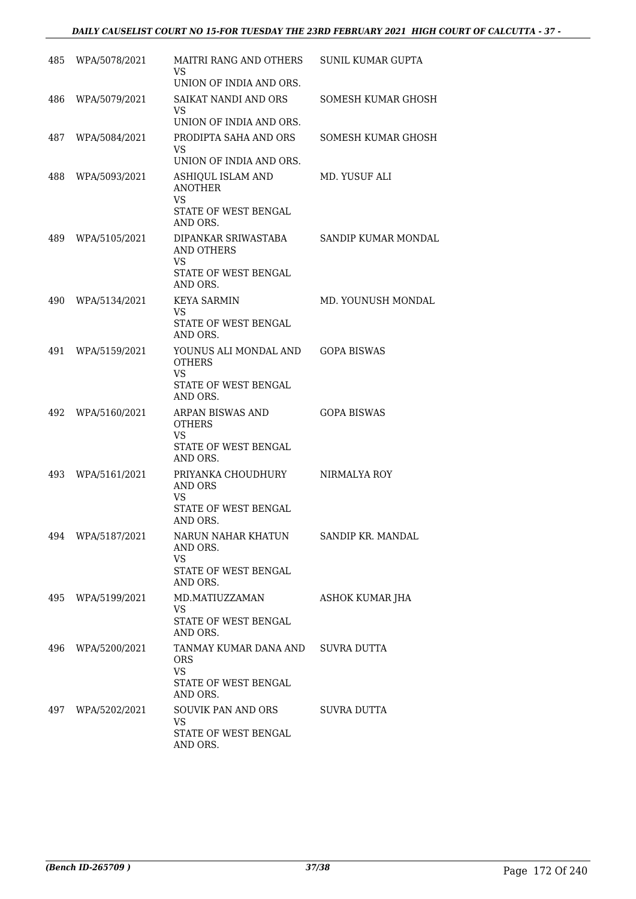### *DAILY CAUSELIST COURT NO 15-FOR TUESDAY THE 23RD FEBRUARY 2021 HIGH COURT OF CALCUTTA - 37 -*

| 485  | WPA/5078/2021     | MAITRI RANG AND OTHERS<br>VS.                                                           | <b>SUNIL KUMAR GUPTA</b> |
|------|-------------------|-----------------------------------------------------------------------------------------|--------------------------|
|      |                   | UNION OF INDIA AND ORS.                                                                 |                          |
| 486  | WPA/5079/2021     | SAIKAT NANDI AND ORS<br><b>VS</b><br>UNION OF INDIA AND ORS.                            | SOMESH KUMAR GHOSH       |
| 487  | WPA/5084/2021     | PRODIPTA SAHA AND ORS                                                                   | SOMESH KUMAR GHOSH       |
|      |                   | <b>VS</b><br>UNION OF INDIA AND ORS.                                                    |                          |
| 488  | WPA/5093/2021     | ASHIQUL ISLAM AND<br><b>ANOTHER</b><br><b>VS</b><br>STATE OF WEST BENGAL<br>AND ORS.    | MD. YUSUF ALI            |
| 489  | WPA/5105/2021     | DIPANKAR SRIWASTABA<br>AND OTHERS<br><b>VS</b><br>STATE OF WEST BENGAL<br>AND ORS.      | SANDIP KUMAR MONDAL      |
| 490  | WPA/5134/2021     | <b>KEYA SARMIN</b>                                                                      | MD. YOUNUSH MONDAL       |
|      |                   | VS.<br>STATE OF WEST BENGAL<br>AND ORS.                                                 |                          |
| 491  | WPA/5159/2021     | YOUNUS ALI MONDAL AND<br><b>OTHERS</b><br><b>VS</b><br>STATE OF WEST BENGAL<br>AND ORS. | <b>GOPA BISWAS</b>       |
| 492. | WPA/5160/2021     | ARPAN BISWAS AND<br><b>OTHERS</b><br>VS.<br>STATE OF WEST BENGAL<br>AND ORS.            | <b>GOPA BISWAS</b>       |
| 493  | WPA/5161/2021     | PRIYANKA CHOUDHURY<br>AND ORS<br>VS<br>STATE OF WEST BENGAL<br>AND ORS.                 | NIRMALYA ROY             |
|      | 494 WPA/5187/2021 | NARUN NAHAR KHATUN<br>AND ORS.<br><b>VS</b><br>STATE OF WEST BENGAL<br>AND ORS.         | SANDIP KR. MANDAL        |
|      | 495 WPA/5199/2021 | MD.MATIUZZAMAN<br>VS.<br><b>STATE OF WEST BENGAL</b><br>AND ORS.                        | ASHOK KUMAR JHA          |
|      | 496 WPA/5200/2021 | TANMAY KUMAR DANA AND<br>ORS.<br><b>VS</b><br>STATE OF WEST BENGAL<br>AND ORS.          | SUVRA DUTTA              |
| 497  | WPA/5202/2021     | SOUVIK PAN AND ORS<br>VS.<br>STATE OF WEST BENGAL<br>AND ORS.                           | SUVRA DUTTA              |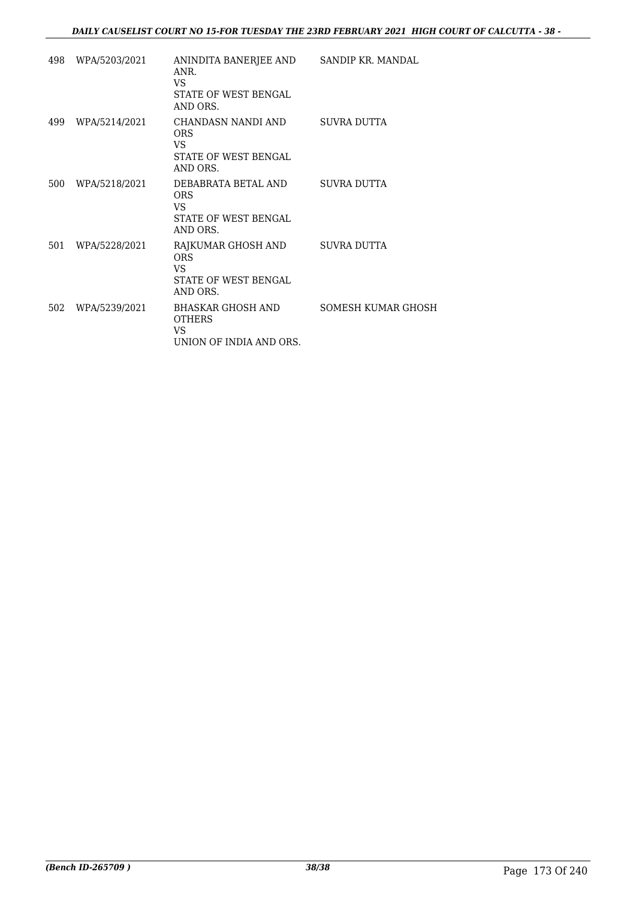### *DAILY CAUSELIST COURT NO 15-FOR TUESDAY THE 23RD FEBRUARY 2021 HIGH COURT OF CALCUTTA - 38 -*

| 498 WPA/5203/2021 | ANINDITA BANERJEE AND SANDIP KR. MANDAL<br>ANR.<br>VS.<br>STATE OF WEST BENGAL<br>AND ORS. |                    |
|-------------------|--------------------------------------------------------------------------------------------|--------------------|
| 499 WPA/5214/2021 | CHANDASN NANDI AND SUVRA DUTTA<br><b>ORS</b><br>VS.<br>STATE OF WEST BENGAL<br>AND ORS.    |                    |
| 500 WPA/5218/2021 | DEBABRATA BETAL AND<br><b>ORS</b><br>VS.<br><b>STATE OF WEST BENGAL</b><br>AND ORS.        | SUVRA DUTTA        |
| 501 WPA/5228/2021 | RAJKUMAR GHOSH AND<br><b>ORS</b><br>VS.<br><b>STATE OF WEST BENGAL</b><br>AND ORS.         | SUVRA DUTTA        |
| 502 WPA/5239/2021 | BHASKAR GHOSH AND<br><b>OTHERS</b><br>VS.<br>UNION OF INDIA AND ORS.                       | SOMESH KUMAR GHOSH |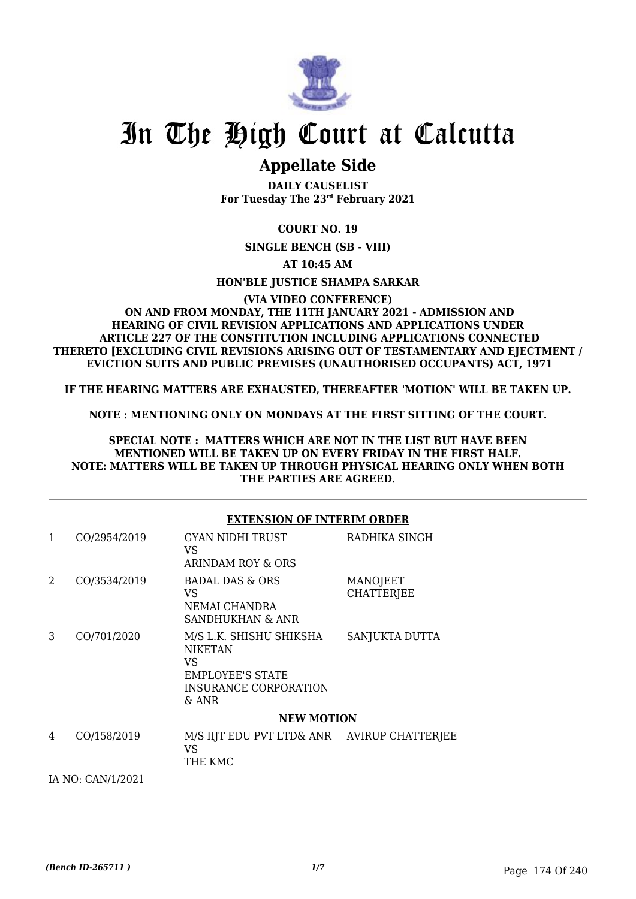

# In The High Court at Calcutta

## **Appellate Side**

**DAILY CAUSELIST For Tuesday The 23rd February 2021**

**COURT NO. 19**

**SINGLE BENCH (SB - VIII)**

**AT 10:45 AM**

**HON'BLE JUSTICE SHAMPA SARKAR**

#### **(VIA VIDEO CONFERENCE) ON AND FROM MONDAY, THE 11TH JANUARY 2021 - ADMISSION AND HEARING OF CIVIL REVISION APPLICATIONS AND APPLICATIONS UNDER ARTICLE 227 OF THE CONSTITUTION INCLUDING APPLICATIONS CONNECTED THERETO [EXCLUDING CIVIL REVISIONS ARISING OUT OF TESTAMENTARY AND EJECTMENT / EVICTION SUITS AND PUBLIC PREMISES (UNAUTHORISED OCCUPANTS) ACT, 1971**

**IF THE HEARING MATTERS ARE EXHAUSTED, THEREAFTER 'MOTION' WILL BE TAKEN UP.**

**NOTE : MENTIONING ONLY ON MONDAYS AT THE FIRST SITTING OF THE COURT.**

**SPECIAL NOTE : MATTERS WHICH ARE NOT IN THE LIST BUT HAVE BEEN MENTIONED WILL BE TAKEN UP ON EVERY FRIDAY IN THE FIRST HALF. NOTE: MATTERS WILL BE TAKEN UP THROUGH PHYSICAL HEARING ONLY WHEN BOTH THE PARTIES ARE AGREED.**

|   |                   | <b>EXTENSION OF INTERIM ORDER</b>                                                                             |                               |
|---|-------------------|---------------------------------------------------------------------------------------------------------------|-------------------------------|
| 1 | CO/2954/2019      | GYAN NIDHI TRUST<br>VS.<br>ARINDAM ROY & ORS                                                                  | RADHIKA SINGH                 |
| 2 | CO/3534/2019      | <b>BADAL DAS &amp; ORS</b><br>VS.<br>NEMAI CHANDRA<br>SANDHUKHAN & ANR                                        | MANOJEET<br><b>CHATTERJEE</b> |
| 3 | CO/701/2020       | M/S L.K. SHISHU SHIKSHA<br><b>NIKETAN</b><br>VS.<br><b>EMPLOYEE'S STATE</b><br>INSURANCE CORPORATION<br>& ANR | SANJUKTA DUTTA                |
|   |                   | <b>NEW MOTION</b>                                                                                             |                               |
| 4 | CO/158/2019       | M/S IIJT EDU PVT LTD& ANR AVIRUP CHATTERJEE<br>VS<br>THE KMC                                                  |                               |
|   | IA NO: CAN/1/2021 |                                                                                                               |                               |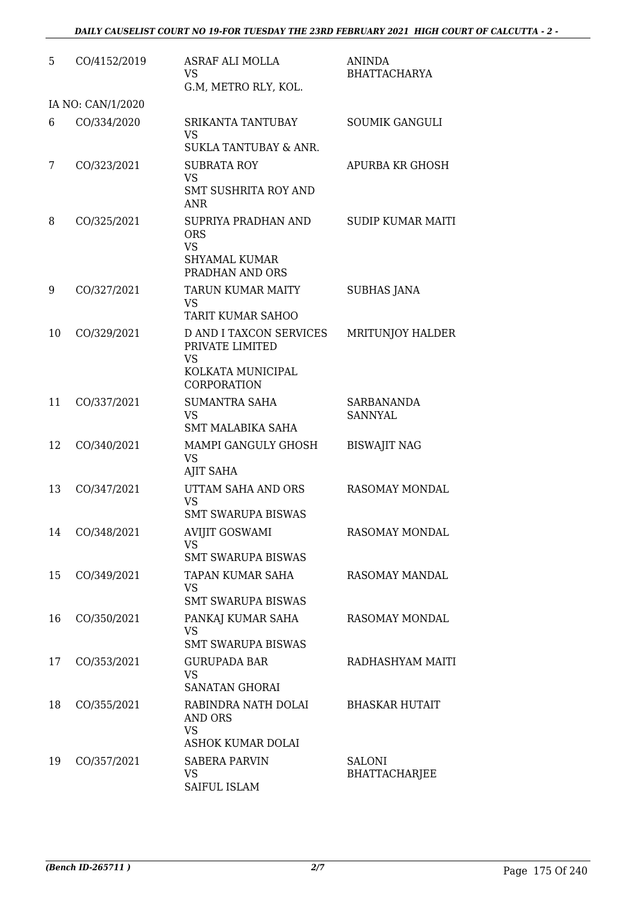| 5  | CO/4152/2019      | <b>ASRAF ALI MOLLA</b><br><b>VS</b><br>G.M, METRO RLY, KOL.                                        | <b>ANINDA</b><br><b>BHATTACHARYA</b>  |
|----|-------------------|----------------------------------------------------------------------------------------------------|---------------------------------------|
|    | IA NO: CAN/1/2020 |                                                                                                    |                                       |
| 6  | CO/334/2020       | SRIKANTA TANTUBAY<br><b>VS</b><br><b>SUKLA TANTUBAY &amp; ANR.</b>                                 | <b>SOUMIK GANGULI</b>                 |
| 7  | CO/323/2021       | <b>SUBRATA ROY</b><br><b>VS</b><br><b>SMT SUSHRITA ROY AND</b><br><b>ANR</b>                       | <b>APURBA KR GHOSH</b>                |
| 8  | CO/325/2021       | SUPRIYA PRADHAN AND<br><b>ORS</b><br><b>VS</b><br><b>SHYAMAL KUMAR</b><br>PRADHAN AND ORS          | <b>SUDIP KUMAR MAITI</b>              |
| 9  | CO/327/2021       | TARUN KUMAR MAITY<br><b>VS</b><br><b>TARIT KUMAR SAHOO</b>                                         | <b>SUBHAS JANA</b>                    |
| 10 | CO/329/2021       | <b>D AND I TAXCON SERVICES</b><br>PRIVATE LIMITED<br><b>VS</b><br>KOLKATA MUNICIPAL<br>CORPORATION | <b>MRITUNJOY HALDER</b>               |
| 11 | CO/337/2021       | <b>SUMANTRA SAHA</b><br><b>VS</b><br>SMT MALABIKA SAHA                                             | SARBANANDA<br><b>SANNYAL</b>          |
| 12 | CO/340/2021       | MAMPI GANGULY GHOSH<br><b>VS</b><br><b>AJIT SAHA</b>                                               | <b>BISWAJIT NAG</b>                   |
| 13 | CO/347/2021       | UTTAM SAHA AND ORS<br><b>VS</b><br><b>SMT SWARUPA BISWAS</b>                                       | <b>RASOMAY MONDAL</b>                 |
| 14 | CO/348/2021       | <b>AVIJIT GOSWAMI</b><br>VS<br><b>SMT SWARUPA BISWAS</b>                                           | <b>RASOMAY MONDAL</b>                 |
| 15 | CO/349/2021       | TAPAN KUMAR SAHA<br><b>VS</b><br><b>SMT SWARUPA BISWAS</b>                                         | RASOMAY MANDAL                        |
| 16 | CO/350/2021       | PANKAJ KUMAR SAHA<br><b>VS</b><br><b>SMT SWARUPA BISWAS</b>                                        | <b>RASOMAY MONDAL</b>                 |
| 17 | CO/353/2021       | <b>GURUPADA BAR</b><br><b>VS</b><br><b>SANATAN GHORAI</b>                                          | RADHASHYAM MAITI                      |
| 18 | CO/355/2021       | RABINDRA NATH DOLAI<br>AND ORS<br><b>VS</b>                                                        | <b>BHASKAR HUTAIT</b>                 |
| 19 | CO/357/2021       | ASHOK KUMAR DOLAI<br><b>SABERA PARVIN</b><br><b>VS</b><br>SAIFUL ISLAM                             | <b>SALONI</b><br><b>BHATTACHARJEE</b> |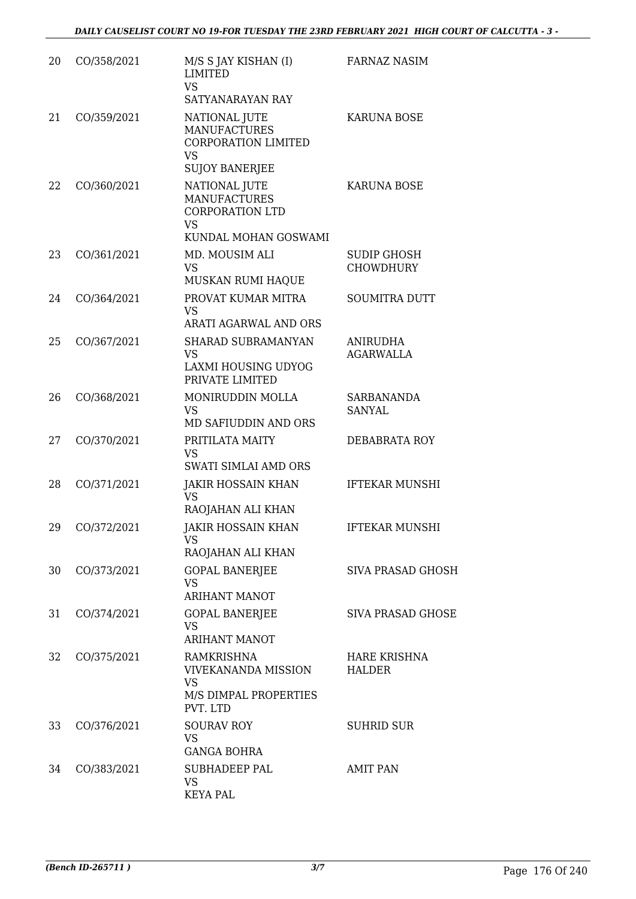| 20 | CO/358/2021 | M/S S JAY KISHAN (I)<br><b>LIMITED</b><br><b>VS</b><br>SATYANARAYAN RAY                                  | <b>FARNAZ NASIM</b>                    |
|----|-------------|----------------------------------------------------------------------------------------------------------|----------------------------------------|
| 21 | CO/359/2021 | NATIONAL JUTE<br><b>MANUFACTURES</b><br><b>CORPORATION LIMITED</b><br><b>VS</b><br><b>SUJOY BANERJEE</b> | <b>KARUNA BOSE</b>                     |
| 22 | CO/360/2021 | NATIONAL JUTE<br><b>MANUFACTURES</b><br><b>CORPORATION LTD</b><br><b>VS</b>                              | <b>KARUNA BOSE</b>                     |
| 23 | CO/361/2021 | KUNDAL MOHAN GOSWAMI<br>MD. MOUSIM ALI<br><b>VS</b><br>MUSKAN RUMI HAQUE                                 | <b>SUDIP GHOSH</b><br><b>CHOWDHURY</b> |
| 24 | CO/364/2021 | PROVAT KUMAR MITRA<br><b>VS</b><br>ARATI AGARWAL AND ORS                                                 | <b>SOUMITRA DUTT</b>                   |
| 25 | CO/367/2021 | SHARAD SUBRAMANYAN<br><b>VS</b><br><b>LAXMI HOUSING UDYOG</b><br>PRIVATE LIMITED                         | <b>ANIRUDHA</b><br><b>AGARWALLA</b>    |
| 26 | CO/368/2021 | MONIRUDDIN MOLLA<br><b>VS</b><br>MD SAFIUDDIN AND ORS                                                    | <b>SARBANANDA</b><br><b>SANYAL</b>     |
| 27 | CO/370/2021 | PRITILATA MAITY<br><b>VS</b><br>SWATI SIMLAI AMD ORS                                                     | DEBABRATA ROY                          |
| 28 | CO/371/2021 | <b>JAKIR HOSSAIN KHAN</b><br><b>VS</b><br>RAOJAHAN ALI KHAN                                              | <b>IFTEKAR MUNSHI</b>                  |
| 29 | CO/372/2021 | JAKIR HOSSAIN KHAN<br>VS.<br>RAOJAHAN ALI KHAN                                                           | <b>IFTEKAR MUNSHI</b>                  |
| 30 | CO/373/2021 | <b>GOPAL BANERJEE</b><br><b>VS</b><br><b>ARIHANT MANOT</b>                                               | <b>SIVA PRASAD GHOSH</b>               |
| 31 | CO/374/2021 | <b>GOPAL BANERJEE</b><br><b>VS</b><br><b>ARIHANT MANOT</b>                                               | SIVA PRASAD GHOSE                      |
| 32 | CO/375/2021 | <b>RAMKRISHNA</b><br><b>VIVEKANANDA MISSION</b><br><b>VS</b><br>M/S DIMPAL PROPERTIES<br>PVT. LTD        | <b>HARE KRISHNA</b><br><b>HALDER</b>   |
| 33 | CO/376/2021 | <b>SOURAV ROY</b><br><b>VS</b><br><b>GANGA BOHRA</b>                                                     | <b>SUHRID SUR</b>                      |
| 34 | CO/383/2021 | SUBHADEEP PAL<br><b>VS</b><br><b>KEYA PAL</b>                                                            | <b>AMIT PAN</b>                        |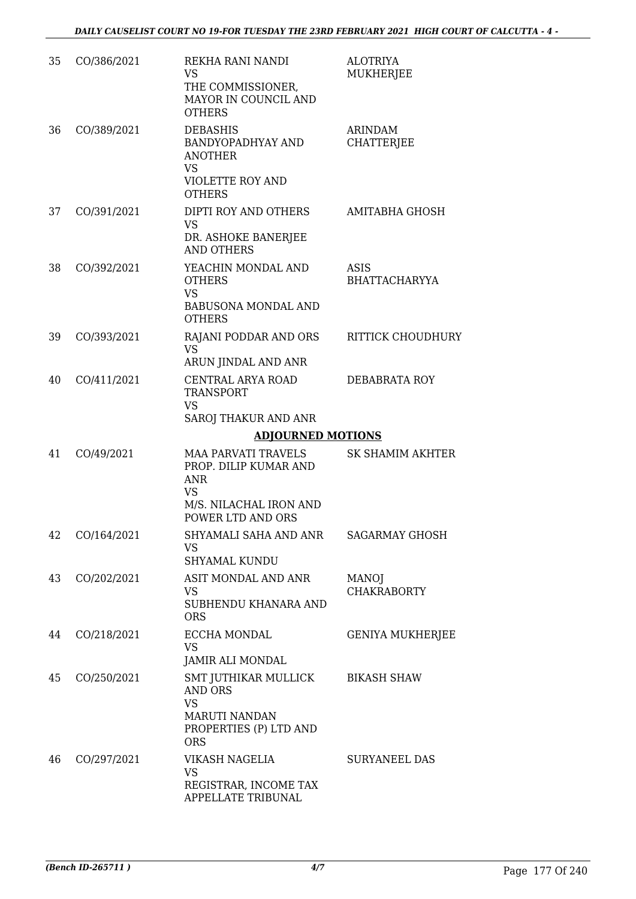| 35 | CO/386/2021 | REKHA RANI NANDI<br>VS<br>THE COMMISSIONER,<br>MAYOR IN COUNCIL AND<br><b>OTHERS</b>                                          | <b>ALOTRIYA</b><br>MUKHERJEE        |
|----|-------------|-------------------------------------------------------------------------------------------------------------------------------|-------------------------------------|
| 36 | CO/389/2021 | <b>DEBASHIS</b><br>BANDYOPADHYAY AND<br><b>ANOTHER</b><br><b>VS</b><br><b>VIOLETTE ROY AND</b><br><b>OTHERS</b>               | ARINDAM<br><b>CHATTERJEE</b>        |
| 37 | CO/391/2021 | DIPTI ROY AND OTHERS<br><b>VS</b><br>DR. ASHOKE BANERJEE<br><b>AND OTHERS</b>                                                 | AMITABHA GHOSH                      |
| 38 | CO/392/2021 | YEACHIN MONDAL AND<br><b>OTHERS</b><br><b>VS</b><br><b>BABUSONA MONDAL AND</b><br><b>OTHERS</b>                               | <b>ASIS</b><br><b>BHATTACHARYYA</b> |
| 39 | CO/393/2021 | RAJANI PODDAR AND ORS<br>VS.<br>ARUN JINDAL AND ANR                                                                           | <b>RITTICK CHOUDHURY</b>            |
| 40 | CO/411/2021 | CENTRAL ARYA ROAD<br><b>TRANSPORT</b><br><b>VS</b><br>SAROJ THAKUR AND ANR                                                    | DEBABRATA ROY                       |
|    |             | <b>ADJOURNED MOTIONS</b>                                                                                                      |                                     |
| 41 | CO/49/2021  | <b>MAA PARVATI TRAVELS</b><br>PROP. DILIP KUMAR AND<br><b>ANR</b><br><b>VS</b><br>M/S. NILACHAL IRON AND<br>POWER LTD AND ORS | <b>SK SHAMIM AKHTER</b>             |
| 42 | CO/164/2021 | SHYAMALI SAHA AND ANR<br><b>VS</b><br><b>SHYAMAL KUNDU</b>                                                                    | <b>SAGARMAY GHOSH</b>               |
| 43 | CO/202/2021 | ASIT MONDAL AND ANR<br><b>VS</b><br>SUBHENDU KHANARA AND<br><b>ORS</b>                                                        | <b>MANOJ</b><br><b>CHAKRABORTY</b>  |
| 44 | CO/218/2021 | <b>ECCHA MONDAL</b><br><b>VS</b><br>JAMIR ALI MONDAL                                                                          | <b>GENIYA MUKHERJEE</b>             |
| 45 | CO/250/2021 | SMT JUTHIKAR MULLICK<br><b>AND ORS</b><br><b>VS</b><br><b>MARUTI NANDAN</b><br>PROPERTIES (P) LTD AND<br><b>ORS</b>           | <b>BIKASH SHAW</b>                  |
| 46 | CO/297/2021 | VIKASH NAGELIA<br>VS<br>REGISTRAR, INCOME TAX<br>APPELLATE TRIBUNAL                                                           | <b>SURYANEEL DAS</b>                |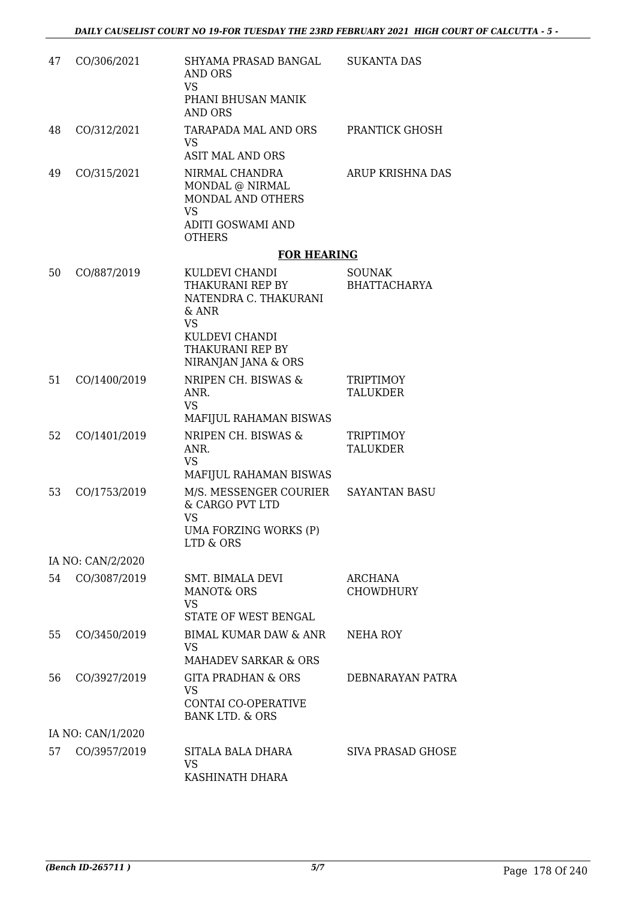| 47 | CO/306/2021       | SHYAMA PRASAD BANGAL<br>AND ORS<br><b>VS</b><br>PHANI BHUSAN MANIK<br><b>AND ORS</b>                                                           | <b>SUKANTA DAS</b>                   |
|----|-------------------|------------------------------------------------------------------------------------------------------------------------------------------------|--------------------------------------|
| 48 | CO/312/2021       | TARAPADA MAL AND ORS<br><b>VS</b><br><b>ASIT MAL AND ORS</b>                                                                                   | PRANTICK GHOSH                       |
| 49 | CO/315/2021       | NIRMAL CHANDRA<br>MONDAL @ NIRMAL<br>MONDAL AND OTHERS<br><b>VS</b><br>ADITI GOSWAMI AND<br><b>OTHERS</b>                                      | ARUP KRISHNA DAS                     |
|    |                   | <b>FOR HEARING</b>                                                                                                                             |                                      |
| 50 | CO/887/2019       | KULDEVI CHANDI<br>THAKURANI REP BY<br>NATENDRA C. THAKURANI<br>& ANR<br><b>VS</b><br>KULDEVI CHANDI<br>THAKURANI REP BY<br>NIRANJAN JANA & ORS | <b>SOUNAK</b><br><b>BHATTACHARYA</b> |
| 51 | CO/1400/2019      | NRIPEN CH. BISWAS &<br>ANR.<br><b>VS</b><br>MAFIJUL RAHAMAN BISWAS                                                                             | <b>TRIPTIMOY</b><br><b>TALUKDER</b>  |
| 52 | CO/1401/2019      | NRIPEN CH. BISWAS &<br>ANR.<br><b>VS</b><br>MAFIJUL RAHAMAN BISWAS                                                                             | <b>TRIPTIMOY</b><br><b>TALUKDER</b>  |
| 53 | CO/1753/2019      | M/S. MESSENGER COURIER<br>& CARGO PVT LTD<br><b>VS</b><br>UMA FORZING WORKS (P)<br>LTD & ORS                                                   | SAYANTAN BASU                        |
|    | IA NO: CAN/2/2020 |                                                                                                                                                |                                      |
| 54 | CO/3087/2019      | SMT. BIMALA DEVI<br><b>MANOT&amp; ORS</b><br><b>VS</b><br>STATE OF WEST BENGAL                                                                 | ARCHANA<br><b>CHOWDHURY</b>          |
| 55 | CO/3450/2019      | <b>BIMAL KUMAR DAW &amp; ANR</b><br><b>VS</b><br><b>MAHADEV SARKAR &amp; ORS</b>                                                               | NEHA ROY                             |
| 56 | CO/3927/2019      | <b>GITA PRADHAN &amp; ORS</b><br><b>VS</b><br>CONTAI CO-OPERATIVE<br><b>BANK LTD. &amp; ORS</b>                                                | DEBNARAYAN PATRA                     |
|    | IA NO: CAN/1/2020 |                                                                                                                                                |                                      |
| 57 | CO/3957/2019      | SITALA BALA DHARA<br><b>VS</b><br>KASHINATH DHARA                                                                                              | <b>SIVA PRASAD GHOSE</b>             |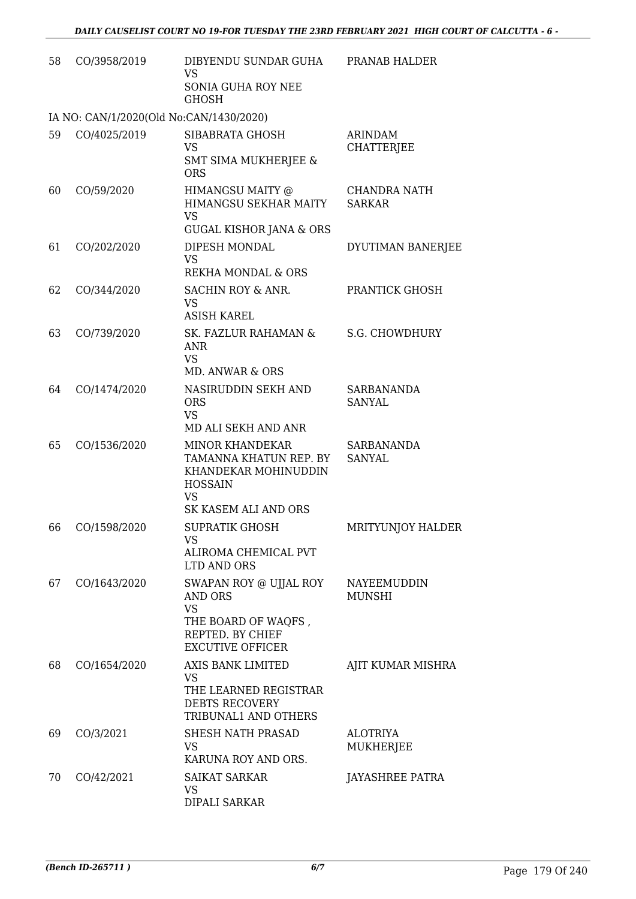| 58 | CO/3958/2019                            | DIBYENDU SUNDAR GUHA<br><b>VS</b><br>SONIA GUHA ROY NEE<br><b>GHOSH</b>                                                             | PRANAB HALDER                        |
|----|-----------------------------------------|-------------------------------------------------------------------------------------------------------------------------------------|--------------------------------------|
|    | IA NO: CAN/1/2020(Old No:CAN/1430/2020) |                                                                                                                                     |                                      |
| 59 | CO/4025/2019                            | SIBABRATA GHOSH<br><b>VS</b><br><b>SMT SIMA MUKHERJEE &amp;</b><br><b>ORS</b>                                                       | <b>ARINDAM</b><br><b>CHATTERJEE</b>  |
| 60 | CO/59/2020                              | HIMANGSU MAITY @<br>HIMANGSU SEKHAR MAITY<br><b>VS</b><br><b>GUGAL KISHOR JANA &amp; ORS</b>                                        | <b>CHANDRA NATH</b><br><b>SARKAR</b> |
| 61 | CO/202/2020                             | DIPESH MONDAL<br><b>VS</b><br>REKHA MONDAL & ORS                                                                                    | DYUTIMAN BANERJEE                    |
| 62 | CO/344/2020                             | SACHIN ROY & ANR.<br><b>VS</b><br><b>ASISH KAREL</b>                                                                                | PRANTICK GHOSH                       |
| 63 | CO/739/2020                             | SK. FAZLUR RAHAMAN &<br>ANR<br><b>VS</b><br>MD. ANWAR & ORS                                                                         | <b>S.G. CHOWDHURY</b>                |
| 64 | CO/1474/2020                            | NASIRUDDIN SEKH AND<br><b>ORS</b><br><b>VS</b><br>MD ALI SEKH AND ANR                                                               | <b>SARBANANDA</b><br><b>SANYAL</b>   |
| 65 | CO/1536/2020                            | <b>MINOR KHANDEKAR</b><br>TAMANNA KHATUN REP. BY<br>KHANDEKAR MOHINUDDIN<br><b>HOSSAIN</b><br><b>VS</b><br>SK KASEM ALI AND ORS     | <b>SARBANANDA</b><br><b>SANYAL</b>   |
| 66 | CO/1598/2020                            | <b>SUPRATIK GHOSH</b><br>VS<br>ALIROMA CHEMICAL PVT                                                                                 | MRITYUNJOY HALDER                    |
| 67 | CO/1643/2020                            | LTD AND ORS<br>SWAPAN ROY @ UJJAL ROY<br>AND ORS<br><b>VS</b><br>THE BOARD OF WAQFS,<br>REPTED. BY CHIEF<br><b>EXCUTIVE OFFICER</b> | NAYEEMUDDIN<br><b>MUNSHI</b>         |
| 68 | CO/1654/2020                            | AXIS BANK LIMITED<br><b>VS</b><br>THE LEARNED REGISTRAR<br><b>DEBTS RECOVERY</b><br>TRIBUNAL1 AND OTHERS                            | AJIT KUMAR MISHRA                    |
| 69 | CO/3/2021                               | SHESH NATH PRASAD<br>VS<br>KARUNA ROY AND ORS.                                                                                      | <b>ALOTRIYA</b><br><b>MUKHERJEE</b>  |
| 70 | CO/42/2021                              | <b>SAIKAT SARKAR</b><br>VS<br>DIPALI SARKAR                                                                                         | JAYASHREE PATRA                      |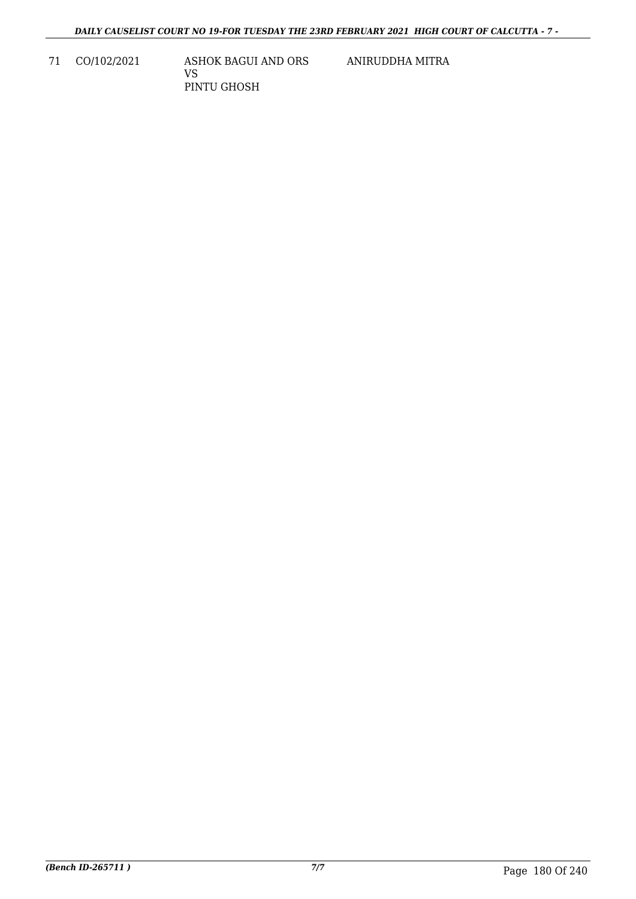71 CO/102/2021 ASHOK BAGUI AND ORS VS

PINTU GHOSH

ANIRUDDHA MITRA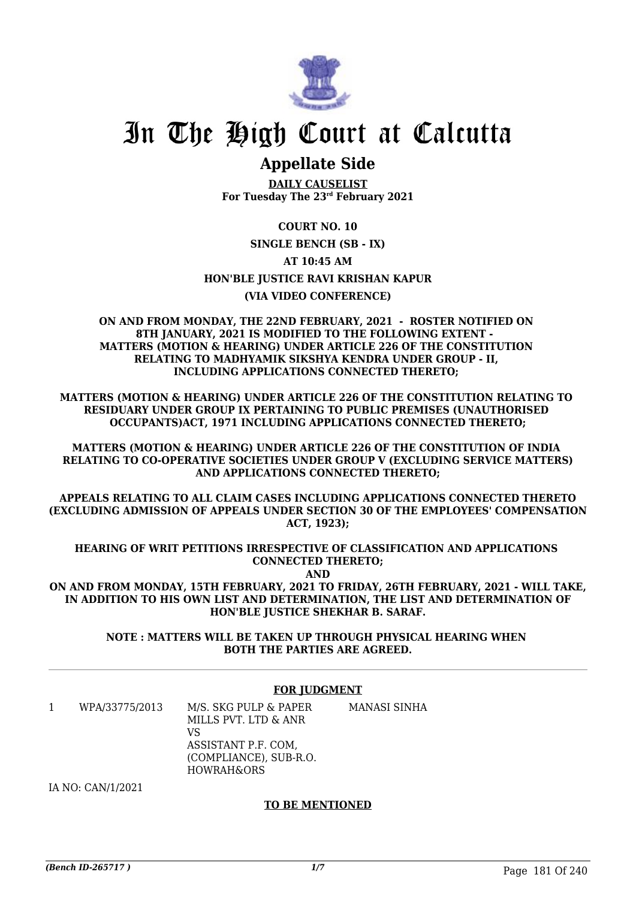

## **Appellate Side**

**DAILY CAUSELIST For Tuesday The 23rd February 2021**

#### **COURT NO. 10**

**SINGLE BENCH (SB - IX)**

#### **AT 10:45 AM**

**HON'BLE JUSTICE RAVI KRISHAN KAPUR**

#### **(VIA VIDEO CONFERENCE)**

**ON AND FROM MONDAY, THE 22ND FEBRUARY, 2021 - ROSTER NOTIFIED ON 8TH JANUARY, 2021 IS MODIFIED TO THE FOLLOWING EXTENT - MATTERS (MOTION & HEARING) UNDER ARTICLE 226 OF THE CONSTITUTION RELATING TO MADHYAMIK SIKSHYA KENDRA UNDER GROUP - II, INCLUDING APPLICATIONS CONNECTED THERETO;** 

**MATTERS (MOTION & HEARING) UNDER ARTICLE 226 OF THE CONSTITUTION RELATING TO RESIDUARY UNDER GROUP IX PERTAINING TO PUBLIC PREMISES (UNAUTHORISED OCCUPANTS)ACT, 1971 INCLUDING APPLICATIONS CONNECTED THERETO;**

**MATTERS (MOTION & HEARING) UNDER ARTICLE 226 OF THE CONSTITUTION OF INDIA RELATING TO CO-OPERATIVE SOCIETIES UNDER GROUP V (EXCLUDING SERVICE MATTERS) AND APPLICATIONS CONNECTED THERETO;**

**APPEALS RELATING TO ALL CLAIM CASES INCLUDING APPLICATIONS CONNECTED THERETO (EXCLUDING ADMISSION OF APPEALS UNDER SECTION 30 OF THE EMPLOYEES' COMPENSATION ACT, 1923);**

**HEARING OF WRIT PETITIONS IRRESPECTIVE OF CLASSIFICATION AND APPLICATIONS CONNECTED THERETO;**

**AND**

**ON AND FROM MONDAY, 15TH FEBRUARY, 2021 TO FRIDAY, 26TH FEBRUARY, 2021 - WILL TAKE, IN ADDITION TO HIS OWN LIST AND DETERMINATION, THE LIST AND DETERMINATION OF HON'BLE JUSTICE SHEKHAR B. SARAF.**

> **NOTE : MATTERS WILL BE TAKEN UP THROUGH PHYSICAL HEARING WHEN BOTH THE PARTIES ARE AGREED.**

#### **FOR JUDGMENT**

| WPA/33775/2013 | M/S. SKG PULP & PAPER<br>MILLS PVT. LTD & ANR | MANASI SINHA |
|----------------|-----------------------------------------------|--------------|
|                | VS                                            |              |
|                | ASSISTANT P.F. COM.                           |              |
|                | (COMPLIANCE), SUB-R.O.                        |              |
|                | HOWRAH&ORS                                    |              |

IA NO: CAN/1/2021

#### **TO BE MENTIONED**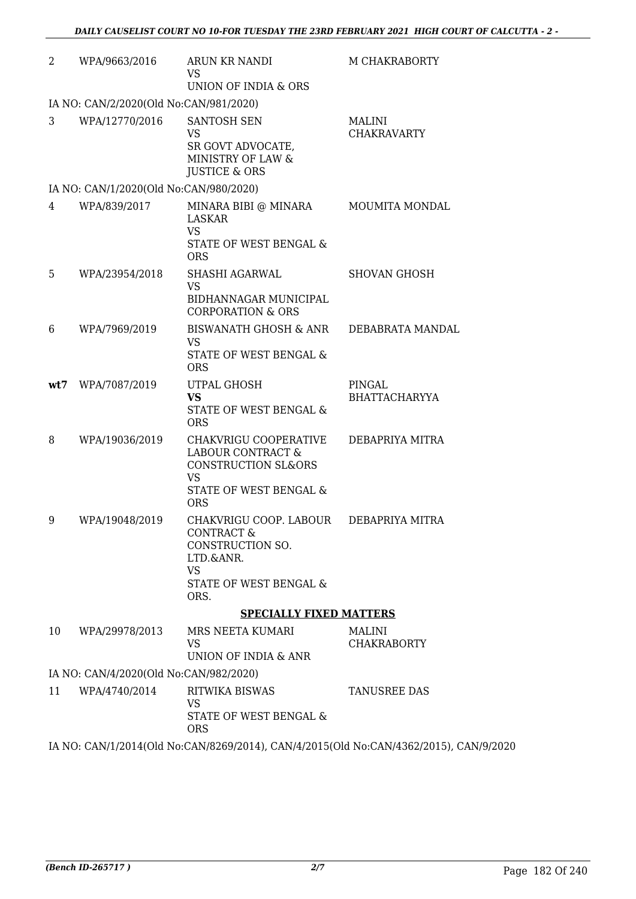| 2   | WPA/9663/2016                          | <b>ARUN KR NANDI</b><br><b>VS</b><br>UNION OF INDIA & ORS                                                                         | M CHAKRABORTY                       |
|-----|----------------------------------------|-----------------------------------------------------------------------------------------------------------------------------------|-------------------------------------|
|     | IA NO: CAN/2/2020(Old No:CAN/981/2020) |                                                                                                                                   |                                     |
| 3   | WPA/12770/2016                         | SANTOSH SEN<br><b>VS</b><br>SR GOVT ADVOCATE,<br>MINISTRY OF LAW &<br><b>JUSTICE &amp; ORS</b>                                    | <b>MALINI</b><br><b>CHAKRAVARTY</b> |
|     | IA NO: CAN/1/2020(Old No:CAN/980/2020) |                                                                                                                                   |                                     |
| 4   | WPA/839/2017                           | MINARA BIBI @ MINARA<br>LASKAR<br><b>VS</b><br>STATE OF WEST BENGAL &<br><b>ORS</b>                                               | <b>MOUMITA MONDAL</b>               |
| 5   | WPA/23954/2018                         | <b>SHASHI AGARWAL</b><br><b>VS</b><br>BIDHANNAGAR MUNICIPAL<br><b>CORPORATION &amp; ORS</b>                                       | <b>SHOVAN GHOSH</b>                 |
| 6   | WPA/7969/2019                          | <b>BISWANATH GHOSH &amp; ANR</b><br>VS<br><b>STATE OF WEST BENGAL &amp;</b><br><b>ORS</b>                                         | DEBABRATA MANDAL                    |
| wt7 | WPA/7087/2019                          | UTPAL GHOSH<br><b>VS</b><br>STATE OF WEST BENGAL &<br><b>ORS</b>                                                                  | PINGAL<br><b>BHATTACHARYYA</b>      |
| 8   | WPA/19036/2019                         | CHAKVRIGU COOPERATIVE<br><b>LABOUR CONTRACT &amp;</b><br>CONSTRUCTION SL&ORS<br><b>VS</b><br>STATE OF WEST BENGAL &<br><b>ORS</b> | DEBAPRIYA MITRA                     |
| 9   | WPA/19048/2019                         | CHAKVRIGU COOP. LABOUR<br><b>CONTRACT &amp;</b><br>CONSTRUCTION SO.<br>LTD.&ANR.<br><b>VS</b><br>STATE OF WEST BENGAL &<br>ORS.   | DEBAPRIYA MITRA                     |
|     |                                        | <b>SPECIALLY FIXED MATTERS</b>                                                                                                    |                                     |
| 10  | WPA/29978/2013                         | MRS NEETA KUMARI<br><b>VS</b><br>UNION OF INDIA & ANR                                                                             | <b>MALINI</b><br><b>CHAKRABORTY</b> |
|     | IA NO: CAN/4/2020(Old No:CAN/982/2020) |                                                                                                                                   |                                     |
| 11  | WPA/4740/2014                          | <b>RITWIKA BISWAS</b><br><b>VS</b><br>STATE OF WEST BENGAL &<br><b>ORS</b>                                                        | <b>TANUSREE DAS</b>                 |

IA NO: CAN/1/2014(Old No:CAN/8269/2014), CAN/4/2015(Old No:CAN/4362/2015), CAN/9/2020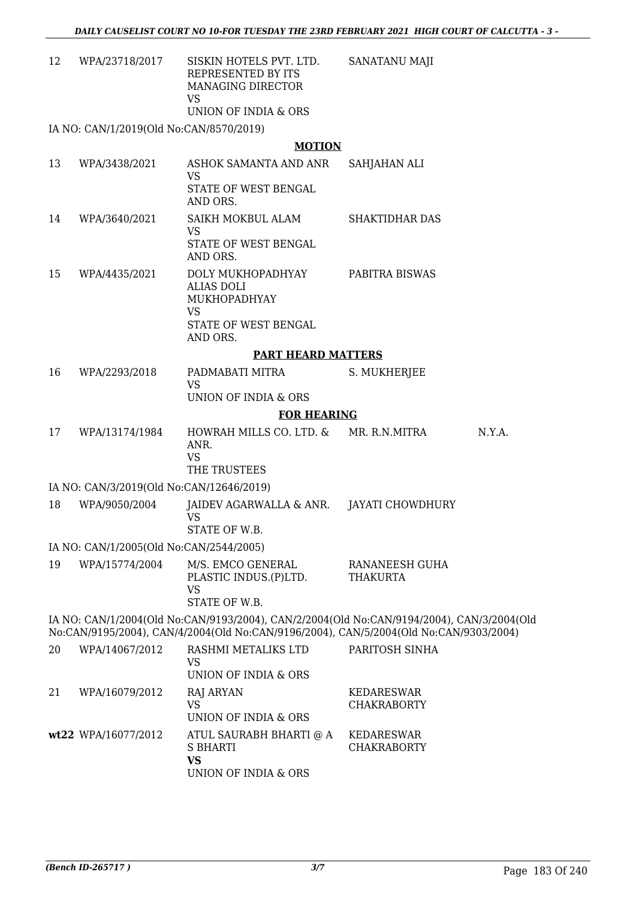| 12 | WPA/23718/2017 | SISKIN HOTELS PVT. LTD. | SANATANU MAJI |
|----|----------------|-------------------------|---------------|
|    |                | REPRESENTED BY ITS      |               |
|    |                | MANAGING DIRECTOR       |               |
|    |                | VS                      |               |
|    |                | UNION OF INDIA & ORS    |               |

IA NO: CAN/1/2019(Old No:CAN/8570/2019)

#### **MOTION**

| 13 | WPA/3438/2021                            | ASHOK SAMANTA AND ANR<br>VS<br>STATE OF WEST BENGAL<br>AND ORS.                                                                                                                    | SAHJAHAN ALI                            |        |
|----|------------------------------------------|------------------------------------------------------------------------------------------------------------------------------------------------------------------------------------|-----------------------------------------|--------|
| 14 | WPA/3640/2021                            | SAIKH MOKBUL ALAM<br><b>VS</b>                                                                                                                                                     | SHAKTIDHAR DAS                          |        |
|    |                                          | STATE OF WEST BENGAL<br>AND ORS.                                                                                                                                                   |                                         |        |
| 15 | WPA/4435/2021                            | DOLY MUKHOPADHYAY<br><b>ALIAS DOLI</b><br>MUKHOPADHYAY<br><b>VS</b>                                                                                                                | <b>PABITRA BISWAS</b>                   |        |
|    |                                          | STATE OF WEST BENGAL<br>AND ORS.                                                                                                                                                   |                                         |        |
|    |                                          | <b>PART HEARD MATTERS</b>                                                                                                                                                          |                                         |        |
| 16 | WPA/2293/2018                            | PADMABATI MITRA<br><b>VS</b>                                                                                                                                                       | S. MUKHERJEE                            |        |
|    |                                          | UNION OF INDIA & ORS                                                                                                                                                               |                                         |        |
|    |                                          | <b>FOR HEARING</b>                                                                                                                                                                 |                                         |        |
| 17 | WPA/13174/1984                           | HOWRAH MILLS CO. LTD. &<br>ANR.<br><b>VS</b><br>THE TRUSTEES                                                                                                                       | MR. R.N.MITRA                           | N.Y.A. |
|    | IA NO: CAN/3/2019(Old No:CAN/12646/2019) |                                                                                                                                                                                    |                                         |        |
| 18 | WPA/9050/2004                            | JAIDEV AGARWALLA & ANR.<br><b>VS</b>                                                                                                                                               | JAYATI CHOWDHURY                        |        |
|    |                                          | STATE OF W.B.                                                                                                                                                                      |                                         |        |
|    | IA NO: CAN/1/2005(Old No:CAN/2544/2005)  |                                                                                                                                                                                    |                                         |        |
| 19 | WPA/15774/2004                           | M/S. EMCO GENERAL<br>PLASTIC INDUS.(P)LTD.<br><b>VS</b><br>STATE OF W.B.                                                                                                           | RANANEESH GUHA<br><b>THAKURTA</b>       |        |
|    |                                          | IA NO: CAN/1/2004(Old No:CAN/9193/2004), CAN/2/2004(Old No:CAN/9194/2004), CAN/3/2004(Old<br>No:CAN/9195/2004), CAN/4/2004(Old No:CAN/9196/2004), CAN/5/2004(Old No:CAN/9303/2004) |                                         |        |
| 20 | WPA/14067/2012                           | RASHMI METALIKS LTD<br>VS<br>UNION OF INDIA & ORS                                                                                                                                  | PARITOSH SINHA                          |        |
| 21 | WPA/16079/2012                           | RAJ ARYAN<br><b>VS</b><br>UNION OF INDIA & ORS                                                                                                                                     | KEDARESWAR<br><b>CHAKRABORTY</b>        |        |
|    | wt22 WPA/16077/2012                      | ATUL SAURABH BHARTI @ A<br><b>S BHARTI</b><br><b>VS</b><br>UNION OF INDIA & ORS                                                                                                    | <b>KEDARESWAR</b><br><b>CHAKRABORTY</b> |        |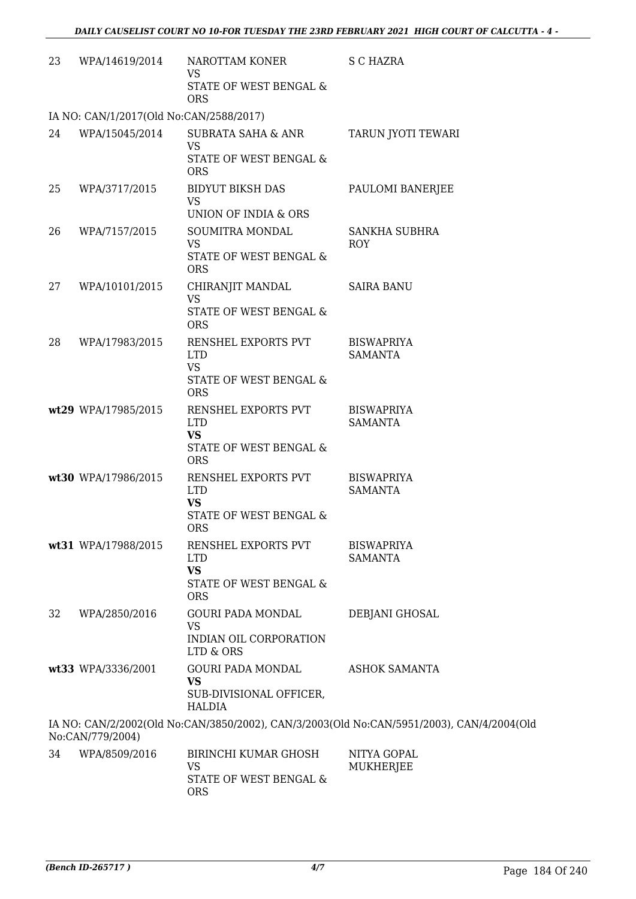| 23 | WPA/14619/2014                          | NAROTTAM KONER<br>VS<br>STATE OF WEST BENGAL &<br><b>ORS</b>                                         | S C HAZRA                                                                                 |
|----|-----------------------------------------|------------------------------------------------------------------------------------------------------|-------------------------------------------------------------------------------------------|
|    | IA NO: CAN/1/2017(Old No:CAN/2588/2017) |                                                                                                      |                                                                                           |
| 24 | WPA/15045/2014                          | <b>SUBRATA SAHA &amp; ANR</b><br><b>VS</b><br>STATE OF WEST BENGAL &                                 | TARUN JYOTI TEWARI                                                                        |
| 25 | WPA/3717/2015                           | <b>ORS</b><br><b>BIDYUT BIKSH DAS</b><br><b>VS</b><br>UNION OF INDIA & ORS                           | PAULOMI BANERJEE                                                                          |
| 26 | WPA/7157/2015                           | SOUMITRA MONDAL<br><b>VS</b><br>STATE OF WEST BENGAL &<br><b>ORS</b>                                 | <b>SANKHA SUBHRA</b><br><b>ROY</b>                                                        |
| 27 | WPA/10101/2015                          | CHIRANJIT MANDAL<br><b>VS</b><br><b>STATE OF WEST BENGAL &amp;</b><br><b>ORS</b>                     | <b>SAIRA BANU</b>                                                                         |
| 28 | WPA/17983/2015                          | RENSHEL EXPORTS PVT<br><b>LTD</b><br><b>VS</b><br>STATE OF WEST BENGAL &                             | <b>BISWAPRIYA</b><br><b>SAMANTA</b>                                                       |
|    | wt29 WPA/17985/2015                     | <b>ORS</b><br>RENSHEL EXPORTS PVT<br><b>LTD</b><br><b>VS</b><br>STATE OF WEST BENGAL &<br><b>ORS</b> | <b>BISWAPRIYA</b><br><b>SAMANTA</b>                                                       |
|    | wt30 WPA/17986/2015                     | RENSHEL EXPORTS PVT<br><b>LTD</b><br><b>VS</b><br>STATE OF WEST BENGAL &<br><b>ORS</b>               | <b>BISWAPRIYA</b><br><b>SAMANTA</b>                                                       |
|    | wt31 WPA/17988/2015                     | RENSHEL EXPORTS PVT<br><b>LTD</b><br><b>VS</b><br>STATE OF WEST BENGAL &<br><b>ORS</b>               | <b>BISWAPRIYA</b><br><b>SAMANTA</b>                                                       |
| 32 | WPA/2850/2016                           | <b>GOURI PADA MONDAL</b><br><b>VS</b><br>INDIAN OIL CORPORATION<br>LTD & ORS                         | DEBJANI GHOSAL                                                                            |
|    | wt33 WPA/3336/2001                      | <b>GOURI PADA MONDAL</b><br><b>VS</b><br>SUB-DIVISIONAL OFFICER,<br>HALDIA                           | <b>ASHOK SAMANTA</b>                                                                      |
|    | No:CAN/779/2004)                        |                                                                                                      | IA NO: CAN/2/2002(Old No:CAN/3850/2002), CAN/3/2003(Old No:CAN/5951/2003), CAN/4/2004(Old |
| 34 | WPA/8509/2016                           | <b>BIRINCHI KUMAR GHOSH</b><br><b>VS</b><br>STATE OF WEST BENGAL &                                   | NITYA GOPAL<br>MUKHERJEE                                                                  |

ORS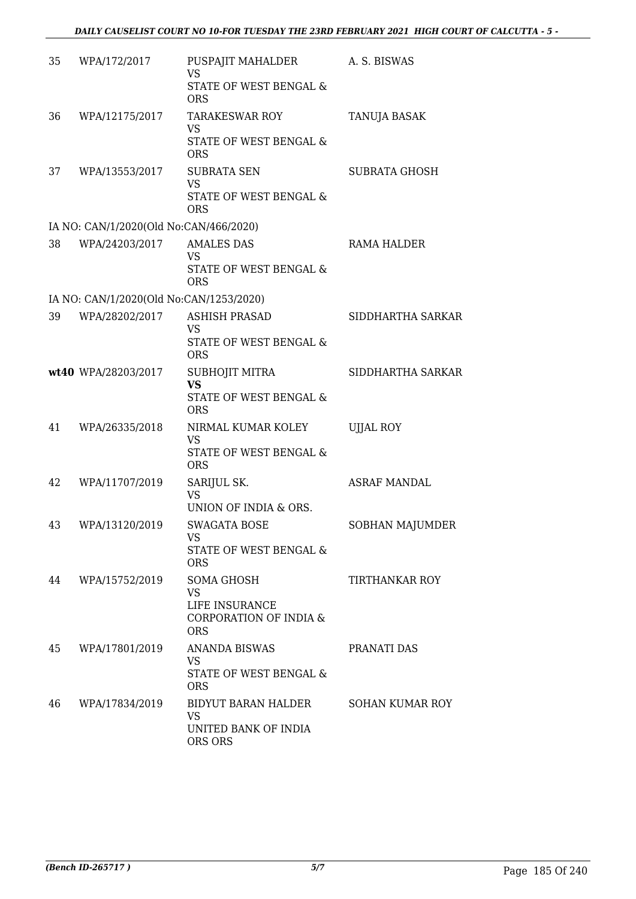| 35 | WPA/172/2017                            | PUSPAJIT MAHALDER<br><b>VS</b><br>STATE OF WEST BENGAL &<br><b>ORS</b>                | A. S. BISWAS          |
|----|-----------------------------------------|---------------------------------------------------------------------------------------|-----------------------|
| 36 | WPA/12175/2017                          | <b>TARAKESWAR ROY</b><br><b>VS</b><br>STATE OF WEST BENGAL &<br><b>ORS</b>            | TANUJA BASAK          |
| 37 | WPA/13553/2017                          | <b>SUBRATA SEN</b><br><b>VS</b><br>STATE OF WEST BENGAL &<br><b>ORS</b>               | <b>SUBRATA GHOSH</b>  |
|    | IA NO: CAN/1/2020(Old No:CAN/466/2020)  |                                                                                       |                       |
| 38 | WPA/24203/2017                          | <b>AMALES DAS</b><br>VS<br>STATE OF WEST BENGAL &<br><b>ORS</b>                       | RAMA HALDER           |
|    | IA NO: CAN/1/2020(Old No:CAN/1253/2020) |                                                                                       |                       |
| 39 | WPA/28202/2017                          | <b>ASHISH PRASAD</b><br><b>VS</b><br>STATE OF WEST BENGAL &<br><b>ORS</b>             | SIDDHARTHA SARKAR     |
|    | wt40 WPA/28203/2017                     | SUBHOJIT MITRA<br><b>VS</b><br>STATE OF WEST BENGAL &                                 | SIDDHARTHA SARKAR     |
| 41 | WPA/26335/2018                          | <b>ORS</b><br>NIRMAL KUMAR KOLEY<br><b>VS</b><br>STATE OF WEST BENGAL &<br><b>ORS</b> | <b>UJJAL ROY</b>      |
| 42 | WPA/11707/2019                          | SARIJUL SK.<br><b>VS</b><br>UNION OF INDIA & ORS.                                     | <b>ASRAF MANDAL</b>   |
| 43 | WPA/13120/2019                          | <b>SWAGATA BOSE</b><br><b>VS</b><br>STATE OF WEST BENGAL &<br><b>ORS</b>              | SOBHAN MAJUMDER       |
| 44 | WPA/15752/2019                          | SOMA GHOSH<br>VS<br>LIFE INSURANCE<br><b>CORPORATION OF INDIA &amp;</b><br><b>ORS</b> | <b>TIRTHANKAR ROY</b> |
| 45 | WPA/17801/2019                          | <b>ANANDA BISWAS</b><br><b>VS</b><br>STATE OF WEST BENGAL &<br><b>ORS</b>             | PRANATI DAS           |
| 46 | WPA/17834/2019                          | BIDYUT BARAN HALDER<br><b>VS</b><br>UNITED BANK OF INDIA<br>ORS ORS                   | SOHAN KUMAR ROY       |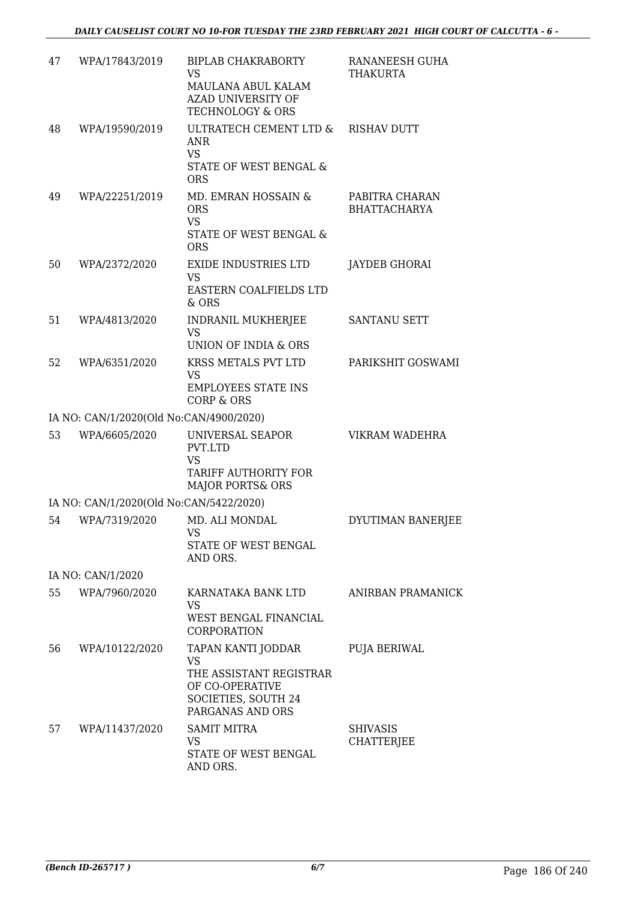| 47 | WPA/17843/2019                          | <b>BIPLAB CHAKRABORTY</b><br><b>VS</b><br>MAULANA ABUL KALAM<br><b>AZAD UNIVERSITY OF</b><br><b>TECHNOLOGY &amp; ORS</b> | RANANEESH GUHA<br><b>THAKURTA</b>     |
|----|-----------------------------------------|--------------------------------------------------------------------------------------------------------------------------|---------------------------------------|
| 48 | WPA/19590/2019                          | ULTRATECH CEMENT LTD &<br><b>ANR</b><br><b>VS</b><br>STATE OF WEST BENGAL &<br><b>ORS</b>                                | <b>RISHAV DUTT</b>                    |
| 49 | WPA/22251/2019                          | MD. EMRAN HOSSAIN &<br><b>ORS</b><br><b>VS</b><br>STATE OF WEST BENGAL &<br><b>ORS</b>                                   | PABITRA CHARAN<br><b>BHATTACHARYA</b> |
| 50 | WPA/2372/2020                           | <b>EXIDE INDUSTRIES LTD</b><br><b>VS</b><br>EASTERN COALFIELDS LTD<br>& ORS                                              | <b>JAYDEB GHORAI</b>                  |
| 51 | WPA/4813/2020                           | <b>INDRANIL MUKHERJEE</b><br><b>VS</b><br>UNION OF INDIA & ORS                                                           | <b>SANTANU SETT</b>                   |
| 52 | WPA/6351/2020                           | KRSS METALS PVT LTD<br><b>VS</b><br><b>EMPLOYEES STATE INS</b><br><b>CORP &amp; ORS</b>                                  | PARIKSHIT GOSWAMI                     |
|    | IA NO: CAN/1/2020(Old No:CAN/4900/2020) |                                                                                                                          |                                       |
| 53 | WPA/6605/2020                           | UNIVERSAL SEAPOR<br>PVT.LTD<br><b>VS</b><br>TARIFF AUTHORITY FOR<br><b>MAJOR PORTS&amp; ORS</b>                          | VIKRAM WADEHRA                        |
|    | IA NO: CAN/1/2020(Old No:CAN/5422/2020) |                                                                                                                          |                                       |
| 54 | WPA/7319/2020                           | MD. ALI MONDAL<br>VS<br>STATE OF WEST BENGAL<br>AND ORS.                                                                 | DYUTIMAN BANERJEE                     |
|    | IA NO: CAN/1/2020                       |                                                                                                                          |                                       |
| 55 | WPA/7960/2020                           | KARNATAKA BANK LTD<br>VS<br>WEST BENGAL FINANCIAL<br><b>CORPORATION</b>                                                  | ANIRBAN PRAMANICK                     |
| 56 | WPA/10122/2020                          | TAPAN KANTI JODDAR<br><b>VS</b><br>THE ASSISTANT REGISTRAR<br>OF CO-OPERATIVE<br>SOCIETIES, SOUTH 24<br>PARGANAS AND ORS | PUJA BERIWAL                          |
| 57 | WPA/11437/2020                          | <b>SAMIT MITRA</b><br><b>VS</b><br>STATE OF WEST BENGAL<br>AND ORS.                                                      | <b>SHIVASIS</b><br><b>CHATTERJEE</b>  |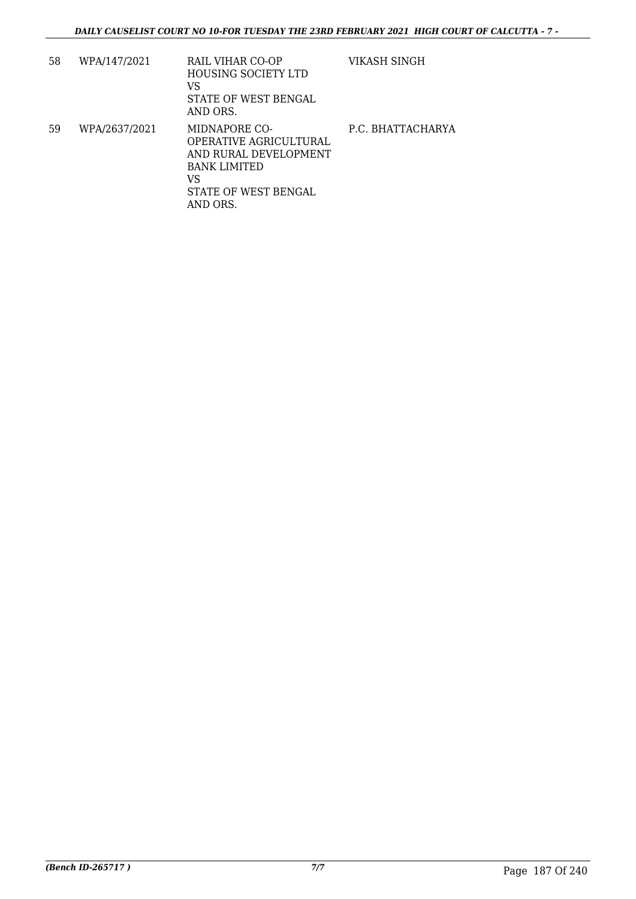| 58 | WPA/147/2021  | RAIL VIHAR CO-OP<br><b>HOUSING SOCIETY LTD</b><br>VS<br>STATE OF WEST BENGAL<br>AND ORS.                                          | VIKASH SINGH      |
|----|---------------|-----------------------------------------------------------------------------------------------------------------------------------|-------------------|
| 59 | WPA/2637/2021 | MIDNAPORE CO-<br>OPERATIVE AGRICULTURAL<br>AND RURAL DEVELOPMENT<br><b>BANK LIMITED</b><br>VS<br>STATE OF WEST BENGAL<br>AND ORS. | P.C. BHATTACHARYA |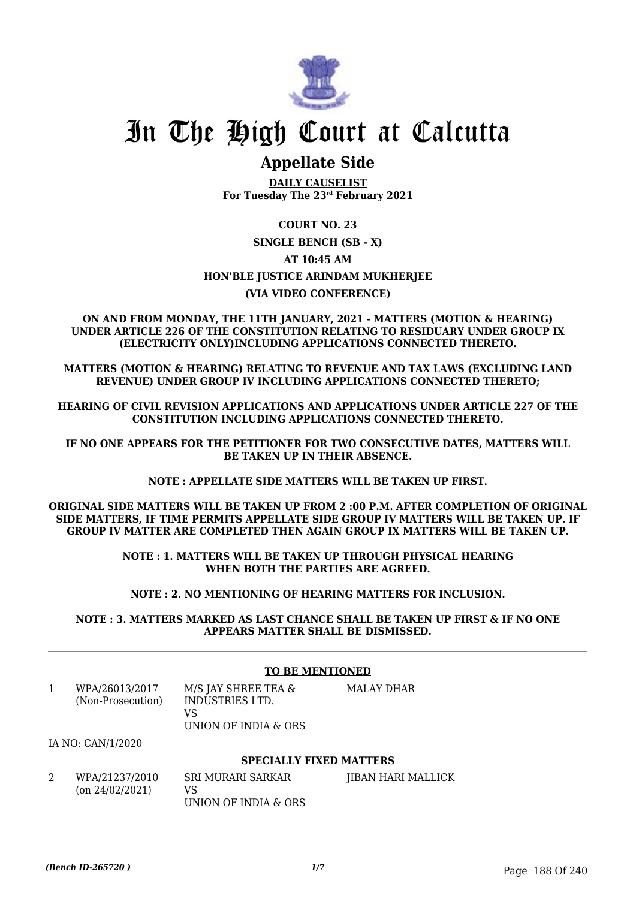

## **Appellate Side**

**DAILY CAUSELIST For Tuesday The 23rd February 2021**

#### **COURT NO. 23**

### **SINGLE BENCH (SB - X) AT 10:45 AM HON'BLE JUSTICE ARINDAM MUKHERJEE (VIA VIDEO CONFERENCE)**

#### **ON AND FROM MONDAY, THE 11TH JANUARY, 2021 - MATTERS (MOTION & HEARING) UNDER ARTICLE 226 OF THE CONSTITUTION RELATING TO RESIDUARY UNDER GROUP IX (ELECTRICITY ONLY)INCLUDING APPLICATIONS CONNECTED THERETO.**

**MATTERS (MOTION & HEARING) RELATING TO REVENUE AND TAX LAWS (EXCLUDING LAND REVENUE) UNDER GROUP IV INCLUDING APPLICATIONS CONNECTED THERETO;**

**HEARING OF CIVIL REVISION APPLICATIONS AND APPLICATIONS UNDER ARTICLE 227 OF THE CONSTITUTION INCLUDING APPLICATIONS CONNECTED THERETO.**

**IF NO ONE APPEARS FOR THE PETITIONER FOR TWO CONSECUTIVE DATES, MATTERS WILL BE TAKEN UP IN THEIR ABSENCE.**

**NOTE : APPELLATE SIDE MATTERS WILL BE TAKEN UP FIRST.**

**ORIGINAL SIDE MATTERS WILL BE TAKEN UP FROM 2 :00 P.M. AFTER COMPLETION OF ORIGINAL SIDE MATTERS, IF TIME PERMITS APPELLATE SIDE GROUP IV MATTERS WILL BE TAKEN UP. IF GROUP IV MATTER ARE COMPLETED THEN AGAIN GROUP IX MATTERS WILL BE TAKEN UP.**

> **NOTE : 1. MATTERS WILL BE TAKEN UP THROUGH PHYSICAL HEARING WHEN BOTH THE PARTIES ARE AGREED.**

**NOTE : 2. NO MENTIONING OF HEARING MATTERS FOR INCLUSION.**

**NOTE : 3. MATTERS MARKED AS LAST CHANCE SHALL BE TAKEN UP FIRST & IF NO ONE APPEARS MATTER SHALL BE DISMISSED.**

#### **TO BE MENTIONED**

| WPA/26013/2017    | M/S JAY SHREE TEA &  | MALAY DHAR |
|-------------------|----------------------|------------|
| (Non-Prosecution) | INDUSTRIES LTD.      |            |
|                   | VS                   |            |
|                   | UNION OF INDIA & ORS |            |

IA NO: CAN/1/2020

#### **SPECIALLY FIXED MATTERS**

2 WPA/21237/2010 (on 24/02/2021) SRI MURARI SARKAR VS UNION OF INDIA & ORS JIBAN HARI MALLICK

*(Bench ID-265720 ) 1/7* Page 188 Of 240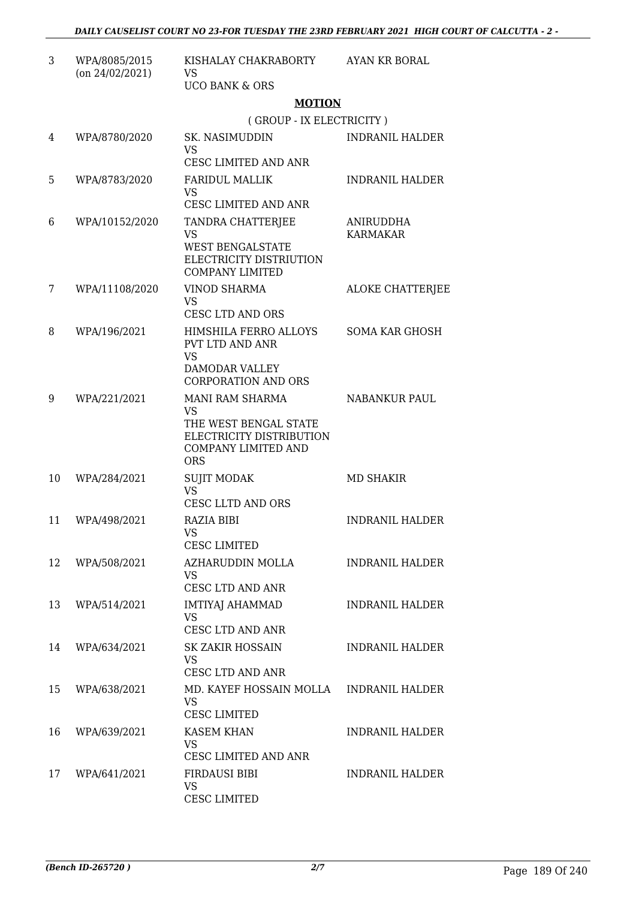| 3  | WPA/8085/2015<br>$($ on 24/02/2021) | KISHALAY CHAKRABORTY<br>VS                                                                                               | AYAN KR BORAL                |
|----|-------------------------------------|--------------------------------------------------------------------------------------------------------------------------|------------------------------|
|    |                                     | <b>UCO BANK &amp; ORS</b>                                                                                                |                              |
|    |                                     | <b>MOTION</b>                                                                                                            |                              |
|    |                                     | (GROUP - IX ELECTRICITY)                                                                                                 |                              |
| 4  | WPA/8780/2020                       | SK. NASIMUDDIN<br><b>VS</b>                                                                                              | <b>INDRANIL HALDER</b>       |
|    |                                     | CESC LIMITED AND ANR                                                                                                     |                              |
| 5  | WPA/8783/2020                       | <b>FARIDUL MALLIK</b><br><b>VS</b>                                                                                       | <b>INDRANIL HALDER</b>       |
|    |                                     | CESC LIMITED AND ANR                                                                                                     |                              |
| 6  | WPA/10152/2020                      | TANDRA CHATTERJEE<br><b>VS</b><br><b>WEST BENGALSTATE</b><br>ELECTRICITY DISTRIUTION<br><b>COMPANY LIMITED</b>           | ANIRUDDHA<br><b>KARMAKAR</b> |
| 7  | WPA/11108/2020                      | <b>VINOD SHARMA</b><br><b>VS</b>                                                                                         | ALOKE CHATTERJEE             |
|    |                                     | CESC LTD AND ORS                                                                                                         |                              |
| 8  | WPA/196/2021                        | HIMSHILA FERRO ALLOYS<br>PVT LTD AND ANR<br><b>VS</b><br>DAMODAR VALLEY<br><b>CORPORATION AND ORS</b>                    | <b>SOMA KAR GHOSH</b>        |
| 9  | WPA/221/2021                        | MANI RAM SHARMA<br><b>VS</b><br>THE WEST BENGAL STATE<br>ELECTRICITY DISTRIBUTION<br>COMPANY LIMITED AND                 | <b>NABANKUR PAUL</b>         |
|    |                                     | <b>ORS</b>                                                                                                               |                              |
| 10 | WPA/284/2021                        | <b>SUJIT MODAK</b><br><b>VS</b><br>CESC LLTD AND ORS                                                                     | <b>MD SHAKIR</b>             |
| 11 | WPA/498/2021                        | <b>RAZIA BIBI</b><br>VS FOR STRUMP OF THE STRUMP OF THE STRUMP OF THE STRUMP OF THE STRUMP OF THE STRUMP OF THE STRUMP O | <b>INDRANIL HALDER</b>       |
| 12 |                                     | <b>CESC LIMITED</b>                                                                                                      |                              |
|    | WPA/508/2021                        | AZHARUDDIN MOLLA<br><b>VS</b><br>CESC LTD AND ANR                                                                        | <b>INDRANIL HALDER</b>       |
| 13 | WPA/514/2021                        | <b>IMTIYAJ AHAMMAD</b><br><b>VS</b><br>CESC LTD AND ANR                                                                  | <b>INDRANIL HALDER</b>       |
| 14 | WPA/634/2021                        | <b>SK ZAKIR HOSSAIN</b><br>VS<br>CESC LTD AND ANR                                                                        | <b>INDRANIL HALDER</b>       |
| 15 | WPA/638/2021                        | MD. KAYEF HOSSAIN MOLLA<br>VS<br><b>CESC LIMITED</b>                                                                     | <b>INDRANIL HALDER</b>       |
| 16 | WPA/639/2021                        | KASEM KHAN<br>VS.<br>CESC LIMITED AND ANR                                                                                | <b>INDRANIL HALDER</b>       |
| 17 | WPA/641/2021                        | FIRDAUSI BIBI<br>VS<br>CESC LIMITED                                                                                      | <b>INDRANIL HALDER</b>       |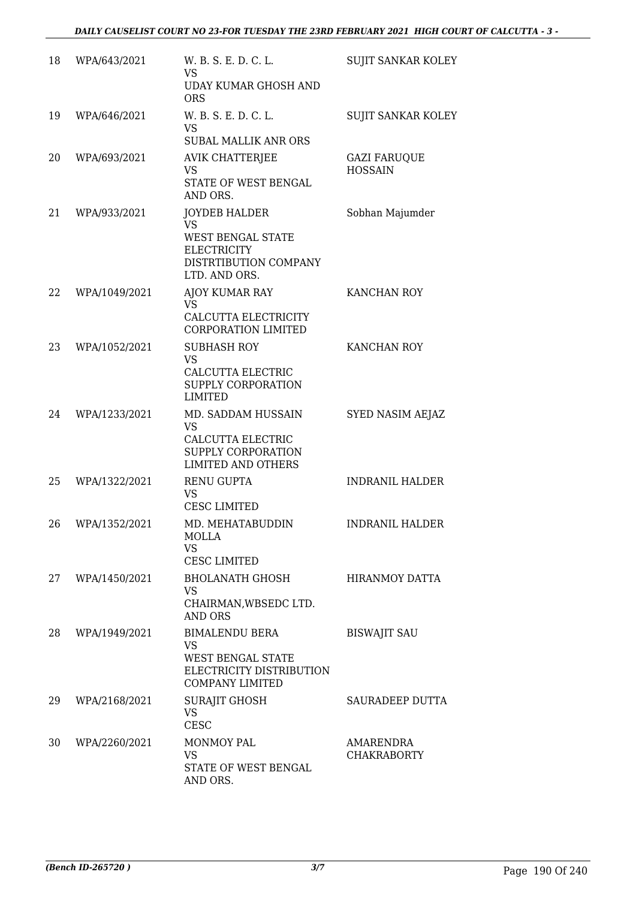| 18 | WPA/643/2021  | W. B. S. E. D. C. L.<br>VS                                                                                       | <b>SUJIT SANKAR KOLEY</b>             |
|----|---------------|------------------------------------------------------------------------------------------------------------------|---------------------------------------|
|    |               | <b>UDAY KUMAR GHOSH AND</b><br><b>ORS</b>                                                                        |                                       |
| 19 | WPA/646/2021  | W. B. S. E. D. C. L.<br><b>VS</b><br><b>SUBAL MALLIK ANR ORS</b>                                                 | SUJIT SANKAR KOLEY                    |
| 20 | WPA/693/2021  | AVIK CHATTERJEE<br><b>VS</b><br>STATE OF WEST BENGAL<br>AND ORS.                                                 | <b>GAZI FARUQUE</b><br><b>HOSSAIN</b> |
| 21 | WPA/933/2021  | JOYDEB HALDER<br>VS.<br><b>WEST BENGAL STATE</b><br><b>ELECTRICITY</b><br>DISTRTIBUTION COMPANY<br>LTD. AND ORS. | Sobhan Majumder                       |
| 22 | WPA/1049/2021 | AJOY KUMAR RAY<br>VS.<br>CALCUTTA ELECTRICITY<br>CORPORATION LIMITED                                             | KANCHAN ROY                           |
| 23 | WPA/1052/2021 | <b>SUBHASH ROY</b><br><b>VS</b><br>CALCUTTA ELECTRIC<br>SUPPLY CORPORATION<br><b>LIMITED</b>                     | KANCHAN ROY                           |
| 24 | WPA/1233/2021 | MD. SADDAM HUSSAIN<br><b>VS</b><br>CALCUTTA ELECTRIC<br>SUPPLY CORPORATION<br><b>LIMITED AND OTHERS</b>          | SYED NASIM AEJAZ                      |
| 25 | WPA/1322/2021 | <b>RENU GUPTA</b><br><b>VS</b><br><b>CESC LIMITED</b>                                                            | <b>INDRANIL HALDER</b>                |
| 26 | WPA/1352/2021 | MD. MEHATABUDDIN<br><b>MOLLA</b><br><b>VS</b><br><b>CESC LIMITED</b>                                             | <b>INDRANIL HALDER</b>                |
| 27 | WPA/1450/2021 | <b>BHOLANATH GHOSH</b><br>VS<br>CHAIRMAN, WBSEDC LTD.<br><b>AND ORS</b>                                          | HIRANMOY DATTA                        |
| 28 | WPA/1949/2021 | <b>BIMALENDU BERA</b><br>VS<br><b>WEST BENGAL STATE</b><br>ELECTRICITY DISTRIBUTION<br><b>COMPANY LIMITED</b>    | <b>BISWAJIT SAU</b>                   |
| 29 | WPA/2168/2021 | <b>SURAJIT GHOSH</b><br><b>VS</b><br><b>CESC</b>                                                                 | SAURADEEP DUTTA                       |
| 30 | WPA/2260/2021 | <b>MONMOY PAL</b><br>VS<br>STATE OF WEST BENGAL<br>AND ORS.                                                      | AMARENDRA<br><b>CHAKRABORTY</b>       |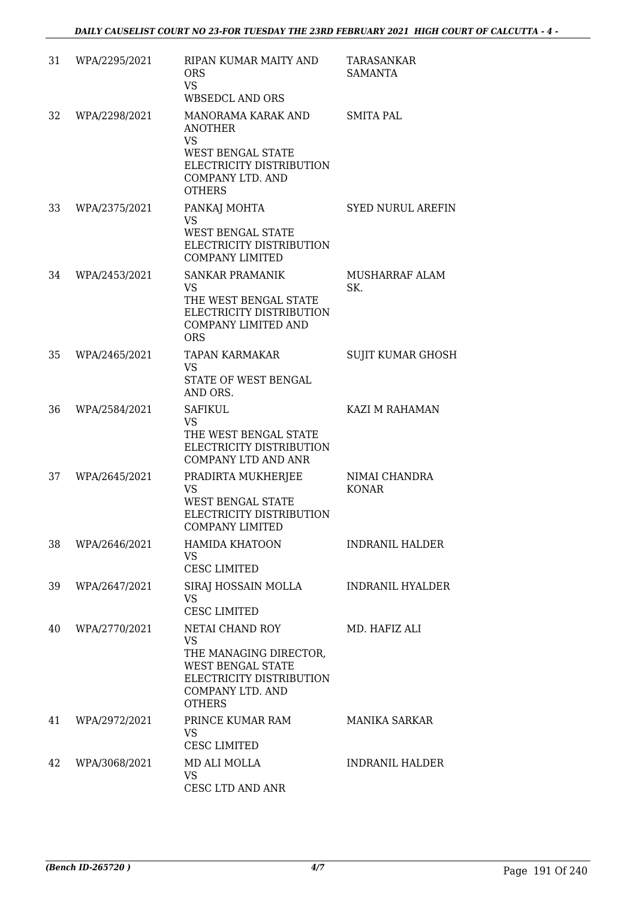| 31 | WPA/2295/2021 | RIPAN KUMAR MAITY AND<br><b>ORS</b><br><b>VS</b><br>WBSEDCL AND ORS                                                                                 | TARASANKAR<br><b>SAMANTA</b>  |
|----|---------------|-----------------------------------------------------------------------------------------------------------------------------------------------------|-------------------------------|
| 32 | WPA/2298/2021 | MANORAMA KARAK AND<br><b>ANOTHER</b><br><b>VS</b><br>WEST BENGAL STATE<br>ELECTRICITY DISTRIBUTION<br>COMPANY LTD. AND<br><b>OTHERS</b>             | <b>SMITA PAL</b>              |
| 33 | WPA/2375/2021 | PANKAJ MOHTA<br>VS<br>WEST BENGAL STATE<br>ELECTRICITY DISTRIBUTION<br><b>COMPANY LIMITED</b>                                                       | <b>SYED NURUL AREFIN</b>      |
| 34 | WPA/2453/2021 | <b>SANKAR PRAMANIK</b><br><b>VS</b><br>THE WEST BENGAL STATE<br>ELECTRICITY DISTRIBUTION<br>COMPANY LIMITED AND<br><b>ORS</b>                       | MUSHARRAF ALAM<br>SK.         |
| 35 | WPA/2465/2021 | <b>TAPAN KARMAKAR</b><br><b>VS</b><br>STATE OF WEST BENGAL<br>AND ORS.                                                                              | SUJIT KUMAR GHOSH             |
| 36 | WPA/2584/2021 | <b>SAFIKUL</b><br><b>VS</b><br>THE WEST BENGAL STATE<br>ELECTRICITY DISTRIBUTION<br><b>COMPANY LTD AND ANR</b>                                      | KAZI M RAHAMAN                |
| 37 | WPA/2645/2021 | PRADIRTA MUKHERJEE<br>VS<br>WEST BENGAL STATE<br>ELECTRICITY DISTRIBUTION<br><b>COMPANY LIMITED</b>                                                 | NIMAI CHANDRA<br><b>KONAR</b> |
| 38 | WPA/2646/2021 | <b>HAMIDA KHATOON</b><br><b>VS</b><br><b>CESC LIMITED</b>                                                                                           | <b>INDRANIL HALDER</b>        |
| 39 | WPA/2647/2021 | SIRAJ HOSSAIN MOLLA<br>VS<br><b>CESC LIMITED</b>                                                                                                    | <b>INDRANIL HYALDER</b>       |
| 40 | WPA/2770/2021 | NETAI CHAND ROY<br><b>VS</b><br>THE MANAGING DIRECTOR,<br><b>WEST BENGAL STATE</b><br>ELECTRICITY DISTRIBUTION<br>COMPANY LTD. AND<br><b>OTHERS</b> | MD. HAFIZ ALI                 |
| 41 | WPA/2972/2021 | PRINCE KUMAR RAM<br>VS<br><b>CESC LIMITED</b>                                                                                                       | MANIKA SARKAR                 |
| 42 | WPA/3068/2021 | MD ALI MOLLA<br><b>VS</b><br>CESC LTD AND ANR                                                                                                       | <b>INDRANIL HALDER</b>        |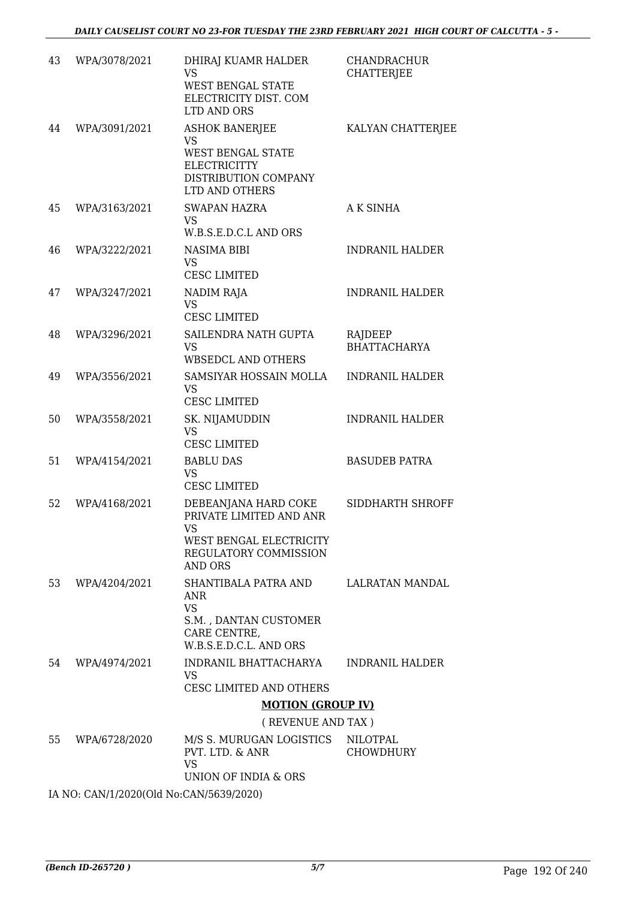| 43 | WPA/3078/2021 | DHIRAJ KUAMR HALDER<br>VS<br><b>WEST BENGAL STATE</b><br>ELECTRICITY DIST. COM<br>LTD AND ORS                            | CHANDRACHUR<br><b>CHATTERJEE</b> |
|----|---------------|--------------------------------------------------------------------------------------------------------------------------|----------------------------------|
| 44 | WPA/3091/2021 | <b>ASHOK BANERJEE</b><br>VS<br><b>WEST BENGAL STATE</b><br><b>ELECTRICITTY</b><br>DISTRIBUTION COMPANY<br>LTD AND OTHERS | KALYAN CHATTERJEE                |
| 45 | WPA/3163/2021 | <b>SWAPAN HAZRA</b><br><b>VS</b><br>W.B.S.E.D.C.L AND ORS                                                                | <b>AK SINHA</b>                  |
| 46 | WPA/3222/2021 | NASIMA BIBI<br><b>VS</b><br><b>CESC LIMITED</b>                                                                          | <b>INDRANIL HALDER</b>           |
| 47 | WPA/3247/2021 | NADIM RAJA<br><b>VS</b><br><b>CESC LIMITED</b>                                                                           | <b>INDRANIL HALDER</b>           |
| 48 | WPA/3296/2021 | SAILENDRA NATH GUPTA<br><b>VS</b><br><b>WBSEDCL AND OTHERS</b>                                                           | RAJDEEP<br><b>BHATTACHARYA</b>   |
| 49 | WPA/3556/2021 | SAMSIYAR HOSSAIN MOLLA<br><b>VS</b><br><b>CESC LIMITED</b>                                                               | <b>INDRANIL HALDER</b>           |
| 50 | WPA/3558/2021 | SK. NIJAMUDDIN<br><b>VS</b><br><b>CESC LIMITED</b>                                                                       | <b>INDRANIL HALDER</b>           |
| 51 | WPA/4154/2021 | <b>BABLU DAS</b><br><b>VS</b><br><b>CESC LIMITED</b>                                                                     | <b>BASUDEB PATRA</b>             |
| 52 | WPA/4168/2021 | DEBEANJANA HARD COKE<br>PRIVATE LIMITED AND ANR<br>VS.<br>WEST BENGAL ELECTRICITY<br>REGULATORY COMMISSION<br>AND ORS    | SIDDHARTH SHROFF                 |
| 53 | WPA/4204/2021 | SHANTIBALA PATRA AND<br>ANR<br><b>VS</b><br>S.M., DANTAN CUSTOMER<br>CARE CENTRE,<br>W.B.S.E.D.C.L. AND ORS              | LALRATAN MANDAL                  |
| 54 | WPA/4974/2021 | INDRANIL BHATTACHARYA<br>VS.<br><b>CESC LIMITED AND OTHERS</b>                                                           | <b>INDRANIL HALDER</b>           |
|    |               | <b>MOTION (GROUP IV)</b>                                                                                                 |                                  |
|    |               | (REVENUE AND TAX)                                                                                                        |                                  |
| 55 | WPA/6728/2020 | M/S S. MURUGAN LOGISTICS<br>PVT. LTD. & ANR<br><b>VS</b><br>UNION OF INDIA & ORS                                         | NILOTPAL<br><b>CHOWDHURY</b>     |

IA NO: CAN/1/2020(Old No:CAN/5639/2020)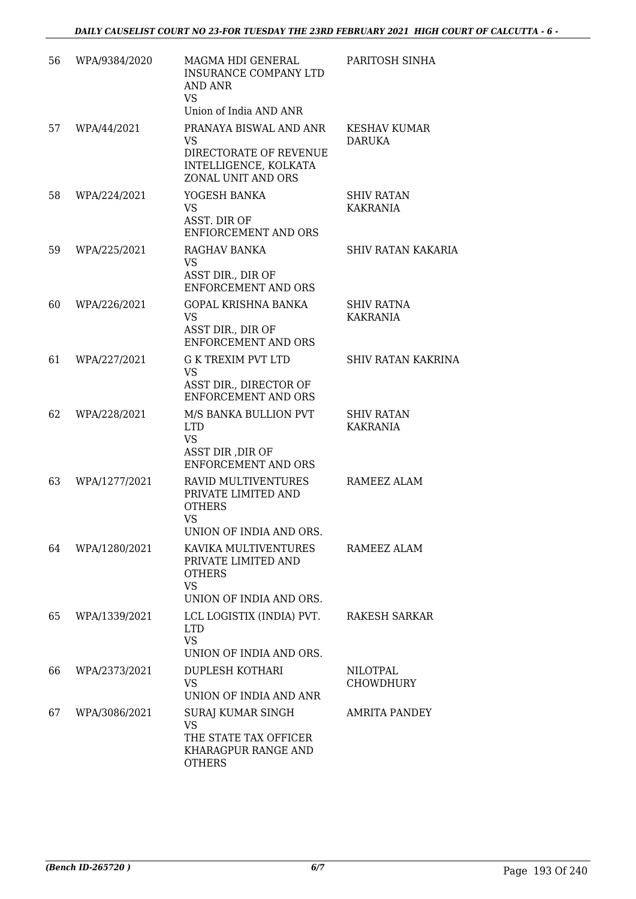| 56 | WPA/9384/2020 | MAGMA HDI GENERAL<br><b>INSURANCE COMPANY LTD</b><br>AND ANR<br><b>VS</b><br>Union of India AND ANR                                      | PARITOSH SINHA                       |
|----|---------------|------------------------------------------------------------------------------------------------------------------------------------------|--------------------------------------|
| 57 | WPA/44/2021   | PRANAYA BISWAL AND ANR<br><b>VS</b><br>DIRECTORATE OF REVENUE<br>INTELLIGENCE, KOLKATA<br>ZONAL UNIT AND ORS                             | KESHAV KUMAR<br>DARUKA               |
| 58 | WPA/224/2021  | YOGESH BANKA<br><b>VS</b><br>ASST. DIR OF<br>ENFIORCEMENT AND ORS                                                                        | <b>SHIV RATAN</b><br><b>KAKRANIA</b> |
| 59 | WPA/225/2021  | RAGHAV BANKA<br><b>VS</b><br>ASST DIR., DIR OF<br><b>ENFORCEMENT AND ORS</b>                                                             | <b>SHIV RATAN KAKARIA</b>            |
| 60 | WPA/226/2021  | <b>GOPAL KRISHNA BANKA</b><br><b>VS</b><br>ASST DIR., DIR OF<br><b>ENFORCEMENT AND ORS</b>                                               | SHIV RATNA<br><b>KAKRANIA</b>        |
| 61 | WPA/227/2021  | <b>G K TREXIM PVT LTD</b><br><b>VS</b><br>ASST DIR., DIRECTOR OF<br><b>ENFORCEMENT AND ORS</b>                                           | <b>SHIV RATAN KAKRINA</b>            |
| 62 | WPA/228/2021  | M/S BANKA BULLION PVT<br><b>LTD</b><br><b>VS</b><br>ASST DIR , DIR OF                                                                    | <b>SHIV RATAN</b><br>KAKRANIA        |
| 63 | WPA/1277/2021 | <b>ENFORCEMENT AND ORS</b><br><b>RAVID MULTIVENTURES</b><br>PRIVATE LIMITED AND<br><b>OTHERS</b><br><b>VS</b><br>UNION OF INDIA AND ORS. | RAMEEZ ALAM                          |
| 64 | WPA/1280/2021 | KAVIKA MULTIVENTURES<br>PRIVATE LIMITED AND<br><b>OTHERS</b><br><b>VS</b><br>UNION OF INDIA AND ORS.                                     | RAMEEZ ALAM                          |
| 65 | WPA/1339/2021 | LCL LOGISTIX (INDIA) PVT.<br><b>LTD</b><br><b>VS</b><br>UNION OF INDIA AND ORS.                                                          | RAKESH SARKAR                        |
| 66 | WPA/2373/2021 | <b>DUPLESH KOTHARI</b><br>VS.<br>UNION OF INDIA AND ANR                                                                                  | <b>NILOTPAL</b><br>CHOWDHURY         |
| 67 | WPA/3086/2021 | <b>SURAJ KUMAR SINGH</b><br><b>VS</b><br>THE STATE TAX OFFICER<br>KHARAGPUR RANGE AND<br><b>OTHERS</b>                                   | AMRITA PANDEY                        |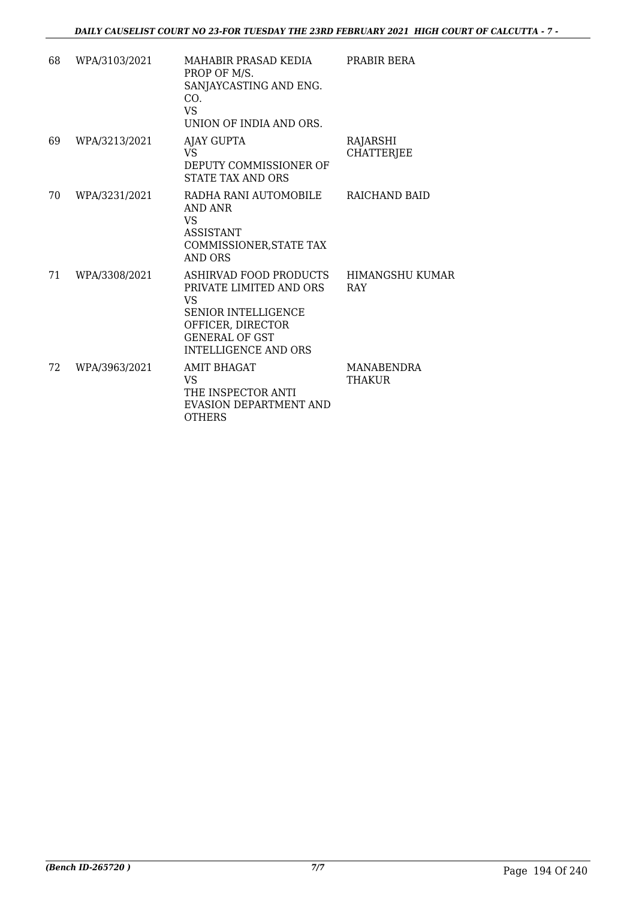| 68 | WPA/3103/2021 | MAHABIR PRASAD KEDIA<br>PROP OF M/S.<br>SANJAYCASTING AND ENG.<br>CO.<br><b>VS</b><br>UNION OF INDIA AND ORS.                                               | PRABIR BERA                   |
|----|---------------|-------------------------------------------------------------------------------------------------------------------------------------------------------------|-------------------------------|
| 69 | WPA/3213/2021 | AJAY GUPTA<br>VS<br>DEPUTY COMMISSIONER OF<br>STATE TAX AND ORS                                                                                             | RAJARSHI<br><b>CHATTERJEE</b> |
| 70 | WPA/3231/2021 | RADHA RANI AUTOMOBILE<br>AND ANR<br><b>VS</b><br><b>ASSISTANT</b><br>COMMISSIONER, STATE TAX<br>AND ORS                                                     | RAICHAND BAID                 |
| 71 | WPA/3308/2021 | ASHIRVAD FOOD PRODUCTS<br>PRIVATE LIMITED AND ORS<br>VS<br><b>SENIOR INTELLIGENCE</b><br>OFFICER, DIRECTOR<br><b>GENERAL OF GST</b><br>INTELLIGENCE AND ORS | <b>HIMANGSHU KUMAR</b><br>RAY |
| 72 | WPA/3963/2021 | <b>AMIT BHAGAT</b><br>VS<br>THE INSPECTOR ANTI<br>EVASION DEPARTMENT AND<br><b>OTHERS</b>                                                                   | <b>MANABENDRA</b><br>THAKUR   |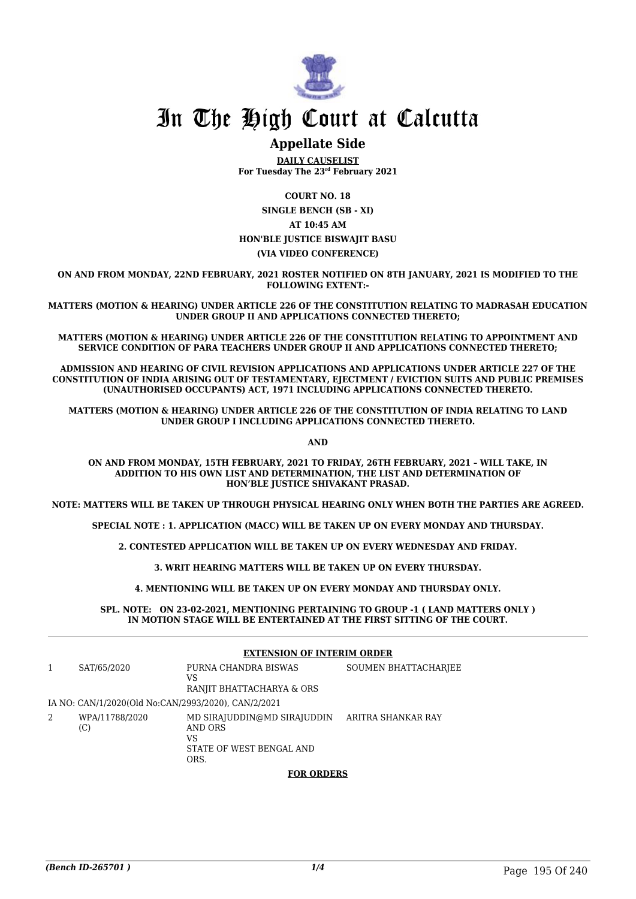

### **Appellate Side**

**DAILY CAUSELIST For Tuesday The 23rd February 2021**

**COURT NO. 18 SINGLE BENCH (SB - XI) AT 10:45 AM HON'BLE JUSTICE BISWAJIT BASU (VIA VIDEO CONFERENCE)**

**ON AND FROM MONDAY, 22ND FEBRUARY, 2021 ROSTER NOTIFIED ON 8TH JANUARY, 2021 IS MODIFIED TO THE FOLLOWING EXTENT:-**

**MATTERS (MOTION & HEARING) UNDER ARTICLE 226 OF THE CONSTITUTION RELATING TO MADRASAH EDUCATION UNDER GROUP II AND APPLICATIONS CONNECTED THERETO;**

**MATTERS (MOTION & HEARING) UNDER ARTICLE 226 OF THE CONSTITUTION RELATING TO APPOINTMENT AND SERVICE CONDITION OF PARA TEACHERS UNDER GROUP II AND APPLICATIONS CONNECTED THERETO;**

**ADMISSION AND HEARING OF CIVIL REVISION APPLICATIONS AND APPLICATIONS UNDER ARTICLE 227 OF THE CONSTITUTION OF INDIA ARISING OUT OF TESTAMENTARY, EJECTMENT / EVICTION SUITS AND PUBLIC PREMISES (UNAUTHORISED OCCUPANTS) ACT, 1971 INCLUDING APPLICATIONS CONNECTED THERETO.**

**MATTERS (MOTION & HEARING) UNDER ARTICLE 226 OF THE CONSTITUTION OF INDIA RELATING TO LAND UNDER GROUP I INCLUDING APPLICATIONS CONNECTED THERETO.**

**AND**

**ON AND FROM MONDAY, 15TH FEBRUARY, 2021 TO FRIDAY, 26TH FEBRUARY, 2021 – WILL TAKE, IN ADDITION TO HIS OWN LIST AND DETERMINATION, THE LIST AND DETERMINATION OF HON'BLE JUSTICE SHIVAKANT PRASAD.**

**NOTE: MATTERS WILL BE TAKEN UP THROUGH PHYSICAL HEARING ONLY WHEN BOTH THE PARTIES ARE AGREED.**

**SPECIAL NOTE : 1. APPLICATION (MACC) WILL BE TAKEN UP ON EVERY MONDAY AND THURSDAY.**

**2. CONTESTED APPLICATION WILL BE TAKEN UP ON EVERY WEDNESDAY AND FRIDAY.**

**3. WRIT HEARING MATTERS WILL BE TAKEN UP ON EVERY THURSDAY.**

**4. MENTIONING WILL BE TAKEN UP ON EVERY MONDAY AND THURSDAY ONLY.**

**SPL. NOTE: ON 23-02-2021, MENTIONING PERTAINING TO GROUP -1 ( LAND MATTERS ONLY ) IN MOTION STAGE WILL BE ENTERTAINED AT THE FIRST SITTING OF THE COURT.**

|   |                                                     | <b>EXTENSION OF INTERIM ORDER</b>                                                |                      |  |
|---|-----------------------------------------------------|----------------------------------------------------------------------------------|----------------------|--|
|   | SAT/65/2020                                         | PURNA CHANDRA BISWAS<br>VS<br>RANJIT BHATTACHARYA & ORS                          | SOUMEN BHATTACHARJEE |  |
|   | IA NO: CAN/1/2020(Old No:CAN/2993/2020), CAN/2/2021 |                                                                                  |                      |  |
| 2 | WPA/11788/2020<br>(C)                               | MD SIRAJUDDIN@MD SIRAJUDDIN<br>AND ORS<br>VS<br>STATE OF WEST BENGAL AND<br>ORS. | ARITRA SHANKAR RAY   |  |
|   |                                                     | <b>EAD ADDEDS</b>                                                                |                      |  |

#### **FOR ORDERS**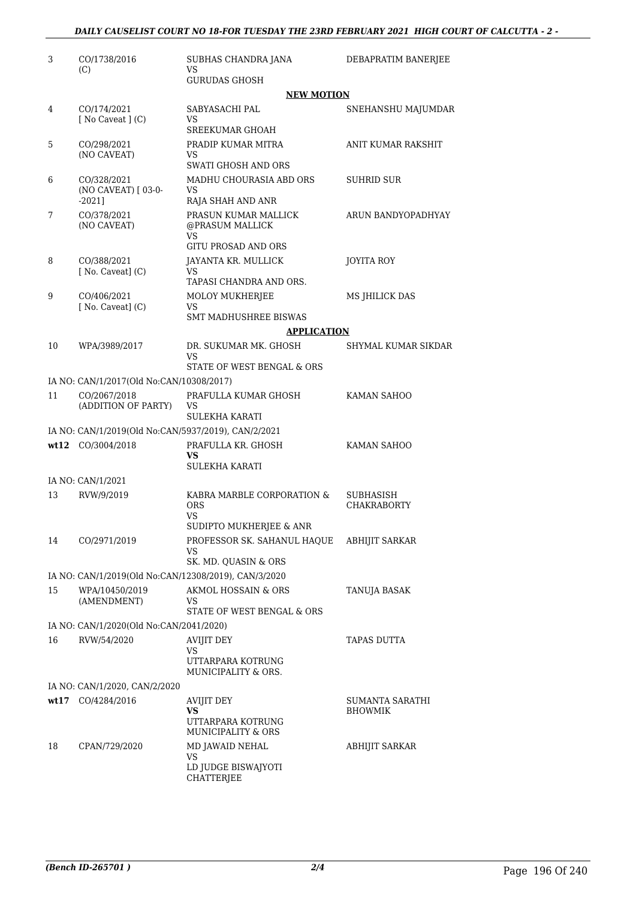| 3  | CO/1738/2016<br>(C)                                  | SUBHAS CHANDRA JANA<br>VS                                                   | DEBAPRATIM BANERJEE               |
|----|------------------------------------------------------|-----------------------------------------------------------------------------|-----------------------------------|
|    |                                                      | <b>GURUDAS GHOSH</b><br><b>NEW MOTION</b>                                   |                                   |
| 4  | CO/174/2021<br>$[$ No Caveat $]$ $(C)$               | SABYASACHI PAL<br>VS.<br><b>SREEKUMAR GHOAH</b>                             | SNEHANSHU MAJUMDAR                |
| 5  | CO/298/2021<br>(NO CAVEAT)                           | PRADIP KUMAR MITRA<br>VS<br><b>SWATI GHOSH AND ORS</b>                      | ANIT KUMAR RAKSHIT                |
| 6  | CO/328/2021<br>(NO CAVEAT) [ 03-0-<br>$-2021$ ]      | MADHU CHOURASIA ABD ORS<br>VS<br>RAJA SHAH AND ANR                          | <b>SUHRID SUR</b>                 |
| 7  | CO/378/2021<br>(NO CAVEAT)                           | PRASUN KUMAR MALLICK<br>@PRASUM MALLICK<br>VS<br><b>GITU PROSAD AND ORS</b> | ARUN BANDYOPADHYAY                |
| 8  | CO/388/2021<br>$[$ No. Caveat $]$ $(C)$              | JAYANTA KR. MULLICK<br>VS<br>TAPASI CHANDRA AND ORS.                        | <b>JOYITA ROY</b>                 |
| 9  | CO/406/2021<br>$[$ No. Caveat $]$ $(C)$              | <b>MOLOY MUKHERJEE</b><br>VS<br><b>SMT MADHUSHREE BISWAS</b>                | MS JHILICK DAS                    |
|    |                                                      | <b>APPLICATION</b>                                                          |                                   |
| 10 | WPA/3989/2017                                        | DR. SUKUMAR MK. GHOSH<br>VS                                                 | SHYMAL KUMAR SIKDAR               |
|    |                                                      | STATE OF WEST BENGAL & ORS                                                  |                                   |
|    | IA NO: CAN/1/2017(Old No:CAN/10308/2017)             |                                                                             |                                   |
| 11 | CO/2067/2018<br>(ADDITION OF PARTY)                  | PRAFULLA KUMAR GHOSH<br>VS<br><b>SULEKHA KARATI</b>                         | KAMAN SAHOO                       |
|    | IA NO: CAN/1/2019(Old No:CAN/5937/2019), CAN/2/2021  |                                                                             |                                   |
|    | wt12 CO/3004/2018                                    | PRAFULLA KR. GHOSH<br>VS<br>SULEKHA KARATI                                  | KAMAN SAHOO                       |
|    | IA NO: CAN/1/2021                                    |                                                                             |                                   |
| 13 | RVW/9/2019                                           | KABRA MARBLE CORPORATION &<br><b>ORS</b><br>VS                              | SUBHASISH<br><b>CHAKRABORTY</b>   |
|    |                                                      | SUDIPTO MUKHERJEE & ANR                                                     |                                   |
| 14 | CO/2971/2019                                         | PROFESSOR SK. SAHANUL HAQUE<br>VS<br>SK. MD. QUASIN & ORS                   | ABHIJIT SARKAR                    |
|    | IA NO: CAN/1/2019(Old No:CAN/12308/2019), CAN/3/2020 |                                                                             |                                   |
| 15 | WPA/10450/2019<br>(AMENDMENT)                        | AKMOL HOSSAIN & ORS<br>VS                                                   | TANUJA BASAK                      |
|    | IA NO: CAN/1/2020(Old No:CAN/2041/2020)              | STATE OF WEST BENGAL & ORS                                                  |                                   |
| 16 | RVW/54/2020                                          | <b>AVIJIT DEY</b>                                                           | TAPAS DUTTA                       |
|    |                                                      | VS<br>UTTARPARA KOTRUNG<br>MUNICIPALITY & ORS.                              |                                   |
|    | IA NO: CAN/1/2020, CAN/2/2020                        |                                                                             |                                   |
|    | wt17 CO/4284/2016                                    | AVIJIT DEY<br>VS<br>UTTARPARA KOTRUNG<br>MUNICIPALITY & ORS                 | SUMANTA SARATHI<br><b>BHOWMIK</b> |
| 18 | CPAN/729/2020                                        | MD JAWAID NEHAL<br>VS<br>LD JUDGE BISWAJYOTI<br>CHATTERJEE                  | ABHIJIT SARKAR                    |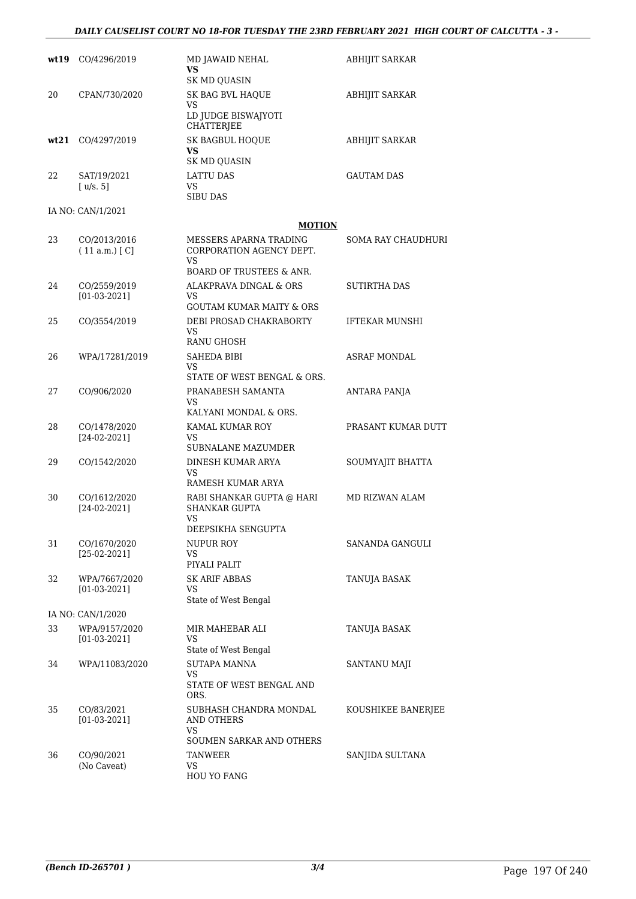#### *DAILY CAUSELIST COURT NO 18-FOR TUESDAY THE 23RD FEBRUARY 2021 HIGH COURT OF CALCUTTA - 3 -*

|       | wt19 CO/4296/2019               | MD JAWAID NEHAL<br>VS<br><b>SK MD OUASIN</b>                                                     | ABHIJIT SARKAR        |
|-------|---------------------------------|--------------------------------------------------------------------------------------------------|-----------------------|
| 20    | CPAN/730/2020                   | SK BAG BVL HAQUE<br>VS.<br>LD JUDGE BISWAJYOTI<br>CHATTERJEE                                     | ABHIJIT SARKAR        |
| wt.21 | CO/4297/2019                    | SK BAGBUL HOQUE<br>VS<br>SK MD QUASIN                                                            | <b>ABHIJIT SARKAR</b> |
| 22    | SAT/19/2021<br>[u/s. 5]         | <b>LATTU DAS</b><br>VS<br>SIBU DAS                                                               | <b>GAUTAM DAS</b>     |
|       | IA NO: CAN/1/2021               | <b>MOTION</b>                                                                                    |                       |
| 23    | CO/2013/2016<br>(11 a.m.) [C]   | MESSERS APARNA TRADING<br>CORPORATION AGENCY DEPT.<br>VS.                                        | SOMA RAY CHAUDHURI    |
| 24    | CO/2559/2019<br>$[01-03-2021]$  | BOARD OF TRUSTEES & ANR.<br>ALAKPRAVA DINGAL & ORS<br>VS.<br><b>GOUTAM KUMAR MAITY &amp; ORS</b> | SUTIRTHA DAS          |
| 25    | CO/3554/2019                    | DEBI PROSAD CHAKRABORTY<br>VS.<br>RANU GHOSH                                                     | <b>IFTEKAR MUNSHI</b> |
| 26    | WPA/17281/2019                  | <b>SAHEDA BIBI</b><br>VS.<br>STATE OF WEST BENGAL & ORS.                                         | ASRAF MONDAL          |
| 27    | CO/906/2020                     | PRANABESH SAMANTA<br>VS<br>KALYANI MONDAL & ORS.                                                 | ANTARA PANJA          |
| 28    | CO/1478/2020<br>$[24-02-2021]$  | KAMAL KUMAR ROY<br>VS<br>SUBNALANE MAZUMDER                                                      | PRASANT KUMAR DUTT    |
| 29    | CO/1542/2020                    | DINESH KUMAR ARYA<br>VS<br>RAMESH KUMAR ARYA                                                     | SOUMYAJIT BHATTA      |
| 30    | CO/1612/2020<br>[24-02-2021]    | RABI SHANKAR GUPTA @ HARI<br>SHANKAR GUPTA<br>VS                                                 | MD RIZWAN ALAM        |
| 31    | CO/1670/2020<br>$[25-02-2021]$  | DEEPSIKHA SENGUPTA<br>NUPUR ROY<br>VS<br>PIYALI PALIT                                            | SANANDA GANGULI       |
| 32    | WPA/7667/2020<br>$[01-03-2021]$ | <b>SK ARIF ABBAS</b><br>VS.<br>State of West Bengal                                              | TANUJA BASAK          |
|       | IA NO: CAN/1/2020               |                                                                                                  |                       |
| 33    | WPA/9157/2020<br>$[01-03-2021]$ | MIR MAHEBAR ALI<br>VS<br>State of West Bengal                                                    | TANUJA BASAK          |
| 34    | WPA/11083/2020                  | <b>SUTAPA MANNA</b><br>VS<br>STATE OF WEST BENGAL AND<br>ORS.                                    | SANTANU MAJI          |
| 35    | CO/83/2021<br>$[01-03-2021]$    | SUBHASH CHANDRA MONDAL<br>AND OTHERS<br>VS<br>SOUMEN SARKAR AND OTHERS                           | KOUSHIKEE BANERJEE    |
| 36    | CO/90/2021<br>(No Caveat)       | <b>TANWEER</b><br>VS<br>HOU YO FANG                                                              | SANJIDA SULTANA       |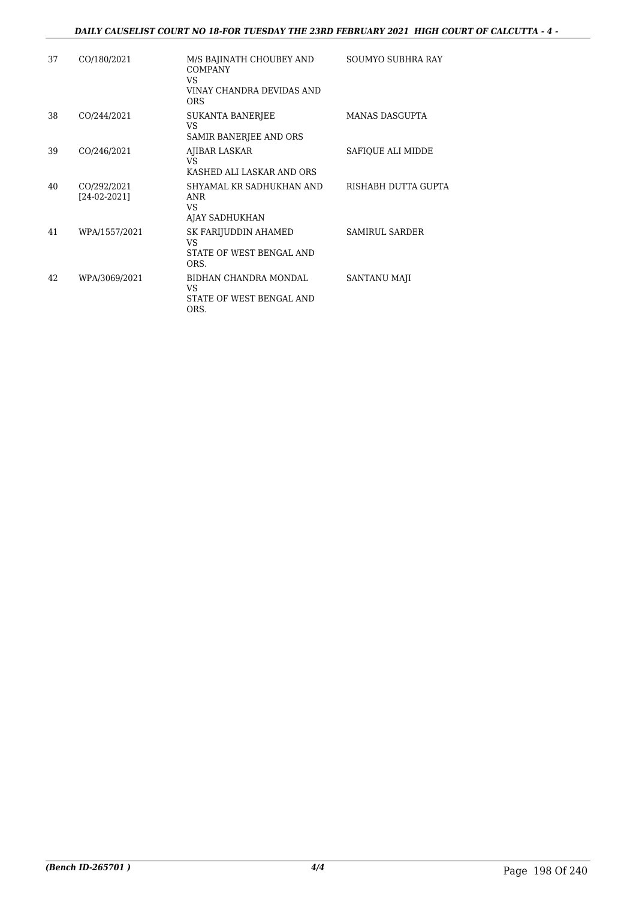#### *DAILY CAUSELIST COURT NO 18-FOR TUESDAY THE 23RD FEBRUARY 2021 HIGH COURT OF CALCUTTA - 4 -*

| 37 | CO/180/2021                   | M/S BAJINATH CHOUBEY AND<br><b>COMPANY</b><br>VS.<br>VINAY CHANDRA DEVIDAS AND<br><b>ORS</b> | <b>SOUMYO SUBHRA RAY</b> |
|----|-------------------------------|----------------------------------------------------------------------------------------------|--------------------------|
| 38 | CO/244/2021                   | SUKANTA BANERJEE<br>VS<br>SAMIR BANERJEE AND ORS                                             | <b>MANAS DASGUPTA</b>    |
| 39 | CO/246/2021                   | AJIBAR LASKAR<br>VS.<br>KASHED ALI LASKAR AND ORS                                            | SAFIOUE ALI MIDDE        |
| 40 | CO/292/2021<br>$[24-02-2021]$ | SHYAMAL KR SADHUKHAN AND<br><b>ANR</b><br>VS.<br>AJAY SADHUKHAN                              | RISHABH DUTTA GUPTA      |
| 41 | WPA/1557/2021                 | SK FARIJUDDIN AHAMED<br>VS.<br>STATE OF WEST BENGAL AND<br>ORS.                              | <b>SAMIRUL SARDER</b>    |
| 42 | WPA/3069/2021                 | BIDHAN CHANDRA MONDAL<br>VS<br>STATE OF WEST BENGAL AND<br>ORS.                              | SANTANU MAJI             |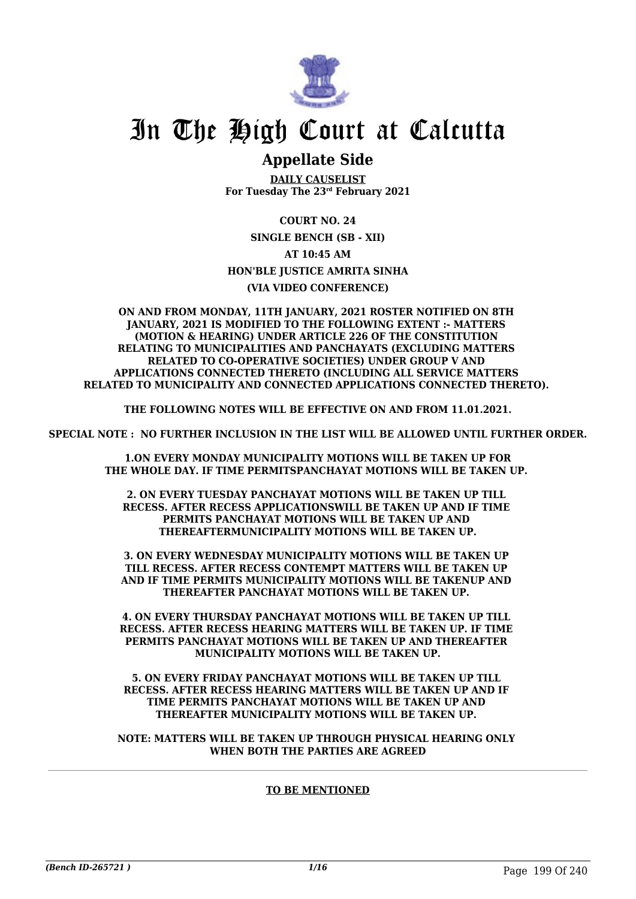

### **Appellate Side**

**DAILY CAUSELIST For Tuesday The 23rd February 2021**

**COURT NO. 24 SINGLE BENCH (SB - XII) AT 10:45 AM HON'BLE JUSTICE AMRITA SINHA (VIA VIDEO CONFERENCE)**

#### **ON AND FROM MONDAY, 11TH JANUARY, 2021 ROSTER NOTIFIED ON 8TH JANUARY, 2021 IS MODIFIED TO THE FOLLOWING EXTENT :- MATTERS (MOTION & HEARING) UNDER ARTICLE 226 OF THE CONSTITUTION RELATING TO MUNICIPALITIES AND PANCHAYATS (EXCLUDING MATTERS RELATED TO CO-OPERATIVE SOCIETIES) UNDER GROUP V AND APPLICATIONS CONNECTED THERETO (INCLUDING ALL SERVICE MATTERS RELATED TO MUNICIPALITY AND CONNECTED APPLICATIONS CONNECTED THERETO).**

**THE FOLLOWING NOTES WILL BE EFFECTIVE ON AND FROM 11.01.2021.**

**SPECIAL NOTE : NO FURTHER INCLUSION IN THE LIST WILL BE ALLOWED UNTIL FURTHER ORDER.**

 **1.ON EVERY MONDAY MUNICIPALITY MOTIONS WILL BE TAKEN UP FOR THE WHOLE DAY. IF TIME PERMITSPANCHAYAT MOTIONS WILL BE TAKEN UP.** 

**2. ON EVERY TUESDAY PANCHAYAT MOTIONS WILL BE TAKEN UP TILL RECESS. AFTER RECESS APPLICATIONSWILL BE TAKEN UP AND IF TIME PERMITS PANCHAYAT MOTIONS WILL BE TAKEN UP AND THEREAFTERMUNICIPALITY MOTIONS WILL BE TAKEN UP.**

**3. ON EVERY WEDNESDAY MUNICIPALITY MOTIONS WILL BE TAKEN UP TILL RECESS. AFTER RECESS CONTEMPT MATTERS WILL BE TAKEN UP AND IF TIME PERMITS MUNICIPALITY MOTIONS WILL BE TAKENUP AND THEREAFTER PANCHAYAT MOTIONS WILL BE TAKEN UP.** 

**4. ON EVERY THURSDAY PANCHAYAT MOTIONS WILL BE TAKEN UP TILL RECESS. AFTER RECESS HEARING MATTERS WILL BE TAKEN UP. IF TIME PERMITS PANCHAYAT MOTIONS WILL BE TAKEN UP AND THEREAFTER MUNICIPALITY MOTIONS WILL BE TAKEN UP.**

**5. ON EVERY FRIDAY PANCHAYAT MOTIONS WILL BE TAKEN UP TILL RECESS. AFTER RECESS HEARING MATTERS WILL BE TAKEN UP AND IF TIME PERMITS PANCHAYAT MOTIONS WILL BE TAKEN UP AND THEREAFTER MUNICIPALITY MOTIONS WILL BE TAKEN UP.** 

**NOTE: MATTERS WILL BE TAKEN UP THROUGH PHYSICAL HEARING ONLY WHEN BOTH THE PARTIES ARE AGREED**

#### **TO BE MENTIONED**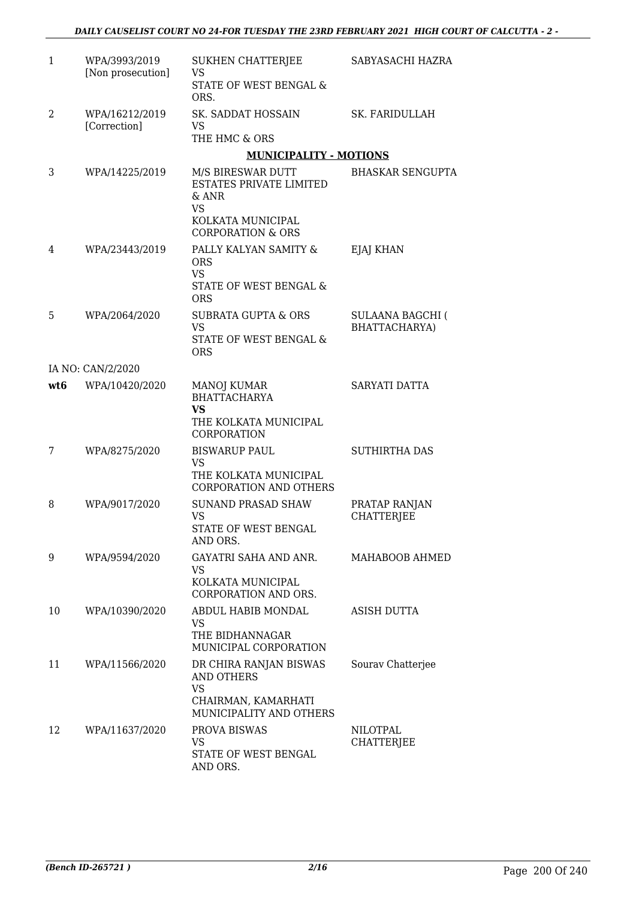| 1               | WPA/3993/2019<br>[Non prosecution] | <b>SUKHEN CHATTERJEE</b><br>VS<br>STATE OF WEST BENGAL &<br>ORS.                                           | SABYASACHI HAZRA                   |
|-----------------|------------------------------------|------------------------------------------------------------------------------------------------------------|------------------------------------|
| 2               | WPA/16212/2019<br>[Correction]     | SK. SADDAT HOSSAIN<br>VS<br>THE HMC & ORS                                                                  | SK. FARIDULLAH                     |
|                 |                                    | <b>MUNICIPALITY - MOTIONS</b>                                                                              |                                    |
| 3               | WPA/14225/2019                     | M/S BIRESWAR DUTT<br>ESTATES PRIVATE LIMITED<br>$&$ ANR<br><b>VS</b><br>KOLKATA MUNICIPAL                  | <b>BHASKAR SENGUPTA</b>            |
|                 |                                    | <b>CORPORATION &amp; ORS</b>                                                                               |                                    |
| 4               | WPA/23443/2019                     | PALLY KALYAN SAMITY &<br><b>ORS</b><br><b>VS</b>                                                           | EJAJ KHAN                          |
|                 |                                    | STATE OF WEST BENGAL &<br><b>ORS</b>                                                                       |                                    |
| 5               | WPA/2064/2020                      | <b>SUBRATA GUPTA &amp; ORS</b><br><b>VS</b><br>STATE OF WEST BENGAL &<br><b>ORS</b>                        | SULAANA BAGCHI (<br>BHATTACHARYA)  |
|                 | IA NO: CAN/2/2020                  |                                                                                                            |                                    |
| wt <sub>6</sub> | WPA/10420/2020                     | <b>MANOJ KUMAR</b><br><b>BHATTACHARYA</b><br><b>VS</b><br>THE KOLKATA MUNICIPAL<br>CORPORATION             | SARYATI DATTA                      |
| 7               | WPA/8275/2020                      | <b>BISWARUP PAUL</b><br><b>VS</b><br>THE KOLKATA MUNICIPAL<br><b>CORPORATION AND OTHERS</b>                | <b>SUTHIRTHA DAS</b>               |
| 8               | WPA/9017/2020                      | <b>SUNAND PRASAD SHAW</b><br>VS<br><b>STATE OF WEST BENGAL</b><br>AND ORS.                                 | PRATAP RANJAN<br><b>CHATTERJEE</b> |
| 9               | WPA/9594/2020                      | GAYATRI SAHA AND ANR.<br>VS.<br>KOLKATA MUNICIPAL<br><b>CORPORATION AND ORS.</b>                           | MAHABOOB AHMED                     |
| 10              | WPA/10390/2020                     | ABDUL HABIB MONDAL<br>VS.<br>THE BIDHANNAGAR<br>MUNICIPAL CORPORATION                                      | ASISH DUTTA                        |
| 11              | WPA/11566/2020                     | DR CHIRA RANJAN BISWAS<br><b>AND OTHERS</b><br><b>VS</b><br>CHAIRMAN, KAMARHATI<br>MUNICIPALITY AND OTHERS | Sourav Chatterjee                  |
| 12              | WPA/11637/2020                     | PROVA BISWAS<br>VS<br>STATE OF WEST BENGAL<br>AND ORS.                                                     | NILOTPAL<br><b>CHATTERJEE</b>      |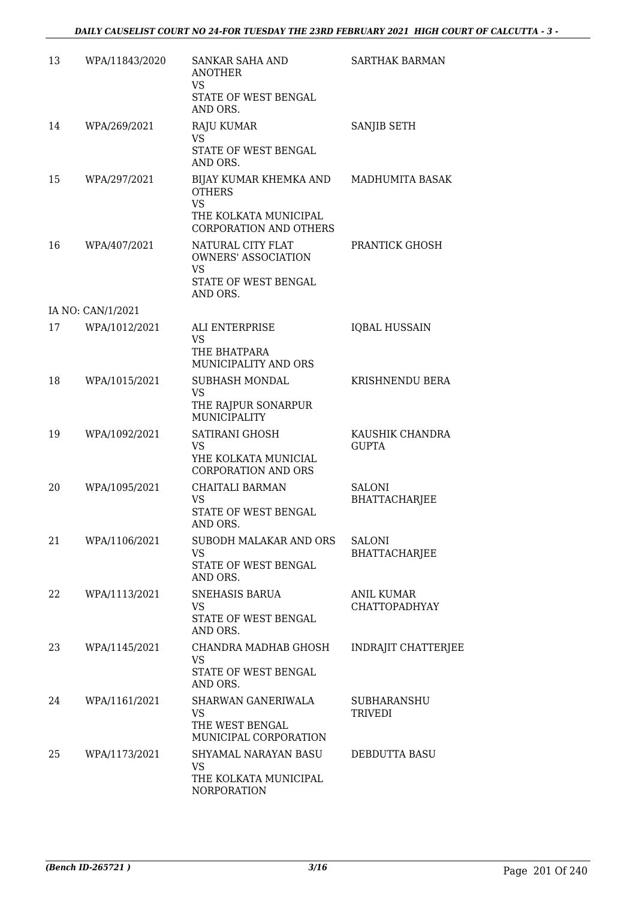| 13 | WPA/11843/2020    | <b>SANKAR SAHA AND</b><br><b>ANOTHER</b><br><b>VS</b><br>STATE OF WEST BENGAL<br>AND ORS.                      | <b>SARTHAK BARMAN</b>                     |
|----|-------------------|----------------------------------------------------------------------------------------------------------------|-------------------------------------------|
| 14 | WPA/269/2021      | RAJU KUMAR<br><b>VS</b><br>STATE OF WEST BENGAL<br>AND ORS.                                                    | SANJIB SETH                               |
| 15 | WPA/297/2021      | BIJAY KUMAR KHEMKA AND<br><b>OTHERS</b><br><b>VS</b><br>THE KOLKATA MUNICIPAL                                  | MADHUMITA BASAK                           |
| 16 | WPA/407/2021      | <b>CORPORATION AND OTHERS</b><br>NATURAL CITY FLAT<br><b>OWNERS' ASSOCIATION</b><br>VS<br>STATE OF WEST BENGAL | PRANTICK GHOSH                            |
|    | IA NO: CAN/1/2021 | AND ORS.                                                                                                       |                                           |
| 17 | WPA/1012/2021     | <b>ALI ENTERPRISE</b><br><b>VS</b><br>THE BHATPARA<br>MUNICIPALITY AND ORS                                     | <b>IQBAL HUSSAIN</b>                      |
| 18 | WPA/1015/2021     | SUBHASH MONDAL<br><b>VS</b><br>THE RAJPUR SONARPUR<br>MUNICIPALITY                                             | KRISHNENDU BERA                           |
| 19 | WPA/1092/2021     | SATIRANI GHOSH<br><b>VS</b><br>YHE KOLKATA MUNICIAL<br><b>CORPORATION AND ORS</b>                              | KAUSHIK CHANDRA<br><b>GUPTA</b>           |
| 20 | WPA/1095/2021     | <b>CHAITALI BARMAN</b><br>VS<br>STATE OF WEST BENGAL<br>AND ORS.                                               | <b>SALONI</b><br><b>BHATTACHARJEE</b>     |
| 21 | WPA/1106/2021     | SUBODH MALAKAR AND ORS<br>VS.<br>STATE OF WEST BENGAL<br>AND ORS.                                              | <b>SALONI</b><br><b>BHATTACHARJEE</b>     |
| 22 | WPA/1113/2021     | SNEHASIS BARUA<br><b>VS</b><br>STATE OF WEST BENGAL<br>AND ORS.                                                | <b>ANIL KUMAR</b><br><b>CHATTOPADHYAY</b> |
| 23 | WPA/1145/2021     | CHANDRA MADHAB GHOSH<br>VS<br>STATE OF WEST BENGAL<br>AND ORS.                                                 | <b>INDRAJIT CHATTERJEE</b>                |
| 24 | WPA/1161/2021     | SHARWAN GANERIWALA<br><b>VS</b><br>THE WEST BENGAL<br>MUNICIPAL CORPORATION                                    | <b>SUBHARANSHU</b><br><b>TRIVEDI</b>      |
| 25 | WPA/1173/2021     | SHYAMAL NARAYAN BASU<br><b>VS</b><br>THE KOLKATA MUNICIPAL<br>NORPORATION                                      | DEBDUTTA BASU                             |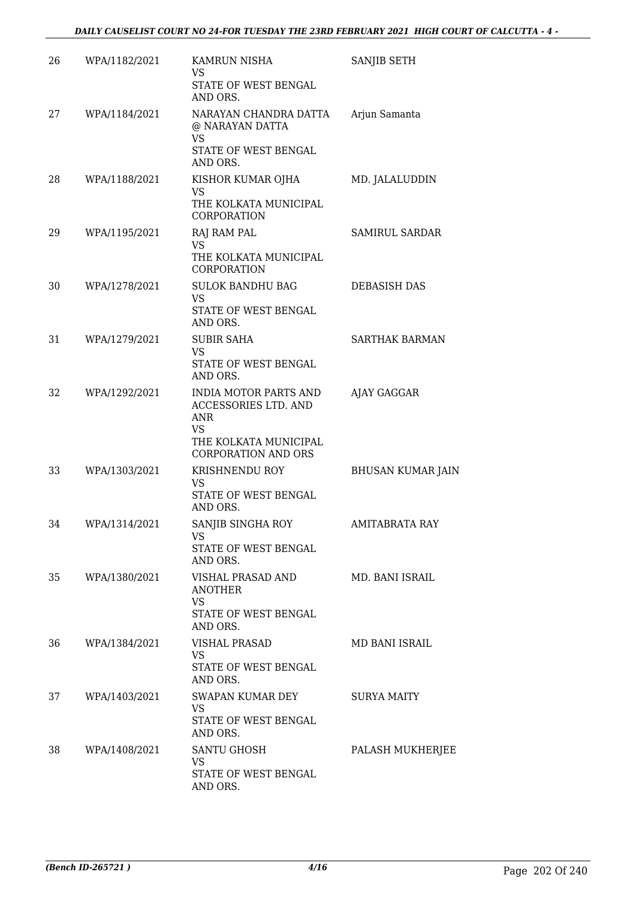| 26 | WPA/1182/2021 | KAMRUN NISHA<br><b>VS</b><br>STATE OF WEST BENGAL<br>AND ORS.                                                                   | SANJIB SETH              |
|----|---------------|---------------------------------------------------------------------------------------------------------------------------------|--------------------------|
| 27 | WPA/1184/2021 | NARAYAN CHANDRA DATTA<br>@ NARAYAN DATTA<br>VS                                                                                  | Arjun Samanta            |
|    |               | STATE OF WEST BENGAL<br>AND ORS.                                                                                                |                          |
| 28 | WPA/1188/2021 | KISHOR KUMAR OJHA<br><b>VS</b><br>THE KOLKATA MUNICIPAL<br>CORPORATION                                                          | MD. JALALUDDIN           |
| 29 | WPA/1195/2021 | RAJ RAM PAL<br><b>VS</b><br>THE KOLKATA MUNICIPAL<br><b>CORPORATION</b>                                                         | SAMIRUL SARDAR           |
| 30 | WPA/1278/2021 | <b>SULOK BANDHU BAG</b><br><b>VS</b><br>STATE OF WEST BENGAL<br>AND ORS.                                                        | <b>DEBASISH DAS</b>      |
| 31 | WPA/1279/2021 | <b>SUBIR SAHA</b><br><b>VS</b><br>STATE OF WEST BENGAL<br>AND ORS.                                                              | <b>SARTHAK BARMAN</b>    |
| 32 | WPA/1292/2021 | <b>INDIA MOTOR PARTS AND</b><br>ACCESSORIES LTD. AND<br><b>ANR</b><br>VS<br>THE KOLKATA MUNICIPAL<br><b>CORPORATION AND ORS</b> | AJAY GAGGAR              |
| 33 | WPA/1303/2021 | KRISHNENDU ROY<br><b>VS</b><br>STATE OF WEST BENGAL<br>AND ORS.                                                                 | <b>BHUSAN KUMAR JAIN</b> |
| 34 | WPA/1314/2021 | SANJIB SINGHA ROY<br>VS<br>STATE OF WEST BENGAL<br>AND ORS.                                                                     | <b>AMITABRATA RAY</b>    |
| 35 | WPA/1380/2021 | VISHAL PRASAD AND<br><b>ANOTHER</b><br><b>VS</b><br>STATE OF WEST BENGAL<br>AND ORS.                                            | MD. BANI ISRAIL          |
| 36 | WPA/1384/2021 | VISHAL PRASAD<br>VS.<br>STATE OF WEST BENGAL<br>AND ORS.                                                                        | MD BANI ISRAIL           |
| 37 | WPA/1403/2021 | SWAPAN KUMAR DEY<br>VS<br>STATE OF WEST BENGAL<br>AND ORS.                                                                      | <b>SURYA MAITY</b>       |
| 38 | WPA/1408/2021 | <b>SANTU GHOSH</b><br><b>VS</b><br>STATE OF WEST BENGAL<br>AND ORS.                                                             | PALASH MUKHERJEE         |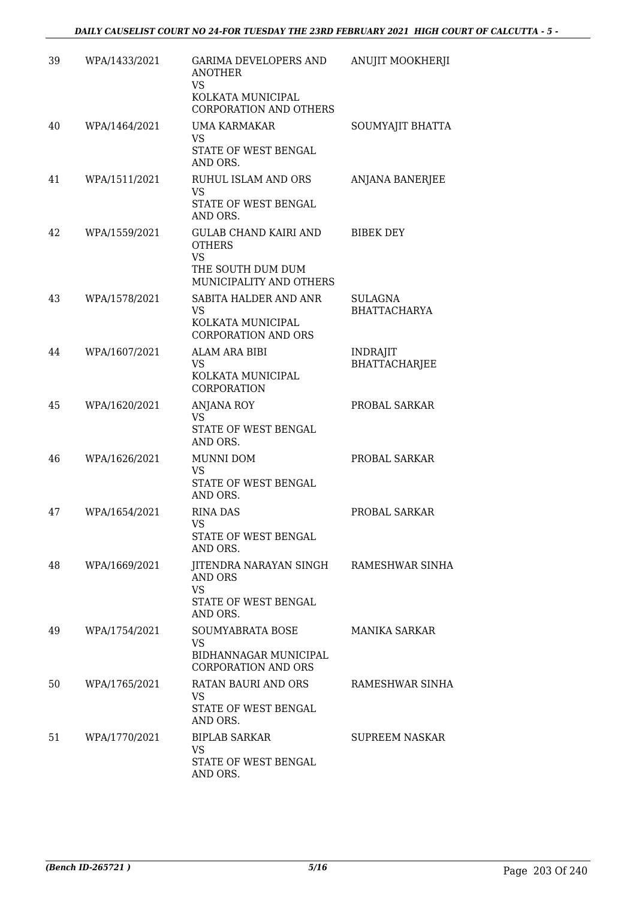| 39 | WPA/1433/2021 | <b>GARIMA DEVELOPERS AND</b><br><b>ANOTHER</b><br>VS<br>KOLKATA MUNICIPAL<br><b>CORPORATION AND OTHERS</b> | ANUJIT MOOKHERJI                        |
|----|---------------|------------------------------------------------------------------------------------------------------------|-----------------------------------------|
| 40 | WPA/1464/2021 | UMA KARMAKAR<br><b>VS</b><br>STATE OF WEST BENGAL<br>AND ORS.                                              | SOUMYAJIT BHATTA                        |
| 41 | WPA/1511/2021 | RUHUL ISLAM AND ORS<br><b>VS</b><br>STATE OF WEST BENGAL<br>AND ORS.                                       | <b>ANJANA BANERJEE</b>                  |
| 42 | WPA/1559/2021 | GULAB CHAND KAIRI AND<br><b>OTHERS</b><br><b>VS</b><br>THE SOUTH DUM DUM<br>MUNICIPALITY AND OTHERS        | <b>BIBEK DEY</b>                        |
| 43 | WPA/1578/2021 | SABITA HALDER AND ANR<br><b>VS</b><br>KOLKATA MUNICIPAL<br><b>CORPORATION AND ORS</b>                      | <b>SULAGNA</b><br><b>BHATTACHARYA</b>   |
| 44 | WPA/1607/2021 | <b>ALAM ARA BIBI</b><br><b>VS</b><br>KOLKATA MUNICIPAL<br>CORPORATION                                      | <b>INDRAJIT</b><br><b>BHATTACHARJEE</b> |
| 45 | WPA/1620/2021 | <b>ANJANA ROY</b><br><b>VS</b><br>STATE OF WEST BENGAL<br>AND ORS.                                         | PROBAL SARKAR                           |
| 46 | WPA/1626/2021 | <b>MUNNI DOM</b><br><b>VS</b><br>STATE OF WEST BENGAL<br>AND ORS.                                          | PROBAL SARKAR                           |
| 47 | WPA/1654/2021 | <b>RINA DAS</b><br>VS<br>STATE OF WEST BENGAL<br>AND ORS.                                                  | PROBAL SARKAR                           |
| 48 | WPA/1669/2021 | JITENDRA NARAYAN SINGH RAMESHWAR SINHA<br><b>AND ORS</b><br>VS.<br>STATE OF WEST BENGAL<br>AND ORS.        |                                         |
| 49 | WPA/1754/2021 | SOUMYABRATA BOSE<br><b>VS</b><br>BIDHANNAGAR MUNICIPAL<br><b>CORPORATION AND ORS</b>                       | <b>MANIKA SARKAR</b>                    |
| 50 | WPA/1765/2021 | RATAN BAURI AND ORS<br>VS.<br>STATE OF WEST BENGAL<br>AND ORS.                                             | RAMESHWAR SINHA                         |
| 51 | WPA/1770/2021 | <b>BIPLAB SARKAR</b><br><b>VS</b><br>STATE OF WEST BENGAL<br>AND ORS.                                      | <b>SUPREEM NASKAR</b>                   |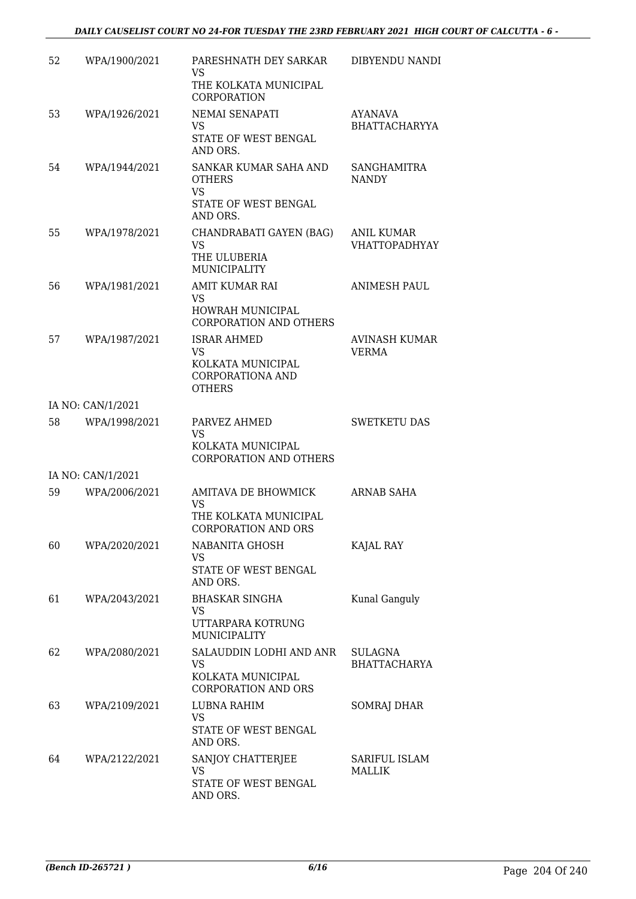| 52 | WPA/1900/2021     | PARESHNATH DEY SARKAR<br><b>VS</b><br>THE KOLKATA MUNICIPAL<br>CORPORATION                | DIBYENDU NANDI                            |
|----|-------------------|-------------------------------------------------------------------------------------------|-------------------------------------------|
| 53 | WPA/1926/2021     | NEMAI SENAPATI<br>VS.<br>STATE OF WEST BENGAL<br>AND ORS.                                 | <b>AYANAVA</b><br><b>BHATTACHARYYA</b>    |
| 54 | WPA/1944/2021     | SANKAR KUMAR SAHA AND<br><b>OTHERS</b><br><b>VS</b>                                       | <b>SANGHAMITRA</b><br><b>NANDY</b>        |
|    |                   | STATE OF WEST BENGAL<br>AND ORS.                                                          |                                           |
| 55 | WPA/1978/2021     | CHANDRABATI GAYEN (BAG)<br><b>VS</b><br>THE ULUBERIA<br>MUNICIPALITY                      | <b>ANIL KUMAR</b><br><b>VHATTOPADHYAY</b> |
| 56 | WPA/1981/2021     | <b>AMIT KUMAR RAI</b><br>VS<br><b>HOWRAH MUNICIPAL</b>                                    | <b>ANIMESH PAUL</b>                       |
|    |                   | <b>CORPORATION AND OTHERS</b>                                                             |                                           |
| 57 | WPA/1987/2021     | <b>ISRAR AHMED</b><br><b>VS</b><br>KOLKATA MUNICIPAL<br>CORPORATIONA AND<br><b>OTHERS</b> | AVINASH KUMAR<br><b>VERMA</b>             |
|    | IA NO: CAN/1/2021 |                                                                                           |                                           |
| 58 | WPA/1998/2021     | PARVEZ AHMED<br><b>VS</b><br>KOLKATA MUNICIPAL<br><b>CORPORATION AND OTHERS</b>           | <b>SWETKETU DAS</b>                       |
|    | IA NO: CAN/1/2021 |                                                                                           |                                           |
| 59 | WPA/2006/2021     | <b>AMITAVA DE BHOWMICK</b><br>VS<br>THE KOLKATA MUNICIPAL                                 | <b>ARNAB SAHA</b>                         |
|    |                   | CORPORATION AND ORS                                                                       |                                           |
| 60 | WPA/2020/2021     | NABANITA GHOSH<br>VS.<br>STATE OF WEST BENGAL                                             | KAJAL RAY                                 |
| 61 | WPA/2043/2021     | AND ORS.<br><b>BHASKAR SINGHA</b>                                                         | Kunal Ganguly                             |
|    |                   | VS<br>UTTARPARA KOTRUNG<br>MUNICIPALITY                                                   |                                           |
| 62 | WPA/2080/2021     | SALAUDDIN LODHI AND ANR<br>VS<br>KOLKATA MUNICIPAL<br><b>CORPORATION AND ORS</b>          | <b>SULAGNA</b><br><b>BHATTACHARYA</b>     |
| 63 | WPA/2109/2021     | LUBNA RAHIM<br>VS.<br>STATE OF WEST BENGAL<br>AND ORS.                                    | <b>SOMRAJ DHAR</b>                        |
| 64 | WPA/2122/2021     | SANJOY CHATTERJEE<br>VS<br>STATE OF WEST BENGAL<br>AND ORS.                               | SARIFUL ISLAM<br><b>MALLIK</b>            |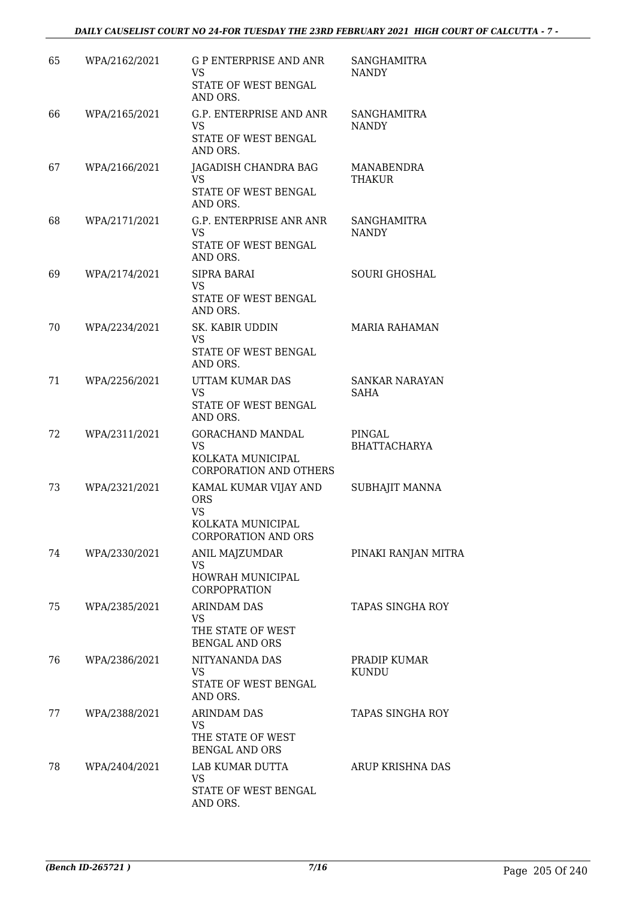#### *DAILY CAUSELIST COURT NO 24-FOR TUESDAY THE 23RD FEBRUARY 2021 HIGH COURT OF CALCUTTA - 7 -*

| 65 | WPA/2162/2021 | <b>G P ENTERPRISE AND ANR</b><br>VS.<br>STATE OF WEST BENGAL | SANGHAMITRA<br><b>NANDY</b>        |
|----|---------------|--------------------------------------------------------------|------------------------------------|
|    |               | AND ORS.                                                     |                                    |
| 66 | WPA/2165/2021 | G.P. ENTERPRISE AND ANR<br>VS.                               | <b>SANGHAMITRA</b><br><b>NANDY</b> |
|    |               | STATE OF WEST BENGAL<br>AND ORS.                             |                                    |
| 67 | WPA/2166/2021 | JAGADISH CHANDRA BAG<br>VS                                   | MANABENDRA<br>THAKUR               |
|    |               | STATE OF WEST BENGAL<br>AND ORS.                             |                                    |
| 68 | WPA/2171/2021 | G.P. ENTERPRISE ANR ANR<br>VS.                               | <b>SANGHAMITRA</b><br><b>NANDY</b> |
|    |               | STATE OF WEST BENGAL<br>AND ORS.                             |                                    |
| 69 | WPA/2174/2021 | <b>SIPRA BARAI</b><br>VS.                                    | <b>SOURI GHOSHAL</b>               |
|    |               | STATE OF WEST BENGAL<br>AND ORS.                             |                                    |
| 70 | WPA/2234/2021 | SK. KABIR UDDIN<br><b>VS</b>                                 | <b>MARIA RAHAMAN</b>               |
|    |               | STATE OF WEST BENGAL<br>AND ORS.                             |                                    |
| 71 | WPA/2256/2021 | UTTAM KUMAR DAS<br>VS.                                       | <b>SANKAR NARAYAN</b><br>SAHA      |
|    |               | STATE OF WEST BENGAL<br>AND ORS.                             |                                    |
| 72 | WPA/2311/2021 | <b>GORACHAND MANDAL</b><br>VS.                               | PINGAL<br><b>BHATTACHARYA</b>      |
|    |               | KOLKATA MUNICIPAL<br><b>CORPORATION AND OTHERS</b>           |                                    |
| 73 | WPA/2321/2021 | KAMAL KUMAR VIJAY AND<br><b>ORS</b>                          | SUBHAJIT MANNA                     |
|    |               | <b>VS</b><br>KOLKATA MUNICIPAL<br><b>CORPORATION AND ORS</b> |                                    |
| 74 | WPA/2330/2021 | ANIL MAJZUMDAR<br>VS.                                        | PINAKI RANJAN MITRA                |
|    |               | HOWRAH MUNICIPAL<br><b>CORPOPRATION</b>                      |                                    |
| 75 | WPA/2385/2021 | ARINDAM DAS<br>VS.                                           | TAPAS SINGHA ROY                   |
|    |               | THE STATE OF WEST<br><b>BENGAL AND ORS</b>                   |                                    |
| 76 | WPA/2386/2021 | NITYANANDA DAS<br><b>VS</b>                                  | PRADIP KUMAR<br><b>KUNDU</b>       |
|    |               | STATE OF WEST BENGAL<br>AND ORS.                             |                                    |
| 77 | WPA/2388/2021 | <b>ARINDAM DAS</b><br>VS.                                    | <b>TAPAS SINGHA ROY</b>            |
|    |               | THE STATE OF WEST<br><b>BENGAL AND ORS</b>                   |                                    |
| 78 | WPA/2404/2021 | LAB KUMAR DUTTA<br>VS.                                       | ARUP KRISHNA DAS                   |
|    |               | STATE OF WEST BENGAL<br>AND ORS.                             |                                    |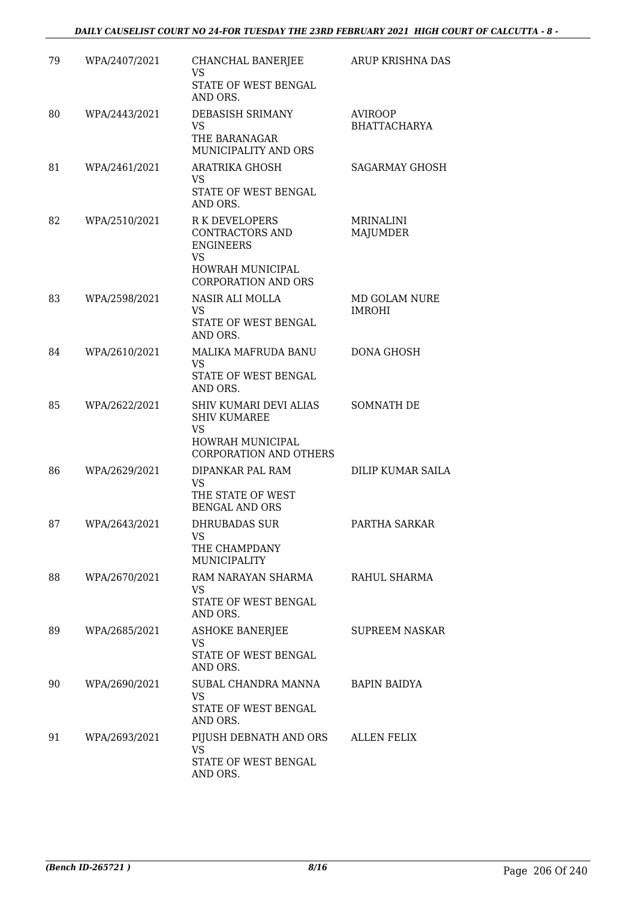| 79 | WPA/2407/2021 | CHANCHAL BANERJEE<br><b>VS</b><br>STATE OF WEST BENGAL<br>AND ORS.                                                            | ARUP KRISHNA DAS               |
|----|---------------|-------------------------------------------------------------------------------------------------------------------------------|--------------------------------|
| 80 | WPA/2443/2021 | DEBASISH SRIMANY<br><b>VS</b><br>THE BARANAGAR<br>MUNICIPALITY AND ORS                                                        | AVIROOP<br><b>BHATTACHARYA</b> |
| 81 | WPA/2461/2021 | ARATRIKA GHOSH<br><b>VS</b><br>STATE OF WEST BENGAL<br>AND ORS.                                                               | <b>SAGARMAY GHOSH</b>          |
| 82 | WPA/2510/2021 | <b>R K DEVELOPERS</b><br>CONTRACTORS AND<br><b>ENGINEERS</b><br><b>VS</b><br>HOWRAH MUNICIPAL<br><b>CORPORATION AND ORS</b>   | MRINALINI<br><b>MAJUMDER</b>   |
| 83 | WPA/2598/2021 | NASIR ALI MOLLA<br>VS<br>STATE OF WEST BENGAL<br>AND ORS.                                                                     | MD GOLAM NURE<br><b>IMROHI</b> |
| 84 | WPA/2610/2021 | MALIKA MAFRUDA BANU<br><b>VS</b><br>STATE OF WEST BENGAL<br>AND ORS.                                                          | DONA GHOSH                     |
| 85 | WPA/2622/2021 | <b>SHIV KUMARI DEVI ALIAS</b><br><b>SHIV KUMAREE</b><br><b>VS</b><br><b>HOWRAH MUNICIPAL</b><br><b>CORPORATION AND OTHERS</b> | <b>SOMNATH DE</b>              |
| 86 | WPA/2629/2021 | DIPANKAR PAL RAM<br><b>VS</b><br>THE STATE OF WEST<br><b>BENGAL AND ORS</b>                                                   | DILIP KUMAR SAILA              |
| 87 | WPA/2643/2021 | <b>DHRUBADAS SUR</b><br>VS<br>THE CHAMPDANY<br>MUNICIPALITY                                                                   | PARTHA SARKAR                  |
| 88 | WPA/2670/2021 | RAM NARAYAN SHARMA<br><b>VS</b><br>STATE OF WEST BENGAL<br>AND ORS.                                                           | RAHUL SHARMA                   |
| 89 | WPA/2685/2021 | <b>ASHOKE BANERJEE</b><br><b>VS</b><br>STATE OF WEST BENGAL<br>AND ORS.                                                       | <b>SUPREEM NASKAR</b>          |
| 90 | WPA/2690/2021 | SUBAL CHANDRA MANNA<br>VS.<br>STATE OF WEST BENGAL<br>AND ORS.                                                                | <b>BAPIN BAIDYA</b>            |
| 91 | WPA/2693/2021 | PIJUSH DEBNATH AND ORS<br><b>VS</b><br>STATE OF WEST BENGAL<br>AND ORS.                                                       | ALLEN FELIX                    |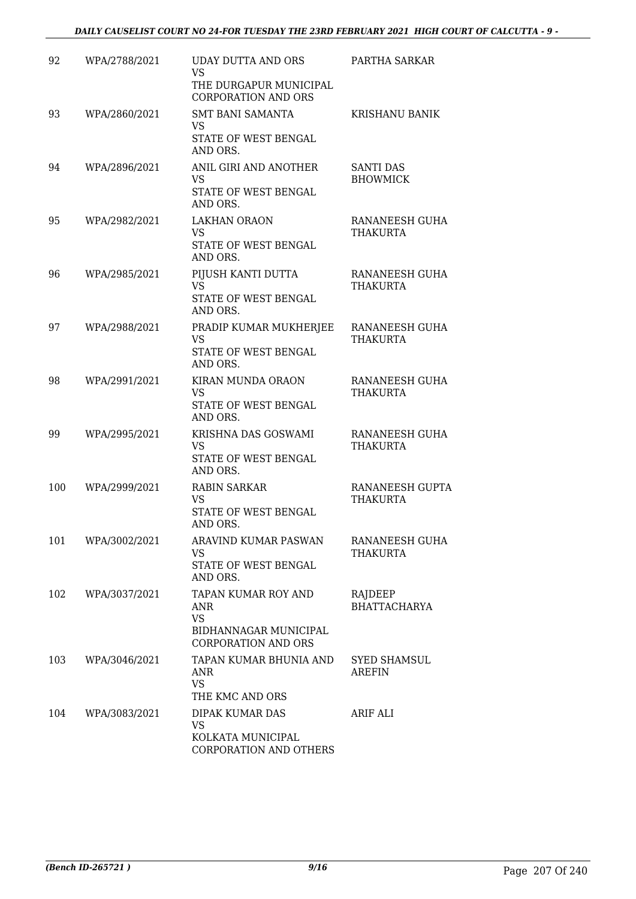| 92  | WPA/2788/2021 | <b>UDAY DUTTA AND ORS</b><br><b>VS</b><br>THE DURGAPUR MUNICIPAL<br><b>CORPORATION AND ORS</b>        | PARTHA SARKAR                       |
|-----|---------------|-------------------------------------------------------------------------------------------------------|-------------------------------------|
| 93  | WPA/2860/2021 | SMT BANI SAMANTA<br><b>VS</b><br>STATE OF WEST BENGAL<br>AND ORS.                                     | <b>KRISHANU BANIK</b>               |
| 94  | WPA/2896/2021 | ANIL GIRI AND ANOTHER<br><b>VS</b><br>STATE OF WEST BENGAL<br>AND ORS.                                | <b>SANTI DAS</b><br><b>BHOWMICK</b> |
| 95  | WPA/2982/2021 | <b>LAKHAN ORAON</b><br><b>VS</b><br>STATE OF WEST BENGAL<br>AND ORS.                                  | RANANEESH GUHA<br><b>THAKURTA</b>   |
| 96  | WPA/2985/2021 | PIJUSH KANTI DUTTA<br><b>VS</b><br>STATE OF WEST BENGAL<br>AND ORS.                                   | RANANEESH GUHA<br><b>THAKURTA</b>   |
| 97  | WPA/2988/2021 | PRADIP KUMAR MUKHERJEE<br><b>VS</b><br>STATE OF WEST BENGAL<br>AND ORS.                               | RANANEESH GUHA<br>THAKURTA          |
| 98  | WPA/2991/2021 | KIRAN MUNDA ORAON<br><b>VS</b><br>STATE OF WEST BENGAL<br>AND ORS.                                    | RANANEESH GUHA<br>THAKURTA          |
| 99  | WPA/2995/2021 | KRISHNA DAS GOSWAMI<br><b>VS</b><br>STATE OF WEST BENGAL<br>AND ORS.                                  | RANANEESH GUHA<br><b>THAKURTA</b>   |
| 100 | WPA/2999/2021 | <b>RABIN SARKAR</b><br><b>VS</b><br>STATE OF WEST BENGAL<br>AND ORS.                                  | <b>RANANEESH GUPTA</b><br>THAKURTA  |
| 101 | WPA/3002/2021 | <b>ARAVIND KUMAR PASWAN</b><br><b>VS</b><br>STATE OF WEST BENGAL<br>AND ORS.                          | RANANEESH GUHA<br>THAKURTA          |
| 102 | WPA/3037/2021 | TAPAN KUMAR ROY AND<br><b>ANR</b><br><b>VS</b><br>BIDHANNAGAR MUNICIPAL<br><b>CORPORATION AND ORS</b> | RAJDEEP<br><b>BHATTACHARYA</b>      |
| 103 | WPA/3046/2021 | TAPAN KUMAR BHUNIA AND<br>ANR<br><b>VS</b><br>THE KMC AND ORS                                         | <b>SYED SHAMSUL</b><br>AREFIN       |
| 104 | WPA/3083/2021 | DIPAK KUMAR DAS<br><b>VS</b><br>KOLKATA MUNICIPAL<br>CORPORATION AND OTHERS                           | ARIF ALI                            |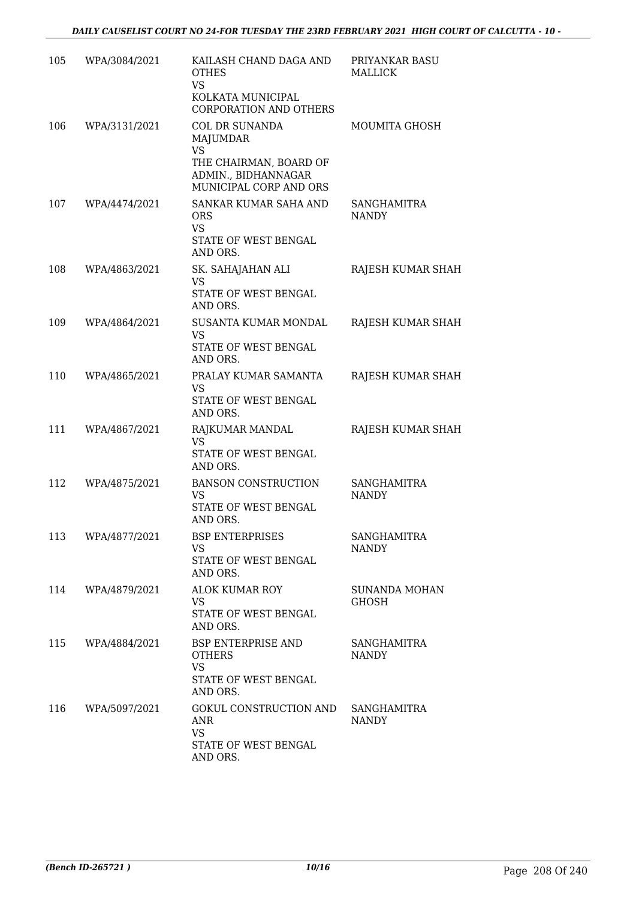| 105 | WPA/3084/2021 | KAILASH CHAND DAGA AND<br><b>OTHES</b><br><b>VS</b><br>KOLKATA MUNICIPAL<br>CORPORATION AND OTHERS                        | PRIYANKAR BASU<br><b>MALLICK</b>     |
|-----|---------------|---------------------------------------------------------------------------------------------------------------------------|--------------------------------------|
| 106 | WPA/3131/2021 | <b>COL DR SUNANDA</b><br>MAJUMDAR<br><b>VS</b><br>THE CHAIRMAN, BOARD OF<br>ADMIN., BIDHANNAGAR<br>MUNICIPAL CORP AND ORS | MOUMITA GHOSH                        |
| 107 | WPA/4474/2021 | SANKAR KUMAR SAHA AND<br><b>ORS</b><br><b>VS</b><br>STATE OF WEST BENGAL<br>AND ORS.                                      | <b>SANGHAMITRA</b><br><b>NANDY</b>   |
| 108 | WPA/4863/2021 | SK. SAHAJAHAN ALI<br><b>VS</b><br>STATE OF WEST BENGAL<br>AND ORS.                                                        | RAJESH KUMAR SHAH                    |
| 109 | WPA/4864/2021 | SUSANTA KUMAR MONDAL<br><b>VS</b><br>STATE OF WEST BENGAL<br>AND ORS.                                                     | RAJESH KUMAR SHAH                    |
| 110 | WPA/4865/2021 | PRALAY KUMAR SAMANTA<br><b>VS</b><br>STATE OF WEST BENGAL<br>AND ORS.                                                     | RAJESH KUMAR SHAH                    |
| 111 | WPA/4867/2021 | RAJKUMAR MANDAL<br>VS.<br>STATE OF WEST BENGAL<br>AND ORS.                                                                | RAJESH KUMAR SHAH                    |
| 112 | WPA/4875/2021 | <b>BANSON CONSTRUCTION</b><br>VS.<br>STATE OF WEST BENGAL<br>AND ORS.                                                     | SANGHAMITRA<br><b>NANDY</b>          |
| 113 | WPA/4877/2021 | <b>BSP ENTERPRISES</b><br><b>VS</b><br>STATE OF WEST BENGAL<br>AND ORS.                                                   | <b>SANGHAMITRA</b><br><b>NANDY</b>   |
| 114 | WPA/4879/2021 | <b>ALOK KUMAR ROY</b><br><b>VS</b><br>STATE OF WEST BENGAL<br>AND ORS.                                                    | <b>SUNANDA MOHAN</b><br><b>GHOSH</b> |
| 115 | WPA/4884/2021 | <b>BSP ENTERPRISE AND</b><br><b>OTHERS</b><br><b>VS</b><br>STATE OF WEST BENGAL<br>AND ORS.                               | SANGHAMITRA<br><b>NANDY</b>          |
| 116 | WPA/5097/2021 | GOKUL CONSTRUCTION AND<br>ANR<br><b>VS</b><br>STATE OF WEST BENGAL<br>AND ORS.                                            | SANGHAMITRA<br><b>NANDY</b>          |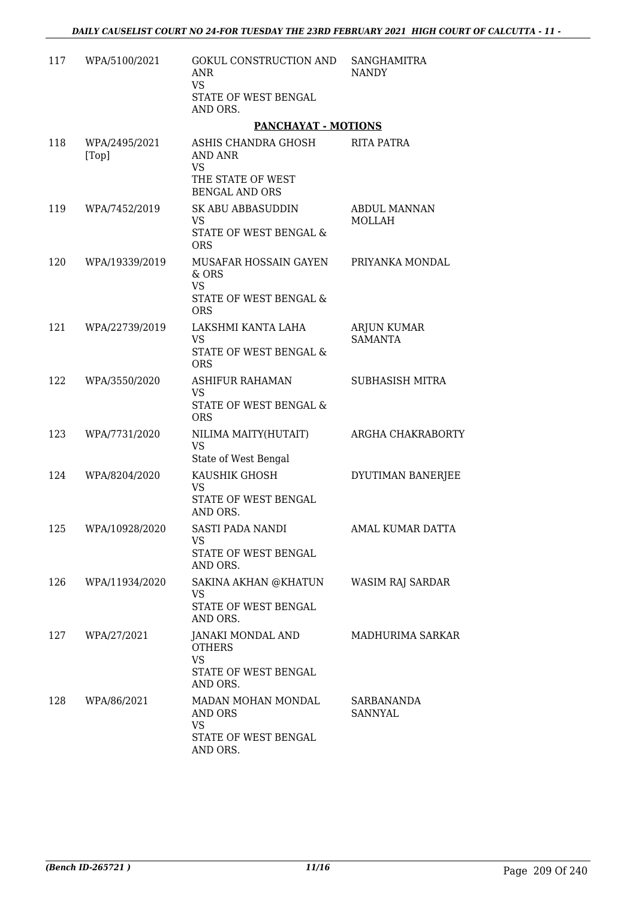| 117 | WPA/5100/2021          | GOKUL CONSTRUCTION AND<br>ANR<br><b>VS</b><br>STATE OF WEST BENGAL<br>AND ORS.            | SANGHAMITRA<br><b>NANDY</b>          |
|-----|------------------------|-------------------------------------------------------------------------------------------|--------------------------------------|
|     |                        | <b>PANCHAYAT - MOTIONS</b>                                                                |                                      |
| 118 | WPA/2495/2021<br>[Top] | ASHIS CHANDRA GHOSH<br>AND ANR<br><b>VS</b>                                               | <b>RITA PATRA</b>                    |
|     |                        | THE STATE OF WEST<br><b>BENGAL AND ORS</b>                                                |                                      |
| 119 | WPA/7452/2019          | SK ABU ABBASUDDIN<br><b>VS</b><br>STATE OF WEST BENGAL &<br><b>ORS</b>                    | <b>ABDUL MANNAN</b><br><b>MOLLAH</b> |
| 120 | WPA/19339/2019         | MUSAFAR HOSSAIN GAYEN<br>& ORS<br><b>VS</b><br>STATE OF WEST BENGAL &                     | PRIYANKA MONDAL                      |
| 121 | WPA/22739/2019         | <b>ORS</b><br>LAKSHMI KANTA LAHA                                                          |                                      |
|     |                        | <b>VS</b><br>STATE OF WEST BENGAL &<br><b>ORS</b>                                         | ARJUN KUMAR<br><b>SAMANTA</b>        |
| 122 | WPA/3550/2020          | <b>ASHIFUR RAHAMAN</b><br><b>VS</b><br>STATE OF WEST BENGAL &<br><b>ORS</b>               | <b>SUBHASISH MITRA</b>               |
| 123 | WPA/7731/2020          | NILIMA MAITY(HUTAIT)<br><b>VS</b>                                                         | ARGHA CHAKRABORTY                    |
| 124 | WPA/8204/2020          | State of West Bengal<br>KAUSHIK GHOSH<br><b>VS</b><br>STATE OF WEST BENGAL<br>AND ORS.    | DYUTIMAN BANERJEE                    |
| 125 | WPA/10928/2020         | SASTI PADA NANDI<br>VS.<br>STATE OF WEST BENGAL<br>AND ORS.                               | AMAL KUMAR DATTA                     |
|     | 126 WPA/11934/2020     | SAKINA AKHAN @KHATUN<br>VS<br>STATE OF WEST BENGAL<br>AND ORS.                            | WASIM RAJ SARDAR                     |
| 127 | WPA/27/2021            | JANAKI MONDAL AND<br><b>OTHERS</b><br><b>VS</b><br>STATE OF WEST BENGAL<br>AND ORS.       | MADHURIMA SARKAR                     |
| 128 | WPA/86/2021            | MADAN MOHAN MONDAL SARBANANDA<br>AND ORS<br><b>VS</b><br>STATE OF WEST BENGAL<br>AND ORS. | <b>SANNYAL</b>                       |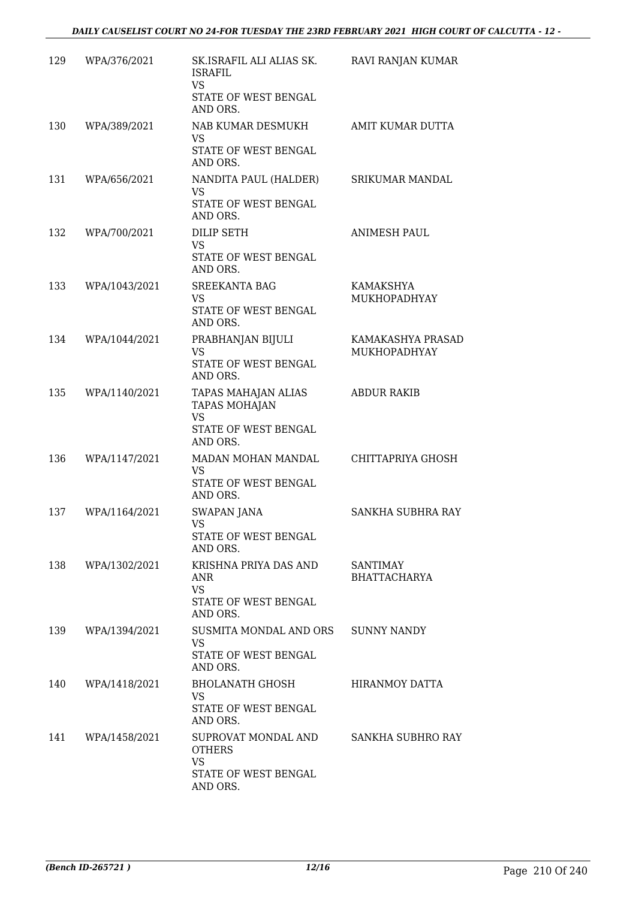| 129 | WPA/376/2021  | SK.ISRAFIL ALI ALIAS SK.<br>ISRAFIL<br><b>VS</b><br>STATE OF WEST BENGAL<br>AND ORS.         | RAVI RANJAN KUMAR                        |
|-----|---------------|----------------------------------------------------------------------------------------------|------------------------------------------|
| 130 | WPA/389/2021  | NAB KUMAR DESMUKH<br>VS.<br>STATE OF WEST BENGAL<br>AND ORS.                                 | AMIT KUMAR DUTTA                         |
| 131 | WPA/656/2021  | NANDITA PAUL (HALDER)<br>VS<br>STATE OF WEST BENGAL<br>AND ORS.                              | <b>SRIKUMAR MANDAL</b>                   |
| 132 | WPA/700/2021  | <b>DILIP SETH</b><br><b>VS</b><br>STATE OF WEST BENGAL<br>AND ORS.                           | <b>ANIMESH PAUL</b>                      |
| 133 | WPA/1043/2021 | <b>SREEKANTA BAG</b><br>VS.<br>STATE OF WEST BENGAL<br>AND ORS.                              | <b>KAMAKSHYA</b><br>MUKHOPADHYAY         |
| 134 | WPA/1044/2021 | PRABHANJAN BIJULI<br><b>VS</b><br>STATE OF WEST BENGAL<br>AND ORS.                           | KAMAKASHYA PRASAD<br><b>MUKHOPADHYAY</b> |
| 135 | WPA/1140/2021 | TAPAS MAHAJAN ALIAS<br><b>TAPAS MOHAJAN</b><br><b>VS</b><br>STATE OF WEST BENGAL<br>AND ORS. | <b>ABDUR RAKIB</b>                       |
| 136 | WPA/1147/2021 | MADAN MOHAN MANDAL<br>VS.<br>STATE OF WEST BENGAL<br>AND ORS.                                | CHITTAPRIYA GHOSH                        |
| 137 | WPA/1164/2021 | SWAPAN JANA<br><b>VS</b><br>STATE OF WEST BENGAL<br>AND ORS.                                 | SANKHA SUBHRA RAY                        |
| 138 | WPA/1302/2021 | KRISHNA PRIYA DAS AND<br>ANR<br>VS.<br>STATE OF WEST BENGAL<br>AND ORS.                      | SANTIMAY<br><b>BHATTACHARYA</b>          |
| 139 | WPA/1394/2021 | SUSMITA MONDAL AND ORS<br>VS.<br>STATE OF WEST BENGAL<br>AND ORS.                            | <b>SUNNY NANDY</b>                       |
| 140 | WPA/1418/2021 | BHOLANATH GHOSH<br>VS<br>STATE OF WEST BENGAL<br>AND ORS.                                    | HIRANMOY DATTA                           |
| 141 | WPA/1458/2021 | SUPROVAT MONDAL AND<br><b>OTHERS</b><br>VS<br>STATE OF WEST BENGAL<br>AND ORS.               | SANKHA SUBHRO RAY                        |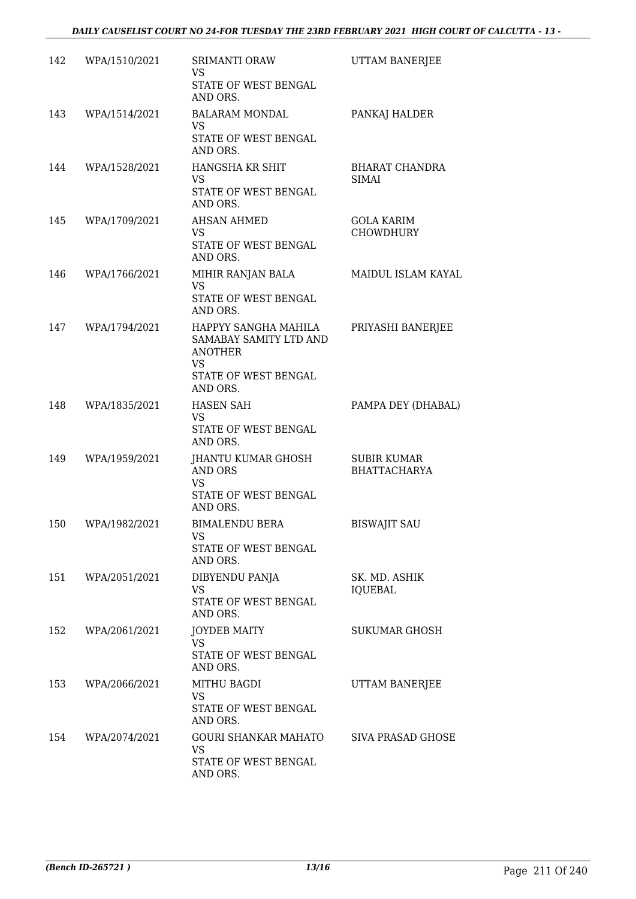| 142 | WPA/1510/2021 | SRIMANTI ORAW<br>VS.<br>STATE OF WEST BENGAL                                                                      | UTTAM BANERJEE                            |
|-----|---------------|-------------------------------------------------------------------------------------------------------------------|-------------------------------------------|
|     |               | AND ORS.                                                                                                          |                                           |
| 143 | WPA/1514/2021 | <b>BALARAM MONDAL</b><br><b>VS</b><br>STATE OF WEST BENGAL<br>AND ORS.                                            | PANKAJ HALDER                             |
| 144 | WPA/1528/2021 | HANGSHA KR SHIT<br><b>VS</b><br>STATE OF WEST BENGAL<br>AND ORS.                                                  | <b>BHARAT CHANDRA</b><br><b>SIMAI</b>     |
| 145 | WPA/1709/2021 | <b>AHSAN AHMED</b><br>VS.<br>STATE OF WEST BENGAL<br>AND ORS.                                                     | GOLA KARIM<br><b>CHOWDHURY</b>            |
| 146 | WPA/1766/2021 | MIHIR RANJAN BALA<br><b>VS</b><br>STATE OF WEST BENGAL<br>AND ORS.                                                | MAIDUL ISLAM KAYAL                        |
| 147 | WPA/1794/2021 | HAPPYY SANGHA MAHILA<br>SAMABAY SAMITY LTD AND<br><b>ANOTHER</b><br><b>VS</b><br>STATE OF WEST BENGAL<br>AND ORS. | PRIYASHI BANERJEE                         |
| 148 | WPA/1835/2021 | <b>HASEN SAH</b><br>VS.<br>STATE OF WEST BENGAL<br>AND ORS.                                                       | PAMPA DEY (DHABAL)                        |
| 149 | WPA/1959/2021 | JHANTU KUMAR GHOSH<br>AND ORS<br><b>VS</b><br>STATE OF WEST BENGAL<br>AND ORS.                                    | <b>SUBIR KUMAR</b><br><b>BHATTACHARYA</b> |
| 150 | WPA/1982/2021 | <b>BIMALENDU BERA</b><br>VS<br>STATE OF WEST BENGAL<br>AND ORS.                                                   | <b>BISWAJIT SAU</b>                       |
| 151 | WPA/2051/2021 | DIBYENDU PANJA<br><b>VS</b><br>STATE OF WEST BENGAL<br>AND ORS.                                                   | SK. MD. ASHIK<br><b>IQUEBAL</b>           |
| 152 | WPA/2061/2021 | <b>JOYDEB MAITY</b><br>VS.<br>STATE OF WEST BENGAL<br>AND ORS.                                                    | SUKUMAR GHOSH                             |
| 153 | WPA/2066/2021 | MITHU BAGDI<br>VS<br>STATE OF WEST BENGAL<br>AND ORS.                                                             | UTTAM BANERJEE                            |
| 154 | WPA/2074/2021 | GOURI SHANKAR MAHATO<br><b>VS</b><br>STATE OF WEST BENGAL<br>AND ORS.                                             | SIVA PRASAD GHOSE                         |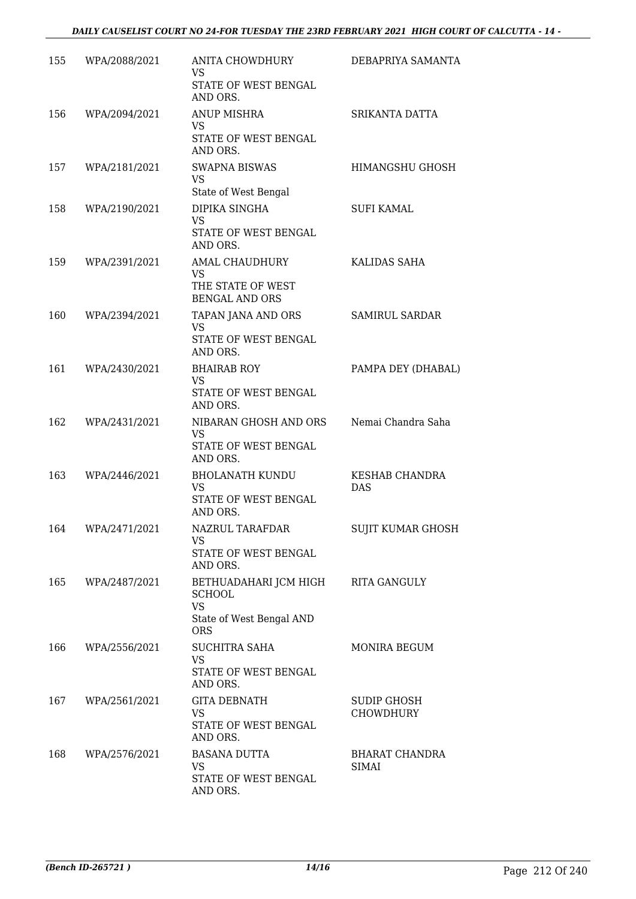| 155 | WPA/2088/2021 | ANITA CHOWDHURY<br><b>VS</b><br>STATE OF WEST BENGAL                                          | DEBAPRIYA SAMANTA                   |
|-----|---------------|-----------------------------------------------------------------------------------------------|-------------------------------------|
|     |               | AND ORS.                                                                                      |                                     |
| 156 | WPA/2094/2021 | <b>ANUP MISHRA</b><br><b>VS</b><br>STATE OF WEST BENGAL<br>AND ORS.                           | SRIKANTA DATTA                      |
| 157 | WPA/2181/2021 | <b>SWAPNA BISWAS</b><br><b>VS</b><br>State of West Bengal                                     | HIMANGSHU GHOSH                     |
| 158 | WPA/2190/2021 | DIPIKA SINGHA<br><b>VS</b><br>STATE OF WEST BENGAL<br>AND ORS.                                | <b>SUFI KAMAL</b>                   |
| 159 | WPA/2391/2021 | AMAL CHAUDHURY<br><b>VS</b><br>THE STATE OF WEST<br><b>BENGAL AND ORS</b>                     | KALIDAS SAHA                        |
| 160 | WPA/2394/2021 | TAPAN JANA AND ORS<br><b>VS</b><br>STATE OF WEST BENGAL                                       | SAMIRUL SARDAR                      |
| 161 | WPA/2430/2021 | AND ORS.<br><b>BHAIRAB ROY</b><br><b>VS</b><br>STATE OF WEST BENGAL<br>AND ORS.               | PAMPA DEY (DHABAL)                  |
| 162 | WPA/2431/2021 | NIBARAN GHOSH AND ORS<br><b>VS</b><br>STATE OF WEST BENGAL<br>AND ORS.                        | Nemai Chandra Saha                  |
| 163 | WPA/2446/2021 | <b>BHOLANATH KUNDU</b><br><b>VS</b><br>STATE OF WEST BENGAL<br>AND ORS.                       | <b>KESHAB CHANDRA</b><br><b>DAS</b> |
| 164 | WPA/2471/2021 | NAZRUL TARAFDAR<br>VS<br>STATE OF WEST BENGAL<br>AND ORS.                                     | SUJIT KUMAR GHOSH                   |
| 165 | WPA/2487/2021 | BETHUADAHARI JCM HIGH<br><b>SCHOOL</b><br><b>VS</b><br>State of West Bengal AND<br><b>ORS</b> | <b>RITA GANGULY</b>                 |
| 166 | WPA/2556/2021 | <b>SUCHITRA SAHA</b><br><b>VS</b><br>STATE OF WEST BENGAL<br>AND ORS.                         | MONIRA BEGUM                        |
| 167 | WPA/2561/2021 | <b>GITA DEBNATH</b><br>VS.<br>STATE OF WEST BENGAL<br>AND ORS.                                | SUDIP GHOSH<br><b>CHOWDHURY</b>     |
| 168 | WPA/2576/2021 | <b>BASANA DUTTA</b><br><b>VS</b><br>STATE OF WEST BENGAL<br>AND ORS.                          | BHARAT CHANDRA<br><b>SIMAI</b>      |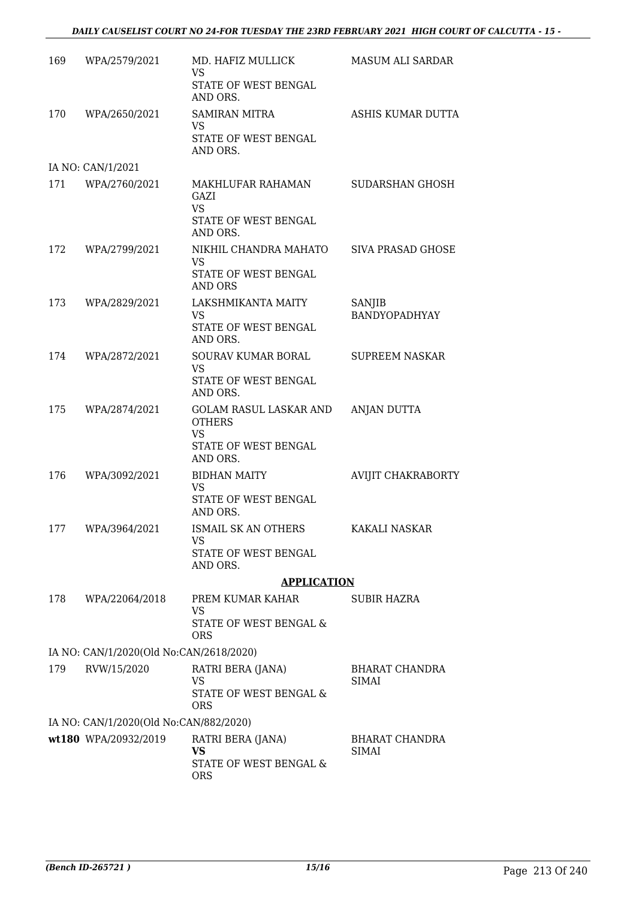| 169 | WPA/2579/2021                           | MD. HAFIZ MULLICK<br><b>VS</b><br>STATE OF WEST BENGAL<br>AND ORS.                       | MASUM ALI SARDAR                      |
|-----|-----------------------------------------|------------------------------------------------------------------------------------------|---------------------------------------|
| 170 | WPA/2650/2021                           | <b>SAMIRAN MITRA</b><br><b>VS</b><br>STATE OF WEST BENGAL<br>AND ORS.                    | ASHIS KUMAR DUTTA                     |
|     | IA NO: CAN/1/2021                       |                                                                                          |                                       |
| 171 | WPA/2760/2021                           | MAKHLUFAR RAHAMAN<br>GAZI<br><b>VS</b><br>STATE OF WEST BENGAL<br>AND ORS.               | SUDARSHAN GHOSH                       |
| 172 | WPA/2799/2021                           | NIKHIL CHANDRA MAHATO<br><b>VS</b><br>STATE OF WEST BENGAL<br>AND ORS                    | SIVA PRASAD GHOSE                     |
| 173 | WPA/2829/2021                           | LAKSHMIKANTA MAITY<br>VS.<br>STATE OF WEST BENGAL<br>AND ORS.                            | SANJIB<br><b>BANDYOPADHYAY</b>        |
| 174 | WPA/2872/2021                           | <b>SOURAV KUMAR BORAL</b><br><b>VS</b><br>STATE OF WEST BENGAL<br>AND ORS.               | <b>SUPREEM NASKAR</b>                 |
| 175 | WPA/2874/2021                           | GOLAM RASUL LASKAR AND<br><b>OTHERS</b><br><b>VS</b><br>STATE OF WEST BENGAL<br>AND ORS. | <b>ANJAN DUTTA</b>                    |
| 176 | WPA/3092/2021                           | <b>BIDHAN MAITY</b><br><b>VS</b><br>STATE OF WEST BENGAL<br>AND ORS.                     | AVIJIT CHAKRABORTY                    |
|     | 177 WPA/3964/2021                       | ISMAIL SK AN OTHERS<br><b>VS</b><br>STATE OF WEST BENGAL<br>AND ORS.                     | <b>KAKALI NASKAR</b>                  |
|     |                                         | <b>APPLICATION</b>                                                                       |                                       |
| 178 | WPA/22064/2018                          | PREM KUMAR KAHAR<br><b>VS</b><br>STATE OF WEST BENGAL &<br><b>ORS</b>                    | SUBIR HAZRA                           |
|     | IA NO: CAN/1/2020(Old No:CAN/2618/2020) |                                                                                          |                                       |
| 179 | RVW/15/2020                             | RATRI BERA (JANA)<br><b>VS</b><br>STATE OF WEST BENGAL &<br><b>ORS</b>                   | BHARAT CHANDRA<br>SIMAI               |
|     | IA NO: CAN/1/2020(Old No:CAN/882/2020)  |                                                                                          |                                       |
|     | wt180 WPA/20932/2019                    | RATRI BERA (JANA)<br><b>VS</b><br>STATE OF WEST BENGAL &<br><b>ORS</b>                   | <b>BHARAT CHANDRA</b><br><b>SIMAI</b> |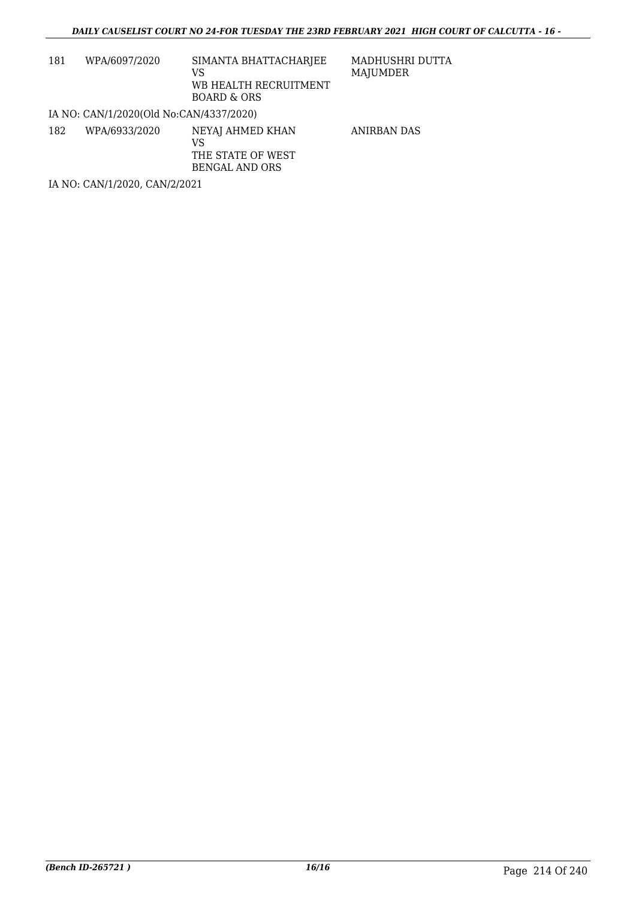| 181                           | WPA/6097/2020                           | SIMANTA BHATTACHARJEE<br>VS<br>WB HEALTH RECRUITMENT<br>BOARD & ORS | MADHUSHRI DUTTA<br>MAJUMDER |  |
|-------------------------------|-----------------------------------------|---------------------------------------------------------------------|-----------------------------|--|
|                               | IA NO: CAN/1/2020(Old No:CAN/4337/2020) |                                                                     |                             |  |
| 182                           | WPA/6933/2020                           | NEYAJ AHMED KHAN<br>VS<br>THE STATE OF WEST<br>BENGAL AND ORS       | ANIRBAN DAS                 |  |
| IA NO: CAN/1/2020, CAN/2/2021 |                                         |                                                                     |                             |  |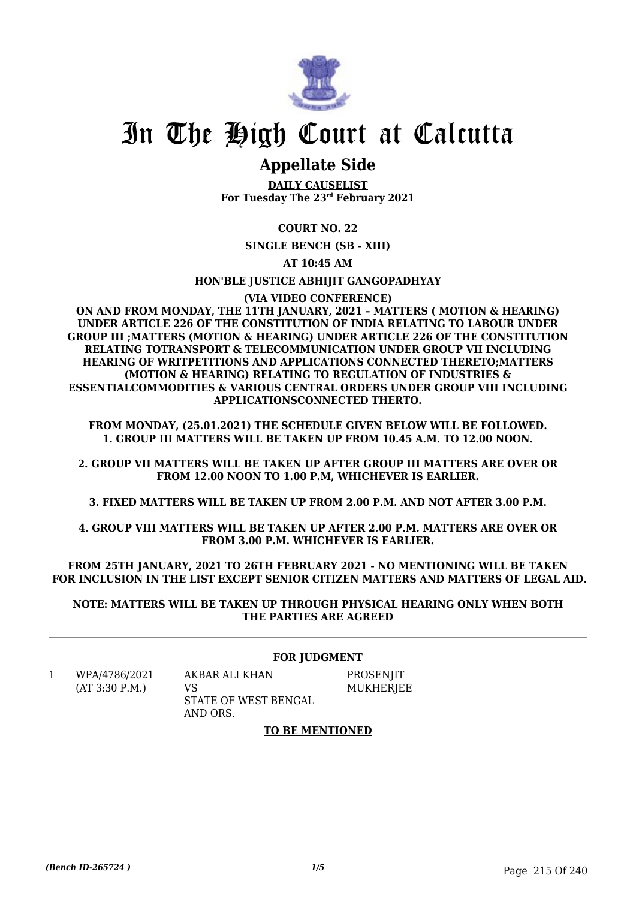

# In The High Court at Calcutta

## **Appellate Side**

**DAILY CAUSELIST For Tuesday The 23rd February 2021**

**COURT NO. 22**

**SINGLE BENCH (SB - XIII)**

**AT 10:45 AM**

**HON'BLE JUSTICE ABHIJIT GANGOPADHYAY**

**(VIA VIDEO CONFERENCE)**

**ON AND FROM MONDAY, THE 11TH JANUARY, 2021 – MATTERS ( MOTION & HEARING) UNDER ARTICLE 226 OF THE CONSTITUTION OF INDIA RELATING TO LABOUR UNDER GROUP III ;MATTERS (MOTION & HEARING) UNDER ARTICLE 226 OF THE CONSTITUTION RELATING TOTRANSPORT & TELECOMMUNICATION UNDER GROUP VII INCLUDING HEARING OF WRITPETITIONS AND APPLICATIONS CONNECTED THERETO;MATTERS (MOTION & HEARING) RELATING TO REGULATION OF INDUSTRIES & ESSENTIALCOMMODITIES & VARIOUS CENTRAL ORDERS UNDER GROUP VIII INCLUDING APPLICATIONSCONNECTED THERTO.**

**FROM MONDAY, (25.01.2021) THE SCHEDULE GIVEN BELOW WILL BE FOLLOWED. 1. GROUP III MATTERS WILL BE TAKEN UP FROM 10.45 A.M. TO 12.00 NOON.**

**2. GROUP VII MATTERS WILL BE TAKEN UP AFTER GROUP III MATTERS ARE OVER OR FROM 12.00 NOON TO 1.00 P.M, WHICHEVER IS EARLIER.**

**3. FIXED MATTERS WILL BE TAKEN UP FROM 2.00 P.M. AND NOT AFTER 3.00 P.M.**

**4. GROUP VIII MATTERS WILL BE TAKEN UP AFTER 2.00 P.M. MATTERS ARE OVER OR FROM 3.00 P.M. WHICHEVER IS EARLIER.**

**FROM 25TH JANUARY, 2021 TO 26TH FEBRUARY 2021 - NO MENTIONING WILL BE TAKEN FOR INCLUSION IN THE LIST EXCEPT SENIOR CITIZEN MATTERS AND MATTERS OF LEGAL AID.**

**NOTE: MATTERS WILL BE TAKEN UP THROUGH PHYSICAL HEARING ONLY WHEN BOTH THE PARTIES ARE AGREED**

#### **FOR JUDGMENT**

1 WPA/4786/2021 (AT 3:30 P.M.)

AKBAR ALI KHAN  $V<sub>S</sub>$ STATE OF WEST BENGAL AND ORS.

**PROSENIIT** MUKHERJEE

#### **TO BE MENTIONED**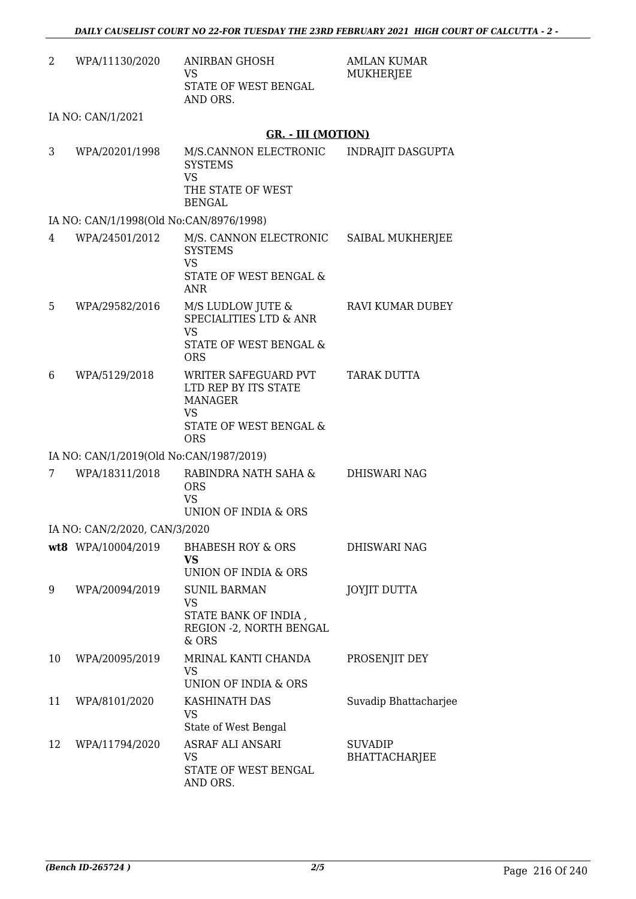| 2  | WPA/11130/2020                          | ANIRBAN GHOSH<br>VS<br>STATE OF WEST BENGAL<br>AND ORS.                                                             | AMLAN KUMAR<br><b>MUKHERJEE</b>        |
|----|-----------------------------------------|---------------------------------------------------------------------------------------------------------------------|----------------------------------------|
|    | IA NO: CAN/1/2021                       |                                                                                                                     |                                        |
|    |                                         | <b>GR. - III (MOTION)</b>                                                                                           |                                        |
| 3  | WPA/20201/1998                          | M/S.CANNON ELECTRONIC<br><b>SYSTEMS</b><br><b>VS</b><br>THE STATE OF WEST<br><b>BENGAL</b>                          | INDRAJIT DASGUPTA                      |
|    | IA NO: CAN/1/1998(Old No:CAN/8976/1998) |                                                                                                                     |                                        |
| 4  | WPA/24501/2012                          | M/S. CANNON ELECTRONIC<br><b>SYSTEMS</b><br><b>VS</b><br>STATE OF WEST BENGAL &<br><b>ANR</b>                       | SAIBAL MUKHERJEE                       |
| 5  | WPA/29582/2016                          | M/S LUDLOW JUTE &<br><b>SPECIALITIES LTD &amp; ANR</b><br><b>VS</b><br>STATE OF WEST BENGAL &<br><b>ORS</b>         | <b>RAVI KUMAR DUBEY</b>                |
| 6  | WPA/5129/2018                           | WRITER SAFEGUARD PVT<br>LTD REP BY ITS STATE<br><b>MANAGER</b><br><b>VS</b><br>STATE OF WEST BENGAL &<br><b>ORS</b> | TARAK DUTTA                            |
|    | IA NO: CAN/1/2019(Old No:CAN/1987/2019) |                                                                                                                     |                                        |
| 7  | WPA/18311/2018                          | RABINDRA NATH SAHA &<br><b>ORS</b><br><b>VS</b><br>UNION OF INDIA & ORS                                             | <b>DHISWARI NAG</b>                    |
|    | IA NO: CAN/2/2020, CAN/3/2020           |                                                                                                                     |                                        |
|    | wt8 WPA/10004/2019                      | <b>BHABESH ROY &amp; ORS</b><br><b>VS</b><br>UNION OF INDIA & ORS                                                   | DHISWARI NAG                           |
| 9  | WPA/20094/2019                          | <b>SUNIL BARMAN</b><br><b>VS</b><br>STATE BANK OF INDIA,<br>REGION - 2, NORTH BENGAL<br>& ORS                       | <b>JOYJIT DUTTA</b>                    |
| 10 | WPA/20095/2019                          | MRINAL KANTI CHANDA<br>VS<br>UNION OF INDIA & ORS                                                                   | PROSENJIT DEY                          |
| 11 | WPA/8101/2020                           | KASHINATH DAS<br><b>VS</b><br>State of West Bengal                                                                  | Suvadip Bhattacharjee                  |
| 12 | WPA/11794/2020                          | ASRAF ALI ANSARI<br><b>VS</b><br>STATE OF WEST BENGAL<br>AND ORS.                                                   | <b>SUVADIP</b><br><b>BHATTACHARJEE</b> |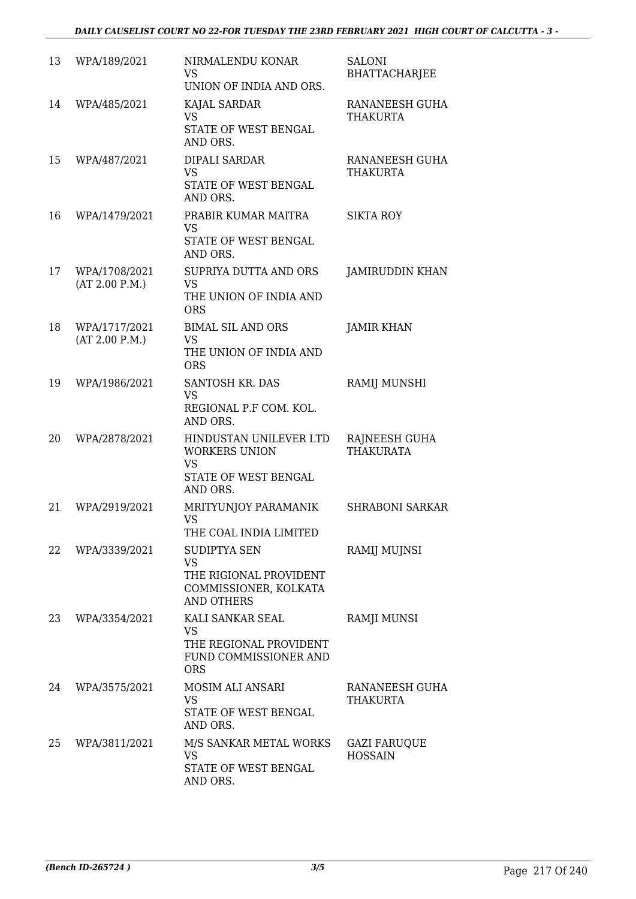| 13 | WPA/189/2021                    | NIRMALENDU KONAR<br><b>VS</b><br>UNION OF INDIA AND ORS.                                                 | <b>SALONI</b><br><b>BHATTACHARJEE</b> |
|----|---------------------------------|----------------------------------------------------------------------------------------------------------|---------------------------------------|
| 14 | WPA/485/2021                    | KAJAL SARDAR<br><b>VS</b><br>STATE OF WEST BENGAL<br>AND ORS.                                            | RANANEESH GUHA<br><b>THAKURTA</b>     |
| 15 | WPA/487/2021                    | <b>DIPALI SARDAR</b><br><b>VS</b><br>STATE OF WEST BENGAL<br>AND ORS.                                    | RANANEESH GUHA<br><b>THAKURTA</b>     |
| 16 | WPA/1479/2021                   | PRABIR KUMAR MAITRA<br><b>VS</b><br>STATE OF WEST BENGAL<br>AND ORS.                                     | <b>SIKTA ROY</b>                      |
| 17 | WPA/1708/2021<br>(AT 2.00 P.M.) | SUPRIYA DUTTA AND ORS<br><b>VS</b><br>THE UNION OF INDIA AND<br><b>ORS</b>                               | <b>JAMIRUDDIN KHAN</b>                |
| 18 | WPA/1717/2021<br>(AT 2.00 P.M.) | <b>BIMAL SIL AND ORS</b><br><b>VS</b><br>THE UNION OF INDIA AND<br><b>ORS</b>                            | <b>JAMIR KHAN</b>                     |
| 19 | WPA/1986/2021                   | SANTOSH KR. DAS<br><b>VS</b><br>REGIONAL P.F COM. KOL.<br>AND ORS.                                       | RAMIJ MUNSHI                          |
| 20 | WPA/2878/2021                   | HINDUSTAN UNILEVER LTD<br><b>WORKERS UNION</b><br><b>VS</b><br>STATE OF WEST BENGAL<br>AND ORS.          | RAJNEESH GUHA<br><b>THAKURATA</b>     |
| 21 | WPA/2919/2021                   | MRITYUNJOY PARAMANIK<br><b>VS</b><br>THE COAL INDIA LIMITED                                              | <b>SHRABONI SARKAR</b>                |
| 22 | WPA/3339/2021                   | <b>SUDIPTYA SEN</b><br><b>VS</b><br>THE RIGIONAL PROVIDENT<br>COMMISSIONER, KOLKATA<br><b>AND OTHERS</b> | RAMIJ MUJNSI                          |
| 23 | WPA/3354/2021                   | KALI SANKAR SEAL<br>VS.<br>THE REGIONAL PROVIDENT<br>FUND COMMISSIONER AND<br><b>ORS</b>                 | RAMJI MUNSI                           |
| 24 | WPA/3575/2021                   | MOSIM ALI ANSARI<br><b>VS</b><br>STATE OF WEST BENGAL<br>AND ORS.                                        | RANANEESH GUHA<br><b>THAKURTA</b>     |
| 25 | WPA/3811/2021                   | M/S SANKAR METAL WORKS<br>VS<br>STATE OF WEST BENGAL<br>AND ORS.                                         | <b>GAZI FARUQUE</b><br><b>HOSSAIN</b> |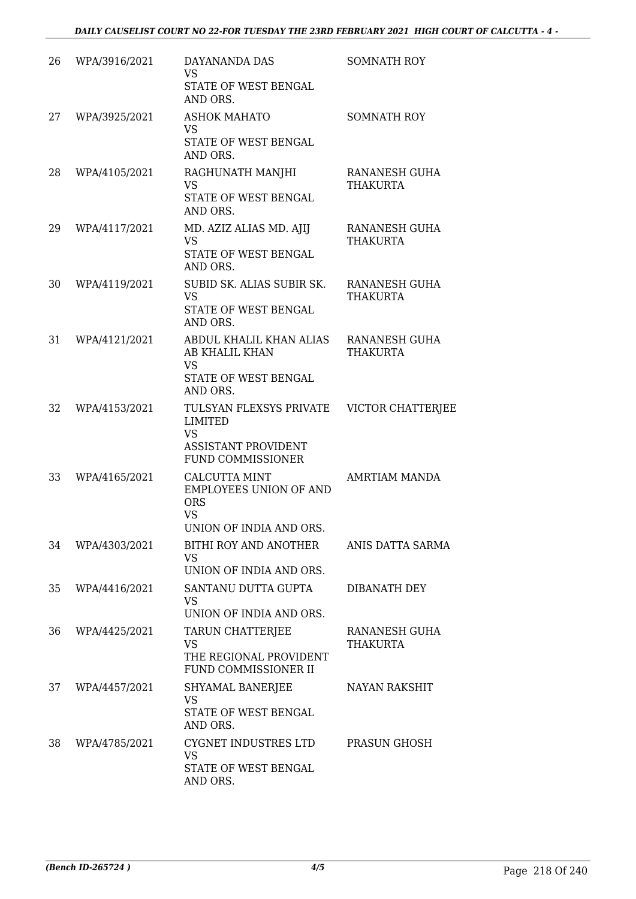| 26 | WPA/3916/2021 | DAYANANDA DAS<br><b>VS</b><br>STATE OF WEST BENGAL<br>AND ORS.                                                   | <b>SOMNATH ROY</b>                      |
|----|---------------|------------------------------------------------------------------------------------------------------------------|-----------------------------------------|
| 27 | WPA/3925/2021 | <b>ASHOK MAHATO</b><br>VS<br>STATE OF WEST BENGAL<br>AND ORS.                                                    | <b>SOMNATH ROY</b>                      |
| 28 | WPA/4105/2021 | RAGHUNATH MANJHI<br><b>VS</b><br>STATE OF WEST BENGAL<br>AND ORS.                                                | RANANESH GUHA<br><b>THAKURTA</b>        |
| 29 | WPA/4117/2021 | MD. AZIZ ALIAS MD. AJIJ<br><b>VS</b><br>STATE OF WEST BENGAL<br>AND ORS.                                         | RANANESH GUHA<br>THAKURTA               |
| 30 | WPA/4119/2021 | SUBID SK. ALIAS SUBIR SK.<br><b>VS</b><br>STATE OF WEST BENGAL<br>AND ORS.                                       | <b>RANANESH GUHA</b><br><b>THAKURTA</b> |
| 31 | WPA/4121/2021 | ABDUL KHALIL KHAN ALIAS<br>AB KHALIL KHAN<br><b>VS</b><br>STATE OF WEST BENGAL<br>AND ORS.                       | <b>RANANESH GUHA</b><br><b>THAKURTA</b> |
| 32 | WPA/4153/2021 | TULSYAN FLEXSYS PRIVATE<br><b>LIMITED</b><br><b>VS</b><br><b>ASSISTANT PROVIDENT</b><br><b>FUND COMMISSIONER</b> | VICTOR CHATTERJEE                       |
| 33 | WPA/4165/2021 | <b>CALCUTTA MINT</b><br><b>EMPLOYEES UNION OF AND</b><br><b>ORS</b><br><b>VS</b><br>UNION OF INDIA AND ORS       | AMRTIAM MANDA                           |
| 34 | WPA/4303/2021 | BITHI ROY AND ANOTHER<br><b>VS</b><br>UNION OF INDIA AND ORS.                                                    | ANIS DATTA SARMA                        |
| 35 | WPA/4416/2021 | SANTANU DUTTA GUPTA<br><b>VS</b><br>UNION OF INDIA AND ORS.                                                      | DIBANATH DEY                            |
| 36 | WPA/4425/2021 | TARUN CHATTERJEE<br><b>VS</b><br>THE REGIONAL PROVIDENT<br>FUND COMMISSIONER II                                  | RANANESH GUHA<br><b>THAKURTA</b>        |
| 37 | WPA/4457/2021 | SHYAMAL BANERJEE<br><b>VS</b><br>STATE OF WEST BENGAL<br>AND ORS.                                                | <b>NAYAN RAKSHIT</b>                    |
| 38 | WPA/4785/2021 | CYGNET INDUSTRES LTD<br><b>VS</b><br>STATE OF WEST BENGAL<br>AND ORS.                                            | PRASUN GHOSH                            |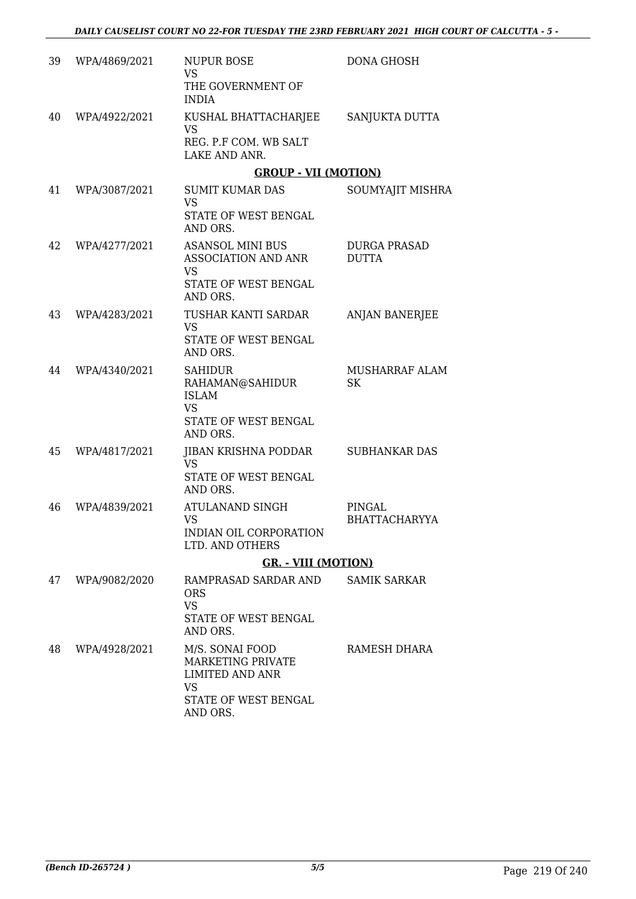| 39 | WPA/4869/2021 | <b>NUPUR BOSE</b><br><b>VS</b><br>THE GOVERNMENT OF<br><b>INDIA</b>                                             | <b>DONA GHOSH</b>                   |
|----|---------------|-----------------------------------------------------------------------------------------------------------------|-------------------------------------|
| 40 | WPA/4922/2021 | KUSHAL BHATTACHARJEE<br>VS<br>REG. P.F COM. WB SALT<br>LAKE AND ANR.                                            | SANJUKTA DUTTA                      |
|    |               | <b>GROUP - VII (MOTION)</b>                                                                                     |                                     |
| 41 | WPA/3087/2021 | <b>SUMIT KUMAR DAS</b><br><b>VS</b><br>STATE OF WEST BENGAL                                                     | SOUMYAJIT MISHRA                    |
| 42 | WPA/4277/2021 | AND ORS.<br><b>ASANSOL MINI BUS</b><br>ASSOCIATION AND ANR<br><b>VS</b>                                         | <b>DURGA PRASAD</b><br><b>DUTTA</b> |
|    |               | STATE OF WEST BENGAL<br>AND ORS.                                                                                |                                     |
| 43 | WPA/4283/2021 | TUSHAR KANTI SARDAR<br><b>VS</b>                                                                                | <b>ANJAN BANERJEE</b>               |
|    |               | STATE OF WEST BENGAL<br>AND ORS.                                                                                |                                     |
| 44 | WPA/4340/2021 | <b>SAHIDUR</b><br>RAHAMAN@SAHIDUR<br><b>ISLAM</b><br><b>VS</b><br>STATE OF WEST BENGAL<br>AND ORS.              | MUSHARRAF ALAM<br><b>SK</b>         |
| 45 | WPA/4817/2021 | JIBAN KRISHNA PODDAR<br><b>VS</b><br>STATE OF WEST BENGAL<br>AND ORS.                                           | <b>SUBHANKAR DAS</b>                |
| 46 | WPA/4839/2021 | ATULANAND SINGH<br>VS<br>INDIAN OIL CORPORATION<br>LTD. AND OTHERS                                              | PINGAL<br><b>BHATTACHARYYA</b>      |
|    |               | <b>GR. - VIII (MOTION)</b>                                                                                      |                                     |
| 47 | WPA/9082/2020 | RAMPRASAD SARDAR AND<br><b>ORS</b><br><b>VS</b><br>STATE OF WEST BENGAL<br>AND ORS.                             | <b>SAMIK SARKAR</b>                 |
| 48 | WPA/4928/2021 | M/S. SONAI FOOD<br>MARKETING PRIVATE<br><b>LIMITED AND ANR</b><br><b>VS</b><br>STATE OF WEST BENGAL<br>AND ORS. | RAMESH DHARA                        |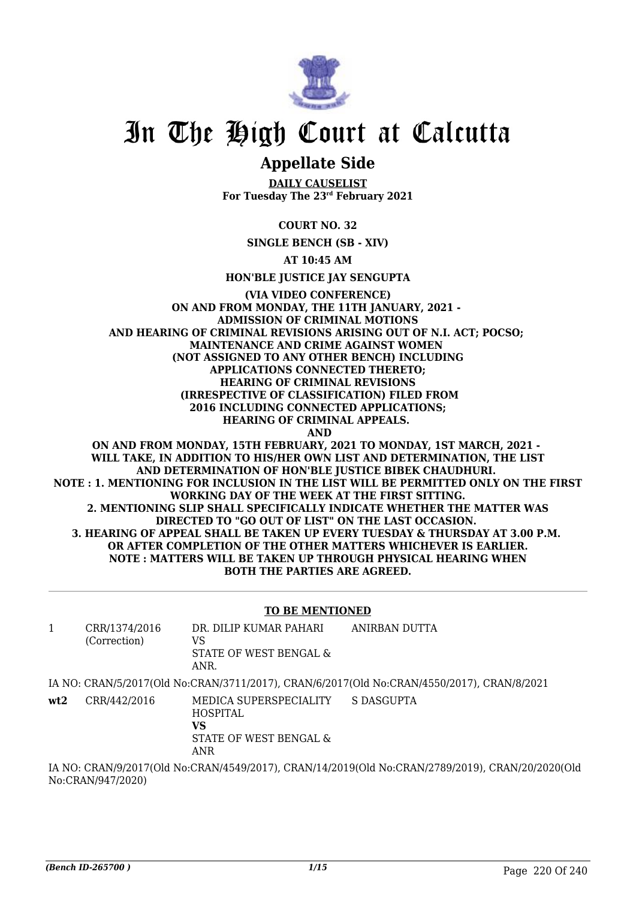

## In The High Court at Calcutta

### **Appellate Side**

**DAILY CAUSELIST For Tuesday The 23rd February 2021**

**COURT NO. 32**

**SINGLE BENCH (SB - XIV)**

**AT 10:45 AM**

**HON'BLE JUSTICE JAY SENGUPTA**

#### **(VIA VIDEO CONFERENCE) ON AND FROM MONDAY, THE 11TH JANUARY, 2021 - ADMISSION OF CRIMINAL MOTIONS AND HEARING OF CRIMINAL REVISIONS ARISING OUT OF N.I. ACT; POCSO; MAINTENANCE AND CRIME AGAINST WOMEN (NOT ASSIGNED TO ANY OTHER BENCH) INCLUDING APPLICATIONS CONNECTED THERETO; HEARING OF CRIMINAL REVISIONS (IRRESPECTIVE OF CLASSIFICATION) FILED FROM 2016 INCLUDING CONNECTED APPLICATIONS; HEARING OF CRIMINAL APPEALS. AND ON AND FROM MONDAY, 15TH FEBRUARY, 2021 TO MONDAY, 1ST MARCH, 2021 -**

**WILL TAKE, IN ADDITION TO HIS/HER OWN LIST AND DETERMINATION, THE LIST AND DETERMINATION OF HON'BLE JUSTICE BIBEK CHAUDHURI. NOTE : 1. MENTIONING FOR INCLUSION IN THE LIST WILL BE PERMITTED ONLY ON THE FIRST WORKING DAY OF THE WEEK AT THE FIRST SITTING. 2. MENTIONING SLIP SHALL SPECIFICALLY INDICATE WHETHER THE MATTER WAS DIRECTED TO "GO OUT OF LIST" ON THE LAST OCCASION. 3. HEARING OF APPEAL SHALL BE TAKEN UP EVERY TUESDAY & THURSDAY AT 3.00 P.M. OR AFTER COMPLETION OF THE OTHER MATTERS WHICHEVER IS EARLIER. NOTE : MATTERS WILL BE TAKEN UP THROUGH PHYSICAL HEARING WHEN BOTH THE PARTIES ARE AGREED.**

#### **TO BE MENTIONED**

| 1   | CRR/1374/2016<br>(Correction)                                                                    | DR. DILIP KUMAR PAHARI<br>VS<br>STATE OF WEST BENGAL &<br>ANR.                    | ANIRBAN DUTTA                                                                              |  |  |
|-----|--------------------------------------------------------------------------------------------------|-----------------------------------------------------------------------------------|--------------------------------------------------------------------------------------------|--|--|
|     |                                                                                                  |                                                                                   | IA NO: CRAN/5/2017(Old No:CRAN/3711/2017), CRAN/6/2017(Old No:CRAN/4550/2017), CRAN/8/2021 |  |  |
| wt2 | CRR/442/2016                                                                                     | MEDICA SUPERSPECIALITY<br><b>HOSPITAL</b><br>VS<br>STATE OF WEST BENGAL &<br>ANR. | S DASGUPTA                                                                                 |  |  |
|     | IA NO: CRAN/9/2017(Old No:CRAN/4549/2017), CRAN/14/2019(Old No:CRAN/2789/2019), CRAN/20/2020(Old |                                                                                   |                                                                                            |  |  |

No:CRAN/947/2020)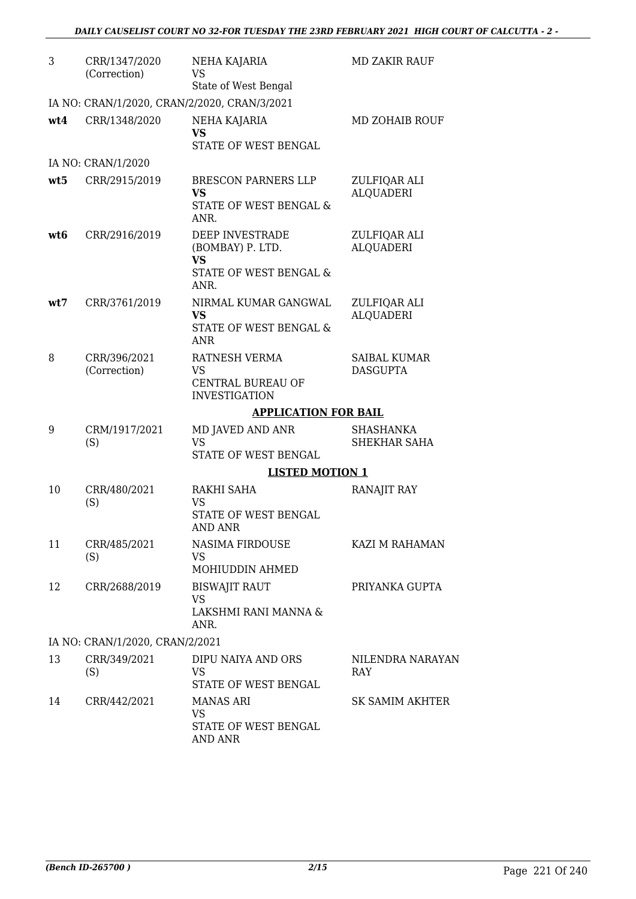| 3   | CRR/1347/2020<br>(Correction)   | NEHA KAJARIA<br><b>VS</b><br>State of West Bengal                                             | <b>MD ZAKIR RAUF</b>                   |
|-----|---------------------------------|-----------------------------------------------------------------------------------------------|----------------------------------------|
|     |                                 | IA NO: CRAN/1/2020, CRAN/2/2020, CRAN/3/2021                                                  |                                        |
| wt4 | CRR/1348/2020                   | NEHA KAJARIA<br><b>VS</b><br>STATE OF WEST BENGAL                                             | MD ZOHAIB ROUF                         |
|     | IA NO: CRAN/1/2020              |                                                                                               |                                        |
| wt5 | CRR/2915/2019                   | <b>BRESCON PARNERS LLP</b><br><b>VS</b><br>STATE OF WEST BENGAL &<br>ANR.                     | ZULFIQAR ALI<br><b>ALQUADERI</b>       |
| wt6 | CRR/2916/2019                   | DEEP INVESTRADE<br>(BOMBAY) P. LTD.<br><b>VS</b><br><b>STATE OF WEST BENGAL &amp;</b><br>ANR. | ZULFIQAR ALI<br><b>ALQUADERI</b>       |
| wt7 | CRR/3761/2019                   | NIRMAL KUMAR GANGWAL<br>VS<br>STATE OF WEST BENGAL &<br><b>ANR</b>                            | ZULFIQAR ALI<br><b>ALQUADERI</b>       |
| 8   | CRR/396/2021<br>(Correction)    | RATNESH VERMA<br>VS<br>CENTRAL BUREAU OF<br><b>INVESTIGATION</b>                              | <b>SAIBAL KUMAR</b><br><b>DASGUPTA</b> |
|     |                                 | <b>APPLICATION FOR BAIL</b>                                                                   |                                        |
| 9   | CRM/1917/2021<br>(S)            | MD JAVED AND ANR<br><b>VS</b><br>STATE OF WEST BENGAL                                         | SHASHANKA<br>SHEKHAR SAHA              |
|     |                                 | <b>LISTED MOTION 1</b>                                                                        |                                        |
| 10  | CRR/480/2021<br>(S)             | RAKHI SAHA<br>VS<br>STATE OF WEST BENGAL<br>AND ANR                                           | RANAJIT RAY                            |
| 11  | CRR/485/2021<br>(S)             | NASIMA FIRDOUSE<br>VS.<br>MOHIUDDIN AHMED                                                     | KAZI M RAHAMAN                         |
| 12  | CRR/2688/2019                   | <b>BISWAJIT RAUT</b><br><b>VS</b><br>LAKSHMI RANI MANNA &<br>ANR.                             | PRIYANKA GUPTA                         |
|     | IA NO: CRAN/1/2020, CRAN/2/2021 |                                                                                               |                                        |
| 13  | CRR/349/2021<br>(S)             | DIPU NAIYA AND ORS<br>VS.<br>STATE OF WEST BENGAL                                             | NILENDRA NARAYAN<br>RAY                |
| 14  | CRR/442/2021                    | <b>MANAS ARI</b><br><b>VS</b><br>STATE OF WEST BENGAL<br>AND ANR                              | <b>SK SAMIM AKHTER</b>                 |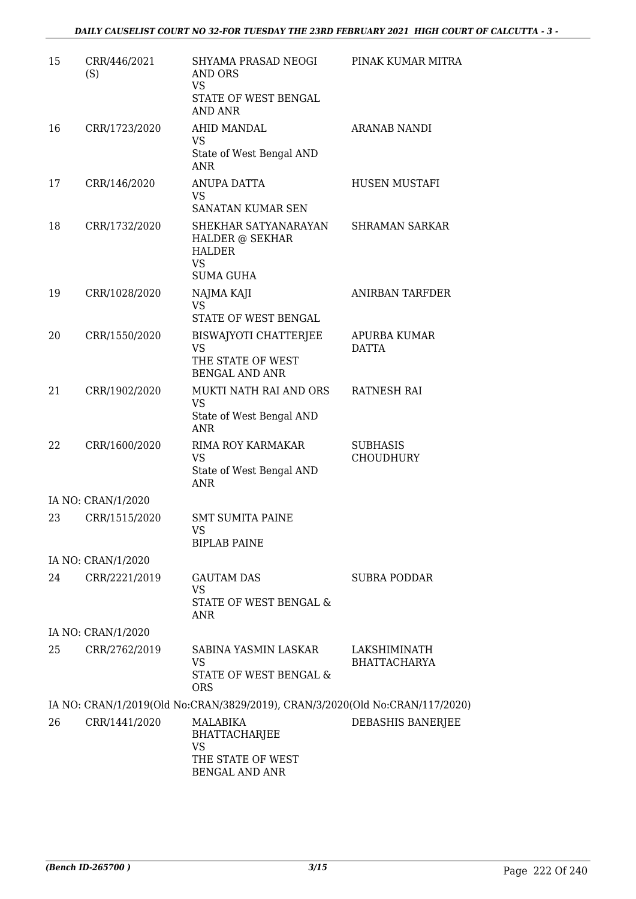| 15 | CRR/446/2021<br>(S) | SHYAMA PRASAD NEOGI<br>AND ORS<br><b>VS</b><br>STATE OF WEST BENGAL<br>AND ANR            | PINAK KUMAR MITRA                   |
|----|---------------------|-------------------------------------------------------------------------------------------|-------------------------------------|
| 16 | CRR/1723/2020       | AHID MANDAL<br>VS<br>State of West Bengal AND<br><b>ANR</b>                               | <b>ARANAB NANDI</b>                 |
| 17 | CRR/146/2020        | ANUPA DATTA<br>VS<br>SANATAN KUMAR SEN                                                    | HUSEN MUSTAFI                       |
| 18 | CRR/1732/2020       | SHEKHAR SATYANARAYAN<br>HALDER @ SEKHAR<br><b>HALDER</b><br><b>VS</b><br><b>SUMA GUHA</b> | <b>SHRAMAN SARKAR</b>               |
| 19 | CRR/1028/2020       | NAJMA KAJI<br><b>VS</b><br>STATE OF WEST BENGAL                                           | ANIRBAN TARFDER                     |
| 20 | CRR/1550/2020       | <b>BISWAJYOTI CHATTERJEE</b><br><b>VS</b><br>THE STATE OF WEST<br><b>BENGAL AND ANR</b>   | <b>APURBA KUMAR</b><br><b>DATTA</b> |
| 21 | CRR/1902/2020       | MUKTI NATH RAI AND ORS<br><b>VS</b><br>State of West Bengal AND<br><b>ANR</b>             | RATNESH RAI                         |
| 22 | CRR/1600/2020       | RIMA ROY KARMAKAR<br>VS<br>State of West Bengal AND<br>ANR                                | <b>SUBHASIS</b><br><b>CHOUDHURY</b> |
|    | IA NO: CRAN/1/2020  |                                                                                           |                                     |
| 23 | CRR/1515/2020       | <b>SMT SUMITA PAINE</b><br>VS<br><b>BIPLAB PAINE</b>                                      |                                     |
|    | IA NO: CRAN/1/2020  |                                                                                           |                                     |
| 24 | CRR/2221/2019       | <b>GAUTAM DAS</b><br><b>VS</b><br>STATE OF WEST BENGAL &<br>ANR                           | <b>SUBRA PODDAR</b>                 |
|    | IA NO: CRAN/1/2020  |                                                                                           |                                     |
| 25 | CRR/2762/2019       | SABINA YASMIN LASKAR<br><b>VS</b><br>STATE OF WEST BENGAL &<br><b>ORS</b>                 | LAKSHIMINATH<br><b>BHATTACHARYA</b> |
|    |                     | IA NO: CRAN/1/2019(Old No:CRAN/3829/2019), CRAN/3/2020(Old No:CRAN/117/2020)              |                                     |
| 26 | CRR/1441/2020       | MALABIKA<br><b>BHATTACHARJEE</b><br>VS<br>THE STATE OF WEST<br><b>BENGAL AND ANR</b>      | DEBASHIS BANERJEE                   |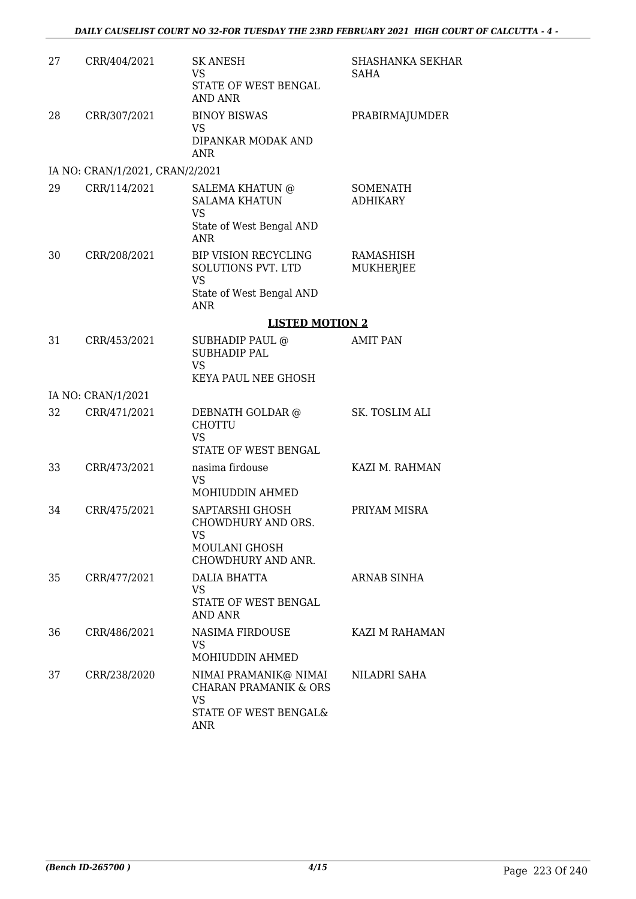| 27 | CRR/404/2021                    | <b>SK ANESH</b><br>VS<br>STATE OF WEST BENGAL<br><b>AND ANR</b>                                        | SHASHANKA SEKHAR<br>SAHA           |
|----|---------------------------------|--------------------------------------------------------------------------------------------------------|------------------------------------|
| 28 | CRR/307/2021                    | <b>BINOY BISWAS</b><br>VS.<br>DIPANKAR MODAK AND<br>ANR                                                | PRABIRMAJUMDER                     |
|    | IA NO: CRAN/1/2021, CRAN/2/2021 |                                                                                                        |                                    |
| 29 | CRR/114/2021                    | <b>SALEMA KHATUN @</b><br><b>SALAMA KHATUN</b><br><b>VS</b><br>State of West Bengal AND<br><b>ANR</b>  | <b>SOMENATH</b><br><b>ADHIKARY</b> |
| 30 | CRR/208/2021                    | <b>BIP VISION RECYCLING</b><br>SOLUTIONS PVT. LTD<br><b>VS</b><br>State of West Bengal AND<br>ANR      | RAMASHISH<br><b>MUKHERJEE</b>      |
|    |                                 | <b>LISTED MOTION 2</b>                                                                                 |                                    |
| 31 | CRR/453/2021                    | SUBHADIP PAUL @<br><b>SUBHADIP PAL</b><br><b>VS</b><br>KEYA PAUL NEE GHOSH                             | <b>AMIT PAN</b>                    |
|    | IA NO: CRAN/1/2021              |                                                                                                        |                                    |
| 32 | CRR/471/2021                    | DEBNATH GOLDAR @<br><b>CHOTTU</b><br><b>VS</b><br>STATE OF WEST BENGAL                                 | SK. TOSLIM ALI                     |
| 33 | CRR/473/2021                    | nasima firdouse<br>VS.<br>MOHIUDDIN AHMED                                                              | KAZI M. RAHMAN                     |
| 34 | CRR/475/2021                    | SAPTARSHI GHOSH<br>CHOWDHURY AND ORS.<br>VS<br>MOULANI GHOSH<br>CHOWDHURY AND ANR.                     | PRIYAM MISRA                       |
| 35 | CRR/477/2021                    | DALIA BHATTA<br><b>VS</b><br>STATE OF WEST BENGAL<br><b>AND ANR</b>                                    | ARNAB SINHA                        |
| 36 | CRR/486/2021                    | <b>NASIMA FIRDOUSE</b><br>VS.<br>MOHIUDDIN AHMED                                                       | KAZI M RAHAMAN                     |
| 37 | CRR/238/2020                    | NIMAI PRAMANIK@ NIMAI<br><b>CHARAN PRAMANIK &amp; ORS</b><br><b>VS</b><br>STATE OF WEST BENGAL&<br>ANR | NILADRI SAHA                       |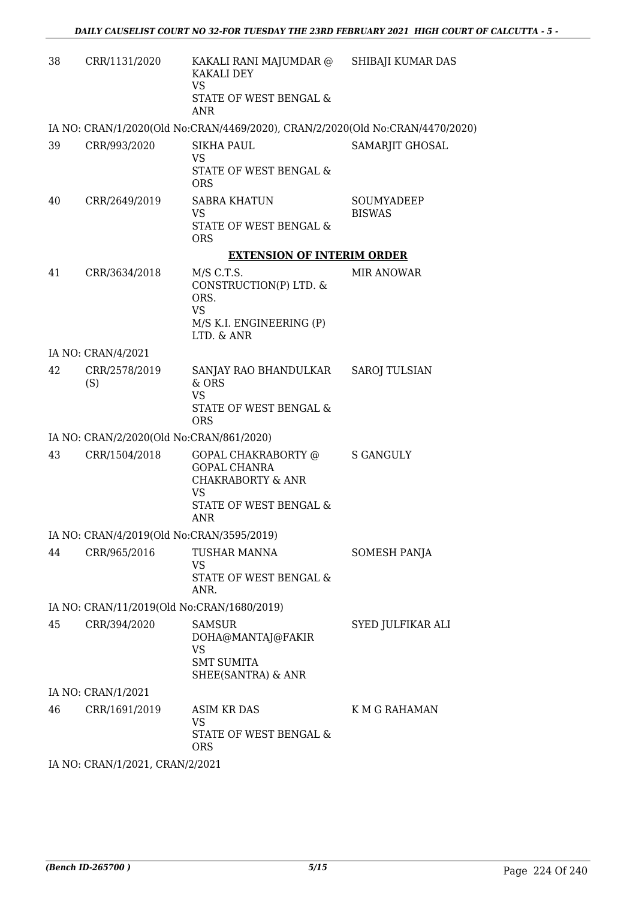| 38 | CRR/1131/2020                              | KAKALI RANI MAJUMDAR @ SHIBAJI KUMAR DAS<br>KAKALI DEY<br><b>VS</b><br>STATE OF WEST BENGAL &<br><b>ANR</b>                     |                             |
|----|--------------------------------------------|---------------------------------------------------------------------------------------------------------------------------------|-----------------------------|
|    |                                            | IA NO: CRAN/1/2020(Old No:CRAN/4469/2020), CRAN/2/2020(Old No:CRAN/4470/2020)                                                   |                             |
| 39 | CRR/993/2020                               | <b>SIKHA PAUL</b><br><b>VS</b><br><b>STATE OF WEST BENGAL &amp;</b><br><b>ORS</b>                                               | SAMARJIT GHOSAL             |
| 40 | CRR/2649/2019                              | <b>SABRA KHATUN</b><br>VS<br>STATE OF WEST BENGAL &<br><b>ORS</b>                                                               | SOUMYADEEP<br><b>BISWAS</b> |
|    |                                            | <b>EXTENSION OF INTERIM ORDER</b>                                                                                               |                             |
| 41 | CRR/3634/2018                              | M/S C.T.S.<br>CONSTRUCTION(P) LTD. &<br>ORS.<br><b>VS</b><br>M/S K.I. ENGINEERING (P)<br>LTD. & ANR                             | <b>MIR ANOWAR</b>           |
|    | IA NO: CRAN/4/2021                         |                                                                                                                                 |                             |
| 42 | CRR/2578/2019<br>(S)                       | SANJAY RAO BHANDULKAR SAROJ TULSIAN<br>& ORS<br><b>VS</b><br>STATE OF WEST BENGAL &                                             |                             |
|    | IA NO: CRAN/2/2020(Old No:CRAN/861/2020)   | <b>ORS</b>                                                                                                                      |                             |
| 43 | CRR/1504/2018                              | GOPAL CHAKRABORTY @<br><b>GOPAL CHANRA</b><br><b>CHAKRABORTY &amp; ANR</b><br><b>VS</b><br>STATE OF WEST BENGAL &<br><b>ANR</b> | S GANGULY                   |
|    | IA NO: CRAN/4/2019(Old No:CRAN/3595/2019)  |                                                                                                                                 |                             |
| 44 | CRR/965/2016                               | TUSHAR MANNA<br>VS<br>STATE OF WEST BENGAL &<br>ANR.                                                                            | SOMESH PANJA                |
|    | IA NO: CRAN/11/2019(Old No:CRAN/1680/2019) |                                                                                                                                 |                             |
| 45 | CRR/394/2020                               | <b>SAMSUR</b><br>DOHA@MANTAJ@FAKIR<br>VS<br><b>SMT SUMITA</b><br>SHEE(SANTRA) & ANR                                             | SYED JULFIKAR ALI           |
|    | IA NO: CRAN/1/2021                         |                                                                                                                                 |                             |
| 46 | CRR/1691/2019                              | ASIM KR DAS<br>VS<br>STATE OF WEST BENGAL &<br><b>ORS</b>                                                                       | K M G RAHAMAN               |
|    | IA NO: CRAN/1/2021, CRAN/2/2021            |                                                                                                                                 |                             |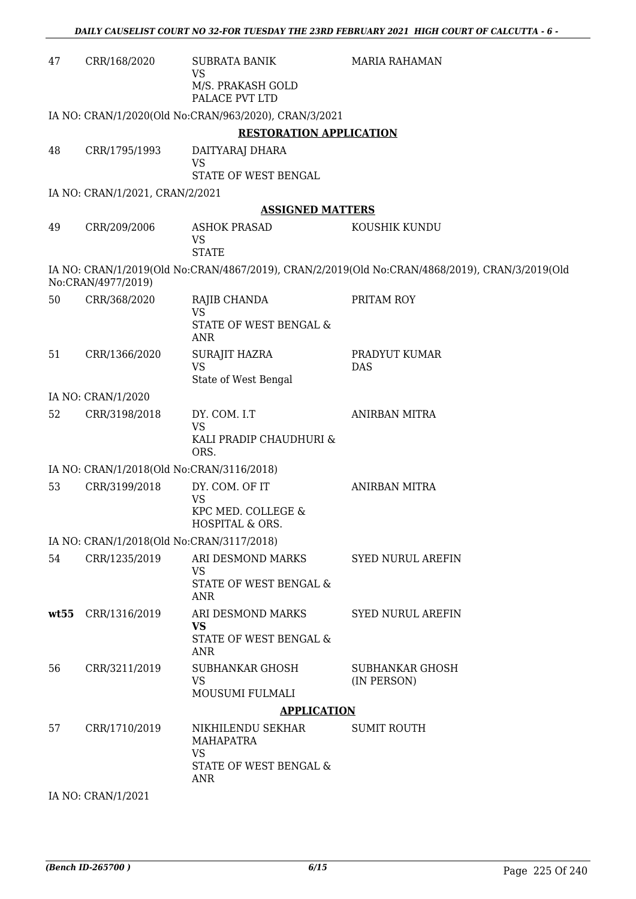| 47   | CRR/168/2020                              | <b>SUBRATA BANIK</b><br>VS                                                          | <b>MARIA RAHAMAN</b>                                                                           |
|------|-------------------------------------------|-------------------------------------------------------------------------------------|------------------------------------------------------------------------------------------------|
|      |                                           | M/S. PRAKASH GOLD<br>PALACE PVT LTD                                                 |                                                                                                |
|      |                                           | IA NO: CRAN/1/2020(Old No:CRAN/963/2020), CRAN/3/2021                               |                                                                                                |
|      |                                           | <b>RESTORATION APPLICATION</b>                                                      |                                                                                                |
| 48   | CRR/1795/1993                             | DAITYARAJ DHARA<br><b>VS</b><br>STATE OF WEST BENGAL                                |                                                                                                |
|      | IA NO: CRAN/1/2021, CRAN/2/2021           |                                                                                     |                                                                                                |
|      |                                           | <b>ASSIGNED MATTERS</b>                                                             |                                                                                                |
| 49   | CRR/209/2006                              | <b>ASHOK PRASAD</b><br>VS<br><b>STATE</b>                                           | KOUSHIK KUNDU                                                                                  |
|      | No:CRAN/4977/2019)                        |                                                                                     | IA NO: CRAN/1/2019(Old No:CRAN/4867/2019), CRAN/2/2019(Old No:CRAN/4868/2019), CRAN/3/2019(Old |
| 50   | CRR/368/2020                              | RAJIB CHANDA<br><b>VS</b><br>STATE OF WEST BENGAL &                                 | PRITAM ROY                                                                                     |
|      |                                           | <b>ANR</b>                                                                          |                                                                                                |
| 51   | CRR/1366/2020                             | <b>SURAJIT HAZRA</b><br><b>VS</b><br>State of West Bengal                           | PRADYUT KUMAR<br>DAS                                                                           |
|      | IA NO: CRAN/1/2020                        |                                                                                     |                                                                                                |
| 52   | CRR/3198/2018                             | DY. COM. I.T<br><b>VS</b><br>KALI PRADIP CHAUDHURI &<br>ORS.                        | <b>ANIRBAN MITRA</b>                                                                           |
|      | IA NO: CRAN/1/2018(Old No:CRAN/3116/2018) |                                                                                     |                                                                                                |
| 53   | CRR/3199/2018                             | DY. COM. OF IT<br><b>VS</b><br>KPC MED. COLLEGE &<br>HOSPITAL & ORS.                | ANIRBAN MITRA                                                                                  |
|      | IA NO: CRAN/1/2018(Old No:CRAN/3117/2018) |                                                                                     |                                                                                                |
| 54   | CRR/1235/2019                             | ARI DESMOND MARKS<br><b>VS</b><br>STATE OF WEST BENGAL &<br><b>ANR</b>              | <b>SYED NURUL AREFIN</b>                                                                       |
| wt55 | CRR/1316/2019                             | ARI DESMOND MARKS<br><b>VS</b><br>STATE OF WEST BENGAL &<br>ANR                     | <b>SYED NURUL AREFIN</b>                                                                       |
| 56   | CRR/3211/2019                             | <b>SUBHANKAR GHOSH</b><br><b>VS</b><br>MOUSUMI FULMALI                              | <b>SUBHANKAR GHOSH</b><br>(IN PERSON)                                                          |
|      |                                           | <b>APPLICATION</b>                                                                  |                                                                                                |
| 57   | CRR/1710/2019                             | NIKHILENDU SEKHAR<br>MAHAPATRA<br><b>VS</b><br>STATE OF WEST BENGAL &<br><b>ANR</b> | <b>SUMIT ROUTH</b>                                                                             |
|      | IA NO: CRAN/1/2021                        |                                                                                     |                                                                                                |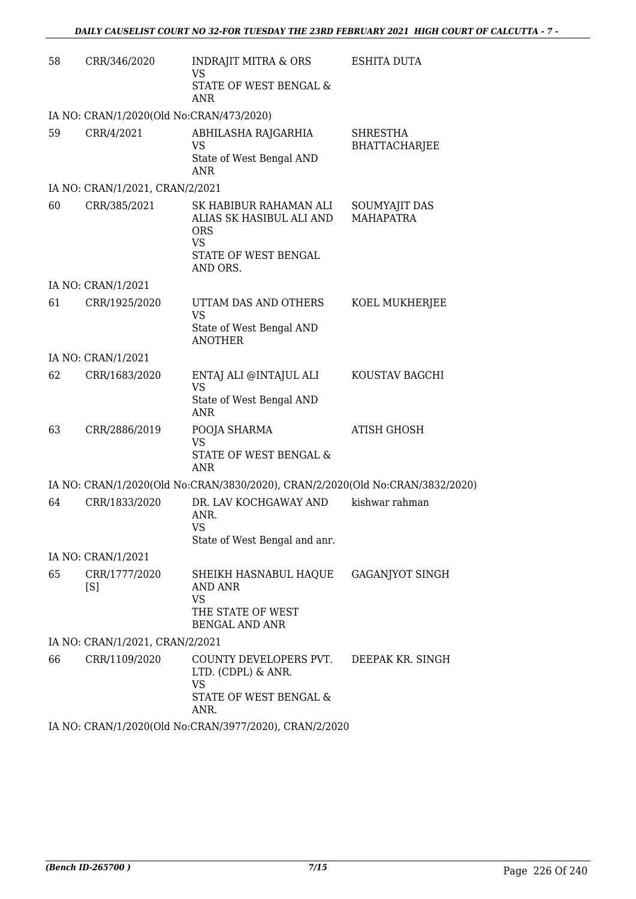| 58 | CRR/346/2020                             | <b>INDRAJIT MITRA &amp; ORS</b><br><b>VS</b><br>STATE OF WEST BENGAL &                                            | <b>ESHITA DUTA</b>                      |
|----|------------------------------------------|-------------------------------------------------------------------------------------------------------------------|-----------------------------------------|
|    |                                          | <b>ANR</b>                                                                                                        |                                         |
|    | IA NO: CRAN/1/2020(Old No:CRAN/473/2020) |                                                                                                                   |                                         |
| 59 | CRR/4/2021                               | ABHILASHA RAJGARHIA<br><b>VS</b><br>State of West Bengal AND<br><b>ANR</b>                                        | <b>SHRESTHA</b><br><b>BHATTACHARJEE</b> |
|    | IA NO: CRAN/1/2021, CRAN/2/2021          |                                                                                                                   |                                         |
| 60 | CRR/385/2021                             | SK HABIBUR RAHAMAN ALI<br>ALIAS SK HASIBUL ALI AND<br><b>ORS</b><br><b>VS</b><br>STATE OF WEST BENGAL<br>AND ORS. | SOUMYAJIT DAS<br><b>MAHAPATRA</b>       |
|    | IA NO: CRAN/1/2021                       |                                                                                                                   |                                         |
| 61 | CRR/1925/2020                            | UTTAM DAS AND OTHERS<br><b>VS</b><br>State of West Bengal AND<br><b>ANOTHER</b>                                   | KOEL MUKHERJEE                          |
|    | IA NO: CRAN/1/2021                       |                                                                                                                   |                                         |
| 62 | CRR/1683/2020                            | ENTAJ ALI @INTAJUL ALI<br><b>VS</b>                                                                               | KOUSTAV BAGCHI                          |
|    |                                          | State of West Bengal AND<br><b>ANR</b>                                                                            |                                         |
| 63 | CRR/2886/2019                            | POOJA SHARMA<br>VS<br>STATE OF WEST BENGAL &<br><b>ANR</b>                                                        | <b>ATISH GHOSH</b>                      |
|    |                                          | IA NO: CRAN/1/2020(Old No:CRAN/3830/2020), CRAN/2/2020(Old No:CRAN/3832/2020)                                     |                                         |
| 64 | CRR/1833/2020                            | DR. LAV KOCHGAWAY AND<br>ANR.<br>VS.<br>State of West Bengal and anr.                                             | kishwar rahman                          |
|    | IA NO: CRAN/1/2021                       |                                                                                                                   |                                         |
| 65 | CRR/1777/2020<br>[S]                     | SHEIKH HASNABUL HAQUE<br><b>AND ANR</b><br><b>VS</b><br>THE STATE OF WEST<br><b>BENGAL AND ANR</b>                | GAGANJYOT SINGH                         |
|    | IA NO: CRAN/1/2021, CRAN/2/2021          |                                                                                                                   |                                         |
| 66 | CRR/1109/2020                            | COUNTY DEVELOPERS PVT.<br>LTD. (CDPL) & ANR.<br><b>VS</b><br>STATE OF WEST BENGAL &<br>ANR.                       | DEEPAK KR. SINGH                        |
|    |                                          | IA NO: CRAN/1/2020(Old No:CRAN/3977/2020), CRAN/2/2020                                                            |                                         |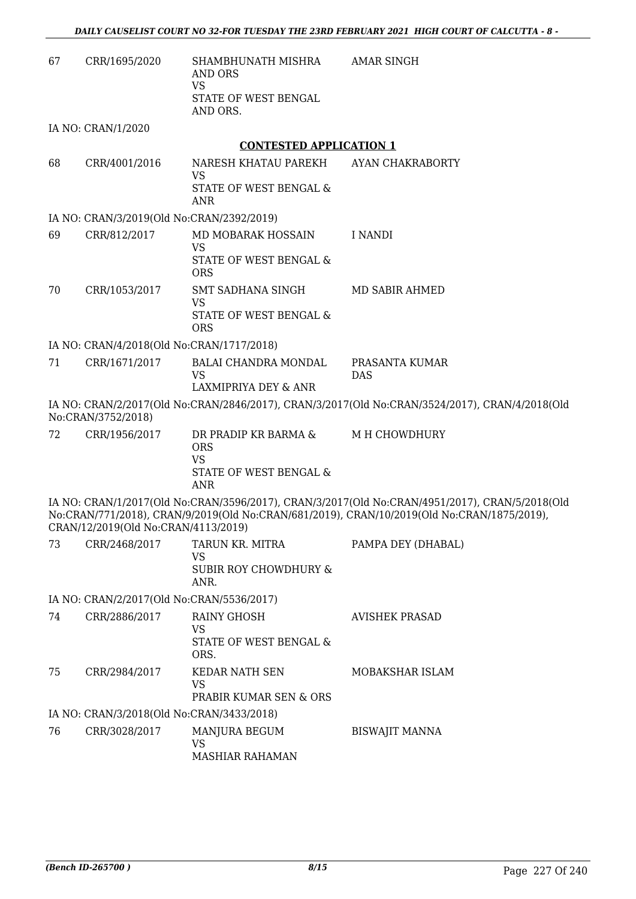| 67 | CRR/1695/2020                             | SHAMBHUNATH MISHRA<br><b>AND ORS</b><br><b>VS</b><br>STATE OF WEST BENGAL<br>AND ORS.   | <b>AMAR SINGH</b>                                                                                                                                                                            |
|----|-------------------------------------------|-----------------------------------------------------------------------------------------|----------------------------------------------------------------------------------------------------------------------------------------------------------------------------------------------|
|    | IA NO: CRAN/1/2020                        |                                                                                         |                                                                                                                                                                                              |
|    |                                           | <b>CONTESTED APPLICATION 1</b>                                                          |                                                                                                                                                                                              |
| 68 | CRR/4001/2016                             | NARESH KHATAU PAREKH<br><b>VS</b><br>STATE OF WEST BENGAL &                             | AYAN CHAKRABORTY                                                                                                                                                                             |
|    |                                           | ANR                                                                                     |                                                                                                                                                                                              |
|    | IA NO: CRAN/3/2019(Old No:CRAN/2392/2019) |                                                                                         |                                                                                                                                                                                              |
| 69 | CRR/812/2017                              | MD MOBARAK HOSSAIN<br><b>VS</b><br>STATE OF WEST BENGAL &<br><b>ORS</b>                 | I NANDI                                                                                                                                                                                      |
| 70 | CRR/1053/2017                             | SMT SADHANA SINGH<br><b>VS</b><br>STATE OF WEST BENGAL &<br><b>ORS</b>                  | MD SABIR AHMED                                                                                                                                                                               |
|    | IA NO: CRAN/4/2018(Old No:CRAN/1717/2018) |                                                                                         |                                                                                                                                                                                              |
| 71 | CRR/1671/2017                             | <b>BALAI CHANDRA MONDAL</b><br><b>VS</b><br>LAXMIPRIYA DEY & ANR                        | PRASANTA KUMAR<br><b>DAS</b>                                                                                                                                                                 |
|    | No:CRAN/3752/2018)                        |                                                                                         | IA NO: CRAN/2/2017(Old No:CRAN/2846/2017), CRAN/3/2017(Old No:CRAN/3524/2017), CRAN/4/2018(Old                                                                                               |
| 72 | CRR/1956/2017                             | DR PRADIP KR BARMA &<br><b>ORS</b><br><b>VS</b><br>STATE OF WEST BENGAL &<br><b>ANR</b> | M H CHOWDHURY                                                                                                                                                                                |
|    | CRAN/12/2019(Old No:CRAN/4113/2019)       |                                                                                         | IA NO: CRAN/1/2017(Old No:CRAN/3596/2017), CRAN/3/2017(Old No:CRAN/4951/2017), CRAN/5/2018(Old<br>No:CRAN/771/2018), CRAN/9/2019(Old No:CRAN/681/2019), CRAN/10/2019(Old No:CRAN/1875/2019), |
| 73 | CRR/2468/2017                             | TARUN KR. MITRA<br>VS<br><b>SUBIR ROY CHOWDHURY &amp;</b><br>ANR.                       | PAMPA DEY (DHABAL)                                                                                                                                                                           |
|    | IA NO: CRAN/2/2017(Old No:CRAN/5536/2017) |                                                                                         |                                                                                                                                                                                              |
| 74 | CRR/2886/2017                             | <b>RAINY GHOSH</b><br><b>VS</b><br>STATE OF WEST BENGAL &<br>ORS.                       | <b>AVISHEK PRASAD</b>                                                                                                                                                                        |
| 75 | CRR/2984/2017                             | <b>KEDAR NATH SEN</b><br><b>VS</b><br>PRABIR KUMAR SEN & ORS                            | MOBAKSHAR ISLAM                                                                                                                                                                              |
|    | IA NO: CRAN/3/2018(Old No:CRAN/3433/2018) |                                                                                         |                                                                                                                                                                                              |
| 76 | CRR/3028/2017                             | MANJURA BEGUM<br>VS<br><b>MASHIAR RAHAMAN</b>                                           | <b>BISWAJIT MANNA</b>                                                                                                                                                                        |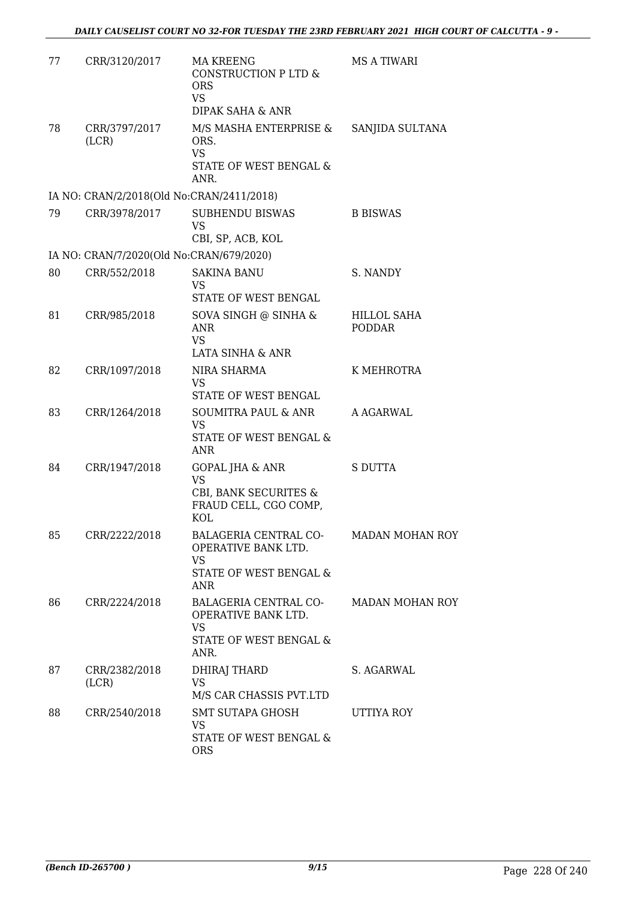| 77 | CRR/3120/2017                             | <b>MA KREENG</b><br>CONSTRUCTION P LTD &<br><b>ORS</b><br><b>VS</b><br>DIPAK SAHA & ANR                 | <b>MS A TIWARI</b>     |
|----|-------------------------------------------|---------------------------------------------------------------------------------------------------------|------------------------|
| 78 | CRR/3797/2017<br>(LCR)                    | M/S MASHA ENTERPRISE &<br>ORS.<br><b>VS</b><br>STATE OF WEST BENGAL &<br>ANR.                           | SANJIDA SULTANA        |
|    | IA NO: CRAN/2/2018(Old No:CRAN/2411/2018) |                                                                                                         |                        |
| 79 | CRR/3978/2017                             | <b>SUBHENDU BISWAS</b><br><b>VS</b><br>CBI, SP, ACB, KOL                                                | <b>B BISWAS</b>        |
|    | IA NO: CRAN/7/2020(Old No:CRAN/679/2020)  |                                                                                                         |                        |
| 80 | CRR/552/2018                              | <b>SAKINA BANU</b><br><b>VS</b><br>STATE OF WEST BENGAL                                                 | S. NANDY               |
| 81 | CRR/985/2018                              | SOVA SINGH @ SINHA &<br><b>ANR</b><br><b>VS</b><br><b>LATA SINHA &amp; ANR</b>                          | HILLOL SAHA<br>PODDAR  |
| 82 | CRR/1097/2018                             | NIRA SHARMA<br>VS<br>STATE OF WEST BENGAL                                                               | K MEHROTRA             |
| 83 | CRR/1264/2018                             | SOUMITRA PAUL & ANR<br><b>VS</b><br>STATE OF WEST BENGAL &<br>ANR                                       | A AGARWAL              |
| 84 | CRR/1947/2018                             | <b>GOPAL JHA &amp; ANR</b><br><b>VS</b><br>CBI, BANK SECURITES &<br>FRAUD CELL, CGO COMP,<br><b>KOL</b> | <b>S DUTTA</b>         |
| 85 | CRR/2222/2018                             | BALAGERIA CENTRAL CO-<br>OPERATIVE BANK LTD.<br>VS<br>STATE OF WEST BENGAL &<br>ANR                     | <b>MADAN MOHAN ROY</b> |
| 86 | CRR/2224/2018                             | BALAGERIA CENTRAL CO-<br>OPERATIVE BANK LTD.<br><b>VS</b><br>STATE OF WEST BENGAL &<br>ANR.             | <b>MADAN MOHAN ROY</b> |
| 87 | CRR/2382/2018<br>(LCR)                    | DHIRAJ THARD<br>VS.<br>M/S CAR CHASSIS PVT.LTD                                                          | S. AGARWAL             |
| 88 | CRR/2540/2018                             | SMT SUTAPA GHOSH<br><b>VS</b><br>STATE OF WEST BENGAL &<br><b>ORS</b>                                   | UTTIYA ROY             |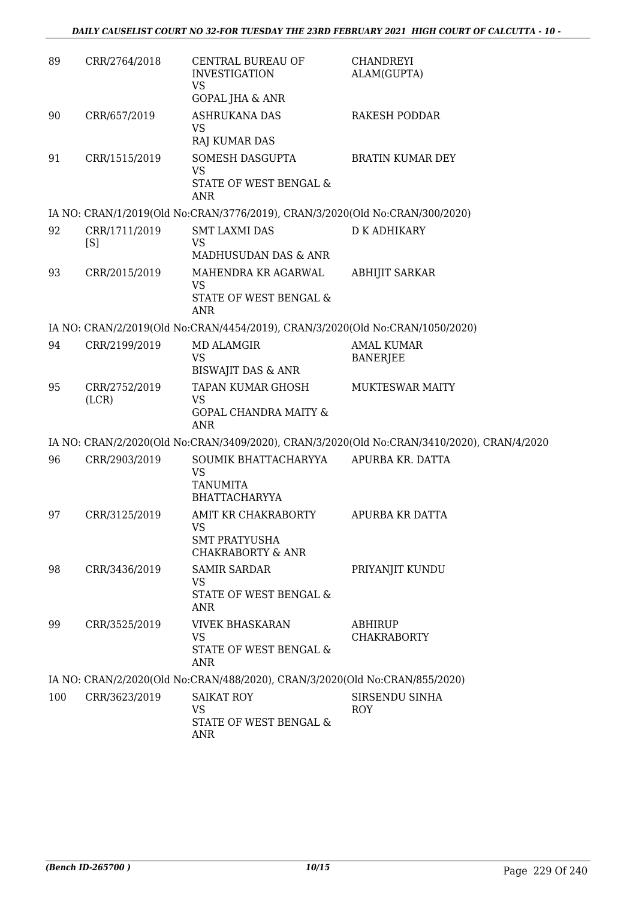| 89  | CRR/2764/2018          | CENTRAL BUREAU OF<br><b>INVESTIGATION</b><br><b>VS</b>                                   | <b>CHANDREYI</b><br>ALAM(GUPTA)                                                            |
|-----|------------------------|------------------------------------------------------------------------------------------|--------------------------------------------------------------------------------------------|
| 90  | CRR/657/2019           | GOPAL JHA & ANR<br><b>ASHRUKANA DAS</b><br><b>VS</b><br>RAJ KUMAR DAS                    | <b>RAKESH PODDAR</b>                                                                       |
| 91  | CRR/1515/2019          | SOMESH DASGUPTA<br><b>VS</b><br>STATE OF WEST BENGAL &<br>ANR                            | <b>BRATIN KUMAR DEY</b>                                                                    |
|     |                        | IA NO: CRAN/1/2019(Old No:CRAN/3776/2019), CRAN/3/2020(Old No:CRAN/300/2020)             |                                                                                            |
| 92  | CRR/1711/2019<br>[S]   | <b>SMT LAXMI DAS</b><br><b>VS</b><br>MADHUSUDAN DAS & ANR                                | <b>D K ADHIKARY</b>                                                                        |
| 93  | CRR/2015/2019          | MAHENDRA KR AGARWAL<br><b>VS</b><br>STATE OF WEST BENGAL &<br><b>ANR</b>                 | <b>ABHIJIT SARKAR</b>                                                                      |
|     |                        | IA NO: CRAN/2/2019(Old No:CRAN/4454/2019), CRAN/3/2020(Old No:CRAN/1050/2020)            |                                                                                            |
| 94  | CRR/2199/2019          | <b>MD ALAMGIR</b><br><b>VS</b><br><b>BISWAJIT DAS &amp; ANR</b>                          | <b>AMAL KUMAR</b><br><b>BANERJEE</b>                                                       |
| 95  | CRR/2752/2019<br>(LCR) | TAPAN KUMAR GHOSH<br><b>VS</b><br><b>GOPAL CHANDRA MAITY &amp;</b><br><b>ANR</b>         | <b>MUKTESWAR MAITY</b>                                                                     |
|     |                        |                                                                                          | IA NO: CRAN/2/2020(Old No:CRAN/3409/2020), CRAN/3/2020(Old No:CRAN/3410/2020), CRAN/4/2020 |
| 96  | CRR/2903/2019          | SOUMIK BHATTACHARYYA<br><b>VS</b><br><b>TANUMITA</b><br><b>BHATTACHARYYA</b>             | APURBA KR. DATTA                                                                           |
| 97  | CRR/3125/2019          | AMIT KR CHAKRABORTY<br><b>VS</b><br><b>SMT PRATYUSHA</b><br><b>CHAKRABORTY &amp; ANR</b> | APURBA KR DATTA                                                                            |
| 98  | CRR/3436/2019          | <b>SAMIR SARDAR</b><br>VS<br>STATE OF WEST BENGAL &<br>ANR                               | PRIYANJIT KUNDU                                                                            |
| 99  | CRR/3525/2019          | <b>VIVEK BHASKARAN</b><br><b>VS</b><br>STATE OF WEST BENGAL &<br>ANR                     | <b>ABHIRUP</b><br><b>CHAKRABORTY</b>                                                       |
|     |                        | IA NO: CRAN/2/2020(Old No:CRAN/488/2020), CRAN/3/2020(Old No:CRAN/855/2020)              |                                                                                            |
| 100 | CRR/3623/2019          | <b>SAIKAT ROY</b><br><b>VS</b><br>STATE OF WEST BENGAL &<br>ANR                          | SIRSENDU SINHA<br><b>ROY</b>                                                               |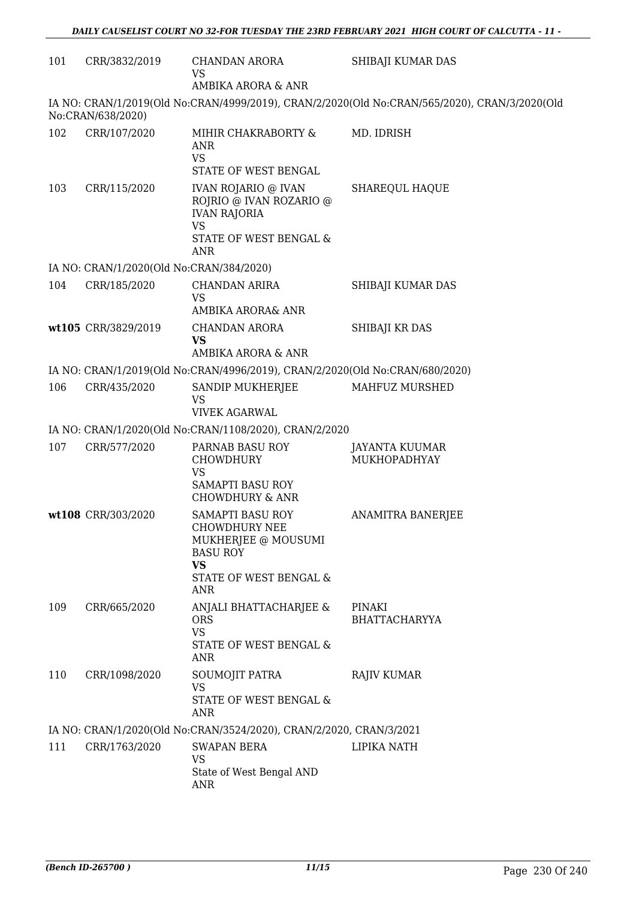| 101 | CRR/3832/2019                            | <b>CHANDAN ARORA</b><br>VS<br>AMBIKA ARORA & ANR                                                                                  | SHIBAJI KUMAR DAS                                                                             |
|-----|------------------------------------------|-----------------------------------------------------------------------------------------------------------------------------------|-----------------------------------------------------------------------------------------------|
|     | No:CRAN/638/2020)                        |                                                                                                                                   | IA NO: CRAN/1/2019(Old No:CRAN/4999/2019), CRAN/2/2020(Old No:CRAN/565/2020), CRAN/3/2020(Old |
| 102 | CRR/107/2020                             | MIHIR CHAKRABORTY &<br><b>ANR</b><br><b>VS</b><br>STATE OF WEST BENGAL                                                            | MD. IDRISH                                                                                    |
| 103 | CRR/115/2020                             | <b>IVAN ROJARIO @ IVAN</b><br>ROJRIO @ IVAN ROZARIO @<br><b>IVAN RAJORIA</b><br><b>VS</b><br>STATE OF WEST BENGAL &<br><b>ANR</b> | SHAREQUL HAQUE                                                                                |
|     | IA NO: CRAN/1/2020(Old No:CRAN/384/2020) |                                                                                                                                   |                                                                                               |
| 104 | CRR/185/2020                             | <b>CHANDAN ARIRA</b><br><b>VS</b><br>AMBIKA ARORA& ANR                                                                            | SHIBAJI KUMAR DAS                                                                             |
|     | wt105 CRR/3829/2019                      | CHANDAN ARORA<br><b>VS</b><br>AMBIKA ARORA & ANR                                                                                  | SHIBAJI KR DAS                                                                                |
|     |                                          | IA NO: CRAN/1/2019(Old No:CRAN/4996/2019), CRAN/2/2020(Old No:CRAN/680/2020)                                                      |                                                                                               |
| 106 | CRR/435/2020                             | SANDIP MUKHERJEE                                                                                                                  | MAHFUZ MURSHED                                                                                |
|     |                                          | <b>VS</b><br><b>VIVEK AGARWAL</b>                                                                                                 |                                                                                               |
|     |                                          | IA NO: CRAN/1/2020(Old No:CRAN/1108/2020), CRAN/2/2020                                                                            |                                                                                               |
| 107 | CRR/577/2020                             | PARNAB BASU ROY<br><b>CHOWDHURY</b><br><b>VS</b><br><b>SAMAPTI BASU ROY</b><br><b>CHOWDHURY &amp; ANR</b>                         | JAYANTA KUUMAR<br>MUKHOPADHYAY                                                                |
|     | wt108 CRR/303/2020                       | SAMAPTI BASU ROY<br><b>CHOWDHURY NEE</b><br>MUKHERJEE @ MOUSUMI<br><b>BASU ROY</b><br><b>VS</b><br>STATE OF WEST BENGAL &<br>ANR  | <b>ANAMITRA BANERJEE</b>                                                                      |
| 109 | CRR/665/2020                             | ANJALI BHATTACHARJEE &<br><b>ORS</b><br><b>VS</b><br>STATE OF WEST BENGAL &<br>ANR                                                | PINAKI<br><b>BHATTACHARYYA</b>                                                                |
| 110 | CRR/1098/2020                            | SOUMOJIT PATRA<br><b>VS</b><br>STATE OF WEST BENGAL &<br>ANR                                                                      | <b>RAJIV KUMAR</b>                                                                            |
|     |                                          | IA NO: CRAN/1/2020(Old No:CRAN/3524/2020), CRAN/2/2020, CRAN/3/2021                                                               |                                                                                               |
| 111 | CRR/1763/2020                            | <b>SWAPAN BERA</b><br>VS<br>State of West Bengal AND<br>ANR                                                                       | LIPIKA NATH                                                                                   |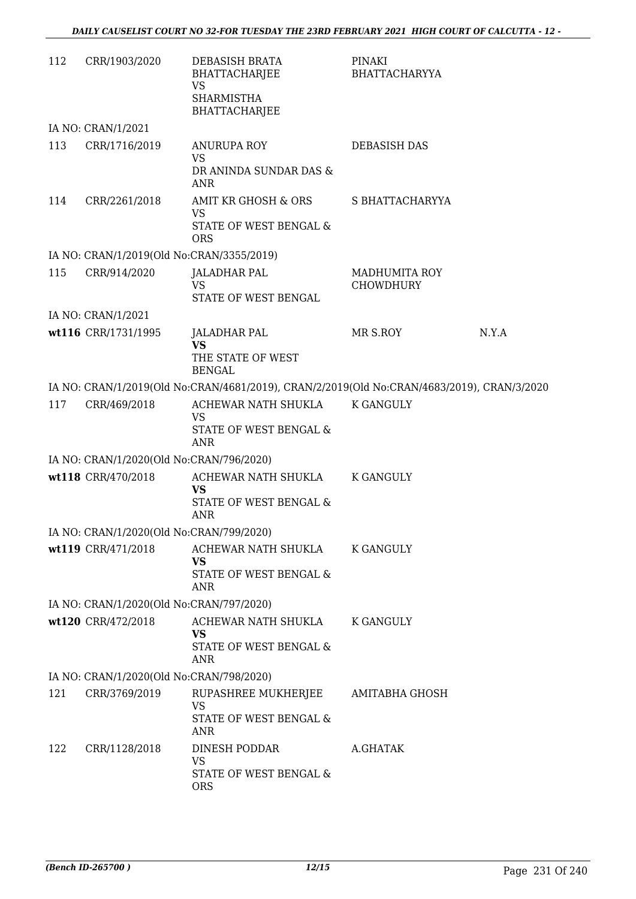| 112 | CRR/1903/2020                             | DEBASISH BRATA<br>BHATTACHARJEE<br><b>VS</b>                                               | PINAKI<br><b>BHATTACHARYYA</b>           |       |
|-----|-------------------------------------------|--------------------------------------------------------------------------------------------|------------------------------------------|-------|
|     |                                           | <b>SHARMISTHA</b><br><b>BHATTACHARJEE</b>                                                  |                                          |       |
|     | IA NO: CRAN/1/2021                        |                                                                                            |                                          |       |
| 113 | CRR/1716/2019                             | ANURUPA ROY<br><b>VS</b><br>DR ANINDA SUNDAR DAS &                                         | <b>DEBASISH DAS</b>                      |       |
|     |                                           | <b>ANR</b>                                                                                 |                                          |       |
| 114 | CRR/2261/2018                             | AMIT KR GHOSH & ORS<br><b>VS</b><br>STATE OF WEST BENGAL &                                 | S BHATTACHARYYA                          |       |
|     |                                           | <b>ORS</b>                                                                                 |                                          |       |
|     | IA NO: CRAN/1/2019(Old No:CRAN/3355/2019) |                                                                                            |                                          |       |
| 115 | CRR/914/2020                              | <b>JALADHAR PAL</b><br><b>VS</b><br>STATE OF WEST BENGAL                                   | <b>MADHUMITA ROY</b><br><b>CHOWDHURY</b> |       |
|     | IA NO: CRAN/1/2021                        |                                                                                            |                                          |       |
|     | wt116 CRR/1731/1995                       | JALADHAR PAL<br><b>VS</b><br>THE STATE OF WEST<br><b>BENGAL</b>                            | MR S.ROY                                 | N.Y.A |
|     |                                           | IA NO: CRAN/1/2019(Old No:CRAN/4681/2019), CRAN/2/2019(Old No:CRAN/4683/2019), CRAN/3/2020 |                                          |       |
| 117 | CRR/469/2018                              | ACHEWAR NATH SHUKLA                                                                        | <b>K GANGULY</b>                         |       |
|     |                                           | <b>VS</b><br>STATE OF WEST BENGAL &<br><b>ANR</b>                                          |                                          |       |
|     | IA NO: CRAN/1/2020(Old No:CRAN/796/2020)  |                                                                                            |                                          |       |
|     | wt118 CRR/470/2018                        | ACHEWAR NATH SHUKLA<br><b>VS</b><br>STATE OF WEST BENGAL &<br>ANR                          | K GANGULY                                |       |
|     | IA NO: CRAN/1/2020(Old No:CRAN/799/2020)  |                                                                                            |                                          |       |
|     | wt119 CRR/471/2018                        | ACHEWAR NATH SHUKLA                                                                        | K GANGULY                                |       |
|     |                                           | <b>VS</b><br>STATE OF WEST BENGAL &<br><b>ANR</b>                                          |                                          |       |
|     | IA NO: CRAN/1/2020(Old No:CRAN/797/2020)  |                                                                                            |                                          |       |
|     | wt120 CRR/472/2018                        | ACHEWAR NATH SHUKLA<br>VS<br>STATE OF WEST BENGAL &                                        | K GANGULY                                |       |
|     |                                           | ANR                                                                                        |                                          |       |
|     | IA NO: CRAN/1/2020(Old No:CRAN/798/2020)  |                                                                                            |                                          |       |
| 121 | CRR/3769/2019                             | RUPASHREE MUKHERJEE<br>VS                                                                  | AMITABHA GHOSH                           |       |
|     |                                           | STATE OF WEST BENGAL &<br><b>ANR</b>                                                       |                                          |       |
| 122 | CRR/1128/2018                             | DINESH PODDAR<br><b>VS</b>                                                                 | A.GHATAK                                 |       |
|     |                                           | STATE OF WEST BENGAL &<br><b>ORS</b>                                                       |                                          |       |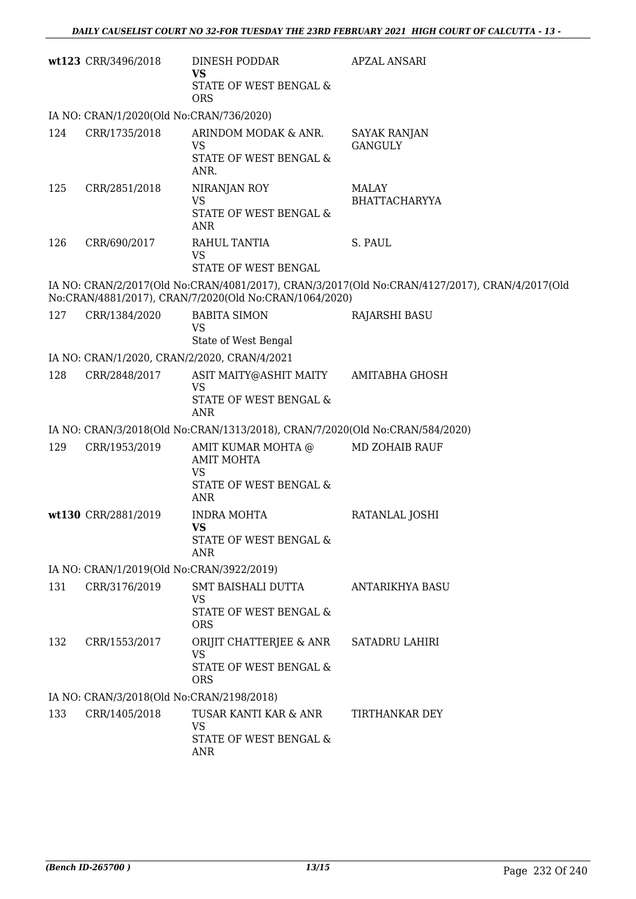|     | wt123 CRR/3496/2018                          | DINESH PODDAR<br>VS<br>STATE OF WEST BENGAL &<br><b>ORS</b>                                  | APZAL ANSARI                                                                                   |
|-----|----------------------------------------------|----------------------------------------------------------------------------------------------|------------------------------------------------------------------------------------------------|
|     | IA NO: CRAN/1/2020(Old No:CRAN/736/2020)     |                                                                                              |                                                                                                |
| 124 | CRR/1735/2018                                | ARINDOM MODAK & ANR.<br><b>VS</b><br>STATE OF WEST BENGAL &<br>ANR.                          | SAYAK RANJAN<br><b>GANGULY</b>                                                                 |
| 125 | CRR/2851/2018                                | NIRANJAN ROY<br><b>VS</b><br>STATE OF WEST BENGAL &<br>ANR                                   | <b>MALAY</b><br>BHATTACHARYYA                                                                  |
| 126 | CRR/690/2017                                 | RAHUL TANTIA<br><b>VS</b><br>STATE OF WEST BENGAL                                            | S. PAUL                                                                                        |
|     |                                              | No:CRAN/4881/2017), CRAN/7/2020(Old No:CRAN/1064/2020)                                       | IA NO: CRAN/2/2017(Old No:CRAN/4081/2017), CRAN/3/2017(Old No:CRAN/4127/2017), CRAN/4/2017(Old |
| 127 | CRR/1384/2020                                | <b>BABITA SIMON</b><br><b>VS</b><br>State of West Bengal                                     | <b>RAJARSHI BASU</b>                                                                           |
|     | IA NO: CRAN/1/2020, CRAN/2/2020, CRAN/4/2021 |                                                                                              |                                                                                                |
| 128 | CRR/2848/2017                                | ASIT MAITY@ASHIT MAITY<br><b>VS</b><br>STATE OF WEST BENGAL &<br><b>ANR</b>                  | AMITABHA GHOSH                                                                                 |
|     |                                              | IA NO: CRAN/3/2018(Old No:CRAN/1313/2018), CRAN/7/2020(Old No:CRAN/584/2020)                 |                                                                                                |
| 129 | CRR/1953/2019                                | AMIT KUMAR MOHTA @<br><b>AMIT MOHTA</b><br><b>VS</b><br>STATE OF WEST BENGAL &<br><b>ANR</b> | <b>MD ZOHAIB RAUF</b>                                                                          |
|     | wt130 CRR/2881/2019                          | <b>INDRA MOHTA</b><br><b>VS</b><br>STATE OF WEST BENGAL &<br>ANR                             | RATANLAL JOSHI                                                                                 |
|     | IA NO: CRAN/1/2019(Old No:CRAN/3922/2019)    |                                                                                              |                                                                                                |
| 131 | CRR/3176/2019                                | SMT BAISHALI DUTTA<br><b>VS</b><br>STATE OF WEST BENGAL &<br><b>ORS</b>                      | <b>ANTARIKHYA BASU</b>                                                                         |
| 132 | CRR/1553/2017                                | ORIJIT CHATTERJEE & ANR<br><b>VS</b><br>STATE OF WEST BENGAL &<br><b>ORS</b>                 | <b>SATADRU LAHIRI</b>                                                                          |
|     | IA NO: CRAN/3/2018(Old No:CRAN/2198/2018)    |                                                                                              |                                                                                                |
| 133 | CRR/1405/2018                                | TUSAR KANTI KAR & ANR<br><b>VS</b><br>STATE OF WEST BENGAL &<br>ANR                          | TIRTHANKAR DEY                                                                                 |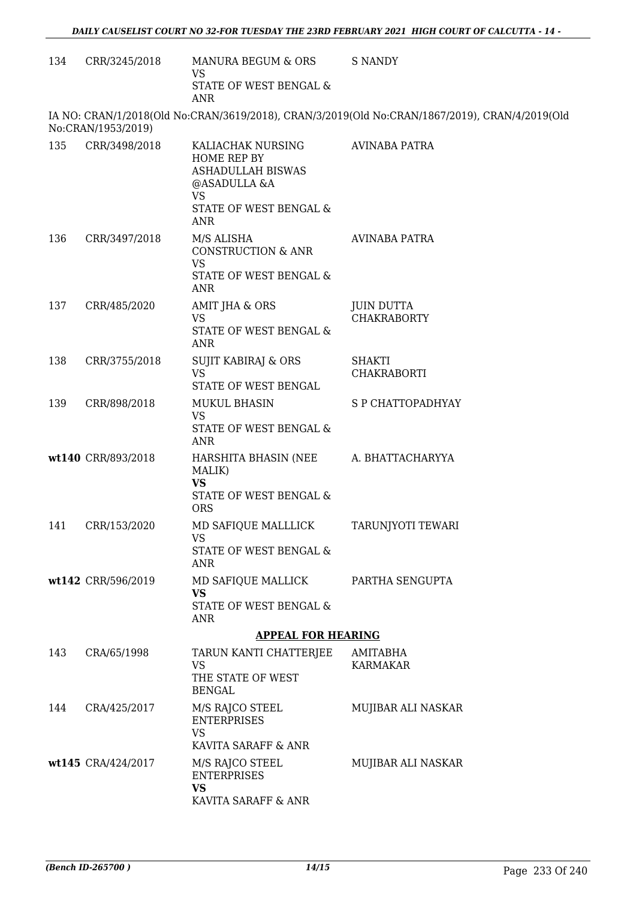| 134 | CRR/3245/2018      | MANURA BEGUM & ORS<br><b>VS</b><br>STATE OF WEST BENGAL &                                                                  | <b>S NANDY</b>                                                                                 |
|-----|--------------------|----------------------------------------------------------------------------------------------------------------------------|------------------------------------------------------------------------------------------------|
|     |                    | <b>ANR</b>                                                                                                                 |                                                                                                |
|     | No:CRAN/1953/2019) |                                                                                                                            | IA NO: CRAN/1/2018(Old No:CRAN/3619/2018), CRAN/3/2019(Old No:CRAN/1867/2019), CRAN/4/2019(Old |
| 135 | CRR/3498/2018      | KALIACHAK NURSING<br>HOME REP BY<br>ASHADULLAH BISWAS<br>@ASADULLA &A<br><b>VS</b><br>STATE OF WEST BENGAL &<br><b>ANR</b> | <b>AVINABA PATRA</b>                                                                           |
| 136 | CRR/3497/2018      | M/S ALISHA<br><b>CONSTRUCTION &amp; ANR</b><br><b>VS</b><br>STATE OF WEST BENGAL &<br><b>ANR</b>                           | AVINABA PATRA                                                                                  |
| 137 | CRR/485/2020       | AMIT JHA & ORS<br><b>VS</b><br>STATE OF WEST BENGAL &<br>ANR                                                               | <b>JUIN DUTTA</b><br><b>CHAKRABORTY</b>                                                        |
| 138 | CRR/3755/2018      | <b>SUJIT KABIRAJ &amp; ORS</b><br><b>VS</b><br>STATE OF WEST BENGAL                                                        | <b>SHAKTI</b><br><b>CHAKRABORTI</b>                                                            |
| 139 | CRR/898/2018       | <b>MUKUL BHASIN</b><br><b>VS</b><br>STATE OF WEST BENGAL &<br><b>ANR</b>                                                   | <b>S P CHATTOPADHYAY</b>                                                                       |
|     | wt140 CRR/893/2018 | HARSHITA BHASIN (NEE<br>MALIK)<br><b>VS</b><br>STATE OF WEST BENGAL &<br><b>ORS</b>                                        | A. BHATTACHARYYA                                                                               |
| 141 | CRR/153/2020       | MD SAFIQUE MALLLICK<br><b>VS</b><br>STATE OF WEST BENGAL &<br>ANR                                                          | TARUNJYOTI TEWARI                                                                              |
|     | wt142 CRR/596/2019 | MD SAFIQUE MALLICK<br><b>VS</b><br>STATE OF WEST BENGAL &<br><b>ANR</b>                                                    | PARTHA SENGUPTA                                                                                |
|     |                    | <b>APPEAL FOR HEARING</b>                                                                                                  |                                                                                                |
| 143 | CRA/65/1998        | TARUN KANTI CHATTERJEE<br><b>VS</b><br>THE STATE OF WEST<br><b>BENGAL</b>                                                  | AMITABHA<br><b>KARMAKAR</b>                                                                    |
| 144 | CRA/425/2017       | M/S RAJCO STEEL<br><b>ENTERPRISES</b><br><b>VS</b><br>KAVITA SARAFF & ANR                                                  | MUJIBAR ALI NASKAR                                                                             |
|     | wt145 CRA/424/2017 | M/S RAJCO STEEL<br><b>ENTERPRISES</b><br><b>VS</b><br>KAVITA SARAFF & ANR                                                  | MUJIBAR ALI NASKAR                                                                             |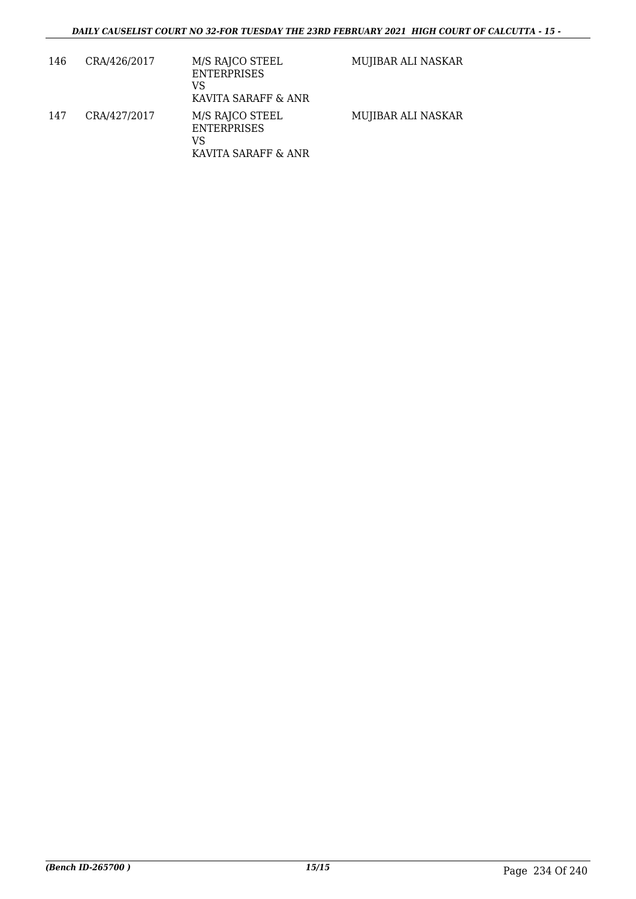| 146 | CRA/426/2017 | M/S RAJCO STEEL<br><b>ENTERPRISES</b><br>VS<br>KAVITA SARAFF & ANR | MUJIBAR ALI NASKAR |
|-----|--------------|--------------------------------------------------------------------|--------------------|
| 147 | CRA/427/2017 | M/S RAJCO STEEL<br><b>ENTERPRISES</b><br>VS<br>KAVITA SARAFF & ANR | MUJIBAR ALI NASKAR |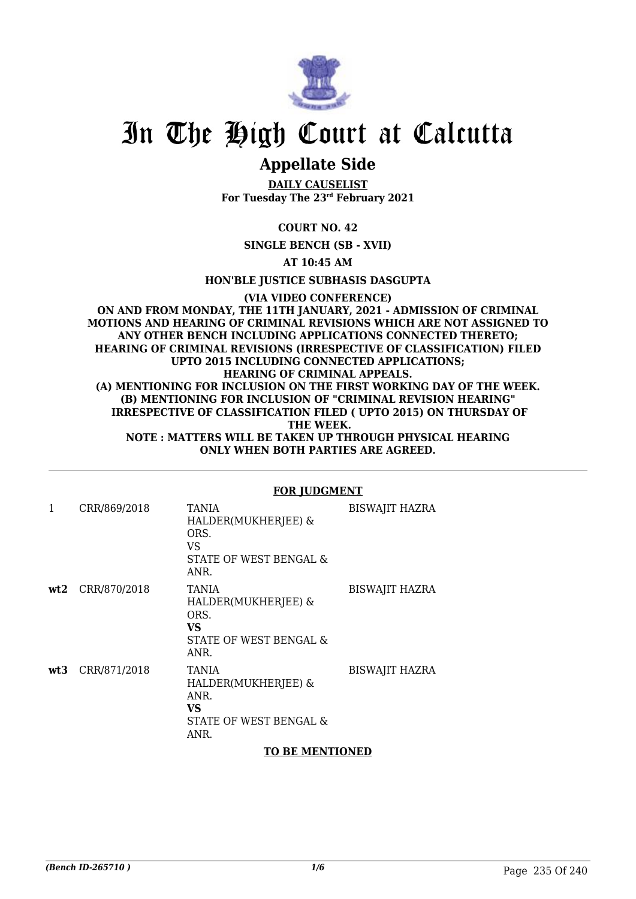

## In The High Court at Calcutta

### **Appellate Side**

**DAILY CAUSELIST For Tuesday The 23rd February 2021**

#### **COURT NO. 42**

**SINGLE BENCH (SB - XVII)**

**AT 10:45 AM**

**HON'BLE JUSTICE SUBHASIS DASGUPTA**

**(VIA VIDEO CONFERENCE) ON AND FROM MONDAY, THE 11TH JANUARY, 2021 - ADMISSION OF CRIMINAL MOTIONS AND HEARING OF CRIMINAL REVISIONS WHICH ARE NOT ASSIGNED TO ANY OTHER BENCH INCLUDING APPLICATIONS CONNECTED THERETO; HEARING OF CRIMINAL REVISIONS (IRRESPECTIVE OF CLASSIFICATION) FILED UPTO 2015 INCLUDING CONNECTED APPLICATIONS; HEARING OF CRIMINAL APPEALS. (A) MENTIONING FOR INCLUSION ON THE FIRST WORKING DAY OF THE WEEK. (B) MENTIONING FOR INCLUSION OF "CRIMINAL REVISION HEARING" IRRESPECTIVE OF CLASSIFICATION FILED ( UPTO 2015) ON THURSDAY OF THE WEEK. NOTE : MATTERS WILL BE TAKEN UP THROUGH PHYSICAL HEARING ONLY WHEN BOTH PARTIES ARE AGREED.**

|     |                  | <u>FUR  UDGMENI</u>                                                                        |                       |
|-----|------------------|--------------------------------------------------------------------------------------------|-----------------------|
| 1   | CRR/869/2018     | <b>TANIA</b><br>HALDER(MUKHERJEE) &<br>ORS.<br>VS<br>STATE OF WEST BENGAL &<br>ANR.        | <b>BISWAJIT HAZRA</b> |
|     | wt2 CRR/870/2018 | <b>TANIA</b><br>HALDER(MUKHERJEE) &<br>ORS.<br><b>VS</b><br>STATE OF WEST BENGAL &<br>ANR. | <b>BISWAJIT HAZRA</b> |
| wt3 | CRR/871/2018     | TANIA<br>HALDER(MUKHERJEE) &<br>ANR.<br>VS.<br>STATE OF WEST BENGAL &<br>ANR.              | <b>BISWAJIT HAZRA</b> |

### **FOR JUDGMENT**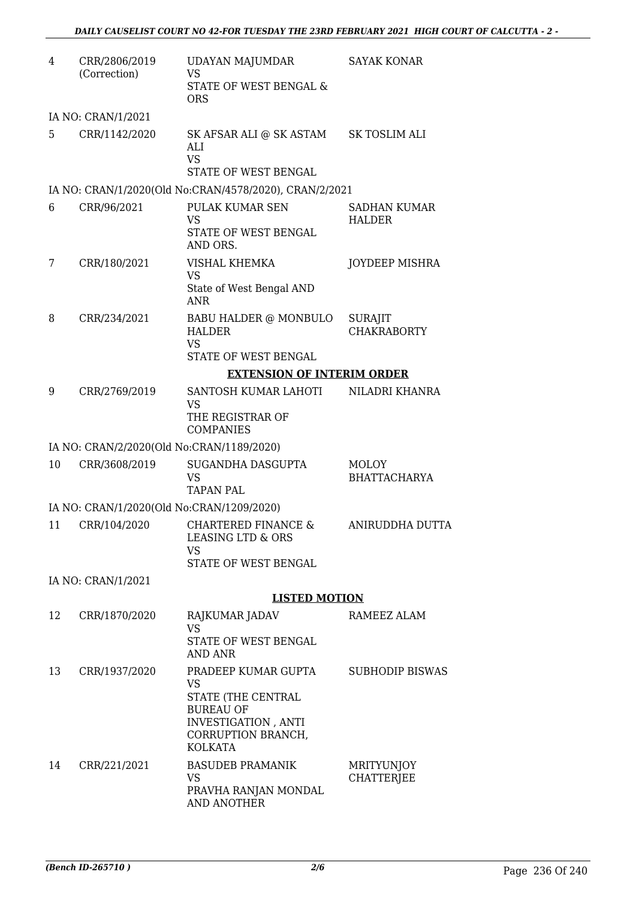| 4  | CRR/2806/2019<br>(Correction)             | <b>UDAYAN MAJUMDAR</b><br><b>VS</b><br>STATE OF WEST BENGAL &<br><b>ORS</b>                                                        | <b>SAYAK KONAR</b>                   |
|----|-------------------------------------------|------------------------------------------------------------------------------------------------------------------------------------|--------------------------------------|
|    | IA NO: CRAN/1/2021                        |                                                                                                                                    |                                      |
| 5  | CRR/1142/2020                             | SK AFSAR ALI @ SK ASTAM<br>ALI<br><b>VS</b>                                                                                        | SK TOSLIM ALI                        |
|    |                                           | STATE OF WEST BENGAL                                                                                                               |                                      |
|    | CRR/96/2021                               | IA NO: CRAN/1/2020(Old No:CRAN/4578/2020), CRAN/2/2021<br>PULAK KUMAR SEN                                                          |                                      |
| 6  |                                           | <b>VS</b><br>STATE OF WEST BENGAL<br>AND ORS.                                                                                      | SADHAN KUMAR<br><b>HALDER</b>        |
| 7  | CRR/180/2021                              | VISHAL KHEMKA<br><b>VS</b><br>State of West Bengal AND<br><b>ANR</b>                                                               | <b>JOYDEEP MISHRA</b>                |
| 8  | CRR/234/2021                              | BABU HALDER @ MONBULO<br><b>HALDER</b><br><b>VS</b><br>STATE OF WEST BENGAL                                                        | <b>SURAJIT</b><br><b>CHAKRABORTY</b> |
|    |                                           | <b>EXTENSION OF INTERIM ORDER</b>                                                                                                  |                                      |
| 9  | CRR/2769/2019                             | SANTOSH KUMAR LAHOTI                                                                                                               | NILADRI KHANRA                       |
|    |                                           | <b>VS</b><br>THE REGISTRAR OF<br><b>COMPANIES</b>                                                                                  |                                      |
|    | IA NO: CRAN/2/2020(Old No:CRAN/1189/2020) |                                                                                                                                    |                                      |
| 10 | CRR/3608/2019                             | SUGANDHA DASGUPTA<br><b>VS</b><br><b>TAPAN PAL</b>                                                                                 | <b>MOLOY</b><br><b>BHATTACHARYA</b>  |
|    | IA NO: CRAN/1/2020(Old No:CRAN/1209/2020) |                                                                                                                                    |                                      |
| 11 | CRR/104/2020                              | <b>CHARTERED FINANCE &amp;</b><br><b>LEASING LTD &amp; ORS</b><br><b>VS</b><br>STATE OF WEST BENGAL                                | <b>ANIRUDDHA DUTTA</b>               |
|    | IA NO: CRAN/1/2021                        |                                                                                                                                    |                                      |
|    |                                           | <b>LISTED MOTION</b>                                                                                                               |                                      |
| 12 | CRR/1870/2020                             | RAJKUMAR JADAV<br><b>VS</b><br>STATE OF WEST BENGAL                                                                                | RAMEEZ ALAM                          |
|    |                                           | <b>AND ANR</b>                                                                                                                     |                                      |
| 13 | CRR/1937/2020                             | PRADEEP KUMAR GUPTA<br>VS<br>STATE (THE CENTRAL<br><b>BUREAU OF</b><br>INVESTIGATION, ANTI<br>CORRUPTION BRANCH,<br><b>KOLKATA</b> | <b>SUBHODIP BISWAS</b>               |
| 14 | CRR/221/2021                              | <b>BASUDEB PRAMANIK</b><br>VS<br>PRAVHA RANJAN MONDAL<br><b>AND ANOTHER</b>                                                        | MRITYUNJOY<br><b>CHATTERJEE</b>      |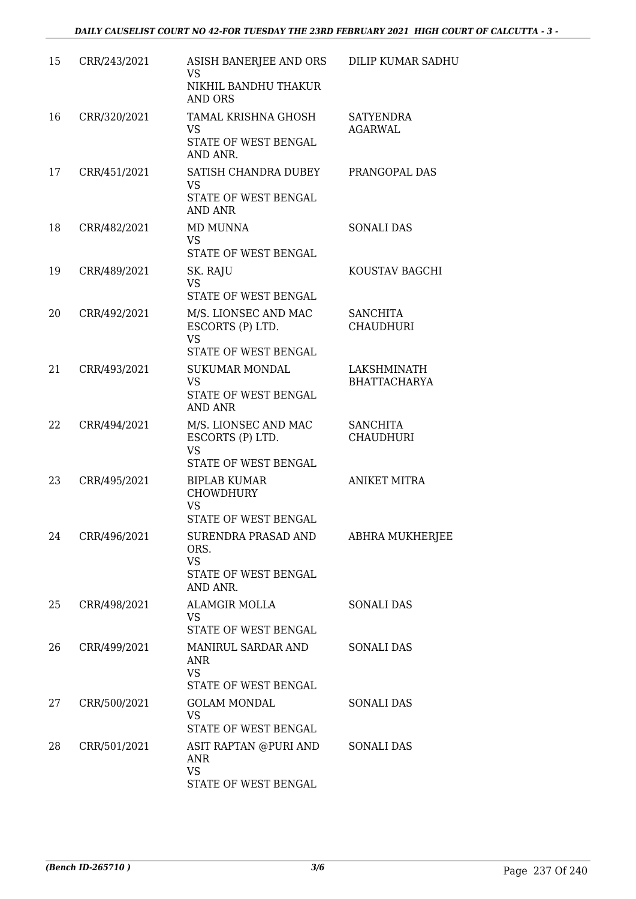| 15 | CRR/243/2021 | ASISH BANERJEE AND ORS<br>VS<br>NIKHIL BANDHU THAKUR<br>AND ORS                      | DILIP KUMAR SADHU                   |
|----|--------------|--------------------------------------------------------------------------------------|-------------------------------------|
| 16 | CRR/320/2021 | TAMAL KRISHNA GHOSH<br><b>VS</b><br>STATE OF WEST BENGAL<br>AND ANR.                 | <b>SATYENDRA</b><br><b>AGARWAL</b>  |
| 17 | CRR/451/2021 | SATISH CHANDRA DUBEY<br><b>VS</b><br>STATE OF WEST BENGAL<br><b>AND ANR</b>          | PRANGOPAL DAS                       |
| 18 | CRR/482/2021 | MD MUNNA<br><b>VS</b><br>STATE OF WEST BENGAL                                        | <b>SONALI DAS</b>                   |
| 19 | CRR/489/2021 | SK. RAJU<br><b>VS</b><br>STATE OF WEST BENGAL                                        | KOUSTAV BAGCHI                      |
| 20 | CRR/492/2021 | M/S. LIONSEC AND MAC<br>ESCORTS (P) LTD.<br><b>VS</b><br>STATE OF WEST BENGAL        | <b>SANCHITA</b><br><b>CHAUDHURI</b> |
| 21 | CRR/493/2021 | <b>SUKUMAR MONDAL</b><br><b>VS</b><br>STATE OF WEST BENGAL<br><b>AND ANR</b>         | LAKSHMINATH<br><b>BHATTACHARYA</b>  |
| 22 | CRR/494/2021 | M/S. LIONSEC AND MAC<br>ESCORTS (P) LTD.<br><b>VS</b><br><b>STATE OF WEST BENGAL</b> | <b>SANCHITA</b><br><b>CHAUDHURI</b> |
| 23 | CRR/495/2021 | <b>BIPLAB KUMAR</b><br><b>CHOWDHURY</b><br><b>VS</b><br>STATE OF WEST BENGAL         | <b>ANIKET MITRA</b>                 |
| 24 | CRR/496/2021 | SURENDRA PRASAD AND<br>ORS.<br><b>VS</b><br>STATE OF WEST BENGAL<br>AND ANR.         | ABHRA MUKHERJEE                     |
| 25 | CRR/498/2021 | <b>ALAMGIR MOLLA</b><br><b>VS</b><br>STATE OF WEST BENGAL                            | SONALI DAS                          |
| 26 | CRR/499/2021 | MANIRUL SARDAR AND<br><b>ANR</b><br><b>VS</b><br>STATE OF WEST BENGAL                | <b>SONALI DAS</b>                   |
| 27 | CRR/500/2021 | <b>GOLAM MONDAL</b><br><b>VS</b><br>STATE OF WEST BENGAL                             | <b>SONALI DAS</b>                   |
| 28 | CRR/501/2021 | ASIT RAPTAN @PURI AND<br>ANR<br><b>VS</b><br>STATE OF WEST BENGAL                    | <b>SONALI DAS</b>                   |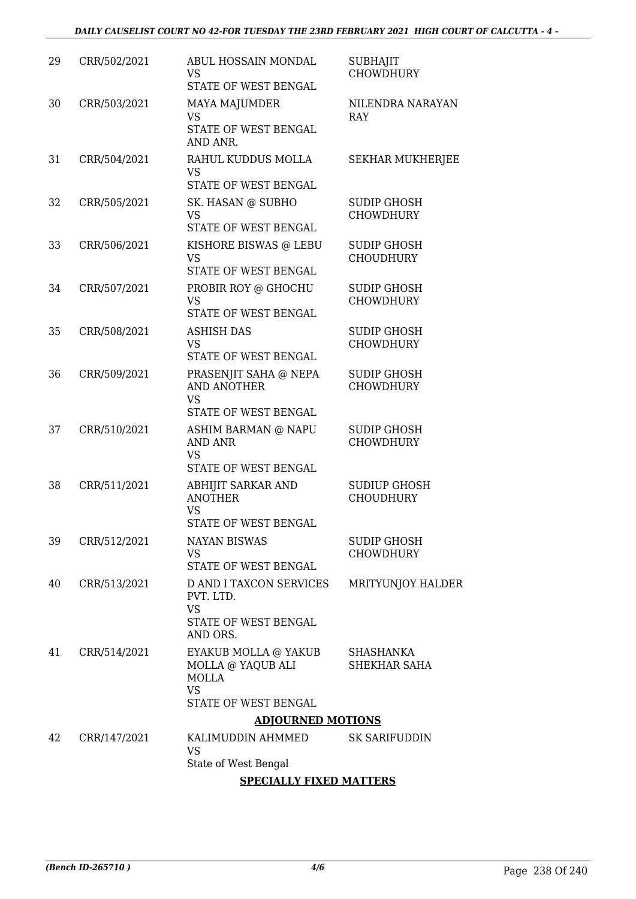| 29 | CRR/502/2021             | ABUL HOSSAIN MONDAL<br><b>VS</b><br>STATE OF WEST BENGAL                                       | <b>SUBHAJIT</b><br><b>CHOWDHURY</b>     |  |
|----|--------------------------|------------------------------------------------------------------------------------------------|-----------------------------------------|--|
| 30 | CRR/503/2021             | MAYA MAJUMDER<br><b>VS</b><br>STATE OF WEST BENGAL<br>AND ANR.                                 | NILENDRA NARAYAN<br>RAY                 |  |
| 31 | CRR/504/2021             | RAHUL KUDDUS MOLLA<br><b>VS</b><br>STATE OF WEST BENGAL                                        | <b>SEKHAR MUKHERJEE</b>                 |  |
| 32 | CRR/505/2021             | SK. HASAN @ SUBHO<br>VS<br>STATE OF WEST BENGAL                                                | <b>SUDIP GHOSH</b><br><b>CHOWDHURY</b>  |  |
| 33 | CRR/506/2021             | KISHORE BISWAS @ LEBU<br><b>VS</b><br>STATE OF WEST BENGAL                                     | <b>SUDIP GHOSH</b><br><b>CHOUDHURY</b>  |  |
| 34 | CRR/507/2021             | PROBIR ROY @ GHOCHU<br><b>VS</b><br>STATE OF WEST BENGAL                                       | <b>SUDIP GHOSH</b><br><b>CHOWDHURY</b>  |  |
| 35 | CRR/508/2021             | <b>ASHISH DAS</b><br><b>VS</b><br>STATE OF WEST BENGAL                                         | <b>SUDIP GHOSH</b><br><b>CHOWDHURY</b>  |  |
| 36 | CRR/509/2021             | PRASENJIT SAHA @ NEPA<br><b>AND ANOTHER</b><br><b>VS</b><br>STATE OF WEST BENGAL               | <b>SUDIP GHOSH</b><br><b>CHOWDHURY</b>  |  |
| 37 | CRR/510/2021             | ASHIM BARMAN @ NAPU<br>AND ANR<br><b>VS</b><br>STATE OF WEST BENGAL                            | <b>SUDIP GHOSH</b><br><b>CHOWDHURY</b>  |  |
| 38 | CRR/511/2021             | ABHIJIT SARKAR AND<br><b>ANOTHER</b><br><b>VS</b><br>STATE OF WEST BENGAL                      | <b>SUDIUP GHOSH</b><br><b>CHOUDHURY</b> |  |
| 39 | CRR/512/2021             | <b>NAYAN BISWAS</b><br><b>VS</b><br>STATE OF WEST BENGAL                                       | <b>SUDIP GHOSH</b><br><b>CHOWDHURY</b>  |  |
| 40 | CRR/513/2021             | <b>D AND I TAXCON SERVICES</b><br>PVT. LTD.<br><b>VS</b><br>STATE OF WEST BENGAL<br>AND ORS.   | MRITYUNJOY HALDER                       |  |
| 41 | CRR/514/2021             | EYAKUB MOLLA @ YAKUB<br>MOLLA @ YAQUB ALI<br><b>MOLLA</b><br><b>VS</b><br>STATE OF WEST BENGAL | SHASHANKA<br>SHEKHAR SAHA               |  |
|    | <b>ADJOURNED MOTIONS</b> |                                                                                                |                                         |  |
| 42 | CRR/147/2021             | KALIMUDDIN AHMMED<br><b>VS</b><br>State of West Bengal                                         | <b>SK SARIFUDDIN</b>                    |  |
|    |                          | CDEALLIX FIVED MATERIA                                                                         |                                         |  |

#### **SPECIALLY FIXED MATTERS**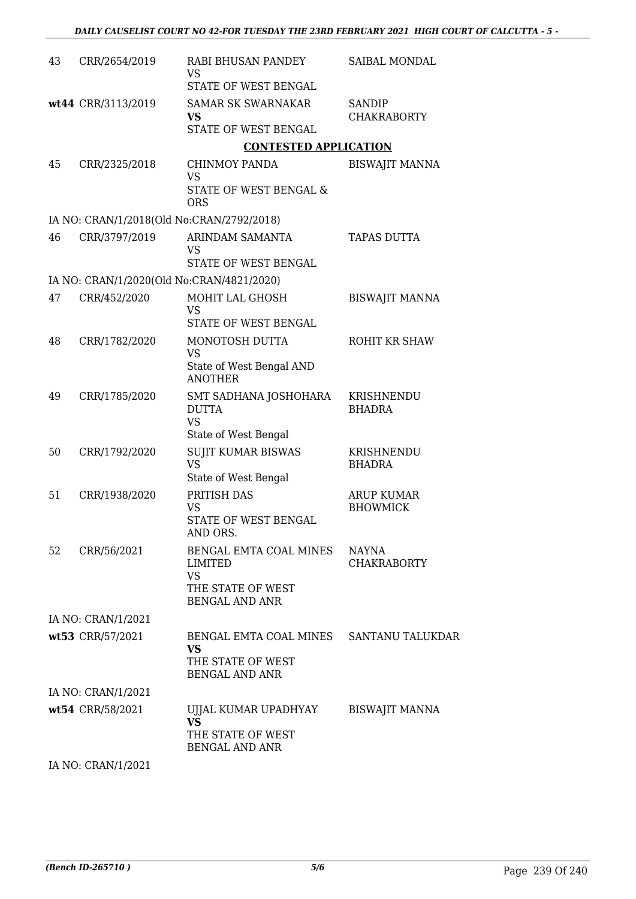| 43 | CRR/2654/2019                             | RABI BHUSAN PANDEY<br><b>VS</b>                      | SAIBAL MONDAL                        |
|----|-------------------------------------------|------------------------------------------------------|--------------------------------------|
|    |                                           | STATE OF WEST BENGAL                                 |                                      |
|    | wt44 CRR/3113/2019                        | <b>SAMAR SK SWARNAKAR</b><br>VS                      | <b>SANDIP</b><br><b>CHAKRABORTY</b>  |
|    |                                           | STATE OF WEST BENGAL                                 |                                      |
|    |                                           | <b>CONTESTED APPLICATION</b>                         |                                      |
| 45 | CRR/2325/2018                             | CHINMOY PANDA<br><b>VS</b>                           | <b>BISWAJIT MANNA</b>                |
|    |                                           | STATE OF WEST BENGAL &<br><b>ORS</b>                 |                                      |
|    | IA NO: CRAN/1/2018(Old No:CRAN/2792/2018) |                                                      |                                      |
| 46 | CRR/3797/2019                             | ARINDAM SAMANTA<br><b>VS</b>                         | TAPAS DUTTA                          |
|    |                                           | STATE OF WEST BENGAL                                 |                                      |
|    | IA NO: CRAN/1/2020(Old No:CRAN/4821/2020) |                                                      |                                      |
| 47 | CRR/452/2020                              | MOHIT LAL GHOSH<br><b>VS</b><br>STATE OF WEST BENGAL | <b>BISWAJIT MANNA</b>                |
|    |                                           |                                                      |                                      |
| 48 | CRR/1782/2020                             | MONOTOSH DUTTA<br><b>VS</b>                          | ROHIT KR SHAW                        |
|    |                                           | State of West Bengal AND<br><b>ANOTHER</b>           |                                      |
| 49 | CRR/1785/2020                             | SMT SADHANA JOSHOHARA<br><b>DUTTA</b><br><b>VS</b>   | KRISHNENDU<br><b>BHADRA</b>          |
|    |                                           | State of West Bengal                                 |                                      |
| 50 | CRR/1792/2020                             | <b>SUJIT KUMAR BISWAS</b><br><b>VS</b>               | KRISHNENDU<br><b>BHADRA</b>          |
|    |                                           | State of West Bengal                                 |                                      |
| 51 | CRR/1938/2020                             | PRITISH DAS<br><b>VS</b>                             | <b>ARUP KUMAR</b><br><b>BHOWMICK</b> |
|    |                                           | STATE OF WEST BENGAL<br>AND ORS.                     |                                      |
| 52 | CRR/56/2021                               | BENGAL EMTA COAL MINES<br>LIMITED                    | <b>NAYNA</b><br><b>CHAKRABORTY</b>   |
|    |                                           | <b>VS</b><br>THE STATE OF WEST                       |                                      |
|    |                                           | BENGAL AND ANR                                       |                                      |
|    | IA NO: CRAN/1/2021                        |                                                      |                                      |
|    | wt53 CRR/57/2021                          | BENGAL EMTA COAL MINES<br><b>VS</b>                  | SANTANU TALUKDAR                     |
|    |                                           | THE STATE OF WEST<br><b>BENGAL AND ANR</b>           |                                      |
|    | IA NO: CRAN/1/2021                        |                                                      |                                      |
|    | wt54 CRR/58/2021                          | UJJAL KUMAR UPADHYAY<br>VS                           | <b>BISWAJIT MANNA</b>                |
|    |                                           | THE STATE OF WEST<br><b>BENGAL AND ANR</b>           |                                      |
|    | IA NO: CRAN/1/2021                        |                                                      |                                      |